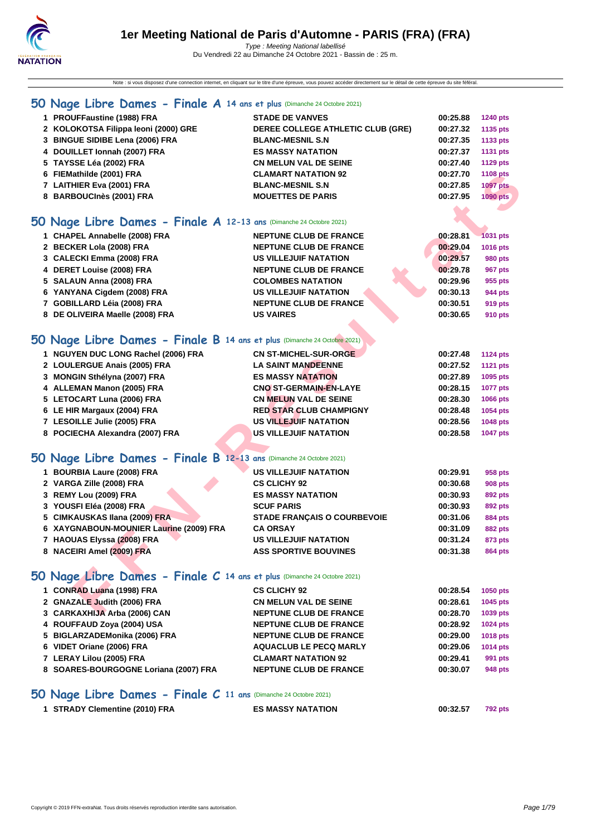Note : si vous disposez d'une connection internet, en cliquant sur le titre d'une épreuve, vous pouvez accéder directement sur le détail de cette épreuve du site féféral.

## **[50 Na](http://www.ffnatation.fr/webffn/index.php)ge Libre Dames - Finale A 14 ans et plus** (Dimanche 24 Octobre 2021)

| 1 PROUFFaustine (1988) FRA                                          | <b>STADE DE VANVES</b>            | 00:25.88 | <b>1240 pts</b> |
|---------------------------------------------------------------------|-----------------------------------|----------|-----------------|
| 2 KOLOKOTSA Filippa leoni (2000) GRE                                | DEREE COLLEGE ATHLETIC CLUB (GRE) | 00:27.32 | 1135 pts        |
| 3 BINGUE SIDIBE Lena (2006) FRA                                     | <b>BLANC-MESNIL S.N</b>           | 00:27.35 | 1133 pts        |
| 4 DOUILLET Ionnah (2007) FRA                                        | <b>ES MASSY NATATION</b>          | 00:27.37 | 1131 pts        |
| 5 TAYSSE Léa (2002) FRA                                             | <b>CN MELUN VAL DE SEINE</b>      | 00:27.40 | <b>1129 pts</b> |
| 6 FIEMathilde (2001) FRA                                            | <b>CLAMART NATATION 92</b>        | 00:27.70 | 1108 pts        |
| 7 LAITHIER Eva (2001) FRA                                           | <b>BLANC-MESNIL S.N</b>           | 00:27.85 | <b>1097 pts</b> |
| 8 BARBOUCInès (2001) FRA                                            | <b>MOUETTES DE PARIS</b>          | 00:27.95 | 1090 pts        |
| iO Nage Libre Dames - Finale A 12-13 ans (Dimanche 24 Octobre 2021) |                                   |          |                 |

### **50 Nage Libre Dames - Finale A 12-13 ans** (Dimanche 24 Octobre 2021)

| 6 FIEMathilde (2001) FRA                                                | <b>CLAMART NATATION 92</b>         | 00:27.70 | 1108 pts        |  |
|-------------------------------------------------------------------------|------------------------------------|----------|-----------------|--|
| 7 LAITHIER Eva (2001) FRA                                               | <b>BLANC-MESNIL S.N</b>            | 00:27.85 | <b>1097 pts</b> |  |
| 8 BARBOUCInès (2001) FRA                                                | <b>MOUETTES DE PARIS</b>           | 00:27.95 | <b>1090 pts</b> |  |
|                                                                         |                                    |          |                 |  |
| O Nage Libre Dames - Finale A 12-13 ans (Dimanche 24 Octobre 2021)      |                                    |          |                 |  |
| 1 CHAPEL Annabelle (2008) FRA                                           | <b>NEPTUNE CLUB DE FRANCE</b>      | 00:28.81 | <b>1031 pts</b> |  |
| 2 BECKER Lola (2008) FRA                                                | <b>NEPTUNE CLUB DE FRANCE</b>      | 00:29.04 | 1016 pts        |  |
| 3 CALECKI Emma (2008) FRA                                               | <b>US VILLEJUIF NATATION</b>       | 00:29.57 | <b>980 pts</b>  |  |
| 4 DERET Louise (2008) FRA                                               | <b>NEPTUNE CLUB DE FRANCE</b>      | 00:29.78 | 967 pts         |  |
| 5 SALAUN Anna (2008) FRA                                                | <b>COLOMBES NATATION</b>           | 00:29.96 | 955 pts         |  |
| 6 YANYANA Cigdem (2008) FRA                                             | <b>US VILLEJUIF NATATION</b>       | 00:30.13 | 944 pts         |  |
| 7 GOBILLARD Léia (2008) FRA                                             | <b>NEPTUNE CLUB DE FRANCE</b>      | 00:30.51 | 919 pts         |  |
| 8 DE OLIVEIRA Maelle (2008) FRA                                         | <b>US VAIRES</b>                   | 00:30.65 | 910 pts         |  |
|                                                                         |                                    |          |                 |  |
| O Nage Libre Dames - Finale B 14 ans et plus (Dimanche 24 Octobre 2021) |                                    |          |                 |  |
| 1 NGUYEN DUC LONG Rachel (2006) FRA                                     | <b>CN ST-MICHEL-SUR-ORGE</b>       | 00:27.48 | <b>1124 pts</b> |  |
| 2 LOULERGUE Anais (2005) FRA                                            | <b>LA SAINT MANDEENNE</b>          | 00:27.52 | <b>1121 pts</b> |  |
| 3 MONGIN Sthélyna (2007) FRA                                            | <b>ES MASSY NATATION</b>           | 00:27.89 | 1095 pts        |  |
| 4 ALLEMAN Manon (2005) FRA                                              | <b>CNO ST-GERMAIN-EN-LAYE</b>      | 00:28.15 | <b>1077 pts</b> |  |
| 5 LETOCART Luna (2006) FRA                                              | <b>CN MELUN VAL DE SEINE</b>       | 00:28.30 | 1066 pts        |  |
| 6 LE HIR Margaux (2004) FRA                                             | <b>RED STAR CLUB CHAMPIGNY</b>     | 00:28.48 | 1054 pts        |  |
| 7 LESOILLE Julie (2005) FRA                                             | <b>US VILLEJUIF NATATION</b>       | 00:28.56 | 1048 pts        |  |
| 8 POCIECHA Alexandra (2007) FRA                                         | <b>US VILLEJUIF NATATION</b>       | 00:28.58 | <b>1047 pts</b> |  |
|                                                                         |                                    |          |                 |  |
| O Nage Libre Dames - Finale B 12-13 ans (Dimanche 24 Octobre 2021)      |                                    |          |                 |  |
| 1 BOURBIA Laure (2008) FRA                                              | <b>US VILLEJUIF NATATION</b>       | 00:29.91 | 958 pts         |  |
| 2 VARGA Zille (2008) FRA                                                | <b>CS CLICHY 92</b>                | 00:30.68 | <b>908 pts</b>  |  |
| 3 REMY Lou (2009) FRA                                                   | <b>ES MASSY NATATION</b>           | 00:30.93 | 892 pts         |  |
| 3 YOUSFI Eléa (2008) FRA                                                | <b>SCUF PARIS</b>                  | 00:30.93 | 892 pts         |  |
| 5 CIMKAUSKAS Ilana (2009) FRA                                           | <b>STADE FRANÇAIS O COURBEVOIE</b> | 00:31.06 | <b>884 pts</b>  |  |
| 6 XAYGNABOUN-MOUNIER Laurine (2009) FRA                                 | <b>CA ORSAY</b>                    | 00:31.09 | <b>882 pts</b>  |  |
| 7 HAOUAS Elyssa (2008) FRA                                              | <b>US VILLEJUIF NATATION</b>       | 00:31.24 | 873 pts         |  |
| 8 NACEIRI Amel (2009) FRA                                               | <b>ASS SPORTIVE BOUVINES</b>       | 00:31.38 | <b>864 pts</b>  |  |
|                                                                         |                                    |          |                 |  |
| O Nage Libre Dames - Finale C 14 ans et plus (Dimanche 24 Octobre 2021) |                                    |          |                 |  |
| 1 CONRAD Luana (1998) FRA                                               | <b>CS CLICHY 92</b>                | 00:28.54 | <b>1050 pts</b> |  |
| 2 GNAZALE Judith (2006) FRA                                             | <b>CN MELUN VAL DE SEINE</b>       | 00:28.61 | 1045 pts        |  |
| 3 CARKAXHIJA Arba (2006) CAN                                            | <b>NEPTUNE CLUB DE FRANCE</b>      | 00:28.70 | <b>1039 pts</b> |  |

### **50 Nage Libre Dames - Finale B 14 ans et plus** (Dimanche 24 Octobre 2021)

| 1 NGUYEN DUC LONG Rachel (2006) FRA | <b>CN ST-MICHEL-SUR-ORGE</b>   | 00:27.48 | <b>1124 pts</b> |
|-------------------------------------|--------------------------------|----------|-----------------|
| 2 LOULERGUE Anais (2005) FRA        | <b>LA SAINT MANDEENNE</b>      | 00:27.52 | <b>1121 pts</b> |
| 3 MONGIN Sthélyna (2007) FRA        | <b>ES MASSY NATATION</b>       | 00:27.89 | 1095 pts        |
| 4 ALLEMAN Manon (2005) FRA          | <b>CNO ST-GERMAIN-EN-LAYE</b>  | 00:28.15 | <b>1077 pts</b> |
| 5 LETOCART Luna (2006) FRA          | <b>CN MELUN VAL DE SEINE</b>   | 00:28.30 | 1066 pts        |
| 6 LE HIR Margaux (2004) FRA         | <b>RED STAR CLUB CHAMPIGNY</b> | 00:28.48 | 1054 pts        |
| 7 LESOILLE Julie (2005) FRA         | <b>US VILLEJUIF NATATION</b>   | 00:28.56 | <b>1048 pts</b> |
| 8 POCIECHA Alexandra (2007) FRA     | <b>US VILLEJUIF NATATION</b>   | 00:28.58 | 1047 pts        |
|                                     |                                |          |                 |

### **50 Nage Libre Dames - Finale B 12-13 ans** (Dimanche 24 Octobre 2021)

| 1 BOURBIA Laure (2008) FRA              | <b>US VILLEJUIF NATATION</b>       | 00:29.91 | 958 pts        |
|-----------------------------------------|------------------------------------|----------|----------------|
| 2 VARGA Zille (2008) FRA                | <b>CS CLICHY 92</b>                | 00:30.68 | 908 pts        |
| 3 REMY Lou (2009) FRA                   | <b>ES MASSY NATATION</b>           | 00:30.93 | 892 pts        |
| 3 YOUSFI Eléa (2008) FRA                | <b>SCUF PARIS</b>                  | 00:30.93 | 892 pts        |
| 5 CIMKAUSKAS Ilana (2009) FRA           | <b>STADE FRANCAIS O COURBEVOIE</b> | 00:31.06 | <b>884 pts</b> |
| 6 XAYGNABOUN-MOUNIER Laurine (2009) FRA | <b>CA ORSAY</b>                    | 00:31.09 | <b>882 pts</b> |
| 7 HAOUAS Elyssa (2008) FRA              | <b>US VILLEJUIF NATATION</b>       | 00:31.24 | 873 pts        |
| 8 NACEIRI Amel (2009) FRA               | <b>ASS SPORTIVE BOUVINES</b>       | 00:31.38 | <b>864 pts</b> |

## **50 Nage Libre Dames - Finale C 14 ans et plus** (Dimanche 24 Octobre 2021)

| 1 CONRAD Luana (1998) FRA             | <b>CS CLICHY 92</b>           | 00:28.54 | <b>1050 pts</b> |
|---------------------------------------|-------------------------------|----------|-----------------|
| 2 GNAZALE Judith (2006) FRA           | <b>CN MELUN VAL DE SEINE</b>  | 00:28.61 | 1045 pts        |
| 3 CARKAXHIJA Arba (2006) CAN          | <b>NEPTUNE CLUB DE FRANCE</b> | 00:28.70 | 1039 pts        |
| 4 ROUFFAUD Zoya (2004) USA            | <b>NEPTUNE CLUB DE FRANCE</b> | 00:28.92 | <b>1024 pts</b> |
| 5 BIGLARZADEMonika (2006) FRA         | <b>NEPTUNE CLUB DE FRANCE</b> | 00:29.00 | 1018 pts        |
| 6 VIDET Oriane (2006) FRA             | <b>AQUACLUB LE PECQ MARLY</b> | 00:29.06 | 1014 pts        |
| 7 LERAY Lilou (2005) FRA              | <b>CLAMART NATATION 92</b>    | 00:29.41 | 991 pts         |
| 8 SOARES-BOURGOGNE Loriana (2007) FRA | <b>NEPTUNE CLUB DE FRANCE</b> | 00:30.07 | 948 pts         |
|                                       |                               |          |                 |

#### **50 Nage Libre Dames - Finale C 11 ans** (Dimanche 24 Octobre 2021)

**STRADY Clementine (2010) FRA ES MASSY NATATION 00:32.57 792 pts**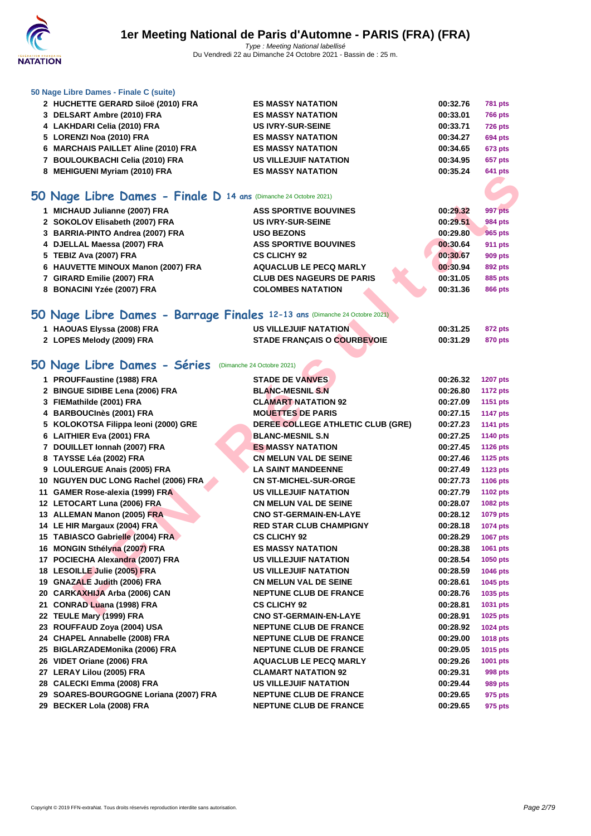

#### **[50 Nage L](http://www.ffnatation.fr/webffn/index.php)ibre Dames - Finale C (suite)**

| 2 HUCHETTE GERARD Siloë (2010) FRA  |                                  |                                                                                                                                                                            | <b>781 pts</b> |
|-------------------------------------|----------------------------------|----------------------------------------------------------------------------------------------------------------------------------------------------------------------------|----------------|
| 3 DELSART Ambre (2010) FRA          | <b>ES MASSY NATATION</b>         | 00:33.01                                                                                                                                                                   | <b>766 pts</b> |
| 4 LAKHDARI Celia (2010) FRA         | <b>US IVRY-SUR-SEINE</b>         | 00:33.71                                                                                                                                                                   | <b>726 pts</b> |
| 5 LORENZI Noa (2010) FRA            | <b>ES MASSY NATATION</b>         | 00:34.27                                                                                                                                                                   | <b>694 pts</b> |
| 6 MARCHAIS PAILLET Aline (2010) FRA | <b>ES MASSY NATATION</b>         | 00:34.65                                                                                                                                                                   | 673 pts        |
| 7 BOULOUKBACHI Celia (2010) FRA     | <b>US VILLEJUIF NATATION</b>     | 00:34.95                                                                                                                                                                   | <b>657 pts</b> |
| 8 MEHIGUENI Myriam (2010) FRA       | <b>ES MASSY NATATION</b>         | 00:35.24                                                                                                                                                                   | <b>641 pts</b> |
|                                     |                                  |                                                                                                                                                                            |                |
|                                     |                                  |                                                                                                                                                                            |                |
| 1 MICHAUD Julianne (2007) FRA       | <b>ASS SPORTIVE BOUVINES</b>     | 00:29.32                                                                                                                                                                   | 997 pts        |
| 2 SOKOLOV Elisabeth (2007) FRA      | <b>US IVRY-SUR-SEINE</b>         | 00:29.51                                                                                                                                                                   | <b>984 pts</b> |
| 3 BARRIA-PINTO Andrea (2007) FRA    | <b>USO BEZONS</b>                | 00:29.80                                                                                                                                                                   | 965 pts        |
| 4 DJELLAL Maessa (2007) FRA         | <b>ASS SPORTIVE BOUVINES</b>     | 00:30.64                                                                                                                                                                   | 911 pts        |
| 5 TEBIZ Ava (2007) FRA              | <b>CS CLICHY 92</b>              | 00:30.67                                                                                                                                                                   | 909 pts        |
| 6 HAUVETTE MINOUX Manon (2007) FRA  | <b>AQUACLUB LE PECQ MARLY</b>    | 00:30.94                                                                                                                                                                   | 892 pts        |
| 7 GIRARD Emilie (2007) FRA          | <b>CLUB DES NAGEURS DE PARIS</b> | 00:31.05                                                                                                                                                                   | 885 pts        |
| 8 BONACINI Yzée (2007) FRA          | <b>COLOMBES NATATION</b>         | 00:31.36                                                                                                                                                                   | <b>866 pts</b> |
|                                     |                                  |                                                                                                                                                                            |                |
|                                     |                                  |                                                                                                                                                                            |                |
| 1 HAOUAS Elyssa (2008) FRA          | <b>US VILLEJUIF NATATION</b>     | 00:31.25                                                                                                                                                                   | <b>872 pts</b> |
|                                     |                                  | <b>ES MASSY NATATION</b><br>50 Nage Libre Dames - Finale D 14 ans (Dimanche 24 Octobre 2021)<br>50 Nage Libre Dames - Barrage Finales 12-13 ans (Dimanche 24 Octobre 2021) | 00:32.76       |

| $\frac{1}{2}$ $\frac{1}{2}$ $\frac{1}{2}$ $\frac{1}{2}$ $\frac{1}{2}$ |                                    |          | $\sim$ $\sim$ $\sim$ $\sim$ |
|-----------------------------------------------------------------------|------------------------------------|----------|-----------------------------|
| 2 LOPES Melody (2009) FRA                                             | <b>STADE FRANÇAIS O COURBEVOIE</b> | 00:31.29 | 870 pts                     |

# 50 Nage Libre Dames - Séries (Dimanche 24 Octobre 2021)

| <b>0 INLINOULISI MYHAIH (2010) I INT</b>                                   |                                   |          | v+i pis         |
|----------------------------------------------------------------------------|-----------------------------------|----------|-----------------|
| iO Nage Libre Dames - Finale D 14 ans (Dimanche 24 Octobre 2021)           |                                   |          |                 |
|                                                                            |                                   |          |                 |
| 1 MICHAUD Julianne (2007) FRA                                              | <b>ASS SPORTIVE BOUVINES</b>      | 00:29.32 | 997 pts         |
| 2 SOKOLOV Elisabeth (2007) FRA                                             | <b>US IVRY-SUR-SEINE</b>          | 00:29.51 | <b>984 pts</b>  |
| 3 BARRIA-PINTO Andrea (2007) FRA                                           | <b>USO BEZONS</b>                 | 00:29.80 | <b>965 pts</b>  |
| 4 DJELLAL Maessa (2007) FRA                                                | <b>ASS SPORTIVE BOUVINES</b>      | 00:30.64 | <b>911 pts</b>  |
| 5 TEBIZ Ava (2007) FRA                                                     | <b>CS CLICHY 92</b>               | 00:30.67 | <b>909 pts</b>  |
| 6 HAUVETTE MINOUX Manon (2007) FRA                                         | <b>AQUACLUB LE PECQ MARLY</b>     | 00:30.94 | 892 pts         |
| 7 GIRARD Emilie (2007) FRA                                                 | <b>CLUB DES NAGEURS DE PARIS</b>  | 00:31.05 | 885 pts         |
| 8 BONACINI Yzée (2007) FRA                                                 | <b>COLOMBES NATATION</b>          | 00:31.36 | <b>866 pts</b>  |
| iO Nage Libre Dames - Barrage Finales 12-13 ans (Dimanche 24 Octobre 2021) |                                   |          |                 |
| 1 HAOUAS Elyssa (2008) FRA                                                 | <b>US VILLEJUIF NATATION</b>      | 00:31.25 | <b>872 pts</b>  |
| 2 LOPES Melody (2009) FRA                                                  | STADE FRANÇAIS O COURBEVOIE       | 00:31.29 | <b>870 pts</b>  |
|                                                                            |                                   |          |                 |
| O Nage Libre Dames - Séries (Dimanche 24 Octobre 2021)                     |                                   |          |                 |
| 1 PROUFFaustine (1988) FRA                                                 | <b>STADE DE VANVES</b>            | 00:26.32 | <b>1207 pts</b> |
| 2 BINGUE SIDIBE Lena (2006) FRA                                            | <b>BLANC-MESNIL S.N</b>           | 00:26.80 | <b>1172 pts</b> |
| 3 FIEMathilde (2001) FRA                                                   | <b>CLAMART NATATION 92</b>        | 00:27.09 | 1151 pts        |
| 4 BARBOUCInès (2001) FRA                                                   | <b>MOUETTES DE PARIS</b>          | 00:27.15 | <b>1147 pts</b> |
| 5 KOLOKOTSA Filippa leoni (2000) GRE                                       | DEREE COLLEGE ATHLETIC CLUB (GRE) | 00:27.23 | 1141 pts        |
| 6 LAITHIER Eva (2001) FRA                                                  | <b>BLANC-MESNIL S.N</b>           | 00:27.25 | <b>1140 pts</b> |
| 7 DOUILLET Ionnah (2007) FRA                                               | <b>ES MASSY NATATION</b>          | 00:27.45 | <b>1126 pts</b> |
| 8 TAYSSE Léa (2002) FRA                                                    | <b>CN MELUN VAL DE SEINE</b>      | 00:27.46 | 1125 pts        |
| 9 LOULERGUE Anais (2005) FRA                                               | <b>LA SAINT MANDEENNE</b>         | 00:27.49 | <b>1123 pts</b> |
| 10 NGUYEN DUC LONG Rachel (2006) FRA                                       | <b>CN ST-MICHEL-SUR-ORGE</b>      | 00:27.73 | <b>1106 pts</b> |
| 11 GAMER Rose-alexia (1999) FRA                                            | US VILLEJUIF NATATION             | 00:27.79 | 1102 pts        |
| 12 LETOCART Luna (2006) FRA                                                | <b>CN MELUN VAL DE SEINE</b>      | 00:28.07 | 1082 pts        |
| 13 ALLEMAN Manon (2005) FRA                                                | <b>CNO ST-GERMAIN-EN-LAYE</b>     | 00:28.12 | <b>1079 pts</b> |
| 14 LE HIR Margaux (2004) FRA                                               | <b>RED STAR CLUB CHAMPIGNY</b>    | 00:28.18 | 1074 pts        |
| 15 TABIASCO Gabrielle (2004) FRA                                           | <b>CS CLICHY 92</b>               | 00:28.29 | <b>1067 pts</b> |
| 16 MONGIN Sthélyna (2007) FRA                                              | <b>ES MASSY NATATION</b>          | 00:28.38 | 1061 pts        |
| 17 POCIECHA Alexandra (2007) FRA                                           | <b>US VILLEJUIF NATATION</b>      | 00:28.54 | 1050 pts        |
| 18 LESOILLE Julie (2005) FRA                                               | <b>US VILLEJUIF NATATION</b>      | 00:28.59 | 1046 pts        |
| 19 GNAZALE Judith (2006) FRA                                               | <b>CN MELUN VAL DE SEINE</b>      | 00:28.61 | 1045 pts        |
| 20 CARKAXHIJA Arba (2006) CAN                                              | <b>NEPTUNE CLUB DE FRANCE</b>     | 00:28.76 | 1035 pts        |
| 21 CONRAD Luana (1998) FRA                                                 | <b>CS CLICHY 92</b>               | 00:28.81 | 1031 pts        |
| 22 TEULE Mary (1999) FRA                                                   | <b>CNO ST-GERMAIN-EN-LAYE</b>     | 00:28.91 | 1025 pts        |
| 23 ROUFFAUD Zoya (2004) USA                                                | <b>NEPTUNE CLUB DE FRANCE</b>     | 00:28.92 | 1024 pts        |
| 24 CHAPEL Annabelle (2008) FRA                                             | <b>NEPTUNE CLUB DE FRANCE</b>     | 00:29.00 | 1018 pts        |
| 25 BIGLARZADEMonika (2006) FRA                                             | <b>NEPTUNE CLUB DE FRANCE</b>     | 00:29.05 | 1015 pts        |
| 26 VIDET Oriane (2006) FRA                                                 | <b>AQUACLUB LE PECQ MARLY</b>     | 00:29.26 | 1001 pts        |
| 27 LERAY Lilou (2005) FRA                                                  | <b>CLAMART NATATION 92</b>        | 00:29.31 | 998 pts         |
| 28 CALECKI Emma (2008) FRA                                                 | <b>US VILLEJUIF NATATION</b>      | 00:29.44 | 989 pts         |
| 29 SOARES-BOURGOGNE Loriana (2007) FRA                                     | <b>NEPTUNE CLUB DE FRANCE</b>     | 00:29.65 | 975 pts         |
| 29 BECKER Lola (2008) FRA                                                  | <b>NEPTUNE CLUB DE FRANCE</b>     | 00:29.65 | 975 pts         |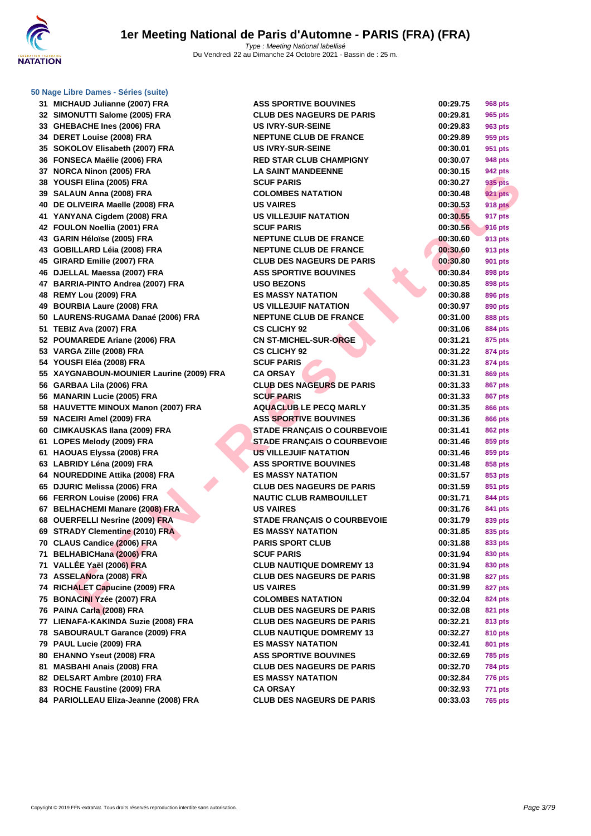**31 MICHAUD Julianne (2007) FRA 32 SIMONUTTI Salome (2005) FRA 33 GHEBACHE Ines (2006) FRA 34 DERET Louise (2008) FRA 35 SOKOLOV Elisabeth (2007) FRA 36 FONSECA Maëlie (2006) FRA 37 NORCA Ninon (2005) FRA LA SAINT MANDEENNE 00:30.15 942 pts 38 YOUSFI Elina (2005) FRA SCUF PARIS 00:30.27 935 pts 39 SALAUN Anna (2008) FRA COLOMBES NATATION 00:30.48 921 pts 40 DE OLIVEIRA Maelle (2008) FRA 41 YANYANA Cigdem (2008) FRA US VILLEJUIF NATATION 00:30.55 917 pts 42 FOULON Noellia (2001) FRA 43 GARIN Héloïse (2005) FRA 43 GOBILLARD Léia (2008) FRA 45 GIRARD Emilie (2007) FRA CLUB DES NAGEURS DE PARIS 00:30.80 901 pts 46 DJELLAL Maessa (2007) FRA 47 BARRIA-PINTO Andrea (2007) FRA 48 REMY Lou (2009) FRA ES MASSY NATATION 00:30.88 896 pts 49 BOURBIA Laure (2008) FRA US VILLEJUIF NATATION 00:30.97 890 pts 50 LAURENS-RUGAMA Danaé (2006) FRA 51 TEBIZ Ava (2007) FRA CS CLICHY 92 00:31.06 884 pts 52 POUMAREDE Ariane (2006) FRA 53 VARGA Zille (2008) FRA CS CLICHY 92 00:31.22 874 pts 54 YOUSFI Eléa (2008) FRA SCUF PARIS 00:31.23 874 pts 55 XAYGNABOUN-MOUNIER Laurine (2009) FRA 56 GARBAA Lila (2006) FRA CLUB DES NAGEURS DE PARIS 00:31.33 867 pts 56 MANARIN Lucie (2005) FRA 58 HAUVETTE MINOUX Manon (2007) FRA 59 NACEIRI Amel (2009) FRA 60 CIMKAUSKAS Ilana (2009) FRA 61 LOPES Melody (2009) FRA STADE FRANÇAIS O COURBEVOIE 00:31.46 859 pts 61 HAOUAS Elyssa (2008) FRA 63 LABRIDY Léna (2009) FRA 64 NOUREDDINE Attika (2008) FRA 65 DJURIC Melissa (2006) FRA CLUB DES NAGEURS DE PARIS 00:31.59 851 pts 66 FERRON Louise (2006) FRA 67 BELHACHEMI Manare (2008) FRA 68 OUERFELLI Nesrine (2009) FRA 69 STRADY Clementine (2010) FRA 70 CLAUS Candice (2006) FRA 71 BELHABICHana (2006) FRA 71 VALLÉE Yaël (2006) FRA CLUB NAUTIQUE DOMREMY 13 00:31.94 830 pts 73 ASSELANora (2008) FRA CLUB DES NAGEURS DE PARIS 00:31.98 827 pts 74** RICHALET Capucine (2009) FRA **75 BONACINI Yzée (2007) FRA COLOMBES NATATION 00:32.04 824 pts 76 PAINA Carla (2008) FRA CLUB DES NAGEURS DE PARIS 00:32.08 821 pts 77 LIENAFA-KAKINDA Suzie (2008) FRA CLUB DES NAGEURS DE PARIS 00:32.21 813 pts 78 SABOURAULT Garance (2009) FRA 79 PAUL Lucie (2009) FRA ES MASSY NATATION 00:32.41 801 pts 80 EHANNO Yseut (2008) FRA 81 MASBAHI Anais (2008) FRA CLUB DES NAGEURS DE PARIS 00:32.70 784 pts 82 DELSART Ambre (2010) FRA ES MASSY NATATION 00:32.84 776 pts 83** ROCHE Faustine (2009) FRA **84 PARIOLLEAU Eliza-Jeanne (2008) FRA** 

| <b>IAUD Julianne (2007) FRA</b>           | <b>ASS SPORTIVE BOUVINES</b>       | 00:29.75 |                |
|-------------------------------------------|------------------------------------|----------|----------------|
| NUTTI Salome (2005) FRA                   | <b>CLUB DES NAGEURS DE PARIS</b>   | 00:29.81 | <b>968 pts</b> |
| <b>BACHE Ines (2006) FRA</b>              | <b>US IVRY-SUR-SEINE</b>           |          | 965 pts        |
|                                           |                                    | 00:29.83 | 963 pts        |
| ET Louise (2008) FRA                      | <b>NEPTUNE CLUB DE FRANCE</b>      | 00:29.89 | 959 pts        |
| OLOV Elisabeth (2007) FRA                 | <b>US IVRY-SUR-SEINE</b>           | 00:30.01 | 951 pts        |
| SECA Maëlie (2006) FRA                    | <b>RED STAR CLUB CHAMPIGNY</b>     | 00:30.07 | 948 pts        |
| CA Ninon (2005) FRA                       | <b>LA SAINT MANDEENNE</b>          | 00:30.15 | 942 pts        |
| SFI Elina (2005) FRA                      | <b>SCUF PARIS</b>                  | 00:30.27 | 935 pts        |
| <b>AUN Anna (2008) FRA</b>                | <b>COLOMBES NATATION</b>           | 00:30.48 | <b>921 pts</b> |
| LIVEIRA Maelle (2008) FRA                 | <b>US VAIRES</b>                   | 00:30.53 | <b>918 pts</b> |
| YANA Cigdem (2008) FRA                    | <b>US VILLEJUIF NATATION</b>       | 00:30.55 | 917 pts        |
| LON Noellia (2001) FRA                    | <b>SCUF PARIS</b>                  | 00:30.56 | <b>916 pts</b> |
| IN Héloïse (2005) FRA                     | <b>NEPTUNE CLUB DE FRANCE</b>      | 00:30.60 | 913 pts        |
| ILLARD Léia (2008) FRA                    | <b>NEPTUNE CLUB DE FRANCE</b>      | 00:30.60 | 913 pts        |
| <b>RD Emilie (2007) FRA</b>               | <b>CLUB DES NAGEURS DE PARIS</b>   | 00:30.80 | <b>901 pts</b> |
| LAL Maessa (2007) FRA                     | <b>ASS SPORTIVE BOUVINES</b>       | 00:30.84 | 898 pts        |
| RIA-PINTO Andrea (2007) FRA               | <b>USO BEZONS</b>                  | 00:30.85 | 898 pts        |
| Y Lou (2009) FRA                          | <b>ES MASSY NATATION</b>           | 00:30.88 | 896 pts        |
| <b>RBIA Laure (2008) FRA</b>              | <b>US VILLEJUIF NATATION</b>       | 00:30.97 | 890 pts        |
| <b>RENS-RUGAMA Danaé (2006) FRA</b>       | <b>NEPTUNE CLUB DE FRANCE</b>      | 00:31.00 | 888 pts        |
| Z Ava (2007) FRA                          | <b>CS CLICHY 92</b>                | 00:31.06 | 884 pts        |
| <b>MAREDE Ariane (2006) FRA</b>           | <b>CN ST-MICHEL-SUR-ORGE</b>       | 00:31.21 | 875 pts        |
| GA Zille (2008) FRA                       | <b>CS CLICHY 92</b>                | 00:31.22 | 874 pts        |
| SFI Eléa (2008) FRA                       | <b>SCUF PARIS</b>                  | 00:31.23 | 874 pts        |
| <b>GNABOUN-MOUNIER Laurine (2009) FRA</b> | <b>CA ORSAY</b>                    | 00:31.31 | 869 pts        |
| BAA Lila (2006) FRA                       | <b>CLUB DES NAGEURS DE PARIS</b>   | 00:31.33 | 867 pts        |
| ARIN Lucie (2005) FRA                     | <b>SCUF PARIS</b>                  | 00:31.33 | 867 pts        |
| <b>VETTE MINOUX Manon (2007) FRA</b>      | <b>AQUACLUB LE PECQ MARLY</b>      | 00:31.35 | 866 pts        |
| EIRI Amel (2009) FRA                      | <b>ASS SPORTIVE BOUVINES</b>       | 00:31.36 | 866 pts        |
| <b>(AUSKAS Ilana (2009) FRA</b>           | <b>STADE FRANÇAIS O COURBEVOIE</b> | 00:31.41 | 862 pts        |
| ES Melody (2009) FRA                      | <b>STADE FRANÇAIS O COURBEVOIE</b> | 00:31.46 | 859 pts        |
| UAS Elyssa (2008) FRA                     | <b>US VILLEJUIF NATATION</b>       | 00:31.46 | 859 pts        |
| <b>RIDY Léna (2009) FRA</b>               | <b>ASS SPORTIVE BOUVINES</b>       | 00:31.48 | 858 pts        |
| REDDINE Attika (2008) FRA                 | <b>ES MASSY NATATION</b>           | 00:31.57 | 853 pts        |
| <b>RIC Melissa (2006) FRA</b>             | <b>CLUB DES NAGEURS DE PARIS</b>   | 00:31.59 | 851 pts        |
| <b>RON Louise (2006) FRA</b>              | <b>NAUTIC CLUB RAMBOUILLET</b>     | 00:31.71 | 844 pts        |
| <b>HACHEMI Manare (2008) FRA</b>          | <b>US VAIRES</b>                   | 00:31.76 | 841 pts        |
| <b>RFELLI Nesrine (2009) FRA</b>          | <b>STADE FRANCAIS O COURBEVOIE</b> | 00:31.79 | 839 pts        |
| ADY Clementine (2010) FRA                 | <b>ES MASSY NATATION</b>           | 00:31.85 | 835 pts        |
| <b>JS Candice (2006) FRA</b>              | <b>PARIS SPORT CLUB</b>            | 00:31.88 | 833 pts        |
| <b>HABICHana (2006) FRA</b>               | <b>SCUF PARIS</b>                  | 00:31.94 | 830 pts        |
| LÉE <u>Ya</u> ël (2006) FRA               | <b>CLUB NAUTIQUE DOMREMY 13</b>    | 00:31.94 | 830 pts        |
| ELANora (2008) FRA                        | <b>CLUB DES NAGEURS DE PARIS</b>   | 00:31.98 | 827 pts        |
| <b>ALET Capucine (2009) FRA</b>           | <b>US VAIRES</b>                   | 00:31.99 | <b>827 pts</b> |
| ACINI Yzée (2007) FRA                     | <b>COLOMBES NATATION</b>           | 00:32.04 | 824 pts        |
| A Carla (2008) FRA                        | <b>CLUB DES NAGEURS DE PARIS</b>   | 00:32.08 | 821 pts        |
| AFA-KAKINDA Suzie (2008) FRA              | <b>CLUB DES NAGEURS DE PARIS</b>   | 00:32.21 | 813 pts        |
| <b>OURAULT Garance (2009) FRA</b>         | <b>CLUB NAUTIQUE DOMREMY 13</b>    | 00:32.27 | 810 pts        |
| L Lucie (2009) FRA                        | <b>ES MASSY NATATION</b>           | 00:32.41 | 801 pts        |
| NNO Yseut (2008) FRA                      | <b>ASS SPORTIVE BOUVINES</b>       | 00:32.69 | <b>785 pts</b> |
| BAHI Anais (2008) FRA                     | <b>CLUB DES NAGEURS DE PARIS</b>   | 00:32.70 | <b>784 pts</b> |
| SART Ambre (2010) FRA                     | <b>ES MASSY NATATION</b>           | 00:32.84 | <b>776 pts</b> |
| <b>HE Faustine (2009) FRA</b>             | <b>CA ORSAY</b>                    | 00:32.93 | <b>771 pts</b> |
| OLLEAU Eliza-Jeanne (2008) FRA            | <b>CLUB DES NAGEURS DE PARIS</b>   | 00:33.03 | <b>765 pts</b> |
|                                           |                                    |          |                |

| 00:29.75 | 968 pts        |
|----------|----------------|
| 00:29.81 | 965 pts        |
| 00:29.83 | 963 pts        |
| 00:29.89 | 959 pts        |
| 00:30.01 | 951 pts        |
| 00:30.07 | 948 pts        |
| 00:30.15 | 942 pts        |
| 00:30.27 | 935 pts        |
| 00:30.48 | <b>921 pts</b> |
| 00:30.53 | 918 pts        |
| 00:30.55 | 917 pts        |
| 00:30.56 | 916 pts        |
| 00:30.60 | 913 pts        |
| 00:30.60 | 913 pts        |
|          |                |
| 00:30.80 | 901 pts        |
| 00:30.84 | 898 pts        |
| 00:30.85 | 898 pts        |
| 00:30.88 | 896 pts        |
| 00:30.97 | 890 pts        |
| 00:31.00 | 888 pts        |
| 00:31.06 | <b>884 pts</b> |
| 00:31.21 | 875 pts        |
| 00:31.22 | 874 pts        |
| 00:31.23 | 874 pts        |
| 00:31.31 | <b>869 pts</b> |
| 00:31.33 | <b>867 pts</b> |
| 00:31.33 | 867 pts        |
| 00:31.35 | <b>866 pts</b> |
| 00:31.36 | 866 pts        |
| 00:31.41 | 862 pts        |
| 00:31.46 | 859 pts        |
| 00:31.46 | 859 pts        |
| 00:31.48 | 858 pts        |
| 00:31.57 | 853 pts        |
| 00:31.59 | 851 pts        |
| 00:31.71 | <b>844 pts</b> |
| 00:31.76 |                |
|          | 841 pts        |
| 00:31.79 | 839 pts        |
| 00:31.85 | 835 pts        |
| 00:31.88 | 833 pts        |
| 00:31.94 | 830 pts        |
| 00:31.94 | 830 pts        |
| 00:31.98 | 827 pts        |
| 00:31.99 | 827 pts        |
| 00:32.04 | 824 pts        |
| 00:32.08 | 821 pts        |
| 00:32.21 | 813 pts        |
| 00:32.27 | <b>810 pts</b> |
| 00:32.41 | 801 pts        |
| 00:32.69 | 785 pts        |
| 00:32.70 | 784 pts        |
| 00:32.84 | 776 pts        |
| 00:32.93 | 771 pts        |
| 00:33.03 | <b>765 pts</b> |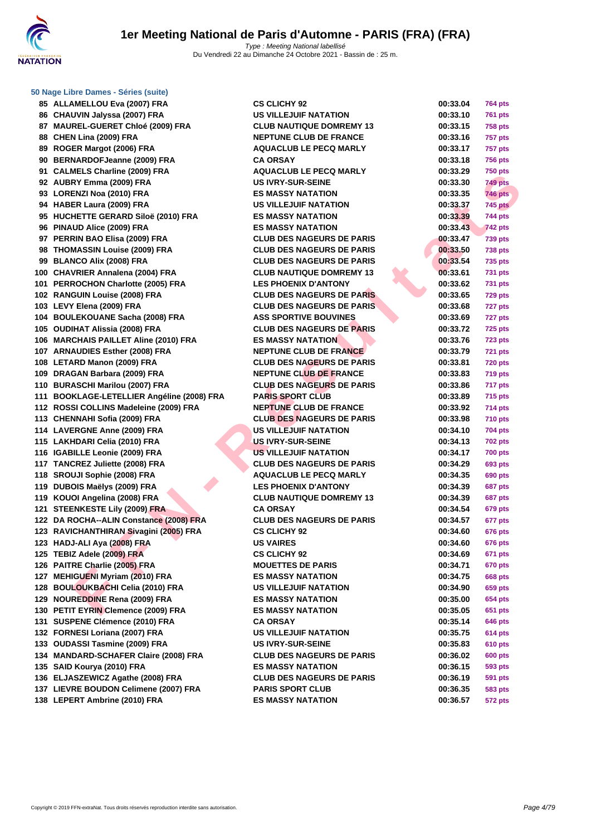

| ου    | ALLAMELLOU EVA (2007) FRA                    |
|-------|----------------------------------------------|
| 86    | CHAUVIN Jalyssa (2007) FRA                   |
|       | 87 MAUREL-GUERET Chloé (2009) FRA            |
| 88    | CHEN Lina (2009) FRA                         |
| 89    | ROGER Margot (2006) FRA                      |
| 90    | <b>BERNARDOFJeanne (2009) FRA</b>            |
| 91    | <b>CALMELS Charline (2009) FRA</b>           |
| 92    | AUBRY Emma (2009) FRA                        |
| 93    | LORENZI Noa (2010) FRA                       |
| 94    | HABER Laura (2009) FRA                       |
| 95    | HUCHETTE GERARD Siloë (2010) FRA             |
|       | 96 PINAUD Alice (2009) FRA                   |
| 97    | PERRIN BAO Elisa (2009) FRA                  |
| 98    | <b>THOMASSIN Louise (2009) FRA</b>           |
| 99    | <b>BLANCO Alix (2008) FRA</b>                |
| 100 - | <b>CHAVRIER Annalena (2004) FRA</b>          |
| 101   | PERROCHON Charlotte (2005) FRA               |
| 102   | <b>RANGUIN Louise (2008) FRA</b>             |
| 103   | LEVY Elena (2009) FRA                        |
| 104   | <b>BOULEKOUANE Sacha (2008) FRA</b>          |
| 105   | <b>OUDIHAT Alissia (2008) FRA</b>            |
| 106   | <b>MARCHAIS PAILLET Aline (2010) FRA</b>     |
| 107   | <b>ARNAUDIES Esther (2008) FRA</b>           |
| 108   | <b>LETARD Manon (2009) FRA</b>               |
| 109   | DRAGAN Barbara (2009) FRA                    |
| 110   | <b>BURASCHI Marilou (2007) FRA</b>           |
| 111   | <b>BOOKLAGE-LETELLIER Angéline (2008) FI</b> |
| 112   | ROSSI COLLINS Madeleine (2009) FRA           |
| 113   | <b>CHENNAHI Sofia (2009) FRA</b>             |
| 114   | <b>LAVERGNE Anne (2009) FRA</b>              |
| 115   | LAKHDARI Celia (2010) FRA                    |
| 116   | <b>IGABILLE Leonie (2009) FRA</b>            |
| 117   | <b>TANCREZ Juliette (2008) FRA</b>           |
| 118   | SROUJI Sophie (2008) FRA                     |
| 119   | DUBOIS Maëlys (2009) FRA                     |
| 119   | KOUOI Angelina (2008) FRA                    |
| 121   | <b>STEENKESTE Lily (2009) FRA</b>            |
| 122   | DA ROCHA--ALIN Constance (2008) FRA          |
| 123   | RAVICHANTHIRAN Sivagini (2005) FRA           |
| 123   | HADJ-ALI Aya (2008) FRA                      |
| 125   | <b>TEBIZ Adele (2009) FRA</b>                |
| 126   | PAITRE Charlie (2005) FRA                    |
| 127   | <b>MEHIGUENI Myriam (2010) FRA</b>           |
| 128   | <b>BOULOUKBACHI Celia (2010) FRA</b>         |
| 129   | <b>NOUREDDINE Rena (2009) FRA</b>            |
| 130   | PETIT EYRIN Clemence (2009) FRA              |
| 131   | SUSPENE Clémence (2010) FRA                  |
| 132   | FORNESI Loriana (2007) FRA                   |
| 133   | OUDASSI Tasmine (2009) FRA                   |
| 134   | <b>MANDARD-SCHAFER Claire (2008) FRA</b>     |
| 135   | SAID Kourya (2010) FRA                       |
|       | 136 ELJASZEWICZ Agathe (2008) FRA            |
|       | 137 LIEVRE BOUDON Celimene (2007) FRA        |
|       | 138 LEPERT Ambrine (2010) FRA                |
|       |                                              |

| 85 ALLAMELLOU Eva (2007) FRA               | <b>CS CLICHY 92</b>              | 00:33.04 | <b>764 pts</b> |
|--------------------------------------------|----------------------------------|----------|----------------|
| 86 CHAUVIN Jalyssa (2007) FRA              | US VILLEJUIF NATATION            | 00:33.10 | <b>761 pts</b> |
| 87 MAUREL-GUERET Chloé (2009) FRA          | <b>CLUB NAUTIQUE DOMREMY 13</b>  | 00:33.15 | <b>758 pts</b> |
| 88 CHEN Lina (2009) FRA                    | <b>NEPTUNE CLUB DE FRANCE</b>    | 00:33.16 | <b>757 pts</b> |
| 89 ROGER Margot (2006) FRA                 | <b>AQUACLUB LE PECQ MARLY</b>    | 00:33.17 | <b>757 pts</b> |
| 90 BERNARDOFJeanne (2009) FRA              | <b>CA ORSAY</b>                  | 00:33.18 | <b>756 pts</b> |
| 91 CALMELS Charline (2009) FRA             | <b>AQUACLUB LE PECQ MARLY</b>    | 00:33.29 | <b>750 pts</b> |
| 92 AUBRY Emma (2009) FRA                   | <b>US IVRY-SUR-SEINE</b>         | 00:33.30 | <b>749 pts</b> |
| 93 LORENZI Noa (2010) FRA                  | <b>ES MASSY NATATION</b>         | 00:33.35 | <b>746 pts</b> |
| 94 HABER Laura (2009) FRA                  | <b>US VILLEJUIF NATATION</b>     | 00:33.37 | <b>745 pts</b> |
| 95 HUCHETTE GERARD Siloë (2010) FRA        | <b>ES MASSY NATATION</b>         | 00:33.39 | <b>744 pts</b> |
| 96 PINAUD Alice (2009) FRA                 | <b>ES MASSY NATATION</b>         | 00:33.43 | <b>742 pts</b> |
| 97 PERRIN BAO Elisa (2009) FRA             | <b>CLUB DES NAGEURS DE PARIS</b> | 00:33.47 | <b>739 pts</b> |
| 98 THOMASSIN Louise (2009) FRA             | <b>CLUB DES NAGEURS DE PARIS</b> | 00:33.50 | <b>738 pts</b> |
| 99 BLANCO Alix (2008) FRA                  | <b>CLUB DES NAGEURS DE PARIS</b> | 00:33.54 | <b>735 pts</b> |
| 100 CHAVRIER Annalena (2004) FRA           | <b>CLUB NAUTIQUE DOMREMY 13</b>  | 00:33.61 | <b>731 pts</b> |
| 101 PERROCHON Charlotte (2005) FRA         | <b>LES PHOENIX D'ANTONY</b>      | 00:33.62 | 731 pts        |
| 102 RANGUIN Louise (2008) FRA              | <b>CLUB DES NAGEURS DE PARIS</b> | 00:33.65 | <b>729 pts</b> |
| 103 LEVY Elena (2009) FRA                  | <b>CLUB DES NAGEURS DE PARIS</b> | 00:33.68 | 727 pts        |
| 104 BOULEKOUANE Sacha (2008) FRA           | <b>ASS SPORTIVE BOUVINES</b>     | 00:33.69 | 727 pts        |
| 105 OUDIHAT Alissia (2008) FRA             | <b>CLUB DES NAGEURS DE PARIS</b> | 00:33.72 | <b>725 pts</b> |
| 106 MARCHAIS PAILLET Aline (2010) FRA      | <b>ES MASSY NATATION</b>         | 00:33.76 | <b>723 pts</b> |
| 107 ARNAUDIES Esther (2008) FRA            | <b>NEPTUNE CLUB DE FRANCE</b>    | 00:33.79 | <b>721 pts</b> |
| 108 LETARD Manon (2009) FRA                | <b>CLUB DES NAGEURS DE PARIS</b> | 00:33.81 | <b>720 pts</b> |
| 109 DRAGAN Barbara (2009) FRA              | <b>NEPTUNE CLUB DE FRANCE</b>    | 00:33.83 | <b>719 pts</b> |
| 110 BURASCHI Marilou (2007) FRA            | <b>CLUB DES NAGEURS DE PARIS</b> | 00:33.86 | 717 pts        |
| 111 BOOKLAGE-LETELLIER Angéline (2008) FRA | <b>PARIS SPORT CLUB</b>          | 00:33.89 | 715 pts        |
| 112 ROSSI COLLINS Madeleine (2009) FRA     | <b>NEPTUNE CLUB DE FRANCE</b>    | 00:33.92 | 714 pts        |
| 113 CHENNAHI Sofia (2009) FRA              | <b>CLUB DES NAGEURS DE PARIS</b> | 00:33.98 | <b>710 pts</b> |
| 114 LAVERGNE Anne (2009) FRA               | <b>US VILLEJUIF NATATION</b>     | 00:34.10 | 704 pts        |
| 115 LAKHDARI Celia (2010) FRA              | <b>US IVRY-SUR-SEINE</b>         | 00:34.13 | <b>702 pts</b> |
| 116 IGABILLE Leonie (2009) FRA             | <b>US VILLEJUIF NATATION</b>     | 00:34.17 | <b>700 pts</b> |
| 117 TANCREZ Juliette (2008) FRA            | <b>CLUB DES NAGEURS DE PARIS</b> | 00:34.29 | 693 pts        |
| 118 SROUJI Sophie (2008) FRA               | <b>AQUACLUB LE PECQ MARLY</b>    | 00:34.35 | 690 pts        |
| 119 DUBOIS Maëlys (2009) FRA               | <b>LES PHOENIX D'ANTONY</b>      | 00:34.39 | 687 pts        |
| 119 KOUOI Angelina (2008) FRA              | <b>CLUB NAUTIQUE DOMREMY 13</b>  | 00:34.39 | 687 pts        |
| 121 STEENKESTE Lily (2009) FRA             | <b>CA ORSAY</b>                  | 00:34.54 | 679 pts        |
| 122 DA ROCHA--ALIN Constance (2008) FRA    | <b>CLUB DES NAGEURS DE PARIS</b> | 00:34.57 | 677 pts        |
| 123 RAVICHANTHIRAN Sivagini (2005) FRA     | <b>CS CLICHY 92</b>              | 00:34.60 | <b>676 pts</b> |
| 123 HADJ-ALI Aya (2008) FRA                | <b>US VAIRES</b>                 | 00:34.60 | <b>676 pts</b> |
| 125 TEBIZ Adele (2009) FRA                 | <b>CS CLICHY 92</b>              | 00:34.69 | 671 pts        |
| 126 PAITRE Charlie (2005) FRA              | <b>MOUETTES DE PARIS</b>         | 00:34.71 | <b>670 pts</b> |
| 127 MEHIGUENI Myriam (2010) FRA            | <b>ES MASSY NATATION</b>         | 00:34.75 | 668 pts        |
| 128 BOULOUKBACHI Celia (2010) FRA          | US VILLEJUIF NATATION            | 00:34.90 | 659 pts        |
| 129 NOUREDDINE Rena (2009) FRA             | <b>ES MASSY NATATION</b>         | 00:35.00 | 654 pts        |
| 130 PETIT EYRIN Clemence (2009) FRA        | <b>ES MASSY NATATION</b>         | 00:35.05 | 651 pts        |
| 131 SUSPENE Clémence (2010) FRA            | <b>CA ORSAY</b>                  | 00:35.14 | 646 pts        |
| 132 FORNESI Loriana (2007) FRA             | <b>US VILLEJUIF NATATION</b>     | 00:35.75 | <b>614 pts</b> |
| 133 OUDASSI Tasmine (2009) FRA             | <b>US IVRY-SUR-SEINE</b>         | 00:35.83 | 610 pts        |
| 134 MANDARD-SCHAFER Claire (2008) FRA      | <b>CLUB DES NAGEURS DE PARIS</b> | 00:36.02 | 600 pts        |
| 135 SAID Kourya (2010) FRA                 | <b>ES MASSY NATATION</b>         | 00:36.15 | 593 pts        |
| 136 ELJASZEWICZ Agathe (2008) FRA          | <b>CLUB DES NAGEURS DE PARIS</b> | 00:36.19 | 591 pts        |
| 137 LIEVRE BOUDON Celimene (2007) FRA      | <b>PARIS SPORT CLUB</b>          | 00:36.35 | 583 pts        |
| 138 LEPERT Ambrine (2010) FRA              | <b>ES MASSY NATATION</b>         | 00:36.57 | 572 pts        |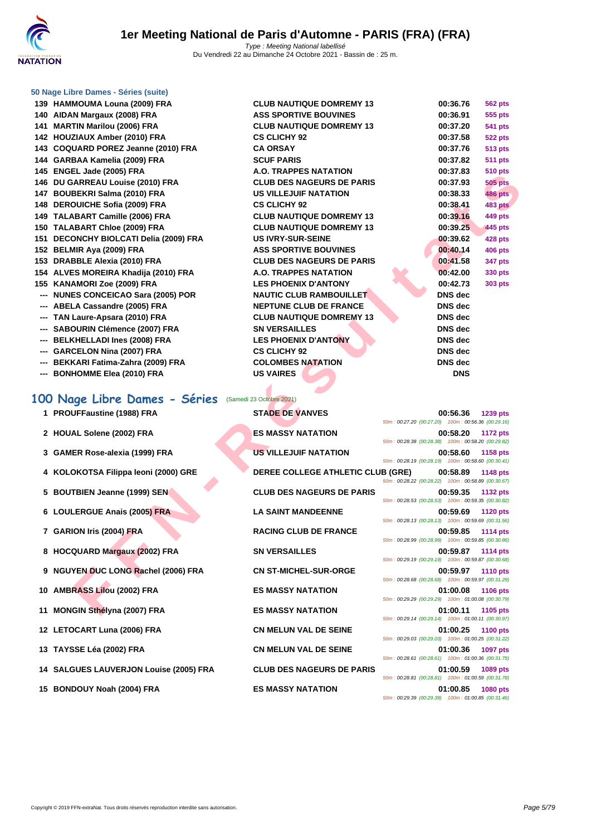

 **HAMMOUMA Louna (2009) FRA CLUB NAUTIQUE DOMREMY 13 00:36.76 562 pts AIDAN Margaux (2008) FRA ASS SPORTIVE BOUVINES 00:36.91 555 pts MARTIN Marilou (2006) FRA CLUB NAUTIQUE DOMREMY 13 00:37.20 541 pts HOUZIAUX Amber (2010) FRA CS CLICHY 92 00:37.58 522 pts COQUARD POREZ Jeanne (2010) FRA CA ORSAY 00:37.76 513 pts GARBAA Kamelia (2009) FRA SCUF PARIS 00:37.82 511 pts ENGEL Jade (2005) FRA A.O. TRAPPES NATATION 00:37.83 510 pts DU GARREAU Louise (2010) FRA CLUB DES NAGEURS DE PARIS 00:37.93 505 pts BOUBEKRI Salma (2010) FRA US VILLEJUIF NATATION 00:38.33 486 pts DEROUICHE Sofia (2009) FRA CS CLICHY 92 00:38.41 483 pts TALABART Camille (2006) FRA CLUB NAUTIQUE DOMREMY 13 00:39.16 449 pts TALABART Chloe (2009) FRA CLUB NAUTIQUE DOMREMY 13 00:39.25 445 pts DECONCHY BIOLCATI Delia (2009) FRA US IVRY-SUR-SEINE 00:39.62 428 pts BELMIR Aya (2009) FRA ASS SPORTIVE BOUVINES 00:40.14 406 pts DRABBLE Alexia (2010) FRA CLUB DES NAGEURS DE PARIS 00:41.58 347 pts ALVES MOREIRA Khadija (2010) FRA A.O. TRAPPES NATATION 00:42.00 330 pts KANAMORI Zoe (2009) FRA LES PHOENIX D'ANTONY 00:42.73 303 pts --- NUNES CONCEICAO Sara (2005) POR NAUTIC CLUB RAMBOUILLET DNS dec --- ABELA Cassandre (2005) FRA NEPTUNE CLUB DE FRANCE DNS dec --- TAN Laure-Apsara (2010) FRA CLUB NAUTIQUE DOMREMY 13 DNS dec --- SABOURIN Clémence (2007) FRA SN VERSAILLES DNS dec --- BELKHELLADI Ines (2008) FRA LES PHOENIX D'ANTONY DNS dec --- GARCELON Nina (2007) FRA CS CLICHY 92 DNS dec --- BEKKARI Fatima-Zahra (2009) FRA COLOMBES NATATION DNS dec --- BONHOMME Elea (2010) FRA US VAIRES DNS**

#### **100 Nage Libre Dames - Séries** (Samedi 23 Octobre 2021)

- 
- 
- 
- **4 KOLOKOTSA Filippa leoni (2000) GRE DEREE COLLEGE ATHLETIC CLUB (GRE) 00:58.89 1148 pts**
- 
- 
- 
- 
- **9 NGUYEN DUC LONG Rachel (2006) FRA CN ST-MICHEL-SUR-ORGE 00:59.97 1110 pts**
- 
- 
- 
- 
- **14 SALGUES LAUVERJON Louise (2005) FRA CLUB DES NAGEURS DE PARIS 01:00.59 1089 pts**
- 

| אזו ו נכטטגן בטעוות שטריטויי        | <u>CLOD NAUTIQUE DUMINEMITIO</u>  | 00.JU.IU<br><b>JUL PLO</b>                                                        |
|-------------------------------------|-----------------------------------|-----------------------------------------------------------------------------------|
| N Margaux (2008) FRA                | <b>ASS SPORTIVE BOUVINES</b>      | 00:36.91<br>555 pts                                                               |
| TIN Marilou (2006) FRA              | <b>CLUB NAUTIQUE DOMREMY 13</b>   | 00:37.20<br><b>541 pts</b>                                                        |
| ZIAUX Amber (2010) FRA              | <b>CS CLICHY 92</b>               | 00:37.58<br><b>522 pts</b>                                                        |
| UARD POREZ Jeanne (2010) FRA        | <b>CA ORSAY</b>                   | 00:37.76<br><b>513 pts</b>                                                        |
| BAA Kamelia (2009) FRA              | <b>SCUF PARIS</b>                 | 00:37.82<br><b>511 pts</b>                                                        |
| EL Jade (2005) FRA                  | A.O. TRAPPES NATATION             | 00:37.83<br><b>510 pts</b>                                                        |
| <b>ARREAU Louise (2010) FRA</b>     | <b>CLUB DES NAGEURS DE PARIS</b>  | 00:37.93<br><b>505 pts</b>                                                        |
| BEKRI Salma (2010) FRA              | <b>US VILLEJUIF NATATION</b>      | 00:38.33<br><b>486 pts</b>                                                        |
| <b>OUICHE Sofia (2009) FRA</b>      | <b>CS CLICHY 92</b>               | 00:38.41<br><b>483 pts</b>                                                        |
| <b>\BART Camille (2006) FRA</b>     | <b>CLUB NAUTIQUE DOMREMY 13</b>   | 00:39.16<br>449 pts                                                               |
| <b>\BART Chloe (2009) FRA</b>       | <b>CLUB NAUTIQUE DOMREMY 13</b>   | 00:39.25<br>445 pts                                                               |
| ONCHY BIOLCATI Delia (2009) FRA     | <b>US IVRY-SUR-SEINE</b>          | 00:39.62<br><b>428 pts</b>                                                        |
| MIR Aya (2009) FRA                  | <b>ASS SPORTIVE BOUVINES</b>      | 00:40.14<br><b>406 pts</b>                                                        |
| <b>BBLE Alexia (2010) FRA</b>       | <b>CLUB DES NAGEURS DE PARIS</b>  | 00:41.58<br><b>347 pts</b>                                                        |
| ES MOREIRA Khadija (2010) FRA       | A.O. TRAPPES NATATION             | 00:42.00<br>330 pts                                                               |
| AMORI Zoe (2009) FRA                | <b>LES PHOENIX D'ANTONY</b>       | 00:42.73<br><b>303 pts</b>                                                        |
| <b>ES CONCEICAO Sara (2005) POR</b> | <b>NAUTIC CLUB RAMBOUILLET</b>    | <b>DNS</b> dec                                                                    |
| LA Cassandre (2005) FRA             | <b>NEPTUNE CLUB DE FRANCE</b>     | DNS dec                                                                           |
| Laure-Apsara (2010) FRA             | <b>CLUB NAUTIQUE DOMREMY 13</b>   | DNS dec                                                                           |
| <b>OURIN Clémence (2007) FRA</b>    | <b>SN VERSAILLES</b>              | <b>DNS</b> dec                                                                    |
| <b>KHELLADI Ines (2008) FRA</b>     | <b>LES PHOENIX D'ANTONY</b>       | DNS dec                                                                           |
| <b>CELON Nina (2007) FRA</b>        | <b>CS CLICHY 92</b>               | DNS dec                                                                           |
| KARI Fatima-Zahra (2009) FRA        | <b>COLOMBES NATATION</b>          | <b>DNS</b> dec                                                                    |
| <b>HOMME Elea (2010) FRA</b>        | <b>US VAIRES</b>                  | <b>DNS</b>                                                                        |
|                                     |                                   |                                                                                   |
| ige Libre Dames - Séries            | (Samedi 23 Octobre 2021)          |                                                                                   |
| UFFaustine (1988) FRA               | <b>STADE DE VANVES</b>            | 00:56.36<br>1239 pts                                                              |
|                                     |                                   | 50m: 00:27.20 (00:27.20) 100m: 00:56.36 (00:29.16)                                |
| AL Solene (2002) FRA                | <b>ES MASSY NATATION</b>          | 00:58.20<br>1172 pts                                                              |
|                                     |                                   | 50m: 00:28.38 (00:28.38) 100m: 00:58.20 (00:29.82)                                |
| ER Rose-alexia (1999) FRA           | <b>US VILLEJUIF NATATION</b>      | 00:58.60<br>1158 pts                                                              |
|                                     |                                   | 50m: 00:28.19 (00:28.19) 100m: 00:58.60 (00:30.41)                                |
| OKOTSA Filippa leoni (2000) GRE     | DEREE COLLEGE ATHLETIC CLUB (GRE) | 00:58.89<br><b>1148 pts</b><br>50m: 00:28.22 (00:28.22) 100m: 00:58.89 (00:30.67) |
| TBIEN Jeanne (1999) SEN             | <b>CLUB DES NAGEURS DE PARIS</b>  | 00:59.35<br><b>1132 pts</b>                                                       |
|                                     |                                   | 50m: 00:28.53 (00:28.53) 100m: 00:59.35 (00:30.82)                                |
| LERGUE Anais (2005) FRA             | <b>LA SAINT MANDEENNE</b>         | 00:59.69<br><b>1120 pts</b>                                                       |
|                                     |                                   | 50m: 00:28.13 (00:28.13) 100m: 00:59.69 (00:31.56)                                |
| ION Iris (2004) FRA                 | <b>RACING CLUB DE FRANCE</b>      | 00:59.85<br><b>1114 pts</b>                                                       |
|                                     |                                   | 50m: 00:28.99 (00:28.99) 100m: 00:59.85 (00:30.86)                                |
| QUARD Margaux (2002) FRA            |                                   | 00:59.87<br><b>1114 pts</b>                                                       |
|                                     | <b>SN VERSAILLES</b>              |                                                                                   |
|                                     |                                   | 50m: 00:29.19 (00:29.19) 100m: 00:59.87 (00:30.68)                                |
| YEN DUC LONG Rachel (2006) FRA      | <b>CN ST-MICHEL-SUR-ORGE</b>      | 00:59.97<br><b>1110 pts</b><br>50m: 00:28.68 (00:28.68) 100m: 00:59.97 (00:31.29) |
|                                     | <b>ES MASSY NATATION</b>          | 01:00.08<br><b>1106 pts</b>                                                       |
| RASS Lilou (2002) FRA               |                                   | 50m: 00:29.29 (00:29.29) 100m: 01:00.08 (00:30.79)                                |

| 1 PROUFFaustine (1988) FRA             | <b>STADE DE VANVES</b>                   | 50m: 00:27.20 (00:27.20) 100m: 00:56.36 (00:29.16) | 00:56.36 1239 pts |          |
|----------------------------------------|------------------------------------------|----------------------------------------------------|-------------------|----------|
| 2 HOUAL Solene (2002) FRA              | <b>ES MASSY NATATION</b>                 | 50m: 00:28.38 (00:28.38) 100m: 00:58.20 (00:29.82) | 00:58.20 1172 pts |          |
| 3 GAMER Rose-alexia (1999) FRA         | <b>US VILLEJUIF NATATION</b>             | 50m: 00:28.19 (00:28.19) 100m: 00:58.60 (00:30.41) | 00:58.60          | 1158 pts |
| 4 KOLOKOTSA Filippa leoni (2000) GRE   | <b>DEREE COLLEGE ATHLETIC CLUB (GRE)</b> | 50m: 00:28.22 (00:28.22) 100m: 00:58.89 (00:30.67) | 00:58.89 1148 pts |          |
| 5 BOUTBIEN Jeanne (1999) SEN           | <b>CLUB DES NAGEURS DE PARIS</b>         | 50m: 00:28.53 (00:28.53) 100m: 00:59.35 (00:30.82) | 00:59.35 1132 pts |          |
| 6 LOULERGUE Anais (2005) FRA           | <b>LA SAINT MANDEENNE</b>                | 50m: 00:28.13 (00:28.13) 100m: 00:59.69 (00:31.56) | 00:59.69 1120 pts |          |
| 7 GARION Iris (2004) FRA               | <b>RACING CLUB DE FRANCE</b>             | 50m: 00:28.99 (00:28.99) 100m: 00:59.85 (00:30.86) | 00:59.85 1114 pts |          |
| 8 HOCQUARD Margaux (2002) FRA          | <b>SN VERSAILLES</b>                     | 50m: 00:29.19 (00:29.19) 100m: 00:59.87 (00:30.68) | 00:59.87 1114 pts |          |
| 9 NGUYEN DUC LONG Rachel (2006) FRA    | <b>CN ST-MICHEL-SUR-ORGE</b>             | 50m: 00:28.68 (00:28.68) 100m: 00:59.97 (00:31.29) | 00:59.97 1110 pts |          |
| 10 AMBRASS Lilou (2002) FRA            | <b>ES MASSY NATATION</b>                 | 50m: 00:29.29 (00:29.29) 100m: 01:00.08 (00:30.79) | 01:00.08 1106 pts |          |
| 11 MONGIN Sthélyna (2007) FRA          | <b>ES MASSY NATATION</b>                 | 50m: 00:29.14 (00:29.14) 100m: 01:00.11 (00:30.97) | 01:00.11 1105 pts |          |
| 12 LETOCART Luna (2006) FRA            | <b>CN MELUN VAL DE SEINE</b>             | 50m: 00:29.03 (00:29.03) 100m: 01:00.25 (00:31.22) | 01:00.25 1100 pts |          |
| 13 TAYSSE Léa (2002) FRA               | <b>CN MELUN VAL DE SEINE</b>             | 50m: 00:28.61 (00:28.61) 100m: 01:00.36 (00:31.75) | 01:00.36 1097 pts |          |
| 14 SALGUES LAUVERJON Louise (2005) FRA | <b>CLUB DES NAGEURS DE PARIS</b>         | 50m: 00:28.81 (00:28.81) 100m: 01:00.59 (00:31.78) | 01:00.59          | 1089 pts |
| 15 BONDOUY Noah (2004) FRA             | <b>ES MASSY NATATION</b>                 | 50m: 00:29.39 (00:29.39) 100m: 01:00.85 (00:31.46) | 01:00.85 1080 pts |          |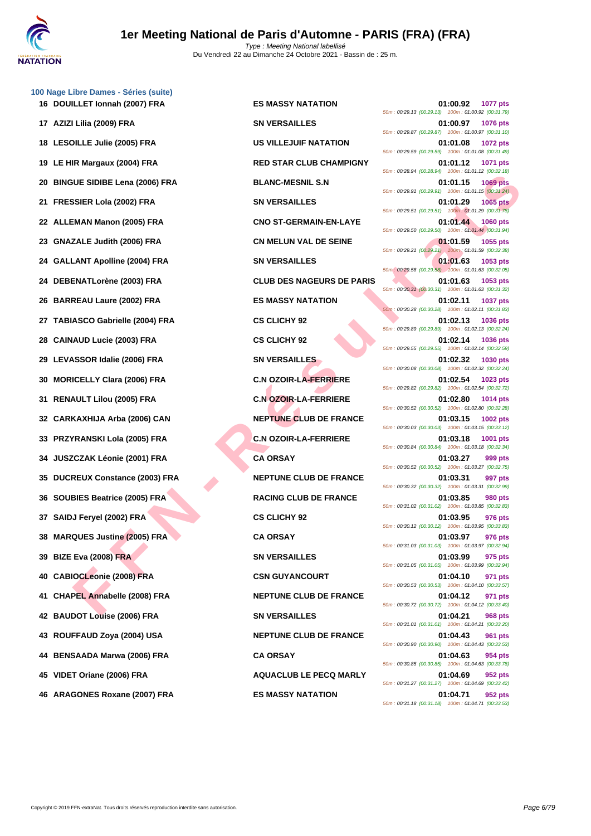**DOUILLET Ionnah (2007) FRA ES MASSY NATATION 01:00.92 1077 pts AZIZI Lilia (2009) FRA SN VERSAILLES 01:00.97 1076 pts LESOILLE Julie (2005) FRA US VILLEJUIF NATATION 01:01.08 1072 pts LE HIR Margaux (2004) FRA RED STAR CLUB CHAMPIGNY 01:01.12 1071 pts BINGUE SIDIBE Lena (2006) FRA BLANC-MESNIL S.N 01:01.15 1069 pts FRESSIER Lola (2002) FRA SN VERSAILLES 01:01.29 1065 pts ALLEMAN Manon (2005) FRA CNO ST-GERMAIN-EN-LAYE 01:01.44 1060 pts GNAZALE Judith (2006) FRA CN MELUN VAL DE SEINE 01:01.59 1055 pts GALLANT Apolline (2004) FRA SN VERSAILLES 01:01.63 1053 pts DEBENATLorène (2003) FRA CLUB DES NAGEURS DE PARIS 01:01.63 1053 pts BARREAU Laure (2002) FRA ES MASSY NATATION 01:02.11 1037 pts TABIASCO Gabrielle (2004) FRA CS CLICHY 92 01:02.13 1036 pts CAINAUD Lucie (2003) FRA CS CLICHY 92 01:02.14 1036 pts LEVASSOR Idalie (2006) FRA SN VERSAILLES 01:02.32 1030 pts MORICELLY Clara (2006) FRA C.N OZOIR-LA-FERRIERE 01:02.54 1023 pts RENAULT Lilou (2005) FRA C.N OZOIR-LA-FERRIERE 01:02.80 1014 pts CARKAXHIJA Arba (2006) CAN NEPTUNE CLUB DE FRANCE 01:03.15 1002 pts PRZYRANSKI Lola (2005) FRA C.N OZOIR-LA-FERRIERE 01:03.18 1001 pts JUSZCZAK Léonie (2001) FRA CA ORSAY 01:03.27 999 pts DUCREUX Constance (2003) FRA NEPTUNE CLUB DE FRANCE 01:03.31 997 pts SOUBIES Beatrice (2005) FRA RACING CLUB DE FRANCE 01:03.85 980 pts SAIDJ Feryel (2002) FRA CS CLICHY 92 01:03.95 976 pts MARQUES Justine (2005) FRA CA ORSAY 01:03.97 976 pts BIZE Eva (2008) FRA SN VERSAILLES 01:03.99 975 pts CABIOCLeonie (2008) FRA CSN GUYANCOURT 01:04.10 971 pts CHAPEL Annabelle (2008) FRA NEPTUNE CLUB DE FRANCE 01:04.12 971 pts BAUDOT Louise (2006) FRA SN VERSAILLES 01:04.21 968 pts ROUFFAUD Zoya (2004) USA NEPTUNE CLUB DE FRANCE 01:04.43 961 pts BENSAADA Marwa (2006) FRA CA ORSAY 01:04.63 954 pts VIDET Oriane (2006) FRA AQUACLUB LE PECQ MARLY 01:04.69 952 pts**

FUS COME THE SAMEN COMPARED SAMEN ASSOCIAL AFTENIES SEER LANT APPENDITE COMPARED SAMEN MANOUNT COMPARED SAMEN COMPARED SAMEN ASSOCIAL AFTENIES SAMEN COMPARED SAMEN COMPARED SAMEN COMPARED SAMEN COMPARED SAMEN COMPARED SAME 50m : 00:29.13 (00:29.13) 100m : 01:00.92 (00:31.79) 50m : 00:29.87 (00:29.87) 100m : 01:00.97 (00:31.10) 50m : 00:29.59 (00:29.59) 100m : 01:01.08 (00:31.49) 50m : 00:28.94 (00:28.94) 100m : 01:01.12 (00:32.18) 50m : 00:29.91 (00:29.91) 100m : 01:01.15 (00:31.24) 50m : 00:29.51 (00:29.51) 100m : 01:01.29 (00:31.78) 50m : 00:29.50 (00:29.50) 100m : 01:01.44 (00:31.94) 50m : 00:29.21 (00:29.21) 100m : 01:01.59 (00:32.38) 50m : 00:29.58 (00:29.58) 100m : 01:01.63 (00:32.05) 50m : 00:30.31 (00:30.31) 100m : 01:01.63 (00:31.32) 50m : 00:30.28 (00:30.28) 100m : 01:02.11 (00:31.83) 50m : 00:29.89 (00:29.89) 100m : 01:02.13 (00:32.24) 50m : 00:29.55 (00:29.55) 100m : 01:02.14 (00:32.59) 50m : 00:30.08 (00:30.08) 100m : 01:02.32 (00:32.24) 50m : 00:29.82 (00:29.82) 100m : 01:02.54 (00:32.72) 50m : 00:30.52 (00:30.52) 100m : 01:02.80 (00:32.28) 50m : 00:30.03 (00:30.03) 100m : 01:03.15 (00:33.12) 50m : 00:30.84 (00:30.84) 100m : 01:03.18 (00:32.34) 50m : 00:30.52 (00:30.52) 100m : 01:03.27 (00:32.75) 50m : 00:30.32 (00:30.32) 100m : 01:03.31 (00:32.99) 50m : 00:31.02 (00:31.02) 100m : 01:03.85 (00:32.83) 50m : 00:30.12 (00:30.12) 100m : 01:03.95 (00:33.83) 50m : 00:31.03 (00:31.03) 100m : 01:03.97 (00:32.94) 50m : 00:31.05 (00:31.05) 100m : 01:03.99 (00:32.94) 50m : 00:30.53 (00:30.53) 100m : 01:04.10 (00:33.57) 50m : 00:30.72 (00:30.72) 100m : 01:04.12 (00:33.40) 50m : 00:31.01 (00:31.01) 100m : 01:04.21 (00:33.20) 50m : 00:30.90 (00:30.90) 100m : 01:04.43 (00:33.53) 50m : 00:30.85 (00:30.85) 100m : 01:04.63 (00:33.78) 50m : 00:31.27 (00:31.27) 100m : 01:04.69 (00:33.42) **46 ARAGONES Roxane (2007) FRA ES MASSY NATATION 01:04.71 952 pts** 50m : 00:31.18 (00:31.18) 100m : 01:04.71 (00:33.53)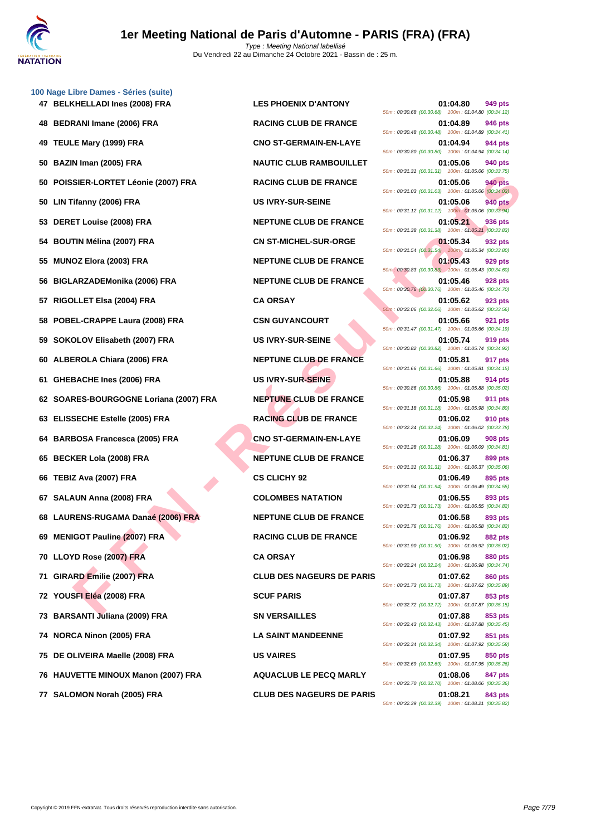

|     | 49 TEULE Mary (1999) FRA            | <b>CNO ST-GERMAIN-EN-LAYE</b>    | $0.0011.00.00.90.90.00.907.0011.01.09.09.000.09.91.$<br>01:04.94<br>944 pts<br>50m: 00:30.80 (00:30.80) 100m: 01:04.94 (00:34.14) |
|-----|-------------------------------------|----------------------------------|-----------------------------------------------------------------------------------------------------------------------------------|
| 50  | BAZIN Iman (2005) FRA               | <b>NAUTIC CLUB RAMBOUILLET</b>   | 01:05.06<br><b>940 pts</b><br>50m: 00:31.31 (00:31.31) 100m: 01:05.06 (00:33.75)                                                  |
| 50  | POISSIER-LORTET Léonie (2007) FRA   | <b>RACING CLUB DE FRANCE</b>     | 01:05.06<br>940 pts<br>50m: 00:31.03 (00:31.03) 100m: 01:05.06 (00:34.03)                                                         |
| 50  | LIN Tifanny (2006) FRA              | <b>US IVRY-SUR-SEINE</b>         | 01:05.06<br><b>940 pts</b><br>50m: 00:31.12 (00:31.12) 100m: 01:05.06 (00:33.94)                                                  |
| 53  | DERET Louise (2008) FRA             | <b>NEPTUNE CLUB DE FRANCE</b>    | 01:05.21<br>936 pts<br>50m: 00:31.38 (00:31.38) 100m: 01:05.21 (00:33.83)                                                         |
| 54  | <b>BOUTIN Mélina (2007) FRA</b>     | <b>CN ST-MICHEL-SUR-ORGE</b>     | 01:05.34<br>932 pts<br>50m: 00:31.54 (00:31.54) 100m: 01:05.34 (00:33.80)                                                         |
| 55  | MUNOZ Elora (2003) FRA              | <b>NEPTUNE CLUB DE FRANCE</b>    | 01:05.43<br>929 pts<br>50m: 00:30.83 (00:30.83) 100m: 01:05.43 (00:34.60)                                                         |
| 56  | BIGLARZADEMonika (2006) FRA         | <b>NEPTUNE CLUB DE FRANCE</b>    | 01:05.46<br>928 pts<br>50m: 00:30.76 (00:30.76) 100m: 01:05.46 (00:34.70)                                                         |
| 57  | RIGOLLET Elsa (2004) FRA            | <b>CA ORSAY</b>                  | 01:05.62<br>923 pts<br>50m: 00:32.06 (00:32.06) 100m: 01:05.62 (00:33.56)                                                         |
| 58  | POBEL-CRAPPE Laura (2008) FRA       | <b>CSN GUYANCOURT</b>            | 01:05.66<br>921 pts<br>50m: 00:31.47 (00:31.47) 100m: 01:05.66 (00:34.19)                                                         |
| 59  | SOKOLOV Elisabeth (2007) FRA        | <b>US IVRY-SUR-SEINE</b>         | 01:05.74<br>919 pts<br>50m: 00:30.82 (00:30.82) 100m: 01:05.74 (00:34.92)                                                         |
| 60  | ALBEROLA Chiara (2006) FRA          | <b>NEPTUNE CLUB DE FRANCE</b>    | 01:05.81<br>917 pts<br>50m: 00:31.66 (00:31.66) 100m: 01:05.81 (00:34.15)                                                         |
| 61. | <b>GHEBACHE Ines (2006) FRA</b>     | <b>US IVRY-SUR-SEINE</b>         | 01:05.88<br>914 pts<br>50m: 00:30.86 (00:30.86) 100m: 01:05.88 (00:35.02)                                                         |
| 62  | SOARES-BOURGOGNE Loriana (2007) FRA | <b>NEPTUNE CLUB DE FRANCE</b>    | 01:05.98<br><b>911 pts</b><br>50m: 00:31.18 (00:31.18) 100m: 01:05.98 (00:34.80)                                                  |
| 63  | <b>ELISSECHE Estelle (2005) FRA</b> | <b>RACING CLUB DE FRANCE</b>     | 01:06.02<br>910 pts<br>50m: 00:32.24 (00:32.24) 100m: 01:06.02 (00:33.78)                                                         |
| 64  | <b>BARBOSA Francesca (2005) FRA</b> | <b>CNO ST-GERMAIN-EN-LAYE</b>    | 01:06.09<br>908 pts<br>50m: 00:31.28 (00:31.28) 100m: 01:06.09 (00:34.81)                                                         |
| 65  | <b>BECKER Lola (2008) FRA</b>       | <b>NEPTUNE CLUB DE FRANCE</b>    | 01:06.37<br>899 pts<br>50m: 00:31.31 (00:31.31) 100m: 01:06.37 (00:35.06)                                                         |
| 66  | TEBIZ Ava (2007) FRA                | <b>CS CLICHY 92</b>              | 01:06.49<br>895 pts<br>50m: 00:31.94 (00:31.94) 100m: 01:06.49 (00:34.55)                                                         |
| 67  | SALAUN Anna (2008) FRA              | <b>COLOMBES NATATION</b>         | 01:06.55<br>893 pts<br>50m: 00:31.73 (00:31.73) 100m: 01:06.55 (00:34.82)                                                         |
| 68  | LAURENS-RUGAMA Danaé (2006) FRA     | <b>NEPTUNE CLUB DE FRANCE</b>    | 01:06.58<br>893 pts<br>50m: 00:31.76 (00:31.76) 100m: 01:06.58 (00:34.82)                                                         |
| 69  | <b>MENIGOT Pauline (2007) FRA</b>   | <b>RACING CLUB DE FRANCE</b>     | 01:06.92<br>882 pts<br>50m: 00:31.90 (00:31.90) 100m: 01:06.92 (00:35.02)                                                         |
|     | 70 LLOYD Rose (2007) FRA            | <b>CA ORSAY</b>                  | 01:06.98<br>880 pts<br>50m: 00:32.24 (00:32.24) 100m: 01:06.98 (00:34.74)                                                         |
|     | 71 GIRARD Emilie (2007) FRA         | <b>CLUB DES NAGEURS DE PARIS</b> | 01:07.62<br>860 pts<br>50m: 00:31.73 (00:31.73) 100m: 01:07.62 (00:35.89)                                                         |
|     | 72 YOUSFI Eléa (2008) FRA           | <b>SCUF PARIS</b>                | 853 pts<br>01:07.87<br>50m: 00:32.72 (00:32.72) 100m: 01:07.87 (00:35.15)                                                         |
|     | 73 BARSANTI Juliana (2009) FRA      | <b>SN VERSAILLES</b>             | 01:07.88<br>853 pts<br>50m: 00:32.43 (00:32.43) 100m: 01:07.88 (00:35.45)                                                         |
|     | 74 NORCA Ninon (2005) FRA           | <b>LA SAINT MANDEENNE</b>        | 01:07.92<br>851 pts<br>50m: 00:32.34 (00:32.34) 100m: 01:07.92 (00:35.58)                                                         |
|     | 75 DE OLIVEIRA Maelle (2008) FRA    | <b>US VAIRES</b>                 | 01:07.95<br>850 pts<br>50m: 00:32.69 (00:32.69) 100m: 01:07.95 (00:35.26)                                                         |
|     | 76 HAUVETTE MINOUX Manon (2007) FRA | <b>AQUACLUB LE PECQ MARLY</b>    | 01:08.06<br>847 pts<br>50m: 00:32.70 (00:32.70) 100m: 01:08.06 (00:35.36)                                                         |

**47 BELKHELLADI Ines (2008) FRA LES PHOENIX D'ANTONY 01:04.80 949 pts** 50m : 00:30.68 (00:30.68) 100m : 01:04.80 (00:34.12) **48 BEDRANI Imane (2006) FRA RACING CLUB DE FRANCE 01:04.89 946 pts** 50m : 00:30.48 (00:30.48) 100m : 01:04.89 (00:34.41) **494 CNO ST-GERMAIN-EN-LAYE 1999 CNO ST-GERMAIN-EN-LAYE** 50m : 00:30.80 (00:30.80) 100m : 01:04.94 (00:34.14) **500 BAZIN IMAUTIC CLUB RAMBOUILLET CLUB RAMBOUILLET 01:05.06 940 pts** 50m : 00:31.31 (00:31.31) 100m : 01:05.06 (00:33.75) **50 POISSIER-LORTET Léonie (2007) FRA RACING CLUB DE FRANCE 01:05.06 940 pts** 50m : 00:31.03 (00:31.03) 100m : 01:05.06 (00:34.03) **50 LIN Tifanny (2006) FRA US IVRY-SUR-SEINE 01:05.06 940 pts** 50m : 00:31.12 (00:31.12) 100m : 01:05.06 (00:33.94) **536 PERENCE DERETUNE CLUB DE FRANCE 01:05.21 936 pts** 50m : 00:31.38 (00:31.38) 100m : 01:05.21 (00:33.83) **544 CN ST-MICHEL-SUR-ORGE 1:05.34 932 pts** 50m : 00:31.54 (00:31.54) 100m : 01:05.34 (00:33.80) **555 MUNOZ ELGISLEY CLUB DE FRANCE 1555 1555 01:05.43 929 pts** 50m : 00:30.83 (00:30.83) 100m : 01:05.43 (00:34.60) **SHEPTUNE CLUB DE FRANCE 61:05.46 928 pts** 50m : 00:30.76 (00:30.76) 100m : 01:05.46 (00:34.70) 50m : 00:32.06 (00:32.06) 100m : 01:05.62 (00:33.56) **588 CSN GUYANCOURT POINT 1.05.66 921 pts** 50m : 00:31.47 (00:31.47) 100m : 01:05.66 (00:34.19) **59 SOKOLOV Elisabeth (2007) FRA US IVRY-SUR-SEINE 01:05.74 919 pts** 50m : 00:30.82 (00:30.82) 100m : 01:05.74 (00:34.92) **60 ALBEROLA Chiara (2006) FRA NEPTUNE CLUB DE FRANCE 01:05.81 917 pts** 50m : 00:31.66 (00:31.66) 100m : 01:05.81 (00:34.15) **611 <b>CIS IVRY-SUR-SEINE CIS** 50m : 00:30.86 (00:30.86) 100m : 01:05.88 (00:35.02) **622 <b>SOARES-BOURGE LORIANCE CLUB DE FRANCE 01:05.98 911 pts** 50m : 00:31.18 (00:31.18) 100m : 01:05.98 (00:34.80) **63 ELISTEE ESTELLE CONSTRUE CLUB DE FRANCE 01:06.02 910 pts** 50m : 00:32.24 (00:32.24) 100m : 01:06.02 (00:33.78) **64 BARBOSA Francesca (2005) FRA CNO ST-GERMAIN-EN-LAYE 01:06.09 908 pts** 50m : 00:31.28 (00:31.28) 100m : 01:06.09 (00:34.81) **6537 BEPTUNE CLUB DE FRANCE 01:06.37 899 pts** 50m : 00:31.31 (00:31.31) 100m : 01:06.37 (00:35.06) 50m : 00:31.94 (00:31.94) 100m : 01:06.49 (00:34.55) **67 SALAUN Anna (2008) FRA COLOMBES NATATION 01:06.55 893 pts** 50m : 00:31.73 (00:31.73) 100m : 01:06.55 (00:34.82) **KEPTUNE CLUB DE FRANCE 01:06.58 893 pts** 50m : 00:31.76 (00:31.76) 100m : 01:06.58 (00:34.82) **692 RACING CLUB DE FRANCE 01:06.92 882 pts** 50m : 00:31.90 (00:31.90) 100m : 01:06.92 (00:35.02) 50m : 00:32.24 (00:32.24) 100m : 01:06.98 (00:34.74) **71 GIRARD Emilie (2007) FRA CLUB DES NAGEURS DE PARIS 01:07.62 860 pts** 50m : 00:31.73 (00:31.73) 100m : 01:07.62 (00:35.89) 50m : 00:32.72 (00:32.72) 100m : 01:07.87 (00:35.15) **73 BARSANTI Juliana (2009) FRA SN VERSAILLES 01:07.88 853 pts** 50m : 00:32.43 (00:32.43) 100m : 01:07.88 (00:35.45) **74 NORCA Ninon (2005) FRA LA SAINT MANDEENNE 01:07.92 851 pts** 50m : 00:32.34 (00:32.34) 100m : 01:07.92 (00:35.58) 50m : 00:32.69 (00:32.69) 100m : 01:07.95 (00:35.26) **76 HAUVETTE MINOUX Manon (2007) FRA AQUACLUB LE PECQ MARLY 01:08.06 847 pts** 50m : 00:32.70 (00:32.70) 100m : 01:08.06 (00:35.36) **77 SALOMON Norah (2005) FRA CLUB DES NAGEURS DE PARIS 01:08.21 843 pts** 50m : 00:32.39 (00:32.39) 100m : 01:08.21 (00:35.82)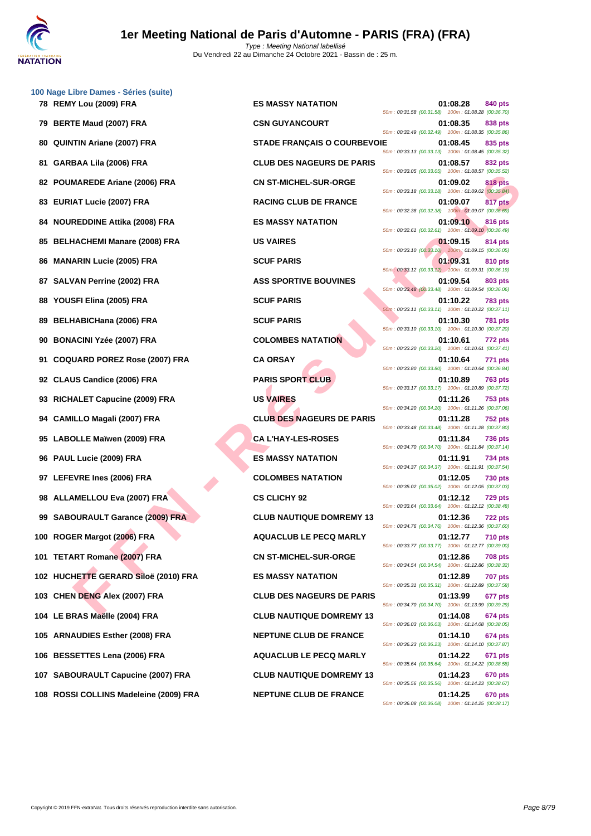

|    | 100 Nage Libre Dames - Séries (suite) |                                    |                                                                                                                                 |
|----|---------------------------------------|------------------------------------|---------------------------------------------------------------------------------------------------------------------------------|
|    | 78 REMY Lou (2009) FRA                | <b>ES MASSY NATATION</b>           | 01:08.28<br>840 pts<br>50m: 00:31.58 (00:31.58) 100m: 01:08.28 (00:36.70)                                                       |
| 79 | <b>BERTE Maud (2007) FRA</b>          | <b>CSN GUYANCOURT</b>              | 01:08.35<br>838 pts<br>50m: 00:32.49 (00:32.49) 100m: 01:08.35 (00:35.86)                                                       |
| 80 | <b>QUINTIN Ariane (2007) FRA</b>      | <b>STADE FRANÇAIS O COURBEVOIE</b> | 01:08.45<br>835 pts<br>50m: 00:33.13 (00:33.13) 100m: 01:08.45 (00:35.32)                                                       |
| 81 | GARBAA Lila (2006) FRA                | <b>CLUB DES NAGEURS DE PARIS</b>   | 01:08.57<br>832 pts<br>50m: 00:33.05 (00:33.05) 100m: 01:08.57 (00:35.52)                                                       |
| 82 | <b>POUMAREDE Ariane (2006) FRA</b>    | <b>CN ST-MICHEL-SUR-ORGE</b>       | <b>818 pts</b><br>01:09.02<br>50m: 00:33.18 (00:33.18) 100m: 01:09.02 (00:35.84)                                                |
| 83 | <b>EURIAT Lucie (2007) FRA</b>        | <b>RACING CLUB DE FRANCE</b>       | 01:09.07<br>817 pts<br>50m: 00:32.38 (00:32.38) 100m: 01:09.07 (00:36.69)                                                       |
| 84 | <b>NOUREDDINE Attika (2008) FRA</b>   | <b>ES MASSY NATATION</b>           | 01:09.10<br><b>816 pts</b><br>50m: 00:32.61 (00:32.61) 100m: 01:09.10 (00:36.49)                                                |
|    | 85 BELHACHEMI Manare (2008) FRA       | <b>US VAIRES</b>                   | 01:09.15<br>814 pts<br>50m: 00:33.10 (00:33.10) 100m: 01:09.15 (00:36.05)                                                       |
| 86 | <b>MANARIN Lucie (2005) FRA</b>       | <b>SCUF PARIS</b>                  | 01:09.31<br>810 pts<br>50m: 00:33.12 (00:33.12) 100m: 01:09.31 (00:36.19)                                                       |
| 87 | <b>SALVAN Perrine (2002) FRA</b>      | <b>ASS SPORTIVE BOUVINES</b>       | 01:09.54<br>803 pts<br>50m: 00:33.48 (00:33.48) 100m: 01:09.54 (00:36.06)                                                       |
| 88 | YOUSFI Elina (2005) FRA               | <b>SCUF PARIS</b>                  | 01:10.22<br>783 pts<br>50m: 00:33.11 (00:33.11) 100m: 01:10.22 (00:37.11)                                                       |
| 89 | <b>BELHABICHana (2006) FRA</b>        | <b>SCUF PARIS</b>                  | 01:10.30<br>781 pts<br>50m: 00:33.10 (00:33.10) 100m: 01:10.30 (00:37.20)                                                       |
| 90 | <b>BONACINI Yzée (2007) FRA</b>       | <b>COLOMBES NATATION</b>           | 01:10.61<br>772 pts                                                                                                             |
| 91 | <b>COQUARD POREZ Rose (2007) FRA</b>  | <b>CA ORSAY</b>                    | 50m: 00:33.20 (00:33.20) 100m: 01:10.61 (00:37.41)<br>01:10.64<br>771 pts<br>50m: 00:33.80 (00:33.80) 100m: 01:10.64 (00:36.84) |
| 92 | <b>CLAUS Candice (2006) FRA</b>       | <b>PARIS SPORT CLUB</b>            | 01:10.89<br>763 pts                                                                                                             |
| 93 | RICHALET Capucine (2009) FRA          | <b>US VAIRES</b>                   | 50m: 00:33.17 (00:33.17) 100m: 01:10.89 (00:37.72)<br>01:11.26<br>753 pts                                                       |
| 94 | <b>CAMILLO Magali (2007) FRA</b>      | <b>CLUB DES NAGEURS DE PARIS</b>   | 50m: 00:34.20 (00:34.20) 100m: 01:11.26 (00:37.06)<br>01:11.28<br><b>752 pts</b>                                                |
| 95 | LABOLLE Maïwen (2009) FRA             | <b>CA L'HAY-LES-ROSES</b>          | 50m: 00:33.48 (00:33.48) 100m: 01:11.28 (00:37.80)<br>01:11.84<br>736 pts                                                       |
| 96 | PAUL Lucie (2009) FRA                 | <b>ES MASSY NATATION</b>           | 50m: 00:34.70 (00:34.70) 100m: 01:11.84 (00:37.14)<br>01:11.91<br>734 pts                                                       |
|    | 97 LEFEVRE Ines (2006) FRA            | <b>COLOMBES NATATION</b>           | 50m: 00:34.37 (00:34.37) 100m: 01:11.91 (00:37.54)<br>01:12.05<br>730 pts                                                       |
|    | 98 ALLAMELLOU Eva (2007) FRA          | <b>CS CLICHY 92</b>                | 50m: 00:35.02 (00:35.02) 100m: 01:12.05 (00:37.03)<br>01:12.12<br><b>729 pts</b>                                                |
|    | 99 SABOURAULT Garance (2009) FRA      | <b>CLUB NAUTIQUE DOMREMY 13</b>    | 50m: 00:33.64 (00:33.64) 100m: 01:12.12 (00:38.48)<br>01:12.36<br>722 pts                                                       |
|    | 100 ROGER Margot (2006) FRA           | <b>AQUACLUB LE PECQ MARLY</b>      | 50m: 00:34.76 (00:34.76) 100m: 01:12.36 (00:37.60)<br>01:12.77<br><b>710 pts</b>                                                |
|    | 101 TETART Romane (2007) FRA          | <b>CN ST-MICHEL-SUR-ORGE</b>       | 50m: 00:33.77 (00:33.77) 100m: 01:12.77 (00:39.00)<br>01:12.86<br>708 pts                                                       |
|    | 102 HUCHETTE GERARD Siloë (2010) FRA  | <b>ES MASSY NATATION</b>           | 50m: 00:34.54 (00:34.54) 100m: 01:12.86 (00:38.32)<br>01:12.89<br><b>707 pts</b>                                                |
|    | 103 CHEN DENG Alex (2007) FRA         | <b>CLUB DES NAGEURS DE PARIS</b>   | 50m: 00:35.31 (00:35.31) 100m: 01:12.89 (00:37.58)<br>01:13.99<br>677 pts                                                       |
|    | 104 LE BRAS Maëlle (2004) FRA         | <b>CLUB NAUTIQUE DOMREMY 13</b>    | 50m: 00:34.70 (00:34.70) 100m: 01:13.99 (00:39.29)<br>01:14.08<br>674 pts                                                       |
|    | 105 ARNAUDIES Esther (2008) FRA       | <b>NEPTUNE CLUB DE FRANCE</b>      | 50m: 00:36.03 (00:36.03) 100m: 01:14.08 (00:38.05)<br>01:14.10<br>674 pts                                                       |
|    | 106 BESSETTES Lena (2006) FRA         | <b>AQUACLUB LE PECQ MARLY</b>      | 50m: 00:36.23 (00:36.23) 100m: 01:14.10 (00:37.87)<br>01:14.22<br>671 pts                                                       |
|    | 107 SABOURAULT Capucine (2007) FRA    | <b>CLUB NAUTIQUE DOMREMY 13</b>    | 50m: 00:35.64 (00:35.64) 100m: 01:14.22 (00:38.58)<br>01:14.23<br>670 pts                                                       |
|    |                                       |                                    | 50m: 00:35.56 (00:35.56) 100m: 01:14.23 (00:38.67)                                                                              |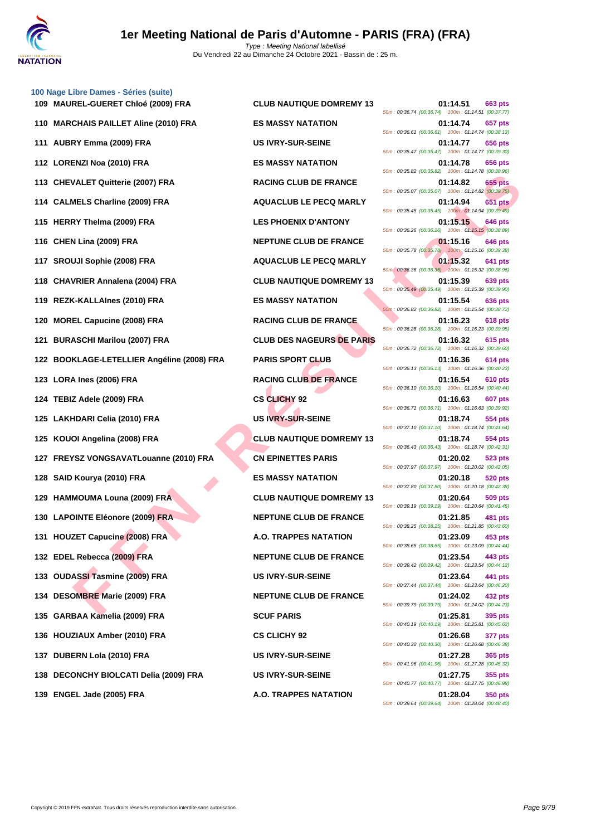

|     | 100 Nage Libre Dames - Séries (suite)      |                                  |                                                                                  |
|-----|--------------------------------------------|----------------------------------|----------------------------------------------------------------------------------|
|     | 109 MAUREL-GUERET Chloé (2009) FRA         | <b>CLUB NAUTIQUE DOMREMY 13</b>  | 01:14.51<br>663 pts<br>50m: 00:36.74 (00:36.74) 100m: 01:14.51 (00:37.77)        |
|     | 110 MARCHAIS PAILLET Aline (2010) FRA      | <b>ES MASSY NATATION</b>         | 01:14.74<br>657 pts<br>50m: 00:36.61 (00:36.61) 100m: 01:14.74 (00:38.13)        |
|     | 111 AUBRY Emma (2009) FRA                  | <b>US IVRY-SUR-SEINE</b>         | 01:14.77<br>656 pts<br>50m: 00:35.47 (00:35.47) 100m: 01:14.77 (00:39.30)        |
|     | 112 LORENZI Noa (2010) FRA                 | <b>ES MASSY NATATION</b>         | 01:14.78<br>656 pts<br>50m: 00:35.82 (00:35.82) 100m: 01:14.78 (00:38.96)        |
|     | 113 CHEVALET Quitterie (2007) FRA          | <b>RACING CLUB DE FRANCE</b>     | 655 pts<br>01:14.82<br>50m: 00:35.07 (00:35.07) 100m: 01:14.82 (00:39.75)        |
|     | 114 CALMELS Charline (2009) FRA            | <b>AQUACLUB LE PECQ MARLY</b>    | 01:14.94<br>651 pts<br>50m: 00:35.45 (00:35.45) 100m: 01:14.94 (00:39.49)        |
| 115 | <b>HERRY Thelma (2009) FRA</b>             | <b>LES PHOENIX D'ANTONY</b>      | 01:15.15<br>646 pts<br>50m: 00:36.26 (00:36.26) 100m: 01:15.15 (00:38.89)        |
|     | 116 CHEN Lina (2009) FRA                   | <b>NEPTUNE CLUB DE FRANCE</b>    | 01:15.16<br>646 pts<br>50m: 00:35.78 (00:35.78) 100m: 01:15.16 (00:39.38)        |
|     | 117 SROUJI Sophie (2008) FRA               | <b>AQUACLUB LE PECQ MARLY</b>    | 01:15.32<br>641 pts<br>50m: 00:36.36 (00:36.36) 100m: 01:15.32 (00:38.96)        |
| 118 | <b>CHAVRIER Annalena (2004) FRA</b>        | <b>CLUB NAUTIQUE DOMREMY 13</b>  | 01:15.39<br>639 pts<br>50m: 00:35.49 (00:35.49) 100m: 01:15.39 (00:39.90)        |
|     | 119   REZK-KALLAInes (2010) FRA            | <b>ES MASSY NATATION</b>         | 01:15.54<br>636 pts<br>50m: 00:36.82 (00:36.82) 100m: 01:15.54 (00:38.72)        |
| 120 | <b>MOREL Capucine (2008) FRA</b>           | <b>RACING CLUB DE FRANCE</b>     | 01:16.23<br>618 pts<br>50m: 00:36.28 (00:36.28) 100m: 01:16.23 (00:39.95)        |
| 121 | <b>BURASCHI Marilou (2007) FRA</b>         | <b>CLUB DES NAGEURS DE PARIS</b> | 01:16.32<br>615 pts<br>50m: 00:36.72 (00:36.72) 100m: 01:16.32 (00:39.60)        |
|     | 122 BOOKLAGE-LETELLIER Angéline (2008) FRA | <b>PARIS SPORT CLUB</b>          | 01:16.36<br>614 pts<br>50m: 00:36.13 (00:36.13) 100m: 01:16.36 (00:40.23)        |
|     | 123 LORA Ines (2006) FRA                   | <b>RACING CLUB DE FRANCE</b>     | 01:16.54<br>610 pts                                                              |
|     | 124   TEBIZ Adele (2009) FRA               | <b>CS CLICHY 92</b>              | 50m: 00:36.10 (00:36.10) 100m: 01:16.54 (00:40.44)<br>01:16.63<br>607 pts        |
|     | 125 LAKHDARI Celia (2010) FRA              | <b>US IVRY-SUR-SEINE</b>         | 50m: 00:36.71 (00:36.71) 100m: 01:16.63 (00:39.92)<br>01:18.74<br>554 pts        |
|     | 125 KOUOI Angelina (2008) FRA              | <b>CLUB NAUTIQUE DOMREMY 13</b>  | 50m: 00:37.10 (00:37.10) 100m: 01:18.74 (00:41.64)<br>01:18.74<br>554 pts        |
|     | 127 FREYSZ VONGSAVATLouanne (2010) FRA     | <b>CN EPINETTES PARIS</b>        | 50m: 00:36.43 (00:36.43) 100m: 01:18.74 (00:42.31)<br>01:20.02<br>523 pts        |
|     | 128 SAID Kourya (2010) FRA                 | <b>ES MASSY NATATION</b>         | 50m: 00:37.97 (00:37.97) 100m: 01:20.02 (00:42.05)<br>01:20.18<br><b>520 pts</b> |
|     | 129 HAMMOUMA Louna (2009) FRA              | <b>CLUB NAUTIQUE DOMREMY 13</b>  | 50m: 00:37.80 (00:37.80) 100m: 01:20.18 (00:42.38)<br>01:20.64<br>509 pts        |
|     | 130 LAPOINTE Eléonore (2009) FRA           | <b>NEPTUNE CLUB DE FRANCE</b>    | 50m: 00:39.19 (00:39.19) 100m: 01:20.64 (00:41.45)<br>01:21.85<br>481 pts        |
|     | 131 HOUZET Capucine (2008) FRA             | A.O. TRAPPES NATATION            | 50m: 00:38.25 (00:38.25) 100m: 01:21.85 (00:43.60)<br>01:23.09<br>453 pts        |
|     | 132 EDEL Rebecca (2009) FRA                | <b>NEPTUNE CLUB DE FRANCE</b>    | 50m: 00:38.65 (00:38.65) 100m: 01:23.09 (00:44.44)<br>01:23.54<br>443 pts        |
|     | 133 OUDASSI Tasmine (2009) FRA             | <b>US IVRY-SUR-SEINE</b>         | 50m: 00:39.42 (00:39.42) 100m: 01:23.54 (00:44.12)<br>01:23.64<br>441 pts        |
|     | 134 DESOMBRE Marie (2009) FRA              | <b>NEPTUNE CLUB DE FRANCE</b>    | 50m: 00:37.44 (00:37.44) 100m: 01:23.64 (00:46.20)<br>01:24.02<br>432 pts        |
|     | 135 GARBAA Kamelia (2009) FRA              | <b>SCUF PARIS</b>                | 50m: 00:39.79 (00:39.79) 100m: 01:24.02 (00:44.23)<br>01:25.81<br>395 pts        |
|     | 136 HOUZIAUX Amber (2010) FRA              | <b>CS CLICHY 92</b>              | 50m: 00:40.19 (00:40.19) 100m: 01:25.81 (00:45.62)<br>01:26.68<br>377 pts        |
|     | 137 DUBERN Lola (2010) FRA                 | <b>US IVRY-SUR-SEINE</b>         | 50m: 00:40.30 (00:40.30) 100m: 01:26.68 (00:46.38)<br>01:27.28<br><b>365 pts</b> |
| 138 | <b>DECONCHY BIOLCATI Delia (2009) FRA</b>  | <b>US IVRY-SUR-SEINE</b>         | 50m: 00:41.96 (00:41.96) 100m: 01:27.28 (00:45.32)<br>01:27.75<br>355 pts        |
|     | 139 ENGEL Jade (2005) FRA                  | A.O. TRAPPES NATATION            | 50m: 00:40.77 (00:40.77) 100m: 01:27.75 (00:46.98)<br>01:28.04<br><b>350 pts</b> |
|     |                                            |                                  |                                                                                  |

|  |                          |  | 01:14.51 | 50m: 00:36.74 (00:36.74) 100m: 01:14.51 (00:37.77) | 663 pts        |  |
|--|--------------------------|--|----------|----------------------------------------------------|----------------|--|
|  |                          |  | 01:14.74 |                                                    | 657 pts        |  |
|  |                          |  | 01:14.77 | 50m: 00:36.61 (00:36.61) 100m: 01:14.74 (00:38.13) | <b>656 pts</b> |  |
|  |                          |  |          | 50m: 00:35.47 (00:35.47) 100m: 01:14.77 (00:39.30) |                |  |
|  | 50m: 00:35.82 (00:35.82) |  | 01:14.78 | 100m: 01:14.78 (00:38.96)                          | <b>656 pts</b> |  |
|  |                          |  | 01:14.82 |                                                    | 655 pts        |  |
|  |                          |  | 01:14.94 | 50m: 00:35.07 (00:35.07) 100m: 01:14.82 (00:39.75) | 651 pts        |  |
|  |                          |  |          | 50m: 00:35.45 (00:35.45) 100m: 01:14.94 (00:39.49) |                |  |
|  | 50m: 00:36.26 (00:36.26) |  | 01:15.15 | 100m: 01:15.15 (00:38.89)                          | <b>646 pts</b> |  |
|  |                          |  | 01:15.16 | 50m: 00:35.78 (00:35.78) 100m: 01:15.16 (00:39.38) | 646 pts        |  |
|  |                          |  | 01:15.32 |                                                    | 641 pts        |  |
|  |                          |  |          | 50m: 00:36.36 (00:36.36) 100m: 01:15.32 (00:38.96) |                |  |
|  | 50m: 00:35.49 (00:35.49) |  | 01:15.39 | 100m: 01:15.39 (00:39.90)                          | <b>639 pts</b> |  |
|  |                          |  | 01:15.54 | 50m: 00:36.82 (00:36.82) 100m: 01:15.54 (00:38.72) | 636 pts        |  |
|  |                          |  | 01:16.23 |                                                    | 618 pts        |  |
|  | 50m: 00:36.28 (00:36.28) |  | 01:16.32 | 100m: 01:16.23 (00:39.95)                          | 615 pts        |  |
|  | 50m: 00:36.72 (00:36.72) |  |          | 100m: 01:16.32 (00:39.60)                          |                |  |
|  |                          |  | 01:16.36 | 50m: 00:36.13 (00:36.13) 100m: 01:16.36 (00:40.23) | 614 pts        |  |
|  |                          |  | 01:16.54 | 50m: 00:36.10 (00:36.10) 100m: 01:16.54 (00:40.44) | 610 pts        |  |
|  |                          |  | 01:16.63 |                                                    | <b>607 pts</b> |  |
|  | 50m: 00:36.71 (00:36.71) |  | 01:18.74 | 100m: 01:16.63 (00:39.92)                          | 554 pts        |  |
|  |                          |  |          | 50m: 00:37.10 (00:37.10) 100m: 01:18.74 (00:41.64) |                |  |
|  | 50m: 00:36.43 (00:36.43) |  | 01:18.74 | 100m: 01:18.74 (00:42.31)                          | 554 pts        |  |
|  |                          |  | 01:20.02 |                                                    | 523 pts        |  |
|  | 50m: 00:37.97 (00:37.97) |  | 01:20.18 | 100m: 01:20.02 (00:42.05)                          | 520 pts        |  |
|  | 50m: 00:37.80 (00:37.80) |  |          | 100m: 01:20.18 (00:42.38)                          |                |  |
|  | 50m: 00:39.19 (00:39.19) |  | 01:20.64 | 100m: 01:20.64 (00:41.45)                          | 509 pts        |  |
|  | 50m: 00:38.25 (00:38.25) |  | 01:21.85 | 100m: 01:21.85 (00:43.60)                          | 481 pts        |  |
|  |                          |  | 01:23.09 |                                                    | 453 pts        |  |
|  |                          |  | 01:23.54 | 50m: 00:38.65 (00:38.65) 100m: 01:23.09 (00:44.44) | 443 pts        |  |
|  |                          |  |          | 50m: 00:39.42 (00:39.42) 100m: 01:23.54 (00:44.12) |                |  |
|  |                          |  | 01:23.64 | 50m: 00:37.44 (00:37.44) 100m: 01:23.64 (00:46.20) | 441 pts        |  |
|  |                          |  | 01:24.02 | 50m: 00:39.79 (00:39.79) 100m: 01:24.02 (00:44.23) | 432 pts        |  |
|  |                          |  | 01:25.81 |                                                    | 395 pts        |  |
|  |                          |  | 01:26.68 | 50m: 00:40.19 (00:40.19) 100m: 01:25.81 (00:45.62) | 377 pts        |  |
|  |                          |  |          | 50m: 00:40.30 (00:40.30) 100m: 01:26.68 (00:46.38) |                |  |
|  |                          |  | 01:27.28 | 50m: 00:41.96 (00:41.96) 100m: 01:27.28 (00:45.32) | 365 pts        |  |
|  |                          |  | 01:27.75 |                                                    | 355 pts        |  |
|  |                          |  | 01:28.04 | 50m: 00:40.77 (00:40.77) 100m: 01:27.75 (00:46.98) | 350 pts        |  |
|  |                          |  |          | 50m: 00:39.64 (00:39.64) 100m: 01:28.04 (00:48.40) |                |  |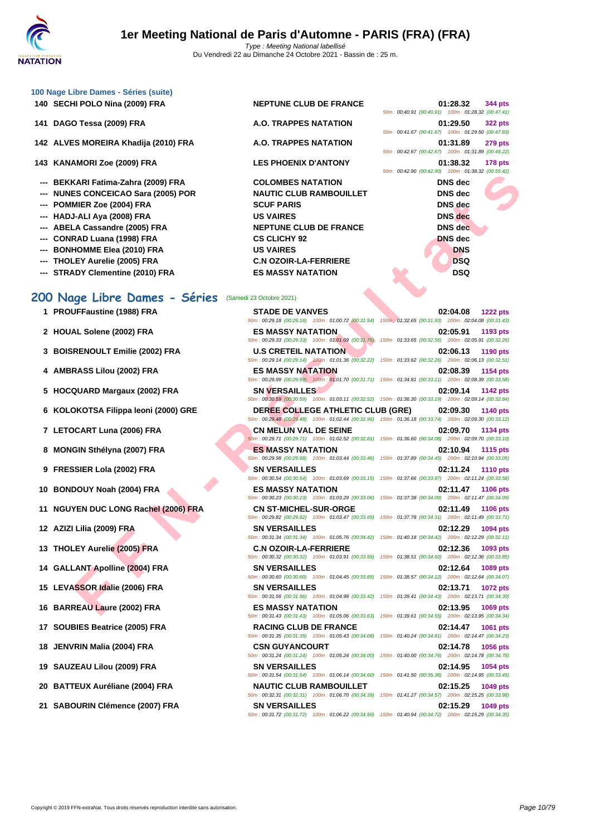| 100 Nage Libre Dames - Séries (suite) |  |
|---------------------------------------|--|
| 140 SECHI POLO Nina (2009) FRA        |  |

- **141 DAGO Tessa (2009) FRA A.O. TRAPPES 141 DAGO Tessa (2009) A.D.**
- **142 ALVES MOREIRA Khadija (2010) FRA A.O. TRAP**
- 143 **KANAMORI Zoe (2009) FRA LES PHOE**
- --- **BEKKARI Fatima-Zahra (2009) FRA** COLOMBE
- **--- NUNES CONCEICAO Sara (2005) POR NAUTIC CLUB RAMBOUILLET DNS dec**
- --- **POMMIER Zoe (2004) FRA SCUF PARIS**
- **--- HADJ-ALI Aya (2008) FRA US VAIRES DNS dec**
- --- **ABELA Cassandre (2005) FRA** NEPTUNE
- --- **CONRAD Luana (1998) FRA CS CLICH**
- --- **BONHOMME Elea (2010) FRA DIS VAIRE**
- -- **THOLEY Aurelie (2005) FRA C.N OZOIF**
- 

# **ES MASSY NATATION**<br> **ES MASSY NATATION 200 Nage Libre Dames - Séries** (Samedi 23 Octobre 2021)

- 
- 
- 
- 
- 
- 
- 
- 
- 
- 
- 
- 
- 
- 
- 
- 
- 
- 
- 
- 
- 

| <b>NEPTUNE CLUB DE FRANCE</b>  | 01:28.32<br>344 pt                               |
|--------------------------------|--------------------------------------------------|
|                                | 50m: 00:40.91 (00:40.91) 100m: 01:28.32 (00:47.4 |
| <b>A.O. TRAPPES NATATION</b>   | $01:29.50$ 322 pt                                |
|                                | 50m: 00:41.67 (00:41.67) 100m: 01:29.50 (00:47.8 |
| <b>A.O. TRAPPES NATATION</b>   | $01:31.89$ 279 pt                                |
|                                | 50m: 00:42.67 (00:42.67) 100m: 01:31.89 (00:49.2 |
| <b>LES PHOENIX D'ANTONY</b>    | 01:38.32 178 pt                                  |
|                                | 50m: 00:42.90 (00:42.90) 100m: 01:38.32 (00:55.4 |
| <b>COLOMBES NATATION</b>       | <b>DNS</b> dec                                   |
| <b>NAUTIC CLUB RAMBOUILLET</b> | DNS dec                                          |
| <b>SCUF PARIS</b>              | DNS dec                                          |
| <b>US VAIRES</b>               | <b>DNS</b> dec                                   |
| <b>NEPTUNE CLUB DE FRANCE</b>  | DNS dec                                          |
| <b>CS CLICHY 92</b>            | <b>DNS</b> dec                                   |
| <b>US VAIRES</b>               | <b>DNS</b>                                       |
| <b>C.N OZOIR-LA-FERRIERE</b>   | DSQ                                              |
|                                |                                                  |

|                                                    | UI:28.32 344 DIS |  |
|----------------------------------------------------|------------------|--|
| 50m: 00:40.91 (00:40.91) 100m: 01:28.32 (00:47.41) |                  |  |
|                                                    | 01:29.50 322 pts |  |
| 50m: 00:41.67 (00:41.67) 100m: 01:29.50 (00:47.83) |                  |  |
|                                                    | 01:31.89 279 pts |  |
| 50m: 00:42.67 (00:42.67) 100m: 01:31.89 (00:49.22) |                  |  |
|                                                    | 01:38.32 178 pts |  |
| 50m: 00:42.90 (00:42.90) 100m: 01:38.32 (00:55.42) |                  |  |
|                                                    | DNS dec          |  |
|                                                    | DNS dec          |  |
|                                                    | DNS dec          |  |
|                                                    | <b>DNS</b> dec   |  |
|                                                    | DNS dec          |  |
|                                                    | <b>DNS</b> dec   |  |
|                                                    | <b>DNS</b>       |  |
|                                                    | <b>DSQ</b>       |  |
|                                                    | DSQ              |  |

|                                      |                                                                                      | $0.9011.00.42.30$ $0.92.30$ $0.0011.0011.00.32$ $0.00.30.42$                                                                              |
|--------------------------------------|--------------------------------------------------------------------------------------|-------------------------------------------------------------------------------------------------------------------------------------------|
| --- BEKKARI Fatima-Zahra (2009) FRA  | <b>COLOMBES NATATION</b>                                                             | <b>DNS</b> dec                                                                                                                            |
| --- NUNES CONCEICAO Sara (2005) POR  | <b>NAUTIC CLUB RAMBOUILLET</b>                                                       | <b>DNS</b> dec                                                                                                                            |
| --- POMMIER Zoe (2004) FRA           | <b>SCUF PARIS</b>                                                                    | <b>DNS</b> dec                                                                                                                            |
| --- HADJ-ALI Aya (2008) FRA          | <b>US VAIRES</b>                                                                     | <b>DNS</b> dec                                                                                                                            |
| --- ABELA Cassandre (2005) FRA       | <b>NEPTUNE CLUB DE FRANCE</b>                                                        | <b>DNS</b> dec                                                                                                                            |
| --- CONRAD Luana (1998) FRA          | <b>CS CLICHY 92</b>                                                                  | <b>DNS</b> dec                                                                                                                            |
| <b>BONHOMME Elea (2010) FRA</b>      | <b>US VAIRES</b>                                                                     | <b>DNS</b>                                                                                                                                |
| --- THOLEY Aurelie (2005) FRA        | <b>C.N OZOIR-LA-FERRIERE</b>                                                         | <b>DSQ</b>                                                                                                                                |
| --- STRADY Clementine (2010) FRA     | <b>ES MASSY NATATION</b>                                                             | <b>DSQ</b>                                                                                                                                |
| 00 Nage Libre Dames - Séries         | (Samedi 23 Octobre 2021)                                                             |                                                                                                                                           |
| 1 PROUFFaustine (1988) FRA           | <b>STADE DE VANVES</b>                                                               | 02:04.08<br><b>1222 pts</b>                                                                                                               |
|                                      |                                                                                      | 50m: 00:29.18 (00:29.18) 100m: 01:00.72 (00:31.54) 150m; 01:32.65 (00:31.93) 200m: 02:04.08 (00:31.43)                                    |
| 2 HOUAL Solene (2002) FRA            | <b>ES MASSY NATATION</b>                                                             | 02:05.91<br>1193 pts                                                                                                                      |
|                                      |                                                                                      | 50m: 00:29.33 (00:29.33) 100m: 01:01.09 (00:31.76) 150m: 01:33.65 (00:32.56) 200m: 02:05.91 (00:32.26)                                    |
| 3 BOISRENOULT Emilie (2002) FRA      | <b>U.S CRETEIL NATATION</b>                                                          | 02:06.13<br>1190 pts                                                                                                                      |
|                                      |                                                                                      | 50m: 00:29.14 (00:29.14) 100m: 01:01.36 (00:32.22) 150m: 01:33.62 (00:32.26) 200m: 02:06.13 (00:32.51)                                    |
| 4 AMBRASS Lilou (2002) FRA           | <b>ES MASSY NATATION</b>                                                             | 02:08.39<br>1154 pts<br>50m: 00:29.99 (00:29.99) 100m: 01:01.70 (00:31.71) 150m: 01:34.81 (00:33.11) 200m: 02:08.39 (00:33.58)            |
| 5 HOCQUARD Margaux (2002) FRA        | <b>SN VERSAILLES</b>                                                                 | 02:09.14<br><b>1142 pts</b>                                                                                                               |
|                                      |                                                                                      | 50m: 00:30.59 (00:30.59) 100m: 01:03.11 (00:32.52) 150m: 01:36.30 (00:33.19) 200m: 02:09.14 (00:32.84)                                    |
| 6 KOLOKOTSA Filippa leoni (2000) GRE | <b>DEREE COLLEGE ATHLETIC CLUB (GRE)</b>                                             | 02:09.30<br><b>1140 pts</b><br>50m : 00:29.48 (00:29.48) 100m : 01:02.44 (00:32.96) 150m : 01:36.18 (00:33.74) 200m : 02:09.30 (00:33.12) |
| 7 LETOCART Luna (2006) FRA           | <b>CN MELUN VAL DE SEINE</b>                                                         | 02:09.70<br>1134 pts<br>50m : 00:29.71 (00:29.71) 100m : 01:02.52 (00:32.81) 150m : 01:36.60 (00:34.08) 200m : 02:09.70 (00:33.10)        |
| 8 MONGIN Sthélyna (2007) FRA         | <b>ES MASSY NATATION</b>                                                             | 02:10.94<br><b>1115 pts</b><br>50m: 00:29.98 (00:29.98) 100m: 01:03.44 (00:33.46) 150m: 01:37.89 (00:34.45) 200m: 02:10.94 (00:33.05)     |
| 9 FRESSIER Lola (2002) FRA           | <b>SN VERSAILLES</b>                                                                 | 02:11.24<br><b>1110 pts</b>                                                                                                               |
| 10 BONDOUY Noah (2004) FRA           | <b>ES MASSY NATATION</b>                                                             | 50m: 00:30.54 (00:30.54) 100m: 01:03.69 (00:33.15) 150m: 01:37.66 (00:33.97) 200m: 02:11.24 (00:33.58)<br>02:11.47<br><b>1106 pts</b>     |
|                                      |                                                                                      | 50m: 00:30.23 (00:30.23) 100m: 01:03.29 (00:33.06) 150m: 01:37.38 (00:34.09) 200m: 02:11.47 (00:34.09)                                    |
| 11 NGUYEN DUC LONG Rachel (2006) FRA | <b>CN ST-MICHEL-SUR-ORGE</b>                                                         | 02:11.49<br><b>1106 pts</b><br>50m: 00:29.82 (00:29.82) 100m: 01:03.47 (00:33.65) 150m: 01:37.78 (00:34.31) 200m: 02:11.49 (00:33.71)     |
| 12 AZIZI Lilia (2009) FRA            | <b>SN VERSAILLES</b>                                                                 | 02:12.29<br>1094 pts                                                                                                                      |
|                                      |                                                                                      | 50m: 00:31.34 (00:31.34) 100m: 01:05.76 (00:34.42) 150m: 01:40.18 (00:34.42) 200m: 02:12.29 (00:32.11)                                    |
| 13 THOLEY Aurelie (2005) FRA         | <b>C.N OZOIR-LA-FERRIERE</b>                                                         | 02:12.36<br>1093 pts                                                                                                                      |
|                                      |                                                                                      | 50m : 00:30.32 (00:30.32) 100m : 01:03.91 (00:33.59) 150m : 01:38.51 (00:34.60) 200m : 02:12.36 (00:33.85)                                |
| 14 GALLANT Apolline (2004) FRA       | <b>SN VERSAILLES</b>                                                                 | 02:12.64<br>1089 pts<br>50m : 00:30.60 (00:30.60) 100m : 01:04.45 (00:33.85) 150m : 01:38.57 (00:34.12) 200m : 02:12.64 (00:34.07)        |
| 15 LEVASSOR Idalie (2006) FRA        | <b>SN VERSAILLES</b>                                                                 | 02:13.71<br><b>1072 pts</b><br>50m: 00:31.56 (00:31.56) 100m: 01:04.98 (00:33.42) 150m: 01:39.41 (00:34.43) 200m: 02:13.71 (00:34.30)     |
| 16 BARREAU Laure (2002) FRA          | <b>ES MASSY NATATION</b>                                                             | 02:13.95<br>1069 pts<br>50m: 00:31.43 (00:31.43) 100m: 01:05.06 (00:33.63) 150m: 01:39.61 (00:34.55) 200m: 02:13.95 (00:34.34)            |
| 17 SOUBIES Beatrice (2005) FRA       | <b>RACING CLUB DE FRANCE</b><br>50m: 00:31.35 (00:31.35) 100m: 01:05.43 (00:34.08)   | 02:14.47<br>1061 pts<br>150m: 01:40.24 (00:34.81) 200m: 02:14.47 (00:34.23)                                                               |
| 18 JENVRIN Malia (2004) FRA          | <b>CSN GUYANCOURT</b><br>50m: 00:31.24 (00:31.24) 100m: 01:05.24 (00:34.00)          | 02:14.78<br>1056 pts<br>150m: 01:40.00 (00:34.76) 200m: 02:14.78 (00:34.78)                                                               |
| 19 SAUZEAU Lilou (2009) FRA          | <b>SN VERSAILLES</b><br>50m: 00:31.54 (00:31.54) 100m: 01:06.14 (00:34.60)           | 02:14.95<br>1054 pts<br>150m: 01:41.50 (00:35.36) 200m: 02:14.95 (00:33.45)                                                               |
| 20 BATTEUX Auréliane (2004) FRA      | <b>NAUTIC CLUB RAMBOUILLET</b><br>50m: 00:32.31 (00:32.31) 100m: 01:06.70 (00:34.39) | 02:15.25<br>1049 pts<br>150m: 01:41.27 (00:34.57) 200m: 02:15.25 (00:33.98)                                                               |
| 21 SABOURIN Clémence (2007) FRA      | <b>SN VERSAILLES</b>                                                                 | 02:15.29<br>1049 pts<br>50m : 00:31.72 (00:31.72) = 100m : 01:06.22 (00:34.50) = 150m : 01:40.94 (00:34.72) = 200m : 02:15.29 (00:34.35)  |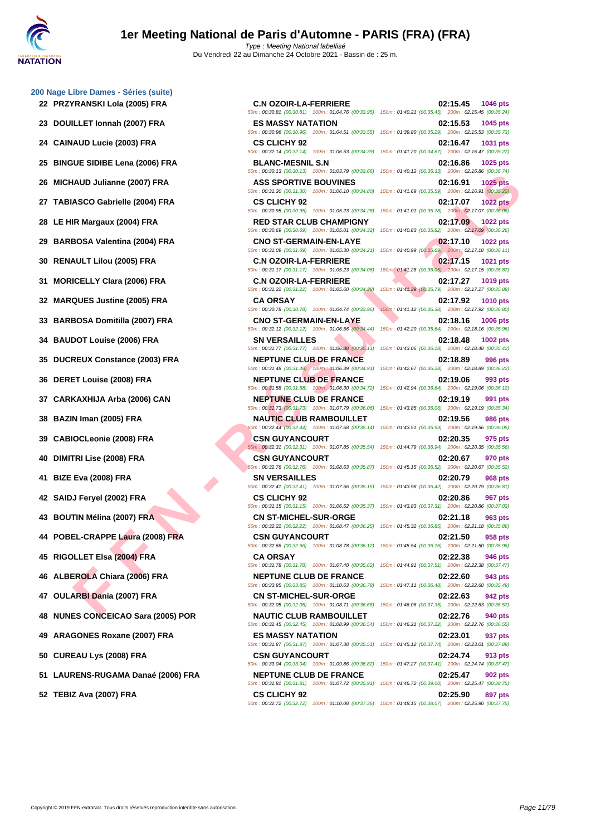- **22 PRZYRANSKI Lola (2005) FRA C.N OZOIR-LA-FERRIERE 02:15.45 1046 pts**
- 
- 
- **25 BINGUE SIDIBE Lena (2006) FRA BLANC-MESNIL S.N 02:16.86 1025 pts**
- 
- **27 TABIASCO Gabrielle (2004) FRA CS CLICHY 92 02:17.07 1022 pts**
- 
- 
- 
- 
- 
- **33 BARBOSA Domitilla (2007) FRA CNO ST-GERMAIN-EN-LAYE 02:18.16 1006 pts**
- 
- **35 DUCREUX Constance (2003) FRA NEPTUNE CLUB DE FRANCE 02:18.89 996 pts**
- 
- 
- 
- 
- 
- 
- 
- 
- **44 POBEL-CRAPPE Laura (2008) FRA CSN GUYANCOURT 02:21.50 958 pts**
- 
- 
- 
- **48 NUNES CONCEICAO Sara (2005) POR NAUTIC CLUB RAMBOUILLET 02:22.76 940 pts**
- **49 ARAGONES Roxane (2007) FRA ES MASSY NATATION 02:23.01 937 pts**
- 
- **51 LAURENS-RUGAMA Danaé (2006) FRA NEPTUNE CLUB DE FRANCE 02:25.47 902 pts**
- 

**FANIS (AND JUNE THE RESERVE DOMERATION COMPRESSED AND THE RESERVENCE OF A SECURITY COMPRESSED AND THE RESERVE OF A SECURITY COMPRESSED AND THE RESERVE COMPRESSED AND THE RESERVE COMPRESSED AND THE RESERVE COMPRESS TO A S** 50m : 00:30.81 (00:30.81) 100m : 01:04.76 (00:33.95) 150m : 01:40.21 (00:35.45) 200m : 02:15.45 (00:35.24) **23 DOUILLET Ionnah (2007) FRA ES MASSY NATATION 02:15.53 1045 pts** 50m : 00:30.96 (00:30.96) 100m : 01:04.51 (00:33.55) 150m : 01:39.80 (00:35.29) 200m : 02:15.53 (00:35.73) **24 CAINAUD Lucie (2003) FRA CS CLICHY 92 02:16.47 1031 pts** 50m : 00:32.14 (00:32.14) 100m : 01:06.53 (00:34.39) 150m : 01:41.20 (00:34.67) 200m : 02:16.47 (00:35.27) 50m : 00:30.13 (00:30.13) 100m : 01:03.79 (00:33.66) 150m : 01:40.12 (00:36.33) 200m : 02:16.86 (00:36.74) **26 MICHAUD Julianne (2007) FRA ASS SPORTIVE BOUVINES 02:16.91 1025 pts** 50m : 00:31.30 (00:31.30) 100m : 01:06.10 (00:34.80) 150m : 01:41.69 (00:35.59) 200m : 02:16.91 (00:35.22) 50m : 00:30.95 (00:30.95) 100m : 01:05.23 (00:34.28) 150m : 01:41.01 (00:35.78) 200m : 02:17.07 (00:36.06) **28 LE HIR Margaux (2004) FRA RED STAR CLUB CHAMPIGNY 02:17.09 1022 pts**

50m : 00:30.69 (00:30.69) 100m : 01:05.01 (00:34.32) 150m : 01:40.83 (00:35.82) 200m : 02:17.09 (00:36.26) **29 BARBOSA Valentina (2004) FRA CNO ST-GERMAIN-EN-LAYE 02:17.10 1022 pts** 50m : 00:31.09 (00:31.09) 100m : 01:05.30 (00:34.21) 150m : 01:40.99 (00:35.69) 200m : 02:17.10 (00:36.11) **30 RENAULT Lilou (2005) FRA C.N OZOIR-LA-FERRIERE 02:17.15 1021 pts** 50m : 00:31.17 (00:31.17) 100m : 01:05.23 (00:34.06) 150m : 01:41.28 (00:36.05) 200m : 02:17.15 (00:35.87) **31 MORICELLY Clara (2006) FRA C.N OZOIR-LA-FERRIERE 02:17.27 1019 pts** 50m : 00:31.22 (00:31.22) 100m : 01:05.60 (00:34.38) 150m : 01:41.39 (00:35.79) 200m : 02:17.27 (00:35.88) **32 MARQUES Justine (2005) FRA CA ORSAY 02:17.92 1010 pts** 50m : 00:30.78 (00:30.78) 100m : 01:04.74 (00:33.96) 150m : 01:41.12 (00:36.38) 200m : 02:17.92 (00:36.80) 50m : 00:32.12 (00:32.12) 100m : 01:06.56 (00:34.44) 150m : 01:42.20 (00:35.64) 200m : 02:18.16 (00:35.96) **34 BAUDOT Louise (2006) FRA SN VERSAILLES 02:18.48 1002 pts** 50m : 00:31.77 (00:31.77) 100m : 01:06.88 (00:35.11) 150m : 01:43.06 (00:36.18) 200m : 02:18.48 (00:35.42) 50m : 00:31.48 (00:31.48) 100m : 01:06.39 (00:34.91) 150m : 01:42.67 (00:36.28) 200m : 02:18.89 (00:36.22) **36 DERET Louise (2008) FRA NEPTUNE CLUB DE FRANCE 02:19.06 993 pts** 50m : 00:31.58 (00:31.58) 100m : 01:06.30 (00:34.72) 150m : 01:42.94 (00:36.64) 200m : 02:19.06 (00:36.12) **37 CARKAXHIJA Arba (2006) CAN NEPTUNE CLUB DE FRANCE 02:19.19 991 pts** 50m : 00:31.73 (00:31.73) 100m : 01:07.79 (00:36.06) 150m : 01:43.85 (00:36.06) 200m : 02:19.19 (00:35.34) **38 BAZIN Iman (2005) FRA NAUTIC CLUB RAMBOUILLET 02:19.56 986 pts** 50m : 00:32.44 (00:32.44) 100m : 01:07.58 (00:35.14) 150m : 01:43.51 (00:35.93) 200m : 02:19.56 (00:36.05) **39 CABIOCLeonie (2008) FRA CSN GUYANCOURT 02:20.35 975 pts** 50m : 00:32.31 (00:32.31) 100m : 01:07.85 (00:35.54) 150m : 01:44.79 (00:36.94) 200m : 02:20.35 (00:35.56) **40 DIMITRI Lise (2008) FRA CSN GUYANCOURT 02:20.67 970 pts** 50m : 00:32.76 (00:32.76) 100m : 01:08.63 (00:35.87) 150m : 01:45.15 (00:36.52) 200m : 02:20.67 (00:35.52) **41 BIZE Eva (2008) FRA SN VERSAILLES 02:20.79 968 pts** 50m : 00:32.41 (00:32.41) 100m : 01:07.56 (00:35.15) 150m : 01:43.98 (00:36.42) 200m : 02:20.79 (00:36.81) **42 SAIDJ Feryel (2002) FRA CS CLICHY 92 02:20.86 967 pts** 50m : 00:31.15 (00:31.15) 100m : 01:06.52 (00:35.37) 150m : 01:43.83 (00:37.31) 200m : 02:20.86 (00:37.03) **43 BOUTIN Mélina (2007) FRA CN ST-MICHEL-SUR-ORGE 02:21.18 963 pts** 50m : 00:32.22 (00:32.22) 100m : 01:08.47 (00:36.25) 150m : 01:45.32 (00:36.85) 200m : 02:21.18 (00:35.86) 50m : 00:32.66 (00:32.66) 100m : 01:08.78 (00:36.12) 150m : 01:45.54 (00:36.76) 200m : 02:21.50 (00:35.96) **45 RIGOLLET Elsa (2004) FRA CA ORSAY 02:22.38 946 pts** 50m : 00:31.78 (00:31.78) 100m : 01:07.40 (00:35.62) 150m : 01:44.91 (00:37.51) 200m : 02:22.38 (00:37.47) **46 ALBEROLA Chiara (2006) FRA NEPTUNE CLUB DE FRANCE 02:22.60 943 pts** 50m : 00:33.85 (00:33.85) 100m : 01:10.63 (00:36.78) 150m : 01:47.11 (00:36.48) 200m : 02:22.60 (00:35.49) **47 OULARBI Dania (2007) FRA CN ST-MICHEL-SUR-ORGE 02:22.63 942 pts** 50m : 00:32.05 (00:32.05) 100m : 01:08.71 (00:36.66) 150m : 01:46.06 (00:37.35) 200m : 02:22.63 (00:36.57) 50m : 00:32.45 (00:32.45) 100m : 01:08.99 (00:36.54) 150m : 01:46.21 (00:37.22) 200m : 02:22.76 (00:36.55) 50m : 00:31.87 (00:31.87) 100m : 01:07.38 (00:35.51) 150m : 01:45.12 (00:37.74) 200m : 02:23.01 (00:37.89) **50 CUREAU Lys (2008) FRA CSN GUYANCOURT 02:24.74 913 pts** 50m : 00:33.04 (00:33.04) 100m : 01:09.86 (00:36.82) 150m : 01:47.27 (00:37.41) 200m : 02:24.74 (00:37.47)

50m : 00:31.81 (00:31.81) 100m : 01:07.72 (00:35.91) 150m : 01:46.72 (00:39.00) 200m : 02:25.47 (00:38.75) **52 TEBIZ Ava (2007) FRA CS CLICHY 92 02:25.90 897 pts** 50m : 00:32.72 (00:32.72) 100m : 01:10.08 (00:37.36) 150m : 01:48.15 (00:38.07) 200m : 02:25.90 (00:37.75)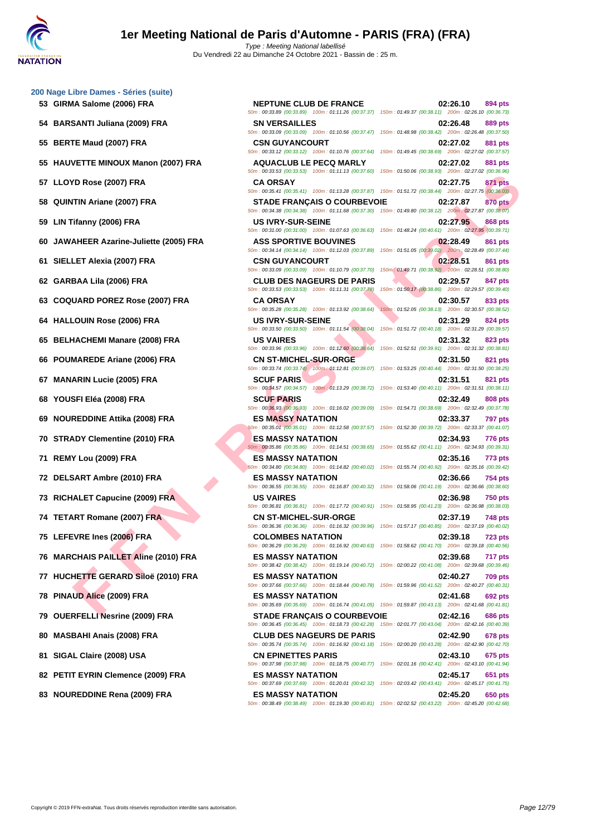**[200 Nage](http://www.ffnatation.fr/webffn/index.php) Libre Dames - Séries (suite) GIRMA Salome (2006) FRA NEPTUNE CLUB DE FRANCE 02:26.10 894 pts BARSANTI Juliana (2009) FRA SN VERSAILLES 02:26.48 889 pts BERTE Maud (2007) FRA CSN GUYANCOURT 02:27.02 881 pts HAUVETTE MINOUX Manon (2007) FRA AQUACLUB LE PECQ MARLY 02:27.02 881 pts LLOYD Rose (2007) FRA CA ORSAY 02:27.75 871 pts QUINTIN Ariane (2007) FRA STADE FRANÇAIS O COURBEVOIE 02:27.87 870 pts**

- 
- 
- 
- 
- 
- 
- 
- 
- 
- 
- 
- 
- 
- 
- 
- 
- 
- 
- 
- 
- 
- 
- 
- 

TIN Ariane (2007) FRA - CAONSAY (MATERID AT SURE SEARCHING COOD) FRA - SAN ANALY (1990) FRA - SAN ARE TRANSATION (1990) FRA - SAN ARE TRANSATION (1990) FRA - SAN ARE TRANSATION (1990) FRA - SAN ARE TRANSATION (1990) FRA -50m : 00:33.89 (00:33.89) 100m : 01:11.26 (00:37.37) 150m : 01:49.37 (00:38.11) 200m : 02:26.10 (00:36.73) 50m : 00:33.09 (00:33.09) 100m : 01:10.56 (00:37.47) 150m : 01:48.98 (00:38.42) 200m : 02:26.48 (00:37.50) 50m : 00:33.12 (00:33.12) 100m : 01:10.76 (00:37.64) 150m : 01:49.45 (00:38.69) 200m : 02:27.02 (00:37.57) 50m : 00:33.53 (00:33.53) 100m : 01:11.13 (00:37.60) 150m : 01:50.06 (00:38.93) 200m : 02:27.02 (00:36.96) 50m : 00:35.41 (00:35.41) 100m : 01:13.28 (00:37.87) 150m : 01:51.72 (00:38.44) 200m : 02:27.75 (00:36.03) 50m : 00:34.38 (00:34.38) 100m : 01:11.68 (00:37.30) 150m : 01:49.80 (00:38.12) 200m : 02:27.87 (00:38.07) **59 LIN Tifanny (2006) FRA US IVRY-SUR-SEINE 02:27.95 868 pts** 50m : 00:31.00 (00:31.00) 100m : 01:07.63 (00:36.63) 150m : 01:48.24 (00:40.61) 200m : 02:27.95 (00:39.71) **60 JAWAHEER Azarine-Juliette (2005) FRA ASS SPORTIVE BOUVINES 02:28.49 861 pts** 50m : 00:34.14 (00:34.14) 100m : 01:12.03 (00:37.89) 150m : 01:51.05 (00:39.02) 200m : 02:28.49 (00:37.44) **61 SIELLET Alexia (2007) FRA CSN GUYANCOURT 02:28.51 861 pts** 50m : 00:33.09 (00:33.09) 100m : 01:10.79 (00:37.70) 150m : 01:49.71 (00:38.92) 200m : 02:28.51 (00:38.80) **62 GARBAA Lila (2006) FRA CLUB DES NAGEURS DE PARIS 02:29.57 847 pts** 50m : 00:33.53 (00:33.53) 100m : 01:11.31 (00:37.78) 150m : 01:50.17 (00:38.86) 200m : 02:29.57 (00:39.40) **63 COQUARD POREZ Rose (2007) FRA CA ORSAY 02:30.57 833 pts** 50m : 00:35.28 (00:35.28) 100m : 01:13.92 (00:38.64) 150m : 01:52.05 (00:38.13) 200m : 02:30.57 (00:38.52) **64 HALLOUIN Rose (2006) FRA US IVRY-SUR-SEINE 02:31.29 824 pts** 50m : 00:33.50 (00:33.50) 100m : 01:11.54 (00:38.04) 150m : 01:51.72 (00:40.18) 200m : 02:31.29 (00:39.57) **65 BELHACHEMI Manare (2008) FRA US VAIRES 02:31.32 823 pts** 50m : 00:33.96 (00:33.96) 100m : 01:12.60 (00:38.64) 150m : 01:52.51 (00:39.91) 200m : 02:31.32 (00:38.81) **66 POUMAREDE Ariane (2006) FRA CN ST-MICHEL-SUR-ORGE 02:31.50 821 pts** 50m : 00:33.74 (00:33.74) 100m : 01:12.81 (00:39.07) 150m : 01:53.25 (00:40.44) 200m : 02:31.50 (00:38.25) **67 MANARIN Lucie (2005) FRA SCUF PARIS 02:31.51 821 pts** 50m : 00:34.57 (00:34.57) 100m : 01:13.29 (00:38.72) 150m : 01:53.40 (00:40.11) 200m : 02:31.51 (00:38.11) **68 YOUSFI Eléa (2008) FRA SCUF PARIS 02:32.49 808 pts** 50m : 00:36.93 (00:36.93) 100m : 01:16.02 (00:39.09) 150m : 01:54.71 (00:38.69) 200m : 02:32.49 (00:37.78) **69 NOUREDDINE Attika (2008) FRA ES MASSY NATATION 02:33.37 797 pts** 50m : 00:35.01 (00:35.01) 100m : 01:12.58 (00:37.57) 150m : 01:52.30 (00:39.72) 200m : 02:33.37 (00:41.07) **70 STRADY Clementine (2010) FRA ES MASSY NATATION 02:34.93 776 pts** 50m : 00:35.86 (00:35.86) 100m : 01:14.51 (00:38.65) 150m : 01:55.62 (00:41.11) 200m : 02:34.93 (00:39.31) **71 REMY Lou (2009) FRA ES MASSY NATATION 02:35.16 773 pts** 50m : 00:34.80 (00:34.80) 100m : 01:14.82 (00:40.02) 150m : 01:55.74 (00:40.92) 200m : 02:35.16 (00:39.42) **72 DELSART Ambre (2010) FRA ES MASSY NATATION 02:36.66 754 pts** 50m : 00:36.55 (00:36.55) 100m : 01:16.87 (00:40.32) 150m : 01:58.06 (00:41.19) 200m : 02:36.66 (00:38.60) **73 RICHALET Capucine (2009) FRA US VAIRES 02:36.98 750 pts** 50m : 00:36.81 (00:36.81) 100m : 01:17.72 (00:40.91) 150m : 01:58.95 (00:41.23) 200m : 02:36.98 (00:38.03) **74 TETART Romane (2007) FRA CN ST-MICHEL-SUR-ORGE 02:37.19 748 pts** 50m : 00:36.36 (00:36.36) 100m : 01:16.32 (00:39.96) 150m : 01:57.17 (00:40.85) 200m : 02:37.19 (00:40.02) **75 LEFEVRE Ines (2006) FRA COLOMBES NATATION 02:39.18 723 pts** 50m : 00:36.29 (00:36.29) 100m : 01:16.92 (00:40.63) 150m : 01:58.62 (00:41.70) 200m : 02:39.18 (00:40.56) **76 MARCHAIS PAILLET Aline (2010) FRA ES MASSY NATATION 02:39.68 717 pts** 50m : 00:38.42 (00:38.42) 100m : 01:19.14 (00:40.72) 150m : 02:00.22 (00:41.08) 200m : 02:39.68 (00:39.46) **77 HUCHETTE GERARD Siloë (2010) FRA ES MASSY NATATION 02:40.27 709 pts** 50m : 00:37.66 (00:37.66) 100m : 01:18.44 (00:40.78) 150m : 01:59.96 (00:41.52) 200m : 02:40.27 (00:40.31) **78 PINAUD Alice (2009) FRA ES MASSY NATATION 02:41.68 692 pts** 50m : 00:35.69 (00:35.69) 100m : 01:16.74 (00:41.05) 150m : 01:59.87 (00:43.13) 200m : 02:41.68 (00:41.81) **79 OUERFELLI Nesrine (2009) FRA STADE FRANÇAIS O COURBEVOIE 02:42.16 686 pts** 50m : 00:36.45 (00:36.45) 100m : 01:18.73 (00:42.28) 150m : 02:01.77 (00:43.04) 200m : 02:42.16 (00:40.39) **80 MASBAHI Anais (2008) FRA CLUB DES NAGEURS DE PARIS 02:42.90 678 pts** 50m : 00:35.74 (00:35.74) 100m : 01:16.92 (00:41.18) 150m : 02:00.20 (00:43.28) 200m : 02:42.90 (00:42.70) **81 SIGAL Claire (2008) USA CN EPINETTES PARIS 02:43.10 675 pts** 50m : 00:37.98 (00:37.98) 100m : 01:18.75 (00:40.77) 150m : 02:01.16 (00:42.41) 200m : 02:43.10 (00:41.94) **82 PETIT EYRIN Clemence (2009) FRA ES MASSY NATATION 02:45.17 651 pts** 50m : 00:37.69 (00:37.69) 100m : 01:20.01 (00:42.32) 150m : 02:03.42 (00:43.41) 200m : 02:45.17 (00:41.75) **83 NOUREDDINE Rena (2009) FRA ES MASSY NATATION 02:45.20 650 pts**

50m : 00:38.49 (00:38.49) 100m : 01:19.30 (00:40.81) 150m : 02:02.52 (00:43.22) 200m : 02:45.20 (00:42.68)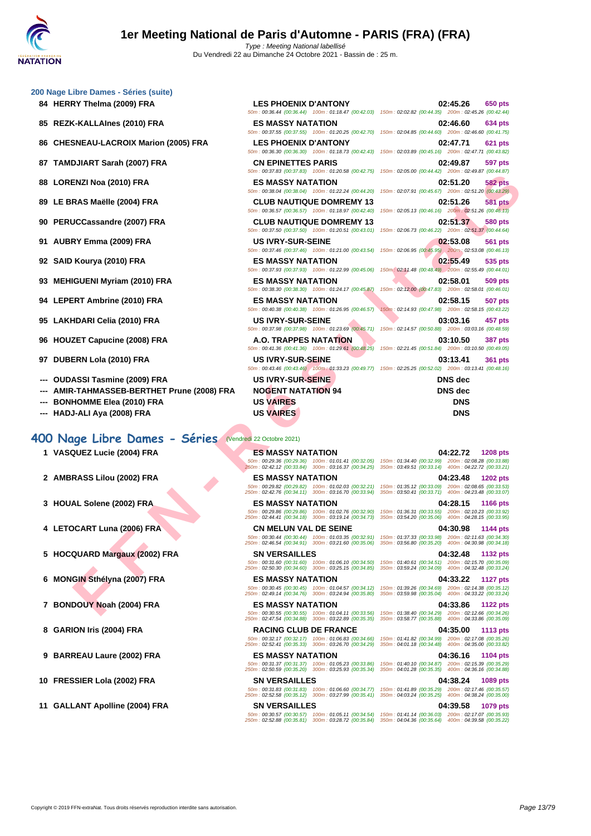|  |  | 200 Nage Libre Dames - Séries (suite) |  |
|--|--|---------------------------------------|--|
|  |  |                                       |  |

- 
- 
- **86 CHESNEAU-LACROIX Marion (2005) FRA LES PHOENIX D'ANTONY 02:47.71 621 pts**
- 
- 
- 
- 
- 
- 
- 
- 
- 
- 
- 
- 
- **--- AMIR-TAHMASSEB-BERTHET Prune (2008) FRA NOGENT NATATION 94 DNS dec**
- 
- 

#### **400 Nage Libre Dames - Séries** (Vendredi 22 Octobre 2021)

- 
- 
- 
- 
- 
- 
- 
- 
- 
- 
- 

| 10 Nage Libre Dames - Series (suite)                                                     |                                 |                                                                                                           |
|------------------------------------------------------------------------------------------|---------------------------------|-----------------------------------------------------------------------------------------------------------|
| 84 HERRY Thelma (2009) FRA                                                               | <b>LES PHOENIX D'ANTONY</b>     | 02:45.26<br>650 pts                                                                                       |
|                                                                                          |                                 | 50m: 00:36.44 (00:36.44) 100m: 01:18.47 (00:42.03) 150m: 02:02.82 (00:44.35) 200m: 02:45.26 (00:42.44,    |
| 85 REZK-KALLAInes (2010) FRA                                                             | <b>ES MASSY NATATION</b>        | 02:46.60<br><b>634 pts</b>                                                                                |
|                                                                                          |                                 | 50m: 00:37.55 (00:37.55) 100m: 01:20.25 (00:42.70) 150m: 02:04.85 (00:44.60) 200m: 02:46.60 (00:41.75     |
| 86 CHESNEAU-LACROIX Marion (2005) FRA                                                    | <b>LES PHOENIX D'ANTONY</b>     | 02:47.71<br><b>621 pts</b>                                                                                |
|                                                                                          |                                 | 50m: 00:36.30 (00:36.30) 100m: 01:18.73 (00:42.43) 150m: 02:03.89 (00:45.16) 200m: 02:47.71 (00:43.82)    |
| 87 TAMDJIART Sarah (2007) FRA                                                            | <b>CN EPINETTES PARIS</b>       | 02:49.87<br><b>597 pts</b>                                                                                |
|                                                                                          |                                 | 50m: 00:37.83 (00:37.83) 100m: 01:20.58 (00:42.75) 150m: 02:05.00 (00:44.42) 200m: 02:49.87 (00:44.87     |
| 88 LORENZI Noa (2010) FRA                                                                | <b>ES MASSY NATATION</b>        | 02:51.20<br><b>582 pts</b>                                                                                |
|                                                                                          |                                 | 50m: 00:38.04 (00:38.04) 100m: 01:22.24 (00:44.20) 150m: 02:07.91 (00:45.67) 200m: 02:51.20 (00:43.29     |
| 89 LE BRAS Maëlle (2004) FRA                                                             | <b>CLUB NAUTIQUE DOMREMY 13</b> | 02:51.26<br><b>581 pts</b>                                                                                |
|                                                                                          |                                 | 50m: 00:36.57 (00:36.57) 100m: 01:18.97 (00:42.40) 150m: 02:05.13 (00:46.16) 200m: 02:51.26 (00:46.13     |
| 90 PERUCCassandre (2007) FRA                                                             | <b>CLUB NAUTIQUE DOMREMY 13</b> | 02:51.37<br><b>580 pts</b>                                                                                |
|                                                                                          |                                 | 50m: 00:37.50 (00:37.50) 100m: 01:20.51 (00:43.01) 150m: 02:06.73 (00:46.22) 200m: 02:51.37 (00:44.64     |
| 91 AUBRY Emma (2009) FRA                                                                 | <b>US IVRY-SUR-SEINE</b>        | 02:53.08<br><b>561 pts</b>                                                                                |
|                                                                                          |                                 | 50m : 00:37.46 (00:37.46) 100m : 01:21.00 (00:43.54) 150m : 02:06.95 (00:45.95) 200m : 02:53.08 (00:46.13 |
| 92 SAID Kourya (2010) FRA                                                                | <b>ES MASSY NATATION</b>        | 02:55.49<br>535 pts                                                                                       |
|                                                                                          |                                 | 50m: 00:37.93 (00:37.93) 100m: 01:22.99 (00:45.06) 150m: 02:11.48 (00:48.49) 200m: 02:55.49 (00:44.01     |
| 93 MEHIGUENI Myriam (2010) FRA                                                           | <b>ES MASSY NATATION</b>        | 02:58.01<br><b>509 pts</b>                                                                                |
|                                                                                          |                                 | 50m: 00:38.30 (00:38.30) 100m: 01:24.17 (00:45.87) 150m: 02:12.00 (00:47.83) 200m: 02:58.01 (00:46.01     |
| 94 LEPERT Ambrine (2010) FRA                                                             | <b>ES MASSY NATATION</b>        | 02:58.15<br><b>507 pts</b>                                                                                |
|                                                                                          |                                 | 50m: 00:40.38 (00:40.38) 100m: 01:26.95 (00:46.57) 150m: 02:14.93 (00:47.98) 200m: 02:58.15 (00:43.22     |
| 95 LAKHDARI Celia (2010) FRA                                                             | <b>US IVRY-SUR-SEINE</b>        | 03:03.16<br>457 pts                                                                                       |
|                                                                                          |                                 | 50m: 00:37.98 (00:37.98) 100m: 01:23.69 (00:45.71) 150m: 02:14.57 (00:50.88) 200m: 03:03.16 (00:48.59     |
| 96 HOUZET Capucine (2008) FRA                                                            | A.O. TRAPPES NATATION           | 03:10.50<br><b>387 pts</b>                                                                                |
|                                                                                          |                                 | 50m: 00:41.36 (00:41.36) 100m: 01:29.61 (00:48.25) 150m: 02:21.45 (00:51.84) 200m: 03:10.50 (00:49.05     |
| 97 DUBERN Lola (2010) FRA                                                                | <b>US IVRY-SUR-SEINE</b>        | 03:13.41<br><b>361 pts</b>                                                                                |
|                                                                                          |                                 | 50m: 00:43.46 (00:43.46) 100m: 01:33.23 (00:49.77) 150m: 02:25.25 (00:52.02) 200m: 03:13.41 (00:48.16     |
| --- OUDASSI Tasmine (2009) FRA                                                           | <b>US IVRY-SUR-SEINE</b>        | <b>DNS</b> dec                                                                                            |
| --- AMIR-TAHMASSEB-BERTHET Prune (2008) FRA                                              | <b>NOGENT NATATION 94</b>       | <b>DNS</b> dec                                                                                            |
| --- BONHOMME Elea (2010) FRA                                                             | <b>US VAIRES</b>                | <b>DNS</b>                                                                                                |
| $U \wedge D$ $I \wedge I \wedge J \wedge J \wedge J \wedge J \wedge J \wedge J \wedge J$ | <b>He VAIDES</b>                | <b>DAIO</b>                                                                                               |

**E[N](http://www.ffnatation.fr/webffn/resultats.php?idact=nat&go=epr&idcpt=71691&idepr=4)ZI No: (2019) FRA**<br>
FRA SMASY MATATION<br>
COLOGIS HAT THE MASY MATHON 13.<br>
THE MASY MATHON COLOGIS HAT THE MASY AND COLOGIS HAT THE MAST AND COLOGIS HAT COLOGIS HAT COLOGIS HAT COLOGIS HAT COLOGIS HAT COLOGIS HAT COLOGIS **1 VASQUEZ Lucie (2004) FRA ES MASSY NATATION 04:22.72 1208 pts** 50m : 00:29.36 (00:29.36) 100m : 01:01.41 (00:32.05) 150m : 01:34.40 (00:32.99) 200m : 02:08.28 (00:33.88) 250m : 02:42.12 (00:33.84) 300m : 03:16.37 (00:34.25) 350m : 03:49.51 (00:33.14) 400m : 04:22.72 (00:33.21) **2 AMBRASS Lilou (2002) FRA ES MASSY NATATION 04:23.48 1202 pts** 50m : 00:29.82 (00:29.82) 100m : 01:02.03 (00:32.21) 150m : 01:35.12 (00:33.09) 200m : 02:08.65 (00:33.53) 250m : 02:42.76 (00:34.11) 300m : 03:16.70 (00:33.94) 350m : 03:50.41 (00:33.71) 400m : 04:23.48 (00:33.07) **3 HOUAL Solene (2002) FRA ES MASSY NATATION 04:28.15 1166 pts** 50m : 00:29.86 (00:29.86) 100m : 01:02.76 (00:32.90) 150m : 01:36.31 (00:33.55) 200m : 02:10.23 (00:33.92) 250m : 02:44.41 (00:34.18) 300m : 03:19.14 (00:34.73) 350m : 03:54.20 (00:35.06) 400m : 04:28.15 (00:33.95) **4 LETOCART Luna (2006) FRA CN MELUN VAL DE SEINE 04:30.98 1144 pts** 50m : 00:30.44 (00:30.44) 100m : 01:03.35 (00:32.91) 150m : 01:37.33 (00:33.98) 200m : 02:11.63 (00:34.30) 250m : 02:46.54 (00:34.91) 300m : 03:21.60 (00:35.06) 350m : 03:56.80 (00:35.20) 400m : 04:30.98 (00:34.18) **5 HOCQUARD Margaux (2002) FRA SN VERSAILLES 04:32.48 1132 pts** 50m : 00:31.60 (00:31.60) 100m : 01:06.10 (00:34.50) 150m : 01:40.61 (00:34.51) 200m : 02:15.70 (00:35.09) 250m : 02:50.30 (00:34.60) 300m : 03:25.15 (00:34.85) 350m : 03:59.24 (00:34.09) 400m : 04:32.48 (00:33.24) **6 MONGIN Sthélyna (2007) FRA ES MASSY NATATION 04:33.22 1127 pts** 50m : 00:30.45 (00:30.45) 100m : 01:04.57 (00:34.12) 150m : 01:39.26 (00:34.69) 200m : 02:14.38 (00:35.12) 250m : 02:49.14 (00:34.76) 300m : 03:24.94 (00:35.80) 350m : 03:59.98 (00:35.04) 400m : 04:33.22 (00:33.24) **7 BONDOUY Noah (2004) FRA ES MASSY NATATION 04:33.86 1122 pts** 50m : 00:30.55 (00:30.55) 100m : 01:04.11 (00:33.56) 150m : 01:38.40 (00:34.29) 200m : 02:12.66 (00:34.26) 250m : 02:47.54 (00:34.88) 300m : 03:22.89 (00:35.35) 350m : 03:58.77 (00:35.88) 400m : 04:33.86 (00:35.09) **8 GARION Iris (2004) FRA RACING CLUB DE FRANCE 04:35.00 1113 pts** 50m : 00:32.17 (00:32.17) 100m : 01:06.83 (00:34.66) 150m : 01:41.82 (00:34.99) 200m : 02:17.08 (00:35.26) 250m : 02:52.41 (00:35.33) 300m : 03:26.70 (00:34.29) 350m : 04:01.18 (00:34.48) 400m : 04:35.00 (00:33.82) **9 BARREAU Laure (2002) FRA ES MASSY NATATION 04:36.16 1104 pts** 50m : 00:31.37 (00:31.37) 100m : 01:05.23 (00:33.86) 150m : 01:40.10 (00:34.87) 200m : 02:15.39 (00:35.29) 250m : 02:50.59 (00:35.20) 300m : 03:25.93 (00:35.34) 350m : 04:01.28 (00:35.35) 400m : 04:36.16 (00:34.88) **10 FRESSIER Lola (2002) FRA SN VERSAILLES 04:38.24 1089 pts** 50m : 00:31.83 (00:31.83) 100m : 01:06.60 (00:34.77) 150m : 01:41.89 (00:35.29) 200m : 02:17.46 (00:35.57) 250m : 02:52.58 (00:35.12) 300m : 03:27.99 (00:35.41) 350m : 04:03.24 (00:35.25) 400m : 04:38.24 (00:35.00) **11 GALLANT Apolline (2004) FRA SN VERSAILLES 04:39.58 1079 pts** 50m : 00:30.57 (00:30.57) 100m : 01:05.11 (00:34.54) 150m : 01:41.14 (00:36.03) 200m : 02:17.07 (00:35.93) 250m : 02:52.88 (00:35.81) 300m : 03:28.72 (00:35.84) 350m : 04:04.36 (00:35.64) 400m : 04:39.58 (00:35.22)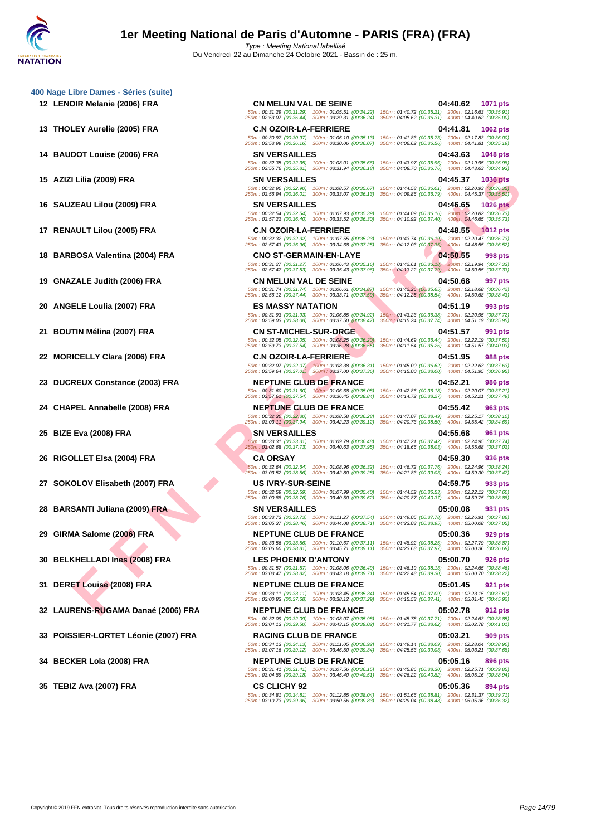Du Vendredi 22 au Dimanche 24 Octobre 2021 - Bassin de : 25 m.

**[400 Nage](http://www.ffnatation.fr/webffn/index.php) Libre Dames - Séries (suite)**

TE LOUIS (2009) FRA SWEERS ALLES (2009) FRA SWEERS ALLES (2009) FRA SWEERS ALLES (2009) FRA SWEERS ALLES (2009) FRA SWEERS ALLES (2009) FRA SWEERS ALLES (2009) FRA SWEERS ALLES (2009) FRA SWEERS ALLES (2009) FRA SWEERS **12 LENOIR Melanie (2006) FRA CN MELUN VAL DE SEINE 04:40.62 1071 pts** 50m : 00:31.29 (00:31.29) 100m : 01:05.51 (00:34.22) 150m : 01:40.72 (00:35.21) 200m : 02:16.63 (00:35.91) 250m : 02:53.07 (00:36.44) 300m : 03:29.31 (00:36.24) 350m : 04:05.62 (00:36.31) 400m : 04:40.62 (00:35.00) **13 THOLEY Aurelie (2005) FRA C.N OZOIR-LA-FERRIERE 04:41.81 1062 pts** 50m : 00:30.97 (00:30.97) 100m : 01:06.10 (00:35.13) 150m : 01:41.83 (00:35.73) 200m : 02:17.83 (00:36.00) 250m : 02:53.99 (00:36.16) 300m : 03:30.06 (00:36.07) 350m : 04:06.62 (00:36.56) 400m : 04:41.81 (00:35.19) **14 BAUDOT Louise (2006) FRA SN VERSAILLES 04:43.63 1048 pts** 50m : 00:32.35 (00:32.35) 100m : 01:08.01 (00:35.66) 150m : 01:43.97 (00:35.96) 200m : 02:19.95 (00:35.98) 250m : 02:55.76 (00:35.81) 300m : 03:31.94 (00:36.18) 350m : 04:08.70 (00:36.76) 400m : 04:43.63 (00:34.93) **15 AZIZI Lilia (2009) FRA SN VERSAILLES 04:45.37 1036 pts** 50m : 00:32.90 (00:32.90) 100m : 01:08.57 (00:35.67) 150m : 01:44.58 (00:36.01) 200m : 02:20.93 (00:36.35) 250m : 02:56.94 (00:36.01) 300m : 03:33.07 (00:36.13) 350m : 04:09.86 (00:36.79) 400m : 04:45.37 (00:35.51) **16 SAUZEAU Lilou (2009) FRA SN VERSAILLES 04:46.65 1026 pts** 50m : 00:32.54 (00:32.54) 100m : 01:07.93 (00:35.39) 150m : 01:44.09 (00:36.16) 200m : 02:20.82 (00:36.73) 250m : 02:57.22 (00:36.40) 300m : 03:33.52 (00:36.30) 350m : 04:10.92 (00:37.40) 400m : 04:46.65 (00:35.73) **17 RENAULT Lilou (2005) FRA C.N OZOIR-LA-FERRIERE 04:48.55 1012 pts** 50m : 00:32.32 (00:32.32) 100m : 01:07.55 (00:35.23) 150m : 01:43.74 (00:36.19) 200m : 02:20.47 (00:36.73) 250m : 02:57.43 (00:36.96) 300m : 03:34.68 (00:37.25) 350m : 04:12.03 (00:37.35) 400m : 04:48.55 (00:36.52) **18 BARBOSA Valentina (2004) FRA CNO ST-GERMAIN-EN-LAYE 04:50.55 998 pts** 50m : 00:31.27 (00:31.27) 100m : 01:06.43 (00:35.16) 150m : 01:42.61 (00:36.18) 200m : 02:19.94 (00:37.33) 250m : 02:57.47 (00:37.53) 300m : 03:35.43 (00:37.96) 350m : 04:13.22 (00:37.79) 400m : 04:50.55 (00:37.33) **19 GNAZALE Judith (2006) FRA CN MELUN VAL DE SEINE 04:50.68 997 pts** 50m : 00:31.74 (00:31.74) 100m : 01:06.61 (00:34.87)<br>250m : 02:56.12 (00:37.44) 300m : 03:33.71 (00:37.59) 250m : 02:56.12 (00:37.44) 300m : 03:33.71 (00:37.59) 350m : 04:12.25 (00:38.54) 400m : 04:50.68 (00:38.43) **20 ANGELE Loulia (2007) FRA ES MASSY NATATION 04:51.19 993 pts** 50m : 00:31.93 (00:31.93) 100m : 01:06.85 (00:34.92) 150m : 01:43.23 (00:36.38) 200m : 02:20.95 (00:37.72) 250m : 02:59.03 (00:38.08) 300m : 03:37.50 (00:38.47) 350m : 04:15.24 (00:37.74) 400m : 04:51.19 (00:35.95) **21 BOUTIN Mélina (2007) FRA CN ST-MICHEL-SUR-ORGE 00:36.20 04:51.57 991 pts**<br> **21 BOUTIN Mélina (2007) FRA CONSIDENT CONSULTING CONSULT 100m**: 01:08.26 (00:36.20) **150m**: 01:44.69 (00:36.44) 200m: 02:22.19 ( 50m : 00:32.05 (00:32.05) 100m : 01:08.25 (00:36.20) 150m : 01:44.69 (00:36.44) 200m : 02:22.19 (00:37.50) 250m : 02:59.73 (00:37.54) 300m : 03:36.28 (00:36.55) 350m : 04:11.54 (00:35.26) 400m : 04:51.57 (00:40.03) **22 MORICELLY Clara (2006) FRA C.N OZOIR-LA-FERRIERE 04:51.95 988 pts** 50m : 00:32.07 (00:32.07) 100m : 01:08.38 (00:36.31) 150m : 01:45.00 (00:36.62) 200m : 02:22.63 (00:37.63) 250m : 02:59.64 (00:37.01) 300m : 03:37.00 (00:37.36) 350m : 04:15.00 (00:38.00) 400m : 04:51.95 (00:36.95) **23 DUCREUX Constance (2003) FRA NEPTUNE CLUB DE FRANCE 04:52.21 986 pts** 50m : 00:31.60 (00:31.60) 100m : 01:06.68 (00:35.08) 150m : 01:42.86 (00:36.18) 200m : 02:20.07 (00:37.21) 250m : 02:57.61 (00:37.54) 300m : 03:36.45 (00:38.84) 350m : 04:14.72 (00:38.27) 400m : 04:52.21 (00:37.49) **24 CHAPEL Annabelle (2008) FRA NEPTUNE CLUB DE FRANCE 04:55.42 963 pts** 50m : 00:32.30 (00:32.30) 100m : 01:08.58 (00:36.28) 150m : 01:47.07 (00:38.49) 200m : 02:25.17 (00:38.10) 250m : 03:03.11 (00:37.94) 300m : 03:42.23 (00:39.12) 350m : 04:20.73 (00:38.50) 400m : 04:55.42 (00:34.69) **25 BIZE Eva (2008) FRA SN VERSAILLES 04:55.68 961 pts** 50m : 00:33.31 (00:33.31) 100m : 01:09.79 (00:36.48) 150m : 01:47.21 (00:37.42) 200m : 02:24.95 (00:37.74) 250m : 03:02.68 (00:37.73) 300m : 03:40.63 (00:37.95) 350m : 04:18.66 (00:38.03) 400m : 04:55.68 (00:37.02) **26 RIGOLLET Elsa (2004) FRA CA ORSAY CA ORSAY 60m**: 00:32.64 (00:36.32) 150m: 01:08.96 (00:36.32) 150m: 01:46.72 (00:37.76) 200m: 02:24.96 (00:38.24)<br>250m: 03:03.52 (00:38.56) 300m: 03:42.80 (00:32.28) 350m: 04:1. 50m : 00:32.64 (00:32.64) 100m : 01:08.96 (00:36.32) 150m : 01:46.72 (00:37.76) 200m : 02:24.96 (00:38.24) 250m : 03:03.52 (00:38.56) 300m : 03:42.80 (00:39.28) 350m : 04:21.83 (00:39.03) 400m : 04:59.30 (00:37.47) **27 SOKOLOV Elisabeth (2007) FRA US IVRY-SUR-SEINE 04:59.75 933 pts** 50m : 00:32.59 (00:32.59) 100m : 01:07.99 (00:35.40) 150m : 01:44.52 (00:36.53) 200m : 02:22.12 (00:37.60) 250m : 03:00.88 (00:38.76) 300m : 03:40.50 (00:39.62) 350m : 04:20.87 (00:40.37) 400m : 04:59.75 (00:38.88) **28 BARSANTI Juliana (2009) FRA SN VERSAILLES 05:00.08 931 pts** 50m : 00:33.73 (00:33.73) 100m : 01:11.27 (00:37.54) 150m : 01:49.05 (00:37.78) 200m : 02:26.91 (00:37.86) 250m : 03:05.37 (00:38.46) 300m : 03:44.08 (00:38.71) 350m : 04:23.03 (00:38.95) 400m : 05:00.08 (00:37.05) **29 GIRMA Salome (2006) FRA NEPTUNE CLUB DE FRANCE 05:00.36 929 pts** 50m : 00:33.56 (00:33.56) 100m : 01:10.67 (00:37.11) 150m : 01:48.92 (00:38.25) 200m : 02:27.79 (00:38.87) 250m : 03:06.60 (00:38.81) 300m : 03:45.71 (00:39.11) 350m : 04:23.68 (00:37.97) 400m : 05:00.36 (00:36.68) **30 BELKHELLADI Ines (2008) FRA LES PHOENIX D'ANTONY 05:00.70 926 pts** 50m : 00:31.57 (00:31.57) 100m : 01:08.06 (00:36.49) 150m : 01:46.19 (00:38.13) 200m : 02:24.65 (00:38.46) 250m : 03:03.47 (00:38.82) 300m : 03:43.18 (00:39.71) 350m : 04:22.48 (00:39.30) 400m : 05:00.70 (00:38.22) **31 DERET Louise (2008) FRA NEPTUNE CLUB DE FRANCE 05:01.45 921 pts** 50m : 00:33.11 (00:33.11) 100m : 01:08.45 (00:35.34) 150m : 01:45.54 (00:37.09) 200m : 02:23.15 (00:37.61) 250m : 03:00.83 (00:37.68) 300m : 03:38.12 (00:37.29) 350m : 04:15.53 (00:37.41) 400m : 05:01.45 (00:45.92) **32 LAURENS-RUGAMA Danaé (2006) FRA NEPTUNE CLUB DE FRANCE 05:02.78 912 pts** 50m : 00:32.09 (00:32.09) 100m : 01:08.07 (00:35.98) 150m : 01:45.78 (00:37.71) 200m : 02:24.63 (00:38.85) 250m : 03:04.13 (00:39.50) 300m : 03:43.15 (00:39.02) 350m : 04:21.77 (00:38.62) 400m : 05:02.78 (00:41.01) **33 POISSIER-LORTET Léonie (2007) FRA RACING CLUB DE FRANCE 05:03.21 909 pts** 50m : 00:34.13 (00:34.13) 100m : 01:11.05 (00:36.92) 150m : 01:49.14 (00:38.09) 200m : 02:28.04 (00:38.90) 250m : 03:07.16 (00:39.12) 300m : 03:46.50 (00:39.34) 350m : 04:25.53 (00:39.03) 400m : 05:03.21 (00:37.68) **34 BECKER Lola (2008) FRA NEPTUNE CLUB DE FRANCE 05:05.16 896 pts** 50m : 00:31.41 (00:31.41) 100m : 01:07.56 (00:36.15) 150m : 01:45.86 (00:38.30) 200m : 02:25.71 (00:39.85) 250m : 03:04.89 (00:39.18) 300m : 03:45.40 (00:40.51) 350m : 04:26.22 (00:40.82) 400m : 05:05.16 (00:38.94) **35 TEBIZ Ava (2007) FRA CS CLICHY 92 05:05.36 894 pts** 50m : 00:34.81 (00:34.81) 100m : 01:12.85 (00:38.04) 150m : 01:51.66 (00:38.81) 200m : 02:31.37 (00:39.71) 250m : 03:10.73 (00:39.36) 300m : 03:50.56 (00:39.83) 350m : 04:29.04 (00:38.48) 400m : 05:05.36 (00:36.32)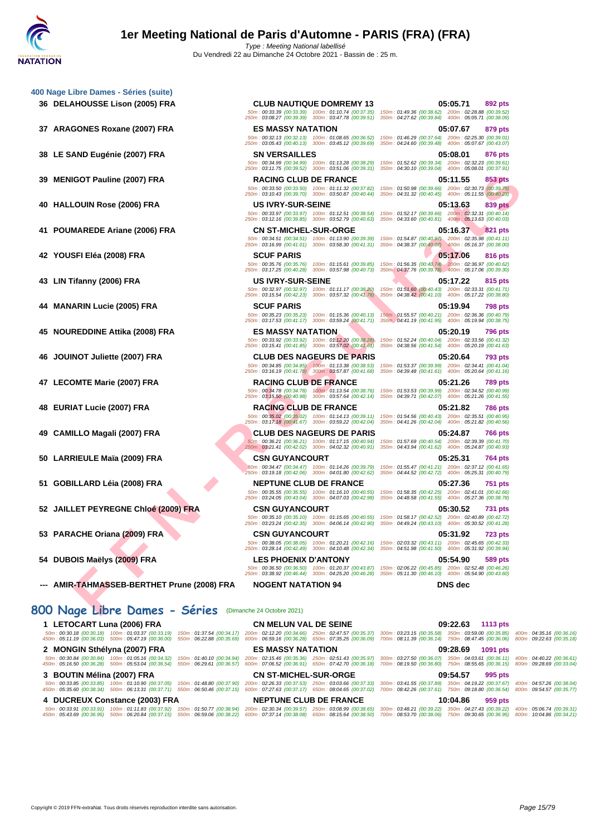|     |                                         | 50m: 00:33.39 (00:33.39) 100m: 01:10.74 (00:37.35)                                                                                   | 150m: 01:49.36 (00:38.62) 200m: 02:28.88 (00:39.52)<br>250m: 03:08.27 (00:39.39) 300m: 03:47.78 (00:39.51) 350m: 04:27.62 (00:39.84) 400m: 05:05.71 (00:38.09)                                                    |
|-----|-----------------------------------------|--------------------------------------------------------------------------------------------------------------------------------------|-------------------------------------------------------------------------------------------------------------------------------------------------------------------------------------------------------------------|
|     | 37 ARAGONES Roxane (2007) FRA           | <b>ES MASSY NATATION</b>                                                                                                             | 05:07.67<br>879 pts                                                                                                                                                                                               |
|     |                                         | 50m: 00:32.13 (00:32.13) 100m: 01:08.65 (00:36.52)<br>250m: 03:05.43 (00:40.13) 300m: 03:45.12 (00:39.69)                            | 150m: 01:46.29 (00:37.64) 200m: 02:25.30 (00:39.01)<br>350m: 04:24.60 (00:39.48) 400m: 05:07.67 (00:43.07)                                                                                                        |
|     | 38 LE SAND Eugénie (2007) FRA           | <b>SN VERSAILLES</b>                                                                                                                 | 05:08.01<br>876 pts                                                                                                                                                                                               |
|     |                                         |                                                                                                                                      | 50m: 00:34.99 (00:34.99) 100m: 01:13.28 (00:38.29) 150m: 01:52.62 (00:39.34) 200m: 02:32.23 (00:39.61)<br>250m: 03:11.75 (00:39.52) 300m: 03:51.06 (00:39.31) 350m: 04:30.10 (00:39.04) 400m: 05:08.01 (00:37.91) |
|     | 39 MENIGOT Pauline (2007) FRA           | <b>RACING CLUB DE FRANCE</b>                                                                                                         | 05:11.55<br>853 pts                                                                                                                                                                                               |
|     |                                         | 250m: 03:10.43 (00:39.70) 300m: 03:50.87 (00:40.44)                                                                                  | 50m : 00:33.50 (00:33.50) 100m : 01:11.32 (00:37.82) 150m : 01:50.98 (00:39.66) 200m : 02:30.73 (00:39.75)<br>350m: 04:31.32 (00:40.45) 400m: 05:11.55 (00:40.23)                                                 |
|     | 40 HALLOUIN Rose (2006) FRA             | <b>US IVRY-SUR-SEINE</b>                                                                                                             | 05:13.63<br>839 pts                                                                                                                                                                                               |
|     |                                         | 50m: 00:33.97 (00:33.97) 100m: 01:12.51 (00:38.54)                                                                                   | 150m: 01:52.17 (00:39.66) 200m: 02:32.31 (00:40.14)<br>250m: 03:12.16 (00:39.85) 300m: 03:52.79 (00:40.63) 350m: 04:33.60 (00:40.81) 400m: 05:13.63 (00:40.03)                                                    |
|     | 41 POUMAREDE Ariane (2006) FRA          | <b>CN ST-MICHEL-SUR-ORGE</b>                                                                                                         | 05:16.37<br>821 pts                                                                                                                                                                                               |
|     |                                         | 50m: 00:34.51 (00:34.51) 100m: 01:13.90 (00:39.39)                                                                                   | 150m: 01:54.87 (00:40.97) 200m: 02:35.98 (00:41.11)<br>250m: 03:16.99 (00:41.01) 300m: 03:58.30 (00:41.31) 350m: 04:38.37 (00:40.07) 400m: 05:16.37 (00:38.00)                                                    |
|     | 42 YOUSFI Eléa (2008) FRA               | <b>SCUF PARIS</b>                                                                                                                    | 05:17.06<br>816 pts                                                                                                                                                                                               |
|     |                                         | 50m: 00:35.76 (00:35.76) 100m: 01:15.61 (00:39.85)                                                                                   | 150m; 01:56.35 (00:40.74) 200m: 02:36.97 (00:40.62)<br>250m: 03:17.25 (00:40.28) 300m: 03:57.98 (00:40.73) 350m: 04:37.76 (00:39.78) 400m: 05:17.06 (00:39.30)                                                    |
|     | 43 LIN Tifanny (2006) FRA               | <b>US IVRY-SUR-SEINE</b>                                                                                                             | 05:17.22<br>815 pts                                                                                                                                                                                               |
|     |                                         | 50m: 00:32.97 (00:32.97) 100m: 01:11.17 (00:38.20)<br>250m: 03:15.54 (00:42.23) 300m: 03:57.32 (00:41.78)                            | 150m: 01:51.60 (00:40.43) 200m: 02:33.31 (00:41.71)<br>350m: 04:38.42 (00:41.10) 400m: 05:17.22 (00:38.80)                                                                                                        |
|     | <b>MANARIN Lucie (2005) FRA</b>         | <b>SCUF PARIS</b>                                                                                                                    | 05:19.94<br><b>798 pts</b>                                                                                                                                                                                        |
|     |                                         | 50m: 00:35.23 (00:35.23) 100m: 01:15.36 (00:40.13)<br>250m: 03:17.53 (00:41.17) 300m: 03:59.24 (00:41.71)                            | 150m: 01:55.57 (00:40.21) 200m: 02:36.36 (00:40.79)<br>350m : 04:41.19 (00:41.95) 400m : 05:19.94 (00:38.75)                                                                                                      |
|     | 45 NOUREDDINE Attika (2008) FRA         | <b>ES MASSY NATATION</b>                                                                                                             | 05:20.19<br><b>796 pts</b>                                                                                                                                                                                        |
|     |                                         | 50m: 00:33.92 (00:33.92) 100m: 01:12.20 (00:38.28)<br>250m: 03:15.41 (00:41.85) 300m: 03:57.02 (00:41.61)                            | 150m: 01:52.24 (00:40.04) 200m: 02:33.56 (00:41.32)<br>350m: 04:38.56 (00:41.54) 400m: 05:20.19 (00:41.63)                                                                                                        |
| 46. | JOUINOT Juliette (2007) FRA             | <b>CLUB DES NAGEURS DE PARIS</b>                                                                                                     | 05:20.64<br><b>793 pts</b>                                                                                                                                                                                        |
|     |                                         | 50m: 00:34.85 (00:34.85) 100m: 01:13.38 (00:38.53)<br>250m: 03:16.19 (00:41.78) 300m: 03:57.87 (00:41.68)                            | 150m: 01:53.37 (00:39.99) 200m: 02:34.41 (00:41.04)<br>350m: 04:39.48 (00:41.61) 400m: 05:20.64 (00:41.16)                                                                                                        |
|     | 47 LECOMTE Marie (2007) FRA             | <b>RACING CLUB DE FRANCE</b>                                                                                                         | 05:21.26<br><b>789 pts</b>                                                                                                                                                                                        |
|     |                                         | 50m: 00:34.78 (00:34.78) 100m: 01:13.54 (00:38.76)<br>250m: 03:15.50 (00:40.98) 300m: 03:57.64 (00:42.14)                            | 150m: 01:53.53 (00:39.99) 200m: 02:34.52 (00:40.99)<br>350m: 04:39.71 (00:42.07) 400m: 05:21.26 (00:41.55)                                                                                                        |
|     | 48 EURIAT Lucie (2007) FRA              | <b>RACING CLUB DE FRANCE</b>                                                                                                         | 05:21.82<br><b>786 pts</b>                                                                                                                                                                                        |
|     |                                         | 50m: 00:35.02 (00:35.02) 100m: 01:14.13 (00:39.11)                                                                                   | 150m: 01:54.56 (00:40.43) 200m: 02:35.51 (00:40.95)                                                                                                                                                               |
| 49. | <b>CAMILLO Magali (2007) FRA</b>        | 250m: 03:17.18 (00:41.67) 300m: 03:59.22 (00:42.04)<br><b>CLUB DES NAGEURS DE PARIS</b>                                              | 350m: 04:41.26 (00:42.04) 400m: 05:21.82 (00:40.56)<br>05:24.87<br><b>766 pts</b>                                                                                                                                 |
|     |                                         | 50m: 00:36.21 (00:36.21) 100m: 01:17.15 (00:40.94)                                                                                   | 150m: 01:57.69 (00:40.54) 200m: 02:39.39 (00:41.70)                                                                                                                                                               |
|     | 50 LARRIEULE Maïa (2009) FRA            | 250m: 03:21.41 (00:42.02) 300m: 04:02.32 (00:40.91)<br><b>CSN GUYANCOURT</b>                                                         | 350m: 04:43.94 (00:41.62) 400m: 05:24.87 (00:40.93)<br>05:25.31<br>764 pts                                                                                                                                        |
|     |                                         | 50m: 00:34.47 (00:34.47) 100m: 01:14.26 (00:39.79)                                                                                   | 150m: 01:55.47 (00:41.21) 200m: 02:37.12 (00:41.65)                                                                                                                                                               |
|     |                                         | 250m: 03:19.18 (00:42.06) 300m: 04:01.80 (00:42.62)                                                                                  | 350m: 04:44.52 (00:42.72) 400m: 05:25.31 (00:40.79)                                                                                                                                                               |
|     | 51 GOBILLARD Léia (2008) FRA            | <b>NEPTUNE CLUB DE FRANCE</b><br>50m: 00:35.55 (00:35.55) 100m: 01:16.10 (00:40.55)                                                  | 05:27.36<br>751 pts<br>150m: 01:58.35 (00:42.25) 200m: 02:41.01 (00:42.66)                                                                                                                                        |
|     |                                         | 250m: 03:24.05 (00:43.04) 300m: 04:07.03 (00:42.98)                                                                                  | 350m: 04:48.58 (00:41.55) 400m: 05:27.36 (00:38.78)                                                                                                                                                               |
|     | 52 JAILLET PEYREGNE Chloé (2009) FRA    | <b>CSN GUYANCOURT</b><br>50m: 00:35.10 (00:35.10) 100m: 01:15.65 (00:40.55)                                                          | 05:30.52<br><b>731 pts</b><br>150m: 01:58.17 (00:42.52) 200m: 02:40.89 (00:42.72)                                                                                                                                 |
|     |                                         | 250m: 03:23.24 (00:42.35) 300m: 04:06.14 (00:42.90)                                                                                  | 350m: 04:49.24 (00:43.10) 400m: 05:30.52 (00:41.28)                                                                                                                                                               |
|     | 53 PARACHE Oriana (2009) FRA            | <b>CSN GUYANCOURT</b>                                                                                                                | 05:31.92<br><b>723 pts</b><br>50m: 00:38.05 (00:38.05) 100m: 01:20.21 (00:42.16) 150m: 02:03.32 (00:43.11) 200m: 02:45.65 (00:42.33)                                                                              |
|     |                                         |                                                                                                                                      | 250m: 03:28.14 (00:42.49) 300m: 04:10.48 (00:42.34) 350m: 04:51.98 (00:41.50) 400m: 05:31.92 (00:39.94)                                                                                                           |
|     | 54 DUBOIS Maëlys (2009) FRA             | <b>LES PHOENIX D'ANTONY</b>                                                                                                          | 05:54.90<br>589 pts<br>50m : 00:36.50 (00:36.50) 100m : 01:20.37 (00:43.87) 150m : 02:06.22 (00:45.85) 200m : 02:52.48 (00:46.26)                                                                                 |
|     |                                         |                                                                                                                                      |                                                                                                                                                                                                                   |
|     | AMIR-TAHMASSEB-BERTHET Prune (2008) FRA | 250m: 03:38.92 (00:46.44) 300m: 04:25.20 (00:46.28) 350m: 05:11.30 (00:46.10) 400m: 05:54.90 (00:43.60)<br><b>NOGENT NATATION 94</b> | DNS dec                                                                                                                                                                                                           |

## **800 Nage Libre Dames - Séries** (Dimanche 24 Octobre 2021)

### **1 LETOCART Luna (2006) FRA CN MELUN VAL DE SEINE 09:22.63 1113 pts** 50m : 00:30.18 (00:30.18) 100m : 01:03.37 (00:33.19) 150m : 01:37.54 (00:34.17) 200m : 02:12.20 (00:34.66) 250m : 02:47.57 (00:35.37) 300m : 03:23.15 (00:35.58) 350m : 03:59.00 (00:35.85) 400m : 04:35.16 (00:36.16) 00:36.1 **2 MONGIN Sthélyna (2007) FRA ES MASSY NATATION 09:28.69 1091 pts** 50m : 00:30.84 (00:30.84) [100m : 01:05.16 \(00:34.32\)](http://www.ffnatation.fr/webffn/resultats.php?idact=nat&go=epr&idcpt=71691&idepr=5) 150m : 01:40.10 (00:34.94) 200m : 02:15.46 (00:35.36) 250m : 02:51.43 (00:35.97) 300m : 03:27.50 (00:36.07) 350m : 04:036.1 (00:36.11) 400m : 04:40.22 (00:36.61)<br>450m : **3 BOUTIN Mélina (2007) FRA CN ST-MICHEL-SUR-ORGE 09:54.57 995 pts** .50m : 00:33.85 (00:33.85) 100m : 01:10.90 (00:37.75) 550m : 01:48.80 (00:37.90) 2026.33 (00:37.53) 200m : 08:40.56) (00:37.02) 23:41.55 (00:37.89) 350m : 04:19.22 (00:37.67) 750m : 04:19.20 (00:37.67) 560m : 09:54.86 (00: **4 DUCREUX Constance (2003) FRA NEPTUNE CLUB DE FRANCE 10:04.86 959 pts** .50m : 00:33.91 (00:33.91 100m : 01:11.83 (00:37.82) = 150m : 01:50.77 (00:38.82) = 200m :02:30.34 (00:38.5) = 03:08.99 (00:38.5) = 30:00:39.22) = 30:00:38.99 = 00:33.91 (00:38.99 = 00:38.99 = 00:38.99 = 00:38.99 = 00:38.9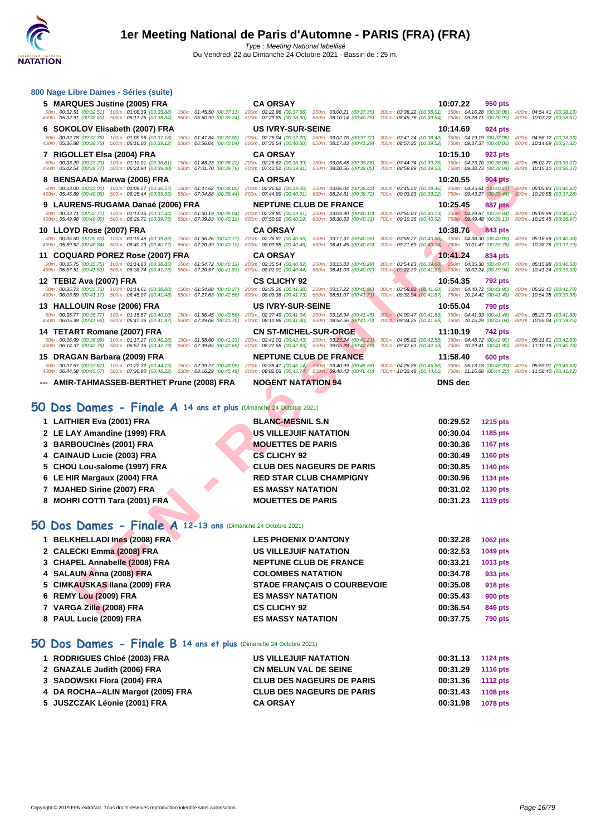Du Vendredi 22 au Dimanche 24 Octobre 2021 - Bassin de : 25 m.

| 800 Nage Libre Dames - Séries (suite)                                                                                                                                                                                                                                 |                                                                                                                                                                                                                                                                        |                                                                                                                                                                                                                                                                                                                                                                                                                                                   |
|-----------------------------------------------------------------------------------------------------------------------------------------------------------------------------------------------------------------------------------------------------------------------|------------------------------------------------------------------------------------------------------------------------------------------------------------------------------------------------------------------------------------------------------------------------|---------------------------------------------------------------------------------------------------------------------------------------------------------------------------------------------------------------------------------------------------------------------------------------------------------------------------------------------------------------------------------------------------------------------------------------------------|
| 5 MARQUES Justine (2005) FRA                                                                                                                                                                                                                                          | <b>CA ORSAY</b>                                                                                                                                                                                                                                                        | 10:07.22<br>950 pts                                                                                                                                                                                                                                                                                                                                                                                                                               |
| 50m: 00:32.51 (00:32.51) 100m: 01:08.39 (00:35.88)<br>450m: 05:32.91 (00:38.50) 500m: 06:11.75 (00:38.84)                                                                                                                                                             | 150m: 01:45.50 (00:37.11) 200m: 02:22.86 (00:37.36) 250m: 03:00.21 (00:37.35) 300m: 03:38.22 (00:38.01) 350m: 04:16.28 (00:38.06)<br>550m: 06:50.99 (00:39.24) 600m: 07:29.89 (00:38.90) 650m: 08:10.14 (00:40.25) 700m: 08:49.78 (00:39.64) 750m: 09:28.71 (00:38.93) | 400m: 04:54.41 (00:38.13)<br>800m: 10:07.22 (00:38.51)                                                                                                                                                                                                                                                                                                                                                                                            |
| 6 SOKOLOV Elisabeth (2007) FRA                                                                                                                                                                                                                                        | <b>US IVRY-SUR-SEINE</b>                                                                                                                                                                                                                                               | 10:14.69<br>924 pts                                                                                                                                                                                                                                                                                                                                                                                                                               |
| 50m: 00:32.78 (00:32.78) 100m: 01:09.96 (00:37.18)<br>450m : 05:36.88 (00:38.76) 500m : 06:16.00 (00:39.12) 550m : 06:56.04 (00:40.04) 600m : 07:36.54 (00:40.50) 650m : 08:17.83 (00:41.29)                                                                          | 150m: 01:47.84 (00:37.88) 200m: 02:25.04 (00:37.20) 250m: 03:02.76 (00:37.72)                                                                                                                                                                                          | 300m: 03:41.24 (00:38.48) 350m: 04:19.19 (00:37.95)<br>400m: 04:58.12 (00:38.93)<br>700m: 08:57.35 (00:39.52) 750m: 09:37.37 (00:40.02)<br>800m: 10:14.69 (00:37.32)                                                                                                                                                                                                                                                                              |
| 7 RIGOLLET Elsa (2004) FRA                                                                                                                                                                                                                                            | <b>CA ORSAY</b>                                                                                                                                                                                                                                                        | 10:15.10<br>923 pts                                                                                                                                                                                                                                                                                                                                                                                                                               |
| 50m : 00:33.20 (00:33.20) 100m : 01:10.01 (00:36.81) 150m : 01:48.23 (00:38.22) 200m : 02:26.62 (00:38.39)<br>450m: 05:42.54 (00:39.77) 500m: 06:21.94 (00:39.40) 550m: 07:01.70 (00:39.76)                                                                           | 250m: 03:05.48 (00:38.86)<br>600m: 07:41.51 (00:39.81) 650m: 08:20.56 (00:39.05)                                                                                                                                                                                       | 300m: 03:44.74 (00:39.26) 350m: 04:23.70 (00:38.96)<br>400m: 05:02.77 (00:39.07)<br>700m: 08:59.89 (00:39.33) 750m: 09:38.73 (00:38.84)<br>800m: 10:15.10 (00:36.37)                                                                                                                                                                                                                                                                              |
| 8 BENSAADA Marwa (2006) FRA                                                                                                                                                                                                                                           | <b>CA ORSAY</b>                                                                                                                                                                                                                                                        | 10:20.55<br>904 pts                                                                                                                                                                                                                                                                                                                                                                                                                               |
| 50m: 00:33.00 (00:33.00) 100m: 01:09.57 (00:36.57) 150m: 01:47.62 (00:38.05) 200m: 02:26.62 (00:39.00) 250m: 03:06.04 (00:39.42)                                                                                                                                      |                                                                                                                                                                                                                                                                        | 300m: 03:45.50 (00:39.46) 350m: 04:25.61 (00:40.11) 400m: 05:05.83 (00:40.22)<br>450m : 05:45.89 (00:40.06) 500m : 06:25.44 (00:39.55) 550m : 07:04.88 (00:39.44) 600m : 07:44.89 (00:49.01) 650m : 08:24.61 (00:39.72) 700m : 09:03.83 (00:39.22) 750m : 09:43.27 (00:39.44) 800m : 10:20.55 (00:37.28)                                                                                                                                          |
| 9 LAURENS-RUGAMA Danaé (2006) FRA                                                                                                                                                                                                                                     | <b>NEPTUNE CLUB DE FRANCE</b>                                                                                                                                                                                                                                          | 10:25.45<br>887 pts                                                                                                                                                                                                                                                                                                                                                                                                                               |
|                                                                                                                                                                                                                                                                       |                                                                                                                                                                                                                                                                        | 50m: 00:33.71 (00:33.71) 100m: 01:11.15 (00:37.44) 150m: 01:50.19 (00:39.04) 200m: 02:29.80 (00:39.61) 250m: 03:09.90 (00:40.10) 300m: 03:050.03 (00:40.13) 350m: 04:29.87 (00:39.84) 400m: 05:09.98 (00:40.11)<br>450m : 05:49.98 (00:40.00) 500m : 06:29.71 (00:39.73) 550m : 07:09.83 (00:40.12) 600m : 07:50.02 (00:40.19) 650m : 08:30.33 (00:40.31) 700m : 09:10.35 (00:40.02) 750m : 09:49.48 (00:39.13) 800m : 10:25.45 (00:35.97)        |
| 10 LLOYD Rose (2007) FRA                                                                                                                                                                                                                                              | <b>CA ORSAY</b>                                                                                                                                                                                                                                                        | 10:38.76<br>843 pts                                                                                                                                                                                                                                                                                                                                                                                                                               |
|                                                                                                                                                                                                                                                                       |                                                                                                                                                                                                                                                                        | 50m : 00:35.60 (00:35.60) 100m : 01:15.49 (00:39.89) 150m : 01:56.26 (00:40.77) 200m : 02:36.81 (00:40.55) 250m : 03:17.37 (00:40.56) 300m : 03:58.27 (00:40.90) 350m : 04:38.30 (00:40.03) 400m : 05:18.68 (00:40.38)<br>450m : 05:59.52 (00:40.84) 500m : 06:40.29 (00:40.77) 550m : 07:20.39 (00:40.10) 600m : 08:00.85 (00:40.46) 650m : 08:41.45 (00:40.60) 700m : 09:21.69 (00:40.24) 750m : 10:01.47 (00:39.78) 800m : 10:38.76 (00:37.29) |
| 11 COQUARD POREZ Rose (2007) FRA                                                                                                                                                                                                                                      | <b>CA ORSAY</b>                                                                                                                                                                                                                                                        | 10:41.24<br>834 pts                                                                                                                                                                                                                                                                                                                                                                                                                               |
| 50m: 00:35.75 (00:35.75) 100m: 01:14.60 (00:38.85) 150m: 01:54.72 (00:40.12) 200m: 02:35.54 (00:40.82) 250m: 03:15.83 (00:40.29)<br>450m: 05:57.51 (00:41.53) 500m: 06:38.74 (00:41.23) 550m: 07:20.57 (00:41.83)                                                     | 600m: 08:01.01 (00:40.44) 650m: 08:41.03 (00:40.02)                                                                                                                                                                                                                    | 300m; 03:54.83 (00:39.00) 350m: 04:35.30 (00:40.47) 400m: 05:15.98 (00:40.68)<br>700m: 09:22.30 (00:41.27) 750m: 10:02.24 (00:39.94) 800m: 10:41.24 (00:39.00)                                                                                                                                                                                                                                                                                    |
| 12 TEBIZ Ava (2007) FRA                                                                                                                                                                                                                                               | <b>CS CLICHY 92</b>                                                                                                                                                                                                                                                    | 10:54.35<br><b>792 pts</b>                                                                                                                                                                                                                                                                                                                                                                                                                        |
| 450m: 06:03.59 (00:41.17) 500m: 06:45.07 (00:41.48) 550m: 07:27.63 (00:42.56) 600m: 08:09.36 (00:41.73) 650m: 08:51.07 (00:41.71) 700m: 09:32.94 (00:41.87) 750m: 10:14.42 (00:41.84)                                                                                 |                                                                                                                                                                                                                                                                        | 50m: 00:35.73 (00:35.73) 100m: 01:14.61 (00:38.88) 150m: 01:54.88 (00:40.27) 200m: 02:36.26 (00:41.38) 250m: 03:17.22 (00:40.96) 300m: 03:58,82 (00:41.60) 350m: 04:40.72 (00:41.90) 400m: 05:22.42 (00:41.70)<br>800m: 10:54.35 (00:39.93)                                                                                                                                                                                                       |
| 13 HALLOUIN Rose (2006) FRA                                                                                                                                                                                                                                           | <b>US IVRY-SUR-SEINE</b>                                                                                                                                                                                                                                               | 10:55.04<br>790 pts                                                                                                                                                                                                                                                                                                                                                                                                                               |
| 50m: 00:35.77 (00:35.77) 100m: 01:15.87 (00:40.10) 150m: 01:56.45 (00:40.58) 200m: 02:37.49 (00:41.04) 250m: 03:18.94 (00:41.45)<br>450m: 06:05.39 (00:41.66) 500m: 06:47.36 (00:41.97) 550m: 07:29.06 (00:41.70) 600m: 08:10.86 (00:41.80) 650m: 08:52.56 (00:41.70) |                                                                                                                                                                                                                                                                        | 300m: 04:00.47 (00:41.53) 350m: 04:41.93 (00:41.46)<br>400m: 05:23.73 (00:41.80)<br>700m : 09:34.25 (00:41.69) 750m : 10:15.29 (00:41.04)<br>800m: 10:55.04 (00:39.75)                                                                                                                                                                                                                                                                            |
| 14 TETART Romane (2007) FRA                                                                                                                                                                                                                                           | <b>CN ST-MICHEL-SUR-ORGE</b>                                                                                                                                                                                                                                           | 11:10.19<br>742 pts                                                                                                                                                                                                                                                                                                                                                                                                                               |
| 50m: 00:36.99 (00:36.99) 100m: 01:17.27 (00:40.28) 150m: 01:58.60 (00:41.33) 200m: 02:41.03 (00:42.43) 250m: 03:23.24 (00:42.21)                                                                                                                                      |                                                                                                                                                                                                                                                                        | 300m: 04:05.82 (00:42.58) 350m: 04:48.72 (00:42.90)<br>400m: 05:31.61 (00:42.89)                                                                                                                                                                                                                                                                                                                                                                  |
|                                                                                                                                                                                                                                                                       |                                                                                                                                                                                                                                                                        |                                                                                                                                                                                                                                                                                                                                                                                                                                                   |
| 450m: 06:14.37 (00:42.76) 500m: 06:57.16 (00:42.79)<br>550m: 07:39.85 (00:42.69)                                                                                                                                                                                      | 600m: 08:22.68 (00:42.83) 650m: 09:05.28 (00:42.60)                                                                                                                                                                                                                    | 700m: 09:47.61 (00:42.33) 750m: 10:29.41 (00:41.80)<br>800m: 11:10.19 (00:40.78)                                                                                                                                                                                                                                                                                                                                                                  |
| 15 DRAGAN Barbara (2009) FRA<br>50m: 00:37.57 (00:37.57) 100m: 01:22.32 (00:44.75)                                                                                                                                                                                    | <b>NEPTUNE CLUB DE FRANCE</b><br>150m: 02:09.27 (00:46.95)                                                                                                                                                                                                             | 11:58.40<br>600 pts<br>300m: 04:26.85 (00:45.86) 350m: 05:13.18 (00:46.33)<br>400m: 05:59.01 (00:45.83)                                                                                                                                                                                                                                                                                                                                           |
| 450m: 06:44.58 (00:45.57) 500m: 07:30.80 (00:46.22)                                                                                                                                                                                                                   | $200m$ : 02:55.41 (00:46.14) $250m$ : 03:40.99 (00:45.58)<br>600m: 09:02.03 (00:45.74) 650m: 09:48.43 (00:46.40)<br>550m: 08:16.29 (00:45.49)                                                                                                                          | 700m: 10:32.48 (00:44.05) 750m: 11:16.68 (00:44.20)<br>800m: 11:58.40 (00:41.72)                                                                                                                                                                                                                                                                                                                                                                  |
| --- AMIR-TAHMASSEB-BERTHET Prune (2008) FRA                                                                                                                                                                                                                           | <b>NOGENT NATATION 94</b>                                                                                                                                                                                                                                              | <b>DNS</b> dec                                                                                                                                                                                                                                                                                                                                                                                                                                    |
|                                                                                                                                                                                                                                                                       |                                                                                                                                                                                                                                                                        |                                                                                                                                                                                                                                                                                                                                                                                                                                                   |
| 50 Dos Dames - Finale A 14 ans et plus (Dimanche 24 Octobre 2021)                                                                                                                                                                                                     |                                                                                                                                                                                                                                                                        |                                                                                                                                                                                                                                                                                                                                                                                                                                                   |
| 1 LAITHIER Eva (2001) FRA                                                                                                                                                                                                                                             | <b>BLANC-MESNIL S.N</b>                                                                                                                                                                                                                                                | 00:29.52<br><b>1215 pts</b>                                                                                                                                                                                                                                                                                                                                                                                                                       |
| 2 LE LAY Amandine (1999) FRA                                                                                                                                                                                                                                          | US VILLEJUIF NATATION                                                                                                                                                                                                                                                  | 00:30.04<br>1185 pts                                                                                                                                                                                                                                                                                                                                                                                                                              |
| 3 BARBOUCInès (2001) FRA                                                                                                                                                                                                                                              | <b>MOUETTES DE PARIS</b><br><b>CS CLICHY 92</b>                                                                                                                                                                                                                        | 00:30.36<br><b>1167 pts</b><br>00:30.49<br><b>1160 pts</b>                                                                                                                                                                                                                                                                                                                                                                                        |
| 4 CAINAUD Lucie (2003) FRA<br>5 CHOU Lou-salome (1997) FRA                                                                                                                                                                                                            | <b>CLUB DES NAGEURS DE PARIS</b>                                                                                                                                                                                                                                       | 00:30.85<br><b>1140 pts</b>                                                                                                                                                                                                                                                                                                                                                                                                                       |
| 6 LE HIR Margaux (2004) FRA                                                                                                                                                                                                                                           | <b>RED STAR CLUB CHAMPIGNY</b>                                                                                                                                                                                                                                         | 00:30.96<br>1134 pts                                                                                                                                                                                                                                                                                                                                                                                                                              |
| 7 MJAHED Sirine (2007) FRA                                                                                                                                                                                                                                            | <b>ES MASSY NATATION</b>                                                                                                                                                                                                                                               | 00:31.02<br><b>1130 pts</b>                                                                                                                                                                                                                                                                                                                                                                                                                       |
| 8 MOHRI COTTI Tara (2001) FRA                                                                                                                                                                                                                                         | <b>MOUETTES DE PARIS</b>                                                                                                                                                                                                                                               | 00:31.23<br><b>1119 pts</b>                                                                                                                                                                                                                                                                                                                                                                                                                       |
|                                                                                                                                                                                                                                                                       |                                                                                                                                                                                                                                                                        |                                                                                                                                                                                                                                                                                                                                                                                                                                                   |
| 50 Dos Dames - Finale A 12-13 ans (Dimanche 24 Octobre 2021)                                                                                                                                                                                                          |                                                                                                                                                                                                                                                                        |                                                                                                                                                                                                                                                                                                                                                                                                                                                   |
| 1 BELKHELLADI Ines (2008) FRA                                                                                                                                                                                                                                         | <b>LES PHOENIX D'ANTONY</b>                                                                                                                                                                                                                                            | 00:32.28<br>1062 pts                                                                                                                                                                                                                                                                                                                                                                                                                              |
| 2 CALECKI Emma (2008) FRA                                                                                                                                                                                                                                             | US VILLEJUIF NATATION                                                                                                                                                                                                                                                  | 00:32.53<br>1049 pts                                                                                                                                                                                                                                                                                                                                                                                                                              |
| 3 CHAPEL Annabelle (2008) FRA                                                                                                                                                                                                                                         | <b>NEPTUNE CLUB DE FRANCE</b>                                                                                                                                                                                                                                          | 00:33.21<br>1013 pts                                                                                                                                                                                                                                                                                                                                                                                                                              |
| 4 SALAUN Anna (2008) FRA                                                                                                                                                                                                                                              | <b>COLOMBES NATATION</b>                                                                                                                                                                                                                                               | 00:34.78<br>933 pts                                                                                                                                                                                                                                                                                                                                                                                                                               |
| 5 CIMKAUSKAS Ilana (2009) FRA                                                                                                                                                                                                                                         | <b>STADE FRANÇAIS O COURBEVOIE</b>                                                                                                                                                                                                                                     | 00:35.08<br>918 pts                                                                                                                                                                                                                                                                                                                                                                                                                               |
| 6 REMY Lou (2009) FRA<br>7 VARGA Zille (2008) FRA                                                                                                                                                                                                                     | <b>ES MASSY NATATION</b><br><b>CS CLICHY 92</b>                                                                                                                                                                                                                        | 00:35.43<br>900 pts<br>00:36.54<br>846 pts                                                                                                                                                                                                                                                                                                                                                                                                        |

# **50 Dos Dames - Finale A 14 ans et plus** (Dimanche 24 Octobre 2021)

| 1 LAITHIER Eva (2001) FRA     | <b>BLANC-MESNIL S.N</b>          | 00:29.52 | <b>1215 pts</b> |
|-------------------------------|----------------------------------|----------|-----------------|
| 2 LE LAY Amandine (1999) FRA  | <b>US VILLEJUIF NATATION</b>     | 00:30.04 | 1185 pts        |
| 3 BARBOUCInès (2001) FRA      | <b>MOUETTES DE PARIS</b>         | 00:30.36 | <b>1167 pts</b> |
| 4 CAINAUD Lucie (2003) FRA    | <b>CS CLICHY 92</b>              | 00:30.49 | <b>1160 pts</b> |
| 5 CHOU Lou-salome (1997) FRA  | <b>CLUB DES NAGEURS DE PARIS</b> | 00:30.85 | 1140 pts        |
| 6 LE HIR Margaux (2004) FRA   | <b>RED STAR CLUB CHAMPIGNY</b>   | 00:30.96 | 1134 pts        |
| 7 MJAHED Sirine (2007) FRA    | <b>ES MASSY NATATION</b>         | 00:31.02 | 1130 pts        |
| 8 MOHRI COTTI Tara (2001) FRA | <b>MOUETTES DE PARIS</b>         | 00:31.23 | <b>1119 pts</b> |

### **50 Dos Dames - Finale A 12-13 ans** (Dimanche 24 Octobre 2021)

| 1 BELKHELLADI Ines (2008) FRA | <b>LES PHOENIX D'ANTONY</b>        | 00:32.28 | 1062 pts       |
|-------------------------------|------------------------------------|----------|----------------|
| 2 CALECKI Emma (2008) FRA     | <b>US VILLEJUIF NATATION</b>       | 00:32.53 | 1049 pts       |
| 3 CHAPEL Annabelle (2008) FRA | <b>NEPTUNE CLUB DE FRANCE</b>      | 00:33.21 | 1013 pts       |
| 4 SALAUN Anna (2008) FRA      | <b>COLOMBES NATATION</b>           | 00:34.78 | 933 pts        |
| 5 CIMKAUSKAS Ilana (2009) FRA | <b>STADE FRANCAIS O COURBEVOIE</b> | 00:35.08 | 918 pts        |
| 6 REMY Lou (2009) FRA         | <b>ES MASSY NATATION</b>           | 00:35.43 | 900 pts        |
| 7 VARGA Zille (2008) FRA      | <b>CS CLICHY 92</b>                | 00:36.54 | 846 pts        |
| 8 PAUL Lucie (2009) FRA       | <b>ES MASSY NATATION</b>           | 00:37.75 | <b>790 pts</b> |
|                               |                                    |          |                |

### **50 Dos Dames - Finale B 14 ans et plus** (Dimanche 24 Octobre 2021)

| 1 RODRIGUES Chloé (2003) FRA       | <b>US VILLEJUIF NATATION</b>     | 00:31.13 | 1124 pts        |
|------------------------------------|----------------------------------|----------|-----------------|
| 2 GNAZALE Judith (2006) FRA        | <b>CN MELUN VAL DE SEINE</b>     | 00:31.29 | <b>1116 pts</b> |
| 3 SADOWSKI Flora (2004) FRA        | <b>CLUB DES NAGEURS DE PARIS</b> | 00:31.36 | <b>1112 pts</b> |
| 4 DA ROCHA--ALIN Margot (2005) FRA | <b>CLUB DES NAGEURS DE PARIS</b> | 00:31.43 | 1108 pts        |
| 5 JUSZCZAK Léonie (2001) FRA       | <b>CA ORSAY</b>                  | 00:31.98 | <b>1078 pts</b> |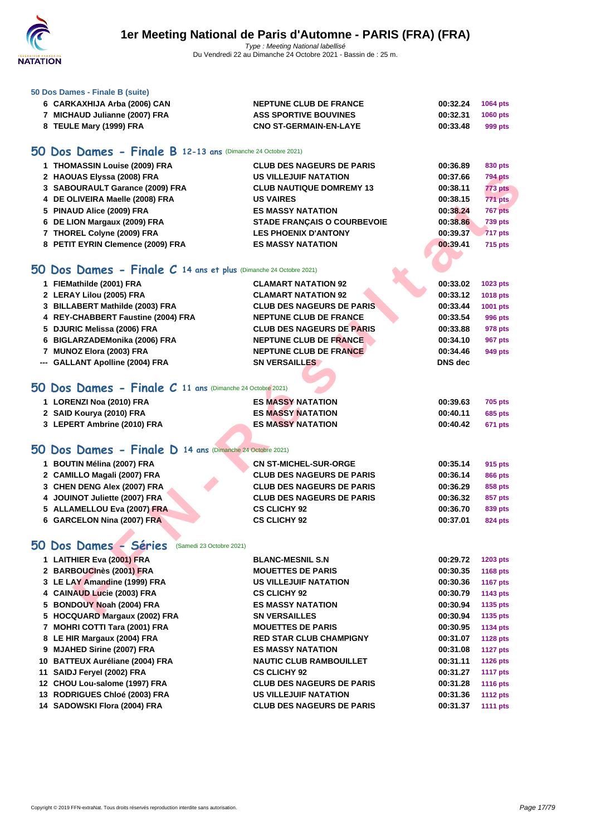

#### **[50 Dos D](http://www.ffnatation.fr/webffn/index.php)ames - Finale B (suite)**

| 6 CARKAXHIJA Arba (2006) CAN | <b>NEPTUNE CLUB DE FRANCE</b> | 00:32.24          | 1064 pts |
|------------------------------|-------------------------------|-------------------|----------|
| MICHAUD Julianne (2007) FRA  | <b>ASS SPORTIVE BOUVINES</b>  | 00:32.31 1060 pts |          |
| 8 TEULE Mary (1999) FRA      | <b>CNO ST-GERMAIN-EN-LAYE</b> | 00:33.48          | 999 pts  |

## **50 Dos Dames - Finale B 12-13 ans** (Dimanche 24 Octobre 2021)

| 1 THOMASSIN Louise (2009) FRA     | <b>CLUB DES NAGEURS DE PARIS</b>   | 00:36.89<br>830 pts        |
|-----------------------------------|------------------------------------|----------------------------|
| 2 HAOUAS Elyssa (2008) FRA        | <b>US VILLEJUIF NATATION</b>       | <b>794 pts</b><br>00:37.66 |
| 3 SABOURAULT Garance (2009) FRA   | <b>CLUB NAUTIQUE DOMREMY 13</b>    | <b>773 pts</b><br>00:38.11 |
| 4 DE OLIVEIRA Maelle (2008) FRA   | <b>US VAIRES</b>                   | <b>771 pts</b><br>00:38.15 |
| 5 PINAUD Alice (2009) FRA         | <b>ES MASSY NATATION</b>           | 00:38.24<br><b>767 pts</b> |
| 6 DE LION Margaux (2009) FRA      | <b>STADE FRANCAIS O COURBEVOIE</b> | <b>739 pts</b><br>00:38.86 |
| 7 THOREL Colyne (2009) FRA        | <b>LES PHOENIX D'ANTONY</b>        | <b>717 pts</b><br>00:39.37 |
| 8 PETIT EYRIN Clemence (2009) FRA | <b>ES MASSY NATATION</b>           | 715 pts<br>00:39.41        |

#### **50 Dos Dames - Finale C 14 ans et plus** (Dimanche 24 Octobre 2021)

| 2 HAOUAS Elyssa (2008) FRA                                          | <b>US VILLEJUIF NATATION</b>       | 00:37.66       | <b>794 pts</b>  |
|---------------------------------------------------------------------|------------------------------------|----------------|-----------------|
| 3 SABOURAULT Garance (2009) FRA                                     | <b>CLUB NAUTIQUE DOMREMY 13</b>    | 00:38.11       | 773 pts         |
| 4 DE OLIVEIRA Maelle (2008) FRA                                     | <b>US VAIRES</b>                   | 00:38.15       | 771 pts         |
| 5 PINAUD Alice (2009) FRA                                           | <b>ES MASSY NATATION</b>           | 00:38.24       | 767 pts         |
| 6 DE LION Margaux (2009) FRA                                        | <b>STADE FRANÇAIS O COURBEVOIE</b> | 00:38.86       | <b>739 pts</b>  |
| 7 THOREL Colyne (2009) FRA                                          | <b>LES PHOENIX D'ANTONY</b>        | 00:39.37       | <b>717 pts</b>  |
| 8 PETIT EYRIN Clemence (2009) FRA                                   | <b>ES MASSY NATATION</b>           | 00:39.41       | <b>715 pts</b>  |
|                                                                     |                                    |                |                 |
| 50 Dos Dames - Finale $C$ 14 ans et plus (Dimanche 24 Octobre 2021) |                                    |                |                 |
| 1 FIEMathilde (2001) FRA                                            | <b>CLAMART NATATION 92</b>         | 00:33.02       | 1023 pts        |
| 2 LERAY Lilou (2005) FRA                                            | <b>CLAMART NATATION 92</b>         | 00:33.12       | <b>1018 pts</b> |
| 3 BILLABERT Mathilde (2003) FRA                                     | <b>CLUB DES NAGEURS DE PARIS</b>   | 00:33.44       | 1001 pts        |
| 4 REY-CHABBERT Faustine (2004) FRA                                  | <b>NEPTUNE CLUB DE FRANCE</b>      | 00:33.54       | <b>996 pts</b>  |
| 5 DJURIC Melissa (2006) FRA                                         | <b>CLUB DES NAGEURS DE PARIS</b>   | 00:33.88       | <b>978 pts</b>  |
| 6 BIGLARZADEMonika (2006) FRA                                       | <b>NEPTUNE CLUB DE FRANCE</b>      | 00:34.10       | 967 pts         |
| 7 MUNOZ Elora (2003) FRA                                            | <b>NEPTUNE CLUB DE FRANCE</b>      | 00:34.46       | 949 pts         |
| --- GALLANT Apolline (2004) FRA                                     | <b>SN VERSAILLES</b>               | <b>DNS</b> dec |                 |
|                                                                     |                                    |                |                 |
| 50 Dos Dames - Finale C 11 ans (Dimanche 24 Octobré 2021)           |                                    |                |                 |
|                                                                     |                                    |                |                 |
| 1 LORENZI Noa (2010) FRA                                            | <b>ES MASSY NATATION</b>           | 00:39.63       | <b>705 pts</b>  |
| 2 SAID Kourya (2010) FRA                                            | <b>ES MASSY NATATION</b>           | 00:40.11       | <b>685 pts</b>  |
| 3 LEPERT Ambrine (2010) FRA                                         | <b>ES MASSY NATATION</b>           | 00:40.42       | 671 pts         |
|                                                                     |                                    |                |                 |
| 50 Dos Dames - Finale D 14 ans (Dimanche 24 Octobre 2021)           |                                    |                |                 |
| 1 BOUTIN Mélina (2007) FRA                                          | <b>CN ST-MICHEL-SUR-ORGE</b>       | 00:35.14       | 915 pts         |
| 2 CAMILLO Magali (2007) FRA                                         | <b>CLUB DES NAGEURS DE PARIS</b>   | 00:36.14       | <b>866 pts</b>  |
| 3 CHEN DENG Alex (2007) FRA                                         | <b>CLUB DES NAGEURS DE PARIS</b>   | 00:36.29       | 858 pts         |
| 4 JOUINOT Juliette (2007) FRA                                       | <b>CLUB DES NAGEURS DE PARIS</b>   | 00:36.32       | 857 pts         |
| 5 ALLAMELLOU Eva (2007) FRA                                         | <b>CS CLICHY 92</b>                | 00:36.70       | 839 pts         |
| 6 GARCELON Nina (2007) FRA                                          | <b>CS CLICHY 92</b>                | 00:37.01       | <b>824 pts</b>  |
|                                                                     |                                    |                |                 |
| 50 Dos Dames - Séries<br>(Samedi 23 Octobre 2021)                   |                                    |                |                 |
| 1 LAITHIER Eva (2001) FRA                                           | <b>BLANC-MESNIL S.N</b>            | 00:29.72       | 1203 pts        |
| 2 BARBOUCInès (2001) FRA                                            | <b>MOUETTES DE PARIS</b>           | 00:30.35       | 1168 pts        |
| 3 LE LAY Amandine (1999) FRA                                        | <b>US VILLEJUIF NATATION</b>       | 00:30.36       | <b>1167 pts</b> |
| 4 CAINAUD Lucie (2003) FRA                                          | <b>CS CLICHY 92</b>                | 00:30.79       | 1143 pts        |
| 5 BONDOUY Noah (2004) FRA                                           | <b>ES MASSY NATATION</b>           | 00:30.94       | 1135 pts        |
| 5 HOCQUARD Margaux (2002) FRA                                       | <b>SN VERSAILLES</b>               | 00:30.94       | 1135 pts        |
| 7 MOHRI COTTI Tara (2001) FRA                                       | <b>MOUETTES DE PARIS</b>           | 00:30.95       | <b>1134 pts</b> |
| 8 LE HIR Margaux (2004) FRA                                         | <b>RED STAR CLUB CHAMPIGNY</b>     | 00:31.07       | <b>1128 pts</b> |
| 9 MJAHED Sirine (2007) FRA                                          | <b>ES MASSY NATATION</b>           | 00:31.08       | <b>1127 pts</b> |
| 10 BATTEUX Auréliane (2004) FRA                                     | <b>NAUTIC CLUB RAMBOUILLET</b>     | 00:31.11       | <b>1126 pts</b> |
| 11 SAIDJ Feryel (2002) FRA                                          | <b>CS CLICHY 92</b>                | 00:31.27       | <b>1117 pts</b> |
| 12 CHOU Lou-salome (1997) FRA                                       | <b>CLUB DES NAGEURS DE PARIS</b>   | 00:31.28       | <b>1116 pts</b> |

 **CHOU Lou-salome (1997) FRA CLUB DES NAGEURS DE PARIS 00:31.28 1116 pts RODRIGUES Chloé (2003) FRA US VILLEJUIF NATATION 00:31.36 1112 pts SADOWSKI Flora (2004) FRA CLUB DES NAGEURS DE PARIS 00:31.37 1111 pts**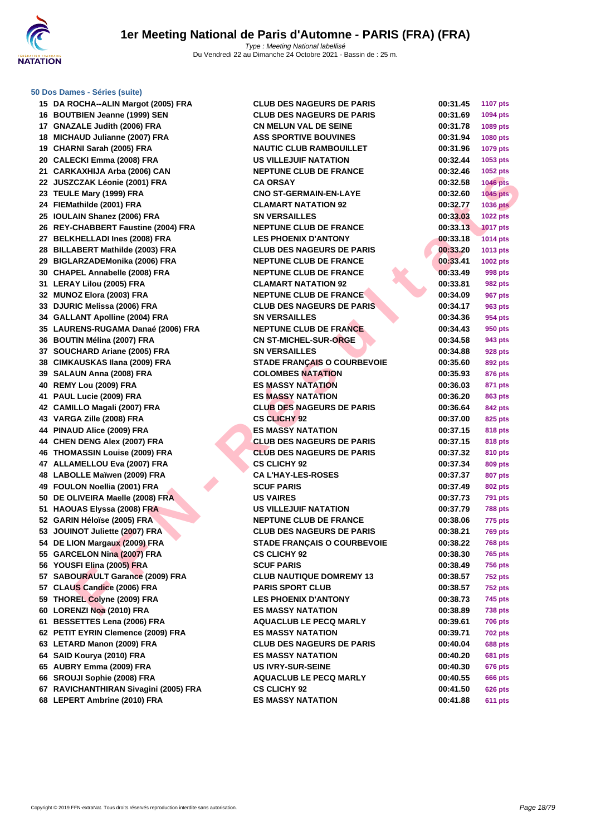

| 15 DA ROCHA--ALIN Margot (2005) FRA                     | <b>CLUB DES NAGEURS DE PARIS</b>   | 00:31.45             | <b>1107 pts</b>                  |
|---------------------------------------------------------|------------------------------------|----------------------|----------------------------------|
| 16 BOUTBIEN Jeanne (1999) SEN                           | <b>CLUB DES NAGEURS DE PARIS</b>   | 00:31.69             | 1094 pts                         |
| 17 GNAZALE Judith (2006) FRA                            | <b>CN MELUN VAL DE SEINE</b>       | 00:31.78             | 1089 pts                         |
| 18 MICHAUD Julianne (2007) FRA                          | <b>ASS SPORTIVE BOUVINES</b>       | 00:31.94             | 1080 pts                         |
| 19 CHARNI Sarah (2005) FRA                              | <b>NAUTIC CLUB RAMBOUILLET</b>     | 00:31.96             | 1079 pts                         |
| 20 CALECKI Emma (2008) FRA                              | US VILLEJUIF NATATION              | 00:32.44             | 1053 pts                         |
| 21 CARKAXHIJA Arba (2006) CAN                           | <b>NEPTUNE CLUB DE FRANCE</b>      | 00:32.46             | 1052 pts                         |
| 22 JUSZCZAK Léonie (2001) FRA                           | <b>CA ORSAY</b>                    | 00:32.58             | <b>1046 pts</b>                  |
| 23 TEULE Mary (1999) FRA                                | <b>CNO ST-GERMAIN-EN-LAYE</b>      | 00:32.60             | $1045$ pts                       |
| 24 FIEMathilde (2001) FRA                               | <b>CLAMART NATATION 92</b>         | 00:32.77             | <b>1036 pts</b>                  |
| 25 IOULAIN Shanez (2006) FRA                            | <b>SN VERSAILLES</b>               | 00:33.03             | <b>1022 pts</b>                  |
| 26 REY-CHABBERT Faustine (2004) FRA                     | <b>NEPTUNE CLUB DE FRANCE</b>      | 00:33.13             | <b>1017 pts</b>                  |
| 27 BELKHELLADI Ines (2008) FRA                          | <b>LES PHOENIX D'ANTONY</b>        | 00:33.18             | <b>1014 pts</b>                  |
| 28 BILLABERT Mathilde (2003) FRA                        | <b>CLUB DES NAGEURS DE PARIS</b>   | 00:33.20             | 1013 pts                         |
| 29 BIGLARZADEMonika (2006) FRA                          | <b>NEPTUNE CLUB DE FRANCE</b>      | 00:33.41             | 1002 pts                         |
| 30 CHAPEL Annabelle (2008) FRA                          | <b>NEPTUNE CLUB DE FRANCE</b>      | 00:33.49             | 998 pts                          |
| 31 LERAY Lilou (2005) FRA                               | <b>CLAMART NATATION 92</b>         | 00:33.81             | 982 pts                          |
| 32 MUNOZ Elora (2003) FRA                               | <b>NEPTUNE CLUB DE FRANCE</b>      | 00:34.09             | 967 pts                          |
| 33 DJURIC Melissa (2006) FRA                            | <b>CLUB DES NAGEURS DE PARIS</b>   | 00:34.17             | 963 pts                          |
| 34 GALLANT Apolline (2004) FRA                          | <b>SN VERSAILLES</b>               | 00:34.36             | 954 pts                          |
| 35 LAURENS-RUGAMA Danaé (2006) FRA                      | <b>NEPTUNE CLUB DE FRANCE</b>      | 00:34.43             | 950 pts                          |
| 36 BOUTIN Mélina (2007) FRA                             | <b>CN ST-MICHEL-SUR-ORGE</b>       | 00:34.58             | 943 pts                          |
| 37 SOUCHARD Ariane (2005) FRA                           | <b>SN VERSAILLES</b>               | 00:34.88             | 928 pts                          |
| 38 CIMKAUSKAS Ilana (2009) FRA                          | <b>STADE FRANÇAIS O COURBEVOIE</b> | 00:35.60             | 892 pts                          |
| 39 SALAUN Anna (2008) FRA                               | <b>COLOMBES NATATION</b>           | 00:35.93             | 876 pts                          |
| 40 REMY Lou (2009) FRA                                  | <b>ES MASSY NATATION</b>           | 00:36.03             | 871 pts                          |
| 41 PAUL Lucie (2009) FRA                                | <b>ES MASSY NATATION</b>           | 00:36.20             | 863 pts                          |
| 42 CAMILLO Magali (2007) FRA                            | <b>CLUB DES NAGEURS DE PARIS</b>   | 00:36.64             | 842 pts                          |
| 43 VARGA Zille (2008) FRA                               | <b>CS CLICHY 92</b>                | 00:37.00             | 825 pts                          |
| 44 PINAUD Alice (2009) FRA                              | <b>ES MASSY NATATION</b>           | 00:37.15             | 818 pts                          |
| 44 CHEN DENG Alex (2007) FRA                            | <b>CLUB DES NAGEURS DE PARIS</b>   | 00:37.15             | 818 pts                          |
| 46 THOMASSIN Louise (2009) FRA                          | <b>CLUB DES NAGEURS DE PARIS</b>   | 00:37.32             | 810 pts                          |
| 47 ALLAMELLOU Eva (2007) FRA                            | <b>CS CLICHY 92</b>                | 00:37.34             | 809 pts                          |
| 48 LABOLLE Maïwen (2009) FRA                            | <b>CA L'HAY-LES-ROSES</b>          | 00:37.37             | 807 pts                          |
| 49 FOULON Noellia (2001) FRA                            | <b>SCUF PARIS</b>                  | 00:37.49             | 802 pts                          |
| 50 DE OLIVEIRA Maelle (2008) FRA                        | <b>US VAIRES</b>                   | 00:37.73             |                                  |
| 51 HAOUAS Elyssa (2008) FRA                             | <b>US VILLEJUIF NATATION</b>       | 00:37.79             | <b>791 pts</b><br><b>788 pts</b> |
| 52 GARIN Héloïse (2005) FRA                             | <b>NEPTUNE CLUB DE FRANCE</b>      | 00:38.06             | 775 pts                          |
| 53 JOUINOT Juliette (2007) FRA                          | <b>CLUB DES NAGEURS DE PARIS</b>   | 00:38.21             | <b>769 pts</b>                   |
| 54 DE LION Margaux (2009) FRA                           | <b>STADE FRANCAIS O COURBEVOIE</b> | 00:38.22             | <b>768 pts</b>                   |
| 55 GARCELON Nina (2007) FRA                             | <b>CS CLICHY 92</b>                | 00:38.30             | 765 pts                          |
| 56 YOUSFI Elina (2005) FRA                              | <b>SCUF PARIS</b>                  | 00:38.49             | <b>756 pts</b>                   |
| 57 SABOURAULT Garance (2009) FRA                        | <b>CLUB NAUTIQUE DOMREMY 13</b>    |                      | <b>752 pts</b>                   |
| 57 CLAUS Candice (2006) FRA                             | <b>PARIS SPORT CLUB</b>            | 00:38.57<br>00:38.57 | <b>752 pts</b>                   |
| 59 THOREL Colyne (2009) FRA                             | <b>LES PHOENIX D'ANTONY</b>        | 00:38.73             |                                  |
| 60 LORENZI Noa (2010) FRA                               | <b>ES MASSY NATATION</b>           |                      | 745 pts                          |
|                                                         |                                    | 00:38.89<br>00:39.61 | <b>738 pts</b>                   |
| 61 BESSETTES Lena (2006) FRA                            | <b>AQUACLUB LE PECQ MARLY</b>      |                      | <b>706 pts</b>                   |
| 62 PETIT EYRIN Clemence (2009) FRA                      | <b>ES MASSY NATATION</b>           | 00:39.71             | <b>702 pts</b>                   |
| 63 LETARD Manon (2009) FRA<br>64 SAID Kourya (2010) FRA | <b>CLUB DES NAGEURS DE PARIS</b>   | 00:40.04             | <b>688 pts</b>                   |
|                                                         | <b>ES MASSY NATATION</b>           | 00:40.20             | <b>681 pts</b>                   |
| 65 AUBRY Emma (2009) FRA                                | <b>US IVRY-SUR-SEINE</b>           | 00:40.30             | 676 pts                          |
| 66 SROUJI Sophie (2008) FRA                             | <b>AQUACLUB LE PECQ MARLY</b>      | 00:40.55             | 666 pts                          |
| 67 RAVICHANTHIRAN Sivagini (2005) FRA                   | <b>CS CLICHY 92</b>                | 00:41.50             | <b>626 pts</b>                   |
| 68 LEPERT Ambrine (2010) FRA                            | <b>ES MASSY NATATION</b>           | 00:41.88             | <b>611 pts</b>                   |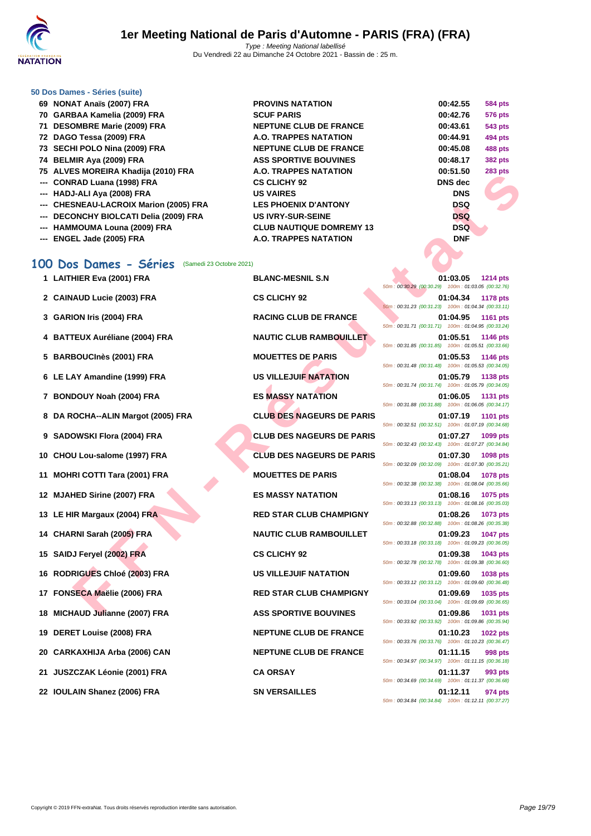

| 69 NONAT Anaïs (2007) FRA              | <b>PROVINS NATATION</b>         | 00:42.55       | <b>584 pts</b> |
|----------------------------------------|---------------------------------|----------------|----------------|
| 70 GARBAA Kamelia (2009) FRA           | <b>SCUF PARIS</b>               | 00:42.76       | <b>576 pts</b> |
| 71 DESOMBRE Marie (2009) FRA           | <b>NEPTUNE CLUB DE FRANCE</b>   | 00:43.61       | <b>543 pts</b> |
| 72 DAGO Tessa (2009) FRA               | A.O. TRAPPES NATATION           | 00:44.91       | 494 pts        |
| 73 SECHI POLO Nina (2009) FRA          | <b>NEPTUNE CLUB DE FRANCE</b>   | 00:45.08       | <b>488 pts</b> |
| 74 BELMIR Aya (2009) FRA               | <b>ASS SPORTIVE BOUVINES</b>    | 00:48.17       | <b>382 pts</b> |
| 75 ALVES MOREIRA Khadija (2010) FRA    | A.O. TRAPPES NATATION           | 00:51.50       | <b>283 pts</b> |
| --- CONRAD Luana (1998) FRA            | <b>CS CLICHY 92</b>             | <b>DNS</b> dec |                |
| --- HADJ-ALI Aya (2008) FRA            | <b>US VAIRES</b>                | <b>DNS</b>     |                |
| --- CHESNEAU-LACROIX Marion (2005) FRA | <b>LES PHOENIX D'ANTONY</b>     | <b>DSQ</b>     |                |
| --- DECONCHY BIOLCATI Delia (2009) FRA | <b>US IVRY-SUR-SEINE</b>        | <b>DSQ</b>     |                |
| --- HAMMOUMA Louna (2009) FRA          | <b>CLUB NAUTIQUE DOMREMY 13</b> | <b>DSQ</b>     |                |
| --- ENGEL Jade (2005) FRA              | <b>A.O. TRAPPES NATATION</b>    | <b>DNF</b>     |                |

### **100 Dos Dames - Séries** (Samedi 23 Octobre 2021)

| 2 CAINAUD Lucie (2003) FRA         | <b>CS CLICHY 92</b>              | 01:04.34<br><b>1178 pts</b><br>50m: 00:31.23 (00:31.23) 100m: 01:04.34 (00:33.11) |
|------------------------------------|----------------------------------|-----------------------------------------------------------------------------------|
| 3 GARION Iris (2004) FRA           | <b>RACING CLUB DE FRANCE</b>     | 01:04.95<br>1161 pts<br>50m: 00:31.71 (00:31.71) 100m: 01:04.95 (00:33.24)        |
| 4 BATTEUX Auréliane (2004) FRA     | <b>NAUTIC CLUB RAMBOUILLET</b>   | 01:05.51<br>1146 pts<br>50m: 00:31.85 (00:31.85) 100m: 01:05.51 (00:33.66)        |
| 5 BARBOUCInès (2001) FRA           | <b>MOUETTES DE PARIS</b>         | 01:05.53<br>1146 pts<br>50m: 00:31.48 (00:31.48) 100m: 01:05.53 (00:34.05)        |
| 6 LE LAY Amandine (1999) FRA       | <b>US VILLEJUIF NATATION</b>     | 01:05.79<br>1138 pts<br>50m: 00:31.74 (00:31.74) 100m: 01:05.79 (00:34.05)        |
| 7 BONDOUY Noah (2004) FRA          | <b>ES MASSY NATATION</b>         | 01:06.05<br><b>1131 pts</b><br>50m: 00:31.88 (00:31.88) 100m: 01:06.05 (00:34.17) |
| 8 DA ROCHA--ALIN Margot (2005) FRA | <b>CLUB DES NAGEURS DE PARIS</b> | 01:07.19<br><b>1101 pts</b><br>50m: 00:32.51 (00:32.51) 100m: 01:07.19 (00:34.68) |

- 
- 
- 

- 
- 
- 
- 
- 
- 
- 
- 
- 
- 

**FAN ALLER IN THE R É SEUDE DE SANCISTES DE PARIS DE PARIS DE PARIS DE PARIS DE PARIS DE PARIS DE PARIS DE PARIS DE PARIS DE PARIS DE PARIS DE PARIS DE PARIS DE PARIS DE PARIS DE PARIS DE PARIS DE PARIS DE PARIS DE PARIS D 1 LAITHIER Eva (2001) FRA BLANC-MESNIL S.N 01:03.05 1214 pts** 50m : 00:30.29 (00:30.29) 100m : 01:03.05 (00:32.76) **2 CAINAUD Lucie (2003) FRA CS CLICHY 92 01:04.34 1178 pts** 50m : 00:31.23 (00:31.23) 100m : 01:04.34 (00:33.11) 50m : 00:31.71 (00:31.71) 100m : 01:04.95 (00:33.24) 50m : 00:31.85 (00:31.85) 100m : 01:05.51 (00:33.66) 50m : 00:31.48 (00:31.48) 100m : 01:05.53 (00:34.05) 50m : 00:31.74 (00:31.74) 100m : 01:05.79 (00:34.05) 50m : 00:31.88 (00:31.88) 100m : 01:06.05 (00:34.17) 50m : 00:32.51 (00:32.51) 100m : 01:07.19 (00:34.68) **9 SADOWSKI Flora (2004) FRA CLUB DES NAGEURS DE PARIS 01:07.27 1099 pts** 50m : 00:32.43 (00:32.43) 100m : 01:07.27 (00:34.84) **10 CHOU Lou-salome (1997) FRA CLUB DES NAGEURS DE PARIS 01:07.30 1098 pts** 50m : 00:32.09 (00:32.09) 100m : 01:07.30 (00:35.21) **11 MOHRI COTTI Tara (2001) FRA MOUETTES DE PARIS 01:08.04 1078 pts** 50m : 00:32.38 (00:32.38) 100m : 01:08.04 (00:35.66) **12 MJAHED Sirine (2007) FRA ES MASSY NATATION 01:08.16 1075 pts** 50m : 00:33.13 (00:33.13) 100m : 01:08.16 (00:35.03) **13 LE HIR Margaux (2004) FRA RED STAR CLUB CHAMPIGNY 01:08.26 1073 pts** 50m : 00:32.88 (00:32.88) 100m : 01:08.26 (00:35.38) **14 CHARNI Sarah (2005) FRA NAUTIC CLUB RAMBOUILLET 01:09.23 1047 pts** 50m : 00:33.18 (00:33.18) 100m : 01:09.23 (00:36.05) **15 SAIDJ Feryel (2002) FRA CS CLICHY 92 01:09.38 1043 pts** 50m : 00:32.78 (00:32.78) 100m : 01:09.38 (00:36.60) **16 RODRIGUES Chloé (2003) FRA US VILLEJUIF NATATION 01:09.60 1038 pts** 50m : 00:33.12 (00:33.12) 100m : 01:09.60 (00:36.48) **17 FONSECA Maëlie (2006) FRA RED STAR CLUB CHAMPIGNY 01:09.69 1035 pts** 50m : 00:33.04 (00:33.04) 100m : 01:09.69 (00:36.65) **18 MICHAUD Julianne (2007) FRA ASS SPORTIVE BOUVINES 01:09.86 1031 pts** 50m : 00:33.92 (00:33.92) 100m : 01:09.86 (00:35.94) **19 DERET Louise (2008) FRA NEPTUNE CLUB DE FRANCE 01:10.23 1022 pts** 50m : 00:33.76 (00:33.76) 100m : 01:10.23 (00:36.47) **20 CARKAXHIJA Arba (2006) CAN NEPTUNE CLUB DE FRANCE 01:11.15 998 pts** 50m : 00:34.97 (00:34.97) 100m : 01:11.15 (00:36.18) **21 JUSZCZAK Léonie (2001) FRA CA ORSAY 01:11.37 993 pts** 50m : 00:34.69 (00:34.69) 100m : 01:11.37 (00:36.68) **22 IOULAIN Shanez (2006) FRA SN VERSAILLES 01:12.11 974 pts** 50m : 00:34.84 (00:34.84) 100m : 01:12.11 (00:37.27)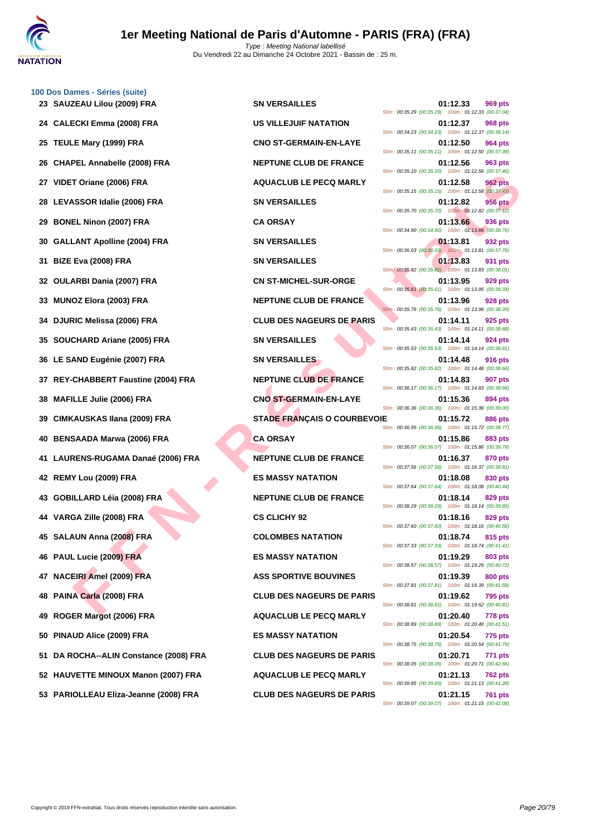

|     | 100 Dos Dames - Séries (suite)<br>23 SAUZEAU Lilou (2009) FRA | <b>SN VERSAILLES</b>               | 01:12.33<br>969 pts                                                                                                                    |
|-----|---------------------------------------------------------------|------------------------------------|----------------------------------------------------------------------------------------------------------------------------------------|
|     | 24 CALECKI Emma (2008) FRA                                    | <b>US VILLEJUIF NATATION</b>       | 50m: 00:35.29 (00:35.29) 100m: 01:12.33 (00:37.04)<br>01:12.37<br><b>968 pts</b>                                                       |
| 25  | TEULE Mary (1999) FRA                                         | <b>CNO ST-GERMAIN-EN-LAYE</b>      | 50m: 00:34.23 (00:34.23) 100m: 01:12.37 (00:38.14)<br>01:12.50<br>964 pts                                                              |
| 26  | <b>CHAPEL Annabelle (2008) FRA</b>                            | <b>NEPTUNE CLUB DE FRANCE</b>      | 50m: 00:35.11 (00:35.11) 100m: 01:12.50 (00:37.39)<br>01:12.56<br>963 pts                                                              |
| 27  | VIDET Oriane (2006) FRA                                       | <b>AQUACLUB LE PECQ MARLY</b>      | 50m: 00:35.10 (00:35.10) 100m: 01:12.56 (00:37.46)<br>01:12.58<br><b>962 pts</b>                                                       |
| 28  | LEVASSOR Idalie (2006) FRA                                    | <b>SN VERSAILLES</b>               | 50m: 00:35.15 (00:35.15) 100m: 01:12.58 (00:37.43)<br>01:12.82<br><b>956 pts</b>                                                       |
| 29  | <b>BONEL Ninon (2007) FRA</b>                                 | <b>CA ORSAY</b>                    | 50m: 00:35.70 (00:35.70) 100m: 01:12.82 (00:37.12)<br>01:13.66<br>936 pts                                                              |
| 30  | <b>GALLANT Apolline (2004) FRA</b>                            | <b>SN VERSAILLES</b>               | 50m: 00:34.90 (00:34.90) 100m: 01:13.66 (00:38.76)<br>01:13.81<br>932 pts                                                              |
| 31  | <b>BIZE Eva (2008) FRA</b>                                    | <b>SN VERSAILLES</b>               | 50m: 00:36.03 (00:36.03) 100m: 01:13.81 (00:37.78)<br>01:13.83<br>931 pts                                                              |
| 32  | <b>OULARBI Dania (2007) FRA</b>                               | <b>CN ST-MICHEL-SUR-ORGE</b>       | 50m: 00:35.82 (00:35.82) 100m: 01:13.83 (00:38.01)<br>01:13.95<br>929 pts                                                              |
| 33  | <b>MUNOZ Elora (2003) FRA</b>                                 | <b>NEPTUNE CLUB DE FRANCE</b>      | 50m: 00:35.61 (00:35.61) 100m: 01:13.95 (00:38.34)<br>01:13.96<br><b>928 pts</b><br>50m: 00:35.76 (00:35.76) 100m: 01:13.96 (00:38.20) |
| 34  | <b>DJURIC Melissa (2006) FRA</b>                              | <b>CLUB DES NAGEURS DE PARIS</b>   | 925 pts<br>01:14.11<br>50m: 00:35.43 (00:35.43) 100m: 01:14.11 (00:38.68)                                                              |
| 35  | SOUCHARD Ariane (2005) FRA                                    | <b>SN VERSAILLES</b>               | 01:14.14<br>924 pts<br>50m: 00:35.53 (00:35.53) 100m: 01:14.14 (00:38.61)                                                              |
|     | 36 LE SAND Eugénie (2007) FRA                                 | <b>SN VERSAILLES</b>               | 01:14.48<br>916 pts<br>50m: 00:35.82 (00:35.82) 100m: 01:14.48 (00:38.66)                                                              |
|     | REY-CHABBERT Faustine (2004) FRA                              | <b>NEPTUNE CLUB DE FRANCE</b>      | 01:14.83<br><b>907 pts</b><br>50m: 00:36.17 (00:36.17) 100m: 01:14.83 (00:38.66)                                                       |
| 38  | <b>MAFILLE Julie (2006) FRA</b>                               | <b>CNO ST-GERMAIN-EN-LAYE</b>      | 01:15.36<br>894 pts<br>50m: 00:36.36 (00:36.36) 100m: 01:15.36 (00:39.00)                                                              |
| 39  | CIMKAUSKAS Ilana (2009) FRA                                   | <b>STADE FRANÇAIS O COURBEVOIE</b> | 01:15.72<br>886 pts<br>50m: 00:36.95 (00:36.95) 100m: 01:15.72 (00:38.77)                                                              |
|     | 40 BENSAADA Marwa (2006) FRA                                  | <b>CA ORSAY</b>                    | 01:15.86<br>883 pts<br>50m: 00:36.07 (00:36.07) 100m: 01:15.86 (00:39.79)                                                              |
| 41  | LAURENS-RUGAMA Danaé (2006) FRA                               | <b>NEPTUNE CLUB DE FRANCE</b>      | 01:16.37<br>870 pts<br>50m: 00:37.56 (00:37.56) 100m: 01:16.37 (00:38.81)                                                              |
| 42  | REMY Lou (2009) FRA                                           | <b>ES MASSY NATATION</b>           |                                                                                                                                        |
|     |                                                               |                                    | 01:18.08<br>830 pts                                                                                                                    |
|     | 43 GOBILLARD Léia (2008) FRA                                  | <b>NEPTUNE CLUB DE FRANCE</b>      | 50m: 00:37.64 (00:37.64) 100m: 01:18.08 (00:40.44)<br>01:18.14<br>829 pts                                                              |
|     | 44 VARGA Zille (2008) FRA                                     | <b>CS CLICHY 92</b>                | 50m: 00:38.29 (00:38.29) 100m: 01:18.14 (00:39.85)<br>01:18.16<br>829 pts                                                              |
|     | 45 SALAUN Anna (2008) FRA                                     | <b>COLOMBES NATATION</b>           | 50m: 00:37.60 (00:37.60) 100m: 01:18.16 (00:40.56)<br>01:18.74<br>815 pts                                                              |
|     | 46 PAUL Lucie (2009) FRA                                      | <b>ES MASSY NATATION</b>           | 50m: 00:37.33 (00:37.33) 100m: 01:18.74 (00:41.41)<br>01:19.29<br>803 pts                                                              |
|     | 47 NACEIRI Amel (2009) FRA                                    | <b>ASS SPORTIVE BOUVINES</b>       | 50m: 00:38.57 (00:38.57) 100m: 01:19.29 (00:40.72)<br>01:19.39<br>800 pts                                                              |
| 48. | PAINA Carla (2008) FRA                                        | <b>CLUB DES NAGEURS DE PARIS</b>   | 50m: 00:37.81 (00:37.81) 100m: 01:19.39 (00:41.58)<br>01:19.62<br><b>795 pts</b>                                                       |
| 49  | ROGER Margot (2006) FRA                                       | <b>AQUACLUB LE PECQ MARLY</b>      | 50m: 00:38.81 (00:38.81) 100m: 01:19.62 (00:40.81)<br>01:20.40<br><b>778 pts</b>                                                       |
|     | 50 PINAUD Alice (2009) FRA                                    | <b>ES MASSY NATATION</b>           | 50m: 00:38.89 (00:38.89) 100m: 01:20.40 (00:41.51)<br>01:20.54<br>775 pts                                                              |
| 51  | DA ROCHA--ALIN Constance (2008) FRA                           | <b>CLUB DES NAGEURS DE PARIS</b>   | 50m: 00:38.75 (00:38.75) 100m: 01:20.54 (00:41.79)<br>01:20.71<br><b>771 pts</b>                                                       |
|     | 52 HAUVETTE MINOUX Manon (2007) FRA                           | <b>AQUACLUB LE PECQ MARLY</b>      | 50m: 00:38.05 (00:38.05) 100m: 01:20.71 (00:42.66)<br>01:21.13<br><b>762 pts</b><br>50m: 00:39.85 (00:39.85) 100m: 01:21.13 (00:41.28) |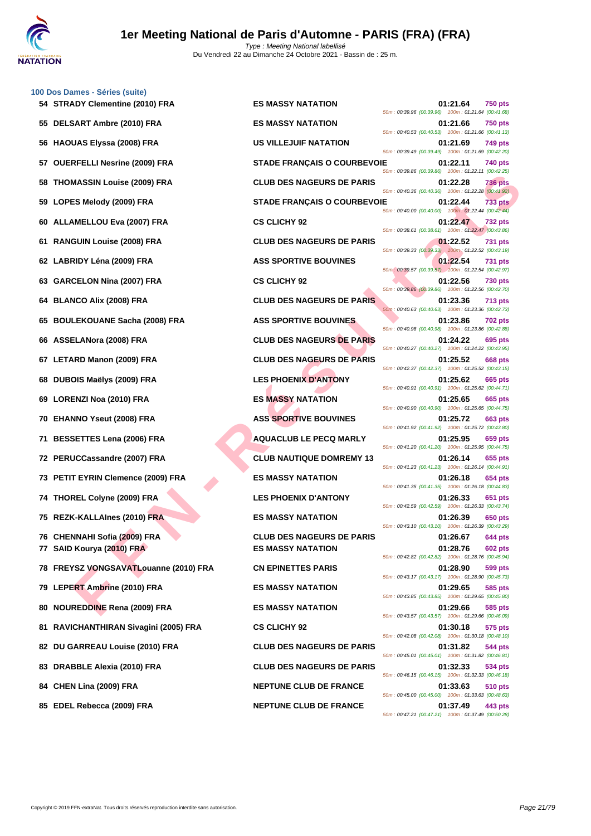

|    | 54 STRADY Clementine (2010) FRA       | <b>ES MASSY NATATION</b>           | 01:21.64<br><b>750 pts</b><br>50m: 00:39.96 (00:39.96) 100m: 01:21.64 (00:41.68) |
|----|---------------------------------------|------------------------------------|----------------------------------------------------------------------------------|
|    | 55 DELSART Ambre (2010) FRA           | <b>ES MASSY NATATION</b>           | 01:21.66<br><b>750 pts</b><br>50m: 00:40.53 (00:40.53) 100m: 01:21.66 (00:41.13) |
|    | 56 HAOUAS Elyssa (2008) FRA           | US VILLEJUIF NATATION              | 01:21.69<br>749 pts<br>50m: 00:39.49 (00:39.49) 100m: 01:21.69 (00:42.20)        |
|    | 57 OUERFELLI Nesrine (2009) FRA       | <b>STADE FRANÇAIS O COURBEVOIE</b> | 01:22.11<br>740 pts<br>50m: 00:39.86 (00:39.86) 100m: 01:22.11 (00:42.25)        |
| 58 | <b>THOMASSIN Louise (2009) FRA</b>    | <b>CLUB DES NAGEURS DE PARIS</b>   | 01:22.28<br>736 pts<br>50m: 00:40.36 (00:40.36) 100m: 01:22.28 (00:41.92)        |
|    | 59 LOPES Melody (2009) FRA            | <b>STADE FRANÇAIS O COURBEVOIE</b> | <b>733 pts</b><br>01:22.44<br>50m: 00:40.00 (00:40.00) 100m: 01:22.44 (00:42.44) |
|    | 60 ALLAMELLOU Eva (2007) FRA          | <b>CS CLICHY 92</b>                | 01:22.47<br><b>732 pts</b><br>50m: 00:38.61 (00:38.61) 100m: 01:22.47 (00:43.86) |
|    | 61 RANGUIN Louise (2008) FRA          | <b>CLUB DES NAGEURS DE PARIS</b>   | 01:22.52<br><b>731 pts</b><br>50m: 00:39.33 (00:39.33) 100m: 01:22.52 (00:43.19) |
|    | 62 LABRIDY Léna (2009) FRA            | <b>ASS SPORTIVE BOUVINES</b>       | 01:22.54<br><b>731 pts</b><br>50m: 00:39.57 (00:39.57) 100m: 01:22.54 (00:42.97) |
|    | 63 GARCELON Nina (2007) FRA           | <b>CS CLICHY 92</b>                | 01:22.56<br>730 pts<br>50m: 00:39.86 (00:39.86) 100m: 01:22.56 (00:42.70)        |
|    | 64 BLANCO Alix (2008) FRA             | <b>CLUB DES NAGEURS DE PARIS</b>   | 01:23.36<br><b>713 pts</b><br>50m: 00:40.63 (00:40.63) 100m: 01:23.36 (00:42.73) |
|    | 65 BOULEKOUANE Sacha (2008) FRA       | <b>ASS SPORTIVE BOUVINES</b>       | 01:23.86<br><b>702 pts</b><br>50m: 00:40.98 (00:40.98) 100m: 01:23.86 (00:42.88) |
|    | 66 ASSELANora (2008) FRA              | <b>CLUB DES NAGEURS DE PARIS</b>   | 01:24.22<br>695 pts<br>50m: 00:40.27 (00:40.27) 100m: 01:24.22 (00:43.95)        |
|    | 67 LETARD Manon (2009) FRA            | <b>CLUB DES NAGEURS DE PARIS</b>   | 01:25.52<br>668 pts<br>50m: 00:42.37 (00:42.37) 100m: 01:25.52 (00:43.15)        |
|    | 68 DUBOIS Maëlys (2009) FRA           | <b>LES PHOENIX D'ANTONY</b>        | 01:25.62<br>665 pts<br>50m: 00:40.91 (00:40.91) 100m: 01:25.62 (00:44.71)        |
|    | 69 LORENZI Noa (2010) FRA             | <b>ES MASSY NATATION</b>           | 01:25.65<br>665 pts<br>50m: 00:40.90 (00:40.90) 100m: 01:25.65 (00:44.75)        |
|    | 70 EHANNO Yseut (2008) FRA            | <b>ASS SPORTIVE BOUVINES</b>       | 01:25.72<br>663 pts<br>50m: 00:41.92 (00:41.92) 100m: 01:25.72 (00:43.80)        |
|    | 71 BESSETTES Lena (2006) FRA          | <b>AQUACLUB LE PECQ MARLY</b>      | 01:25.95<br>659 pts<br>50m: 00:41.20 (00:41.20) 100m: 01:25.95 (00:44.75)        |
|    | 72 PERUCCassandre (2007) FRA          | <b>CLUB NAUTIQUE DOMREMY 13</b>    | 01:26.14<br>655 pts<br>50m: 00:41.23 (00:41.23) 100m: 01:26.14 (00:44.91)        |
|    | 73 PETIT EYRIN Clemence (2009) FRA    | <b>ES MASSY NATATION</b>           | 01:26.18<br>654 pts<br>50m: 00:41.35 (00:41.35) 100m: 01:26.18 (00:44.83)        |
|    | 74 THOREL Colyne (2009) FRA           | <b>LES PHOENIX D'ANTONY</b>        | 01:26.33<br>651 pts<br>50m: 00:42.59 (00:42.59) 100m: 01:26.33 (00:43.74)        |
|    | 75 REZK-KALLAInes (2010) FRA          | <b>ES MASSY NATATION</b>           | 01:26.39<br>650 pts<br>50m: 00:43.10 (00:43.10) 100m: 01:26.39 (00:43.29)        |
|    | 76 CHENNAHI Sofia (2009) FRA          | <b>CLUB DES NAGEURS DE PARIS</b>   | 01:26.67<br>644 pts                                                              |
|    | 77 SAID Kourya (2010) FRA             | <b>ES MASSY NATATION</b>           | 01:28.76<br><b>602 pts</b><br>50m: 00:42.82 (00:42.82) 100m: 01:28.76 (00:45.94) |
|    | 78 FREYSZ VONGSAVATLouanne (2010) FRA | <b>CN EPINETTES PARIS</b>          | 01:28.90<br>599 pts<br>50m: 00:43.17 (00:43.17) 100m: 01:28.90 (00:45.73)        |
|    | 79 LEPERT Ambrine (2010) FRA          | <b>ES MASSY NATATION</b>           | 01:29.65<br>585 pts<br>50m: 00:43.85 (00:43.85) 100m: 01:29.65 (00:45.80)        |
| 80 | <b>NOUREDDINE Rena (2009) FRA</b>     | <b>ES MASSY NATATION</b>           | 01:29.66<br>585 pts<br>50m: 00:43.57 (00:43.57) 100m: 01:29.66 (00:46.09)        |
|    | 81 RAVICHANTHIRAN Sivagini (2005) FRA | <b>CS CLICHY 92</b>                | 01:30.18<br>575 pts<br>50m: 00:42.08 (00:42.08) 100m: 01:30.18 (00:48.10)        |
|    | 82 DU GARREAU Louise (2010) FRA       | <b>CLUB DES NAGEURS DE PARIS</b>   | 544 pts<br>01:31.82<br>50m: 00:45.01 (00:45.01) 100m: 01:31.82 (00:46.81)        |
| 83 | DRABBLE Alexia (2010) FRA             | <b>CLUB DES NAGEURS DE PARIS</b>   | 01:32.33<br>534 pts<br>50m: 00:46.15 (00:46.15) 100m: 01:32.33 (00:46.18)        |
|    | 84 CHEN Lina (2009) FRA               | <b>NEPTUNE CLUB DE FRANCE</b>      | 01:33.63<br>510 pts<br>50m: 00:45.00 (00:45.00) 100m: 01:33.63 (00:48.63)        |

**85 EDEL Rebecca (2009) FRA NEPTUNE CLUB DE FRANCE 01:37.49 443 pts**

50m : 00:47.21 (00:47.21) 100m : 01:37.49 (00:50.28)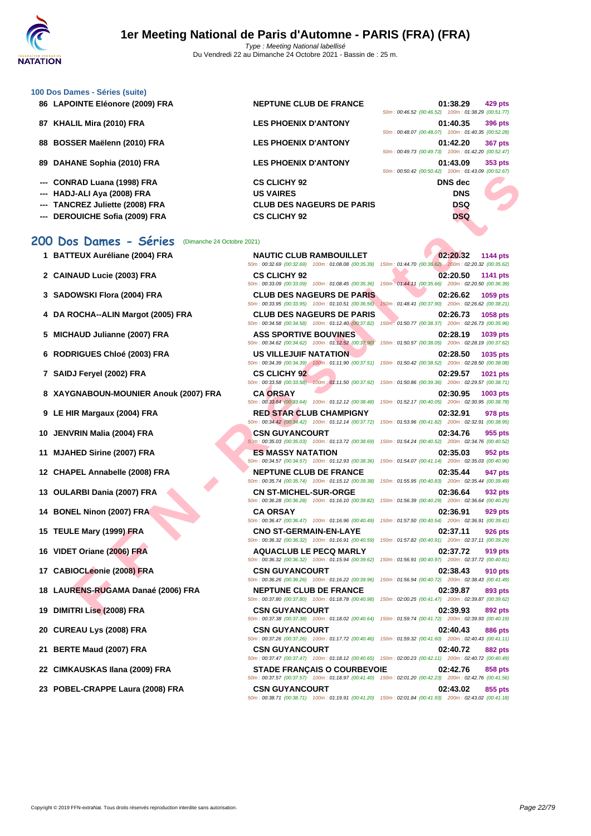| 86 LAPOINTE Eléonore (2009) FRA | <b>NEPTUNE CLUB DE FRANCE</b>    |                                                    | 01:38.29       | 429 pts                  |
|---------------------------------|----------------------------------|----------------------------------------------------|----------------|--------------------------|
|                                 |                                  | 50m: 00:46.52 (00:46.52) 100m: 01:38.29 (00:51.77) |                |                          |
| 87 KHALIL Mira (2010) FRA       | <b>LES PHOENIX D'ANTONY</b>      |                                                    | 01:40.35       | 396 pts                  |
|                                 |                                  | 50m: 00:48.07 (00:48.07) 100m: 01:40.35 (00:52.28) |                |                          |
| 88 BOSSER Maëlenn (2010) FRA    | <b>LES PHOENIX D'ANTONY</b>      |                                                    | 01:42.20       | 367 pts                  |
|                                 |                                  | 50m: 00:49.73 (00:49.73) 100m: 01:42.20 (00:52.47) |                |                          |
| 89 DAHANE Sophia (2010) FRA     | <b>LES PHOENIX D'ANTONY</b>      |                                                    | 01:43.09       | 353 pts                  |
|                                 |                                  | 50m: 00:50.42 (00:50.42) 100m: 01:43.09 (00:52.67) |                |                          |
| --- CONRAD Luana (1998) FRA     | <b>CS CLICHY 92</b>              |                                                    | <b>DNS</b> dec |                          |
| --- HADJ-ALI Aya (2008) FRA     | <b>US VAIRES</b>                 |                                                    | <b>DNS</b>     |                          |
| --- TANCREZ Juliette (2008) FRA | <b>CLUB DES NAGEURS DE PARIS</b> |                                                    | <b>DSQ</b>     | $\overline{\phantom{a}}$ |
| --- DEROUICHE Sofia (2009) FRA  | <b>CS CLICHY 92</b>              |                                                    | <b>DSQ</b>     |                          |
|                                 |                                  |                                                    |                |                          |

#### **200 Dos Dames - Séries** (Dimanche 24 Octobre 2021)

- 
- 
- 
- **4 DA ROCHA--ALIN Margot (2005) FRA CLUB DES NAGEURS DE PARIS 02:26.73 1058 pts**
- 
- 
- 
- **8 XAYGNABOUN-MOUNIER Anouk (2007) FRA CA ORSAY 02:30.95 1003 pts**
- 
- 
- 
- 
- 
- 
- 
- 
- 
- 
- 
- 
- 
- 
- **23 POBEL-CRAPPE Laura (2008) FRA CSN GUYANCOURT 02:43.02 855 pts**

**FAN LIGHTS (2009) FRA**<br>
ERE LAIRNING (2009) FRA LOUIS DES RAGEURS DE PARIS<br>
SINGLES ANNE (2009) FRA LOUIS DES RAGEURS DE PARIS<br>
SINGLES ANNE (2009) FRA CSOLUCIVY 2CLUB RAMBOULLET<br>
FEUX Auréliane (2004) FRA CSOLUCIVY DES R **1 BATTEUX Auréliane (2004) FRA NAUTIC CLUB RAMBOUILLET 02:20.32 1144 pts** 50m : 00:32.69 (00:32.69) 100m : 01:08.08 (00:35.39) 150m : 01:44.70 (00:36.62) 200m : 02:20.32 (00:35.62) **2 CAINAUD Lucie (2003) FRA CS CLICHY 92 02:20.50 1141 pts** 50m : 00:33.09 (00:33.09) 100m : 01:08.45 (00:35.36) 150m : 01:44.11 (00:35.66) 200m : 02:20.50 (00:36.39) **3 SADOWSKI Flora (2004) FRA CLUB DES NAGEURS DE PARIS 02:26.62 1059 pts** 50m : 00:33.95 (00:33.95) 100m : 01:10.51 (00:36.56) 150m : 01:48.41 (00:37.90) 200m : 02:26.62 (00:38.21) 50m : 00:34.58 (00:34.58) 100m : 01:12.40 (00:37.82) 150m : 01:50.77 (00:38.37) 200m : 02:26.73 (00:35.96) **5 MICHAUD Julianne (2007) FRA ASS SPORTIVE BOUVINES 02:28.19 1039 pts** 50m : 00:34.62 (00:34.62) 100m : 01:12.52 (00:37.90) 150m : 01:50.57 (00:38.05) 200m : 02:28.19 (00:37.62) **6 RODRIGUES Chloé (2003) FRA US VILLEJUIF NATATION 02:28.50 1035 pts** 50m : 00:34.39 (00:34.39) 100m : 01:11.90 (00:37.51) 150m : 01:50.42 (00:38.52) 200m : 02:28.50 (00:38.08) **7 SAIDJ Feryel (2002) FRA CS CLICHY 92 02:29.57 1021 pts** 50m : 00:33.58 (00:33.58) 100m : 01:11.50 (00:37.92) 150m : 01:50.86 (00:39.36) 200m : 02:29.57 (00:38.71) 50m : 00:33.64 (00:33.64) 100m : 01:12.12 (00:38.48) 150m : 01:52.17 (00:40.05) 200m : 02:30.95 (00:38.78) **9 LE HIR Margaux (2004) FRA RED STAR CLUB CHAMPIGNY 02:32.91 978 pts** 50m : 00:34.42 (00:34.42) 100m : 01:12.14 (00:37.72) 150m : 01:53.96 (00:41.82) 200m : 02:32.91 (00:38.95) **10 JENVRIN Malia (2004) FRA CSN GUYANCOURT 02:34.76 955 pts** 50m : 00:35.03 (00:35.03) 100m : 01:13.72 (00:38.69) 150m : 01:54.24 (00:40.52) 200m : 02:34.76 (00:40.52) **11 MJAHED Sirine (2007) FRA ES MASSY NATATION 02:35.03 952 pts** 50m : 00:34.57 (00:34.57) 100m : 01:12.93 (00:38.36) 150m : 01:54.07 (00:41.14) 200m : 02:35.03 (00:40.96) **12 CHAPEL Annabelle (2008) FRA NEPTUNE CLUB DE FRANCE 02:35.44 947 pts** 50m : 00:35.74 (00:35.74) 100m : 01:15.12 (00:39.38) 150m : 01:55.95 (00:40.83) 200m : 02:35.44 (00:39.49) **13 OULARBI Dania (2007) FRA CN ST-MICHEL-SUR-ORGE 02:36.64 932 pts** 50m : 00:36.28 (00:36.28) 100m : 01:16.10 (00:39.82) 150m : 01:56.39 (00:40.29) 200m : 02:36.64 (00:40.25) **14 BONEL Ninon (2007) FRA CA ORSAY 02:36.91 929 pts** 50m : 00:36.47 (00:36.47) 100m : 01:16.96 (00:40.49) 150m : 01:57.50 (00:40.54) 200m : 02:36.91 (00:39.41) **15 TEULE Mary (1999) FRA CNO ST-GERMAIN-EN-LAYE 02:37.11 926 pts** 50m : 00:36.32 (00:36.32) 100m : 01:16.91 (00:40.59) 150m : 01:57.82 (00:40.91) 200m : 02:37.11 (00:39.29) **16 VIDET Oriane (2006) FRA AQUACLUB LE PECQ MARLY 02:37.72 919 pts** 50m : 00:36.32 (00:36.32) 100m : 01:15.94 (00:39.62) 150m : 01:56.91 (00:40.97) 200m : 02:37.72 (00:40.81) **17 CABIOCLeonie (2008) FRA CSN GUYANCOURT 02:38.43 910 pts** 50m : 00:36.26 (00:36.26) 100m : 01:16.22 (00:39.96) 150m : 01:56.94 (00:40.72) 200m : 02:38.43 (00:41.49) **18 LAURENS-RUGAMA Danaé (2006) FRA NEPTUNE CLUB DE FRANCE 02:39.87 893 pts** 50m : 00:37.80 (00:37.80) 100m : 01:18.78 (00:40.98) 150m : 02:00.25 (00:41.47) 200m : 02:39.87 (00:39.62) **19 DIMITRI Lise (2008) FRA CSN GUYANCOURT 02:39.93 892 pts** 50m : 00:37.38 (00:37.38) 100m : 01:18.02 (00:40.64) 150m : 01:59.74 (00:41.72) 200m : 02:39.93 (00:40.19) **20 CUREAU Lys (2008) FRA CSN GUYANCOURT 02:40.43 886 pts** 50m : 00:37.26 (00:37.26) 100m : 01:17.72 (00:40.46) 150m : 01:59.32 (00:41.60) 200m : 02:40.43 (00:41.11) **21 BERTE Maud (2007) FRA CSN GUYANCOURT 02:40.72 882 pts** 50m : 00:37.47 (00:37.47) 100m : 01:18.12 (00:40.65) 150m : 02:00.23 (00:42.11) 200m : 02:40.72 (00:40.49) **22 CIMKAUSKAS Ilana (2009) FRA STADE FRANÇAIS O COURBEVOIE 02:42.76 858 pts** 50m : 00:37.57 (00:37.57) 100m : 01:18.97 (00:41.40) 150m : 02:01.20 (00:42.23) 200m : 02:42.76 (00:41.56) 50m : 00:38.71 (00:38.71) 100m : 01:19.91 (00:41.20) 150m : 02:01.84 (00:41.93) 200m : 02:43.02 (00:41.18)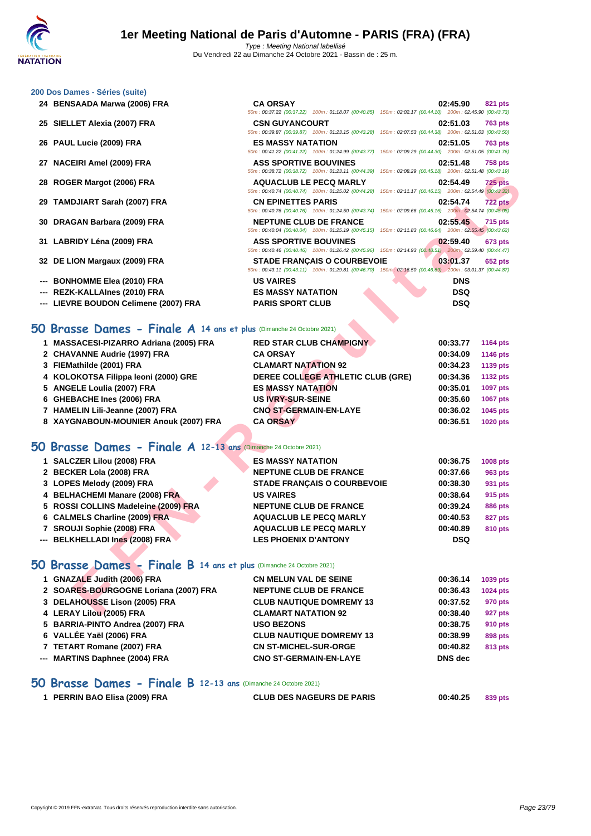- 
- **25 SIELLET Alexia (2007) FRA**
- **26 PAUL Lucie (2009) FRA ES MASSY NATATION 02:51.05 763 pts**
- **27 NACEIRI Amel (2009) FRA**
- **28 ROGER Margot (2006) FRA**
- **29 TAMDJIART Sarah (2007) FRA**
- **30 DRAGAN Barbara (2009) FRA**
- **31 LABRIDY Léna (2009) FRA ASS SPORTIVE BOUVINES 02:59.40 673 pts**
- **32 DE LION Margaux (2009) FRA**
- **---** BONHOMME Elea (2010) FRA
- **---** REZK-KALLAInes (2010) FRA
- --- LIEVRE BOUDON Celimene (2007) FRA PARIS SPORT CLU

| 24 BENSAADA Marwa (2006) FRA          | <b>CA ORSAY</b><br>50m: 00:37.22 (00:37.22) 100m: 01:18.07 (00:40.85) 150m: 02:02.17 (00:44.10) 200m: 02:45.90 (00:43.73)                    | 02:45.90<br>821 pts        |
|---------------------------------------|----------------------------------------------------------------------------------------------------------------------------------------------|----------------------------|
| 25 SIELLET Alexia (2007) FRA          | <b>CSN GUYANCOURT</b><br>50m: 00:39.87 (00:39.87) 100m: 01:23.15 (00:43.28) 150m: 02:07.53 (00:44.38) 200m: 02:51.03 (00:43.50)              | 02:51.03<br><b>763 pts</b> |
| 26 PAUL Lucie (2009) FRA              | <b>ES MASSY NATATION</b><br>50m : 00:41.22 (00:41.22) 100m : 01:24.99 (00:43.77) 150m : 02:09.29 (00:44.30) 200m : 02:51.05 (00:41.76)       | 02:51.05<br><b>763 pts</b> |
| 27 NACEIRI Amel (2009) FRA            | <b>ASS SPORTIVE BOUVINES</b><br>50m : 00:38.72 (00:38.72) 100m : 01:23.11 (00:44.39) 150m : 02:08.29 (00:45.18) 200m : 02:51.48 (00:43.19)   | 02:51.48<br><b>758 pts</b> |
| 28 ROGER Margot (2006) FRA            | <b>AQUACLUB LE PECQ MARLY</b><br>50m: 00:40.74 (00:40.74) 100m: 01:25.02 (00:44.28) 150m: 02:11.17 (00:46.15) 200m: 02:54.49 (00:43.32)      | 02:54.49<br>$725$ pts      |
| 29 TAMDJIART Sarah (2007) FRA         | <b>CN EPINETTES PARIS</b><br>50m: 00:40.76 (00:40.76) 100m: 01:24.50 (00:43.74) 150m: 02:09.66 (00:45.16) 200m: 02:54.74 (00:45.08)          | 02:54.74<br><b>722 pts</b> |
| 30 DRAGAN Barbara (2009) FRA          | <b>NEPTUNE CLUB DE FRANCE</b><br>50m: 00:40.04 (00:40.04) 100m: 01:25.19 (00:45.15) 150m: 02:11.83 (00:46.64) 200m: 02:55.45 (00:43.62)      | 02:55.45<br>715 pts        |
| 31 LABRIDY Léna (2009) FRA            | <b>ASS SPORTIVE BOUVINES</b><br>50m : 00:40.46 (00:40.46) 100m : 01:26.42 (00:45.96) 150m : 02:14.93 (00:48.51) 200m : 02:59.40 (00:44.47)   | 02:59.40<br><b>673 pts</b> |
| 32 DE LION Margaux (2009) FRA         | <b>STADE FRANCAIS O COURBEVOIE</b><br>50m: 00:43.11 (00:43.11) 100m: 01:29.81 (00:46.70) 150m: 02:16.50 (00:46.69) 200m: 03:01.37 (00:44.87) | 03:01.37<br><b>652 pts</b> |
| --- BONHOMME Elea (2010) FRA          | <b>US VAIRES</b>                                                                                                                             | <b>DNS</b>                 |
| --- REZK-KALLAInes (2010) FRA         | <b>ES MASSY NATATION</b>                                                                                                                     | <b>DSQ</b>                 |
| --- LIEVRE BOUDON Celimene (2007) FRA | <b>PARIS SPORT CLUB</b>                                                                                                                      | <b>DSQ</b>                 |

#### **50 Brasse Dames - Finale A 14 ans et plus** (Dimanche 24 Octobre 2021)

|                                                                            | $0.0011$ . $0.00012$ $0.00012$ $1.0011$ . $0.123.11$ $0.0044.33$ $0.0011$ . $0.200023$ $0.0043.10$ $0.0011$ . $0.20114$ $0.0043.13$          |            |                 |
|----------------------------------------------------------------------------|----------------------------------------------------------------------------------------------------------------------------------------------|------------|-----------------|
| 28 ROGER Margot (2006) FRA                                                 | <b>AQUACLUB LE PECQ MARLY</b><br>50m: 00:40.74 (00:40.74) 100m: 01:25.02 (00:44.28) 150m: 02:11.17 (00:46.15) 200m: 02:54.49 (00:43.32)      | 02:54.49   | <b>725 pts</b>  |
| 29 TAMDJIART Sarah (2007) FRA                                              | <b>CN EPINETTES PARIS</b><br>50m: 00:40.76 (00:40.76) 100m: 01:24.50 (00:43.74) 150m: 02:09.66 (00:45.16) 200m: 02:54.74 (00:45.08)          | 02:54.74   | <b>722 pts</b>  |
| 30 DRAGAN Barbara (2009) FRA                                               | <b>NEPTUNE CLUB DE FRANCE</b><br>50m : 00:40.04 (00:40.04) 100m : 01:25.19 (00:45.15) 150m : 02:11.83 (00:46.64) 200m : 02:55.45 (00:43.62)  | 02:55.45   | <b>715 pts</b>  |
| 31 LABRIDY Léna (2009) FRA                                                 | <b>ASS SPORTIVE BOUVINES</b><br>50m : 00:40.46 (00:40.46) 100m : 01:26.42 (00:45.96) 150m : 02:14.93 (00:48.51) 200m : 02:59.40 (00:44.47)   | 02:59.40   | <b>673 pts</b>  |
| 32 DE LION Margaux (2009) FRA                                              | <b>STADE FRANÇAIS O COURBEVOIE</b><br>50m: 00:43.11 (00:43.11) 100m: 01:29.81 (00:46.70) 150m: 02:16.50 (00:46.69) 200m: 03:01.37 (00:44.87) | 03:01.37   | 652 pts         |
| --- BONHOMME Elea (2010) FRA                                               | <b>US VAIRES</b>                                                                                                                             | <b>DNS</b> |                 |
| --- REZK-KALLAInes (2010) FRA                                              | <b>ES MASSY NATATION</b>                                                                                                                     | <b>DSQ</b> |                 |
| --- LIEVRE BOUDON Celimene (2007) FRA                                      | <b>PARIS SPORT CLUB</b>                                                                                                                      | <b>DSQ</b> |                 |
| <b>O Brasse Dames - Finale A 14 ans et plus (Dimanche 24 Octobre 2021)</b> |                                                                                                                                              |            |                 |
| 1 MASSACESI-PIZARRO Adriana (2005) FRA                                     | <b>RED STAR CLUB CHAMPIGNY</b>                                                                                                               | 00:33.77   | <b>1164 pts</b> |
| 2 CHAVANNE Audrie (1997) FRA                                               | <b>CA ORSAY</b>                                                                                                                              | 00:34.09   | <b>1146 pts</b> |
| 3 FIEMathilde (2001) FRA                                                   | <b>CLAMART NATATION 92</b>                                                                                                                   | 00:34.23   | 1139 pts        |
| 4 KOLOKOTSA Filippa leoni (2000) GRE                                       | DEREE COLLEGE ATHLETIC CLUB (GRE)                                                                                                            | 00:34.36   | <b>1132 pts</b> |
| 5 ANGELE Loulia (2007) FRA                                                 | <b>ES MASSY NATATION</b>                                                                                                                     | 00:35.01   | 1097 pts        |
| 6 GHEBACHE Ines (2006) FRA                                                 | <b>US IVRY-SUR-SEINE</b>                                                                                                                     | 00:35.60   | 1067 pts        |
| 7 HAMELIN Lili-Jeanne (2007) FRA                                           | <b>CNO ST-GERMAIN-EN-LAYE</b>                                                                                                                | 00:36.02   | 1045 pts        |
| 8 XAYGNABOUN-MOUNIER Anouk (2007) FRA                                      | <b>CA ORSAY</b>                                                                                                                              | 00:36.51   | 1020 pts        |
| O Brasse Dames - Finale A 12-13 ans (Dimanche 24 Octobre 2021)             |                                                                                                                                              |            |                 |
| 1 SALCZER Lilou (2008) FRA                                                 | <b>ES MASSY NATATION</b>                                                                                                                     | 00:36.75   | 1008 pts        |
| 2 BECKER Lola (2008) FRA                                                   | <b>NEPTUNE CLUB DE FRANCE</b>                                                                                                                | 00:37.66   | 963 pts         |
| 3 LOPES Melody (2009) FRA                                                  | STADE FRANÇAIS O COURBEVOIE                                                                                                                  | 00:38.30   | 931 pts         |
| 4 BELHACHEMI Manare (2008) FRA                                             | <b>US VAIRES</b>                                                                                                                             | 00:38.64   | 915 pts         |
| 5 ROSSI COLLINS Madeleine (2009) FRA                                       | <b>NEPTUNE CLUB DE FRANCE</b>                                                                                                                | 00:39.24   | <b>886 pts</b>  |
| 6 CALMELS Charline (2009) FRA                                              | <b>AQUACLUB LE PECQ MARLY</b>                                                                                                                | 00:40.53   | <b>827 pts</b>  |
| 7 SROUJI Sophie (2008) FRA                                                 | <b>AQUACLUB LE PECQ MARLY</b>                                                                                                                | 00:40.89   | 810 pts         |
| --- BELKHELLADI Ines (2008) FRA                                            | <b>LES PHOENIX D'ANTONY</b>                                                                                                                  | <b>DSQ</b> |                 |
| O Brasse Dames - Finale B 14 ans et plus (Dimanche 24 Octobre 2021)        |                                                                                                                                              |            |                 |
| 1 GNAZALE Judith (2006) FRA                                                | <b>CN MELUN VAL DE SEINE</b>                                                                                                                 | 00:36.14   | 1039 pts        |
| 2 SOARES-BOURGOGNE Loriana (2007) FRA                                      | <b>NEPTUNE CLUB DE FRANCE</b>                                                                                                                | 00:36.43   | <b>1024 pts</b> |
| 3 DELAHOUSSE Lison (2005) FRA                                              | <b>CLUB NAUTIQUE DOMREMY 13</b>                                                                                                              | 00:37.52   | 970 pts         |
| 4 LERAY Lilou (2005) FRA                                                   | <b>CLAMART NATATION 92</b>                                                                                                                   | 00:38.40   | 927 pts         |

### **50 Brasse Dames - Finale A 12-13 ans** (Dimanche 24 Octobre 2021)

| 1 SALCZER Lilou (2008) FRA           | <b>ES MASSY NATATION</b>           | 00:36.75   | <b>1008 pts</b> |
|--------------------------------------|------------------------------------|------------|-----------------|
| 2 BECKER Lola (2008) FRA             | <b>NEPTUNE CLUB DE FRANCE</b>      | 00:37.66   | 963 pts         |
| 3 LOPES Melody (2009) FRA            | <b>STADE FRANÇAIS O COURBEVOIE</b> | 00:38.30   | 931 pts         |
| 4 BELHACHEMI Manare (2008) FRA       | <b>US VAIRES</b>                   | 00:38.64   | 915 pts         |
| 5 ROSSI COLLINS Madeleine (2009) FRA | <b>NEPTUNE CLUB DE FRANCE</b>      | 00:39.24   | <b>886 pts</b>  |
| 6 CALMELS Charline (2009) FRA        | <b>AQUACLUB LE PECQ MARLY</b>      | 00:40.53   | <b>827 pts</b>  |
| 7 SROUJI Sophie (2008) FRA           | <b>AQUACLUB LE PECQ MARLY</b>      | 00:40.89   | 810 pts         |
| --- BELKHELLADI Ines (2008) FRA      | <b>LES PHOENIX D'ANTONY</b>        | <b>DSQ</b> |                 |

### **50 Brasse Dames - Finale B 14 ans et plus** (Dimanche 24 Octobre 2021)

| 1 GNAZALE Judith (2006) FRA           | <b>CN MELUN VAL DE SEINE</b>    | 00:36.14       | 1039 pts        |
|---------------------------------------|---------------------------------|----------------|-----------------|
| 2 SOARES-BOURGOGNE Loriana (2007) FRA | <b>NEPTUNE CLUB DE FRANCE</b>   | 00:36.43       | <b>1024 pts</b> |
| 3 DELAHOUSSE Lison (2005) FRA         | <b>CLUB NAUTIQUE DOMREMY 13</b> | 00:37.52       | 970 pts         |
| 4 LERAY Lilou (2005) FRA              | <b>CLAMART NATATION 92</b>      | 00:38.40       | 927 pts         |
| 5 BARRIA-PINTO Andrea (2007) FRA      | <b>USO BEZONS</b>               | 00:38.75       | 910 pts         |
| 6 VALLÉE Yaël (2006) FRA              | <b>CLUB NAUTIQUE DOMREMY 13</b> | 00:38.99       | 898 pts         |
| 7 TETART Romane (2007) FRA            | <b>CN ST-MICHEL-SUR-ORGE</b>    | 00:40.82       | 813 pts         |
| --- MARTINS Daphnee (2004) FRA        | <b>CNO ST-GERMAIN-EN-LAYE</b>   | <b>DNS</b> dec |                 |
|                                       |                                 |                |                 |

#### **50 Brasse Dames - Finale B 12-13 ans** (Dimanche 24 Octobre 2021)

| 1 PERRIN BAO Elisa (2009) FRA | <b>CLUB DES NAGEURS DE PARIS</b> | 00:40.25 | 839 pts |
|-------------------------------|----------------------------------|----------|---------|
|                               |                                  |          |         |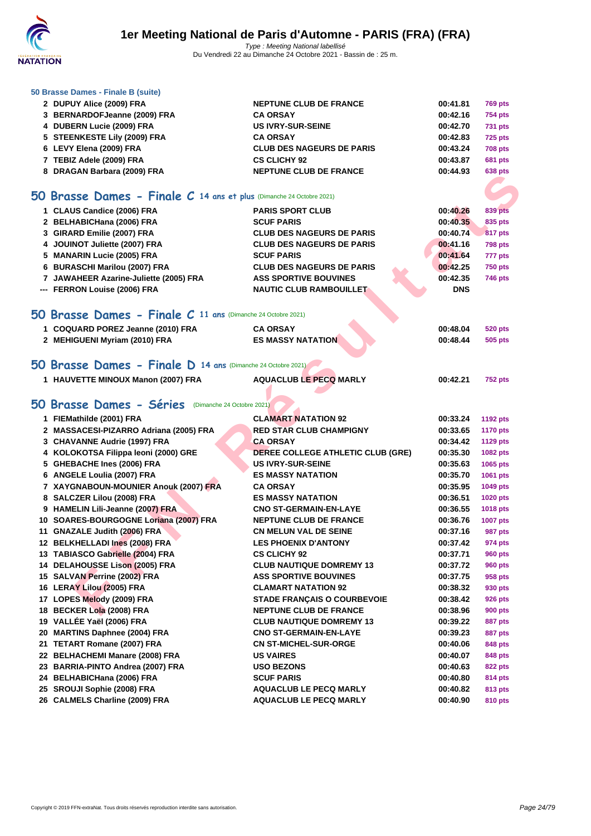

| 50 Brasse Dames - Finale B (suite) |  |  |  |  |  |
|------------------------------------|--|--|--|--|--|
|------------------------------------|--|--|--|--|--|

| 2 DUPUY Alice (2009) FRA                                             | <b>NEPTUNE CLUB DE FRANCE</b>                      | 00:41.81             | <b>769 pts</b>     |
|----------------------------------------------------------------------|----------------------------------------------------|----------------------|--------------------|
| 3 BERNARDOFJeanne (2009) FRA                                         | <b>CA ORSAY</b>                                    | 00:42.16             | <b>754 pts</b>     |
| 4 DUBERN Lucie (2009) FRA                                            | <b>US IVRY-SUR-SEINE</b>                           | 00:42.70             | <b>731 pts</b>     |
| 5 STEENKESTE Lily (2009) FRA                                         | <b>CA ORSAY</b>                                    | 00:42.83             | <b>725 pts</b>     |
| 6 LEVY Elena (2009) FRA                                              | <b>CLUB DES NAGEURS DE PARIS</b>                   | 00:43.24             | <b>708 pts</b>     |
| 7 TEBIZ Adele (2009) FRA                                             | <b>CS CLICHY 92</b>                                | 00:43.87             | <b>681 pts</b>     |
| 8 DRAGAN Barbara (2009) FRA                                          | <b>NEPTUNE CLUB DE FRANCE</b>                      | 00:44.93             | <b>638 pts</b>     |
|                                                                      |                                                    |                      |                    |
| 50 Brasse Dames - Finale C 14 ans et plus (Dimanche 24 Octobre 2021) |                                                    |                      |                    |
| 1 CLAUS Candice (2006) FRA                                           | <b>PARIS SPORT CLUB</b>                            | 00:40.26             | <b>839 pts</b>     |
| 2 BELHABICHana (2006) FRA                                            | <b>SCUF PARIS</b>                                  | 00:40.35             | 835 pts            |
| 3 GIRARD Emilie (2007) FRA                                           | <b>CLUB DES NAGEURS DE PARIS</b>                   | 00:40.74             | <b>817 pts</b>     |
| 4 JOUINOT Juliette (2007) FRA                                        | <b>CLUB DES NAGEURS DE PARIS</b>                   | 00:41.16             | <b>798 pts</b>     |
| 5 MANARIN Lucie (2005) FRA                                           | <b>SCUF PARIS</b>                                  | 00:41.64             | 777 pts            |
| 6 BURASCHI Marilou (2007) FRA                                        | <b>CLUB DES NAGEURS DE PARIS</b>                   | 00:42.25             | <b>750 pts</b>     |
| 7 JAWAHEER Azarine-Juliette (2005) FRA                               | <b>ASS SPORTIVE BOUVINES</b>                       | 00:42.35             | 746 pts            |
| --- FERRON Louise (2006) FRA                                         | <b>NAUTIC CLUB RAMBOUILLET</b>                     | <b>DNS</b>           |                    |
|                                                                      |                                                    |                      |                    |
| 50 Brasse Dames - Finale C 11 ans (Dimanche 24 Octobre 2021)         |                                                    |                      |                    |
| 1 COQUARD POREZ Jeanne (2010) FRA                                    | <b>CA ORSAY</b>                                    | 00:48.04             | <b>520 pts</b>     |
| 2 MEHIGUENI Myriam (2010) FRA                                        | <b>ES MASSY NATATION</b>                           | 00:48.44             | 505 pts            |
|                                                                      |                                                    |                      |                    |
| 50 Brasse Dames - Finale D 14 ans (Dimanche 24 Octobre 2021)         |                                                    |                      |                    |
| 1 HAUVETTE MINOUX Manon (2007) FRA                                   | <b>AQUACLUB LE PECQ MARLY</b>                      | 00:42.21             | <b>752 pts</b>     |
|                                                                      |                                                    |                      |                    |
| 50 Brasse Dames - Séries (Dimanche 24 Octobre 2021)                  |                                                    |                      |                    |
| 1 FIEMathilde (2001) FRA                                             | <b>CLAMART NATATION 92</b>                         | 00:33.24             | <b>1192 pts</b>    |
| 2 MASSACESI-PIZARRO Adriana (2005) FRA                               | <b>RED STAR CLUB CHAMPIGNY</b>                     | 00:33.65             | <b>1170 pts</b>    |
| 3 CHAVANNE Audrie (1997) FRA                                         | <b>CA ORSAY</b>                                    | 00:34.42             | <b>1129 pts</b>    |
| 4 KOLOKOTSA Filippa leoni (2000) GRE                                 | DEREE COLLEGE ATHLETIC CLUB (GRE)                  | 00:35.30             | 1082 pts           |
| 5 GHEBACHE Ines (2006) FRA                                           | <b>US IVRY-SUR-SEINE</b>                           | 00:35.63             | 1065 pts           |
| 6 ANGELE Loulia (2007) FRA                                           | <b>ES MASSY NATATION</b>                           | 00:35.70             | 1061 pts           |
| 7 XAYGNABOUN-MOUNIER Anouk (2007) FRA                                | <b>CA ORSAY</b>                                    | 00:35.95             | 1049 pts           |
| 8 SALCZER Lilou (2008) FRA                                           | <b>ES MASSY NATATION</b>                           | 00:36.51             | <b>1020 pts</b>    |
| 9 HAMELIN Lili-Jeanne (2007) FRA                                     | <b>CNO ST-GERMAIN-EN-LAYE</b>                      | 00:36.55             | <b>1018 pts</b>    |
| 10 SOARES-BOURGOGNE Loriana (2007) FRA                               | <b>NEPTUNE CLUB DE FRANCE</b>                      | 00:36.76             | <b>1007 pts</b>    |
| 11 GNAZALE Judith (2006) FRA                                         | <b>CN MELUN VAL DE SEINE</b>                       | 00:37.16             | 987 pts            |
| 12 BELKHELLADI Ines (2008) FRA                                       | <b>LES PHOENIX D'ANTONY</b>                        | 00:37.42             | 974 pts            |
| 13 TABIASCO Gabrielle (2004) FRA                                     | <b>CS CLICHY 92</b>                                | 00:37.71             | <b>960 pts</b>     |
| 14 DELAHOUSSE Lison (2005) FRA                                       | <b>CLUB NAUTIQUE DOMREMY 13</b>                    | 00:37.72             | <b>960 pts</b>     |
| 15 SALVAN Perrine (2002) FRA                                         | <b>ASS SPORTIVE BOUVINES</b>                       | 00:37.75             | 958 pts            |
| 16 LERAY Lilou (2005) FRA                                            | <b>CLAMART NATATION 92</b>                         | 00:38.32             | 930 pts            |
| 17 LOPES Melody (2009) FRA                                           | <b>STADE FRANÇAIS O COURBEVOIE</b>                 | 00:38.42             | 926 pts            |
| 18 BECKER Lola (2008) FRA                                            | <b>NEPTUNE CLUB DE FRANCE</b>                      | 00:38.96             | 900 pts            |
| 19 VALLÉE Yaël (2006) FRA                                            | <b>CLUB NAUTIQUE DOMREMY 13</b>                    | 00:39.22             | 887 pts            |
| 20 MARTINS Daphnee (2004) FRA                                        | <b>CNO ST-GERMAIN-EN-LAYE</b>                      | 00:39.23             | 887 pts            |
| 21 TETART Romane (2007) FRA                                          | <b>CN ST-MICHEL-SUR-ORGE</b>                       | 00:40.06             | 848 pts            |
| 22 BELHACHEMI Manare (2008) FRA                                      | <b>US VAIRES</b>                                   | 00:40.07             | 848 pts            |
| 23 BARRIA-PINTO Andrea (2007) FRA                                    | <b>USO BEZONS</b>                                  | 00:40.63             | 822 pts            |
| 24 BELHABICHana (2006) FRA<br>25 SROUJI Sophie (2008) FRA            | <b>SCUF PARIS</b><br><b>AQUACLUB LE PECQ MARLY</b> | 00:40.80<br>00:40.82 | 814 pts            |
| 26 CALMELS Charline (2009) FRA                                       | <b>AQUACLUB LE PECQ MARLY</b>                      | 00:40.90             | 813 pts<br>810 pts |
|                                                                      |                                                    |                      |                    |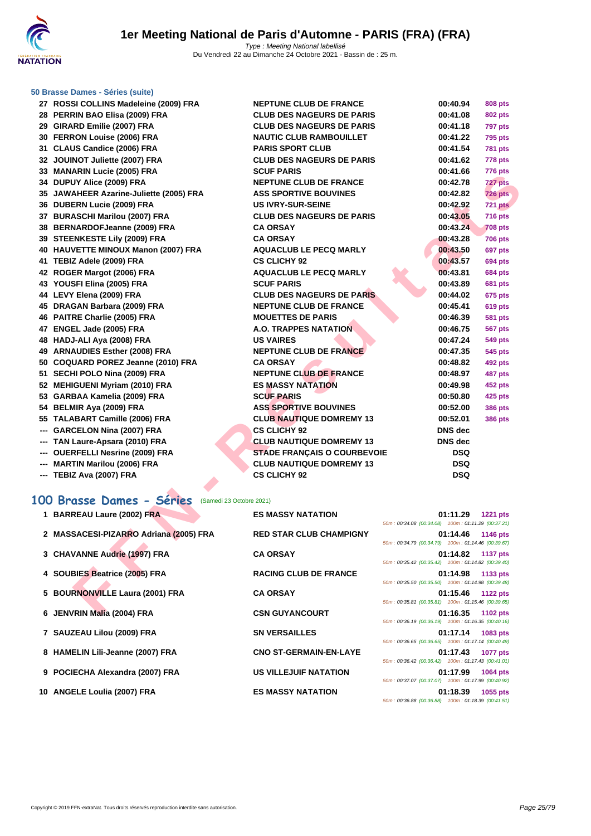

#### **[50 Brasse](http://www.ffnatation.fr/webffn/index.php) Dames - Séries (suite)**

| 27 ROSSI COLLINS Madeleine (2009) FRA                 | <b>NEPTUNE CLUB DE FRANCE</b>      | 00:40.94                                                                   | <b>808 pts</b>  |
|-------------------------------------------------------|------------------------------------|----------------------------------------------------------------------------|-----------------|
| 28 PERRIN BAO Elisa (2009) FRA                        | <b>CLUB DES NAGEURS DE PARIS</b>   | 00:41.08                                                                   | <b>802 pts</b>  |
| 29 GIRARD Emilie (2007) FRA                           | <b>CLUB DES NAGEURS DE PARIS</b>   | 00:41.18                                                                   | 797 pts         |
| 30 FERRON Louise (2006) FRA                           | <b>NAUTIC CLUB RAMBOUILLET</b>     | 00:41.22                                                                   | 795 pts         |
| 31 CLAUS Candice (2006) FRA                           | <b>PARIS SPORT CLUB</b>            | 00:41.54                                                                   | <b>781 pts</b>  |
| 32 JOUINOT Juliette (2007) FRA                        | <b>CLUB DES NAGEURS DE PARIS</b>   | 00:41.62                                                                   | 778 pts         |
| 33 MANARIN Lucie (2005) FRA                           | <b>SCUF PARIS</b>                  | 00:41.66                                                                   | <b>776 pts</b>  |
| 34 DUPUY Alice (2009) FRA                             | NEPTUNE CLUB DE FRANCE             | 00:42.78                                                                   | 727 pts         |
| 35 JAWAHEER Azarine-Juliette (2005) FRA               | <b>ASS SPORTIVE BOUVINES</b>       | 00:42.82                                                                   | <b>726 pts</b>  |
| 36 DUBERN Lucie (2009) FRA                            | <b>US IVRY-SUR-SEINE</b>           | 00:42.92                                                                   | 721 pts         |
| 37 BURASCHI Marilou (2007) FRA                        | <b>CLUB DES NAGEURS DE PARIS</b>   | 00:43.05                                                                   | 716 pts         |
| 38 BERNARDOFJeanne (2009) FRA                         | <b>CA ORSAY</b>                    | 00:43.24                                                                   | <b>708 pts</b>  |
| 39 STEENKESTE Lily (2009) FRA                         | <b>CA ORSAY</b>                    | 00:43.28                                                                   | <b>706 pts</b>  |
| 40 HAUVETTE MINOUX Manon (2007) FRA                   | <b>AQUACLUB LE PECQ MARLY</b>      | 00:43.50                                                                   | <b>697 pts</b>  |
| 41 TEBIZ Adele (2009) FRA                             | <b>CS CLICHY 92</b>                | 00:43.57                                                                   | <b>694 pts</b>  |
| 42 ROGER Margot (2006) FRA                            | <b>AQUACLUB LE PECQ MARLY</b>      | 00:43.81                                                                   | <b>684 pts</b>  |
| 43 YOUSFI Elina (2005) FRA                            | <b>SCUF PARIS</b>                  | 00:43.89                                                                   | <b>681 pts</b>  |
| 44 LEVY Elena (2009) FRA                              | <b>CLUB DES NAGEURS DE PARIS</b>   | 00:44.02                                                                   | 675 pts         |
| 45 DRAGAN Barbara (2009) FRA                          | <b>NEPTUNE CLUB DE FRANCE</b>      | 00:45.41                                                                   | <b>619 pts</b>  |
| 46 PAITRE Charlie (2005) FRA                          | <b>MOUETTES DE PARIS</b>           | 00:46.39                                                                   | <b>581 pts</b>  |
| 47 ENGEL Jade (2005) FRA                              | <b>A.O. TRAPPES NATATION</b>       | 00:46.75                                                                   | 567 pts         |
| 48 HADJ-ALI Aya (2008) FRA                            | <b>US VAIRES</b>                   | 00:47.24                                                                   | <b>549 pts</b>  |
| 49 ARNAUDIES Esther (2008) FRA                        | <b>NEPTUNE CLUB DE FRANCE</b>      | 00:47.35                                                                   | 545 pts         |
| 50 COQUARD POREZ Jeanne (2010) FRA                    | <b>CA ORSAY</b>                    | 00:48.82                                                                   | 492 pts         |
| 51 SECHI POLO Nina (2009) FRA                         | <b>NEPTUNE CLUB DE FRANCE</b>      | 00:48.97                                                                   | <b>487 pts</b>  |
| 52 MEHIGUENI Myriam (2010) FRA                        | <b>ES MASSY NATATION</b>           | 00:49.98                                                                   | <b>452 pts</b>  |
| 53 GARBAA Kamelia (2009) FRA                          | <b>SCUF PARIS</b>                  | 00:50.80                                                                   | 425 pts         |
| 54 BELMIR Aya (2009) FRA                              | <b>ASS SPORTIVE BOUVINES</b>       | 00:52.00                                                                   | <b>386 pts</b>  |
| 55 TALABART Camille (2006) FRA                        | <b>CLUB NAUTIQUE DOMREMY 13</b>    | 00:52.01                                                                   | <b>386 pts</b>  |
| --- GARCELON Nina (2007) FRA                          | <b>CS CLICHY 92</b>                | <b>DNS</b> dec                                                             |                 |
| --- TAN Laure-Apsara (2010) FRA                       | <b>CLUB NAUTIQUE DOMREMY 13</b>    | DNS dec                                                                    |                 |
| --- OUERFELLI Nesrine (2009) FRA                      | <b>STADE FRANÇAIS O COURBEVOIE</b> | <b>DSQ</b>                                                                 |                 |
| --- MARTIN Marilou (2006) FRA                         | <b>CLUB NAUTIQUE DOMREMY 13</b>    | <b>DSQ</b>                                                                 |                 |
|                                                       | <b>CS CLICHY 92</b>                |                                                                            |                 |
| --- TEBIZ Ava (2007) FRA                              |                                    | <b>DSQ</b>                                                                 |                 |
| 100 Brasse Dames - Séries<br>(Samedi 23 Octobre 2021) |                                    |                                                                            |                 |
| 1 BARREAU Laure (2002) FRA                            | <b>ES MASSY NATATION</b>           | 01:11.29<br>$50m: 00:34.08 \ (00:34.08) \quad 100m: 01:11.29 \ (00:37.21)$ | <b>1221 pts</b> |
| 2 MASSACESI-PIZARRO Adriana (2005) FRA                | <b>RED STAR CLUB CHAMPIGNY</b>     | 01:14.46                                                                   | <b>1146 pts</b> |
|                                                       |                                    | 50m: 00:34.79 (00:34.79) 100m: 01:14.46 (00:39.67)                         |                 |
| 3 CHAVANNE Audrie (1997) FRA                          | <b>CA ORSAY</b>                    | 01:14.82                                                                   | <b>1137 pts</b> |
|                                                       |                                    | 50m: 00:35.42 (00:35.42) 100m: 01:14.82 (00:39.40)                         |                 |
| 4 SOUBIES Beatrice (2005) FRA                         | <b>RACING CLUB DE FRANCE</b>       | 01:14.98                                                                   | 1133 pts        |
|                                                       |                                    | 50m: 00:35.50 (00:35.50) 100m: 01:14.98 (00:39.48)                         |                 |
| 5 BOURNONVILLE Laura (2001) FRA                       | <b>CA ORSAY</b>                    | 01:15.46<br>50m: 00:35.81 (00:35.81) 100m: 01:15.46 (00:39.65)             | 1122 pts        |
| 6 JENVRIN Malia (2004) FRA                            | <b>CSN GUYANCOURT</b>              | 01:16.35 1102 pts                                                          |                 |
|                                                       |                                    |                                                                            |                 |

### **100 Brasse Dames - Séries** (Samedi 23 Octobre 2021)

| 1 BARREAU Laure (2002) FRA             | <b>ES MASSY NATATION</b>       | 50m: 00:34.08 (00:34.08) 100m: 01:11.29 (00:37.21)                                                       | 01:11.29 | <b>1221 pts</b>   |
|----------------------------------------|--------------------------------|----------------------------------------------------------------------------------------------------------|----------|-------------------|
| 2 MASSACESI-PIZARRO Adriana (2005) FRA | <b>RED STAR CLUB CHAMPIGNY</b> | 50m: 00:34.79 (00:34.79) 100m: 01:14.46 (00:39.67)                                                       |          | 01:14.46 1146 pts |
| 3 CHAVANNE Audrie (1997) FRA           | <b>CA ORSAY</b>                | 50m: 00:35.42 (00:35.42) 100m: 01:14.82 (00:39.40)                                                       |          | 01:14.82 1137 pts |
| 4 SOUBIES Beatrice (2005) FRA          | <b>RACING CLUB DE FRANCE</b>   | 50m: 00:35.50 (00:35.50) 100m: 01:14.98 (00:39.48)                                                       | 01:14.98 | 1133 pts          |
| 5 BOURNONVILLE Laura (2001) FRA        | <b>CA ORSAY</b>                | 50m: 00:35.81 (00:35.81) 100m: 01:15.46 (00:39.65)                                                       | 01:15.46 | <b>1122 pts</b>   |
| 6 JENVRIN Malia (2004) FRA             | <b>CSN GUYANCOURT</b>          |                                                                                                          |          | 01:16.35 1102 pts |
| 7 SAUZEAU Lilou (2009) FRA             | <b>SN VERSAILLES</b>           | 50m: 00:36.19 (00:36.19) 100m: 01:16.35 (00:40.16)<br>50m: 00:36.65 (00:36.65) 100m: 01:17.14 (00:40.49) |          | 01:17.14 1083 pts |
| 8 HAMELIN Lili-Jeanne (2007) FRA       | <b>CNO ST-GERMAIN-EN-LAYE</b>  | 50m: 00:36.42 (00:36.42) 100m: 01:17.43 (00:41.01)                                                       | 01:17.43 | 1077 pts          |
| 9 POCIECHA Alexandra (2007) FRA        | <b>US VILLEJUIF NATATION</b>   | 50m: 00:37.07 (00:37.07) 100m: 01:17.99 (00:40.92)                                                       | 01:17.99 | <b>1064 pts</b>   |
| 10 ANGELE Loulia (2007) FRA            | <b>ES MASSY NATATION</b>       | 50m: 00:36.88 (00:36.88) 100m: 01:18.39 (00:41.51)                                                       | 01:18.39 | 1055 pts          |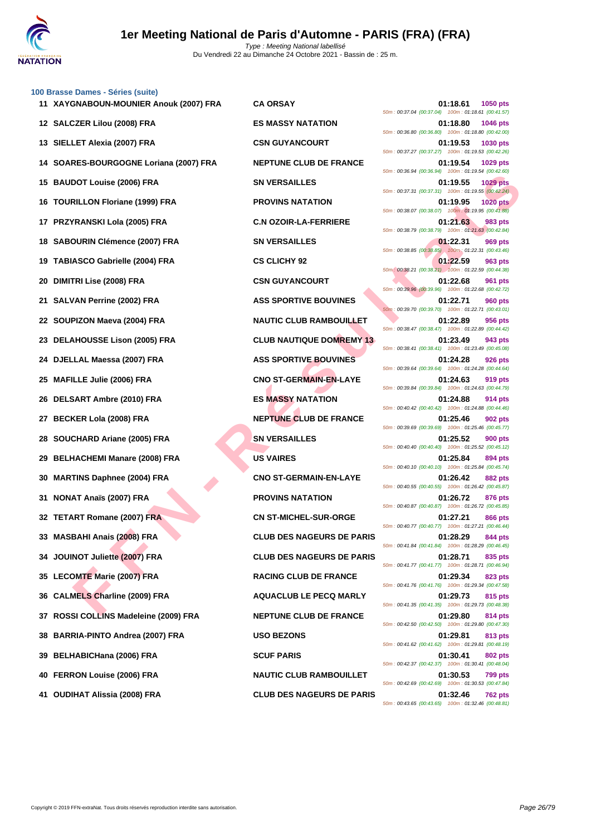

#### **[100 Brass](http://www.ffnatation.fr/webffn/index.php)e Dames - Séries (suite)**

| 11   XAYGNABOUN-MOUNIER Anouk (2007) FRA | <b>CA ORSAY</b>                  | 01:18.61<br><b>1050 pts</b><br>50m: 00:37.04 (00:37.04) 100m: 01:18.61 (00:41.57)                                                      |
|------------------------------------------|----------------------------------|----------------------------------------------------------------------------------------------------------------------------------------|
| 12 SALCZER Lilou (2008) FRA              | <b>ES MASSY NATATION</b>         | 01:18.80<br>1046 pts<br>50m: 00:36.80 (00:36.80) 100m: 01:18.80 (00:42.00)                                                             |
| 13 SIELLET Alexia (2007) FRA             | <b>CSN GUYANCOURT</b>            | 01:19.53<br>1030 pts<br>50m: 00:37.27 (00:37.27) 100m: 01:19.53 (00:42.26)                                                             |
| 14 SOARES-BOURGOGNE Loriana (2007) FRA   | <b>NEPTUNE CLUB DE FRANCE</b>    | 01:19.54<br>1029 pts<br>50m: 00:36.94 (00:36.94) 100m: 01:19.54 (00:42.60)                                                             |
| 15 BAUDOT Louise (2006) FRA              | <b>SN VERSAILLES</b>             | 1029 pts<br>01:19.55<br>50m: 00:37.31 (00:37.31) 100m: 01:19.55 (00:42.24)                                                             |
| 16 TOURILLON Floriane (1999) FRA         | <b>PROVINS NATATION</b>          | 01:19.95<br><b>1020 pts</b><br>50m: 00:38.07 (00:38.07) 100m: 01:19.95 (00:41.88)                                                      |
| 17 PRZYRANSKI Lola (2005) FRA            | <b>C.N OZOIR-LA-FERRIERE</b>     | 01:21.63<br>983 pts<br>50m: 00:38.79 (00:38.79) 100m: 01:21.63 (00:42.84)                                                              |
| 18 SABOURIN Clémence (2007) FRA          | <b>SN VERSAILLES</b>             | 01:22.31<br>969 pts<br>50m: 00:38.85 (00:38.85) 100m: 01:22.31 (00:43.46)                                                              |
| 19 TABIASCO Gabrielle (2004) FRA         | <b>CS CLICHY 92</b>              | 01:22.59<br>963 pts<br>50m: 00:38.21 (00:38.21) 100m: 01:22.59 (00:44.38)                                                              |
| 20 DIMITRI Lise (2008) FRA               | <b>CSN GUYANCOURT</b>            | 01:22.68<br>961 pts                                                                                                                    |
| 21 SALVAN Perrine (2002) FRA             | <b>ASS SPORTIVE BOUVINES</b>     | 50m: 00:39.96 (00:39.96) 100m: 01:22.68 (00:42.72)<br>01:22.71<br><b>960 pts</b><br>50m: 00:39.70 (00:39.70) 100m: 01:22.71 (00:43.01) |
| 22 SOUPIZON Maeva (2004) FRA             | <b>NAUTIC CLUB RAMBOUILLET</b>   | 01:22.89<br>956 pts                                                                                                                    |
| 23 DELAHOUSSE Lison (2005) FRA           | <b>CLUB NAUTIQUE DOMREMY 13</b>  | 50m: 00:38.47 (00:38.47) 100m: 01:22.89 (00:44.42)<br>01:23.49<br>943 pts                                                              |
| 24 DJELLAL Maessa (2007) FRA             | <b>ASS SPORTIVE BOUVINES</b>     | 50m: 00:38.41 (00:38.41) 100m: 01:23.49 (00:45.08)<br>01:24.28<br><b>926 pts</b>                                                       |
| 25 MAFILLE Julie (2006) FRA              | <b>CNO ST-GERMAIN-EN-LAYE</b>    | 50m: 00:39.64 (00:39.64) 100m: 01:24.28 (00:44.64)<br>01:24.63<br>919 pts                                                              |
| 26 DELSART Ambre (2010) FRA              | <b>ES MASSY NATATION</b>         | 50m: 00:39.84 (00:39.84) 100m: 01:24.63 (00:44.79)<br>01:24.88<br>914 pts                                                              |
| 27 BECKER Lola (2008) FRA                | <b>NEPTUNE CLUB DE FRANCE</b>    | 50m: 00:40.42 (00:40.42) 100m: 01:24.88 (00:44.46)<br>01:25.46<br>902 pts                                                              |
| 28 SOUCHARD Ariane (2005) FRA            | <b>SN VERSAILLES</b>             | 50m: 00:39.69 (00:39.69) 100m: 01:25.46 (00:45.77)<br>01:25.52<br><b>900 pts</b>                                                       |
| 29 BELHACHEMI Manare (2008) FRA          | <b>US VAIRES</b>                 | 50m: 00:40.40 (00:40.40) 100m: 01:25.52 (00:45.12)<br>01:25.84<br>894 pts                                                              |
| 30 MARTINS Daphnee (2004) FRA            | <b>CNO ST-GERMAIN-EN-LAYE</b>    | 50m: 00:40.10 (00:40.10) 100m: 01:25.84 (00:45.74)<br>01:26.42<br>882 pts                                                              |
| 31 NONAT Anaïs (2007) FRA                | <b>PROVINS NATATION</b>          | 50m: 00:40.55 (00:40.55) 100m: 01:26.42 (00:45.87)<br>01:26.72<br>876 pts                                                              |
| 32 TETART Romane (2007) FRA              | <b>CN ST-MICHEL-SUR-ORGE</b>     | 50m: 00:40.87 (00:40.87) 100m: 01:26.72 (00:45.85)<br>01:27.21<br>866 pts                                                              |
| 33 MASBAHI Anais (2008) FRA              | <b>CLUB DES NAGEURS DE PARIS</b> | 50m: 00:40.77 (00:40.77) 100m: 01:27.21 (00:46.44)<br>01:28.29<br>844 pts                                                              |
| 34 JOUINOT Juliette (2007) FRA           | <b>CLUB DES NAGEURS DE PARIS</b> | 50m: 00:41.84 (00:41.84) 100m: 01:28.29 (00:46.45)<br>01:28.71<br>835 pts                                                              |
| 35 LECOMTE Marie (2007) FRA              | <b>RACING CLUB DE FRANCE</b>     | 50m: 00:41.77 (00:41.77) 100m: 01:28.71 (00:46.94)<br>01:29.34<br>823 pts                                                              |
| 36 CALMELS Charline (2009) FRA           | <b>AQUACLUB LE PECQ MARLY</b>    | 50m: 00:41.76 (00:41.76) 100m: 01:29.34 (00:47.58)<br>01:29.73<br>815 pts                                                              |
| 37 ROSSI COLLINS Madeleine (2009) FRA    | <b>NEPTUNE CLUB DE FRANCE</b>    | 50m: 00:41.35 (00:41.35) 100m: 01:29.73 (00:48.38)<br>01:29.80<br>814 pts                                                              |
| 38 BARRIA-PINTO Andrea (2007) FRA        | <b>USO BEZONS</b>                | 50m: 00:42.50 (00:42.50) 100m: 01:29.80 (00:47.30)<br>01:29.81<br>813 pts                                                              |
| 39 BELHABICHana (2006) FRA               | <b>SCUF PARIS</b>                | 50m: 00:41.62 (00:41.62) 100m: 01:29.81 (00:48.19)<br>01:30.41<br>802 pts                                                              |
| 40 FERRON Louise (2006) FRA              | <b>NAUTIC CLUB RAMBOUILLET</b>   | 50m: 00:42.37 (00:42.37) 100m: 01:30.41 (00:48.04)<br>01:30.53<br>799 pts                                                              |
| 41 OUDIHAT Alissia (2008) FRA            | <b>CLUB DES NAGEURS DE PARIS</b> | 50m: 00:42.69 (00:42.69) 100m: 01:30.53 (00:47.84)<br>01:32.46<br><b>762 pts</b>                                                       |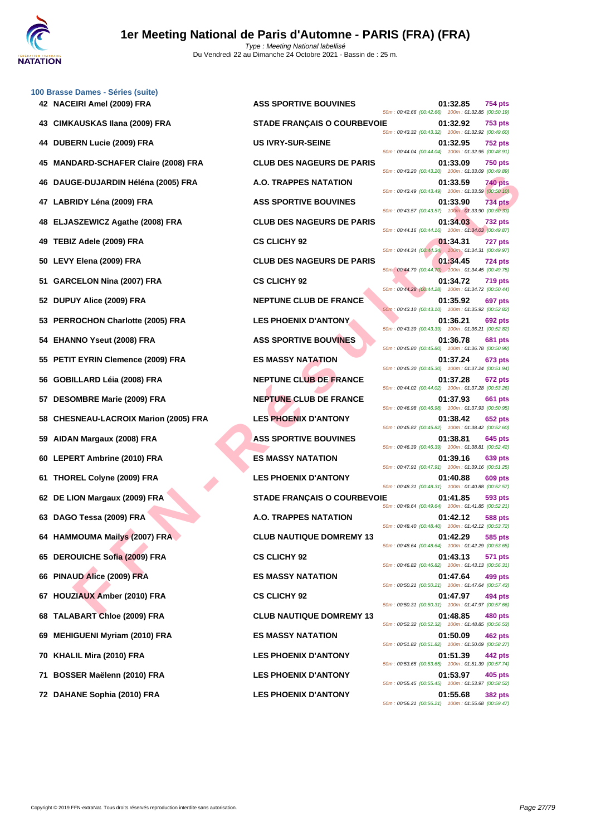

|    | 100 Brasse Dames - Séries (suite)         |                                    |  |                                                                    |                |
|----|-------------------------------------------|------------------------------------|--|--------------------------------------------------------------------|----------------|
|    | 42 NACEIRI Amel (2009) FRA                | <b>ASS SPORTIVE BOUVINES</b>       |  | 01:32.85<br>50m: 00:42.66 (00:42.66) 100m: 01:32.85 (00:50.19)     | 754 pts        |
|    | 43 CIMKAUSKAS Ilana (2009) FRA            | <b>STADE FRANÇAIS O COURBEVOIE</b> |  | 01:32.92<br>50m: 00:43.32 (00:43.32) 100m: 01:32.92 (00:49.60)     | 753 pts        |
|    | 44 DUBERN Lucie (2009) FRA                | <b>US IVRY-SUR-SEINE</b>           |  | 01:32.95<br>50m: 00:44.04 (00:44.04) 100m: 01:32.95 (00:48.91)     | <b>752 pts</b> |
|    | 45 MANDARD-SCHAFER Claire (2008) FRA      | <b>CLUB DES NAGEURS DE PARIS</b>   |  | 01:33.09<br>50m : 00:43.20 (00:43.20) 100m : 01:33.09 (00:49.89)   | <b>750 pts</b> |
| 46 | DAUGE-DUJARDIN Héléna (2005) FRA          | A.O. TRAPPES NATATION              |  | 01:33.59<br>50m : 00:43.49 (00:43.49) 100m : 01:33.59 (00:50.10)   | 740 pts        |
|    | 47 LABRIDY Léna (2009) FRA                | <b>ASS SPORTIVE BOUVINES</b>       |  | 01:33.90<br>50m: 00:43.57 (00:43.57) 100m: 01:33.90 (00:50.33)     | <b>734 pts</b> |
|    | 48 ELJASZEWICZ Agathe (2008) FRA          | <b>CLUB DES NAGEURS DE PARIS</b>   |  | 01:34.03<br>50m: 00:44.16 (00:44.16) 100m: 01:34.03 (00:49.87)     | <b>732 pts</b> |
| 49 | TEBIZ Adele (2009) FRA                    | <b>CS CLICHY 92</b>                |  | 01:34.31<br>50m: 00:44.34 (00:44.34)  100m: 01:34.31 (00:49.97)    | 727 pts        |
|    | 50 LEVY Elena (2009) FRA                  | <b>CLUB DES NAGEURS DE PARIS</b>   |  | 01:34.45<br>50m : 00:44.70 (00:44.70) 100m : 01:34.45 (00:49.75)   | 724 pts        |
|    | 51 GARCELON Nina (2007) FRA               | <b>CS CLICHY 92</b>                |  | 01:34.72<br>50m: 00:44.28 (00:44.28) 100m: 01:34.72 (00:50.44)     | <b>719 pts</b> |
|    | 52 DUPUY Alice (2009) FRA                 | <b>NEPTUNE CLUB DE FRANCE</b>      |  | 01:35.92<br>50m: 00:43.10 (00:43.10) 100m: 01:35.92 (00:52.82)     | 697 pts        |
|    | 53 PERROCHON Charlotte (2005) FRA         | <b>LES PHOENIX D'ANTONY</b>        |  | 01:36.21<br>50m: 00:43.39 (00:43.39) 100m: 01:36.21 (00:52.82)     | 692 pts        |
|    | 54 EHANNO Yseut (2008) FRA                | <b>ASS SPORTIVE BOUVINES</b>       |  | 01:36.78<br>50m: 00:45.80 (00:45.80) 100m: 01:36.78 (00:50.98)     | 681 pts        |
|    | 55 PETIT EYRIN Clemence (2009) FRA        | <b>ES MASSY NATATION</b>           |  | 01:37.24<br>50m: 00:45.30 (00:45.30) 100m: 01:37.24 (00:51.94)     | <b>673 pts</b> |
|    | 56 GOBILLARD Léia (2008) FRA              | <b>NEPTUNE CLUB DE FRANCE</b>      |  | 01:37.28<br>50m: 00:44.02 (00:44.02) 100m: 01:37.28 (00:53.26)     | 672 pts        |
|    | 57 DESOMBRE Marie (2009) FRA              | <b>NEPTUNE CLUB DE FRANCE</b>      |  | 01:37.93<br>50m: 00:46.98 (00:46.98) 100m: 01:37.93 (00:50.95)     | 661 pts        |
| 58 | <b>CHESNEAU-LACROIX Marion (2005) FRA</b> | <b>LES PHOENIX D'ANTONY</b>        |  | 01:38.42<br>50m: 00:45.82 (00:45.82) 100m: 01:38.42 (00:52.60)     | 652 pts        |
|    | 59 AIDAN Margaux (2008) FRA               | <b>ASS SPORTIVE BOUVINES</b>       |  | 01:38.81<br>50m: 00:46.39 (00:46.39) 100m: 01:38.81 (00:52.42)     | 645 pts        |
|    | 60 LEPERT Ambrine (2010) FRA              | <b>ES MASSY NATATION</b>           |  | 01:39.16<br>50m: 00:47.91 (00:47.91) 100m: 01:39.16 (00:51.25)     | 639 pts        |
|    | 61 THOREL Colyne (2009) FRA               | <b>LES PHOENIX D'ANTONY</b>        |  | 01:40.88<br>50m: 00:48.31 (00:48.31) 100m: 01:40.88 (00:52.57)     | <b>609 pts</b> |
|    | 62 DE LION Margaux (2009) FRA             | <b>STADE FRANÇAIS O COURBEVOIE</b> |  | 01:41.85<br>50m: 00:49.64 (00:49.64) 100m: 01:41.85 (00:52.21)     | 593 pts        |
|    | 63 DAGO Tessa (2009) FRA                  | <b>A.O. TRAPPES NATATION</b>       |  | 01:42.12<br>50m: 00:48.40 (00:48.40) 100m: 01:42.12 (00:53.72)     | 588 pts        |
|    | 64 HAMMOUMA Mailys (2007) FRA             | <b>CLUB NAUTIQUE DOMREMY 13</b>    |  | 01:42.29<br>50m: 00:48.64 (00:48.64) 100m: 01:42.29 (00:53.65)     | 585 pts        |
|    | 65 DEROUICHE Sofia (2009) FRA             | <b>CS CLICHY 92</b>                |  | 01:43.13<br>50m: 00:46.82 (00:46.82) 100m: 01:43.13 (00:56.31)     | 571 pts        |
|    | 66 PINAUD Alice (2009) FRA                | <b>ES MASSY NATATION</b>           |  | 01:47.64<br>50m: 00:50.21 (00:50.21) 100m: 01:47.64 (00:57.43)     | 499 pts        |
|    | 67 HOUZIAUX Amber (2010) FRA              | <b>CS CLICHY 92</b>                |  | 01:47.97<br>50m: 00:50.31 (00:50.31) 100m: 01:47.97 (00:57.66)     | 494 pts        |
|    | 68 TALABART Chloe (2009) FRA              | <b>CLUB NAUTIQUE DOMREMY 13</b>    |  | 01:48.85<br>50m: 00:52.32 (00:52.32) 100m: 01:48.85 (00:56.53)     | 480 pts        |
| 69 | <b>MEHIGUENI Myriam (2010) FRA</b>        | <b>ES MASSY NATATION</b>           |  | 01:50.09<br>50m: 00:51.82 (00:51.82) 100m: 01:50.09 (00:58.27)     | 462 pts        |
|    | 70 KHALIL Mira (2010) FRA                 | <b>LES PHOENIX D'ANTONY</b>        |  | 01:51.39                                                           | 442 pts        |
|    | 71 BOSSER Maëlenn (2010) FRA              | <b>LES PHOENIX D'ANTONY</b>        |  | 50m: 00:53.65 (00:53.65) 100m: 01:51.39 (00:57.74)<br>01:53.97     | 405 pts        |
|    | <b>DALIANE CARLIA (2040) EDA</b>          | LEC BUOENIV BIANTONIV              |  | 50m: 00:55.45 (00:55.45) 100m: 01:53.97 (00:58.52)<br>$04.EE$ $00$ | $000 - 1$      |

**F-DUARDN Helena (2005) FRA**<br> **FACTION ASS SPORTIVE BOUVINES**<br>
ES MASS VATATION<br>
2007 (FRA ASS SPORTIVE BOUVINES<br>
22 Adele (2009) FRA CULB DES NAGEURS DE PARIS announce of the same and the same and the same and the same an **422 85 SPORTIVE BOUVINES 01:32.85 754 pts** 50m : 00:42.66 (00:42.66) 100m : 01:32.85 (00:50.19) **43 CIADE FRANCAIS O COURBEVOIE 01:32.92 753 pts** 50m : 00:43.32 (00:43.32) 100m : 01:32.92 (00:49.60) **44 DUBERN Lucie (2009) FRA US IVRY-SUR-SEINE 01:32.95 752 pts** 50m : 00:44.04 (00:44.04) 100m : 01:32.95 (00:48.91) **45 MANDARD-SCHAFER Claire (2008) FRA CLUB DES NAGEURS DE PARIS 01:33.09 750 pts** 50m : 00:43.20 (00:43.20) 100m : 01:33.09 (00:49.89) **46 DAUGE-DUJARDIN Héléna (2005) FRA A.O. TRAPPES NATATION 01:33.59 740 pts** 50m : 00:43.49 (00:43.49) 100m : 01:33.59 (00:50.10) **4734 PORTIVE BOUVINES 11:33.90 734 pts** 50m : 00:43.57 (00:43.57) 100m : 01:33.90 (00:50.33) **488 CLUB DES NAGEURS DE PARIS 01:34.03 732 pts** 50m : 00:44.16 (00:44.16) 100m : 01:34.03 (00:49.87) **49 <b>CS CLICHY 92 01:34.31 727 pts** 50m : 00:44.34 (00:44.34) 100m : 01:34.31 (00:49.97) **500 CLUB DES NAGEURS DE PARIS CLUB DES NAGEURS DE PARIS** 50m : 00:44.70 (00:44.70) 100m : 01:34.45 (00:49.75) **51.34.72 CS CLICHY 92 01:34.72 719 pts** 50m : 00:44.28 (00:44.28) 100m : 01:34.72 (00:50.44) **SPECIUS DE FRANCE DE FRANCE 01:35.92 697 pts** 50m : 00:43.10 (00:43.10) 100m : 01:35.92 (00:52.82) **533 LES PHOENIX D'ANTONY Charlotte (2005) 01:36.21 692 pts** 50m : 00:43.39 (00:43.39) 100m : 01:36.21 (00:52.82) **544 EHANNO ISS SPORTIVE BOUVINES CONSUMING SPORTIVE BOUVINES 01:36.78 681 pts** 50m : 00:45.80 (00:45.80) 100m : 01:36.78 (00:50.98) **55 PES MASSY NATATION 01:37.24 673 pts** 50m : 00:45.30 (00:45.30) 100m : 01:37.24 (00:51.94) **566 CLUB DE FRANCE 672 pts** 50m : 00:44.02 (00:44.02) 100m : 01:37.28 (00:53.26) **578 DESPTUNE CLUB DE FRANCE 01:37.93 661 pts** 50m : 00:46.98 (00:46.98) 100m : 01:37.93 (00:50.95) **58 CHES PHOENIX D'ANTONY CHES PHOENIX D'ANTONY 652 pts** 50m : 00:45.82 (00:45.82) 100m : 01:38.42 (00:52.60) **59 AIDAN Margaux (2008) FRA ASS SPORTIVE BOUVINES 01:38.81 645 pts** 50m : 00:46.39 (00:46.39) 100m : 01:38.81 (00:52.42) **639 pts 639 pts** 50m : 00:47.91 (00:47.91) 100m : 01:39.16 (00:51.25) **61 THOREL Colyne (2009) FRA LES PHOENIX D'ANTONY 01:40.88 609 pts** 50m : 00:48.31 (00:48.31) 100m : 01:40.88 (00:52.57) **62 DE LION Margaux (2009) FRA STADE FRANÇAIS O COURBEVOIE 01:41.85 593 pts** 50m : 00:49.64 (00:49.64) 100m : 01:41.85 (00:52.21) **63 DAGO Tessa (2009) FRA A.O. TRAPPES NATATION 01:42.12 588 pts** 50m : 00:48.40 (00:48.40) 100m : 01:42.12 (00:53.72) **64 HAMMOUMA Mailys (2007) FRA CLUB NAUTIQUE DOMREMY 13 01:42.29 585 pts** 50m : 00:48.64 (00:48.64) 100m : 01:42.29 (00:53.65) **65 CLICHY 92 01:43.13 571 pts** 50m : 00:46.82 (00:46.82) 100m : 01:43.13 (00:56.31) **66 PINAUD Alice (2009) FRA ES MASSY NATATION 01:47.64 499 pts** 50m : 00:50.21 (00:50.21) 100m : 01:47.64 (00:57.43) 50m : 00:50.31 (00:50.31) 100m : 01:47.97 (00:57.66) **6881 CLUB NAUTIQUE DOMREMY 13 01:48.85 480 pts** 50m : 00:52.32 (00:52.32) 100m : 01:48.85 (00:56.53) **69 MEHIGUENI Myriam (2010) FRA ES MASSY NATATION 01:50.09 462 pts** 50m : 00:51.82 (00:51.82) 100m : 01:50.09 (00:58.27) **700 LES PHOENIX D'ANTONY CONSUMER 101:51.39** 442 pts 50m : 00:53.65 (00:53.65) 100m : 01:51.39 (00:57.74) **711 <b>BOS BOSSER MAËLES PHOENIX D'ANTONY 101:53.97 105 pts** 50m : 00:55.45 (00:55.45) 100m : 01:53.97 (00:58.52) **72 DAHANE Sophia (2010) FRA LES PHOENIX D'ANTONY 01:55.68 382 pts** 50m : 00:56.21 (00:56.21) 100m : 01:55.68 (00:59.47)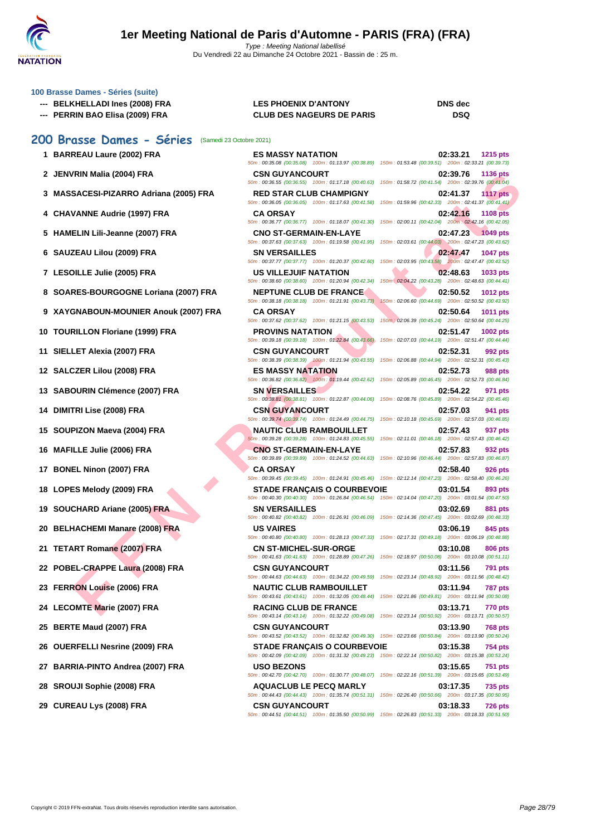

Du Vendredi 22 au Dimanche 24 Octobre 2021 - Bassin de : 25 m.

#### **[100 Brass](http://www.ffnatation.fr/webffn/index.php)e Dames - Séries (suite)**

- **--- BELKHELLADI Ines (2008) FRA LES PHOENIX D'ANTONY DNS dec**
- **--- PERRIN BAO Elisa (2009) FRA CLUB DES NAGEURS DE PARIS DSQ**

#### **200 Brasse Dames - Séries** (Samedi 23 Octobre 2021)

- 
- 
- **3 MASSACESI-PIZARRO Adriana (2005) FRA RED STAR CLUB CHAMPIGNY 02:41.37 1117 pts**
- 
- 
- 
- 
- **8 SOARES-BOURGOGNE Loriana (2007) FRA NEPTUNE CLUB DE FRANCE 02:50.52 1012 pts**
- 
- 
- 
- 
- 
- 
- 
- 
- 
- 
- 
- 
- 
- 
- 
- 
- 
- 
- 
- 
- 

| JU Drasse Dames - Series (Samedi 23 Octobre 2021) |                                                                                                                                                                                                                                                   |                                                                                    |
|---------------------------------------------------|---------------------------------------------------------------------------------------------------------------------------------------------------------------------------------------------------------------------------------------------------|------------------------------------------------------------------------------------|
| 1 BARREAU Laure (2002) FRA                        | <b>ES MASSY NATATION</b><br>50m: 00:35.08 (00:35.08) 100m: 01:13.97 (00:38.89) 150m: 01:53.48 (00:39.51) 200m: 02:33.21 (00:39.73)                                                                                                                | 02:33.21<br><b>1215 pts</b>                                                        |
| 2 JENVRIN Malia (2004) FRA                        | <b>CSN GUYANCOURT</b><br>50m: 00:36.55 (00:36.55) 100m: 01:17.18 (00:40.63)                                                                                                                                                                       | 02:39.76<br>1136 pts<br>150m: 01:58.72 (00:41.54) 200m: 02:39.76 (00:41.04)        |
| 3 MASSACESI-PIZARRO Adriana (2005) FRA            | <b>RED STAR CLUB CHAMPIGNY</b><br>50m: 00:36.05 (00:36.05) 100m: 01:17.63 (00:41.58)                                                                                                                                                              | 02:41.37<br><b>1117 pts</b><br>150m: 01:59.96 (00:42.33) 200m: 02:41.37 (00:41.41) |
| 4 CHAVANNE Audrie (1997) FRA                      | <b>CA ORSAY</b><br>50m: 00:36.77 (00:36.77) 100m: 01:18.07 (00:41.30)                                                                                                                                                                             | 02:42.16<br><b>1108 pts</b><br>150m: 02:00.11 (00:42.04) 200m: 02:42.16 (00:42.05) |
| 5 HAMELIN Lili-Jeanne (2007) FRA                  | <b>CNO ST-GERMAIN-EN-LAYE</b><br>50m: 00:37.63 (00:37.63) 100m: 01:19.58 (00:41.95)                                                                                                                                                               | 02:47.23 1049 pts<br>150m: 02:03.61 (00:44.03) 200m: 02:47.23 (00:43.62)           |
| 6 SAUZEAU Lilou (2009) FRA                        | <b>SN VERSAILLES</b><br>50m: 00:37.77 (00:37.77) 100m: 01:20.37 (00:42.60)                                                                                                                                                                        | 02:47.47<br>1047 pts<br>150m: 02:03.95 (00:43.58) 200m: 02:47.47 (00:43.52)        |
| 7 LESOILLE Julie (2005) FRA                       | <b>US VILLEJUIF NATATION</b><br>50m: 00:38.60 (00:38.60) 100m: 01:20.94 (00:42.34)                                                                                                                                                                | 02:48.63<br>1033 pts<br>150m : 02:04.22 (00:43.28) 200m : 02:48.63 (00:44.41)      |
| 8 SOARES-BOURGOGNE Loriana (2007) FRA             | <b>NEPTUNE CLUB DE FRANCE</b><br>50m: 00:38.18 (00:38.18) 100m: 01:21.91 (00:43.73)                                                                                                                                                               | 02:50.52<br>1012 pts<br>150m: 02:06.60 (00:44.69) 200m: 02:50.52 (00:43.92)        |
| 9 XAYGNABOUN-MOUNIER Anouk (2007) FRA             | <b>CA ORSAY</b><br>50m : 00:37.62 (00:37.62) 100m : 01:21.15 (00:43.53) 150m : 02:06.39 (00:45.24) 200m : 02:50.64 (00:44.25)                                                                                                                     | 02:50.64<br>1011 pts                                                               |
| 0 TOURILLON Floriane (1999) FRA                   | <b>PROVINS NATATION</b><br>50m: 00:39.18 (00:39.18) 100m: 01:22.84 (00:43.66)                                                                                                                                                                     | 02:51.47<br>1002 pts<br>150m: 02:07.03 (00:44.19) 200m: 02:51.47 (00:44.44)        |
| 1 SIELLET Alexia (2007) FRA                       | <b>CSN GUYANCOURT</b><br>50m: 00:38.39 (00:38.39) 100m: 01:21.94 (00:43.55)                                                                                                                                                                       | 02:52.31<br>992 pts<br>150m: 02:06.88 (00:44.94) 200m: 02:52.31 (00:45.43)         |
| 2 SALCZER Lilou (2008) FRA                        | <b>ES MASSY NATATION</b><br>50m: 00:36.82 (00:36.82) 100m: 01:19.44 (00:42.62)                                                                                                                                                                    | 02:52.73<br>988 pts<br>150m: 02:05.89 (00:46.45) 200m: 02:52.73 (00:46.84)         |
| 3 SABOURIN Clémence (2007) FRA                    | <b>SN VERSAILLES</b><br>50m: 00:38.81 (00:38.81) 100m: 01:22.87 (00:44.06)                                                                                                                                                                        | 02:54.22<br>971 pts<br>150m: 02:08.76 (00:45.89) 200m: 02:54.22 (00:45.46)         |
| 4 DIMITRI Lise (2008) FRA                         | <b>CSN GUYANCOURT</b><br>50m: 00:39.74 (00:39.74) 100m: 01:24.49 (00:44.75)                                                                                                                                                                       | 02:57.03<br>941 pts<br>150m: 02:10.18 (00:45.69) 200m: 02:57.03 (00:46.85)         |
| 5 SOUPIZON Maeva (2004) FRA                       | <b>NAUTIC CLUB RAMBOUILLET</b><br>50m: 00:39.28 (00:39.28) 100m: 01:24.83 (00:45.55)                                                                                                                                                              | 02:57.43<br>937 pts<br>150m: 02:11.01 (00:46.18) 200m: 02:57.43 (00:46.42)         |
| 6 MAFILLE Julie (2006) FRA                        | <b>CNO ST-GERMAIN-EN-LAYE</b><br>50m: 00:39.89 (00:39.89) 100m: 01:24.52 (00:44.63)                                                                                                                                                               | 02:57.83<br>932 pts<br>150m: 02:10.96 (00:46.44) 200m: 02:57.83 (00:46.87)         |
| 7 BONEL Ninon (2007) FRA                          | <b>CA ORSAY</b><br>50m : 00:39.45 (00:39.45) 100m : 01:24.91 (00:45.46) 150m : 02:12.14 (00:47.23) 200m : 02:58.40 (00:46.26)                                                                                                                     | 02:58.40<br><b>926 pts</b>                                                         |
| 8 LOPES Melody (2009) FRA                         | <b>STADE FRANÇAIS O COURBEVOIE</b><br>50m: 00:40.30 (00:40.30) 100m: 01:26.84 (00:46.54) 150m: 02:14.04 (00:47.20) 200m: 03:01.54 (00:47.50)                                                                                                      | 03:01.54<br>893 pts                                                                |
| 9 SOUCHARD Ariane (2005) FRA                      | <b>SN VERSAILLES</b><br>50m : 00:40.82 (00:40.82) 100m : 01:26.91 (00:46.09) 150m : 02:14.36 (00:47.45) 200m : 03:02.69 (00:48.33)                                                                                                                | 03:02.69<br>881 pts                                                                |
| 0 BELHACHEMI Manare (2008) FRA                    | <b>US VAIRES</b><br>50m: 00:40.80 (00:40.80) 100m: 01:28.13 (00:47.33)                                                                                                                                                                            | 03:06.19<br>845 pts<br>150m: 02:17.31 (00:49.18) 200m: 03:06.19 (00:48.88)         |
| 1 TETART Romane (2007) FRA                        | <b>CN ST-MICHEL-SUR-ORGE</b><br>50m : 00:41.63 (00:41.63) 100m : 01:28.89 (00:47.26) 150m : 02:18.97 (00:50.08) 200m : 03:10.08 (00:51.11)                                                                                                        | 03:10.08<br><b>806 pts</b>                                                         |
| 2 POBEL-CRAPPE Laura (2008) FRA                   | <b>CSN GUYANCOURT</b><br>50m : 00:44.63 (00:44.63) 100m : 01:34.22 (00:49.59) 150m : 02:23.14 (00:48.92) 200m : 03:11.56 (00:48.42)                                                                                                               | 03:11.56<br>791 pts                                                                |
| 23 FERRON Louise (2006) FRA                       | <b>NAUTIC CLUB RAMBOUILLET</b><br>50m : 00:43.61 (00:43.61) 100m : 01:32.05 (00:48.44) 150m : 02:21.86 (00:49.81) 200m : 03:11.94 (00:50.08)                                                                                                      | 03:11.94<br>787 pts                                                                |
| 24 LECOMTE Marie (2007) FRA                       | <b>RACING CLUB DE FRANCE</b><br>50m: 00:43.14 (00:43.14) 100m: 01:32.22 (00:49.08) 150m: 02:23.14 (00:50.92) 200m: 03:13.71 (00:50.57)                                                                                                            | 03:13.71<br><b>770 pts</b>                                                         |
| 25 BERTE Maud (2007) FRA                          | <b>CSN GUYANCOURT</b><br>50m : 00:43.52 (00:43.52) 100m : 01:32.82 (00:49.30) 150m : 02:23.66 (00:50.84) 200m : 03:13.90 (00:50.24)                                                                                                               | 03:13.90<br><b>768 pts</b>                                                         |
| <b>86 OUERFELLI Nesrine (2009) FRA</b>            | <b>STADE FRANCAIS O COURBEVOIE</b>                                                                                                                                                                                                                | 03:15.38<br><b>754 pts</b>                                                         |
| 27 BARRIA-PINTO Andrea (2007) FRA                 | 50m: 00:42.09 (00:42.09) 100m: 01:31.32 (00:49.23) 150m: 02:22.14 (00:50.82) 200m: 03:15.38 (00:53.24)<br><b>USO BEZONS</b>                                                                                                                       | 03:15.65<br><b>751 pts</b>                                                         |
| 28 SROUJI Sophie (2008) FRA                       | 50m: 00:42.70 (00:42.70) 100m: 01:30.77 (00:48.07) 150m: 02:22.16 (00:51.39) 200m: 03:15.65 (00:53.49)<br><b>AQUACLUB LE PECQ MARLY</b><br>50m: 00:44.43 (00:44.43) 100m: 01:35.74 (00:51.31) 150m: 02:26.40 (00:50.66) 200m: 03:17.35 (00:50.95) | 03:17.35<br><b>735 pts</b>                                                         |
|                                                   |                                                                                                                                                                                                                                                   |                                                                                    |

**29 CUREAU Lys (2008) FRA CSN GUYANCOURT 03:18.33 726 pts** 50m : 00:44.51 (00:44.51) 100m : 01:35.50 (00:50.99) 150m : 02:26.83 (00:51.33) 200m : 03:18.33 (00:51.50)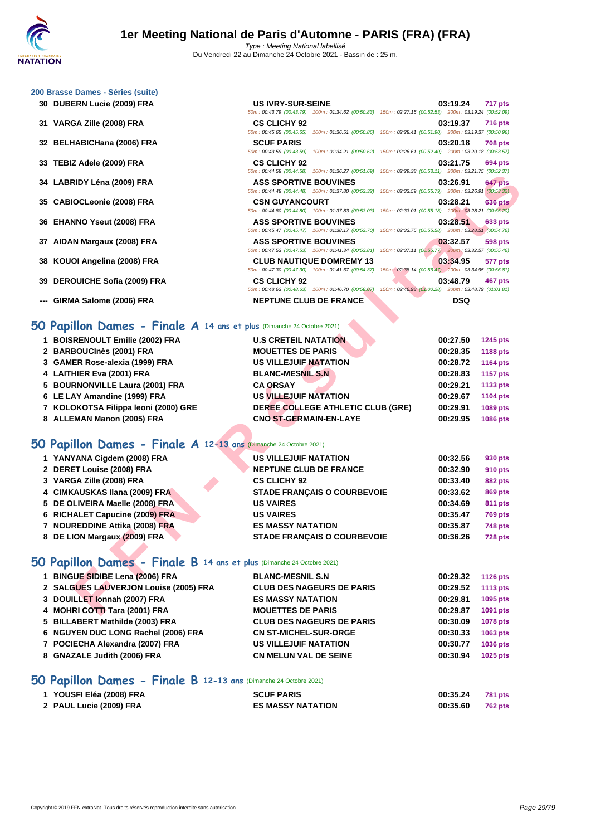#### **[200 Brass](http://www.ffnatation.fr/webffn/index.php)e Dames - Séries (suite)**

- 
- 
- 
- 
- 
- 
- 
- 
- 
- 
- **--- GIRMA Salome (2006) FRA NEPTUNE CLUB DE FRANCE DSQ**

#### **DUBERN Lucie (2009) FRA US IVRY-SUR-SEINE 03:19.24 717 pts** 50m : 00:43.79 (00:43.79) 100m : 01:34.62 (00:50.83) 150m : 02:27.15 (00:52.53) 200m : 03:19.24 (00:52.09) **VARGA Zille (2008) FRA CS CLICHY 92 03:19.37 716 pts** 50m : 00:45.65 (00:45.65) 100m : 01:36.51 (00:50.86) 150m : 02:28.41 (00:51.90) 200m : 03:19.37 (00:50.96) **BELHABICHana (2006) FRA SCUF PARIS 03:20.18 708 pts** 50m : 00:43.59 (00:43.59) 100m : 01:34.21 (00:50.62) 150m : 02:26.61 (00:52.40) 200m : 03:20.18 (00:53.57) **TEBIZ Adele (2009) FRA CS CLICHY 92 03:21.75 694 pts** 50m : 00:44.58 (00:44.58) 100m : 01:36.27 (00:51.69) 150m : 02:29.38 (00:53.11) 200m : 03:21.75 (00:52.37) **LABRIDY Léna (2009) FRA ASS SPORTIVE BOUVINES 03:26.91 647 pts** 50m : 00:44.48 (00:44.48) 100m : 01:37.80 (00:53.32) 150m : 02:33.59 (00:55.79) 200m : 03:26.91 (00:53.32) **CABIOCLeonie (2008) FRA CSN GUYANCOURT 03:28.21 636 pts** 50m : 00:44.80 (00:44.80) 100m : 01:37.83 (00:53.03) 150m : 02:33.01 (00:55.18) 200m : 03:28.21 (00:55.20) **EHANNO Yseut (2008) FRA ASS SPORTIVE BOUVINES 03:28.51 633 pts** 50m : 00:45.47 (00:45.47) 100m : 01:38.17 (00:52.70) 150m : 02:33.75 (00:55.58) 200m : 03:28.51 (00:54.76) **AIDAN Margaux (2008) FRA ASS SPORTIVE BOUVINES 03:32.57 598 pts** 50m : 00:47.53 (00:47.53) 100m : 01:41.34 (00:53.81) 150m : 02:37.11 (00:55.77) 200m : 03:32.57 (00:55.46) **KOUOI Angelina (2008) FRA CLUB NAUTIQUE DOMREMY 13 03:34.95 577 pts** 50m : 00:47.30 (00:47.30) 100m : 01:41.67 (00:54.37) 150m : 02:38.14 (00:56.47) 200m : 03:34.95 (00:56.81) **DEROUICHE Sofia (2009) FRA CS CLICHY 92 03:48.79 467 pts** 50m : 00:48.63 (00:48.63) 100m : 01:46.70 (00:58.07) 150m : 02:46.98 (01:00.28) 200m : 03:48.79 (01:01.81)

#### **50 Papillon Dames - Finale A 14 ans et plus (Dimanche 24 Octobre 2021)**

|                                                                               | JUINT. 00:44.JO (00:44.JO) TOUM DISOLET (00:JT.03) TOUM DELES.JO (00:JJ.TT) ZUUM DISLETTU (00:JZ.JT)                                      |                             |
|-------------------------------------------------------------------------------|-------------------------------------------------------------------------------------------------------------------------------------------|-----------------------------|
| 34 LABRIDY Léna (2009) FRA                                                    | <b>ASS SPORTIVE BOUVINES</b><br>50m: 00:44.48 (00:44.48) 100m: 01:37.80 (00:53.32) 150m: 02:33.59 (00:55.79) 200m: 03:26.91 (00:53.32)    | 03:26.91<br>647 pts         |
| 35 CABIOCLeonie (2008) FRA                                                    | <b>CSN GUYANCOURT</b><br>50m : 00:44.80 (00:44.80) 100m : 01:37.83 (00:53.03) 150m : 02:33.01 (00:55.18) 200m : 03:28.21 (00:55.20)       | <b>636 pts</b><br>03:28.21  |
| 36 EHANNO Yseut (2008) FRA                                                    | <b>ASS SPORTIVE BOUVINES</b>                                                                                                              | 03:28.51<br>633 pts         |
| 37 AIDAN Margaux (2008) FRA                                                   | 50m: 00:45.47 (00:45.47) 100m: 01:38.17 (00:52.70) 150m: 02:33.75 (00:55.58) 200m: 03:28.51 (00:54.76)<br><b>ASS SPORTIVE BOUVINES</b>    | 03:32.57<br><b>598 pts</b>  |
| 38 KOUOI Angelina (2008) FRA                                                  | 50m: 00:47.53 (00:47.53) 100m: 01:41.34 (00:53.81) 150m: 02:37.11 (00:55.77) 200m: 03:32.57 (00:55.46)<br><b>CLUB NAUTIQUE DOMREMY 13</b> | 03:34.95<br>577 pts         |
| 39 DEROUICHE Sofia (2009) FRA                                                 | 50m: 00:47.30 (00:47.30) 100m: 01:41.67 (00:54.37) 150m: 02:38.14 (00:56.47) 200m: 03:34.95 (00:56.81)<br><b>CS CLICHY 92</b>             | 03:48.79<br>467 pts         |
|                                                                               | 50m : 00:48.63 (00:48.63) 100m : 01:46.70 (00:58.07) 150m : 02:46.98 (01:00.28) 200m : 03:48.79 (01:01.81)                                |                             |
| --- GIRMA Salome (2006) FRA                                                   | <b>NEPTUNE CLUB DE FRANCE</b>                                                                                                             | <b>DSQ</b>                  |
| $50$ Papillon Dames - Finale A 14 ans et plus (Dimanche 24 Octobre 2021)      |                                                                                                                                           |                             |
| 1 BOISRENOULT Emilie (2002) FRA                                               | <b>U.S CRETEIL NATATION</b>                                                                                                               | 00:27.50<br>1245 pts        |
| 2 BARBOUCInès (2001) FRA                                                      | <b>MOUETTES DE PARIS</b>                                                                                                                  | 00:28.35<br>1188 pts        |
| 3 GAMER Rose-alexia (1999) FRA                                                | <b>US VILLEJUIF NATATION</b>                                                                                                              | 00:28.72<br>1164 pts        |
| 4 LAITHIER Eva (2001) FRA                                                     | <b>BLANC-MESNIL S.N.</b>                                                                                                                  | 00:28.83<br><b>1157 pts</b> |
| 5 BOURNONVILLE Laura (2001) FRA                                               | <b>CA ORSAY</b>                                                                                                                           | 00:29.21<br>1133 pts        |
| 6 LE LAY Amandine (1999) FRA                                                  | <b>US VILLEJUIF NATATION</b>                                                                                                              | 00:29.67<br>1104 pts        |
| 7 KOLOKOTSA Filippa leoni (2000) GRE                                          | DEREE COLLEGE ATHLETIC CLUB (GRE)                                                                                                         | 00:29.91<br>1089 pts        |
| 8 ALLEMAN Manon (2005) FRA                                                    | <b>CNO ST-GERMAIN-EN-LAYE</b>                                                                                                             | 00:29.95<br>1086 pts        |
| 50 Papillon Dames - Finale A 12-13 ans (Dimanche 24 Octobre 2021)             |                                                                                                                                           |                             |
| 1 YANYANA Cigdem (2008) FRA                                                   | <b>US VILLEJUIF NATATION</b>                                                                                                              | 00:32.56<br>930 pts         |
| 2 DERET Louise (2008) FRA                                                     | <b>NEPTUNE CLUB DE FRANCE</b>                                                                                                             | 00:32.90<br>910 pts         |
| 3 VARGA Zille (2008) FRA                                                      | <b>CS CLICHY 92</b>                                                                                                                       | 00:33.40<br>882 pts         |
| 4 CIMKAUSKAS Ilana (2009) FRA                                                 | <b>STADE FRANÇAIS O COURBEVOIE</b>                                                                                                        | 00:33.62<br>869 pts         |
| 5 DE OLIVEIRA Maelle (2008) FRA                                               | <b>US VAIRES</b>                                                                                                                          | 00:34.69<br>811 pts         |
| 6 RICHALET Capucine (2009) FRA                                                | <b>US VAIRES</b>                                                                                                                          | 00:35.47<br><b>769 pts</b>  |
| 7 NOUREDDINE Attika (2008) FRA                                                | <b>ES MASSY NATATION</b>                                                                                                                  | 00:35.87<br><b>748 pts</b>  |
| 8 DE LION Margaux (2009) FRA                                                  | <b>STADE FRANÇAIS O COURBEVOIE</b>                                                                                                        | 00:36.26<br><b>728 pts</b>  |
| <b>iO Papillon Dames - Finale B 14 ans et plus (Dimanche 24 Octobre 2021)</b> |                                                                                                                                           |                             |
| 1 BINGUE SIDIBE Lena (2006) FRA                                               | <b>BLANC-MESNIL S.N</b>                                                                                                                   | 00:29.32<br><b>1126 pts</b> |
| 2 SALGUES LAUVERJON Louise (2005) FRA                                         | <b>CLUB DES NAGEURS DE PARIS</b>                                                                                                          | 00:29.52<br><b>1113 pts</b> |
| 3 DOUILLET Ionnah (2007) FRA                                                  | <b>ES MASSY NATATION</b>                                                                                                                  | 00:29.81<br>1095 pts        |
| 4 MOHRI COTTI Tara (2001) FRA                                                 | <b>MOUETTES DE PARIS</b>                                                                                                                  | 00:29.87<br>1091 pts        |
|                                                                               |                                                                                                                                           |                             |

#### **50 Papillon Dames - Finale A 12-13 ans** (Dimanche 24 Octobre 2021)

| 1 YANYANA Cigdem (2008) FRA     | <b>US VILLEJUIF NATATION</b>       | 00:32.56 | 930 pts        |
|---------------------------------|------------------------------------|----------|----------------|
| 2 DERET Louise (2008) FRA       | <b>NEPTUNE CLUB DE FRANCE</b>      | 00:32.90 | 910 pts        |
| 3 VARGA Zille (2008) FRA        | <b>CS CLICHY 92</b>                | 00:33.40 | 882 pts        |
| 4 CIMKAUSKAS Ilana (2009) FRA   | <b>STADE FRANCAIS O COURBEVOIE</b> | 00:33.62 | 869 pts        |
| 5 DE OLIVEIRA Maelle (2008) FRA | <b>US VAIRES</b>                   | 00:34.69 | 811 pts        |
| 6 RICHALET Capucine (2009) FRA  | <b>US VAIRES</b>                   | 00:35.47 | <b>769 pts</b> |
| 7 NOUREDDINE Attika (2008) FRA  | <b>ES MASSY NATATION</b>           | 00:35.87 | <b>748 pts</b> |
| 8 DE LION Margaux (2009) FRA    | <b>STADE FRANCAIS O COURBEVOIE</b> | 00:36.26 | <b>728 pts</b> |
|                                 |                                    |          |                |

## **50 Papillon Dames - Finale B 14 ans et plus** (Dimanche 24 Octobre 2021)

| 1 BINGUE SIDIBE Lena (2006) FRA       | <b>BLANC-MESNIL S.N</b>          | 00:29.32 | 1126 pts |
|---------------------------------------|----------------------------------|----------|----------|
| 2 SALGUES LAUVERJON Louise (2005) FRA | <b>CLUB DES NAGEURS DE PARIS</b> | 00:29.52 | 1113 pts |
| 3 DOUILLET Ionnah (2007) FRA          | <b>ES MASSY NATATION</b>         | 00:29.81 | 1095 pts |
| 4 MOHRI COTTI Tara (2001) FRA         | <b>MOUETTES DE PARIS</b>         | 00:29.87 | 1091 pts |
| 5 BILLABERT Mathilde (2003) FRA       | <b>CLUB DES NAGEURS DE PARIS</b> | 00:30.09 | 1078 pts |
| 6 NGUYEN DUC LONG Rachel (2006) FRA   | <b>CN ST-MICHEL-SUR-ORGE</b>     | 00:30.33 | 1063 pts |
| 7 POCIECHA Alexandra (2007) FRA       | <b>US VILLEJUIF NATATION</b>     | 00:30.77 | 1036 pts |
| 8 GNAZALE Judith (2006) FRA           | <b>CN MELUN VAL DE SEINE</b>     | 00:30.94 | 1025 pts |

#### **50 Papillon Dames - Finale B 12-13 ans** (Dimanche 24 Octobre 2021)

| 1 YOUSFI Eléa (2008) FRA | <b>SCUF PARIS</b>        | 00:35.24 | <b>781 pts</b> |
|--------------------------|--------------------------|----------|----------------|
| 2 PAUL Lucie (2009) FRA  | <b>ES MASSY NATATION</b> | 00:35.60 | 762 pts        |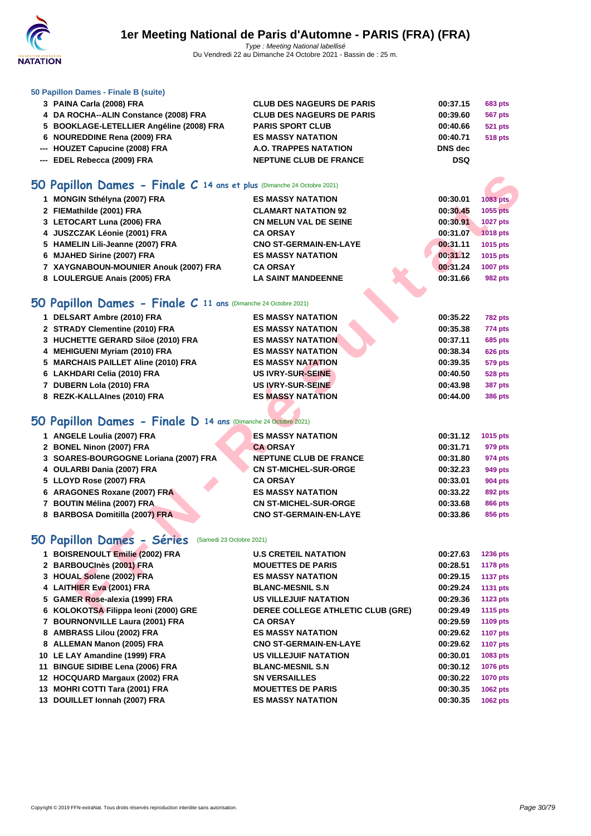

#### **[50 Papillo](http://www.ffnatation.fr/webffn/index.php)n Dames - Finale B (suite)**

| 3 PAINA Carla (2008) FRA                 | <b>CLUB DES NAGEURS DE PARIS</b> | 00:37.15   | <b>683 pts</b> |
|------------------------------------------|----------------------------------|------------|----------------|
| 4 DA ROCHA--ALIN Constance (2008) FRA    | <b>CLUB DES NAGEURS DE PARIS</b> | 00:39.60   | 567 pts        |
| 5 BOOKLAGE-LETELLIER Angéline (2008) FRA | <b>PARIS SPORT CLUB</b>          | 00:40.66   | 521 pts        |
| 6 NOUREDDINE Rena (2009) FRA             | <b>ES MASSY NATATION</b>         | 00:40.71   | <b>518 pts</b> |
| --- HOUZET Capucine (2008) FRA           | A.O. TRAPPES NATATION            | DNS dec    |                |
| --- EDEL Rebecca (2009) FRA              | <b>NEPTUNE CLUB DE FRANCE</b>    | <b>DSQ</b> |                |
|                                          |                                  |            |                |
|                                          |                                  |            |                |

### **50 Papillon Dames - Finale C 14 ans et plus** (Dimanche 24 Octobre 2021)

| $60$ Papillon Dames - Finale C 14 ans et plus (Dimanche 24 Octobre 2021) |                                   |          |                 |
|--------------------------------------------------------------------------|-----------------------------------|----------|-----------------|
| 1 MONGIN Sthélyna (2007) FRA                                             | <b>ES MASSY NATATION</b>          | 00:30.01 | <b>1083 pts</b> |
| 2 FIEMathilde (2001) FRA                                                 | <b>CLAMART NATATION 92</b>        | 00:30.45 | 1055 pts        |
| 3 LETOCART Luna (2006) FRA                                               | <b>CN MELUN VAL DE SEINE</b>      | 00:30.91 | <b>1027 pts</b> |
| 4 JUSZCZAK Léonie (2001) FRA                                             | <b>CA ORSAY</b>                   | 00:31.07 | 1018 pts        |
| 5 HAMELIN Lili-Jeanne (2007) FRA                                         | <b>CNO ST-GERMAIN-EN-LAYE</b>     | 00:31.11 | 1015 pts        |
| 6 MJAHED Sirine (2007) FRA                                               | <b>ES MASSY NATATION</b>          | 00:31.12 | 1015 pts        |
| 7 XAYGNABOUN-MOUNIER Anouk (2007) FRA                                    | <b>CA ORSAY</b>                   | 00:31.24 | <b>1007 pts</b> |
| 8 LOULERGUE Anais (2005) FRA                                             | <b>LA SAINT MANDEENNE</b>         | 00:31.66 | <b>982 pts</b>  |
| $50$ Papillon Dames - Finale C 11 ans (Dimanche 24 Octobre 2021)         |                                   |          |                 |
| 1 DELSART Ambre (2010) FRA                                               | <b>ES MASSY NATATION</b>          | 00:35.22 | <b>782 pts</b>  |
| 2 STRADY Clementine (2010) FRA                                           | <b>ES MASSY NATATION</b>          | 00:35.38 | 774 pts         |
| 3 HUCHETTE GERARD Siloë (2010) FRA                                       | <b>ES MASSY NATATION</b>          | 00:37.11 | <b>685 pts</b>  |
| 4 MEHIGUENI Myriam (2010) FRA                                            | <b>ES MASSY NATATION</b>          | 00:38.34 | <b>626 pts</b>  |
| 5 MARCHAIS PAILLET Aline (2010) FRA                                      | <b>ES MASSY NATATION</b>          | 00:39.35 | <b>579 pts</b>  |
| 6 LAKHDARI Celia (2010) FRA                                              | <b>US IVRY-SUR-SEINE</b>          | 00:40.50 | <b>528 pts</b>  |
| 7 DUBERN Lola (2010) FRA                                                 | US IVRY-SUR-SEINE                 | 00:43.98 | <b>387 pts</b>  |
| 8 REZK-KALLAInes (2010) FRA                                              | <b>ES MASSY NATATION</b>          | 00:44.00 | <b>386 pts</b>  |
|                                                                          |                                   |          |                 |
| <b>iO Papillon Dames - Finale D 14 ans (Dimanche 24 Octobre 2021)</b>    |                                   |          |                 |
| 1 ANGELE Loulia (2007) FRA                                               | <b>ES MASSY NATATION</b>          | 00:31.12 | 1015 pts        |
| 2 BONEL Ninon (2007) FRA                                                 | <b>CA ORSAY</b>                   | 00:31.71 | 979 pts         |
| 3 SOARES-BOURGOGNE Loriana (2007) FRA                                    | <b>NEPTUNE CLUB DE FRANCE</b>     | 00:31.80 | 974 pts         |
| 4 OULARBI Dania (2007) FRA                                               | <b>CN ST-MICHEL-SUR-ORGE</b>      | 00:32.23 | 949 pts         |
| 5 LLOYD Rose (2007) FRA                                                  | <b>CA ORSAY</b>                   | 00:33.01 | <b>904 pts</b>  |
| 6 ARAGONES Roxane (2007) FRA                                             | <b>ES MASSY NATATION</b>          | 00:33.22 | 892 pts         |
| 7 BOUTIN Mélina (2007) FRA                                               | <b>CN ST-MICHEL-SUR-ORGE</b>      | 00:33.68 | <b>866 pts</b>  |
| 8 BARBOSA Domitilla (2007) FRA                                           | <b>CNO ST-GERMAIN-EN-LAYE</b>     | 00:33.86 | 856 pts         |
|                                                                          |                                   |          |                 |
| iO Papillon Dames - Séries<br>(Samedi 23 Octobre 2021)                   |                                   |          |                 |
| 1 BOISRENOULT Emilie (2002) FRA                                          | <b>U.S CRETEIL NATATION</b>       | 00:27.63 | <b>1236 pts</b> |
| 2 BARBOUCInès (2001) FRA                                                 | <b>MOUETTES DE PARIS</b>          | 00:28.51 | <b>1178 pts</b> |
| 3 HOUAL Solene (2002) FRA                                                | <b>ES MASSY NATATION</b>          | 00:29.15 | <b>1137 pts</b> |
| 4 LAITHIER Eva (2001) FRA                                                | <b>BLANC-MESNIL S.N</b>           | 00:29.24 | <b>1131 pts</b> |
| 5 GAMER Rose-alexia (1999) FRA                                           | <b>US VILLEJUIF NATATION</b>      | 00:29.36 | <b>1123 pts</b> |
| 6 KOLOKOTSA Filippa leoni (2000) GRE                                     | DEREE COLLEGE ATHLETIC CLUB (GRE) | 00:29.49 | <b>1115 pts</b> |

## **50 Papillon Dames - Finale C 11 ans** (Dimanche 24 Octobre 2021)

| <b>ES MASSY NATATION</b> | 00:35.22<br><b>782 pts</b> |
|--------------------------|----------------------------|
| <b>ES MASSY NATATION</b> | 00:35.38<br>774 pts        |
| <b>ES MASSY NATATION</b> | 00:37.11<br><b>685 pts</b> |
| <b>ES MASSY NATATION</b> | 00:38.34<br><b>626 pts</b> |
| <b>ES MASSY NATATION</b> | 00:39.35<br><b>579 pts</b> |
| US IVRY-SUR-SEINE        | 00:40.50<br><b>528 pts</b> |
| US IVRY-SUR-SEINE        | 00:43.98<br><b>387 pts</b> |
| <b>ES MASSY NATATION</b> | 00:44.00<br><b>386 pts</b> |
|                          |                            |

### **50 Papillon Dames - Finale D 14 ans** (Dimanche 24 Octobre 2021)

| 1 ANGELE Loulia (2007) FRA            | <b>ES MASSY NATATION</b>      | 00:31.12 | 1015 pts       |
|---------------------------------------|-------------------------------|----------|----------------|
| 2 BONEL Ninon (2007) FRA              | <b>CA ORSAY</b>               | 00:31.71 | 979 pts        |
| 3 SOARES-BOURGOGNE Loriana (2007) FRA | NEPTUNE CLUB DE FRANCE        | 00:31.80 | 974 pts        |
| 4 OULARBI Dania (2007) FRA            | <b>CN ST-MICHEL-SUR-ORGE</b>  | 00:32.23 | 949 pts        |
| 5 LLOYD Rose (2007) FRA               | <b>CA ORSAY</b>               | 00:33.01 | <b>904 pts</b> |
| 6 ARAGONES Roxane (2007) FRA          | <b>ES MASSY NATATION</b>      | 00:33.22 | 892 pts        |
| 7 BOUTIN Mélina (2007) FRA            | <b>CN ST-MICHEL-SUR-ORGE</b>  | 00:33.68 | <b>866 pts</b> |
| 8 BARBOSA Domitilla (2007) FRA        | <b>CNO ST-GERMAIN-EN-LAYE</b> | 00:33.86 | 856 pts        |

## **50 Papillon Dames - Séries** (Samedi 23 Octobre 2021)

| 1 BOISRENOULT Emilie (2002) FRA      | <b>U.S CRETEIL NATATION</b>       | 00:27.63 | <b>1236 pts</b> |
|--------------------------------------|-----------------------------------|----------|-----------------|
| 2 BARBOUCInès (2001) FRA             | <b>MOUETTES DE PARIS</b>          | 00:28.51 | <b>1178 pts</b> |
| 3 HOUAL Solene (2002) FRA            | <b>ES MASSY NATATION</b>          | 00:29.15 | <b>1137 pts</b> |
| 4 LAITHIER Eva (2001) FRA            | <b>BLANC-MESNIL S.N</b>           | 00:29.24 | <b>1131 pts</b> |
| 5 GAMER Rose-alexia (1999) FRA       | <b>US VILLEJUIF NATATION</b>      | 00:29.36 | <b>1123 pts</b> |
| 6 KOLOKOTSA Filippa leoni (2000) GRE | DEREE COLLEGE ATHLETIC CLUB (GRE) | 00:29.49 | <b>1115 pts</b> |
| 7 BOURNONVILLE Laura (2001) FRA      | <b>CA ORSAY</b>                   | 00:29.59 | 1109 pts        |
| 8 AMBRASS Lilou (2002) FRA           | <b>ES MASSY NATATION</b>          | 00:29.62 | <b>1107 pts</b> |
| 8 ALLEMAN Manon (2005) FRA           | <b>CNO ST-GERMAIN-EN-LAYE</b>     | 00:29.62 | <b>1107 pts</b> |
| 10 LE LAY Amandine (1999) FRA        | <b>US VILLEJUIF NATATION</b>      | 00:30.01 | 1083 pts        |
| 11 BINGUE SIDIBE Lena (2006) FRA     | <b>BLANC-MESNIL S.N</b>           | 00:30.12 | <b>1076 pts</b> |
| 12 HOCQUARD Margaux (2002) FRA       | <b>SN VERSAILLES</b>              | 00:30.22 | <b>1070 pts</b> |
| 13 MOHRI COTTI Tara (2001) FRA       | <b>MOUETTES DE PARIS</b>          | 00:30.35 | <b>1062 pts</b> |
| 13 DOUILLET Ionnah (2007) FRA        | <b>ES MASSY NATATION</b>          | 00:30.35 | <b>1062 pts</b> |
|                                      |                                   |          |                 |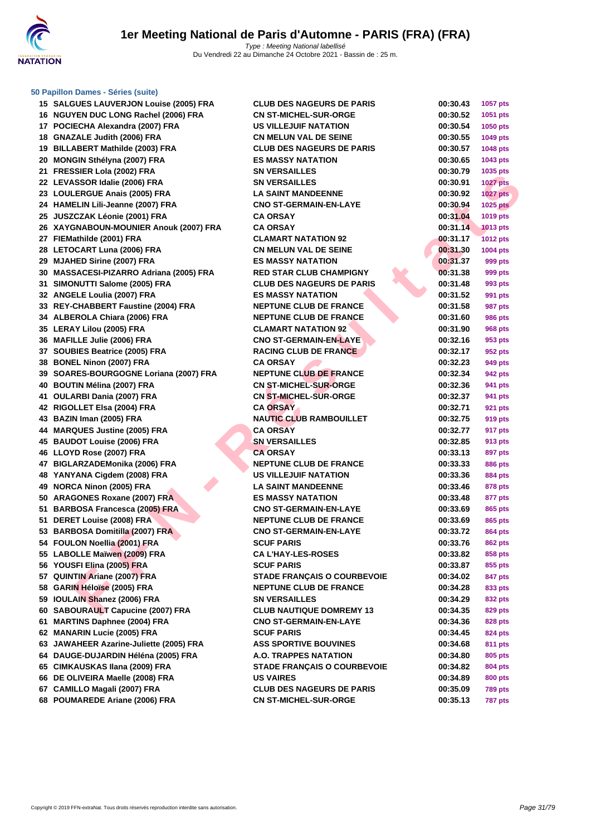

#### **[50 Papillo](http://www.ffnatation.fr/webffn/index.php)n Dames - Séries (suite)**

| 15 SALGUES LAUVERJON Louise (2005) FRA                         | <b>CLUB DES NAGEURS DE PARIS</b>   | 00:30.43 | 1057 pts        |
|----------------------------------------------------------------|------------------------------------|----------|-----------------|
| 16 NGUYEN DUC LONG Rachel (2006) FRA                           | <b>CN ST-MICHEL-SUR-ORGE</b>       | 00:30.52 | 1051 pts        |
| 17 POCIECHA Alexandra (2007) FRA                               | <b>US VILLEJUIF NATATION</b>       | 00:30.54 | 1050 pts        |
| 18 GNAZALE Judith (2006) FRA                                   | <b>CN MELUN VAL DE SEINE</b>       | 00:30.55 | 1049 pts        |
| 19 BILLABERT Mathilde (2003) FRA                               | <b>CLUB DES NAGEURS DE PARIS</b>   | 00:30.57 | 1048 pts        |
| 20 MONGIN Sthélyna (2007) FRA                                  | <b>ES MASSY NATATION</b>           | 00:30.65 | 1043 pts        |
| 21 FRESSIER Lola (2002) FRA                                    | <b>SN VERSAILLES</b>               | 00:30.79 | 1035 pts        |
| 22 LEVASSOR Idalie (2006) FRA                                  | <b>SN VERSAILLES</b>               | 00:30.91 | <b>1027 pts</b> |
| 23 LOULERGUE Anais (2005) FRA                                  | <b>LA SAINT MANDEENNE</b>          | 00:30.92 | 1027 pts        |
| 24 HAMELIN Lili-Jeanne (2007) FRA                              | <b>CNO ST-GERMAIN-EN-LAYE</b>      | 00:30.94 | <b>1025 pts</b> |
| 25 JUSZCZAK Léonie (2001) FRA                                  | <b>CA ORSAY</b>                    | 00:31.04 | 1019 pts        |
| 26 XAYGNABOUN-MOUNIER Anouk (2007) FRA                         | <b>CA ORSAY</b>                    | 00:31.14 | <b>1013 pts</b> |
| 27 FIEMathilde (2001) FRA                                      | <b>CLAMART NATATION 92</b>         | 00:31.17 | <b>1012 pts</b> |
| 28 LETOCART Luna (2006) FRA                                    | <b>CN MELUN VAL DE SEINE</b>       | 00:31.30 | 1004 pts        |
| 29 MJAHED Sirine (2007) FRA                                    | <b>ES MASSY NATATION</b>           | 00:31.37 | 999 pts         |
| 30 MASSACESI-PIZARRO Adriana (2005) FRA                        | <b>RED STAR CLUB CHAMPIGNY</b>     | 00:31.38 | 999 pts         |
| 31 SIMONUTTI Salome (2005) FRA                                 | <b>CLUB DES NAGEURS DE PARIS</b>   | 00:31.48 | 993 pts         |
| 32 ANGELE Loulia (2007) FRA                                    | <b>ES MASSY NATATION</b>           | 00:31.52 | 991 pts         |
| 33 REY-CHABBERT Faustine (2004) FRA                            | <b>NEPTUNE CLUB DE FRANCE</b>      | 00:31.58 | 987 pts         |
| 34 ALBEROLA Chiara (2006) FRA                                  | <b>NEPTUNE CLUB DE FRANCE</b>      | 00:31.60 | 986 pts         |
| 35 LERAY Lilou (2005) FRA                                      | <b>CLAMART NATATION 92</b>         | 00:31.90 | 968 pts         |
| 36 MAFILLE Julie (2006) FRA                                    | <b>CNO ST-GERMAIN-EN-LAYE</b>      | 00:32.16 | 953 pts         |
| 37 SOUBIES Beatrice (2005) FRA                                 | <b>RACING CLUB DE FRANCE</b>       | 00:32.17 | 952 pts         |
| 38 BONEL Ninon (2007) FRA                                      | <b>CA ORSAY</b>                    | 00:32.23 | 949 pts         |
| 39 SOARES-BOURGOGNE Loriana (2007) FRA                         | <b>NEPTUNE CLUB DE FRANCE</b>      | 00:32.34 | 942 pts         |
| 40 BOUTIN Mélina (2007) FRA                                    | <b>CN ST-MICHEL-SUR-ORGE</b>       | 00:32.36 | 941 pts         |
| 41 OULARBI Dania (2007) FRA                                    | <b>CN ST-MICHEL-SUR-ORGE</b>       | 00:32.37 | 941 pts         |
| 42 RIGOLLET Elsa (2004) FRA                                    | <b>CA ORSAY</b>                    | 00:32.71 | 921 pts         |
| 43 BAZIN Iman (2005) FRA                                       | <b>NAUTIC CLUB RAMBOUILLET</b>     | 00:32.75 | 919 pts         |
| 44 MARQUES Justine (2005) FRA                                  | <b>CA ORSAY</b>                    | 00:32.77 | 917 pts         |
| 45 BAUDOT Louise (2006) FRA                                    | <b>SN VERSAILLES</b>               | 00:32.85 | 913 pts         |
| 46 LLOYD Rose (2007) FRA                                       | <b>CA ORSAY</b>                    | 00:33.13 | 897 pts         |
| 47 BIGLARZADEMonika (2006) FRA                                 | <b>NEPTUNE CLUB DE FRANCE</b>      | 00:33.33 | 886 pts         |
| 48 YANYANA Cigdem (2008) FRA                                   | <b>US VILLEJUIF NATATION</b>       | 00:33.36 | 884 pts         |
| 49 NORCA Ninon (2005) FRA                                      | <b>LA SAINT MANDEENNE</b>          | 00:33.46 | 878 pts         |
| 50 ARAGONES Roxane (2007) FRA                                  | <b>ES MASSY NATATION</b>           | 00:33.48 | 877 pts         |
| 51 BARBOSA Francesca (2005) FRA                                | <b>CNO ST-GERMAIN-EN-LAYE</b>      | 00:33.69 | 865 pts         |
| 51 DERET Louise (2008) FRA                                     | <b>NEPTUNE CLUB DE FRANCE</b>      | 00:33.69 | 865 pts         |
| 53 BARBOSA Domitilla (2007) FRA                                | <b>CNO ST-GERMAIN-EN-LAYE</b>      | 00:33.72 | <b>864 pts</b>  |
| 54 FOULON Noellia (2001) FRA                                   | <b>SCUF PARIS</b>                  | 00:33.76 | 862 pts         |
| 55 LABOLLE Maïwen (2009) FRA                                   | <b>CA L'HAY-LES-ROSES</b>          | 00:33.82 | 858 pts         |
| 56 YOUSFI Elina (2005) FRA                                     | <b>SCUF PARIS</b>                  | 00:33.87 | 855 pts         |
| 57 QUINTIN Ariane (2007) FRA                                   | STADE FRANÇAIS O COURBEVOIE        | 00:34.02 | 847 pts         |
| 58 GARIN Héloïse (2005) FRA                                    | <b>NEPTUNE CLUB DE FRANCE</b>      | 00:34.28 | 833 pts         |
| 59 IOULAIN Shanez (2006) FRA                                   | <b>SN VERSAILLES</b>               | 00:34.29 | 832 pts         |
| 60 SABOURAULT Capucine (2007) FRA                              | <b>CLUB NAUTIQUE DOMREMY 13</b>    | 00:34.35 | 829 pts         |
| 61 MARTINS Daphnee (2004) FRA                                  | <b>CNO ST-GERMAIN-EN-LAYE</b>      | 00:34.36 | 828 pts         |
| 62 MANARIN Lucie (2005) FRA                                    | <b>SCUF PARIS</b>                  | 00:34.45 | 824 pts         |
| 63 JAWAHEER Azarine-Juliette (2005) FRA                        | <b>ASS SPORTIVE BOUVINES</b>       | 00:34.68 | 811 pts         |
| 64 DAUGE-DUJARDIN Héléna (2005) FRA                            | A.O. TRAPPES NATATION              | 00:34.80 | 805 pts         |
| 65 CIMKAUSKAS Ilana (2009) FRA                                 | <b>STADE FRANÇAIS O COURBEVOIE</b> | 00:34.82 | 804 pts         |
| 66 DE OLIVEIRA Maelle (2008) FRA                               | <b>US VAIRES</b>                   | 00:34.89 | 800 pts         |
| 67 CAMILLO Magali (2007) FRA<br>68 POUMAREDE Ariane (2006) FRA | <b>CLUB DES NAGEURS DE PARIS</b>   | 00:35.09 | <b>789 pts</b>  |
|                                                                | <b>CN ST-MICHEL-SUR-ORGE</b>       | 00:35.13 | <b>787 pts</b>  |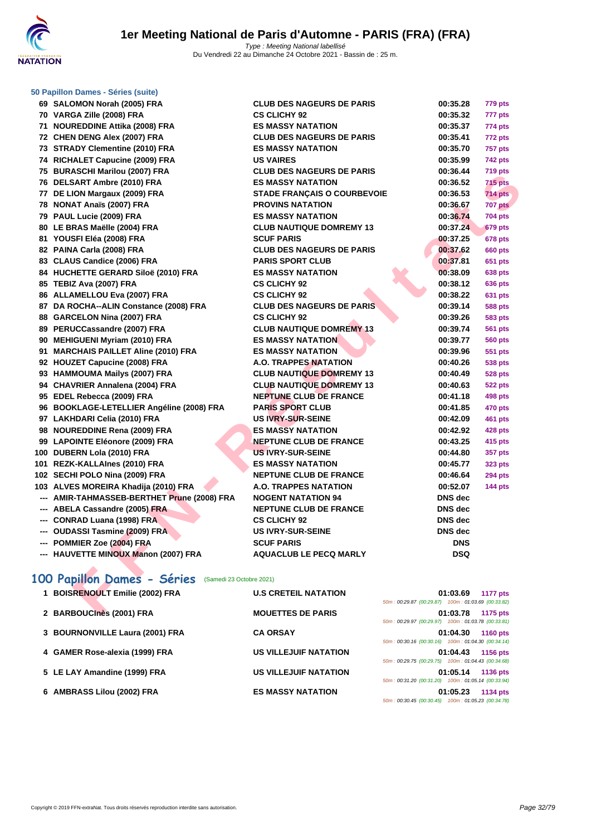| 50 Papillon Dames - Séries (suite)                      |                                    |                                                    |                 |
|---------------------------------------------------------|------------------------------------|----------------------------------------------------|-----------------|
| 69 SALOMON Norah (2005) FRA                             | <b>CLUB DES NAGEURS DE PARIS</b>   | 00:35.28                                           | 779 pts         |
| 70 VARGA Zille (2008) FRA                               | <b>CS CLICHY 92</b>                | 00:35.32                                           | 777 pts         |
| 71 NOUREDDINE Attika (2008) FRA                         | <b>ES MASSY NATATION</b>           | 00:35.37                                           | 774 pts         |
| 72 CHEN DENG Alex (2007) FRA                            | <b>CLUB DES NAGEURS DE PARIS</b>   | 00:35.41                                           | 772 pts         |
| 73 STRADY Clementine (2010) FRA                         | <b>ES MASSY NATATION</b>           | 00:35.70                                           | <b>757 pts</b>  |
| 74 RICHALET Capucine (2009) FRA                         | <b>US VAIRES</b>                   | 00:35.99                                           | 742 pts         |
| 75 BURASCHI Marilou (2007) FRA                          | <b>CLUB DES NAGEURS DE PARIS</b>   | 00:36.44                                           | 719 pts         |
| 76 DELSART Ambre (2010) FRA                             | <b>ES MASSY NATATION</b>           | 00:36.52                                           | 715 pts         |
| 77 DE LION Margaux (2009) FRA                           | <b>STADE FRANÇAIS O COURBEVOIE</b> | 00:36.53                                           | <b>714 pts</b>  |
| 78 NONAT Anaïs (2007) FRA                               | <b>PROVINS NATATION</b>            | 00:36.67                                           | <b>707 pts</b>  |
| 79 PAUL Lucie (2009) FRA                                | <b>ES MASSY NATATION</b>           | 00:36.74                                           | <b>704 pts</b>  |
| 80 LE BRAS Maëlle (2004) FRA                            | <b>CLUB NAUTIQUE DOMREMY 13</b>    | 00:37.24                                           | <b>679 pts</b>  |
| 81 YOUSFI Eléa (2008) FRA                               | <b>SCUF PARIS</b>                  | 00:37.25                                           | <b>678 pts</b>  |
| 82 PAINA Carla (2008) FRA                               | <b>CLUB DES NAGEURS DE PARIS</b>   | 00:37.62                                           | <b>660 pts</b>  |
| 83 CLAUS Candice (2006) FRA                             | <b>PARIS SPORT CLUB</b>            | 00:37.81                                           | 651 pts         |
| 84 HUCHETTE GERARD Siloë (2010) FRA                     | <b>ES MASSY NATATION</b>           | 00:38.09                                           | 638 pts         |
| 85 TEBIZ Ava (2007) FRA                                 | <b>CS CLICHY 92</b>                | 00:38.12                                           | 636 pts         |
| 86 ALLAMELLOU Eva (2007) FRA                            | <b>CS CLICHY 92</b>                | 00:38.22                                           | 631 pts         |
| 87 DA ROCHA--ALIN Constance (2008) FRA                  | <b>CLUB DES NAGEURS DE PARIS</b>   | 00:39.14                                           | 588 pts         |
| 88 GARCELON Nina (2007) FRA                             | <b>CS CLICHY 92</b>                | 00:39.26                                           | 583 pts         |
| 89 PERUCCassandre (2007) FRA                            | <b>CLUB NAUTIQUE DOMREMY 13</b>    | 00:39.74                                           | 561 pts         |
| 90 MEHIGUENI Myriam (2010) FRA                          | <b>ES MASSY NATATION</b>           | 00:39.77                                           | <b>560 pts</b>  |
| 91 MARCHAIS PAILLET Aline (2010) FRA                    | <b>ES MASSY NATATION</b>           | 00:39.96                                           | 551 pts         |
| 92 HOUZET Capucine (2008) FRA                           | <b>A.O. TRAPPES NATATION</b>       | 00:40.26                                           | <b>538 pts</b>  |
| 93 HAMMOUMA Mailys (2007) FRA                           | <b>CLUB NAUTIQUE DOMREMY 13</b>    | 00:40.49                                           | 528 pts         |
| 94 CHAVRIER Annalena (2004) FRA                         | <b>CLUB NAUTIQUE DOMREMY 13</b>    | 00:40.63                                           | 522 pts         |
| 95 EDEL Rebecca (2009) FRA                              | <b>NEPTUNE CLUB DE FRANCE</b>      | 00:41.18                                           | 498 pts         |
| 96 BOOKLAGE-LETELLIER Angéline (2008) FRA               | <b>PARIS SPORT CLUB</b>            | 00:41.85                                           | 470 pts         |
| 97 LAKHDARI Celia (2010) FRA                            | <b>US IVRY-SUR-SEINE</b>           | 00:42.09                                           | 461 pts         |
| 98 NOUREDDINE Rena (2009) FRA                           | <b>ES MASSY NATATION</b>           | 00:42.92                                           | 428 pts         |
| 99 LAPOINTE Eléonore (2009) FRA                         | <b>NEPTUNE CLUB DE FRANCE</b>      | 00:43.25                                           | 415 pts         |
| 100 DUBERN Lola (2010) FRA                              | <b>US IVRY-SUR-SEINE</b>           | 00:44.80                                           | 357 pts         |
| 101 REZK-KALLAInes (2010) FRA                           | <b>ES MASSY NATATION</b>           | 00:45.77                                           | 323 pts         |
| 102 SECHI POLO Nina (2009) FRA                          | <b>NEPTUNE CLUB DE FRANCE</b>      | 00:46.64                                           | <b>294 pts</b>  |
| 103 ALVES MOREIRA Khadija (2010) FRA                    | <b>A.O. TRAPPES NATATION</b>       | 00:52.07                                           | <b>144 pts</b>  |
| --- AMIR-TAHMASSEB-BERTHET Prune (2008) FRA             | <b>NOGENT NATATION 94</b>          | DNS dec                                            |                 |
| --- ABELA Cassandre (2005) FRA                          | <b>NEPTUNE CLUB DE FRANCE</b>      | <b>DNS</b> dec                                     |                 |
| --- CONRAD Luana (1998) FRA                             | <b>CS CLICHY 92</b>                | <b>DNS</b> dec                                     |                 |
| --- OUDASSI Tasmine (2009) FRA                          | <b>US IVRY-SUR-SEINE</b>           | <b>DNS</b> dec                                     |                 |
| --- POMMIER Zoe (2004) FRA                              | <b>SCUF PARIS</b>                  | <b>DNS</b><br><b>DSQ</b>                           |                 |
| --- HAUVETTE MINOUX Manon (2007) FRA                    | <b>AQUACLUB LE PECQ MARLY</b>      |                                                    |                 |
| 100 Papillon Dames - Séries<br>(Samedi 23 Octobre 2021) |                                    |                                                    |                 |
| 1 BOISRENOULT Emilie (2002) FRA                         | <b>U.S CRETEIL NATATION</b>        | 01:03.69                                           | <b>1177 pts</b> |
|                                                         |                                    | 50m: 00:29.87 (00:29.87) 100m: 01:03.69 (00:33.82) |                 |
| 2 BARBOUCINES (2001) FRA                                | <b>MOUETTES DE PARIS</b>           | 01:03.78 1175 pts                                  |                 |

# 100 Papillon Dames - Séries (Samedi 23 Octobre 2021)

| 1 BOISRENOULT Emilie (2002) FRA | <b>U.S CRETEIL NATATION</b>  | 01:03.69<br><b>1177 pts</b><br>50m: 00:29.87 (00:29.87) 100m: 01:03.69 (00:33.82)      |
|---------------------------------|------------------------------|----------------------------------------------------------------------------------------|
| 2 BARBOUCInes (2001) FRA        | <b>MOUETTES DE PARIS</b>     | 01:03.78<br>1175 pts<br>50m: 00:29.97 (00:29.97) 100m: 01:03.78 (00:33.81)             |
| 3 BOURNONVILLE Laura (2001) FRA | <b>CA ORSAY</b>              | 01:04.30<br><b>1160 pts</b><br>50m: 00:30.16 (00:30.16) 100m: 01:04.30 (00:34.14)      |
| 4 GAMER Rose-alexia (1999) FRA  | <b>US VILLEJUIF NATATION</b> | 01:04.43<br>1156 pts<br>50m: 00:29.75 (00:29.75) 100m: 01:04.43 (00:34.68)             |
| 5 LE LAY Amandine (1999) FRA    | <b>US VILLEJUIF NATATION</b> | 01:05.14<br><b>1136 pts</b><br>50m: 00:31.20 (00:31.20) 100m: 01:05.14 (00:33.94)      |
| 6 AMBRASS Lilou (2002) FRA      | <b>ES MASSY NATATION</b>     | 01:05.23<br><b>1134 pts</b><br>100m: 01:05.23 (00:34.78)<br>$50m: 00:30.45$ (00:30.45) |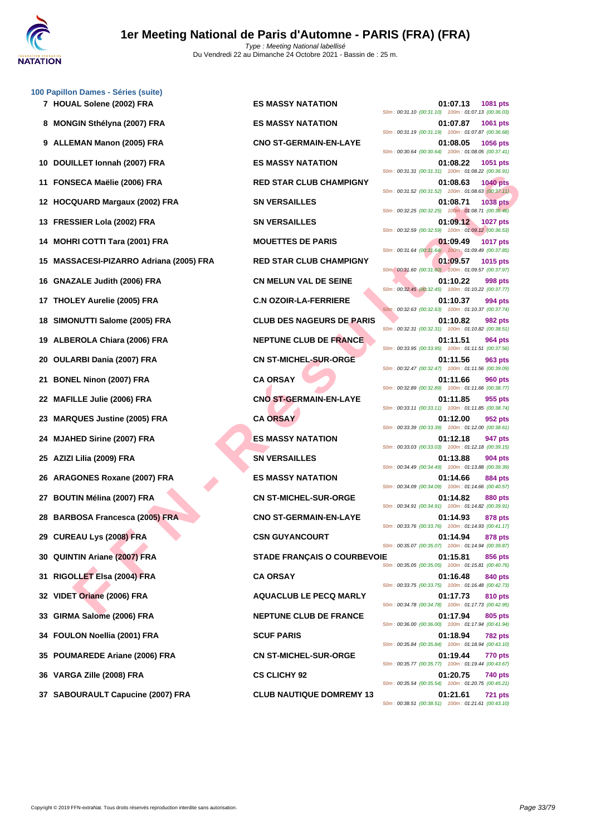

|    | 100 Papillon Dames - Séries (suite)         |                                    |                                                                                   |
|----|---------------------------------------------|------------------------------------|-----------------------------------------------------------------------------------|
|    | 7 HOUAL Solene (2002) FRA                   | <b>ES MASSY NATATION</b>           | 01:07.13<br>1081 pts<br>50m: 00:31.10 (00:31.10) 100m: 01:07.13 (00:36.03)        |
|    | 8 MONGIN Sthélyna (2007) FRA                | <b>ES MASSY NATATION</b>           | 01:07.87<br><b>1061 pts</b><br>50m: 00:31.19 (00:31.19) 100m: 01:07.87 (00:36.68) |
|    | 9 ALLEMAN Manon (2005) FRA                  | <b>CNO ST-GERMAIN-EN-LAYE</b>      | 01:08.05<br>1056 pts<br>50m: 00:30.64 (00:30.64) 100m: 01:08.05 (00:37.41)        |
| 10 | DOUILLET Ionnah (2007) FRA                  | <b>ES MASSY NATATION</b>           | 01:08.22<br>1051 pts<br>50m: 00:31.31 (00:31.31) 100m: 01:08.22 (00:36.91)        |
| 11 | FONSECA Maëlie (2006) FRA                   | <b>RED STAR CLUB CHAMPIGNY</b>     | 01:08.63<br><b>1040 pts</b><br>50m: 00:31.52 (00:31.52) 100m: 01:08.63 (00:37.11) |
| 12 | <b>HOCQUARD Margaux (2002) FRA</b>          | <b>SN VERSAILLES</b>               | 01:08.71<br><b>1038 pts</b><br>50m: 00:32.25 (00:32.25) 100m: 01:08.71 (00:36.46) |
| 13 | <b>FRESSIER Lola (2002) FRA</b>             | <b>SN VERSAILLES</b>               | 01:09.12<br>1027 pts<br>50m: 00:32.59 (00:32.59) 100m: 01:09.12 (00:36.53)        |
| 14 | <b>MOHRI COTTI Tara (2001) FRA</b>          | <b>MOUETTES DE PARIS</b>           | 01:09.49<br><b>1017 pts</b><br>50m: 00:31.64 (00:31.64) 100m: 01:09.49 (00:37.85) |
| 15 | <b>MASSACESI-PIZARRO Adriana (2005) FRA</b> | <b>RED STAR CLUB CHAMPIGNY</b>     | 01:09.57<br><b>1015 pts</b><br>50m: 00:31.60 (00:31.60) 100m: 01:09.57 (00:37.97) |
| 16 | <b>GNAZALE Judith (2006) FRA</b>            | <b>CN MELUN VAL DE SEINE</b>       | 01:10.22<br>998 pts<br>50m: 00:32.45 (00:32.45) 100m: 01:10.22 (00:37.77)         |
|    | 17 THOLEY Aurelie (2005) FRA                | <b>C.N OZOIR-LA-FERRIERE</b>       | 01:10.37<br>994 pts<br>50m: 00:32.63 (00:32.63) 100m: 01:10.37 (00:37.74)         |
|    | 18 SIMONUTTI Salome (2005) FRA              | <b>CLUB DES NAGEURS DE PARIS</b>   | 01:10.82<br>982 pts<br>50m: 00:32.31 (00:32.31) 100m: 01:10.82 (00:38.51)         |
| 19 | ALBEROLA Chiara (2006) FRA                  | NEPTUNE CLUB DE FRANCE             | 01:11.51<br>964 pts<br>50m: 00:33.95 (00:33.95) 100m: 01:11.51 (00:37.56)         |
| 20 | <b>OULARBI Dania (2007) FRA</b>             | <b>CN ST-MICHEL-SUR-ORGE</b>       | 01:11.56<br>963 pts<br>50m: 00:32.47 (00:32.47) 100m: 01:11.56 (00:39.09)         |
| 21 | <b>BONEL Ninon (2007) FRA</b>               | <b>CA ORSAY</b>                    | 01:11.66<br><b>960 pts</b><br>50m: 00:32.89 (00:32.89) 100m: 01:11.66 (00:38.77)  |
|    | 22 MAFILLE Julie (2006) FRA                 | <b>CNO ST-GERMAIN-EN-LAYE</b>      | 01:11.85<br>955 pts<br>50m: 00:33.11 (00:33.11) 100m: 01:11.85 (00:38.74)         |
| 23 | <b>MARQUES Justine (2005) FRA</b>           | <b>CA ORSAY</b>                    | 01:12.00<br>952 pts<br>50m: 00:33.39 (00:33.39) 100m: 01:12.00 (00:38.61)         |
| 24 | <b>MJAHED Sirine (2007) FRA</b>             | <b>ES MASSY NATATION</b>           | 01:12.18<br>947 pts<br>50m: 00:33.03 (00:33.03) 100m: 01:12.18 (00:39.15)         |
|    | 25 AZIZI Lilia (2009) FRA                   | <b>SN VERSAILLES</b>               | 01:13.88<br>904 pts<br>50m: 00:34.49 (00:34.49) 100m: 01:13.88 (00:39.39)         |
| 26 | <b>ARAGONES Roxane (2007) FRA</b>           | <b>ES MASSY NATATION</b>           | 01:14.66<br>884 pts<br>50m: 00:34.09 (00:34.09) 100m: 01:14.66 (00:40.57)         |
|    | 27 BOUTIN Mélina (2007) FRA                 | <b>CN ST-MICHEL-SUR-ORGE</b>       | 01:14.82<br>880 pts<br>50m: 00:34.91 (00:34.91) 100m: 01:14.82 (00:39.91)         |
|    | 28 BARBOSA Francesca (2005) FRA             | <b>CNO ST-GERMAIN-EN-LAYE</b>      | 01:14.93<br>878 pts<br>50m: 00:33.76 (00:33.76) 100m: 01:14.93 (00:41.17)         |
|    | 29 CUREAU Lys (2008) FRA                    | <b>CSN GUYANCOURT</b>              | 01:14.94<br>878 pts<br>50m: 00:35.07 (00:35.07) 100m: 01:14.94 (00:39.87)         |
| 30 | <b>QUINTIN Ariane (2007) FRA</b>            | <b>STADE FRANÇAIS O COURBEVOIE</b> | 01:15.81<br>856 pts<br>50m: 00:35.05 (00:35.05) 100m: 01:15.81 (00:40.76)         |
| 31 | RIGOLLET Elsa (2004) FRA                    | <b>CA ORSAY</b>                    | 01:16.48<br>840 pts<br>50m: 00:33.75 (00:33.75) 100m: 01:16.48 (00:42.73)         |
| 32 | VIDET Oriane (2006) FRA                     | <b>AQUACLUB LE PECQ MARLY</b>      | 01:17.73<br><b>810 pts</b><br>50m: 00:34.78 (00:34.78) 100m: 01:17.73 (00:42.95)  |
| 33 | GIRMA Salome (2006) FRA                     | <b>NEPTUNE CLUB DE FRANCE</b>      | 01:17.94<br>805 pts<br>50m: 00:36.00 (00:36.00) 100m: 01:17.94 (00:41.94)         |
|    | 34 FOULON Noellia (2001) FRA                | <b>SCUF PARIS</b>                  | 01:18.94<br>782 pts<br>50m: 00:35.84 (00:35.84) 100m: 01:18.94 (00:43.10)         |
|    | 35 POUMAREDE Ariane (2006) FRA              | <b>CN ST-MICHEL-SUR-ORGE</b>       | 01:19.44<br><b>770 pts</b><br>50m: 00:35.77 (00:35.77) 100m: 01:19.44 (00:43.67)  |
|    | 36   VARGA Zille (2008) FRA                 | <b>CS CLICHY 92</b>                | 01:20.75<br>740 pts<br>50m: 00:35.54 (00:35.54) 100m: 01:20.75 (00:45.21)         |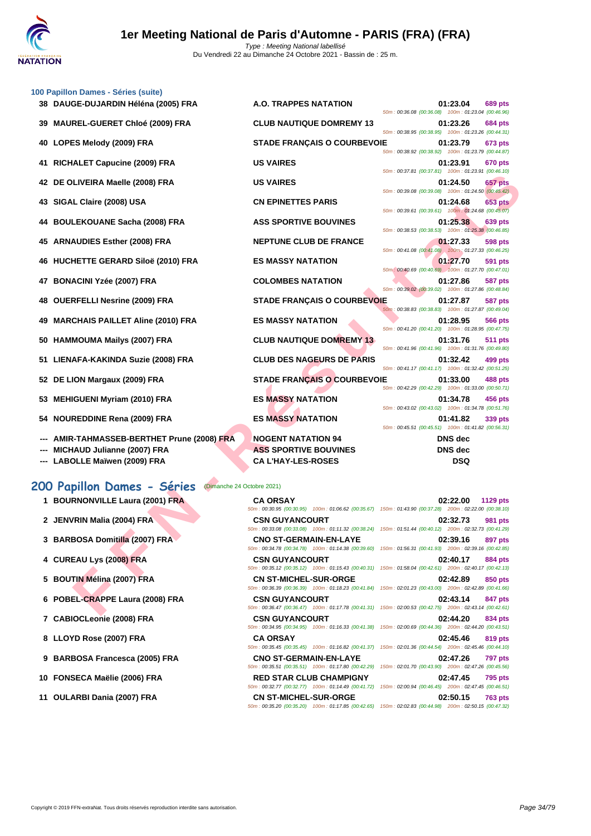

| 100 Papillon Dames - Séries (suite)                                 |                                                           |                                                                                                                                   |  |  |  |
|---------------------------------------------------------------------|-----------------------------------------------------------|-----------------------------------------------------------------------------------------------------------------------------------|--|--|--|
| 38 DAUGE-DUJARDIN Héléna (2005) FRA                                 | A.O. TRAPPES NATATION                                     | 01:23.04<br>689 pts<br>50m: 00:36.08 (00:36.08) 100m: 01:23.04 (00:46.96)                                                         |  |  |  |
| <b>MAUREL-GUERET Chloé (2009) FRA</b><br>39                         | <b>CLUB NAUTIQUE DOMREMY 13</b>                           | 01:23.26<br><b>684 pts</b><br>50m: 00:38.95 (00:38.95) 100m: 01:23.26 (00:44.31)                                                  |  |  |  |
| 40 LOPES Melody (2009) FRA                                          | <b>STADE FRANÇAIS O COURBEVOIE</b>                        | 01:23.79<br>673 pts<br>50m: 00:38.92 (00:38.92) 100m: 01:23.79 (00:44.87)                                                         |  |  |  |
| 41 RICHALET Capucine (2009) FRA                                     | <b>US VAIRES</b>                                          | 01:23.91<br>670 pts<br>50m: 00:37.81 (00:37.81) 100m: 01:23.91 (00:46.10)                                                         |  |  |  |
| 42 DE OLIVEIRA Maelle (2008) FRA                                    | <b>US VAIRES</b>                                          | 01:24.50<br>657 pts<br>50m: 00:39.08 (00:39.08) 100m: 01:24.50 (00:45.42)                                                         |  |  |  |
| 43 SIGAL Claire (2008) USA                                          | <b>CN EPINETTES PARIS</b>                                 | <b>653 pts</b><br>01:24.68<br>50m: 00:39.61 (00:39.61) 100m: 01:24.68 (00:45.07)                                                  |  |  |  |
| 44 BOULEKOUANE Sacha (2008) FRA                                     | <b>ASS SPORTIVE BOUVINES</b>                              | 01:25.38<br>639 pts                                                                                                               |  |  |  |
| <b>ARNAUDIES Esther (2008) FRA</b><br>45                            | <b>NEPTUNE CLUB DE FRANCE</b>                             | 50m: 00:38.53 (00:38.53) 100m: 01:25.38 (00:46.85)<br>01:27.33<br>598 pts                                                         |  |  |  |
| 46 HUCHETTE GERARD Siloë (2010) FRA                                 | <b>ES MASSY NATATION</b>                                  | 50m: 00:41.08 (00:41.08) 100m: 01:27.33 (00:46.25)<br>01:27.70<br>591 pts                                                         |  |  |  |
| 47 BONACINI Yzée (2007) FRA                                         | <b>COLOMBES NATATION</b>                                  | 50m: 00:40.69 (00:40.69) 100m: 01:27.70 (00:47.01)<br>01:27.86<br>587 pts                                                         |  |  |  |
| <b>OUERFELLI Nesrine (2009) FRA</b><br>48                           | <b>STADE FRANÇAIS O COURBEVOIE</b>                        | 50m: 00:39.02 (00:39.02) 100m: 01:27.86 (00:48.84)<br>01:27.87<br>587 pts                                                         |  |  |  |
| <b>MARCHAIS PAILLET Aline (2010) FRA</b><br>49                      | <b>ES MASSY NATATION</b>                                  | 50m: 00:38.83 (00:38.83) 100m: 01:27.87 (00:49.04)<br>01:28.95<br>566 pts                                                         |  |  |  |
| 50 HAMMOUMA Mailys (2007) FRA                                       | <b>CLUB NAUTIQUE DOMREMY 13</b>                           | 50m: 00:41.20 (00:41.20) 100m: 01:28.95 (00:47.75)<br>01:31.76<br>511 pts                                                         |  |  |  |
| 51 LIENAFA-KAKINDA Suzie (2008) FRA                                 | <b>CLUB DES NAGEURS DE PARIS</b>                          | 50m: 00:41.96 (00:41.96) 100m: 01:31.76 (00:49.80)<br>01:32.42<br>499 pts                                                         |  |  |  |
| 52 DE LION Margaux (2009) FRA                                       | <b>STADE FRANÇAIS O COURBEVOIE</b>                        | 50m: 00:41.17 (00:41.17) 100m: 01:32.42 (00:51.25)<br>01:33.00<br>488 pts                                                         |  |  |  |
| 53 MEHIGUENI Myriam (2010) FRA                                      | <b>ES MASSY NATATION</b>                                  | 50m: 00:42.29 (00:42.29) 100m: 01:33.00 (00:50.71)<br>01:34.78<br>456 pts                                                         |  |  |  |
| 54 NOUREDDINE Rena (2009) FRA                                       | <b>ES MASSY NATATION</b>                                  | 50m: 00:43.02 (00:43.02) 100m: 01:34.78 (00:51.76)<br>01:41.82<br>339 pts                                                         |  |  |  |
|                                                                     |                                                           | 50m: 00:45.51 (00:45.51) 100m: 01:41.82 (00:56.31)                                                                                |  |  |  |
| --- AMIR-TAHMASSEB-BERTHET Prune (2008) FRA                         | <b>NOGENT NATATION 94</b>                                 | <b>DNS</b> dec                                                                                                                    |  |  |  |
| <b>MICHAUD Julianne (2007) FRA</b><br>--- LABOLLE Maïwen (2009) FRA | <b>ASS SPORTIVE BOUVINES</b><br><b>CA L'HAY-LES-ROSES</b> | <b>DNS</b> dec<br><b>DSQ</b>                                                                                                      |  |  |  |
|                                                                     |                                                           |                                                                                                                                   |  |  |  |
| 200 Papillon Dames - Séries<br>(Dimanche 24 Octobre 2021)           |                                                           |                                                                                                                                   |  |  |  |
| 1 BOURNONVILLE Laura (2001) FRA                                     | <b>CA ORSAY</b>                                           | 02:22.00<br>1129 pts<br>50m: 00:30.95 (00:30.95) 100m: 01:06.62 (00:35.67) 150m: 01:43.90 (00:37.28) 200m: 02:22.00 (00:38.10)    |  |  |  |
| 2 JENVRIN Malia (2004) FRA                                          | <b>CSN GUYANCOURT</b>                                     | 02:32.73<br>981 pts<br>50m: 00:33.08 (00:33.08) 100m: 01:11.32 (00:38.24) 150m: 01:51.44 (00:40.12) 200m: 02:32.73 (00:41.29)     |  |  |  |
| 3 BARBOSA Domitilla (2007) FRA                                      | <b>CNO ST-GERMAIN-EN-LAYE</b>                             | 02:39.16<br>897 pts<br>50m: 00:34.78 (00:34.78) 100m: 01:14.38 (00:39.60) 150m: 01:56.31 (00:41.93) 200m: 02:39.16 (00:42.85)     |  |  |  |
| 4 CUREAU Lys (2008) FRA                                             | <b>CSN GUYANCOURT</b>                                     | 02:40.17<br>884 pts                                                                                                               |  |  |  |
| 5 BOUTIN Mélina (2007) FRA                                          | <b>CN ST-MICHEL-SUR-ORGE</b>                              | 50m: 00:35.12 (00:35.12) 100m: 01:15.43 (00:40.31) 150m: 01:58.04 (00:42.61) 200m: 02:40.17 (00:42.13)<br>02:42.89<br>850 pts     |  |  |  |
| 6 POBEL-CRAPPE Laura (2008) FRA                                     | <b>CSN GUYANCOURT</b>                                     | 50m : 00:36.39 (00:36.39) 100m : 01:18.23 (00:41.84) 150m : 02:01.23 (00:43.00) 200m : 02:42.89 (00:41.66)<br>02:43.14<br>847 pts |  |  |  |
|                                                                     |                                                           | 50m: 00:36.47 (00:36.47) 100m: 01:17.78 (00:41.31) 150m: 02:00.53 (00:42.75) 200m: 02:43.14 (00:42.61)                            |  |  |  |

#### **200 Papillon Dames - Séries** (Dimanche 24 Octobre 2021)

- 
- 
- 
- 

- 
- 

- 
- 
- 

**1 BOURNONVILLE Laura (2001) FRA CA ORSAY 02:22.00 1129 pts** 50m : 00:30.95 (00:30.95) 100m : 01:06.62 (00:35.67) 150m : 01:43.90 (00:37.28) 200m : 02:22.00 (00:38.10) **2 JENVRIN Malia (2004) FRA CSN GUYANCOURT 02:32.73 981 pts** 50m : 00:33.08 (00:33.08) 100m : 01:11.32 (00:38.24) 150m : 01:51.44 (00:40.12) 200m : 02:32.73 (00:41.29) **3 BARBOSA Domitilla (2007) FRA CNO ST-GERMAIN-EN-LAYE 02:39.16 897 pts** 50m : 00:34.78 (00:34.78) 100m : 01:14.38 (00:39.60) 150m : 01:56.31 (00:41.93) 200m : 02:39.16 (00:42.85) **4 CUREAU Lys (2008) FRA CSN GUYANCOURT 02:40.17 884 pts 5 BOUTIN Mélina (2007) FRA CN ST-MICHEL-SUR-ORGE 02:42.89 850 pts** 50m : 00:36.39 (00:36.39) 100m : 01:18.23 (00:41.84) 150m : 02:01.23 (00:43.00) 200m : 02:42.89 (00:41.66) **6 POBEL-CRAPPE Laura (2008) FRA CSN GUYANCOURT 02:43.14 847 pts** 50m : 00:36.47 (00:36.47) 100m : 01:17.78 (00:41.31) 150m : 02:00.53 (00:42.75) 200m : 02:43.14 (00:42.61) **7 CABIOCLeonie (2008) FRA CSN GUYANCOURT 02:44.20 834 pts** 50m : 00:34.95 (00:34.95) 100m : 01:16.33 (00:41.38) 150m : 02:00.69 (00:44.36) 200m : 02:44.20 (00:43.51) **8 LLOYD Rose (2007) FRA CA ORSAY 02:45.46 819 pts** 50m : 00:35.45 (00:35.45) 100m : 01:16.82 (00:41.37) 150m : 02:01.36 (00:44.54) 200m : 02:45.46 (00:44.10) **9 BARBOSA Francesca (2005) FRA CNO ST-GERMAIN-EN-LAYE 02:47.26 797 pts** 50m : 00:35.51 (00:35.51) 100m : 01:17.80 (00:42.29) 150m : 02:01.70 (00:43.90) 200m : 02:47.26 (00:45.56) **10 FONSECA Maëlie (2006) FRA RED STAR CLUB CHAMPIGNY 02:47.45 795 pts** 50m : 00:32.77 (00:32.77) 100m : 01:14.49 (00:41.72) 150m : 02:00.94 (00:46.45) 200m : 02:47.45 (00:46.51) **11 OULARBI Dania (2007) FRA CN ST-MICHEL-SUR-ORGE 02:50.15 763 pts**

50m : 00:35.20 (00:35.20) 100m : 01:17.85 (00:42.65) 150m : 02:02.83 (00:44.98) 200m : 02:50.15 (00:47.32)

|     |  |          | 01:23.04 689 pts                                                       |
|-----|--|----------|------------------------------------------------------------------------|
|     |  |          | 50m: 00:36.08 (00:36.08) 100m: 01:23.04 (00:46.96)                     |
|     |  | 01:23.26 | <b>684 pts</b>                                                         |
|     |  |          | 50m: 00:38.95 (00:38.95) 100m: 01:23.26 (00:44.31)                     |
| ЖE  |  | 01:23.79 | <b>673 pts</b>                                                         |
|     |  |          | 50m: 00:38.92 (00:38.92) 100m: 01:23.79 (00:44.87)                     |
|     |  | 01:23.91 | 670 pts                                                                |
|     |  |          | 50m: 00:37.81 (00:37.81) 100m: 01:23.91 (00:46.10)                     |
|     |  | 01:24.50 | <b>657 pts</b>                                                         |
|     |  |          | 50m : 00:39.08 (00:39.08) 100m : 01:24.50 (00:45.42)                   |
|     |  | 01:24.68 | 653 pts                                                                |
|     |  |          | 50m: 00:39.61 (00:39.61) 100m: 01:24.68 (00:45.07)                     |
|     |  | 01:25.38 | $639$ pts                                                              |
|     |  |          | 50m: 00:38.53 (00:38.53) 100m: 01:25.38 (00:46.85)                     |
|     |  |          | 01:27.33 598 pts                                                       |
|     |  |          | 50m: 00:41.08 (00:41.08) 100m: 01:27.33 (00:46.25)                     |
|     |  |          | 01:27.70 591 pts                                                       |
|     |  |          | 50m : 00:40.69 (00:40.69) 100m : 01:27.70 (00:47.01)                   |
|     |  |          | 01:27.86 587 pts                                                       |
|     |  |          | 50m: 00:39.02 (00:39.02) 100m: 01:27.86 (00:48.84)                     |
| ЖE  |  |          | 01:27.87 587 pts                                                       |
|     |  |          | 50m: 00:38.83 (00:38.83) 100m: 01:27.87 (00:49.04)                     |
|     |  |          | 01:28.95 566 pts                                                       |
|     |  |          | 50m: 00:41.20 (00:41.20) 100m: 01:28.95 (00:47.75)                     |
|     |  |          | 01:31.76 511 pts                                                       |
|     |  |          | 50m : 00:41.96 (00:41.96) 100m : 01:31.76 (00:49.80)                   |
|     |  |          | 01:32.42 499 pts<br>50m: 00:41.17 (00:41.17) 100m: 01:32.42 (00:51.25) |
|     |  |          |                                                                        |
| )IE |  |          | 01:33.00 488 pts<br>50m: 00:42.29 (00:42.29) 100m: 01:33.00 (00:50.71) |
|     |  |          |                                                                        |
|     |  | 01:34.78 | <b>456 pts</b><br>50m: 00:43.02 (00:43.02) 100m: 01:34.78 (00:51.76)   |
|     |  |          |                                                                        |
|     |  | 01:41.82 | 339 pts<br>50m: 00:45.51 (00:45.51) 100m: 01:41.82 (00:56.31)          |
|     |  | DNS dec  |                                                                        |
|     |  |          |                                                                        |
|     |  | DNS dec  |                                                                        |
|     |  |          |                                                                        |

50m : 00:35.12 (00:35.12) 100m : 01:15.43 (00:40.31) 150m : 01:58.04 (00:42.61) 200m : 02:40.17 (00:42.13)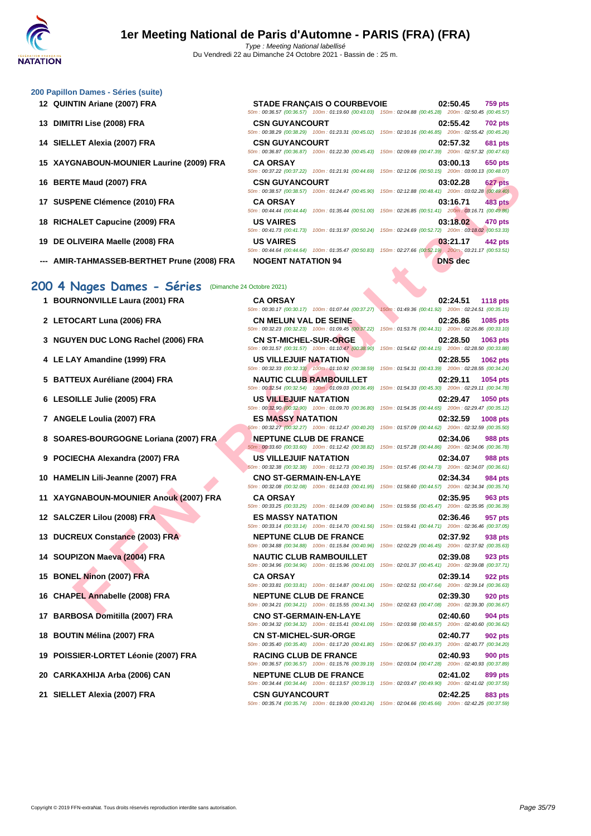50m : 00:36.57 (00:36.57) 100m : 01:19.60 (00:43.03) 150m : 02:04.88 (00:45.28) 200m : 02:50.45 (00:45.57)

50m : 00:38.29 (00:38.29) 100m : 01:23.31 (00:45.02) 150m : 02:10.16 (00:46.85) 200m : 02:55.42 (00:45.26)

50m : 00:36.87 (00:36.87) 100m : 01:22.30 (00:45.43) 150m : 02:09.69 (00:47.39) 200m : 02:57.32 (00:47.63)

50m : 00:37.22 (00:37.22) 100m : 01:21.91 (00:44.69) 150m : 02:12.06 (00:50.15) 200m : 03:00.13 (00:48.07)

50m : 00:38.57 (00:38.57) 100m : 01:24.47 (00:45.90) 150m : 02:12.88 (00:48.41) 200m : 03:02.28 (00:49.40)

50m : 00:44.44 (00:44.44) 100m : 01:35.44 (00:51.00) 150m : 02:26.85 (00:51.41) 200m : 03:16.71 (00:49.86)

50m : 00:41.73 (00:41.73) 100m : 01:31.97 (00:50.24) 150m : 02:24.69 (00:52.72) 200m : 03:18.02 (00:53.33)

50m : 00:44.64 (00:44.64) 100m : 01:35.47 (00:50.83) 150m : 02:27.66 (00:52.19) 200m : 03:21.17 (00:53.51)

#### **[200 Papil](http://www.ffnatation.fr/webffn/index.php)lon Dames - Séries (suite)**

- **12 QUINTIN Ariane (2007) FRA STADE FRANÇAIS O COURBEVOIE 02:50.45 759 pts**
- **13 DIMITRI Lise (2008) FRA CSN GUYANCOURT 02:55.42 702 pts**
- **14 SIELLET Alexia (2007) FRA CSN GUYANCOURT 02:57.32 681 pts**
- **15 XAYGNABOUN-MOUNIER Laurine (2009) FRA CA ORSAY 03:00.13 650 pts**
- **16 BERTE Maud (2007) FRA CSN GUYANCOURT 03:02.28 627 pts**
- **17 SUSPENE Clémence (2010) FRA CA ORSAY 03:16.71 483 pts**
- **18 RICHALET Capucine (2009) FRA US VAIRES 03:18.02 470 pts**
- **19 DE OLIVEIRA Maelle (2008) FRA US VAIRES 03:21.17 442 pts**
- **--- AMIR-TAHMASSEB-BERTHET Prune (2008) FRA NOGENT NATATION 94 DNS dec**

### **200 4 Nages Dames - Séries** (Dimanche 24 Octobre 2021)

- 
- 
- **3 NGUYEN DUC LONG Rachel (2006) FRA CN ST-MICHEL-SUR-ORGE 02:28.50 1063 pts**
- 
- 
- 
- 
- **8 SOARES-BOURGOGNE Loriana (2007) FRA NEPTUNE CLUB DE FRANCE 02:34.06 988 pts**
- 
- 
- **11 XAYGNABOUN-MOUNIER Anouk (2007) FRA CA ORSAY 02:35.95 963 pts**
- 
- 
- 
- 
- 
- 
- 
- 
- 
- 

50m : 00:35.74 (00:35.74) 100m : 01:19.00 (00:43.26) 150m : 02:04.66 (00:45.66) 200m : 02:42.25 (00:37.59)

**FE NA (2007) FRA**<br> **FE NA (2007) FRA** CA ORSA COUNTIES CONTINUES AND CONTINUES CONTINUES AND CONTINUES ARE SERVANCE CHANGES AND CONTINUES ARE SERVATED ASSESS THAT A CAN ALLE CAN ALLE CAN ALLE CAN ALLE CAN ALLE CAN ALLE C **1 BOURNONVILLE Laura (2001) FRA CA ORSAY 02:24.51 1118 pts** 50m : 00:30.17 (00:30.17) 100m : 01:07.44 (00:37.27) 150m : 01:49.36 (00:41.92) 200m : 02:24.51 (00:35.15) **2 LETOCART Luna (2006) FRA CN MELUN VAL DE SEINE 02:26.86 1085 pts** 50m : 00:32.23 (00:32.23) 100m : 01:09.45 (00:37.22) 150m : 01:53.76 (00:44.31) 200m : 02:26.86 (00:33.10) 50m : 00:31.57 (00:31.57) 100m : 01:10.47 (00:38.90) 150m : 01:54.62 (00:44.15) 200m : 02:28.50 (00:33.88) **4 LE LAY Amandine (1999) FRA US VILLEJUIF NATATION 02:28.55 1062 pts** 50m : 00:32.33 (00:32.33) 100m : 01:10.92 (00:38.59) 150m : 01:54.31 (00:43.39) 200m : 02:28.55 (00:34.24) **5 BATTEUX Auréliane (2004) FRA NAUTIC CLUB RAMBOUILLET 02:29.11 1054 pts** 50m : 00:32.54 (00:32.54) 100m : 01:09.03 (00:36.49) 150m : 01:54.33 (00:45.30) 200m : 02:29.11 (00:34.78) **6 LESOILLE Julie (2005) FRA US VILLEJUIF NATATION 02:29.47 1050 pts** 50m : 00:32.90 (00:32.90) 100m : 01:09.70 (00:36.80) 150m : 01:54.35 (00:44.65) 200m : 02:29.47 (00:35.12) **7 ANGELE Loulia (2007) FRA ES MASSY NATATION 02:32.59 1008 pts** 50m : 00:32.27 (00:32.27) 100m : 01:12.47 (00:40.20) 150m : 01:57.09 (00:44.62) 200m : 02:32.59 (00:35.50) 50m : 00:33.60 (00:33.60) 100m : 01:12.42 (00:38.82) 150m : 01:57.28 (00:44.86) 200m : 02:34.06 (00:36.78) **9 POCIECHA Alexandra (2007) FRA US VILLEJUIF NATATION 02:34.07 988 pts** 50m : 00:32.38 (00:32.38) 100m : 01:12.73 (00:40.35) 150m : 01:57.46 (00:44.73) 200m : 02:34.07 (00:36.61) **10 HAMELIN Lili-Jeanne (2007) FRA CNO ST-GERMAIN-EN-LAYE 02:34.34 984 pts** 50m : 00:32.08 (00:32.08) 100m : 01:14.03 (00:41.95) 150m : 01:58.60 (00:44.57) 200m : 02:34.34 (00:35.74) 50m : 00:33.25 (00:33.25) 100m : 01:14.09 (00:40.84) 150m : 01:59.56 (00:45.47) 200m : 02:35.95 (00:36.39) **12 SALCZER Lilou (2008) FRA ES MASSY NATATION 02:36.46 957 pts** 50m : 00:33.14 (00:33.14) 100m : 01:14.70 (00:41.56) 150m : 01:59.41 (00:44.71) 200m : 02:36.46 (00:37.05) **13 DUCREUX Constance (2003) FRA NEPTUNE CLUB DE FRANCE 02:37.92 938 pts** 50m : 00:34.88 (00:34.88) 100m : 01:15.84 (00:40.96) 150m : 02:02.29 (00:46.45) 200m : 02:37.92 (00:35.63) **14 SOUPIZON Maeva (2004) FRA NAUTIC CLUB RAMBOUILLET 02:39.08 923 pts** 50m : 00:34.96 (00:34.96) 100m : 01:15.96 (00:41.00) 150m : 02:01.37 (00:45.41) 200m : 02:39.08 (00:37.71) **15 BONEL Ninon (2007) FRA CA ORSAY 02:39.14 922 pts** 50m : 00:33.81 (00:33.81) 100m : 01:14.87 (00:41.06) 150m : 02:02.51 (00:47.64) 200m : 02:39.14 (00:36.63) **16 CHAPEL Annabelle (2008) FRA NEPTUNE CLUB DE FRANCE 02:39.30 920 pts** 50m : 00:34.21 (00:34.21) 100m : 01:15.55 (00:41.34) 150m : 02:02.63 (00:47.08) 200m : 02:39.30 (00:36.67) **17 BARBOSA Domitilla (2007) FRA CNO ST-GERMAIN-EN-LAYE 02:40.60 904 pts** 50m : 00:34.32 (00:34.32) 100m : 01:15.41 (00:41.09) 150m : 02:03.98 (00:48.57) 200m : 02:40.60 (00:36.62) **18 BOUTIN Mélina (2007) FRA CN ST-MICHEL-SUR-ORGE 02:40.77 902 pts** 50m : 00:35.40 (00:35.40) 100m : 01:17.20 (00:41.80) 150m : 02:06.57 (00:49.37) 200m : 02:40.77 (00:34.20) **19 POISSIER-LORTET Léonie (2007) FRA RACING CLUB DE FRANCE 02:40.93 900 pts** 50m : 00:36.57 (00:36.57) 100m : 01:15.76 (00:39.19) 150m : 02:03.04 (00:47.28) 200m : 02:40.93 (00:37.89) **20 CARKAXHIJA Arba (2006) CAN NEPTUNE CLUB DE FRANCE 02:41.02 899 pts** 50m : 00:34.44 (00:34.44) 100m : 01:13.57 (00:39.13) 150m : 02:03.47 (00:49.90) 200m : 02:41.02 (00:37.55)

**21 SIELLET Alexia (2007) FRA CSN GUYANCOURT 02:42.25 883 pts**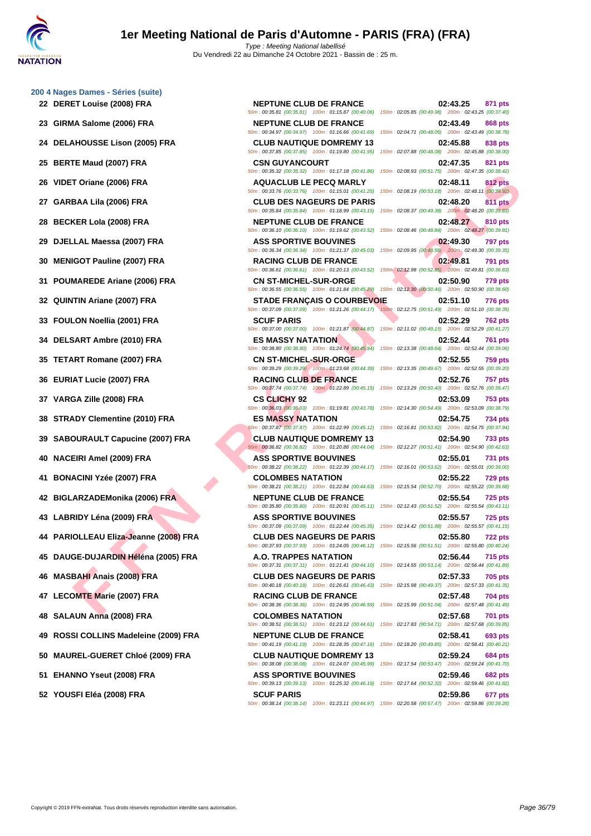**[200 4 Nag](http://www.ffnatation.fr/webffn/index.php)es Dames - Séries (suite) DERET Louise (2008) FRA NEPTUNE CLUB DE FRANCE 02:43.25 871 pts GIRMA Salome (2006) FRA NEPTUNE CLUB DE FRANCE 02:43.49 868 pts DELAHOUSSE Lison (2005) FRA CLUB NAUTIQUE DOMREMY 13 02:45.88 838 pts BERTE Maud (2007) FRA CSN GUYANCOURT 02:47.35 821 pts VIDET Oriane (2006) FRA AQUACLUB LE PECQ MARLY 02:48.11 812 pts GARBAA Lila (2006) FRA CLUB DES NAGEURS DE PARIS 02:48.20 811 pts BECKER Lola (2008) FRA NEPTUNE CLUB DE FRANCE 02:48.27 810 pts DJELLAL Maessa (2007) FRA ASS SPORTIVE BOUVINES 02:49.30 797 pts MENIGOT Pauline (2007) FRA RACING CLUB DE FRANCE 02:49.81 791 pts POUMAREDE Ariane (2006) FRA CN ST-MICHEL-SUR-ORGE 02:50.90 779 pts QUINTIN Ariane (2007) FRA STADE FRANÇAIS O COURBEVOIE 02:51.10 776 pts FOULON Noellia (2001) FRA SCUF PARIS 02:52.29 762 pts DELSART Ambre (2010) FRA ES MASSY NATATION 02:52.44 761 pts TETART Romane (2007) FRA CN ST-MICHEL-SUR-ORGE 02:52.55 759 pts EURIAT Lucie (2007) FRA RACING CLUB DE FRANCE 02:52.76 757 pts VARGA Zille (2008) FRA CS CLICHY 92 02:53.09 753 pts**

- 
- 

- 
- 
- 
- 
- 
- 
- 
- 
- 
- 
- 
- **52 YOUSFI Eléa (2008) FRA SCUF PARIS 02:59.86 677 pts**

**F ANTERIO AT THE SECURE SECURE SECURE ANTENDE SECURE SECURE SECURE SECURE SECURE SECURE SECURE SECURE SECURE SECURE SECURE SECURE SECURE SECURE SECURE SECURE SECURE SECURE SECURE SECURE SECURE SECURE SECURE SECURE SECURE** 50m : 00:35.81 (00:35.81) 100m : 01:15.87 (00:40.06) 150m : 02:05.85 (00:49.98) 200m : 02:43.25 (00:37.40) 50m : 00:34.97 (00:34.97) 100m : 01:16.66 (00:41.69) 150m : 02:04.71 (00:48.05) 200m : 02:43.49 (00:38.78) 50m : 00:37.85 (00:37.85) 100m : 01:19.80 (00:41.95) 150m : 02:07.88 (00:48.08) 200m : 02:45.88 (00:38.00) 50m : 00:35.32 (00:35.32) 100m : 01:17.18 (00:41.86) 150m : 02:08.93 (00:51.75) 200m : 02:47.35 (00:38.42) 50m : 00:33.76 (00:33.76) 100m : 01:15.01 (00:41.25) 150m : 02:08.19 (00:53.18) 200m : 02:48.11 (00:39.92) 50m : 00:35.84 (00:35.84) 100m : 01:18.99 (00:43.15) 150m : 02:08.37 (00:49.38) 200m : 02:48.20 (00:39.83) 50m : 00:36.10 (00:36.10) 100m : 01:19.62 (00:43.52) 150m : 02:08.46 (00:48.84) 200m : 02:48.27 (00:39.81) 50m : 00:36.34 (00:36.34) 100m : 01:21.37 (00:45.03) 150m : 02:09.95 (00:48.58) 200m : 02:49.30 (00:39.35) 50m : 00:36.61 (00:36.61) 100m : 01:20.13 (00:43.52) 150m : 02:12.98 (00:52.85) 200m : 02:49.81 (00:36.83) 50m : 00:36.55 (00:36.55) 100m : 01:21.84 (00:45.29) 150m : 02:12.30 (00:50.46) 200m : 02:50.90 (00:38.60) 50m : 00:37.09 (00:37.09) 100m : 01:21.26 (00:44.17) 150m : 02:12.75 (00:51.49) 200m : 02:51.10 (00:38.35) 50m : 00:37.00 (00:37.00) 100m : 01:21.87 (00:44.87) 150m : 02:11.02 (00:49.15) 200m : 02:52.29 (00:41.27) 50m : 00:38.80 (00:38.80) 100m : 01:24.74 (00:45.94) 150m : 02:13.38 (00:48.64) 200m : 02:52.44 (00:39.06) 50m : 00:39.29 (00:39.29) 100m : 01:23.68 (00:44.39) 150m : 02:13.35 (00:49.67) 200m : 02:52.55 (00:39.20) 50m : 00:37.74 (00:37.74) 100m : 01:22.89 (00:45.15) 150m : 02:13.29 (00:50.40) 200m : 02:52.76 (00:39.47) 50m : 00:36.03 (00:36.03) 100m : 01:19.81 (00:43.78) 150m : 02:14.30 (00:54.49) 200m : 02:53.09 (00:38.79) **38 STRADY Clementine (2010) FRA ES MASSY NATATION 02:54.75 734 pts** 50m : 00:37.87 (00:37.87) 100m : 01:22.99 (00:45.12) 150m : 02:16.81 (00:53.82) 200m : 02:54.75 (00:37.94) **39 SABOURAULT Capucine (2007) FRA CLUB NAUTIQUE DOMREMY 13 02:54.90 733 pts** 50m : 00:36.82 (00:36.82) 100m : 01:20.86 (00:44.04) 150m : 02:12.27 (00:51.41) 200m : 02:54.90 (00:42.63) **40 NACEIRI Amel (2009) FRA ASS SPORTIVE BOUVINES 02:55.01 731 pts** 50m : 00:38.22 (00:38.22) 100m : 01:22.39 (00:44.17) 150m : 02:16.01 (00:53.62) 200m : 02:55.01 (00:39.00) **41 BONACINI Yzée (2007) FRA COLOMBES NATATION 02:55.22 729 pts** 50m : 00:38.21 (00:38.21) 100m : 01:22.84 (00:44.63) 150m : 02:15.54 (00:52.70) 200m : 02:55.22 (00:39.68) **42 BIGLARZADEMonika (2006) FRA NEPTUNE CLUB DE FRANCE 02:55.54 725 pts** 50m : 00:35.80 (00:35.80) 100m : 01:20.91 (00:45.11) 150m : 02:12.43 (00:51.52) 200m : 02:55.54 (00:43.11) **43 LABRIDY Léna (2009) FRA ASS SPORTIVE BOUVINES 02:55.57 725 pts** 50m : 00:37.09 (00:37.09) 100m : 01:22.44 (00:45.35) 150m : 02:14.42 (00:51.98) 200m : 02:55.57 (00:41.15) **44 PARIOLLEAU Eliza-Jeanne (2008) FRA CLUB DES NAGEURS DE PARIS 02:55.80 722 pts** 50m : 00:37.93 (00:37.93) 100m : 01:24.05 (00:46.12) 150m : 02:15.56 (00:51.51) 200m : 02:55.80 (00:40.24) **45 DAUGE-DUJARDIN Héléna (2005) FRA A.O. TRAPPES NATATION 02:56.44 715 pts** 50m : 00:37.31 (00:37.31) 100m : 01:21.41 (00:44.10) 150m : 02:14.55 (00:53.14) 200m : 02:56.44 (00:41.89) **46 MASBAHI Anais (2008) FRA CLUB DES NAGEURS DE PARIS 02:57.33 705 pts** 50m : 00:40.18 (00:40.18) 100m : 01:26.61 (00:46.43) 150m : 02:15.98 (00:49.37) 200m : 02:57.33 (00:41.35) **47 LECOMTE Marie (2007) FRA RACING CLUB DE FRANCE 02:57.48 704 pts** 50m : 00:38.36 (00:38.36) 100m : 01:24.95 (00:46.59) 150m : 02:15.99 (00:51.04) 200m : 02:57.48 (00:41.49) **48 SALAUN Anna (2008) FRA COLOMBES NATATION 02:57.68 701 pts** 50m : 00:38.51 (00:38.51) 100m : 01:23.12 (00:44.61) 150m : 02:17.83 (00:54.71) 200m : 02:57.68 (00:39.85) **49 ROSSI COLLINS Madeleine (2009) FRA NEPTUNE CLUB DE FRANCE 02:58.41 693 pts** 50m : 00:41.19 (00:41.19) 100m : 01:28.35 (00:47.16) 150m : 02:18.20 (00:49.85) 200m : 02:58.41 (00:40.21) **50 MAUREL-GUERET Chloé (2009) FRA CLUB NAUTIQUE DOMREMY 13 02:59.24 684 pts** 50m : 00:38.08 (00:38.08) 100m : 01:24.07 (00:45.99) 150m : 02:17.54 (00:53.47) 200m : 02:59.24 (00:41.70) **51 EHANNO Yseut (2008) FRA ASS SPORTIVE BOUVINES 02:59.46 682 pts** 50m : 00:39.13 (00:39.13) 100m : 01:25.32 (00:46.19) 150m : 02:17.64 (00:52.32) 200m : 02:59.46 (00:41.82)

50m : 00:38.14 (00:38.14) 100m : 01:23.11 (00:44.97) 150m : 02:20.58 (00:57.47) 200m : 02:59.86 (00:39.28)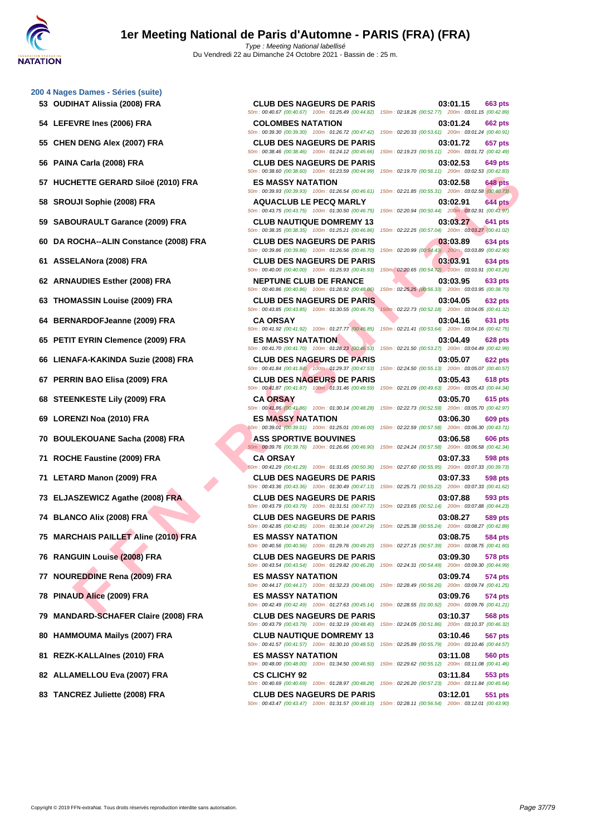**[200 4 Nag](http://www.ffnatation.fr/webffn/index.php)es Dames - Séries (suite)**

**FITTE GERARD Side (2001) FRA**<br> **FRAMENTITES AND SOLUS LES MAGESY MATATION**<br>
MUSCOME RAND COMPRA<br>
MAGES AND COMPRAMELY DES RAGES AND COMPRAMELY DES RAGES AND COMPRAMELY DES<br>
MAGES AND COMPRAMELY DES RAGES OF PARTS<br>
COMPRAM **HUCHETTE GERARD Siloë (2010) FRA ES MASSY NATATION 03:02.58 648 pts SROUJI Sophie (2008) FRA AQUACLUB LE PECQ MARLY 03:02.91 644 pts SABOURAULT Garance (2009) FRA CLUB NAUTIQUE DOMREMY 13 03:03.27 641 pts DA ROCHA--ALIN Constance (2008) FRA CLUB DES NAGEURS DE PARIS 03:03.89 634 pts ASSELANora (2008) FRA CLUB DES NAGEURS DE PARIS 03:03.91 634 pts ARNAUDIES Esther (2008) FRA NEPTUNE CLUB DE FRANCE 03:03.95 633 pts THOMASSIN Louise (2009) FRA CLUB DES NAGEURS DE PARIS 03:04.05 632 pts**<br> **60m**: 00:43.85 | 00:43.85 | 00:43.85 | 00:43.85 | 00:45.70 | 150m : 02:22.73 | 00:52.18 | 200m : 03:04.05 | 00:41.32 | **BERNARDOFJeanne (2009) FRA CA ORSAY 03:04.16 631 pts PETIT EYRIN Clemence (2009) FRA ES MASSY NATATION 03:04.49 628 pts LIENAFA-KAKINDA Suzie (2008) FRA CLUB DES NAGEURS DE PARIS 03:05.07 622 pts PERRIN BAO Elisa (2009) FRA CLUB DES NAGEURS DE PARIS 03:05.43 618 pts STEENKESTE Lily (2009) FRA CA ORSAY 03:05.70 615 pts LORENZI Noa (2010) FRA ES MASSY NATATION 03:06.30 609 pts BOULEKOUANE Sacha (2008) FRA ASS SPORTIVE BOUVINES 03:06.58 606 pts ROCHE Faustine (2009) FRA CA ORSAY 03:07.33 598 pts LETARD Manon (2009) FRA CLUB DES NAGEURS DE PARIS 03:07.33 598 pts ELJASZEWICZ Agathe (2008) FRA CLUB DES NAGEURS DE PARIS 03:07.88 593 pts BLANCO Alix (2008) FRA CLUB DES NAGEURS DE PARIS 03:08.27 589 pts MARCHAIS PAILLET Aline (2010) FRA ES MASSY NATATION 03:08.75 584 pts RANGUIN Louise (2008) FRA CLUB DES NAGEURS DE PARIS 03:09.30 578 pts NOUREDDINE Rena (2009) FRA ES MASSY NATATION 03:09.74 574 pts PINAUD Alice (2009) FRA ES MASSY NATATION 03:09.76 574 pts MANDARD-SCHAFER Claire (2008) FRA CLUB DES NAGEURS DE PARIS 03:10.37 568 pts HAMMOUMA Mailys (2007) FRA CLUB NAUTIQUE DOMREMY 13 03:10.46 567 pts REZK-KALLAInes (2010) FRA ES MASSY NATATION 03:11.08 560 pts ALLAMELLOU Eva (2007) FRA CS CLICHY 92 03:11.84 553 pts**

**83 TANCREZ Juliette (2008) FRA CLUB DES NAGEURS DE PARIS 03:12.01 551 pts**

**53 OUDIHAT Alissia (2008) FRA CLUB DES NAGEURS DE PARIS 03:01.15 663 pts** 50m : 00:40.67 (00:40.67) 100m : 01:25.49 (00:44.82) 150m : 02:18.26 (00:52.77) 200m : 03:01.15 (00:42.89) **54 LEFEVRE Ines (2006) FRA COLOMBES NATATION 03:01.24 662 pts** 50m : 00:39.30 (00:39.30) 100m : 01:26.72 (00:47.42) 150m : 02:20.33 (00:53.61) 200m : 03:01.24 (00:40.91) 50m : 00:43.85 (00:43.85) 100m : 01:30.55 (00:46.70)

**55 CHEN DENG Alex (2007) FRA CLUB DES NAGEURS DE PARIS 03:01.72 657 pts** 50m : 00:38.46 (00:38.46) 100m : 01:24.12 (00:45.66) 150m : 02:19.23 (00:55.11) 200m : 03:01.72 (00:42.49) **56 PAINA Carla (2008) FRA CLUB DES NAGEURS DE PARIS 03:02.53 649 pts** 50m : 00:38.60 (00:38.60) 100m : 01:23.59 (00:44.99) 150m : 02:19.70 (00:56.11) 200m : 03:02.53 (00:42.83) 50m : 00:39.93 (00:39.93) 100m : 01:26.54 (00:46.61) 150m : 02:21.85 (00:55.31) 200m : 03:02.58 (00:40.73) 50m : 00:43.75 (00:43.75) 100m : 01:30.50 (00:46.75) 150m : 02:20.94 (00:50.44) 200m : 03:02.91 (00:41.97) 50m : 00:38.35 (00:38.35) 100m : 01:25.21 (00:46.86) 150m : 02:22.25 (00:57.04) 200m : 03:03.27 (00:41.02) 50m : 00:39.86 (00:39.86) 100m : 01:26.56 (00:46.70) 150m : 02:20.99 (00:54.43) 200m : 03:03.89 (00:42.90) 50m : 00:40.00 (00:40.00) 100m : 01:25.93 (00:45.93) 150m : 02:20.65 (00:54.72) 200m : 03:03.91 (00:43.26) 50m : 00:40.86 (00:40.86) 100m : 01:28.92 (00:48.06) 150m : 02:25.25 (00:56.33) 200m : 03:03.95 (00:38.70) 50m : 00:41.92 (00:41.92) 100m : 01:27.77 (00:45.85) 150m : 02:21.41 (00:53.64) 200m : 03:04.16 (00:42.75) 50m : 00:41.70 (00:41.70) 100m : 01:28.23 (00:46.53) 150m : 02:21.50 (00:53.27) 200m : 03:04.49 (00:42.99) 50m : 00:41.84 (00:41.84) 100m : 01:29.37 (00:47.53) 150m : 02:24.50 (00:55.13) 200m : 03:05.07 (00:40.57) 50m : 00:41.87 (00:41.87) 100m : 01:31.46 (00:49.59) 150m : 02:21.09 (00:49.63) 200m : 03:05.43 (00:44.34) 50m : 00:41.86 (00:41.86) 100m : 01:30.14 (00:48.28) 150m : 02:22.73 (00:52.59) 200m : 03:05.70 (00:42.97) 50m : 00:39.01 (00:39.01) 100m : 01:25.01 (00:46.00) 150m : 02:22.59 (00:57.58) 200m : 03:06.30 (00:43.71) 50m : 00:39.76 (00:39.76) 100m : 01:26.66 (00:46.90) 150m : 02:24.24 (00:57.58) 200m : 03:06.58 (00:42.34) 50m : 00:41.29 (00:41.29) 100m : 01:31.65 (00:50.36) 150m : 02:27.60 (00:55.95) 200m : 03:07.33 (00:39.73) 50m : 00:43.36 (00:43.36) 100m : 01:30.49 (00:47.13) 150m : 02:25.71 (00:55.22) 200m : 03:07.33 (00:41.62) 50m : 00:43.79 (00:43.79) 100m : 01:31.51 (00:47.72) 150m : 02:23.65 (00:52.14) 200m : 03:07.88 (00:44.23) 50m : 00:42.85 (00:42.85) 100m : 01:30.14 (00:47.29) 150m : 02:25.38 (00:55.24) 200m : 03:08.27 (00:42.89) 50m : 00:40.56 (00:40.56) 100m : 01:29.76 (00:49.20) 150m : 02:27.15 (00:57.39) 200m : 03:08.75 (00:41.60) 50m : 00:43.54 (00:43.54) 100m : 01:29.82 (00:46.28) 150m : 02:24.31 (00:54.49) 200m : 03:09.30 (00:44.99) 50m : 00:44.17 (00:44.17) 100m : 01:32.23 (00:48.06) 150m : 02:28.49 (00:56.26) 200m : 03:09.74 (00:41.25) 50m : 00:42.49 (00:42.49) 100m : 01:27.63 (00:45.14) 150m : 02:28.55 (01:00.92) 200m : 03:09.76 (00:41.21) 50m : 00:43.79 (00:43.79) 100m : 01:32.19 (00:48.40) 150m : 02:24.05 (00:51.86) 200m : 03:10.37 (00:46.32) 50m : 00:41.57 (00:41.57) 100m : 01:30.10 (00:48.53) 150m : 02:25.89 (00:55.79) 200m : 03:10.46 (00:44.57) 50m : 00:48.00 (00:48.00) 100m : 01:34.50 (00:46.50) 150m : 02:29.62 (00:55.12) 200m : 03:11.08 (00:41.46) 50m : 00:40.69 (00:40.69) 100m : 01:28.97 (00:48.28) 150m : 02:26.20 (00:57.23) 200m : 03:11.84 (00:45.64)

50m : 00:43.47 (00:43.47) 100m : 01:31.57 (00:48.10) 150m : 02:28.11 (00:56.54) 200m : 03:12.01 (00:43.90)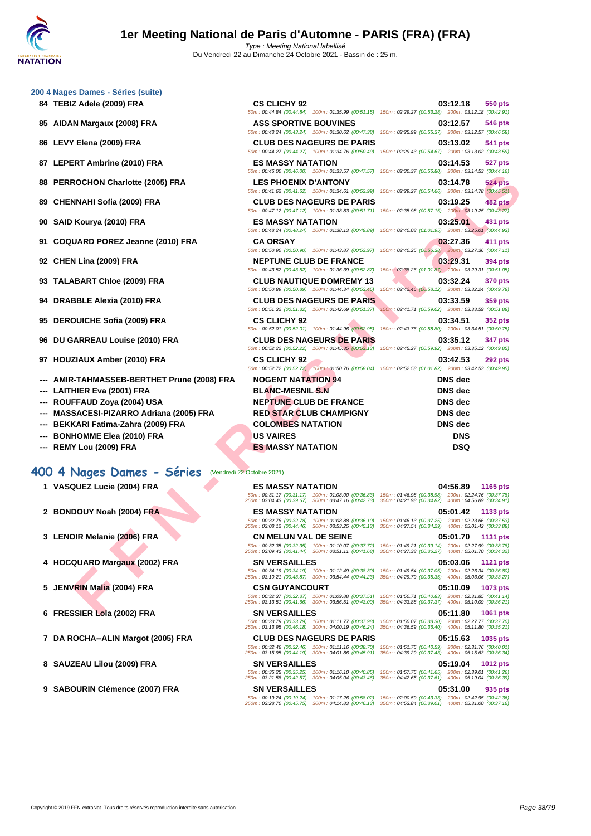| 200 4 Nages Dames - Séries (suite) |  |  |  |
|------------------------------------|--|--|--|
|------------------------------------|--|--|--|

- 
- **85 AIDAN Margaux (2008) FRA**
- **86 LEVY Elena (2009) FRA CLUB DES NAGEURS DE PARIS 03:13.02 541 pts**
- **87** LEPERT Ambrine (2010) FRA
- **88 PERROCHON Charlotte (2005) FRA**
- **89 CHENNAHI Sofia (2009) FRA**
- **90 SAID Kourya (2010) FRA**
- **91 COQUARD POREZ Jeanne (2010) FRA**
- **92 CHEN Lina (2009) FRA**
- **93 TALABART Chloe (2009) FRA**
- **94 DRABBLE Alexia (2010) FRA**
- **95 DEROUICHE Sofia (2009) FRA**
- **96 DU GARREAU Louise (2010) FRA**
- **97 HOUZIAUX Amber (2010) FRA**
- **--- AMIR-TAHMASSEB-BERTHET Prune (2008) FRA**
- **---** LAITHIER Eva (2001) FRA
- --- **ROUFFAUD Zoya (2004) USA**
- --- **MASSACESI-PIZARRO Adriana (2005) FRA**
- **--- BEKKARI Fatima-Zahra (2009) FRA**
- **---** BONHOMME Elea (2010) FRA
- **--- REMY Lou (2009) FRA**

### **400 4 Nages Dames - Séries** (Vendredi 22 Octobre 2021)

- 
- 
- 
- 
- 
- 
- 
- 
- **9 SABOURIN Clémence (2007) FRA SN VERSAILLES 05:31.00 935 pts**

| 84   TEBIZ Adele (2009) FRA                 | <b>CS CLICHY 92</b>                                                                                                                                                                            | 03:12.18<br>550 pts                                                                                                                                                                                                                                                                                                                                                                                                                                                                                                                                                                                                                                                                                                                                                                                                                                                                                                                                                                                                                                                                                                                           |
|---------------------------------------------|------------------------------------------------------------------------------------------------------------------------------------------------------------------------------------------------|-----------------------------------------------------------------------------------------------------------------------------------------------------------------------------------------------------------------------------------------------------------------------------------------------------------------------------------------------------------------------------------------------------------------------------------------------------------------------------------------------------------------------------------------------------------------------------------------------------------------------------------------------------------------------------------------------------------------------------------------------------------------------------------------------------------------------------------------------------------------------------------------------------------------------------------------------------------------------------------------------------------------------------------------------------------------------------------------------------------------------------------------------|
| 85 AIDAN Margaux (2008) FRA                 | <b>ASS SPORTIVE BOUVINES</b>                                                                                                                                                                   | 03:12.57<br><b>546 pts</b>                                                                                                                                                                                                                                                                                                                                                                                                                                                                                                                                                                                                                                                                                                                                                                                                                                                                                                                                                                                                                                                                                                                    |
| 86   LEVY Elena (2009) FRA                  | <b>CLUB DES NAGEURS DE PARIS</b>                                                                                                                                                               | 03:13.02<br>541 pts                                                                                                                                                                                                                                                                                                                                                                                                                                                                                                                                                                                                                                                                                                                                                                                                                                                                                                                                                                                                                                                                                                                           |
| 87 LEPERT Ambrine (2010) FRA                | <b>ES MASSY NATATION</b>                                                                                                                                                                       | 50m: 00:44.27 (00:44.27) 100m: 01:34.76 (00:50.49) 150m: 02:29.43 (00:54.67) 200m: 03:13.02 (00:43.59)<br>03:14.53<br>527 pts                                                                                                                                                                                                                                                                                                                                                                                                                                                                                                                                                                                                                                                                                                                                                                                                                                                                                                                                                                                                                 |
|                                             |                                                                                                                                                                                                | 50m : 00:46.00 (00:46.00) 100m : 01:33.57 (00:47.57) 150m : 02:30.37 (00:56.80) 200m : 03:14.53 (00:44.16)                                                                                                                                                                                                                                                                                                                                                                                                                                                                                                                                                                                                                                                                                                                                                                                                                                                                                                                                                                                                                                    |
| 88 PERROCHON Charlotte (2005) FRA           | <b>LES PHOENIX D'ANTONY</b>                                                                                                                                                                    | 03:14.78<br>524 pts<br>150m: 02:29.27 (00:54.66) 200m: 03:14.78 (00:45.51)                                                                                                                                                                                                                                                                                                                                                                                                                                                                                                                                                                                                                                                                                                                                                                                                                                                                                                                                                                                                                                                                    |
| 89 CHENNAHI Sofia (2009) FRA                | <b>CLUB DES NAGEURS DE PARIS</b>                                                                                                                                                               | 03:19.25<br><b>482 pts</b>                                                                                                                                                                                                                                                                                                                                                                                                                                                                                                                                                                                                                                                                                                                                                                                                                                                                                                                                                                                                                                                                                                                    |
| 90 SAID Kourya (2010) FRA                   | <b>ES MASSY NATATION</b>                                                                                                                                                                       | 03:25.01<br>431 pts<br>150m: 02:40.08 (01:01.95) 200m: 03:25.01 (00:44.93)                                                                                                                                                                                                                                                                                                                                                                                                                                                                                                                                                                                                                                                                                                                                                                                                                                                                                                                                                                                                                                                                    |
| 91 COQUARD POREZ Jeanne (2010) FRA          | <b>CA ORSAY</b>                                                                                                                                                                                | 03:27.36<br>411 pts                                                                                                                                                                                                                                                                                                                                                                                                                                                                                                                                                                                                                                                                                                                                                                                                                                                                                                                                                                                                                                                                                                                           |
|                                             | 50m: 00:50.90 (00:50.90) 100m: 01:43.87 (00:52.97)<br><b>NEPTUNE CLUB DE FRANCE</b>                                                                                                            | 150m: 02:40.25 (00:56.38) 200m: 03:27.36 (00:47.11)<br>03:29.31<br>394 pts                                                                                                                                                                                                                                                                                                                                                                                                                                                                                                                                                                                                                                                                                                                                                                                                                                                                                                                                                                                                                                                                    |
|                                             | 50m: 00:43.52 (00:43.52) 100m: 01:36.39 (00:52.87)                                                                                                                                             | 150m: 02:38.26 (01:01.87) 200m: 03:29.31 (00:51.05)                                                                                                                                                                                                                                                                                                                                                                                                                                                                                                                                                                                                                                                                                                                                                                                                                                                                                                                                                                                                                                                                                           |
| 93   TALABART Chloe (2009) FRA              | <b>CLUB NAUTIQUE DOMREMY 13</b>                                                                                                                                                                | 03:32.24<br>370 pts<br>150m: 02:42.46 (00:58.12) 200m: 03:32.24 (00:49.78)                                                                                                                                                                                                                                                                                                                                                                                                                                                                                                                                                                                                                                                                                                                                                                                                                                                                                                                                                                                                                                                                    |
| 94   DRABBLE Alexia (2010) FRA              | <b>CLUB DES NAGEURS DE PARIS</b>                                                                                                                                                               | 03:33.59<br>359 pts<br>150m: 02:41.71 (00:59.02) 200m: 03:33.59 (00:51.88)                                                                                                                                                                                                                                                                                                                                                                                                                                                                                                                                                                                                                                                                                                                                                                                                                                                                                                                                                                                                                                                                    |
| 95 DEROUICHE Sofia (2009) FRA               | <b>CS CLICHY 92</b>                                                                                                                                                                            | 03:34.51<br><b>352 pts</b><br>150m: 02:43.76 (00:58.80) 200m: 03:34.51 (00:50.75)                                                                                                                                                                                                                                                                                                                                                                                                                                                                                                                                                                                                                                                                                                                                                                                                                                                                                                                                                                                                                                                             |
| 96 DU GARREAU Louise (2010) FRA             | <b>CLUB DES NAGEURS DE PARIS</b>                                                                                                                                                               | 03:35.12<br>347 pts<br>150m: 02:45.27 (00:59.92) 200m: 03:35.12 (00:49.85)                                                                                                                                                                                                                                                                                                                                                                                                                                                                                                                                                                                                                                                                                                                                                                                                                                                                                                                                                                                                                                                                    |
| 97 HOUZIAUX Amber (2010) FRA                | <b>CS CLICHY 92</b>                                                                                                                                                                            | 03:42.53<br><b>292 pts</b>                                                                                                                                                                                                                                                                                                                                                                                                                                                                                                                                                                                                                                                                                                                                                                                                                                                                                                                                                                                                                                                                                                                    |
|                                             |                                                                                                                                                                                                | <b>DNS</b> dec                                                                                                                                                                                                                                                                                                                                                                                                                                                                                                                                                                                                                                                                                                                                                                                                                                                                                                                                                                                                                                                                                                                                |
|                                             | <b>BLANC-MESNIL S.N</b>                                                                                                                                                                        | <b>DNS</b> dec                                                                                                                                                                                                                                                                                                                                                                                                                                                                                                                                                                                                                                                                                                                                                                                                                                                                                                                                                                                                                                                                                                                                |
| ---   ROUFFAUD Zoya (2004) USA              | <b>NEPTUNE CLUB DE FRANCE</b>                                                                                                                                                                  | <b>DNS</b> dec                                                                                                                                                                                                                                                                                                                                                                                                                                                                                                                                                                                                                                                                                                                                                                                                                                                                                                                                                                                                                                                                                                                                |
| <b>MASSACESI-PIZARRO Adriana (2005) FRA</b> | <b>RED STAR CLUB CHAMPIGNY</b>                                                                                                                                                                 | <b>DNS</b> dec                                                                                                                                                                                                                                                                                                                                                                                                                                                                                                                                                                                                                                                                                                                                                                                                                                                                                                                                                                                                                                                                                                                                |
| --- BEKKARI Fatima-Zahra (2009) FRA         | <b>COLOMBES NATATION</b>                                                                                                                                                                       | <b>DNS</b> dec                                                                                                                                                                                                                                                                                                                                                                                                                                                                                                                                                                                                                                                                                                                                                                                                                                                                                                                                                                                                                                                                                                                                |
| --- BONHOMME Elea (2010) FRA                | <b>US VAIRES</b>                                                                                                                                                                               | <b>DNS</b>                                                                                                                                                                                                                                                                                                                                                                                                                                                                                                                                                                                                                                                                                                                                                                                                                                                                                                                                                                                                                                                                                                                                    |
| --- REMY Lou (2009) FRA                     | <b>ES MASSY NATATION</b>                                                                                                                                                                       | DSQ                                                                                                                                                                                                                                                                                                                                                                                                                                                                                                                                                                                                                                                                                                                                                                                                                                                                                                                                                                                                                                                                                                                                           |
|                                             |                                                                                                                                                                                                |                                                                                                                                                                                                                                                                                                                                                                                                                                                                                                                                                                                                                                                                                                                                                                                                                                                                                                                                                                                                                                                                                                                                               |
|                                             |                                                                                                                                                                                                | 04:56.89<br>1165 pts                                                                                                                                                                                                                                                                                                                                                                                                                                                                                                                                                                                                                                                                                                                                                                                                                                                                                                                                                                                                                                                                                                                          |
|                                             |                                                                                                                                                                                                | 50m: 00:31.17 (00:31.17) 100m: 01:08.00 (00:36.83) 150m: 01:46.98 (00:38.98) 200m: 02:24.76 (00:37.78)                                                                                                                                                                                                                                                                                                                                                                                                                                                                                                                                                                                                                                                                                                                                                                                                                                                                                                                                                                                                                                        |
|                                             |                                                                                                                                                                                                | 05:01.42                                                                                                                                                                                                                                                                                                                                                                                                                                                                                                                                                                                                                                                                                                                                                                                                                                                                                                                                                                                                                                                                                                                                      |
|                                             | 250m: 03:08.12 (00:44.46) 300m: 03:53.25 (00:45.13)                                                                                                                                            | 1133 pts<br>50m : 00:32.78 (00:32.78) 100m : 01:08.88 (00:36.10) 150m : 01:46.13 (00:37.25) 200m : 02:23.66 (00:37.53)<br>350m: 04:27.54 (00:34.29) 400m: 05:01.42 (00:33.88)                                                                                                                                                                                                                                                                                                                                                                                                                                                                                                                                                                                                                                                                                                                                                                                                                                                                                                                                                                 |
| 3 LENOIR Melanie (2006) FRA                 | <b>CN MELUN VAL DE SEINE</b>                                                                                                                                                                   | 05:01.70<br>1131 pts                                                                                                                                                                                                                                                                                                                                                                                                                                                                                                                                                                                                                                                                                                                                                                                                                                                                                                                                                                                                                                                                                                                          |
|                                             | 50m: 00:32.35 (00:32.35) 100m: 01:10.07 (00:37.72)<br>250m: 03:09.43 (00:41.44) 300m: 03:51.11 (00:41.68)                                                                                      | 150m: 01:49.21 (00:39.14) 200m: 02:27.99 (00:38.78)<br>350m: 04:27.38 (00:36.27)  400m: 05:01.70  (00:34.32)                                                                                                                                                                                                                                                                                                                                                                                                                                                                                                                                                                                                                                                                                                                                                                                                                                                                                                                                                                                                                                  |
| 4 HOCQUARD Margaux (2002) FRA               | <b>SN VERSAILLES</b>                                                                                                                                                                           | 05:03.06<br>1121 pts                                                                                                                                                                                                                                                                                                                                                                                                                                                                                                                                                                                                                                                                                                                                                                                                                                                                                                                                                                                                                                                                                                                          |
|                                             | 50m: 00:34.19 (00:34.19) 100m: 01:12.49 (00:38.30)<br>250m: 03:10.21 (00:43.87) 300m: 03:54.44 (00:44.23)                                                                                      | 150m: 01:49.54 (00:37.05) 200m: 02:26.34 (00:36.80)<br>350m: 04:29.79 (00:35.35) 400m: 05:03.06 (00:33.27)                                                                                                                                                                                                                                                                                                                                                                                                                                                                                                                                                                                                                                                                                                                                                                                                                                                                                                                                                                                                                                    |
|                                             | <b>CSN GUYANCOURT</b>                                                                                                                                                                          | 05:10.09<br><b>1073 pts</b>                                                                                                                                                                                                                                                                                                                                                                                                                                                                                                                                                                                                                                                                                                                                                                                                                                                                                                                                                                                                                                                                                                                   |
|                                             |                                                                                                                                                                                                | 50m: 00:32.37 (00:32.37) 100m: 01:09.88 (00:37.51) 150m: 01:50.71 (00:40.83) 200m: 02:31.85 (00:41.14)                                                                                                                                                                                                                                                                                                                                                                                                                                                                                                                                                                                                                                                                                                                                                                                                                                                                                                                                                                                                                                        |
| 6 FRESSIER Lola (2002) FRA                  | <b>SN VERSAILLES</b>                                                                                                                                                                           | 05:11.80 1061 pts                                                                                                                                                                                                                                                                                                                                                                                                                                                                                                                                                                                                                                                                                                                                                                                                                                                                                                                                                                                                                                                                                                                             |
|                                             | 92 CHEN Lina (2009) FRA<br>--- AMIR-TAHMASSEB-BERTHET Prune (2008) FRA<br>--- LAITHIER Eva (2001) FRA<br>1 VASQUEZ Lucie (2004) FRA<br>2 BONDOUY Noah (2004) FRA<br>5 JENVRIN Malia (2004) FRA | 50m: 00:44.84 (00:44.84) 100m: 01:35.99 (00:51.15) 150m: 02:29.27 (00:53.28) 200m: 03:12.18 (00:42.91)<br>50m: 00:43.24 (00:43.24) 100m: 01:30.62 (00:47.38) 150m: 02:25.99 (00:55.37) 200m: 03:12.57 (00:46.58)<br>50m: 00:41.62 (00:41.62) 100m: 01:34.61 (00:52.99)<br>50m: 00:47.12 (00:47.12) 100m: 01:38.83 (00:51.71) 150m: 02:35.98 (00:57.15) 200m: 03:19.25 (00:43.27)<br>50m: 00:48.24 (00:48.24) 100m: 01:38.13 (00:49.89)<br>50m: 00:50.89 (00:50.89) 100m: 01:44.34 (00:53.45)<br>50m: 00:51.32 (00:51.32) 100m: 01:42.69 (00:51.37)<br>50m: 00:52.01 (00:52.01) 100m: 01:44.96 (00:52.95)<br>50m: 00:52.22 (00:52.22) 100m: 01:45.35 (00:53.13)<br>50m: 00:52.72 (00:52.72) / 100m: 01:50.76 (00:58.04) 150m: 02:52.58 (01:01.82) 200m: 03:42.53 (00:49.95)<br><b>NOGENT NATATION 94</b><br>00 4 Nages Dames - Séries (Vendredi 22 Octobre 2021)<br><b>ES MASSY NATATION</b><br>250m: 03:04.43 (00:39.67) 300m: 03:47.16 (00:42.73) 350m: 04:21.98 (00:34.82) 400m: 04:56.89 (00:34.91)<br><b>ES MASSY NATATION</b><br>250m: 03:13.51 (00:41.66) 300m: 03:56.51 (00:43.00) 350m: 04:33.88 (00:37.37) 400m: 05:10.09 (00:36.21) |

| 150m: 02:29.27 (00:53.28) 200m: 03:12.18 (00:42.91) |                  |                |
|-----------------------------------------------------|------------------|----------------|
|                                                     | 03:12.57 546 pts |                |
| 150m: 02:25.99 (00:55.37) 200m: 03:12.57 (00:46.58) |                  |                |
|                                                     | 03:13.02 541 pts |                |
| 150m: 02:29.43 (00:54.67) 200m: 03:13.02 (00:43.59) |                  |                |
| 150m: 02:30.37 (00:56.80) 200m: 03:14.53 (00:44.16) | 03:14.53 527 pts |                |
|                                                     | 03:14.78 524 pts |                |
| 150m: 02:29.27 (00:54.66) 200m: 03:14.78 (00:45.51) |                  |                |
|                                                     | 03:19.25 482 pts |                |
| 150m: 02:35.98 (00:57.15) 200m: 03:19.25 (00:43.27) |                  |                |
|                                                     | 03:25.01 431 pts |                |
| 150m: 02:40.08 (01:01.95) 200m: 03:25.01 (00:44.93) |                  |                |
| 150m: 02:40.25 (00:56.38) 200m: 03:27.36 (00:47.11) | 03:27.36 411 pts |                |
|                                                     | 03:29.31 394 pts |                |
| 150m: 02:38.26 (01:01.87) 200m: 03:29.31 (00:51.05) |                  |                |
|                                                     | 03:32.24         | <b>370 pts</b> |
| 150m: 02:42.46 (00:58.12) 200m: 03:32.24 (00:49.78) |                  |                |
|                                                     | 03:33.59 359 pts |                |
| 150m: 02:41.71 (00:59.02) 200m: 03:33.59 (00:51.88) |                  |                |
|                                                     | 03:34.51         | <b>352 pts</b> |
| 150m: 02:43.76 (00:58.80) 200m: 03:34.51 (00:50.75) |                  |                |
| 150m: 02:45.27 (00:59.92) 200m: 03:35.12 (00:49.85) | 03:35.12         | <b>347 pts</b> |
|                                                     | 03:42.53 292 pts |                |
| 150m: 02:52.58 (01:01.82) 200m: 03:42.53 (00:49.95) |                  |                |
|                                                     | <b>DNS</b> dec   |                |
|                                                     | <b>DNS</b> dec   |                |
|                                                     | <b>DNS</b> dec   |                |
|                                                     | <b>DNS</b> dec   |                |
| <b>DNS</b> dec                                      |                  |                |
|                                                     | <b>DNS</b>       |                |
|                                                     | DSQ              |                |

**1 VASQUEZ Lucie (2004) FRA ES MASSY NATATION 04:56.89 1165 pts** 50m : 00:31.17 (00:31.17) 100m : 01:08.00 (00:36.83) 150m : 01:46.98 (00:38.98) 200m : 02:24.76 (00:37.78) 250m : 03:04.43 (00:39.67) 300m : 03:47.16 (00:42.73) 350m : 04:21.98 (00:34.82) 400m : 04:56.89 (00:34.91) **2 BONDOUY Noah (2004) FRA ES MASSY NATATION 05:01.42 1133 pts** 50m : 00:32.78 (00:32.78) 100m : 01:08.88 (00:36.10) 150m : 01:46.13 (00:37.25) 200m : 02:23.66 (00:37.53) 250m : 03:08.12 (00:44.46) 300m : 03:53.25 (00:45.13) 350m : 04:27.54 (00:34.29) 400m : 05:01.42 (00:33.88) **3 LENOIR Melanie (2006) FRA CN MELUN VAL DE SEINE 05:01.70 1131 pts** 50m : 00:32.35 (00:32.35) 100m : 01:10.07 (00:37.72) 150m : 01:49.21 (00:39.14) 200m : 02:27.99 (00:38.78) 250m : 03:09.43 (00:41.44) 300m : 03:51.11 (00:41.68) 350m : 04:27.38 (00:36.27) 400m : 05:01.70 (00:34.32) **4 HOCQUARD Margaux (2002) FRA SN VERSAILLES 05:03.06 1121 pts** 50m : 00:34.19 (00:34.19) 100m : 01:12.49 (00:38.30) 150m : 01:49.54 (00:37.05) 200m : 02:26.34 (00:36.80) 250m : 03:10.21 (00:43.87) 300m : 03:54.44 (00:44.23) 350m : 04:29.79 (00:35.35) 400m : 05:03.06 (00:33.27) **5 JENVRIN Malia (2004) FRA CSN GUYANCOURT 05:10.09 1073 pts** 50m : 00:32.37 (00:32.37) 100m : 01:09.88 (00:37.51) 150m : 01:50.71 (00:40.83) 200m : 02:31.85 (00:41.14) 250m : 03:13.51 (00:41.66) 300m : 03:56.51 (00:43.00) 350m : 04:33.88 (00:37.37) 400m : 05:10.09 (00:36.21) **6 FRESSIER Lola (2002) FRA SN VERSAILLES 05:11.80 1061 pts** 50m : 00:33.79 (00:33.79) 100m : 01:11.77 (00:37.98) 150m : 01:50.07 (00:38.30) 200m : 02:27.77 (00:37.70) 250m : 03:13.95 (00:46.18) 300m : 04:00.19 (00:46.24) 350m : 04:36.59 (00:36.40) 400m : 05:11.80 (00:35.21) **7 DA ROCHA--ALIN Margot (2005) FRA CLUB DES NAGEURS DE PARIS 05:15.63 1035 pts** 50m : 00:32.46 (00:32.46) 100m : 01:11.16 (00:38.70) 150m : 01:51.75 (00:40.59) 200m : 02:31.76 (00:40.01) 250m : 03:15.95 (00:44.19) 300m : 04:01.86 (00:45.91) 350m : 04:39.29 (00:37.43) 400m : 05:15.63 (00:36.34) **8 SAUZEAU Lilou (2009) FRA SN VERSAILLES 05:19.04 1012 pts** 50m : 00:35.25 (00:35.25) 100m : 01:16.10 (00:40.85) 150m : 01:57.75 (00:41.65) 200m : 02:39.01 (00:41.26) 250m : 03:21.58 (00:42.57) 300m : 04:05.04 (00:43.46) 350m : 04:42.65 (00:37.61) 400m : 05:19.04 (00:36.39)

50m : 00:19.24 (00:19.24) 100m : 01:17.26 (00:58.02) 150m : 02:00.59 (00:43.33) 200m : 02:42.95 (00:42.36) 250m : 03:28.70 (00:45.75) 300m : 04:14.83 (00:46.13) 350m : 04:53.84 (00:39.01) 400m : 05:31.00 (00:37.16)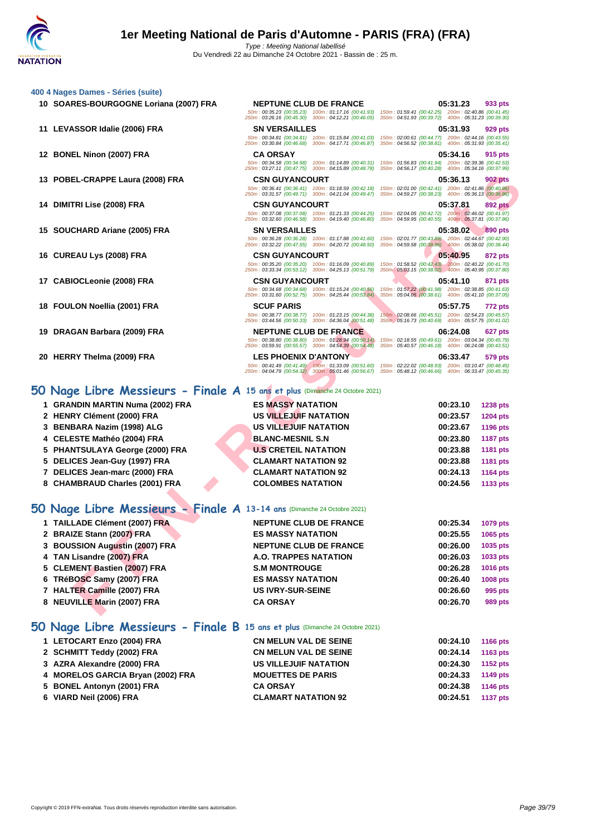50m : 00:35.23 (00:35.23) 100m : 01:17.16 (00:41.93) 150m : 01:59.41 (00:42.25) 200m : 02:40.86 (00:41.45) 250m : 03:26.16 (00:45.30) 300m : 04:12.21 (00:46.05) 350m : 04:51.93 (00:39.72) 400m : 05:31.23 (00:39.30)

50m : 00:34.81 (00:34.81) 100m : 01:15.84 (00:41.03) 150m : 02:00.61 (00:44.77) 200m : 02:44.16 (00:43.55) 250m : 03:30.84 (00:46.68) 300m : 04:17.71 (00:46.87) 350m : 04:56.52 (00:38.81) 400m : 05:31.93 (00:35.41)

50m : 00:34.58 (00:34.58) 100m : 01:14.89 (00:40.31) 150m : 01:56.83 (00:41.94) 200m : 02:39.36 (00:42.53) 250m : 03:27.11 (00:47.75) 300m : 04:15.89 (00:48.78) 350m : 04:56.17 (00:40.28) 400m : 05:34.16 (00:37.99)

- **[400 4 Nag](http://www.ffnatation.fr/webffn/index.php)es Dames Séries (suite)**
	- **SOARES-BOURGOGNE Loriana (2007) FRA NEPTUNE CLUB DE FRANCE 05:31.23 933 pts**
	- **LEVASSOR Idalie (2006) FRA SN VERSAILLES 05:31.93 929 pts**
	- **BONEL Ninon (2007) FRA CA ORSAY 05:34.16 915 pts**
	- **POBEL-CRAPPE Laura (2008) FRA CSN GUYANCOURT 05:36.13 902 pts**
	- **DIMITRI Lise (2008) FRA CSN GUYANCOURT 05:37.81 892 pts**
	- **SOUCHARD Ariane (2005) FRA SN VERSAILLES 05:38.02 890 pts**
	- **CUREAU Lys (2008) FRA CSN GUYANCOURT 05:40.95 872 pts**
	- **CABIOCLeonie (2008) FRA CSN GUYANCOURT 05:41.10 871 pts**
	- **FOULON Noellia (2001) FRA SCUF PARIS 05:57.75 772 pts**
	- **DRAGAN Barbara (2009) FRA NEPTUNE CLUB DE FRANCE 06:24.08 627 pts**
	- **HERRY Thelma (2009) FRA LES PHOENIX D'ANTONY 06:33.47 579 pts**

# **50 Nage Libre Messieurs - Finale A 15 ans et plus** (Dimanche 24 Octobre 2021)

| 1 GRANDIN MARTIN Numa (2002) FRA | <b>ES MASSY NATATION</b>    | 00:23.10 | <b>1238 pts</b> |
|----------------------------------|-----------------------------|----------|-----------------|
| 2 HENRY Clément (2000) FRA       | US VILLEJUIF NATATION       | 00:23.57 | <b>1204 pts</b> |
| 3 BENBARA Nazim (1998) ALG       | US VILLEJUIF NATATION       | 00:23.67 | <b>1196 pts</b> |
| 4 CELESTE Mathéo (2004) FRA      | <b>BLANC-MESNIL S.N</b>     | 00:23.80 | <b>1187 pts</b> |
| 5 PHANTSULAYA George (2000) FRA  | <b>U.S CRETEIL NATATION</b> | 00:23.88 | 1181 pts        |
| 5 DELICES Jean-Guy (1997) FRA    | <b>CLAMART NATATION 92</b>  | 00:23.88 | <b>1181 pts</b> |
| 7 DELICES Jean-marc (2000) FRA   | <b>CLAMART NATATION 92</b>  | 00:24.13 | 1164 pts        |
| 8 CHAMBRAUD Charles (2001) FRA   | <b>COLOMBES NATATION</b>    | 00:24.56 | 1133 pts        |
|                                  |                             |          |                 |

### **50 Nage Libre Messieurs - Finale A 13-14 ans** (Dimanche 24 Octobre 2021)

|   | 13 POBEL-CRAPPE Laura (2008) FRA                                             | <b>CSN GUYANCOURT</b><br>50m: 00:36.41 (00:36.41) 100m: 01:18.59 (00:42.18)                               | 05:36.13<br>902 pts<br>150m: 02:01.00 (00:42.41) 200m: 02:41.86 (00:40.86)                                 |
|---|------------------------------------------------------------------------------|-----------------------------------------------------------------------------------------------------------|------------------------------------------------------------------------------------------------------------|
|   |                                                                              | 250m: 03:31.57 (00:49.71) 300m: 04:21.04 (00:49.47)                                                       | 350m: 04:59.27 (00:38.23) 400m: 05:36.13 (00:36.86)                                                        |
|   | 14 DIMITRI Lise (2008) FRA                                                   | <b>CSN GUYANCOURT</b>                                                                                     | 05:37.81<br>892 pts                                                                                        |
|   |                                                                              | 50m: 00:37.08 (00:37.08) 100m: 01:21.33 (00:44.25)<br>250m: 03:32.60 (00:46.58) 300m: 04:19.40 (00:46.80) | 150m: 02:04.05 (00:42.72) 200m: 02:46.02 (00:41.97)<br>350m: 04:59.95 (00:40.55) 400m: 05:37.81 (00:37.86) |
|   | 15 SOUCHARD Ariane (2005) FRA                                                | <b>SN VERSAILLES</b>                                                                                      | 05:38.02<br>890 pts                                                                                        |
|   |                                                                              | 50m: 00:36.28 (00:36.28) 100m: 01:17.88 (00:41.60)<br>250m: 03:32.22 (00:47.55) 300m: 04:20.72 (00:48.50) | 150m: 02:01.77 (00:43.89) 200m: 02:44.67 (00:42.90)<br>350m: 04:59.58 (00:38.86) 400m: 05:38.02 (00:38.44) |
|   | 16 CUREAU Lys (2008) FRA                                                     | <b>CSN GUYANCOURT</b>                                                                                     | 05:40.95<br>872 pts                                                                                        |
|   |                                                                              | 50m: 00:35.20 (00:35.20) 100m: 01:16.09 (00:40.89)<br>250m: 03:33.34 (00:53.12) 300m: 04:25.13 (00:51.79) | 150m; 01:58.52 (00:42.43) 200m: 02:40.22 (00:41.70)<br>350m: 05:03.15 (00:38.02) 400m: 05:40.95 (00:37.80) |
|   | 17 CABIOCLeonie (2008) FRA                                                   | <b>CSN GUYANCOURT</b>                                                                                     | 05:41.10<br>871 pts                                                                                        |
|   |                                                                              | 50m: 00:34.68 (00:34.68) 100m: 01:15.24 (00:40.56)<br>250m: 03:31.60 (00:52.75) 300m: 04:25.44 (00:53.84) | 150m: 01:57.22 (00:41.98) 200m: 02:38.85 (00:41.63)<br>350m: 05:04.05 (00:38.61) 400m: 05:41.10 (00:37.05) |
|   | 18 FOULON Noellia (2001) FRA                                                 | <b>SCUF PARIS</b>                                                                                         | 05:57.75<br>772 pts                                                                                        |
|   |                                                                              | 50m: 00:38.77 (00:38.77) 100m: 01:23.15 (00:44.38)                                                        | 150m: 02:08.66 (00:45.51) 200m: 02:54.23 (00:45.57)                                                        |
|   |                                                                              | 250m: 03:44.56 (00:50.33) 300m: 04:36.04 (00:51.48)                                                       | 350m : 05:16.73 (00:40.69) 400m : 05:57.75 (00:41.02)                                                      |
|   | 19 DRAGAN Barbara (2009) FRA                                                 | <b>NEPTUNE CLUB DE FRANCE</b><br>50m: 00:38.80 (00:38.80) 100m: 01:28.94 (00:50.14)                       | 06:24.08<br>627 pts<br>150m: 02:18.55 (00:49.61) 200m: 03:04.34 (00:45.79)                                 |
|   |                                                                              | 250m: 03:59.91 (00:55.57) 300m: 04:54.39 (00:54.48)                                                       | 350m: 05:40.57 (00:46.18) 400m: 06:24.08 (00:43.51)                                                        |
|   | 20 HERRY Thelma (2009) FRA                                                   | <b>LES PHOENIX D'ANTONY</b><br>50m: 00:41.49 (00:41.49) 100m: 01:33.09 (00:51.60)                         | 06:33.47<br>579 pts<br>150m: 02:22.02 (00:48.93) 200m: 03:10.47 (00:48.45)                                 |
|   |                                                                              | 250m: 04:04.79 (00:54.32) 300m: 05:01.46 (00:56.67)                                                       | 350m: 05:48.12 (00:46.66) 400m: 06:33.47 (00:45.35)                                                        |
|   |                                                                              |                                                                                                           |                                                                                                            |
|   | 50 Nage Libre Messieurs - Finale A 15 ans et plus (Dimanche 24 Octobre 2021) |                                                                                                           |                                                                                                            |
|   | 1 GRANDIN MARTIN Numa (2002) FRA                                             | <b>ES MASSY NATATION</b>                                                                                  | 00:23.10<br><b>1238 pts</b>                                                                                |
|   | 2 HENRY Clément (2000) FRA                                                   | US VILLEJUIF NATATION                                                                                     | 00:23.57<br><b>1204 pts</b>                                                                                |
| 3 | <b>BENBARA Nazim (1998) ALG</b>                                              | US VILLEJUIF NATATION                                                                                     | 00:23.67<br>1196 pts                                                                                       |
| 4 | <b>CELESTE Mathéo (2004) FRA</b>                                             | <b>BLANC-MESNIL S.N</b>                                                                                   | 00:23.80<br><b>1187 pts</b>                                                                                |
| 5 | <b>PHANTSULAYA George (2000) FRA</b>                                         | <b>U.S CRETEIL NATATION</b>                                                                               | 00:23.88<br><b>1181 pts</b>                                                                                |
|   | 5 DELICES Jean-Guy (1997) FRA                                                | <b>CLAMART NATATION 92</b>                                                                                | 00:23.88<br>1181 pts                                                                                       |
|   | 7 DELICES Jean-marc (2000) FRA                                               | <b>CLAMART NATATION 92</b>                                                                                | 00:24.13<br><b>1164 pts</b>                                                                                |
|   | 8 CHAMBRAUD Charles (2001) FRA                                               | <b>COLOMBES NATATION</b>                                                                                  | 00:24.56<br>1133 pts                                                                                       |
|   |                                                                              |                                                                                                           |                                                                                                            |
|   | 50 Nage Libre Messieurs - Finale A 13-14 ans (Dimanche 24 Octobre 2021)      |                                                                                                           |                                                                                                            |
|   | 1 TAILLADE Clément (2007) FRA                                                | <b>NEPTUNE CLUB DE FRANCE</b>                                                                             | 00:25.34<br>1079 pts                                                                                       |
|   | 2 BRAIZE Stann (2007) FRA                                                    | <b>ES MASSY NATATION</b>                                                                                  | 00:25.55<br>1065 pts                                                                                       |
| 3 | <b>BOUSSION Augustin (2007) FRA</b>                                          | <b>NEPTUNE CLUB DE FRANCE</b>                                                                             | 00:26.00<br>1035 pts                                                                                       |
| 4 | TAN Lisandre (2007) FRA                                                      | A.O. TRAPPES NATATION                                                                                     | 00:26.03<br>1033 pts                                                                                       |
| 5 | <b>CLEMENT Bastien (2007) FRA</b>                                            | <b>S.M MONTROUGE</b>                                                                                      | 00:26.28<br><b>1016 pts</b>                                                                                |
| 6 | TRéBOSC Samy (2007) FRA                                                      | <b>ES MASSY NATATION</b>                                                                                  | 00:26.40<br><b>1008 pts</b>                                                                                |
|   | 7 HALTER Camille (2007) FRA                                                  | <b>US IVRY-SUR-SEINE</b>                                                                                  | 00:26.60<br>995 pts                                                                                        |
|   | 8 NEUVILLE Marin (2007) FRA                                                  | <b>CA ORSAY</b>                                                                                           | 00:26.70<br>989 pts                                                                                        |
|   |                                                                              |                                                                                                           |                                                                                                            |

### **50 Nage Libre Messieurs - Finale B 15 ans et plus** (Dimanche 24 Octobre 2021)

| 1 LETOCART Enzo (2004) FRA        | <b>CN MELUN VAL DE SEINE</b> | 00:24.10 | 1166 pts        |
|-----------------------------------|------------------------------|----------|-----------------|
| 2 SCHMITT Teddy (2002) FRA        | <b>CN MELUN VAL DE SEINE</b> | 00:24.14 | 1163 pts        |
| 3 AZRA Alexandre (2000) FRA       | <b>US VILLEJUIF NATATION</b> | 00:24.30 | 1152 pts        |
| 4 MORELOS GARCIA Bryan (2002) FRA | <b>MOUETTES DE PARIS</b>     | 00:24.33 | 1149 pts        |
| 5 BONEL Antonyn (2001) FRA        | <b>CA ORSAY</b>              | 00:24.38 | 1146 pts        |
| 6 VIARD Neil (2006) FRA           | <b>CLAMART NATATION 92</b>   | 00:24.51 | <b>1137 pts</b> |
|                                   |                              |          |                 |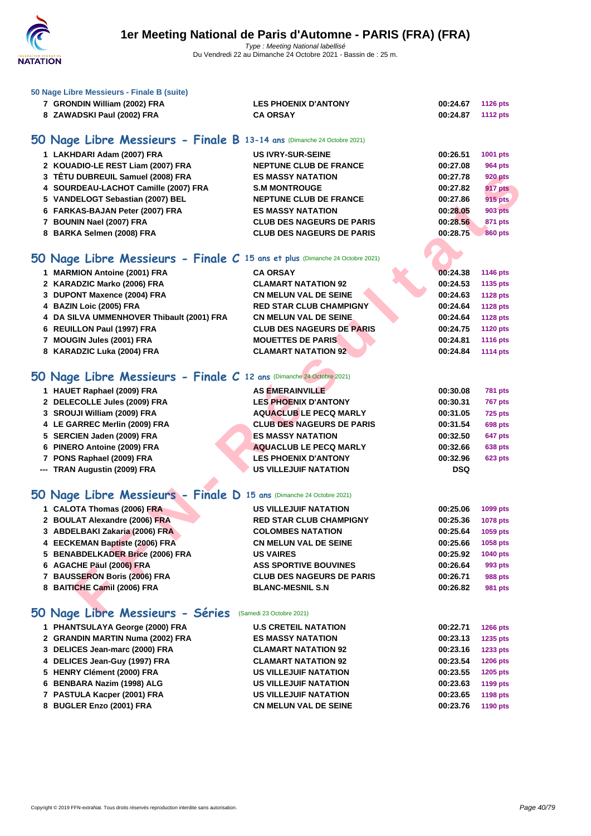

| 50 Nage Libre Messieurs - Finale B (suite)                                   |                                  |            |                 |
|------------------------------------------------------------------------------|----------------------------------|------------|-----------------|
| 7 GRONDIN William (2002) FRA                                                 | <b>LES PHOENIX D'ANTONY</b>      | 00:24.67   | <b>1126 pts</b> |
| 8 ZAWADSKI Paul (2002) FRA                                                   | <b>CA ORSAY</b>                  | 00:24.87   | <b>1112 pts</b> |
|                                                                              |                                  |            |                 |
| 50 Nage Libre Messieurs - Finale B 13-14 ans (Dimanche 24 Octobre 2021)      |                                  |            |                 |
| 1 LAKHDARI Adam (2007) FRA                                                   | <b>US IVRY-SUR-SEINE</b>         | 00:26.51   | 1001 pts        |
| 2 KOUADIO-LE REST Liam (2007) FRA                                            | <b>NEPTUNE CLUB DE FRANCE</b>    | 00:27.08   | 964 pts         |
| 3 TÊTU DUBREUIL Samuel (2008) FRA                                            | <b>ES MASSY NATATION</b>         | 00:27.78   | <b>920 pts</b>  |
| 4 SOURDEAU-LACHOT Camille (2007) FRA                                         | <b>S.M MONTROUGE</b>             | 00:27.82   | 917 pts         |
| 5 VANDELOGT Sebastian (2007) BEL                                             | <b>NEPTUNE CLUB DE FRANCE</b>    | 00:27.86   | 915 pts         |
| 6 FARKAS-BAJAN Peter (2007) FRA                                              | <b>ES MASSY NATATION</b>         | 00:28.05   | <b>903 pts</b>  |
| 7 BOUNIN Nael (2007) FRA                                                     | <b>CLUB DES NAGEURS DE PARIS</b> | 00:28.56   | <b>871 pts</b>  |
| 8 BARKA Selmen (2008) FRA                                                    | <b>CLUB DES NAGEURS DE PARIS</b> | 00:28.75   | <b>860 pts</b>  |
|                                                                              |                                  |            |                 |
| 50 Nage Libre Messieurs - Finale C 15 ans et plus (Dimanche 24 Octobre 2021) |                                  |            |                 |
| 1 MARMION Antoine (2001) FRA                                                 | <b>CA ORSAY</b>                  | 00:24.38   | 1146 pts        |
| 2 KARADZIC Marko (2006) FRA                                                  | <b>CLAMART NATATION 92</b>       | 00:24.53   | 1135 pts        |
| 3 DUPONT Maxence (2004) FRA                                                  | <b>CN MELUN VAL DE SEINE</b>     | 00:24.63   | <b>1128 pts</b> |
| 4 BAZIN Loic (2005) FRA                                                      | <b>RED STAR CLUB CHAMPIGNY</b>   | 00:24.64   | <b>1128 pts</b> |
| 4 DA SILVA UMMENHOVER Thibault (2001) FRA                                    | <b>CN MELUN VAL DE SEINE.</b>    | 00:24.64   | <b>1128 pts</b> |
| 6 REUILLON Paul (1997) FRA                                                   | <b>CLUB DES NAGEURS DE PARIS</b> | 00:24.75   | <b>1120 pts</b> |
| 7 MOUGIN Jules (2001) FRA                                                    | <b>MOUETTES DE PARIS</b>         | 00:24.81   | <b>1116 pts</b> |
| 8 KARADZIC Luka (2004) FRA                                                   | <b>CLAMART NATATION 92</b>       | 00:24.84   | <b>1114 pts</b> |
|                                                                              |                                  |            |                 |
| 50 Nage Libre Messieurs - Finale C 12 ans (Dimanche 24 Octobre 2021)         |                                  |            |                 |
|                                                                              |                                  |            |                 |
| 1 HAUET Raphael (2009) FRA                                                   | <b>AS EMERAINVILLE</b>           | 00:30.08   | <b>781 pts</b>  |
| 2 DELECOLLE Jules (2009) FRA                                                 | <b>LES PHOENIX D'ANTONY</b>      | 00:30.31   | <b>767 pts</b>  |
| 3 SROUJI William (2009) FRA                                                  | <b>AQUACLUB LE PECQ MARLY</b>    | 00:31.05   | <b>725 pts</b>  |
| 4 LE GARREC Merlin (2009) FRA                                                | <b>CLUB DES NAGEURS DE PARIS</b> | 00:31.54   | <b>698 pts</b>  |
| 5 SERCIEN Jaden (2009) FRA                                                   | <b>ES MASSY NATATION</b>         | 00:32.50   | 647 pts         |
| 6 PINERO Antoine (2009) FRA                                                  | <b>AQUACLUB LE PECQ MARLY</b>    | 00:32.66   | <b>638 pts</b>  |
| 7 PONS Raphael (2009) FRA                                                    | <b>LES PHOENIX D'ANTONY</b>      | 00:32.96   | <b>623 pts</b>  |
| --- TRAN Augustin (2009) FRA                                                 | <b>US VILLEJUIF NATATION</b>     | <b>DSQ</b> |                 |
|                                                                              |                                  |            |                 |
| 50 Nage Libre Messieurs - Finale D 15 ans (Dimanche 24 Octobre 2021)         |                                  |            |                 |
| 1 CALOTA Thomas (2006) FRA                                                   | <b>US VILLEJUIF NATATION</b>     | 00:25.06   | 1099 pts        |
| 2 BOULAT Alexandre (2006) FRA                                                | <b>RED STAR CLUB CHAMPIGNY</b>   | 00:25.36   | 1078 pts        |
| 3 ABDELBAKI Zakaria (2006) FRA                                               | <b>COLOMBES NATATION</b>         | 00:25.64   | 1059 pts        |
| 4 EECKEMAN Baptiste (2006) FRA                                               | <b>CN MELUN VAL DE SEINE</b>     | 00:25.66   | 1058 pts        |
| 5 BENABDELKADER Brice (2006) FRA                                             | <b>US VAIRES</b>                 | 00:25.92   | 1040 pts        |
| 6 AGACHE Päul (2006) FRA                                                     | <b>ASS SPORTIVE BOUVINES</b>     | 00:26.64   | 993 pts         |
| 7 BAUSSERON Boris (2006) FRA                                                 | <b>CLUB DES NAGEURS DE PARIS</b> | 00:26.71   | <b>988 pts</b>  |
| 8 BAITICHE Camil (2006) FRA                                                  | <b>BLANC-MESNIL S.N</b>          | 00:26.82   | <b>981 pts</b>  |
|                                                                              |                                  |            |                 |
| 50 Nage Libre Messieurs - Séries                                             | (Samedi 23 Octobre 2021)         |            |                 |
| 1 PHANTSULAYA George (2000) FRA                                              | <b>U.S CRETEIL NATATION</b>      | 00:22.71   | <b>1266 pts</b> |
| 2 GRANDIN MARTIN Numa (2002) FRA                                             | <b>ES MASSY NATATION</b>         | 00:23.13   | 1235 pts        |
| 3 DELICES Jean-marc (2000) FRA                                               | <b>CLAMART NATATION 92</b>       | 00:23.16   | 1233 pts        |
| 4 DELICES Jean-Guy (1997) FRA                                                | <b>CLAMART NATATION 92</b>       | 00:23.54   | 1206 pts        |
| 5 HENRY Clément (2000) FRA                                                   | <b>US VILLEJUIF NATATION</b>     | 00:23.55   | 1205 pts        |
| 6 BENBARA Nazim (1998) ALG                                                   | <b>US VILLEJUIF NATATION</b>     | 00:23.63   | 1199 pts        |
| 7 PASTULA Kacper (2001) FRA                                                  | US VILLEJUIF NATATION            | 00:23.65   | <b>1198 pts</b> |
| 8 BUGLER Enzo (2001) FRA                                                     | <b>CN MELUN VAL DE SEINE</b>     | 00:23.76   | 1190 pts        |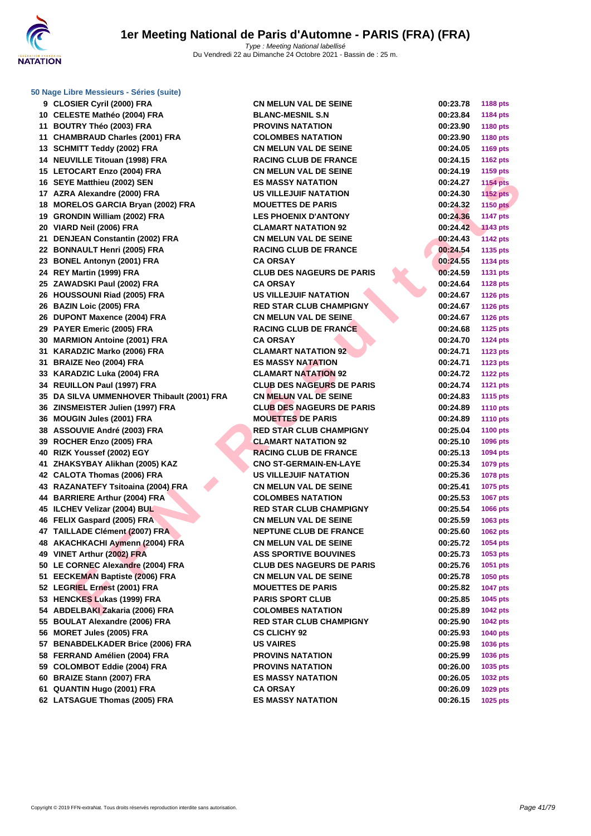

| 9 CLOSIER Cyril (2000) FRA                 | <b>CN MELUN VAL DE SEINE</b>     | 00:23.78 | <b>1188 pts</b> |
|--------------------------------------------|----------------------------------|----------|-----------------|
| 10 CELESTE Mathéo (2004) FRA               | <b>BLANC-MESNIL S.N</b>          | 00:23.84 | <b>1184 pts</b> |
| 11 BOUTRY Théo (2003) FRA                  | <b>PROVINS NATATION</b>          | 00:23.90 | 1180 pts        |
| 11 CHAMBRAUD Charles (2001) FRA            | <b>COLOMBES NATATION</b>         | 00:23.90 | 1180 pts        |
| 13 SCHMITT Teddy (2002) FRA                | <b>CN MELUN VAL DE SEINE</b>     | 00:24.05 | <b>1169 pts</b> |
| 14 NEUVILLE Titouan (1998) FRA             | <b>RACING CLUB DE FRANCE</b>     | 00:24.15 | <b>1162 pts</b> |
| 15 LETOCART Enzo (2004) FRA                | <b>CN MELUN VAL DE SEINE</b>     | 00:24.19 | 1159 pts        |
| 16 SEYE Matthieu (2002) SEN                | <b>ES MASSY NATATION</b>         | 00:24.27 | <b>1154 pts</b> |
| 17 AZRA Alexandre (2000) FRA               | <b>US VILLEJUIF NATATION</b>     | 00:24.30 | <b>1152 pts</b> |
| 18 MORELOS GARCIA Bryan (2002) FRA         | <b>MOUETTES DE PARIS</b>         | 00:24.32 | <b>1150 pts</b> |
| 19 GRONDIN William (2002) FRA              | <b>LES PHOENIX D'ANTONY</b>      | 00:24.36 | <b>1147 pts</b> |
| 20 VIARD Neil (2006) FRA                   | <b>CLAMART NATATION 92</b>       | 00:24.42 | <b>1143 pts</b> |
| 21 DENJEAN Constantin (2002) FRA           | <b>CN MELUN VAL DE SEINE</b>     | 00:24.43 | <b>1142 pts</b> |
| 22 BONNAULT Henri (2005) FRA               | <b>RACING CLUB DE FRANCE</b>     | 00:24.54 | 1135 pts        |
| 23 BONEL Antonyn (2001) FRA                | <b>CA ORSAY</b>                  | 00:24.55 | <b>1134 pts</b> |
| 24 REY Martin (1999) FRA                   | <b>CLUB DES NAGEURS DE PARIS</b> | 00:24.59 | <b>1131 pts</b> |
| 25 ZAWADSKI Paul (2002) FRA                | <b>CA ORSAY</b>                  | 00:24.64 | <b>1128 pts</b> |
| 26 HOUSSOUNI Riad (2005) FRA               | US VILLEJUIF NATATION            | 00:24.67 | <b>1126 pts</b> |
| 26 BAZIN Loic (2005) FRA                   | <b>RED STAR CLUB CHAMPIGNY</b>   | 00:24.67 | <b>1126 pts</b> |
| 26 DUPONT Maxence (2004) FRA               | <b>CN MELUN VAL DE SEINE</b>     | 00:24.67 | <b>1126 pts</b> |
| 29 PAYER Emeric (2005) FRA                 | <b>RACING CLUB DE FRANCE</b>     | 00:24.68 | 1125 pts        |
| 30 MARMION Antoine (2001) FRA              | <b>CA ORSAY</b>                  | 00:24.70 | <b>1124 pts</b> |
| 31 KARADZIC Marko (2006) FRA               | <b>CLAMART NATATION 92</b>       | 00:24.71 | <b>1123 pts</b> |
| 31 BRAIZE Neo (2004) FRA                   | <b>ES MASSY NATATION</b>         | 00:24.71 | <b>1123 pts</b> |
| 33 KARADZIC Luka (2004) FRA                | <b>CLAMART NATATION 92</b>       | 00:24.72 | <b>1122 pts</b> |
| 34 REUILLON Paul (1997) FRA                | <b>CLUB DES NAGEURS DE PARIS</b> | 00:24.74 | <b>1121 pts</b> |
| 35 DA SILVA UMMENHOVER Thibault (2001) FRA | <b>CN MELUN VAL DE SEINE</b>     | 00:24.83 | <b>1115 pts</b> |
| 36 ZINSMEISTER Julien (1997) FRA           | <b>CLUB DES NAGEURS DE PARIS</b> | 00:24.89 | <b>1110 pts</b> |
| 36 MOUGIN Jules (2001) FRA                 | <b>MOUETTES DE PARIS</b>         | 00:24.89 | <b>1110 pts</b> |
| 38 ASSOUVIE André (2003) FRA               | <b>RED STAR CLUB CHAMPIGNY</b>   | 00:25.04 | <b>1100 pts</b> |
| 39 ROCHER Enzo (2005) FRA                  | <b>CLAMART NATATION 92</b>       | 00:25.10 | 1096 pts        |
| 40 RIZK Youssef (2002) EGY                 | <b>RACING CLUB DE FRANCE</b>     | 00:25.13 | 1094 pts        |
| 41 ZHAKSYBAY Alikhan (2005) KAZ            | <b>CNO ST-GERMAIN-EN-LAYE</b>    | 00:25.34 | 1079 pts        |
| 42 CALOTA Thomas (2006) FRA                | <b>US VILLEJUIF NATATION</b>     | 00:25.36 | 1078 pts        |
| 43 RAZANATEFY Tsitoaina (2004) FRA         | <b>CN MELUN VAL DE SEINE</b>     | 00:25.41 | 1075 pts        |
| 44 BARRIERE Arthur (2004) FRA              | <b>COLOMBES NATATION</b>         | 00:25.53 | <b>1067 pts</b> |
| 45 ILCHEV Velizar (2004) BUL               | <b>RED STAR CLUB CHAMPIGNY</b>   | 00:25.54 | 1066 pts        |
| 46 FELIX Gaspard (2005) FRA                | <b>CN MELUN VAL DE SEINE</b>     | 00:25.59 | 1063 pts        |
| 47 TAILLADE Clément (2007) FRA             | <b>NEPTUNE CLUB DE FRANCE</b>    | 00:25.60 | 1062 pts        |
| 48 AKACHKACHI Aymenn (2004) FRA            | <b>CN MELUN VAL DE SEINE</b>     | 00:25.72 | <b>1054 pts</b> |
| 49 VINET Arthur (2002) FRA                 | <b>ASS SPORTIVE BOUVINES</b>     | 00:25.73 | 1053 pts        |
| 50 LE CORNEC Alexandre (2004) FRA          | <b>CLUB DES NAGEURS DE PARIS</b> | 00:25.76 | 1051 pts        |
| 51 EECKEMAN Baptiste (2006) FRA            | <b>CN MELUN VAL DE SEINE</b>     | 00:25.78 | <b>1050 pts</b> |
| 52 LEGRIEL Ernest (2001) FRA               | <b>MOUETTES DE PARIS</b>         | 00:25.82 | <b>1047 pts</b> |
| 53 HENCKES Lukas (1999) FRA                | <b>PARIS SPORT CLUB</b>          | 00:25.85 | 1045 pts        |
| 54 ABDELBAKI Zakaria (2006) FRA            | <b>COLOMBES NATATION</b>         | 00:25.89 | <b>1042 pts</b> |
| 55 BOULAT Alexandre (2006) FRA             | <b>RED STAR CLUB CHAMPIGNY</b>   | 00:25.90 | <b>1042 pts</b> |
| 56 MORET Jules (2005) FRA                  | <b>CS CLICHY 92</b>              | 00:25.93 | 1040 pts        |
| 57 BENABDELKADER Brice (2006) FRA          | <b>US VAIRES</b>                 | 00:25.98 | 1036 pts        |
| 58 FERRAND Amélien (2004) FRA              | <b>PROVINS NATATION</b>          | 00:25.99 | 1036 pts        |
| 59 COLOMBOT Eddie (2004) FRA               | <b>PROVINS NATATION</b>          | 00:26.00 | 1035 pts        |
| 60 BRAIZE Stann (2007) FRA                 | <b>ES MASSY NATATION</b>         | 00:26.05 | 1032 pts        |
| 61 QUANTIN Hugo (2001) FRA                 | CA ORSAY                         | 00:26.09 | 1029 pts        |
|                                            |                                  |          |                 |

| 00:23.78 | 1188 pts        |
|----------|-----------------|
| 00:23.84 | 1184 pts        |
| 00:23.90 | 1180 pts        |
| 00:23.90 | <b>1180 pts</b> |
| 00:24.05 | 1169 pts        |
| 00:24.15 | 1162 pts        |
| 00:24.19 | 1159 pts        |
| 00:24.27 |                 |
|          | <b>1154 pts</b> |
| 00:24.30 | 1152 pts        |
| 00:24.32 | 1150 pts        |
| 00:24.36 | 1147 pts        |
| 00:24.42 | <b>1143 pts</b> |
| 00:24.43 | <b>1142 pts</b> |
| 00:24.54 | 1135 pts        |
| 00:24.55 | 1134 pts        |
| 00:24.59 | 1131 pts        |
| 00:24.64 | <b>1128 pts</b> |
| 00:24.67 | 1126 pts        |
| 00:24.67 | <b>1126 pts</b> |
| 00:24.67 | 1126 pts        |
| 00:24.68 | 1125 pts        |
| 00:24.70 | 1124 pts        |
| 00:24.71 | 1123 pts        |
|          |                 |
| 00:24.71 | 1123 pts        |
| 00:24.72 | <b>1122 pts</b> |
| 00:24.74 | 1121 pts        |
| 00:24.83 | 1115 pts        |
| 00:24.89 | 1110 pts        |
| 00:24.89 | 1110 pts        |
| 00:25.04 | 1100 pts        |
| 00:25.10 | 1096 pts        |
| 00:25.13 | 1094 pts        |
| 00:25.34 | 1079 pts        |
| 00:25.36 | 1078 pts        |
| 00:25.41 | 1075 pts        |
| 00:25.53 | 1067 pts        |
| 00:25.54 | 1066 pts        |
| 00:25.59 | 1063 pts        |
| 00:25.60 | 1062 pts        |
| 00:25.72 | 1054 pts        |
| 00:25.73 | 1053 pts        |
| 00:25.76 | 1051 pts        |
| 00:25.78 | 1050 pts        |
| 00:25.82 | <b>1047 pts</b> |
| 00:25.85 | 1045 pts        |
| 00:25.89 | 1042 pts        |
| 00:25.90 | 1042 pts        |
| 00:25.93 | 1040 pts        |
|          |                 |
| 00:25.98 | 1036 pts        |
| 00:25.99 | 1036 pts        |
| 00:26.00 | 1035 pts        |
| 00:26.05 | 1032 pts        |
| 00:26.09 | 1029 pts        |
| 00:26.15 | <b>1025 pts</b> |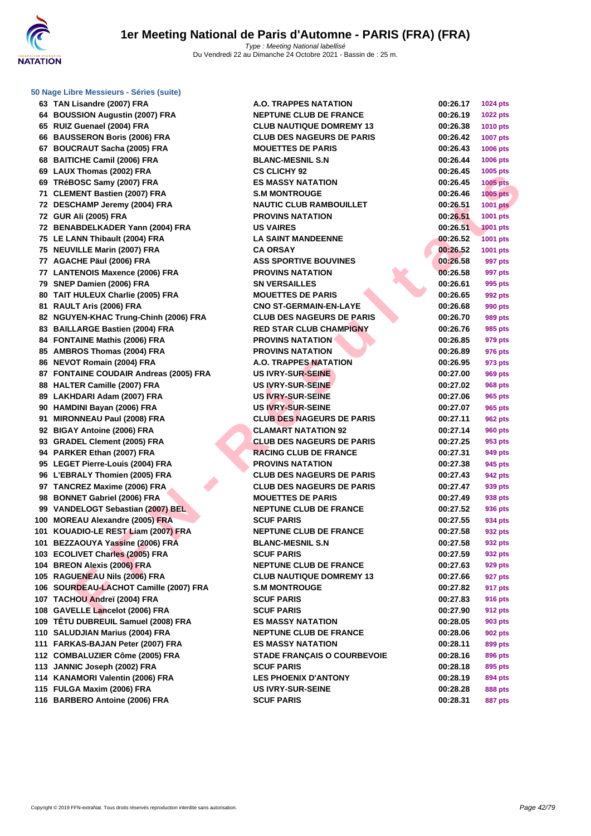

| 50 Nage Libre Messieurs - Séries (suite) |                                    |                      |                 |
|------------------------------------------|------------------------------------|----------------------|-----------------|
| 63 TAN Lisandre (2007) FRA               | <b>A.O. TRAPPES NATATION</b>       | 00:26.17             | 1024 pts        |
| 64 BOUSSION Augustin (2007) FRA          | <b>NEPTUNE CLUB DE FRANCE</b>      | 00:26.19             | 1022 pts        |
| 65 RUIZ Guenael (2004) FRA               | <b>CLUB NAUTIQUE DOMREMY 13</b>    | 00:26.38             | <b>1010 pts</b> |
| 66 BAUSSERON Boris (2006) FRA            | <b>CLUB DES NAGEURS DE PARIS</b>   | 00:26.42             | <b>1007 pts</b> |
| 67 BOUCRAUT Sacha (2005) FRA             | <b>MOUETTES DE PARIS</b>           | 00:26.43             | <b>1006 pts</b> |
| 68 BAITICHE Camil (2006) FRA             | <b>BLANC-MESNIL S.N</b>            | 00:26.44             | <b>1006 pts</b> |
| 69 LAUX Thomas (2002) FRA                | <b>CS CLICHY 92</b>                | 00:26.45             | 1005 pts        |
| 69 TRéBOSC Samy (2007) FRA               | <b>ES MASSY NATATION</b>           | 00:26.45             | <b>1005 pts</b> |
| 71 CLEMENT Bastien (2007) FRA            | <b>S.M MONTROUGE</b>               | 00:26.46             | <b>1005 pts</b> |
| 72 DESCHAMP Jeremy (2004) FRA            | <b>NAUTIC CLUB RAMBOUILLET</b>     | 00:26.51             | <b>1001 pts</b> |
| 72 GUR Ali (2005) FRA                    | <b>PROVINS NATATION</b>            | 00:26.51             | 1001 pts        |
| 72 BENABDELKADER Yann (2004) FRA         | <b>US VAIRES</b>                   | 00:26.51             | <b>1001 pts</b> |
| 75 LE LANN Thibault (2004) FRA           | <b>LA SAINT MANDEENNE</b>          | 00:26.52             | <b>1001 pts</b> |
| 75 NEUVILLE Marin (2007) FRA             | <b>CA ORSAY</b>                    | 00:26.52             | 1001 pts        |
| 77 AGACHE Päul (2006) FRA                | <b>ASS SPORTIVE BOUVINES</b>       | 00:26.58             | 997 pts         |
| 77 LANTENOIS Maxence (2006) FRA          | <b>PROVINS NATATION</b>            | 00:26.58             | 997 pts         |
| 79 SNEP Damien (2006) FRA                | <b>SN VERSAILLES</b>               | 00:26.61             | 995 pts         |
| 80 TAIT HULEUX Charlie (2005) FRA        | <b>MOUETTES DE PARIS</b>           | 00:26.65             | 992 pts         |
| 81 RAULT Aris (2006) FRA                 | <b>CNO ST-GERMAIN-EN-LAYE</b>      | 00:26.68             | 990 pts         |
| 82 NGUYEN-KHAC Trung-Chinh (2006) FRA    | <b>CLUB DES NAGEURS DE PARIS</b>   | 00:26.70             | 989 pts         |
| 83 BAILLARGE Bastien (2004) FRA          | <b>RED STAR CLUB CHAMPIGNY</b>     | 00:26.76             | 985 pts         |
| 84 FONTAINE Mathis (2006) FRA            | <b>PROVINS NATATION</b>            | 00:26.85             | 979 pts         |
| 85 AMBROS Thomas (2004) FRA              | <b>PROVINS NATATION</b>            | 00:26.89             | 976 pts         |
| 86 NEVOT Romain (2004) FRA               | <b>A.O. TRAPPES NATATION</b>       | 00:26.95             | 973 pts         |
| 87 FONTAINE COUDAIR Andreas (2005) FRA   | <b>US IVRY-SUR-SEINE</b>           | 00:27.00             | 969 pts         |
| 88 HALTER Camille (2007) FRA             | US IVRY-SUR-SEINE                  | 00:27.02             | 968 pts         |
| 89 LAKHDARI Adam (2007) FRA              | <b>US IVRY-SUR-SEINE</b>           | 00:27.06             | 965 pts         |
| 90 HAMDINI Bayan (2006) FRA              | <b>US IVRY-SUR-SEINE</b>           | 00:27.07             | 965 pts         |
| 91 MIRONNEAU Paul (2008) FRA             | <b>CLUB DES NAGEURS DE PARIS</b>   | 00:27.11             | 962 pts         |
| 92 BIGAY Antoine (2006) FRA              | <b>CLAMART NATATION 92</b>         | 00:27.14             | 960 pts         |
| 93 GRADEL Clement (2005) FRA             | <b>CLUB DES NAGEURS DE PARIS</b>   | 00:27.25             |                 |
| 94 PARKER Ethan (2007) FRA               | <b>RACING CLUB DE FRANCE</b>       | 00:27.31             | 953 pts         |
| 95 LEGET Pierre-Louis (2004) FRA         | <b>PROVINS NATATION</b>            |                      | 949 pts         |
| 96 L'EBRALY Thomien (2005) FRA           |                                    | 00:27.38<br>00:27.43 | 945 pts         |
|                                          | <b>CLUB DES NAGEURS DE PARIS</b>   |                      | 942 pts         |
| 97 TANCREZ Maxime (2006) FRA             | <b>CLUB DES NAGEURS DE PARIS</b>   | 00:27.47             | 939 pts         |
| 98 BONNET Gabriel (2006) FRA             | <b>MOUETTES DE PARIS</b>           | 00:27.49             | 938 pts         |
| 99 VANDELOGT Sebastian (2007) BEL        | <b>NEPTUNE CLUB DE FRANCE</b>      | 00:27.52             | 936 pts         |
| 100 MOREAU Alexandre (2005) FRA          | <b>SCUF PARIS</b>                  | 00:27.55             | 934 pts         |
| 101 KOUADIO-LE REST Liam (2007) FRA      | <b>NEPTUNE CLUB DE FRANCE</b>      | 00:27.58             | 932 pts         |
| 101 BEZZAOUYA Yassine (2006) FRA         | <b>BLANC-MESNIL S.N</b>            | 00:27.58             | 932 pts         |
| 103 ECOLIVET Charles (2005) FRA          | <b>SCUF PARIS</b>                  | 00:27.59             | 932 pts         |
| 104 BREON Alexis (2006) FRA              | <b>NEPTUNE CLUB DE FRANCE</b>      | 00:27.63             | 929 pts         |
| 105 RAGUENEAU Nils (2006) FRA            | <b>CLUB NAUTIQUE DOMREMY 13</b>    | 00:27.66             | 927 pts         |
| 106 SOURDEAU-LACHOT Camille (2007) FRA   | <b>S.M MONTROUGE</b>               | 00:27.82             | 917 pts         |
| 107 TACHOU Andreï (2004) FRA             | <b>SCUF PARIS</b>                  | 00:27.83             | 916 pts         |
| 108 GAVELLE Lancelot (2006) FRA          | <b>SCUF PARIS</b>                  | 00:27.90             | 912 pts         |
| 109 TÊTU DUBREUIL Samuel (2008) FRA      | <b>ES MASSY NATATION</b>           | 00:28.05             | 903 pts         |
| 110 SALUDJIAN Marius (2004) FRA          | <b>NEPTUNE CLUB DE FRANCE</b>      | 00:28.06             | 902 pts         |
| 111 FARKAS-BAJAN Peter (2007) FRA        | <b>ES MASSY NATATION</b>           | 00:28.11             | 899 pts         |
| 112 COMBALUZIER Côme (2005) FRA          | <b>STADE FRANÇAIS O COURBEVOIE</b> | 00:28.16             | 896 pts         |
| 113 JANNIC Joseph (2002) FRA             | <b>SCUF PARIS</b>                  | 00:28.18             | 895 pts         |
| 114 KANAMORI Valentin (2006) FRA         | <b>LES PHOENIX D'ANTONY</b>        | 00:28.19             | 894 pts         |
| 115 FULGA Maxim (2006) FRA               | <b>US IVRY-SUR-SEINE</b>           | 00:28.28             | 888 pts         |
| 116 BARBERO Antoine (2006) FRA           | <b>SCUF PARIS</b>                  | 00:28.31             | <b>887 pts</b>  |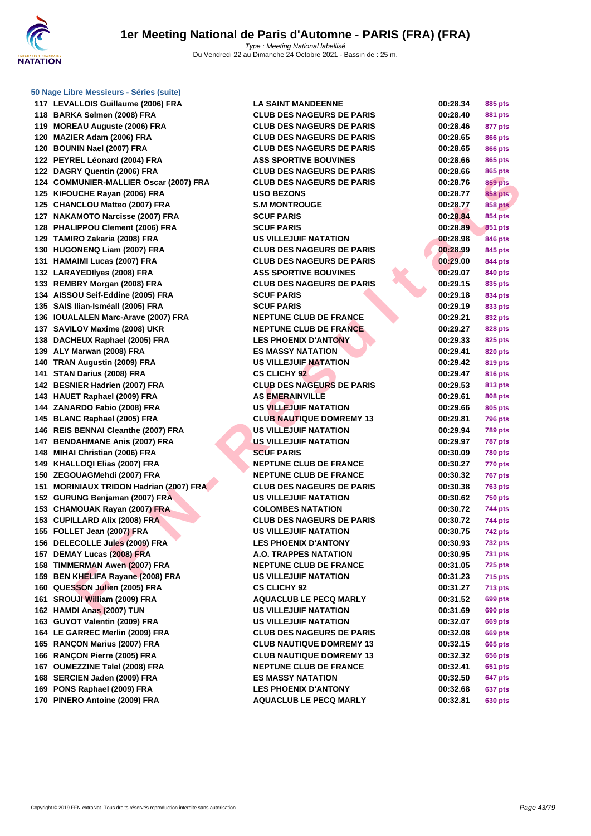

**F MUNIER ANALLES ORDER (2003) FRA - CLUB DE SPAGEURE DE PEAR (2004) TRANCIS ORDER ANALES ORDER ANALES ORDER ANALES (2007) FRA - SAVINGTION (2003) FRA - SAVINGTION COMPRES (2007) FRA - SAVINGTION COMPRES (2007) FRA - SAVIN 117 LEVALLOIS Guillaume (2006) FRA 118 BARKA Selmen (2008) FRA CLUB DES NAGEURS DE PARIS 00:28.40 881 pts 119 MOREAU Auguste (2006) FRA 120 MAZIER Adam (2006) FRA CLUB DES NAGEURS DE PARIS 00:28.65 866 pts 120 BOUNIN Nael (2007) FRA CLUB DES NAGEURS DE PARIS 00:28.65 866 pts 122 PEYREL Léonard (2004) FRA 122 DAGRY Quentin (2006) FRA 124 COMMUNIER-MALLIER Oscar (2007) FRA 125 KIFOUCHE Rayan (2006) FRA 125 CHANCLOU Matteo (2007) FRA 127 NAKAMOTO Narcisse (2007) FRA 128 PHALIPPOU Clement (2006) FRA 129 TAMIRO Zakaria (2008) FRA US VILLEJUIF NATATION 00:28.98 846 pts 130 HUGONENQ Liam (2007) FRA CLUB DES NAGEURS DE PARIS 00:28.99 845 pts 131 <b>HAMAIMI** Lucas (2007) FRA **132 LARAYEDIIves (2008) FRA 133 REMBRY Morgan (2008) FRA 134 AISSOU Seif-Eddine (2005) FRA 135 SAIS Ilian-Isméall (2005) FRA 136 <b>IOUALALEN Marc-Arave (2007)** FRA **137 SAVILOV Maxime (2008) UKR 138 DACHEUX Raphael (2005) FRA 139 ALY Marwan (2008) FRA 140 TRAN Augustin (2009) FRA US VILLEJUIF NATATION 00:29.42 819 pts 141 STAN Darius (2008) FRA 142 BESNIER Hadrien (2007) FRA CLUB DES NAGEURS DE PARIS 00:29.53 813 pts 143 <b>HAUET Raphael (2009) FRA 144 ZANARDO Fabio (2008) FRA US VILLEJUIF NATATION 00:29.66 805 pts 145 BLANC Raphael (2005) FRA CLUB NAUTIQUE DOMREMY 13 00:29.81 796 pts 146** REIS BENNAI Cleanthe (2007) FRA **147 BENDAHMANE Anis (2007) FRA 148 MIHAI Christian (2006) FRA 149 KHALLOQI Elias (2007) FRA 150 ZEGOUAGMehdi (2007) FRA 151 MORINIAUX TRIDON Hadrian (2007) FRA CLUB DES NAGEURS DE PARIS 00:30.38 763 pts 152 GURUNG Benjaman (2007) FRA 153 CHAMOUAK Rayan (2007) FRA 153 CUPILLARD Alix (2008) FRA CLUB DES NAGEURS DE PARIS 00:30.72 744 pts 155 FOLLET Jean (2007) FRA 156 DELECOLLE Jules (2009) FRA 157 DEMAY Lucas (2008) FRA 158 TIMMERMAN Awen (2007) FRA 159 BEN KHELIFA Rayane (2008) FRA 160 QUESSON Julien (2005) FRA 161 SROUJI William (2009) FRA 162 <b>HAMDI Anas (2007) TUN 163 GUYOT Valentin (2009) FRA US VILLEJUIF NATATION 00:32.07 669 pts 164 LE GARREC Merlin (2009) FRA 165 RANÇON Marius (2007) FRA CLUB NAUTIQUE DOMREMY 13 00:32.15 665 pts 166 RANCON Pierre (2005) FRA 167 OUMEZZINE Talel (2008) FRA 168 SERCIEN Jaden (2009) FRA 169 PONS Raphael (2009) FRA 170 PINERO Antoine (2009) FRA** 

| LA SAINT MANDEENNE               |
|----------------------------------|
| CLUB DES NAGEURS DE PARIS        |
| <b>CLUB DES NAGEURS DE PARIS</b> |
| CLUB DES NAGEURS DE PARIS        |
| <b>CLUB DES NAGEURS DE PARIS</b> |
| <b>ASS SPORTIVE BOUVINES</b>     |
| CLUB DES NAGEURS DE PARIS        |
| CLUB DES NAGEURS DE PARIS        |
| USO BEZONS                       |
| S.M MONTROUGE                    |
| <b>SCUF PARIS</b>                |
| <b>SCUF PARIS</b>                |
| US VILLEJUIF NATATION            |
| CLUB DES NAGEURS DE PARIS        |
| <b>CLUB DES NAGEURS DE PARIS</b> |
| <b>ASS SPORTIVE BOUVINES</b>     |
| CLUB DES NAGEURS DE PARIS        |
| <b>SCUF PARIS</b>                |
| <b>SCUF PARIS</b>                |
| <b>NEPTUNE CLUB DE FRANCE</b>    |
| <b>NEPTUNE CLUB DE FRANCE</b>    |
| <b>LES PHOENIX D'ANTONY</b>      |
| <b>ES MASSY NATATION</b>         |
| US VILLEJUIF NATATION            |
| <b>CS CLICHY 92</b>              |
|                                  |
| <b>CLUB DES NAGEURS DE PARIS</b> |
| AS EMERAINVILLE                  |
| US VILLEJUIF NATATION            |
| <b>CLUB NAUTIQUE DOMREMY 13</b>  |
| US VILLEJUIF NATATION            |
| US VILLEJUIF NATATION            |
| <b>SCUF PARIS</b>                |
| <b>NEPTUNE CLUB DE FRANCE</b>    |
| <b>NEPTUNE CLUB DE FRANCE</b>    |
| CLUB DES NAGEURS DE PARIS        |
| US VILLEJUIF NATATION            |
| <b>COLOMBES NATATION</b>         |
| CLUB DES NAGEURS DE PARIS        |
| US VILLEJUIF NATATION            |
| <b>LES PHOENIX D'ANTONY</b>      |
| <b>A.O. TRAPPES NATATION</b>     |
| <b>NEPTUNE CLUB DE FRANCE</b>    |
| US VILLEJUIF NATATION            |
| <b>CS CLICHY 92</b>              |
| <b>AQUACLUB LE PECQ MARLY</b>    |
| <b>US VILLEJUIF NATATION</b>     |
| US VILLEJUIF NATATION            |
| <b>CLUB DES NAGEURS DE PARIS</b> |
| <b>CLUB NAUTIQUE DOMREMY 13</b>  |
| <b>CLUB NAUTIQUE DOMREMY 13</b>  |
| <b>NEPTUNE CLUB DE FRANCE</b>    |
| <b>ES MASSY NATATION</b>         |
| <b>LES PHOENIX D'ANTONY</b>      |
| <b>AQUACLUB LE PECQ MARLY</b>    |
|                                  |

| 00:28.34 | 885 pts        |
|----------|----------------|
| 00:28.40 | 881 pts        |
| 00:28.46 | 877 pts        |
| 00:28.65 | <b>866 pts</b> |
| 00:28.65 | <b>866 pts</b> |
| 00:28.66 | 865 pts        |
| 00:28.66 | 865 pts        |
| 00:28.76 | <b>859 pts</b> |
| 00:28.77 | <b>858 pts</b> |
| 00:28.77 | <b>858 pts</b> |
| 00:28.84 | 854 pts        |
| 00:28.89 | 851 pts        |
| 00:28.98 | <b>846 pts</b> |
| 00:28.99 | 845 pts        |
| 00:29.00 | 844 pts        |
| 00:29.07 | 840 pts        |
| 00:29.15 | 835 pts        |
| 00:29.18 | 834 pts        |
| 00:29.19 | 833 pts        |
| 00:29.21 | 832 pts        |
| 00:29.27 | 828 pts        |
| 00:29.33 | 825 pts        |
| 00:29.41 | 820 pts        |
| 00:29.42 | <b>819 pts</b> |
| 00:29.47 | <b>816 pts</b> |
| 00:29.53 | 813 pts        |
| 00:29.61 | 808 pts        |
| 00:29.66 | 805 pts        |
| 00:29.81 | 796<br>pts     |
| 00:29.94 | 789<br>pts     |
| 00:29.97 | 787 pts        |
| 00:30.09 | <b>780 pts</b> |
| 00:30.27 | <b>770 pts</b> |
| 00:30.32 | 767 pts        |
| 00:30.38 | <b>763 pts</b> |
| 00:30.62 | <b>750 pts</b> |
| 00:30.72 | 744 pts        |
| 00:30.72 | 744 pts        |
| 00:30.75 | 742 pts        |
| 00:30.93 | 732 pts        |
| 00:30.95 | 731 pts        |
| 00:31.05 | <b>725 pts</b> |
| 00:31.23 | 715 pts        |
| 00:31.27 | 713 pts        |
| 00:31.52 | 699 pts        |
| 00:31.69 | 690 pts        |
| 00:32.07 | <b>669 pts</b> |
| 00:32.08 | 669 pts        |
| 00:32.15 | 665 pts        |
| 00:32.32 | 656 pts        |
| 00:32.41 | 651 pts        |
| 00:32.50 | 647 pts        |
| 00:32.68 | 637 pts        |
| 00:32.81 | 630 pts        |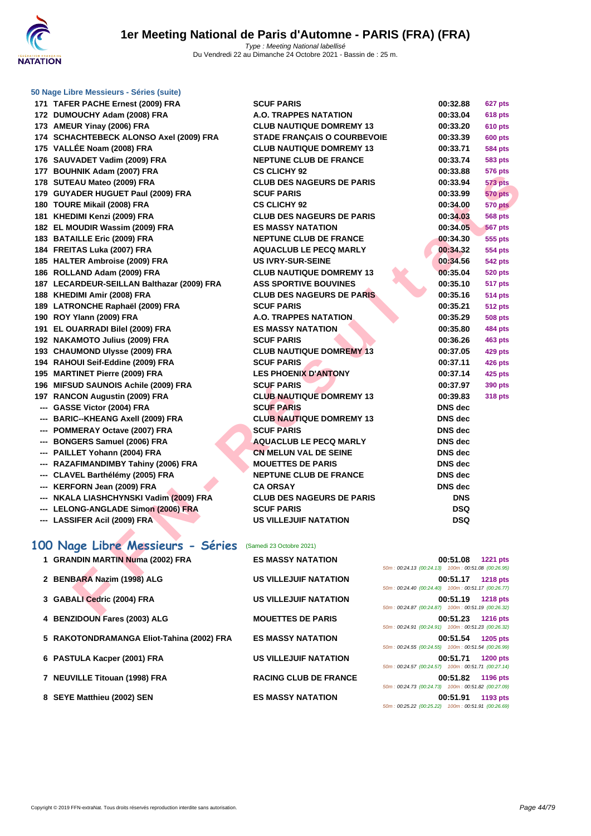

| 171 TAFER PACHE Ernest (2009) FRA                          | <b>SCUF PARIS</b>                  | 00:32.88                                                       | 627 pts         |
|------------------------------------------------------------|------------------------------------|----------------------------------------------------------------|-----------------|
| 172 DUMOUCHY Adam (2008) FRA                               | <b>A.O. TRAPPES NATATION</b>       | 00:33.04                                                       | <b>618 pts</b>  |
| 173 AMEUR Yinay (2006) FRA                                 | <b>CLUB NAUTIQUE DOMREMY 13</b>    | 00:33.20                                                       | <b>610 pts</b>  |
| 174 SCHACHTEBECK ALONSO Axel (2009) FRA                    | <b>STADE FRANÇAIS O COURBEVOIE</b> | 00:33.39                                                       | <b>600 pts</b>  |
| 175 VALLÉE Noam (2008) FRA                                 | <b>CLUB NAUTIQUE DOMREMY 13</b>    | 00:33.71                                                       | 584 pts         |
| 176 SAUVADET Vadim (2009) FRA                              | <b>NEPTUNE CLUB DE FRANCE</b>      | 00:33.74                                                       | <b>583 pts</b>  |
| 177 BOUHNIK Adam (2007) FRA                                | <b>CS CLICHY 92</b>                | 00:33.88                                                       | 576 pts         |
| 178 SUTEAU Mateo (2009) FRA                                | <b>CLUB DES NAGEURS DE PARIS</b>   | 00:33.94                                                       | 573 pts         |
| 179 GUYADER HUGUET Paul (2009) FRA                         | <b>SCUF PARIS</b>                  | 00:33.99                                                       | <b>570 pts</b>  |
| 180 TOURE Mikail (2008) FRA                                | <b>CS CLICHY 92</b>                | 00:34.00                                                       | <b>570 pts</b>  |
| 181 KHEDIMI Kenzi (2009) FRA                               | <b>CLUB DES NAGEURS DE PARIS</b>   | 00:34.03                                                       | 568 pts         |
| 182 EL MOUDIR Wassim (2009) FRA                            | <b>ES MASSY NATATION</b>           | 00:34.05                                                       | <b>567 pts</b>  |
| 183 BATAILLE Eric (2009) FRA                               | <b>NEPTUNE CLUB DE FRANCE</b>      | 00:34.30                                                       | 555 pts         |
| 184 FREITAS Luka (2007) FRA                                | <b>AQUACLUB LE PECQ MARLY</b>      | 00:34.32                                                       | <b>554 pts</b>  |
| 185 HALTER Ambroise (2009) FRA                             | <b>US IVRY-SUR-SEINE</b>           | 00:34.56                                                       | <b>542 pts</b>  |
| 186 ROLLAND Adam (2009) FRA                                | <b>CLUB NAUTIQUE DOMREMY 13</b>    | 00:35.04                                                       | <b>520 pts</b>  |
| 187 LECARDEUR-SEILLAN Balthazar (2009) FRA                 | <b>ASS SPORTIVE BOUVINES</b>       | 00:35.10                                                       | 517 pts         |
| 188 KHEDIMI Amir (2008) FRA                                | <b>CLUB DES NAGEURS DE PARIS</b>   | 00:35.16                                                       | <b>514 pts</b>  |
| 189 LATRONCHE Raphaël (2009) FRA                           | <b>SCUF PARIS</b>                  | 00:35.21                                                       | <b>512 pts</b>  |
| 190 ROY Ylann (2009) FRA                                   | A.O. TRAPPES NATATION              | 00:35.29                                                       | <b>508 pts</b>  |
| 191 EL OUARRADI Bilel (2009) FRA                           | <b>ES MASSY NATATION</b>           | 00:35.80                                                       | <b>484 pts</b>  |
| 192 NAKAMOTO Julius (2009) FRA                             | <b>SCUF PARIS</b>                  | 00:36.26                                                       | 463 pts         |
| 193 CHAUMOND Ulysse (2009) FRA                             | <b>CLUB NAUTIQUE DOMREMY 13</b>    | 00:37.05                                                       | 429 pts         |
| 194 RAHOUI Seif-Eddine (2009) FRA                          | <b>SCUF PARIS</b>                  | 00:37.11                                                       | <b>426 pts</b>  |
| 195 MARTINET Pierre (2009) FRA                             | <b>LES PHOENIX D'ANTONY</b>        | 00:37.14                                                       | <b>425 pts</b>  |
| 196 MIFSUD SAUNOIS Achile (2009) FRA                       | <b>SCUF PARIS</b>                  | 00:37.97                                                       | 390 pts         |
| 197 RANCON Augustin (2009) FRA                             | <b>CLUB NAUTIQUE DOMREMY 13</b>    | 00:39.83                                                       | <b>318 pts</b>  |
| --- GASSE Victor (2004) FRA                                | <b>SCUF PARIS</b>                  | <b>DNS</b> dec                                                 |                 |
| --- BARIC--KHEANG Axell (2009) FRA                         | <b>CLUB NAUTIQUE DOMREMY 13</b>    | <b>DNS</b> dec                                                 |                 |
| --- POMMERAY Octave (2007) FRA                             | <b>SCUF PARIS</b>                  | <b>DNS</b> dec                                                 |                 |
| --- BONGERS Samuel (2006) FRA                              | <b>AQUACLUB LE PECQ MARLY</b>      | <b>DNS</b> dec                                                 |                 |
| --- PAILLET Yohann (2004) FRA                              | <b>CN MELUN VAL DE SEINE</b>       | <b>DNS</b> dec                                                 |                 |
| --- RAZAFIMANDIMBY Tahiny (2006) FRA                       | <b>MOUETTES DE PARIS</b>           | <b>DNS</b> dec                                                 |                 |
| --- CLAVEL Barthélémy (2005) FRA                           | <b>NEPTUNE CLUB DE FRANCE</b>      | <b>DNS</b> dec                                                 |                 |
| --- KERFORN Jean (2009) FRA                                | <b>CA ORSAY</b>                    | <b>DNS</b> dec                                                 |                 |
| --- NKALA LIASHCHYNSKI Vadim (2009) FRA                    | <b>CLUB DES NAGEURS DE PARIS</b>   | <b>DNS</b>                                                     |                 |
| --- LELONG-ANGLADE Simon (2006) FRA                        | <b>SCUF PARIS</b>                  | <b>DSQ</b>                                                     |                 |
| --- LASSIFER Acil (2009) FRA                               | <b>US VILLEJUIF NATATION</b>       | <b>DSQ</b>                                                     |                 |
|                                                            |                                    |                                                                |                 |
| 100 Nage Libre Messieurs - Séries (Samedi 23 Octobre 2021) |                                    |                                                                |                 |
| 1 GRANDIN MARTIN Numa (2002) FRA                           | <b>ES MASSY NATATION</b>           | 00:51.08<br>50m: 00:24.13 (00:24.13) 100m: 00:51.08 (00:26.95) | <b>1221 pts</b> |
| 2 BENBARA Nazim (1998) ALG                                 | <b>US VILLEJUIF NATATION</b>       | 00:51.17<br>50m: 00:24.40 (00:24.40) 100m: 00:51.17 (00:26.77) | <b>1218 pts</b> |
| 3 GABALI Cedric (2004) FRA                                 | <b>US VILLEJUIF NATATION</b>       | 00:51.19<br>50m: 00:24.87 (00:24.87) 100m: 00:51.19 (00:26.32) | <b>1218 pts</b> |
|                                                            |                                    |                                                                |                 |

# **100 Nage Libre Messieurs - Séries** (Samedi 23 Octobre 2021)

| 1 GRANDIN MARTIN Numa (2002) FRA          | <b>ES MASSY NATATION</b>     | 00:51.08<br><b>1221 pts</b>                        |
|-------------------------------------------|------------------------------|----------------------------------------------------|
|                                           |                              | 50m: 00:24.13 (00:24.13) 100m: 00:51.08 (00:26.95) |
| 2 BENBARA Nazim (1998) ALG                | <b>US VILLEJUIF NATATION</b> | 00:51.17<br><b>1218 pts</b>                        |
|                                           |                              | 50m: 00:24.40 (00:24.40) 100m: 00:51.17 (00:26.77) |
| 3 GABALI Cedric (2004) FRA                | <b>US VILLEJUIF NATATION</b> | 00:51.19<br><b>1218 pts</b>                        |
|                                           |                              | 50m: 00:24.87 (00:24.87) 100m: 00:51.19 (00:26.32) |
| 4 BENZIDOUN Fares (2003) ALG              | <b>MOUETTES DE PARIS</b>     | 00:51.23<br><b>1216 pts</b>                        |
|                                           |                              | 50m: 00:24.91 (00:24.91) 100m: 00:51.23 (00:26.32) |
| 5 RAKOTONDRAMANGA Eliot-Tahina (2002) FRA | <b>ES MASSY NATATION</b>     | 00:51.54<br><b>1205 pts</b>                        |
|                                           |                              | 50m: 00:24.55 (00:24.55) 100m: 00:51.54 (00:26.99) |
| 6 PASTULA Kacper (2001) FRA               | <b>US VILLEJUIF NATATION</b> | 00:51.71<br><b>1200 pts</b>                        |
|                                           |                              | 50m: 00:24.57 (00:24.57) 100m: 00:51.71 (00:27.14) |
| 7 NEUVILLE Titouan (1998) FRA             | <b>RACING CLUB DE FRANCE</b> | 00:51.82<br>1196 pts                               |
|                                           |                              | 50m: 00:24.73 (00:24.73) 100m: 00:51.82 (00:27.09) |
| 8 SEYE Matthieu (2002) SEN                | <b>ES MASSY NATATION</b>     | 00:51.91<br>1193 pts                               |
|                                           |                              | 50m: 00:25.22 (00:25.22) 100m: 00:51.91 (00:26.69) |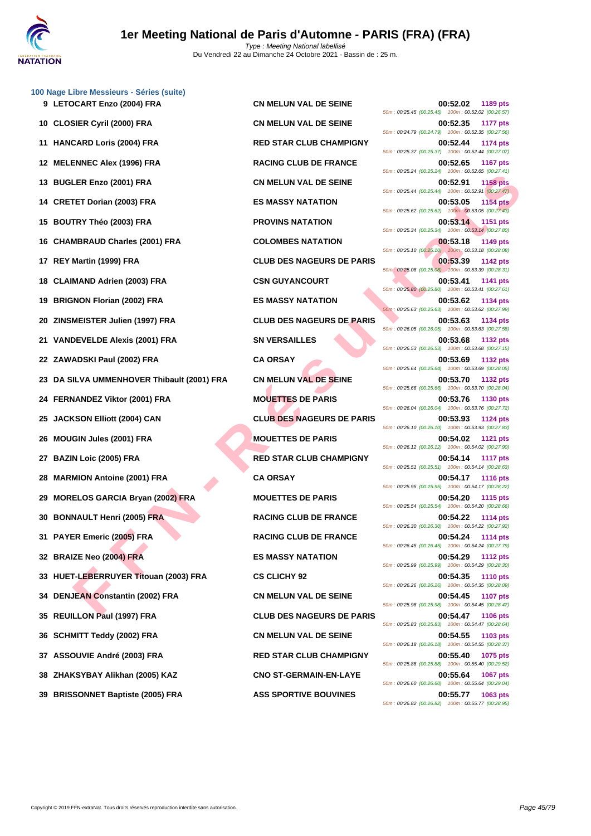

|     | 100 Nage Libre Messieurs - Séries (suite) |                                  |                                                                                   |
|-----|-------------------------------------------|----------------------------------|-----------------------------------------------------------------------------------|
|     | 9 LETOCART Enzo (2004) FRA                | <b>CN MELUN VAL DE SEINE</b>     | 00:52.02<br>1189 pts<br>50m: 00:25.45 (00:25.45) 100m: 00:52.02 (00:26.57)        |
|     | 10 CLOSIER Cyril (2000) FRA               | <b>CN MELUN VAL DE SEINE</b>     | 00:52.35<br><b>1177 pts</b><br>50m: 00:24.79 (00:24.79) 100m: 00:52.35 (00:27.56) |
| 11  | <b>HANCARD Loris (2004) FRA</b>           | <b>RED STAR CLUB CHAMPIGNY</b>   | 00:52.44<br><b>1174 pts</b><br>50m: 00:25.37 (00:25.37) 100m: 00:52.44 (00:27.07) |
|     | 12 MELENNEC Alex (1996) FRA               | <b>RACING CLUB DE FRANCE</b>     | 00:52.65<br><b>1167 pts</b><br>50m: 00:25.24 (00:25.24) 100m: 00:52.65 (00:27.41) |
| 13  | <b>BUGLER Enzo (2001) FRA</b>             | <b>CN MELUN VAL DE SEINE</b>     | 00:52.91<br><b>1158 pts</b><br>50m: 00:25.44 (00:25.44) 100m: 00:52.91 (00:27.47) |
|     | 14 CRETET Dorian (2003) FRA               | <b>ES MASSY NATATION</b>         | 00:53.05<br><b>1154 pts</b><br>50m: 00:25.62 (00:25.62) 100m: 00:53.05 (00:27.43) |
| 15  | <b>BOUTRY Théo (2003) FRA</b>             | <b>PROVINS NATATION</b>          | 00:53.14<br><b>1151 pts</b><br>50m: 00:25.34 (00:25.34) 100m: 00:53.14 (00:27.80) |
| 16  | <b>CHAMBRAUD Charles (2001) FRA</b>       | <b>COLOMBES NATATION</b>         | 00:53.18<br>1149 pts<br>50m: 00:25.10 (00:25.10) 100m: 00:53.18 (00:28.08)        |
| 17  | REY Martin (1999) FRA                     | <b>CLUB DES NAGEURS DE PARIS</b> | 00:53.39<br><b>1142 pts</b><br>50m: 00:25.08 (00:25.08) 100m: 00:53.39 (00:28.31) |
| 18  | <b>CLAIMAND Adrien (2003) FRA</b>         | <b>CSN GUYANCOURT</b>            | 00:53.41<br>1141 pts<br>50m: 00:25.80 (00:25.80) 100m: 00:53.41 (00:27.61)        |
| 19  | <b>BRIGNON Florian (2002) FRA</b>         | <b>ES MASSY NATATION</b>         | 00:53.62<br>1134 pts<br>50m: 00:25.63 (00:25.63) 100m: 00:53.62 (00:27.99)        |
| 20  | ZINSMEISTER Julien (1997) FRA             | <b>CLUB DES NAGEURS DE PARIS</b> | 00:53.63<br>1134 pts<br>50m: 00:26.05 (00:26.05) 100m: 00:53.63 (00:27.58)        |
| 21  | VANDEVELDE Alexis (2001) FRA              | <b>SN VERSAILLES</b>             | 00:53.68<br><b>1132 pts</b><br>50m: 00:26.53 (00:26.53) 100m: 00:53.68 (00:27.15) |
|     | 22 ZAWADSKI Paul (2002) FRA               | <b>CA ORSAY</b>                  | 00:53.69<br><b>1132 pts</b>                                                       |
| 23  | DA SILVA UMMENHOVER Thibault (2001) FRA   | <b>CN MELUN VAL DE SEINE</b>     | 50m: 00:25.64 (00:25.64) 100m: 00:53.69 (00:28.05)<br>00:53.70<br>1132 pts        |
| 24. | <b>FERNANDEZ Viktor (2001) FRA</b>        | <b>MOUETTES DE PARIS</b>         | 50m: 00:25.66 (00:25.66) 100m: 00:53.70 (00:28.04)<br>00:53.76<br>1130 pts        |
| 25  | <b>JACKSON Elliott (2004) CAN</b>         | <b>CLUB DES NAGEURS DE PARIS</b> | 50m: 00:26.04 (00:26.04) 100m: 00:53.76 (00:27.72)<br>00:53.93<br>1124 pts        |
| 26  | <b>MOUGIN Jules (2001) FRA</b>            | <b>MOUETTES DE PARIS</b>         | 50m: 00:26.10 (00:26.10) 100m: 00:53.93 (00:27.83)<br>00:54.02<br><b>1121 pts</b> |
| 27  | <b>BAZIN Loic (2005) FRA</b>              | <b>RED STAR CLUB CHAMPIGNY</b>   | 50m: 00:26.12 (00:26.12) 100m: 00:54.02 (00:27.90)<br>00:54.14<br><b>1117 pts</b> |
| 28  | <b>MARMION Antoine (2001) FRA</b>         | <b>CA ORSAY</b>                  | 50m: 00:25.51 (00:25.51) 100m: 00:54.14 (00:28.63)<br>00:54.17<br><b>1116 pts</b> |
| 29  | <b>MORELOS GARCIA Bryan (2002) FRA</b>    | <b>MOUETTES DE PARIS</b>         | 50m: 00:25.95 (00:25.95) 100m: 00:54.17 (00:28.22)<br>00:54.20<br><b>1115 pts</b> |
|     | 30 BONNAULT Henri (2005) FRA              | <b>RACING CLUB DE FRANCE</b>     | 50m: 00:25.54 (00:25.54) 100m: 00:54.20 (00:28.66)<br>00:54.22<br><b>1114 pts</b> |
|     | 31 PAYER Emeric (2005) FRA                | <b>RACING CLUB DE FRANCE</b>     | 50m: 00:26.30 (00:26.30) 100m: 00:54.22 (00:27.92)<br>00:54.24<br><b>1114 pts</b> |
|     | 32 BRAIZE Neo (2004) FRA                  | <b>ES MASSY NATATION</b>         | 50m: 00:26.45 (00:26.45) 100m: 00:54.24 (00:27.79)<br>00:54.29<br><b>1112 pts</b> |
|     | 33 HUET-LEBERRUYER Titouan (2003) FRA     | <b>CS CLICHY 92</b>              | 50m: 00:25.99 (00:25.99) 100m: 00:54.29 (00:28.30)<br>00:54.35<br><b>1110 pts</b> |
| 34  | <b>DENJEAN Constantin (2002) FRA</b>      | <b>CN MELUN VAL DE SEINE</b>     | 50m: 00:26.26 (00:26.26) 100m: 00:54.35 (00:28.09)<br>00:54.45<br><b>1107 pts</b> |
| 35  | <b>REUILLON Paul (1997) FRA</b>           | <b>CLUB DES NAGEURS DE PARIS</b> | 50m: 00:25.98 (00:25.98) 100m: 00:54.45 (00:28.47)<br>00:54.47<br><b>1106 pts</b> |
| 36  | SCHMITT Teddy (2002) FRA                  | <b>CN MELUN VAL DE SEINE</b>     | 50m: 00:25.83 (00:25.83) 100m: 00:54.47 (00:28.64)<br>00:54.55<br>1103 pts        |
| 37  | ASSOUVIE André (2003) FRA                 | <b>RED STAR CLUB CHAMPIGNY</b>   | 50m: 00:26.18 (00:26.18) 100m: 00:54.55 (00:28.37)<br>00:55.40<br>1075 pts        |
|     |                                           |                                  | 50m: 00:25.88 (00:25.88) 100m: 00:55.40 (00:29.52)                                |
|     | 38 ZHAKSYBAY Alikhan (2005) KAZ           | <b>CNO ST-GERMAIN-EN-LAYE</b>    | 00:55.64<br><b>1067 pts</b><br>50m: 00:26.60 (00:26.60) 100m: 00:55.64 (00:29.04) |
|     | 39 BRISSONNET Baptiste (2005) FRA         | <b>ASS SPORTIVE BOUVINES</b>     | 00:55.77<br>1063 pts                                                              |

|                                                    | 00:52.02 | <b>1189 pts</b>                                                       |
|----------------------------------------------------|----------|-----------------------------------------------------------------------|
| 50m: 00:25.45 (00:25.45)                           |          | 100m: 00:52.02 (00:26.57)                                             |
| 50m: 00:24.79 (00:24.79)                           | 00:52.35 | <b>1177 pts</b><br>100m: 00:52.35 (00:27.56)                          |
| 50m: 00:25.37 (00:25.37)                           | 00:52.44 | 1174 pts<br>100m: 00:52.44 (00:27.07)                                 |
| 50m: 00:25.24 (00:25.24)                           | 00:52.65 | 1167 pts<br>100m: 00:52.65 (00:27.41)                                 |
|                                                    | 00:52.91 | <b>1158 pts</b>                                                       |
| 50m: 00:25.44 (00:25.44)                           | 00:53.05 | 100m: 00:52.91 (00:27.47)<br><b>1154 pts</b>                          |
| 50m: 00:25.62 (00:25.62)                           | 00:53.14 | 100m: 00:53.05 (00:27.43)<br>1151 pts                                 |
| 50m: 00:25.34 (00:25.34)                           |          | 100m: 00:53.14 (00:27.80)                                             |
| 50m: 00:25.10 (00:25.10)                           | 00:53.18 | 1149 pts<br>100m: 00:53.18 (00:28.08)                                 |
| 50m: 00:25.08 (00:25.08) 100m: 00:53.39 (00:28.31) | 00:53.39 | 1142 pts                                                              |
| 50m: 00:25.80 (00:25.80)                           | 00:53.41 | 1141 pts<br>100m: 00:53.41 (00:27.61)                                 |
|                                                    | 00:53.62 | 1134 pts                                                              |
| 50m: 00:25.63 (00:25.63)                           | 00:53.63 | 100m: 00:53.62 (00:27.99)<br>1134 pts                                 |
| 50m: 00:26.05 (00:26.05)                           | 00:53.68 | 100m: 00:53.63 (00:27.58)                                             |
| 50m: 00:26.53 (00:26.53)                           |          | 1132 pts<br>100m: 00:53.68 (00:27.15)                                 |
| 50m: 00:25.64 (00:25.64)                           | 00:53.69 | 1132 pts<br>100m: 00:53.69 (00:28.05)                                 |
| 50m: 00:25.66 (00:25.66)                           | 00:53.70 | 1132 pts<br>100m: 00:53.70 (00:28.04)                                 |
| 50m: 00:26.04 (00:26.04)                           | 00:53.76 | 1130 pts                                                              |
|                                                    | 00:53.93 | 100m: 00:53.76 (00:27.72)<br>1124 pts                                 |
| 50m: 00:26.10 (00:26.10)                           | 00:54.02 | 100m: 00:53.93 (00:27.83)<br>1121 pts                                 |
| 50m: 00:26.12 (00:26.12)                           | 00:54.14 | 100m: 00:54.02 (00:27.90)                                             |
| 50m: 00:25.51 (00:25.51)                           |          | <b>1117 pts</b><br>100m: 00:54.14 (00:28.63)                          |
| 50m: 00:25.95 (00:25.95)                           | 00:54.17 | <b>1116 pts</b><br>100m: 00:54.17 (00:28.22)                          |
| 50m: 00:25.54 (00:25.54)                           | 00:54.20 | 1115 pts<br>100m: 00:54.20 (00:28.66)                                 |
| 50m: 00:26.30 (00:26.30)                           | 00:54.22 | 1114 pts                                                              |
|                                                    | 00:54.24 | 100m: 00:54.22 (00:27.92)<br><b>1114 pts</b>                          |
|                                                    | 00:54.29 | 50m: 00:26.45 (00:26.45) 100m: 00:54.24 (00:27.79)<br><b>1112 pts</b> |
| 50m: 00:25.99 (00:25.99)                           | 00:54.35 | 100m: 00:54.29 (00:28.30)                                             |
|                                                    |          | <b>1110 pts</b><br>50m: 00:26.26 (00:26.26) 100m: 00:54.35 (00:28.09) |
| 50m: 00:25.98 (00:25.98)                           | 00:54.45 | <b>1107 pts</b><br>100m: 00:54.45 (00:28.47)                          |
| 50m: 00:25.83 (00:25.83)                           | 00:54.47 | <b>1106 pts</b><br>100m: 00:54.47 (00:28.64)                          |
|                                                    | 00:54.55 | 1103 pts<br>50m: 00:26.18 (00:26.18) 100m: 00:54.55 (00:28.37)        |
|                                                    | 00:55.40 | 1075 pts                                                              |
|                                                    | 00:55.64 | 50m: 00:25.88 (00:25.88) 100m: 00:55.40 (00:29.52)<br><b>1067 pts</b> |
| 50m: 00:26.60 (00:26.60)                           |          | 100m: 00:55.64 (00:29.04)                                             |
|                                                    | 00:55.77 | 1063 pts<br>50m: 00:26.82 (00:26.82) 100m: 00:55.77 (00:28.95)        |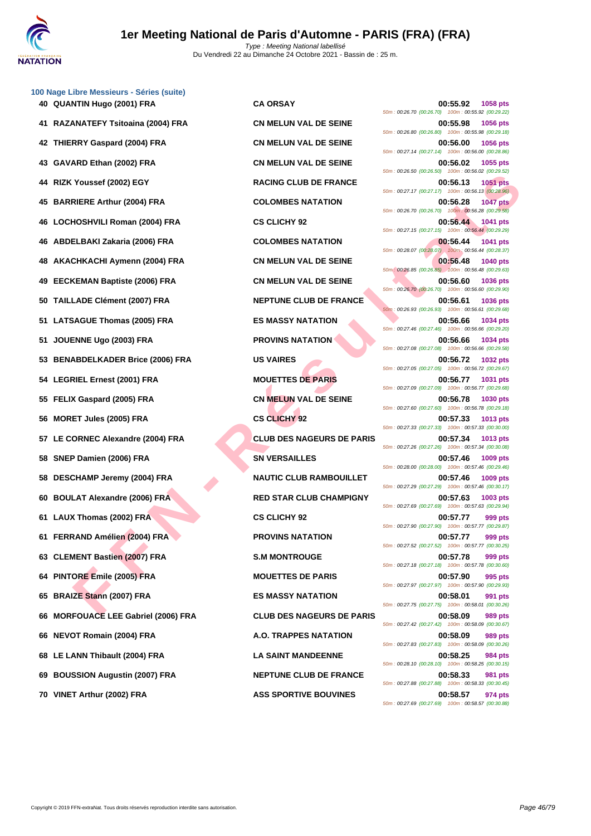

Du Vendredi 22 au Dimanche 24 Octobre 2021 - Bassin de : 25 m.

|    | 100 Nage Libre Messieurs - Séries (suite) |                                  |                                                                                     |
|----|-------------------------------------------|----------------------------------|-------------------------------------------------------------------------------------|
|    | 40 QUANTIN Hugo (2001) FRA                | <b>CA ORSAY</b>                  | 00:55.92<br>1058 pts<br>50m: 00:26.70 (00:26.70) 100m: 00:55.92 (00:29.22)          |
|    | RAZANATEFY Tsitoaina (2004) FRA           | <b>CN MELUN VAL DE SEINE</b>     | 00:55.98<br><b>1056 pts</b><br>50m: 00:26.80 (00:26.80) 100m: 00:55.98 (00:29.18)   |
|    | 42 THIERRY Gaspard (2004) FRA             | <b>CN MELUN VAL DE SEINE</b>     | 00:56.00<br><b>1056 pts</b><br>50m: 00:27.14 (00:27.14) 100m: 00:56.00 (00:28.86)   |
| 43 | GAVARD Ethan (2002) FRA                   | <b>CN MELUN VAL DE SEINE</b>     | 00:56.02<br>1055 pts<br>50m: 00:26.50 (00:26.50) 100m: 00:56.02 (00:29.52)          |
| 44 | RIZK Youssef (2002) EGY                   | <b>RACING CLUB DE FRANCE</b>     | 00:56.13<br><b>1051 pts</b><br>50m: 00:27.17 (00:27.17) 100m: 00:56.13 (00:28.96)   |
| 45 | <b>BARRIERE Arthur (2004) FRA</b>         | <b>COLOMBES NATATION</b>         | 00:56.28<br><b>1047 pts</b><br>50m : 00:26.70 (00:26.70) 100m : 00:56.28 (00:29.58) |
| 46 | LOCHOSHVILI Roman (2004) FRA              | <b>CS CLICHY 92</b>              | 00:56.44<br><b>1041 pts</b><br>50m: 00:27.15 (00:27.15) 100m: 00:56.44 (00:29.29)   |
| 46 | ABDELBAKI Zakaria (2006) FRA              | <b>COLOMBES NATATION</b>         | 00:56.44<br><b>1041 pts</b><br>50m: 00:28.07 (00:28.07) 100m: 00:56.44 (00:28.37)   |
| 48 | AKACHKACHI Aymenn (2004) FRA              | <b>CN MELUN VAL DE SEINE</b>     | 00:56.48<br><b>1040 pts</b><br>50m: 00:26.85 (00:26.85) 100m: 00:56.48 (00:29.63)   |
| 49 | <b>EECKEMAN Baptiste (2006) FRA</b>       | <b>CN MELUN VAL DE SEINE</b>     | 00:56.60<br>1036 pts<br>50m : 00:26.70 (00:26.70) 100m : 00:56.60 (00:29.90)        |
| 50 | <b>TAILLADE Clément (2007) FRA</b>        | <b>NEPTUNE CLUB DE FRANCE</b>    | 00:56.61<br><b>1036 pts</b><br>50m: 00:26.93 (00:26.93) 100m: 00:56.61 (00:29.68)   |
| 51 | <b>LATSAGUE Thomas (2005) FRA</b>         | <b>ES MASSY NATATION</b>         | 00:56.66<br>1034 pts<br>50m : 00:27.46 (00:27.46) 100m : 00:56.66 (00:29.20)        |
| 51 | JOUENNE Ugo (2003) FRA                    | <b>PROVINS NATATION</b>          | 00:56.66<br><b>1034 pts</b>                                                         |
| 53 | <b>BENABDELKADER Brice (2006) FRA</b>     | <b>US VAIRES</b>                 | 50m: 00:27.08 (00:27.08) 100m: 00:56.66 (00:29.58)<br>00:56.72<br><b>1032 pts</b>   |
|    | 54 LEGRIEL Ernest (2001) FRA              | <b>MOUETTES DE PARIS</b>         | 50m: 00:27.05 (00:27.05) 100m: 00:56.72 (00:29.67)<br>00:56.77<br>1031 pts          |
|    | 55 FELIX Gaspard (2005) FRA               | <b>CN MELUN VAL DE SEINE</b>     | 50m: 00:27.09 (00:27.09) 100m: 00:56.77 (00:29.68)<br>00:56.78<br>1030 pts          |
| 56 | <b>MORET Jules (2005) FRA</b>             | <b>CS CLICHY 92</b>              | 50m: 00:27.60 (00:27.60) 100m: 00:56.78 (00:29.18)<br>00:57.33<br>1013 pts          |
|    | LE CORNEC Alexandre (2004) FRA            | <b>CLUB DES NAGEURS DE PARIS</b> | 50m: 00:27.33 (00:27.33) 100m: 00:57.33 (00:30.00)<br>00:57.34<br>1013 pts          |
| 58 | SNEP Damien (2006) FRA                    | <b>SN VERSAILLES</b>             | 50m: 00:27.26 (00:27.26) 100m: 00:57.34 (00:30.08)<br>00:57.46<br>1009 pts          |
| 58 | DESCHAMP Jeremy (2004) FRA                | <b>NAUTIC CLUB RAMBOUILLET</b>   | 50m: 00:28.00 (00:28.00) 100m: 00:57.46 (00:29.46)<br>00:57.46<br>1009 pts          |
| 60 | <b>BOULAT Alexandre (2006) FRA</b>        | <b>RED STAR CLUB CHAMPIGNY</b>   | 50m: 00:27.29 (00:27.29) 100m: 00:57.46 (00:30.17)<br>00:57.63<br>1003 pts          |
|    | 61 LAUX Thomas (2002) FRA                 | <b>CS CLICHY 92</b>              | 50m: 00:27.69 (00:27.69) 100m: 00:57.63 (00:29.94)<br>00:57.77<br>999 pts           |
|    | 61 FERRAND Amélien (2004) FRA             | <b>PROVINS NATATION</b>          | 50m: 00:27.90 (00:27.90) 100m: 00:57.77 (00:29.87)<br>00:57.77<br>999 pts           |
|    | 63 CLEMENT Bastien (2007) FRA             | <b>S.M MONTROUGE</b>             | 50m: 00:27.52 (00:27.52) 100m: 00:57.77 (00:30.25)<br>00:57.78<br>999 pts           |
|    | 64 PINTORE Emile (2005) FRA               | <b>MOUETTES DE PARIS</b>         | 50m: 00:27.18 (00:27.18) 100m: 00:57.78 (00:30.60)<br>00:57.90<br>995 pts           |
|    | 65 BRAIZE Stann (2007) FRA                | <b>ES MASSY NATATION</b>         | 50m: 00:27.97 (00:27.97) 100m: 00:57.90 (00:29.93)<br>00:58.01<br>991 pts           |
| 66 | <b>MORFOUACE LEE Gabriel (2006) FRA</b>   | <b>CLUB DES NAGEURS DE PARIS</b> | 50m: 00:27.75 (00:27.75) 100m: 00:58.01 (00:30.26)<br>00:58.09<br>989 pts           |
| 66 | <b>NEVOT Romain (2004) FRA</b>            | A.O. TRAPPES NATATION            | 50m: 00:27.42 (00:27.42) 100m: 00:58.09 (00:30.67)<br>00:58.09<br>989 pts           |
|    | 68 LE LANN Thibault (2004) FRA            | <b>LA SAINT MANDEENNE</b>        | 50m: 00:27.83 (00:27.83) 100m: 00:58.09 (00:30.26)<br>00:58.25<br>984 pts           |
| 69 | <b>BOUSSION Augustin (2007) FRA</b>       | <b>NEPTUNE CLUB DE FRANCE</b>    | 50m: 00:28.10 (00:28.10) 100m: 00:58.25 (00:30.15)<br>00:58.33<br>981 pts           |
|    | 70 VINET Arthur (2002) FRA                | <b>ASS SPORTIVE BOUVINES</b>     | 50m: 00:27.88 (00:27.88) 100m: 00:58.33 (00:30.45)<br>00:58.57<br>974 pts           |
|    |                                           |                                  |                                                                                     |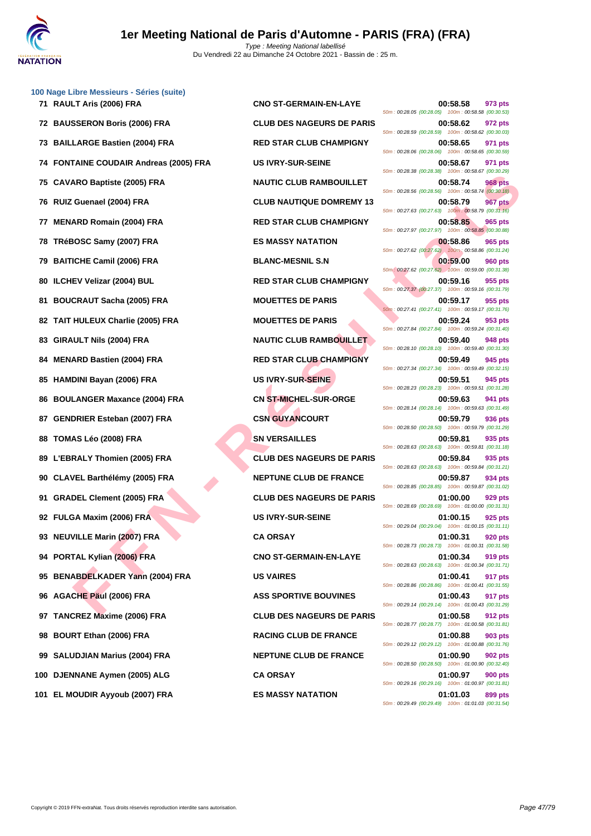

|    | 100 Nage Libre Messieurs - Séries (suite) |                                  |                                                                                  |
|----|-------------------------------------------|----------------------------------|----------------------------------------------------------------------------------|
|    | 71 RAULT Aris (2006) FRA                  | <b>CNO ST-GERMAIN-EN-LAYE</b>    | 00:58.58<br>973 pts<br>50m: 00:28.05 (00:28.05) 100m: 00:58.58 (00:30.53)        |
|    | 72 BAUSSERON Boris (2006) FRA             | <b>CLUB DES NAGEURS DE PARIS</b> | 00:58.62<br>972 pts<br>50m: 00:28.59 (00:28.59) 100m: 00:58.62 (00:30.03)        |
|    | 73 BAILLARGE Bastien (2004) FRA           | <b>RED STAR CLUB CHAMPIGNY</b>   | 00:58.65<br>971 pts<br>50m: 00:28.06 (00:28.06) 100m: 00:58.65 (00:30.59)        |
|    | 74 FONTAINE COUDAIR Andreas (2005) FRA    | <b>US IVRY-SUR-SEINE</b>         | 00:58.67<br>971 pts<br>50m: 00:28.38 (00:28.38) 100m: 00:58.67 (00:30.29)        |
| 75 | <b>CAVARO Baptiste (2005) FRA</b>         | <b>NAUTIC CLUB RAMBOUILLET</b>   | 00:58.74<br>968 pts<br>50m: 00:28.56 (00:28.56) 100m: 00:58.74 (00:30.18)        |
|    | 76 RUIZ Guenael (2004) FRA                | <b>CLUB NAUTIQUE DOMREMY 13</b>  | 00:58.79<br>967 pts<br>50m: 00:27.63 (00:27.63) 100m: 00:58.79 (00:31.16)        |
| 77 | <b>MENARD Romain (2004) FRA</b>           | <b>RED STAR CLUB CHAMPIGNY</b>   | 00:58.85<br>965 pts<br>50m: 00:27.97 (00:27.97) 100m: 00:58.85 (00:30.88)        |
| 78 | TRéBOSC Samy (2007) FRA                   | <b>ES MASSY NATATION</b>         | 00:58.86<br>965 pts<br>50m: 00:27.62 (00:27.62) 100m: 00:58.86 (00:31.24)        |
| 79 | <b>BAITICHE Camil (2006) FRA</b>          | <b>BLANC-MESNIL S.N</b>          | 00:59.00<br>960 pts<br>50m: 00:27.62 (00:27.62) 100m: 00:59.00 (00:31.38)        |
| 80 | <b>ILCHEV Velizar (2004) BUL</b>          | <b>RED STAR CLUB CHAMPIGNY</b>   | 00:59.16<br>955 pts<br>50m: 00:27.37 (00:27.37) 100m: 00:59.16 (00:31.79)        |
| 81 | <b>BOUCRAUT Sacha (2005) FRA</b>          | <b>MOUETTES DE PARIS</b>         | 00:59.17<br>955 pts<br>50m: 00:27.41 (00:27.41) 100m: 00:59.17 (00:31.76)        |
| 82 | <b>TAIT HULEUX Charlie (2005) FRA</b>     | <b>MOUETTES DE PARIS</b>         | 00:59.24<br>953 pts<br>50m: 00:27.84 (00:27.84) 100m: 00:59.24 (00:31.40)        |
| 83 | GIRAULT Nils (2004) FRA                   | NAUTIC CLUB RAMBOUILLET          | 00:59.40<br>948 pts<br>50m: 00:28.10 (00:28.10) 100m: 00:59.40 (00:31.30)        |
| 84 | <b>MENARD Bastien (2004) FRA</b>          | <b>RED STAR CLUB CHAMPIGNY</b>   | 00:59.49<br>945 pts<br>50m: 00:27.34 (00:27.34) 100m: 00:59.49 (00:32.15)        |
| 85 | <b>HAMDINI Bayan (2006) FRA</b>           | <b>US IVRY-SUR-SEINE</b>         | 00:59.51<br>945 pts<br>50m: 00:28.23 (00:28.23) 100m: 00:59.51 (00:31.28)        |
| 86 | <b>BOULANGER Maxance (2004) FRA</b>       | <b>CN ST-MICHEL-SUR-ORGE</b>     | 00:59.63<br>941 pts<br>50m: 00:28.14 (00:28.14) 100m: 00:59.63 (00:31.49)        |
| 87 | <b>GENDRIER Esteban (2007) FRA</b>        | <b>CSN GUYANCOURT</b>            | 00:59.79<br>936 pts<br>50m: 00:28.50 (00:28.50) 100m: 00:59.79 (00:31.29)        |
| 88 | TOMAS Léo (2008) FRA                      | <b>SN VERSAILLES</b>             | 00:59.81<br>935 pts<br>50m: 00:28.63 (00:28.63) 100m: 00:59.81 (00:31.18)        |
| 89 | L'EBRALY Thomien (2005) FRA               | <b>CLUB DES NAGEURS DE PARIS</b> | 00:59.84<br>935 pts<br>50m: 00:28.63 (00:28.63) 100m: 00:59.84 (00:31.21)        |
| 90 | <b>CLAVEL Barthélémy (2005) FRA</b>       | <b>NEPTUNE CLUB DE FRANCE</b>    | 00:59.87<br>934 pts<br>50m: 00:28.85 (00:28.85) 100m: 00:59.87 (00:31.02)        |
| 91 | <b>GRADEL Clement (2005) FRA</b>          | <b>CLUB DES NAGEURS DE PARIS</b> | 01:00.00<br>929 pts<br>50m: 00:28.69 (00:28.69) 100m: 01:00.00 (00:31.31)        |
|    | 92 FULGA Maxim (2006) FRA                 | <b>US IVRY-SUR-SEINE</b>         | 01:00.15<br>925 pts<br>50m: 00:29.04 (00:29.04) 100m: 01:00.15 (00:31.11)        |
|    | 93 NEUVILLE Marin (2007) FRA              | <b>CA ORSAY</b>                  | 01:00.31<br>920 pts<br>50m: 00:28.73 (00:28.73) 100m: 01:00.31 (00:31.58)        |
|    | 94 PORTAL Kylian (2006) FRA               | <b>CNO ST-GERMAIN-EN-LAYE</b>    | 01:00.34<br>919 pts<br>50m: 00:28.63 (00:28.63) 100m: 01:00.34 (00:31.71)        |
|    | 95 BENABDELKADER Yann (2004) FRA          | <b>US VAIRES</b>                 | 01:00.41<br>917 pts<br>50m: 00:28.86 (00:28.86) 100m: 01:00.41 (00:31.55)        |
|    | 96 AGACHE Päul (2006) FRA                 | <b>ASS SPORTIVE BOUVINES</b>     | 01:00.43<br>917 pts<br>50m: 00:29.14 (00:29.14) 100m: 01:00.43 (00:31.29)        |
|    | 97 TANCREZ Maxime (2006) FRA              | <b>CLUB DES NAGEURS DE PARIS</b> | 01:00.58<br>912 pts<br>50m: 00:28.77 (00:28.77) 100m: 01:00.58 (00:31.81)        |
|    | 98 BOURT Ethan (2006) FRA                 | <b>RACING CLUB DE FRANCE</b>     | 01:00.88<br>903 pts<br>50m: 00:29.12 (00:29.12) 100m: 01:00.88 (00:31.76)        |
|    | 99 SALUDJIAN Marius (2004) FRA            | <b>NEPTUNE CLUB DE FRANCE</b>    | 01:00.90<br><b>902 pts</b><br>50m: 00:28.50 (00:28.50) 100m: 01:00.90 (00:32.40) |
|    | 100 DJENNANE Aymen (2005) ALG             | <b>CA ORSAY</b>                  | 01:00.97<br><b>900 pts</b><br>50m: 00:29.16 (00:29.16) 100m: 01:00.97 (00:31.81) |
|    | $A_1, \ldots, A_n$ (AAA-). EB A<br>       | <b>MACOVALATATION</b>            | $\sim$ $\sim$ $\sim$                                                             |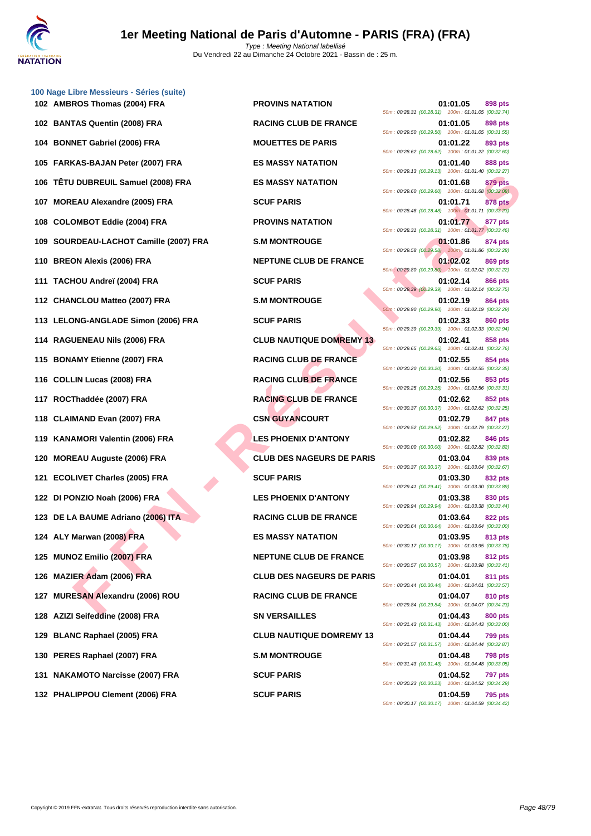

|     | 102 AMBROS Thomas (2004) FRA           | <b>PROVINS NATATION</b>          | 01:01.05<br>898 pts<br>50m: 00:28.31 (00:28.31) 100m: 01:01.05 (00:32.74)        |
|-----|----------------------------------------|----------------------------------|----------------------------------------------------------------------------------|
|     | 102 BANTAS Quentin (2008) FRA          | <b>RACING CLUB DE FRANCE</b>     | 01:01.05<br>898 pts<br>50m: 00:29.50 (00:29.50) 100m: 01:01.05 (00:31.55)        |
|     | 104 BONNET Gabriel (2006) FRA          | <b>MOUETTES DE PARIS</b>         | 01:01.22<br>893 pts<br>50m: 00:28.62 (00:28.62) 100m: 01:01.22 (00:32.60)        |
|     | 105 FARKAS-BAJAN Peter (2007) FRA      | <b>ES MASSY NATATION</b>         | 01:01.40<br>888 pts<br>50m: 00:29.13 (00:29.13) 100m: 01:01.40 (00:32.27)        |
|     | 106 TÊTU DUBREUIL Samuel (2008) FRA    | <b>ES MASSY NATATION</b>         | 01:01.68<br>879 pts<br>50m: 00:29.60 (00:29.60) 100m: 01:01.68 (00:32.08)        |
|     | 107 MOREAU Alexandre (2005) FRA        | <b>SCUF PARIS</b>                | <b>878 pts</b><br>01:01.71<br>50m: 00:28.48 (00:28.48) 100m: 01:01.71 (00:33.23) |
|     | 108 COLOMBOT Eddie (2004) FRA          | <b>PROVINS NATATION</b>          | 01:01.77<br>877 pts<br>50m: 00:28.31 (00:28.31) 100m: 01:01.77 (00:33.46)        |
|     | 109 SOURDEAU-LACHOT Camille (2007) FRA | <b>S.M MONTROUGE</b>             | 01:01.86<br>874 pts<br>50m: 00:29.58 (00:29.58) 100m: 01:01.86 (00:32.28)        |
|     | 110 BREON Alexis (2006) FRA            | <b>NEPTUNE CLUB DE FRANCE</b>    | 01:02.02<br>869 pts<br>50m: 00:29.80 (00:29.80) 100m: 01:02.02 (00:32.22)        |
|     | 111 TACHOU Andreï (2004) FRA           | <b>SCUF PARIS</b>                | 01:02.14<br>866 pts<br>50m : 00:29.39 (00:29.39) 100m : 01:02.14 (00:32.75)      |
|     | 112 CHANCLOU Matteo (2007) FRA         | <b>S.M MONTROUGE</b>             | 01:02.19<br>864 pts<br>50m: 00:29.90 (00:29.90) 100m: 01:02.19 (00:32.29)        |
|     | 113 LELONG-ANGLADE Simon (2006) FRA    | <b>SCUF PARIS</b>                | 01:02.33<br>860 pts<br>50m: 00:29.39 (00:29.39) 100m: 01:02.33 (00:32.94)        |
|     | 114 RAGUENEAU Nils (2006) FRA          | <b>CLUB NAUTIQUE DOMREMY 13</b>  | 01:02.41<br>858 pts<br>50m: 00:29.65 (00:29.65) 100m: 01:02.41 (00:32.76)        |
|     | 115 BONAMY Etienne (2007) FRA          | <b>RACING CLUB DE FRANCE</b>     | 01:02.55<br>854 pts<br>50m: 00:30.20 (00:30.20) 100m: 01:02.55 (00:32.35)        |
|     | 116 COLLIN Lucas (2008) FRA            | <b>RACING CLUB DE FRANCE</b>     | 01:02.56<br>853 pts<br>50m: 00:29.25 (00:29.25) 100m: 01:02.56 (00:33.31)        |
|     | 117 ROCThaddée (2007) FRA              | <b>RACING CLUB DE FRANCE</b>     | 01:02.62<br>852 pts<br>50m: 00:30.37 (00:30.37) 100m: 01:02.62 (00:32.25)        |
|     | 118 CLAIMAND Evan (2007) FRA           | <b>CSN GUYANCOURT</b>            | 01:02.79<br>847 pts<br>50m: 00:29.52 (00:29.52) 100m: 01:02.79 (00:33.27)        |
|     | 119 KANAMORI Valentin (2006) FRA       | <b>LES PHOENIX D'ANTONY</b>      | 01:02.82<br>846 pts<br>50m : 00:30.00 (00:30.00) 100m : 01:02.82 (00:32.82)      |
|     | 120 MOREAU Auguste (2006) FRA          | <b>CLUB DES NAGEURS DE PARIS</b> | 01:03.04<br>839 pts<br>50m: 00:30.37 (00:30.37) 100m: 01:03.04 (00:32.67)        |
|     | 121 ECOLIVET Charles (2005) FRA        | <b>SCUF PARIS</b>                | 01:03.30<br>832 pts<br>50m: 00:29.41 (00:29.41) 100m: 01:03.30 (00:33.89)        |
|     | 122 DI PONZIO Noah (2006) FRA          | <b>LES PHOENIX D'ANTONY</b>      | 01:03.38<br>830 pts<br>50m: 00:29.94 (00:29.94) 100m: 01:03.38 (00:33.44)        |
|     | 123 DE LA BAUME Adriano (2006) ITA     | <b>RACING CLUB DE FRANCE</b>     | 01:03.64<br>822 pts<br>50m: 00:30.64 (00:30.64) 100m: 01:03.64 (00:33.00)        |
|     | 124 ALY Marwan (2008) FRA              | <b>ES MASSY NATATION</b>         | 01:03.95<br>813 pts<br>50m: 00:30.17 (00:30.17) 100m: 01:03.95 (00:33.78)        |
|     | 125 MUNOZ Emilio (2007) FRA            | <b>NEPTUNE CLUB DE FRANCE</b>    | 01:03.98<br>812 pts<br>50m: 00:30.57 (00:30.57) 100m: 01:03.98 (00:33.41)        |
|     | 126 MAZIER Adam (2006) FRA             | <b>CLUB DES NAGEURS DE PARIS</b> | 01:04.01<br>811 pts<br>50m: 00:30.44 (00:30.44) 100m: 01:04.01 (00:33.57)        |
| 127 | <b>MURESAN Alexandru (2006) ROU</b>    | <b>RACING CLUB DE FRANCE</b>     | 01:04.07<br>810 pts<br>50m: 00:29.84 (00:29.84) 100m: 01:04.07 (00:34.23)        |
|     | 128 AZIZI Seifeddine (2008) FRA        | <b>SN VERSAILLES</b>             | 01:04.43<br>800 pts<br>50m: 00:31.43 (00:31.43) 100m: 01:04.43 (00:33.00)        |
| 129 | <b>BLANC Raphael (2005) FRA</b>        | <b>CLUB NAUTIQUE DOMREMY 13</b>  | 01:04.44<br><b>799 pts</b><br>50m: 00:31.57 (00:31.57) 100m: 01:04.44 (00:32.87) |
|     | 130 PERES Raphael (2007) FRA           | <b>S.M MONTROUGE</b>             | 01:04.48<br>798 pts<br>50m: 00:31.43 (00:31.43) 100m: 01:04.48 (00:33.05)        |
|     | 131 NAKAMOTO Narcisse (2007) FRA       | <b>SCUF PARIS</b>                | 01:04.52<br><b>797 pts</b><br>50m: 00:30.23 (00:30.23) 100m: 01:04.52 (00:34.29) |
|     | 433 BUALIBBOU Clament (300C) ED A      | COULD MADIC                      | 04.04 E0                                                                         |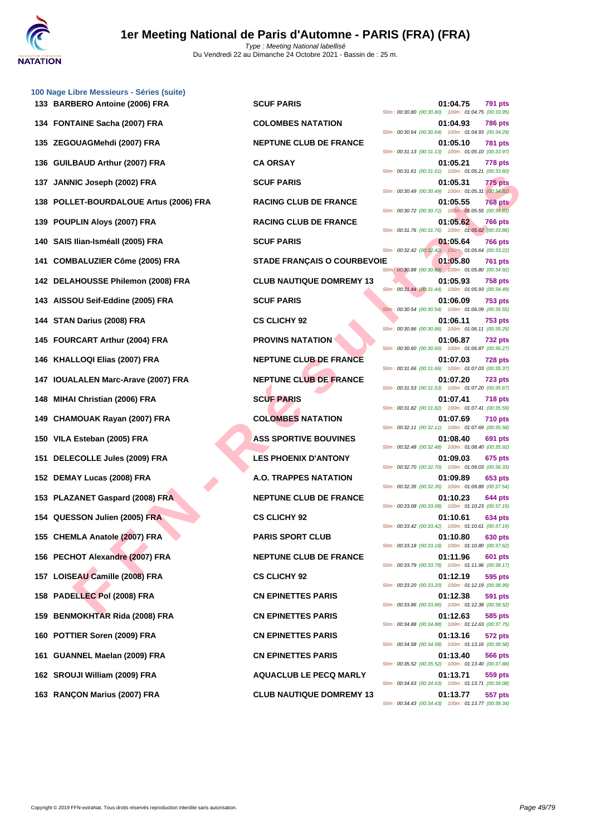

| 133 BARBERO Antoine (2006) FRA         | <b>SCUF PARIS</b>                  | 01:04.75<br>791 pts<br>50m: 00:30.80 (00:30.80) 100m: 01:04.75 (00:33.95)        |
|----------------------------------------|------------------------------------|----------------------------------------------------------------------------------|
| 134 FONTAINE Sacha (2007) FRA          | <b>COLOMBES NATATION</b>           | 01:04.93<br>786 pts<br>50m: 00:30.64 (00:30.64) 100m: 01:04.93 (00:34.29)        |
| 135 ZEGOUAGMehdi (2007) FRA            | <b>NEPTUNE CLUB DE FRANCE</b>      | 01:05.10<br>781 pts<br>50m: 00:31.13 (00:31.13) 100m: 01:05.10 (00:33.97)        |
| 136 GUILBAUD Arthur (2007) FRA         | <b>CA ORSAY</b>                    | 01:05.21<br>778 pts<br>50m: 00:31.61 (00:31.61) 100m: 01:05.21 (00:33.60)        |
| 137 JANNIC Joseph (2002) FRA           | <b>SCUF PARIS</b>                  | 01:05.31<br>775 pts<br>50m: 00:30.49 (00:30.49) 100m: 01:05.31 (00:34.82)        |
| 138 POLLET-BOURDALOUE Artus (2006) FRA | <b>RACING CLUB DE FRANCE</b>       | 01:05.55<br>768 pts<br>50m : 00:30.72 (00:30.72) 100m : 01:05.55 (00:34.83)      |
| 139 POUPLIN Aloys (2007) FRA           | <b>RACING CLUB DE FRANCE</b>       | 01:05.62<br><b>766 pts</b><br>50m: 00:31.76 (00:31.76) 100m: 01:05.62 (00:33.86) |
| 140 SAIS Ilian-Isméall (2005) FRA      | <b>SCUF PARIS</b>                  | 01:05.64<br><b>766 pts</b><br>50m: 00:32.42 (00:32.42) 100m: 01:05.64 (00:33.22) |
| 141 COMBALUZIER Côme (2005) FRA        | <b>STADE FRANÇAIS O COURBEVOIE</b> | 01:05.80<br>761 pts<br>50m : 00:30.88 (00:30.88) 100m : 01:05.80 (00:34.92)      |
| 142 DELAHOUSSE Philemon (2008) FRA     | <b>CLUB NAUTIQUE DOMREMY 13</b>    | 01:05.93<br>758 pts<br>50m: 00:31.44 (00:31.44) 100m: 01:05.93 (00:34.49)        |
| 143 AISSOU Seif-Eddine (2005) FRA      | <b>SCUF PARIS</b>                  | 01:06.09<br><b>753 pts</b><br>50m: 00:30.54 (00:30.54) 100m: 01:06.09 (00:35.55) |
| 144 STAN Darius (2008) FRA             | <b>CS CLICHY 92</b>                | 01:06.11<br><b>753 pts</b><br>50m: 00:30.86 (00:30.86) 100m: 01:06.11 (00:35.25) |
| 145 FOURCART Arthur (2004) FRA         | <b>PROVINS NATATION</b>            | 01:06.87<br><b>732 pts</b><br>50m: 00:30.60 (00:30.60) 100m: 01:06.87 (00:36.27) |
| 146 KHALLOQI Elias (2007) FRA          | <b>NEPTUNE CLUB DE FRANCE</b>      | 01:07.03<br>728 pts<br>50m: 00:31.66 (00:31.66) 100m: 01:07.03 (00:35.37)        |
| 147 IOUALALEN Marc-Arave (2007) FRA    | <b>NEPTUNE CLUB DE FRANCE</b>      | 01:07.20<br><b>723 pts</b><br>50m: 00:31.53 (00:31.53) 100m: 01:07.20 (00:35.67) |
| 148 MIHAI Christian (2006) FRA         | <b>SCUF PARIS</b>                  | 01:07.41<br>718 pts<br>50m: 00:31.82 (00:31.82) 100m: 01:07.41 (00:35.59)        |
| 149 CHAMOUAK Rayan (2007) FRA          | <b>COLOMBES NATATION</b>           | 01:07.69<br><b>710 pts</b><br>50m: 00:32.11 (00:32.11) 100m: 01:07.69 (00:35.58) |
| 150 VILA Esteban (2005) FRA            | <b>ASS SPORTIVE BOUVINES</b>       | 01:08.40<br>691 pts<br>50m: 00:32.48 (00:32.48) 100m: 01:08.40 (00:35.92)        |
| 151 DELECOLLE Jules (2009) FRA         | <b>LES PHOENIX D'ANTONY</b>        | 01:09.03<br>675 pts<br>50m: 00:32.70 (00:32.70) 100m: 01:09.03 (00:36.33)        |
| 152 DEMAY Lucas (2008) FRA             | A.O. TRAPPES NATATION              | 01:09.89<br>653 pts<br>50m: 00:32.35 (00:32.35) 100m: 01:09.89 (00:37.54)        |
| 153 PLAZANET Gaspard (2008) FRA        | <b>NEPTUNE CLUB DE FRANCE</b>      | 01:10.23<br>644 pts<br>50m: 00:33.08 (00:33.08) 100m: 01:10.23 (00:37.15)        |
| 154 QUESSON Julien (2005) FRA          | <b>CS CLICHY 92</b>                | 01:10.61<br>634 pts<br>50m: 00:33.42 (00:33.42) 100m: 01:10.61 (00:37.19)        |
| 155 CHEMLA Anatole (2007) FRA          | <b>PARIS SPORT CLUB</b>            | 01:10.80<br>630 pts<br>50m: 00:33.18 (00:33.18) 100m: 01:10.80 (00:37.62)        |
| 156 PECHOT Alexandre (2007) FRA        | <b>NEPTUNE CLUB DE FRANCE</b>      | 01:11.96<br>601 pts<br>50m: 00:33.79 (00:33.79) 100m: 01:11.96 (00:38.17)        |
| 157 LOISEAU Camille (2008) FRA         | <b>CS CLICHY 92</b>                | 01:12.19<br>595 pts<br>50m: 00:33.20 (00:33.20) 100m: 01:12.19 (00:38.99)        |
| 158 PADELLEC Pol (2008) FRA            | <b>CN EPINETTES PARIS</b>          | 01:12.38<br>591 pts<br>50m: 00:33.86 (00:33.86) 100m: 01:12.38 (00:38.52)        |
| 159 BENMOKHTAR Rida (2008) FRA         | <b>CN EPINETTES PARIS</b>          | 01:12.63<br>585 pts<br>50m: 00:34.88 (00:34.88) 100m: 01:12.63 (00:37.75)        |
| 160 POTTIER Soren (2009) FRA           | <b>CN EPINETTES PARIS</b>          | 01:13.16<br>572 pts<br>50m: 00:34.58 (00:34.58) 100m: 01:13.16 (00:38.58)        |
| 161 GUANNEL Maelan (2009) FRA          | <b>CN EPINETTES PARIS</b>          | 01:13.40<br>566 pts<br>50m: 00:35.52 (00:35.52) 100m: 01:13.40 (00:37.88)        |
| 162 SROUJI William (2009) FRA          | <b>AQUACLUB LE PECQ MARLY</b>      | 559 pts<br>01:13.71<br>50m: 00:34.63 (00:34.63) 100m: 01:13.71 (00:39.08)        |
| 163 RANÇON Marius (2007) FRA           | <b>CLUB NAUTIQUE DOMREMY 13</b>    | 01:13.77<br>557 pts                                                              |

**FIGURE 2008 FRANCE SE ENGLISHER SOUPRANE SE ENGLISHE SE ENGLISHE SE ENGLISHE SE ENGLISHE SE ENGLISHE SE ENGLISHE SE ENGLISHE SE ENGLISHE SE ENGLISHE SE ENGLISHE SE ENGLISHE SE ENGLISHE SE ENGLISHE SE ENGLISHE SE ENGLISHE** 50m : 00:30.80 (00:30.80) 100m : 01:04.75 (00:33.95) **134.93 <b>FOLOMBES NATATION COLOMBES NATATION** 50m : 00:30.64 (00:30.64) 100m : 01:04.93 (00:34.29) **135 ZEGOUAGMehdi (2007) FRA NEPTUNE CLUB DE FRANCE 01:05.10 781 pts** 50m : 00:31.13 (00:31.13) 100m : 01:05.10 (00:33.97) 50m : 00:31.61 (00:31.61) 100m : 01:05.21 (00:33.60) 50m : 00:30.49 (00:30.49) 100m : 01:05.31 (00:34.82) **1388 POLLET-BOURDALOUE ARTIS (2006) FRANCE 1388 PDLLET-BOURDALOUE Artist (2006)** FOR **PISS** 50m : 00:30.72 (00:30.72) 100m : 01:05.55 (00:34.83) **139 POUPLING CLUB DE FRANCE 1399 PDUCE 01:05.62 766 pts** 50m : 00:31.76 (00:31.76) 100m : 01:05.62 (00:33.86) 50m : 00:32.42 (00:32.42) 100m : 01:05.64 (00:33.22) **1410 COURBEVOIE COURBEVOIE COURBEVOIE** 50m : 00:30.88 (00:30.88) 100m : 01:05.80 (00:34.92) **1422 <b>CLUB NAUTIQUE DOMREMY 13 01:05.93 758 pts** 50m : 00:31.44 (00:31.44) 100m : 01:05.93 (00:34.49) 50m : 00:30.54 (00:30.54) 100m : 01:06.09 (00:35.55) 50m : 00:30.86 (00:30.86) 100m : 01:06.11 (00:35.25) **1456 <b>FROVINS NATATION 1456 <b>PROVINS** NATATION 50m : 00:30.60 (00:30.60) 100m : 01:06.87 (00:36.27) **146 KHALLOGI ELIAS CLUB DE FRANCE 146 01:07.03 728 pts** 50m : 00:31.66 (00:31.66) 100m : 01:07.03 (00:35.37) **147 IOUALALEN MARC-ARAVE CLUB DE FRANCE 147 147 147 147 147 147 147 147 147 147 147 147 147 147 147 147 147 147 147 147 147 147 147 147 147 147 147 147 147 147** 50m : 00:31.53 (00:31.53) 100m : 01:07.20 (00:35.67) 50m : 00:31.82 (00:31.82) 100m : 01:07.41 (00:35.59) **1499 <b>COLOMBES NATATION 1499 <b>COLOMBES** NATATION 50m : 00:32.11 (00:32.11) 100m : 01:07.69 (00:35.58) **150 VILA Esteban (2005) FRA ASS SPORTIVE BOUVINES 01:08.40 691 pts** 50m : 00:32.48 (00:32.48) 100m : 01:08.40 (00:35.92) **151 DELES PHOENIX D'ANTONY COLLET 101:09.03** 675 pts 50m : 00:32.70 (00:32.70) 100m : 01:09.03 (00:36.33) **152 DEMAY Lucas (2008) FRA A.O. TRAPPES NATATION 01:09.89 653 pts** 50m : 00:32.35 (00:32.35) 100m : 01:09.89 (00:37.54) **1533 PLAZA EXECUB DE FRANCE 1534 <b>PM 01:10.23 644 pts** 50m : 00:33.08 (00:33.08) 100m : 01:10.23 (00:37.15) 50m : 00:33.42 (00:33.42) 100m : 01:10.61 (00:37.19) **1555 PARIS SPORT CLUB 1555 01:10.80 630 pts** 50m : 00:33.18 (00:33.18) 100m : 01:10.80 (00:37.62) **1566 PECHOT ALGOT ALGOT ALEXANDRE CLUB DE FRANCE 1566 01:11.96 601 pts** 50m : 00:33.79 (00:33.79) 100m : 01:11.96 (00:38.17) 50m : 00:33.20 (00:33.20) 100m : 01:12.19 (00:38.99) **1588 <b>PADELLEC PARIS 1591 pts 1591 pts 1591 pts** 50m : 00:33.86 (00:33.86) 100m : 01:12.38 (00:38.52) **159 BENMOKHTAR Rida (2008) FRA CN EPINETTES PARIS 01:12.63 585 pts** 50m : 00:34.88 (00:34.88) 100m : 01:12.63 (00:37.75) **1600 EPINETTES PARIS 1600 FM CN EPINETTES PARIS CN** 50m : 00:34.58 (00:34.58) 100m : 01:13.16 (00:38.58) **161 CN EPINETTES PARIS 161 CN EPINETTES PARIS 01:13.40 566 pts** 50m : 00:35.52 (00:35.52) 100m : 01:13.40 (00:37.88) **162 AQUACLUB LE PECQ MARLY 11:13.71 559 pts** 50m : 00:34.63 (00:34.63) 100m : 01:13.71 (00:39.08) **1633 RANGON MARIE DOMREMY 13 D1:13.77 557 pts** 50m : 00:34.43 (00:34.43) 100m : 01:13.77 (00:39.34)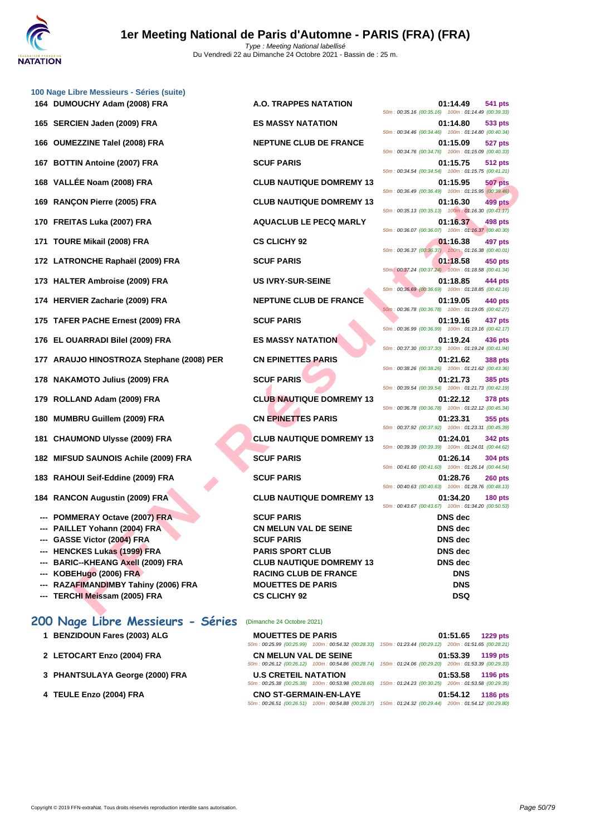

|     | 100 Nage Libre Messieurs - Séries (suite) |                                 |                                                                                  |
|-----|-------------------------------------------|---------------------------------|----------------------------------------------------------------------------------|
|     | 164 DUMOUCHY Adam (2008) FRA              | A.O. TRAPPES NATATION           | 01:14.49<br>541 pts<br>50m: 00:35.16 (00:35.16) 100m: 01:14.49 (00:39.33)        |
|     | 165 SERCIEN Jaden (2009) FRA              | <b>ES MASSY NATATION</b>        | 01:14.80<br>533 pts<br>50m: 00:34.46 (00:34.46) 100m: 01:14.80 (00:40.34)        |
|     | 166 OUMEZZINE Talel (2008) FRA            | <b>NEPTUNE CLUB DE FRANCE</b>   | 01:15.09<br>527 pts<br>50m: 00:34.76 (00:34.76) 100m: 01:15.09 (00:40.33)        |
| 167 | <b>BOTTIN Antoine (2007) FRA</b>          | <b>SCUF PARIS</b>               | 01:15.75<br>512 pts<br>50m: 00:34.54 (00:34.54) 100m: 01:15.75 (00:41.21)        |
|     | 168 VALLÉE Noam (2008) FRA                | <b>CLUB NAUTIQUE DOMREMY 13</b> | 01:15.95<br><b>507 pts</b><br>50m: 00:36.49 (00:36.49) 100m: 01:15.95 (00:39.46) |
|     | 169 RANÇON Pierre (2005) FRA              | <b>CLUB NAUTIQUE DOMREMY 13</b> | 01:16.30<br>499 pts<br>50m: 00:35.13 (00:35.13) 100m: 01:16.30 (00:41.17)        |
|     | 170 FREITAS Luka (2007) FRA               | <b>AQUACLUB LE PECQ MARLY</b>   | 01:16.37<br>498 pts<br>50m: 00:36.07 (00:36.07) 100m: 01:16.37 (00:40.30)        |
|     | 171 TOURE Mikail (2008) FRA               | <b>CS CLICHY 92</b>             | 01:16.38<br>497 pts<br>50m: 00:36.37 (00:36.37) 100m: 01:16.38 (00:40.01)        |
|     | 172 LATRONCHE Raphaël (2009) FRA          | <b>SCUF PARIS</b>               | 01:18.58<br>450 pts<br>50m: 00:37.24 (00:37.24) 100m: 01:18.58 (00:41.34)        |
|     | 173 HALTER Ambroise (2009) FRA            | <b>US IVRY-SUR-SEINE</b>        | 01:18.85<br>444 pts<br>50m: 00:36.69 (00:36.69) 100m: 01:18.85 (00:42.16)        |
|     | 174 HERVIER Zacharie (2009) FRA           | <b>NEPTUNE CLUB DE FRANCE</b>   | 01:19.05<br>440 pts<br>50m: 00:36.78 (00:36.78) 100m: 01:19.05 (00:42.27)        |
|     | 175 TAFER PACHE Ernest (2009) FRA         | <b>SCUF PARIS</b>               | 01:19.16<br>437 pts<br>50m: 00:36.99 (00:36.99) 100m: 01:19.16 (00:42.17)        |
|     | 176 EL OUARRADI Bilel (2009) FRA          | <b>ES MASSY NATATION</b>        | 01:19.24<br>436 pts<br>50m: 00:37.30 (00:37.30) 100m: 01:19.24 (00:41.94)        |
|     | 177 ARAUJO HINOSTROZA Stephane (2008) PER | <b>CN EPINETTES PARIS</b>       | 01:21.62<br><b>388 pts</b><br>50m: 00:38.26 (00:38.26) 100m: 01:21.62 (00:43.36) |
|     | 178 NAKAMOTO Julius (2009) FRA            | <b>SCUF PARIS</b>               | 01:21.73<br><b>385 pts</b><br>50m: 00:39.54 (00:39.54) 100m: 01:21.73 (00:42.19) |
|     | 179 ROLLAND Adam (2009) FRA               | <b>CLUB NAUTIQUE DOMREMY 13</b> | 01:22.12<br><b>378 pts</b><br>50m: 00:36.78 (00:36.78) 100m: 01:22.12 (00:45.34) |
|     | 180 MUMBRU Guillem (2009) FRA             | <b>CN EPINETTES PARIS</b>       | 01:23.31<br>355 pts<br>50m: 00:37.92 (00:37.92) 100m: 01:23.31 (00:45.39)        |
| 181 | <b>CHAUMOND Ulysse (2009) FRA</b>         | <b>CLUB NAUTIQUE DOMREMY 13</b> | 01:24.01<br><b>342 pts</b><br>50m: 00:39.39 (00:39.39) 100m: 01:24.01 (00:44.62) |
|     | 182 MIFSUD SAUNOIS Achile (2009) FRA      | <b>SCUF PARIS</b>               | 01:26.14<br>304 pts<br>50m: 00:41.60 (00:41.60) 100m: 01:26.14 (00:44.54)        |
| 183 | RAHOUI Seif-Eddine (2009) FRA             | <b>SCUF PARIS</b>               | 01:28.76<br><b>260 pts</b><br>50m: 00:40.63 (00:40.63) 100m: 01:28.76 (00:48.13) |
| 184 | <b>RANCON Augustin (2009) FRA</b>         | <b>CLUB NAUTIQUE DOMREMY 13</b> | 01:34.20<br><b>180 pts</b><br>50m: 00:43.67 (00:43.67) 100m: 01:34.20 (00:50.53) |
|     | <b>POMMERAY Octave (2007) FRA</b>         | <b>SCUF PARIS</b>               | <b>DNS</b> dec                                                                   |
|     | --- PAILLET Yohann (2004) FRA             | CN MELUN VAL DE SEINE           | DNS dec                                                                          |
|     | --- GASSE Victor (2004) FRA               | <b>SCUF PARIS</b>               | DNS dec                                                                          |
|     | --- HENCKES Lukas (1999) FRA              | <b>PARIS SPORT CLUB</b>         | <b>DNS</b> dec                                                                   |
|     | --- BARIC--KHEANG Axell (2009) FRA        | <b>CLUB NAUTIQUE DOMREMY 13</b> | DNS dec                                                                          |
|     | --- KOBEHugo (2006) FRA                   | <b>RACING CLUB DE FRANCE</b>    | <b>DNS</b>                                                                       |
|     | --- RAZAFIMANDIMBY Tahiny (2006) FRA      | <b>MOUETTES DE PARIS</b>        | <b>DNS</b>                                                                       |
|     | --- TERCHI Meissam (2005) FRA             | <b>CS CLICHY 92</b>             | <b>DSQ</b>                                                                       |
|     |                                           |                                 |                                                                                  |

# 50m : 00:34.54 (00:34.54) 100m : 01:15.75 (00:41.21) 50m : 00:36.49 (00:36.49) 100m : 01:15.95 (00:39.46) 50m : 00:35.13 (00:35.13) 100m : 01:16.30 (00:41.17) 50m : 00:36.07 (00:36.07) 100m : 01:16.37 (00:40.30) 50m : 00:36.37 (00:36.37) 100m : 01:16.38 (00:40.01) 50m : 00:37.24 (00:37.24) 100m : 01:18.58 (00:41.34) 50m : 00:36.69 (00:36.69) 100m : 01:18.85 (00:42.16) 50m : 00:36.78 (00:36.78) 100m : 01:19.05 (00:42.27) 50m : 00:36.99 (00:36.99) 100m : 01:19.16 (00:42.17) 50m : 00:37.30 (00:37.30) 100m : 01:19.24 (00:41.94) 50m : 00:38.26 (00:38.26) 100m : 01:21.62 (00:43.36) 50m : 00:39.54 (00:39.54) 100m : 01:21.73 (00:42.19) 50m : 00:36.78 (00:36.78) 100m : 01:22.12 (00:45.34) 50m : 00:37.92 (00:37.92) 100m : 01:23.31 (00:45.39) 50m : 00:39.39 (00:39.39) 100m : 01:24.01 (00:44.62) 50m : 00:41.60 (00:41.60) 100m : 01:26.14 (00:44.54) 50m : 00:40.63 (00:40.63) 100m : 01:28.76 (00:48.13) 50m : 00:43.67 (00:43.67) 100m : 01:34.20 (00:50.53)

# **200 Nage Libre Messieurs - Séries** (Dimanche 24 Octobre 2021)

| <b>MOUETTES DE PARIS</b>      |                                                    |                                                                                                        | 01:51.65 1229 pts |
|-------------------------------|----------------------------------------------------|--------------------------------------------------------------------------------------------------------|-------------------|
|                               | 50m: 00:25.99 (00:25.99) 100m: 00:54.32 (00:28.33) | 150m: 01:23.44 (00:29.12) 200m: 01:51.65 (00:28.21)                                                    |                   |
| <b>CN MELUN VAL DE SEINE</b>  |                                                    |                                                                                                        | 01:53.39 1199 pts |
|                               | 50m: 00:26.12 (00:26.12) 100m: 00:54.86 (00:28.74) | 150m: 01:24.06 (00:29.20) 200m: 01:53.39 (00:29.33)                                                    |                   |
| <b>U.S CRETEIL NATATION</b>   |                                                    |                                                                                                        | 01:53.58 1196 pts |
|                               | 50m: 00:25.38 (00:25.38) 100m: 00:53.98 (00:28.60) | 150m: 01:24.23 (00:30.25) 200m: 01:53.58 (00:29.35)                                                    |                   |
| <b>CNO ST-GERMAIN-EN-LAYE</b> |                                                    |                                                                                                        | 01:54.12 1186 pts |
|                               |                                                    | 50m: 00:26.51 (00:26.51) 100m: 00:54.88 (00:28.37) 150m: 01:24.32 (00:29.44) 200m: 01:54.12 (00:29.80) |                   |

**1 BENZIDOUN Fares (2003) ALG** 

**2 LETOCART Enzo (2004) FRA CN MELUN VAL DE SEINE 01:53.39 1199 pts**

**4 TEULE Enzo (2004) FRA CNO ST-GERMAIN-EN-LAYE 01:54.12 1186 pts**

**3 [PHANTSULAYA George \(2000\) FRA](http://www.ffnatation.fr/webffn/resultats.php?idact=nat&go=epr&idcpt=71691&idepr=53)**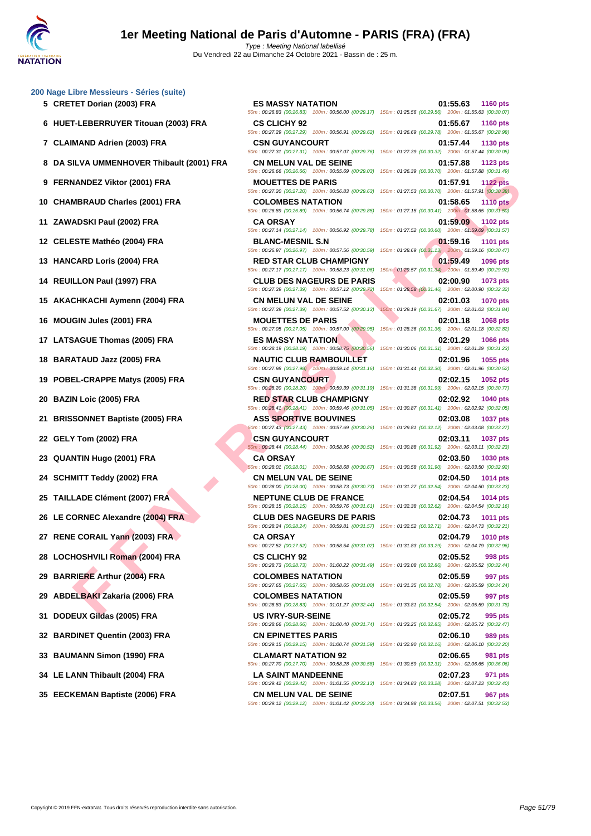- 
- **6 HUET-LEBERRUYER Titouan (2003) FRA CS CLICHY 92 01:55.67 1160 pts**
- 
- **8 DA SILVA UMMENHOVER Thibault (2001) FRA CN MELUN VAL DE SEINE 01:57.88 1123 pts**
- 
- **10 CHAMBRAUD Charles (2001) FRA COLOMBES NATATION 01:58.65 1110 pts**
- 
- 
- 
- 
- **15 AKACHKACHI Aymenn (2004) FRA CN MELUN VAL DE SEINE 02:01.03 1070 pts**
- 
- **17 LATSAGUE Thomas (2005) FRA ES MASSY NATATION 02:01.29 1066 pts**
- 
- **19 POBEL-CRAPPE Matys (2005) FRA CSN GUYANCOURT 02:02.15 1052 pts**
- 
- **21 BRISSONNET Baptiste (2005) FRA ASS SPORTIVE BOUVINES 02:03.08 1037 pts**
- 
- 
- 
- 
- **26 LE CORNEC Alexandre (2004) FRA CLUB DES NAGEURS DE PARIS 02:04.73 1011 pts**
- 
- **28 LOCHOSHVILI Roman (2004) FRA CS CLICHY 92 02:05.52 998 pts**
- 
- **29 ABDELBAKI Zakaria (2006) FRA COLOMBES NATATION 02:05.59 997 pts**
- 
- 
- 
- 
- 

**5 CRETET Dorian (2003) FRA ES MASSY NATATION 01:55.63 1160 pts**

50m : 00:29.12 (00:29.12) 100m : 01:01.42 (00:32.30) 150m : 01:34.98 (00:33.56) 200m : 02:07.51 (00:32.53)

VANDEZ Viktor (2001) FRA - INDUSTRA - INDUSTRA - INDUSTRA - INDUSTRATION INTO THE SERVANTATION<br>
SERVADO CHE SERVATATION<br>
SERVADO DE SERVATATION - INDUSTRA - CA ORIGINAL SAN ANTALION INTO THE SERVATATION INTO THE SERVAT TH 50m : 00:26.83 (00:26.83) 100m : 00:56.00 (00:29.17) 150m : 01:25.56 (00:29.56) 200m : 01:55.63 (00:30.07) 50m : 00:27.29 (00:27.29) 100m : 00:56.91 (00:29.62) 150m : 01:26.69 (00:29.78) 200m : 01:55.67 (00:28.98) **7 CLAIMAND Adrien (2003) FRA CSN GUYANCOURT 01:57.44 1130 pts** 50m : 00:27.31 (00:27.31) 100m : 00:57.07 (00:29.76) 150m : 01:27.39 (00:30.32) 200m : 01:57.44 (00:30.05) 50m : 00:26.66 (00:26.66) 100m : 00:55.69 (00:29.03) 150m : 01:26.39 (00:30.70) 200m : 01:57.88 (00:31.49) **9 FERNANDEZ Viktor (2001) FRA MOUETTES DE PARIS 01:57.91 1122 pts** 50m : 00:27.20 (00:27.20) 100m : 00:56.83 (00:29.63) 150m : 01:27.53 (00:30.70) 200m : 01:57.91 (00:30.38) 50m : 00:26.89 (00:26.89) 100m : 00:56.74 (00:29.85) 150m : 01:27.15 (00:30.41) 200m : 01:58.65 (00:31.50) **11 ZAWADSKI Paul (2002) FRA CA ORSAY 01:59.09 1102 pts** 50m : 00:27.14 (00:27.14) 100m : 00:56.92 (00:29.78) 150m : 01:27.52 (00:30.60) 200m : 01:59.09 (00:31.57) **12 CELESTE Mathéo (2004) FRA BLANC-MESNIL S.N 01:59.16 1101 pts** 50m : 00:26.97 (00:26.97) 100m : 00:57.56 (00:30.59) 150m : 01:28.69 (00:31.13) 200m : 01:59.16 (00:30.47) **13 HANCARD Loris (2004) FRA RED STAR CLUB CHAMPIGNY 01:59.49 1096 pts** 50m : 00:27.17 (00:27.17) 100m : 00:58.23 (00:31.06) 150m : 01:29.57 (00:31.34) 200m : 01:59.49 (00:29.92) **14 REUILLON Paul (1997) FRA CLUB DES NAGEURS DE PARIS 02:00.90 1073 pts** 50m : 00:27.39 (00:27.39) 100m : 00:57.12 (00:29.73) 150m : 01:28.58 (00:31.46) 200m : 02:00.90 (00:32.32) 50m : 00:27.39 (00:27.39) 100m : 00:57.52 (00:30.13) 150m : 01:29.19 (00:31.67) 200m : 02:01.03 (00:31.84) **16 MOUGIN Jules (2001) FRA MOUETTES DE PARIS 02:01.18 1068 pts** 50m : 00:27.05 (00:27.05) 100m : 00:57.00 (00:29.95) 150m : 01:28.36 (00:31.36) 200m : 02:01.18 (00:32.82) 50m : 00:28.19 (00:28.19) 100m : 00:58.75 (00:30.56) 150m : 01:30.06 (00:31.31) 200m : 02:01.29 (00:31.23) **18 BARATAUD Jazz (2005) FRA NAUTIC CLUB RAMBOUILLET 02:01.96 1055 pts** 50m : 00:27.98 (00:27.98) 100m : 00:59.14 (00:31.16) 150m : 01:31.44 (00:32.30) 200m : 02:01.96 (00:30.52) 50m : 00:28.20 (00:28.20) 100m : 00:59.39 (00:31.19) 150m : 01:31.38 (00:31.99) 200m : 02:02.15 (00:30.77) **20 BAZIN Loic (2005) FRA RED STAR CLUB CHAMPIGNY 02:02.92 1040 pts** 50m : 00:28.41 (00:28.41) 100m : 00:59.46 (00:31.05) 150m : 01:30.87 (00:31.41) 200m : 02:02.92 (00:32.05) 50m : 00:27.43 (00:27.43) 100m : 00:57.69 (00:30.26) 150m : 01:29.81 (00:32.12) 200m : 02:03.08 (00:33.27) **22 GELY Tom (2002) FRA CSN GUYANCOURT 02:03.11 1037 pts** 50m : 00:28.44 (00:28.44) 100m : 00:58.96 (00:30.52) 150m : 01:30.88 (00:31.92) 200m : 02:03.11 (00:32.23) **23 QUANTIN Hugo (2001) FRA CA ORSAY 02:03.50 1030 pts** 50m : 00:28.01 (00:28.01) 100m : 00:58.68 (00:30.67) 150m : 01:30.58 (00:31.90) 200m : 02:03.50 (00:32.92) **24 SCHMITT Teddy (2002) FRA CN MELUN VAL DE SEINE 02:04.50 1014 pts** 50m : 00:28.00 (00:28.00) 100m : 00:58.73 (00:30.73) 150m : 01:31.27 (00:32.54) 200m : 02:04.50 (00:33.23) **25 TAILLADE Clément (2007) FRA NEPTUNE CLUB DE FRANCE 02:04.54 1014 pts** 50m : 00:28.15 (00:28.15) 100m : 00:59.76 (00:31.61) 150m : 01:32.38 (00:32.62) 200m : 02:04.54 (00:32.16) 50m : 00:28.24 (00:28.24) 100m : 00:59.81 (00:31.57) 150m : 01:32.52 (00:32.71) 200m : 02:04.73 (00:32.21) **27 RENE CORAIL Yann (2003) FRA CA ORSAY 02:04.79 1010 pts** 50m : 00:27.52 (00:27.52) 100m : 00:58.54 (00:31.02) 150m : 01:31.83 (00:33.29) 200m : 02:04.79 (00:32.96) 50m : 00:28.73 (00:28.73) 100m : 01:00.22 (00:31.49) 150m : 01:33.08 (00:32.86) 200m : 02:05.52 (00:32.44) **29 BARRIERE Arthur (2004) FRA COLOMBES NATATION 02:05.59 997 pts** 50m : 00:27.65 (00:27.65) 100m : 00:58.65 (00:31.00) 150m : 01:31.35 (00:32.70) 200m : 02:05.59 (00:34.24) 50m : 00:28.83 (00:28.83) 100m : 01:01.27 (00:32.44) 150m : 01:33.81 (00:32.54) 200m : 02:05.59 (00:31.78) **31 DODEUX Gildas (2005) FRA US IVRY-SUR-SEINE 02:05.72 995 pts** 50m : 00:28.66 (00:28.66) 100m : 01:00.40 (00:31.74) 150m : 01:33.25 (00:32.85) 200m : 02:05.72 (00:32.47) **32 BARDINET Quentin (2003) FRA CN EPINETTES PARIS 02:06.10 989 pts** 50m : 00:29.15 (00:29.15) 100m : 01:00.74 (00:31.59) 150m : 01:32.90 (00:32.16) 200m : 02:06.10 (00:33.20) **33 BAUMANN Simon (1990) FRA CLAMART NATATION 92 02:06.65 981 pts** 50m : 00:27.70 (00:27.70) 100m : 00:58.28 (00:30.58) 150m : 01:30.59 (00:32.31) 200m : 02:06.65 (00:36.06) **34 LE LANN Thibault (2004) FRA LA SAINT MANDEENNE 02:07.23 971 pts** 50m : 00:29.42 (00:29.42) 100m : 01:01.55 (00:32.13) 150m : 01:34.83 (00:33.28) 200m : 02:07.23 (00:32.40) **35 EECKEMAN Baptiste (2006) FRA CN MELUN VAL DE SEINE 02:07.51 967 pts**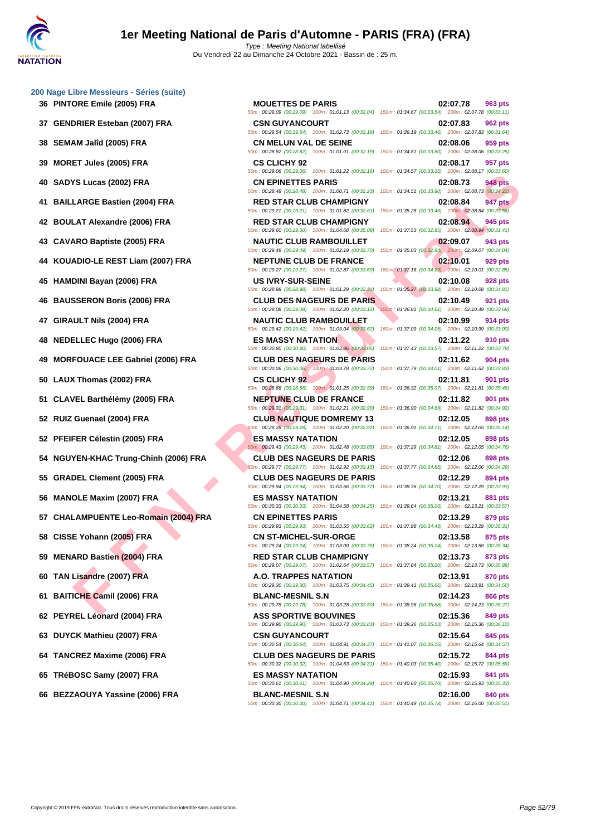- 
- **37 GENDRIER Esteban (2007) FRA CSN GUYANCOURT 02:07.83 962 pts**
- 
- 
- 
- **41 BAILLARGE Bastien (2004) FRA RED STAR CLUB CHAMPIGNY 02:08.84 947 pts**
- 
- 
- **44 KOUADIO-LE REST Liam (2007) FRA NEPTUNE CLUB DE FRANCE 02:10.01 929 pts**
- 
- 
- 
- 
- **49 MORFOUACE LEE Gabriel (2006) FRA CLUB DES NAGEURS DE PARIS 02:11.62 904 pts**
- 
- **51 CLAVEL Barthélémy (2005) FRA NEPTUNE CLUB DE FRANCE 02:11.82 901 pts**
- 
- 
- **54 NGUYEN-KHAC Trung-Chinh (2006) FRA CLUB DES NAGEURS DE PARIS 02:12.06 898 pts**
- 
- 
- **57 CHALAMPUENTE Leo-Romain (2004) FRA CN EPINETTES PARIS 02:13.29 879 pts**
- 
- 
- 
- 
- 
- 
- **64 TANCREZ Maxime (2006) FRA CLUB DES NAGEURS DE PARIS 02:15.72 844 pts**
- 
- **66 BEZZAOUYA Yassine (2006) FRA BLANC-MESNIL S.N 02:16.00 840 pts**

**FS LEG ES ENERE PROPORTER AND COLUBBER AND CONFIRMENTS PARTICULE RANGED IN A SCRIPTER CHAIR (2005) FRA THE R É STATIST NUMBER AND COLUBBER AND COLUBBER AND COLUBBER AND COLUBBER AND COLUBBER AND COLUBBER AND COLUBBER AND 36 PINTORE Emile (2005) FRA MOUETTES DE PARIS 02:07.78 963 pts** 50m : 00:29.09 (00:29.09) 100m : 01:01.13 (00:32.04) 150m : 01:34.67 (00:33.54) 200m : 02:07.78 (00:33.11) 50m : 00:29.54 (00:29.54) 100m : 01:02.73 (00:33.19) 150m : 01:36.19 (00:33.46) 200m : 02:07.83 (00:31.64) **38 SEMAM Jalîd (2005) FRA CN MELUN VAL DE SEINE 02:08.06 959 pts** 50m : 00:28.82 (00:28.82) 100m : 01:01.01 (00:32.19) 150m : 01:34.81 (00:33.80) 200m : 02:08.06 (00:33.25) **39 MORET Jules (2005) FRA CS CLICHY 92 02:08.17 957 pts** 50m : 00:29.06 (00:29.06) 100m : 01:01.22 (00:32.16) 150m : 01:34.57 (00:33.35) 200m : 02:08.17 (00:33.60) **40 SADYS Lucas (2002) FRA CN EPINETTES PARIS 02:08.73 948 pts** 50m : 00:28.48 (00:28.48) 100m : 01:00.71 (00:32.23) 150m : 01:34.51 (00:33.80) 200m : 02:08.73 (00:34.22) 50m : 00:29.21 (00:29.21) 100m : 01:01.82 (00:32.61) 150m : 01:35.28 (00:33.46) 200m : 02:08.84 (00:33.56) **42 BOULAT Alexandre (2006) FRA RED STAR CLUB CHAMPIGNY 02:08.94 945 pts** 50m : 00:29.60 (00:29.60) 100m : 01:04.68 (00:35.08) 150m : 01:37.53 (00:32.85) 200m : 02:08.94 (00:31.41) **43 CAVARO Baptiste (2005) FRA NAUTIC CLUB RAMBOUILLET 02:09.07 943 pts** 50m : 00:29.49 (00:29.49) 100m : 01:02.19 (00:32.70) 150m : 01:35.03 (00:32.84) 200m : 02:09.07 (00:34.04) 50m : 00:29.27 (00:29.27) 100m : 01:02.87 (00:33.60) 150m : 01:37.16 (00:34.29) 200m : 02:10.01 (00:32.85) **45 HAMDINI Bayan (2006) FRA US IVRY-SUR-SEINE 02:10.08 928 pts** 50m : 00:28.98 (00:28.98) 100m : 01:01.29 (00:32.31) 150m : 01:35.27 (00:33.98) 200m : 02:10.08 (00:34.81) **46** BAUSSERON Boris (2006) FRA<br> **60m**: 0029.08 (00.29.08) 100m: 01:02.20 (00:33.12) 150m: 01:02.8.81 (00:34.61) 200m: 02:10.49 (00:33.68) **47 GIRAULT Nils (2004) FRA NAUTIC CLUB RAMBOUILLET 02:10.99 914 pts** 50m : 00:29.42 (00:29.42) 100m : 01:03.04 (00:33.62) 150m : 01:37.09 (00:34.05) 200m : 02:10.99 (00:33.90) **48 NEDELLEC Hugo (2006) FRA ES MASSY NATATION 02:11.22 910 pts** 50m : 00:30.80 (00:30.80) 100m : 01:03.86 (00:33.06) 150m : 01:37.43 (00:33.57) 200m : 02:11.22 (00:33.79) 50m : 00:30.06 (00:30.06) 100m : 01:03.78 (00:33.72) 150m : 01:37.79 (00:34.01) 200m : 02:11.62 (00:33.83) **50 LAUX Thomas (2002) FRA CS CLICHY 92 02:11.81 901 pts** 50m : 00:28.66 (00:28.66) 100m : 01:01.25 (00:32.59) 150m : 01:36.32 (00:35.07) 200m : 02:11.81 (00:35.49) 50m : 00:29.31 (00:29.31) 100m : 01:02.21 (00:32.90) 150m : 01:36.90 (00:34.69) 200m : 02:11.82 (00:34.92) **52 RUIZ Guenael (2004) FRA CLUB NAUTIQUE DOMREMY 13 02:12.05 898 pts** 50m : 00:29.28 (00:29.28) 100m : 01:02.20 (00:32.92) 150m : 01:36.91 (00:34.71) 200m : 02:12.05 (00:35.14) **52 PFEIFER Célestin (2005) FRA ES MASSY NATATION 02:12.05 898 pts** 50m : 00:29.43 (00:29.43) 100m : 01:02.48 (00:33.05) 150m : 01:37.29 (00:34.81) 200m : 02:12.05 (00:34.76) 50m : 00:29.77 (00:29.77) 100m : 01:02.92 (00:33.15) 150m : 01:37.77 (00:34.85) 200m : 02:12.06 (00:34.29) **55 GRADEL Clement (2005) FRA CLUB DES NAGEURS DE PARIS 02:12.29 894 pts** 50m : 00:29.94 (00:29.94) 100m : 01:03.66 (00:33.72) 150m : 01:38.36 (00:34.70) 200m : 02:12.29 (00:33.93) **56 MANOLE Maxim (2007) FRA ES MASSY NATATION 02:13.21 881 pts** 50m : 00:30.33 (00:30.33) 100m : 01:04.58 (00:34.25) 150m : 01:39.64 (00:35.06) 200m : 02:13.21 (00:33.57) 50m : 00:29.93 (00:29.93) 100m : 01:03.55 (00:33.62) 150m : 01:37.98 (00:34.43) 200m : 02:13.29 (00:35.31) **58 CISSE Yohann (2005) FRA CN ST-MICHEL-SUR-ORGE 02:13.58 875 pts** 50m : 00:29.24 (00:29.24) 100m : 01:03.00 (00:33.76) 150m : 01:38.24 (00:35.24) 200m : 02:13.58 (00:35.34) **59 MENARD Bastien (2004) FRA RED STAR CLUB CHAMPIGNY 02:13.73 873 pts** 50m : 00:29.07 (00:29.07) 100m : 01:02.64 (00:33.57) 150m : 01:37.84 (00:35.20) 200m : 02:13.73 (00:35.89) **60 TAN Lisandre (2007) FRA A.O. TRAPPES NATATION 02:13.91 870 pts** 50m : 00:29.30 (00:29.30) 100m : 01:03.75 (00:34.45) 150m : 01:39.41 (00:35.66) 200m : 02:13.91 (00:34.50) **61 BAITICHE Camil (2006) FRA BLANC-MESNIL S.N 02:14.23 866 pts** 50m : 00:29.78 (00:29.78) 100m : 01:03.28 (00:33.50) 150m : 01:38.96 (00:35.68) 200m : 02:14.23 (00:35.27) **62 PEYREL Léonard (2004) FRA ASS SPORTIVE BOUVINES 02:15.36 849 pts** 50m : 00:29.90 (00:29.90) 100m : 01:03.73 (00:33.83) 150m : 01:39.26 (00:35.53) 200m : 02:15.36 (00:36.10) **63 DUYCK Mathieu (2007) FRA CSN GUYANCOURT 02:15.64 845 pts** 50m : 00:30.54 (00:30.54) 100m : 01:04.91 (00:34.37) 150m : 01:41.07 (00:36.16) 200m : 02:15.64 (00:34.57) 50m : 00:30.32 (00:30.32) 100m : 01:04.63 (00:34.31) 150m : 01:40.03 (00:35.40) 200m : 02:15.72 (00:35.69) **65 TRéBOSC Samy (2007) FRA ES MASSY NATATION 02:15.93 841 pts**

50m : 00:29.08 (00:29.08) 100m : 01:02.20 (00:33.12) 150m : 01:36.81 (00:34.61) 200m : 02:10.49 (00:33.68)

50m : 00:30.61 (00:30.61) 100m : 01:04.90 (00:34.29) 150m : 01:40.60 (00:35.70) 200m : 02:15.93 (00:35.33) 50m : 00:30.30 (00:30.30) 100m : 01:04.71 (00:34.41) 150m : 01:40.49 (00:35.78) 200m : 02:16.00 (00:35.51)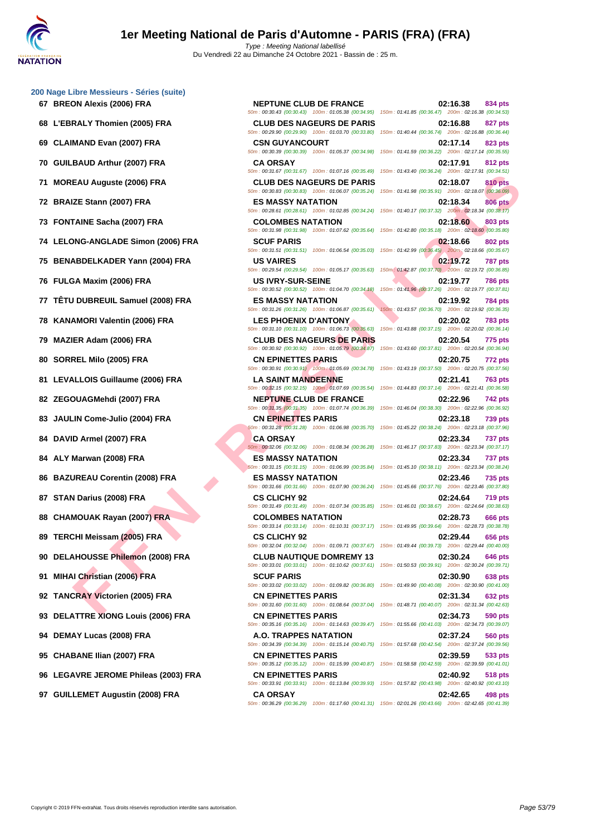|  | 200 Nage Libre Messieurs - Séries (suite) |  |
|--|-------------------------------------------|--|
|  |                                           |  |

- 
- 
- 
- 
- 
- 
- 
- 
- 
- 
- **77 TÊTU DUBREUIL Samuel (2008) FRA ES MASSY NATATION 02:19.92 784 pts**
- 
- 
- 
- 
- 
- 
- 
- 
- 
- 
- 
- 
- 
- 
- 
- **93 DELATTRE XIONG Louis (2006) FRA CN EPINETTES PARIS 02:34.73 590 pts**
- 
- 
- 
- 

**FAI** Anguste (2006) FRA - CLUB DE NAGEURS DE PARIS - CLUB DE NAGEURS DE PARIS - CLUB DE NAGEURS DE PARIS - CLUB DE NAGEURS DE PARIS - CLUB DE NAGEURS DE PARIS - CLUB DE NAGEURS DE PARIS - CLUB DE NAGEURS DE PARIS - CLUB **67 BREON Alexis (2006) FRA NEPTUNE CLUB DE FRANCE 02:16.38 834 pts** 50m : 00:30.43 (00:30.43) 100m : 01:05.38 (00:34.95) 150m : 01:41.85 (00:36.47) 200m : 02:16.38 (00:34.53) **68 L'EBRALY Thomien (2005) FRA CLUB DES NAGEURS DE PARIS 02:16.88 827 pts** 50m : 00:29.90 (00:29.90) 100m : 01:03.70 (00:33.80) 150m : 01:40.44 (00:36.74) 200m : 02:16.88 (00:36.44) **69 CLAIMAND Evan (2007) FRA CSN GUYANCOURT 02:17.14 823 pts** 50m : 00:30.39 (00:30.39) 100m : 01:05.37 (00:34.98) 150m : 01:41.59 (00:36.22) 200m : 02:17.14 (00:35.55) **70 GUILBAUD Arthur (2007) FRA CA ORSAY 02:17.91 812 pts** 50m : 00:31.67 (00:31.67) 100m : 01:07.16 (00:35.49) 150m : 01:43.40 (00:36.24) 200m : 02:17.91 (00:34.51) **71 MOREAU Auguste (2006) FRA CLUB DES NAGEURS DE PARIS 02:18.07 810 pts** 50m : 00:30.83 (00:30.83) 100m : 01:06.07 (00:35.24) 150m : 01:41.98 (00:35.91) 200m : 02:18.07 (00:36.09) **72 BRAIZE Stann (2007) FRA ES MASSY NATATION 02:18.34 806 pts** 50m : 00:28.61 (00:28.61) 100m : 01:02.85 (00:34.24) 150m : 01:40.17 (00:37.32) 200m : 02:18.34 (00:38.17) **73 FONTAINE Sacha (2007) FRA COLOMBES NATATION 02:18.60 803 pts** 50m : 00:31.98 (00:31.98) 100m : 01:07.62 (00:35.64) 150m : 01:42.80 (00:35.18) 200m : 02:18.60 (00:35.80) **74 LELONG-ANGLADE Simon (2006) FRA SCUF PARIS 02:18.66 802 pts** 50m : 00:31.51 (00:31.51) 100m : 01:06.54 (00:35.03) 150m : 01:42.99 (00:36.45) 200m : 02:18.66 (00:35.67) **75 BENABDELKADER Yann (2004) FRA US VAIRES 02:19.72 787 pts** 50m : 00:29.54 (00:29.54) 100m : 01:05.17 (00:35.63) 150m : 01:42.87 (00:37.70) 200m : 02:19.72 (00:36.85) **76 FULGA Maxim (2006) FRA US IVRY-SUR-SEINE 02:19.77 786 pts** 50m : 00:30.52 (00:30.52) 100m : 01:04.70 (00:34.18) 150m : 01:41.96 (00:37.26) 200m : 02:19.77 (00:37.81) 50m : 00:31.26 (00:31.26) 100m : 01:06.87 (00:35.61) 150m : 01:43.57 (00:36.70) 200m : 02:19.92 (00:36.35) **78 KANAMORI Valentin (2006) FRA LES PHOENIX D'ANTONY 02:20.02 783 pts** 50m : 00:31.10 (00:31.10) 100m : 01:06.73 (00:35.63) 150m : 01:43.88 (00:37.15) 200m : 02:20.02 (00:36.14) **79 MAZIER Adam (2006) FRA CLUB DES NAGEURS DE PARIS 02:20.54 775 pts** 50m : 00:30.92 (00:30.92) 100m : 01:05.79 (00:34.87) 150m : 01:43.60 (00:37.81) 200m : 02:20.54 (00:36.94) **80 SORREL Milo (2005) FRA CN EPINETTES PARIS 02:20.75 772 pts** 50m : 00:30.91 (00:30.91) 100m : 01:05.69 (00:34.78) 150m : 01:43.19 (00:37.50) 200m : 02:20.75 (00:37.56) **81 LEVALLOIS Guillaume (2006) FRA LA SAINT MANDEENNE 02:21.41 763 pts** 50m : 00:32.15 (00:32.15) 100m : 01:07.69 (00:35.54) 150m : 01:44.83 (00:37.14) 200m : 02:21.41 (00:36.58) **82 ZEGOUAGMehdi (2007) FRA NEPTUNE CLUB DE FRANCE 02:22.96 742 pts** 50m : 00:31.35 (00:31.35) 100m : 01:07.74 (00:36.39) 150m : 01:46.04 (00:38.30) 200m : 02:22.96 (00:36.92) **83 JAULIN Come-Julio (2004) FRA CN EPINETTES PARIS 02:23.18 739 pts** 50m : 00:31.28 (00:31.28) 100m : 01:06.98 (00:35.70) 150m : 01:45.22 (00:38.24) 200m : 02:23.18 (00:37.96) **84 DAVID Armel (2007) FRA CA ORSAY 02:23.34 737 pts** 50m : 00:32.06 (00:32.06) 100m : 01:08.34 (00:36.28) 150m : 01:46.17 (00:37.83) 200m : 02:23.34 (00:37.17) **84 ALY Marwan (2008) FRA ES MASSY NATATION 02:23.34 737 pts** 50m : 00:31.15 (00:31.15) 100m : 01:06.99 (00:35.84) 150m : 01:45.10 (00:38.11) 200m : 02:23.34 (00:38.24) **86 BAZUREAU Corentin (2008) FRA ES MASSY NATATION 02:23.46 735 pts** 50m : 00:31.66 (00:31.66) 100m : 01:07.90 (00:36.24) 150m : 01:45.66 (00:37.76) 200m : 02:23.46 (00:37.80) **87 STAN Darius (2008) FRA CS CLICHY 92 02:24.64 719 pts** 50m : 00:31.49 (00:31.49) 100m : 01:07.34 (00:35.85) 150m : 01:46.01 (00:38.67) 200m : 02:24.64 (00:38.63) **88 CHAMOUAK Rayan (2007) FRA COLOMBES NATATION 02:28.73 666 pts** 50m : 00:33.14 (00:33.14) 100m : 01:10.31 (00:37.17) 150m : 01:49.95 (00:39.64) 200m : 02:28.73 (00:38.78) **89 TERCHI Meissam (2005) FRA CS CLICHY 92 02:29.44 656 pts** 50m : 00:32.04 (00:32.04) 100m : 01:09.71 (00:37.67) 150m : 01:49.44 (00:39.73) 200m : 02:29.44 (00:40.00) **90 DELAHOUSSE Philemon (2008) FRA CLUB NAUTIQUE DOMREMY 13 02:30.24 646 pts** 50m : 00:33.01 (00:33.01) 100m : 01:10.62 (00:37.61) 150m : 01:50.53 (00:39.91) 200m : 02:30.24 (00:39.71) **91 MIHAI Christian (2006) FRA SCUF PARIS 02:30.90 638 pts** 50m : 00:33.02 (00:33.02) 100m : 01:09.82 (00:36.80) 150m : 01:49.90 (00:40.08) 200m : 02:30.90 (00:41.00) **92 TANCRAY Victorien (2005) FRA CN EPINETTES PARIS 02:31.34 632 pts** 50m : 00:31.60 (00:31.60) 100m : 01:08.64 (00:37.04) 150m : 01:48.71 (00:40.07) 200m : 02:31.34 (00:42.63) 50m : 00:35.16 (00:35.16) 100m : 01:14.63 (00:39.47) 150m : 01:55.66 (00:41.03) 200m : 02:34.73 (00:39.07) **94 DEMAY Lucas (2008) FRA A.O. TRAPPES NATATION 02:37.24 560 pts** 50m : 00:34.39 (00:34.39) 100m : 01:15.14 (00:40.75) 150m : 01:57.68 (00:42.54) 200m : 02:37.24 (00:39.56) **95 CHABANE Ilian (2007) FRA CN EPINETTES PARIS 02:39.59 533 pts** 50m : 00:35.12 (00:35.12) 100m : 01:15.99 (00:40.87) 150m : 01:58.58 (00:42.59) 200m : 02:39.59 (00:41.01) 50m : 00:33.91 (00:33.91) 100m : 01:13.84 (00:39.93) 150m : 01:57.82 (00:43.98) 200m : 02:40.92 (00:43.10)

**96 LEGAVRE JEROME Phileas (2003) FRA CN EPINETTES PARIS 02:40.92 518 pts**

**97 GUILLEMET Augustin (2008) FRA CA ORSAY 02:42.65 498 pts** 50m : 00:36.29 (00:36.29) 100m : 01:17.60 (00:41.31) 150m : 02:01.26 (00:43.66) 200m : 02:42.65 (00:41.39)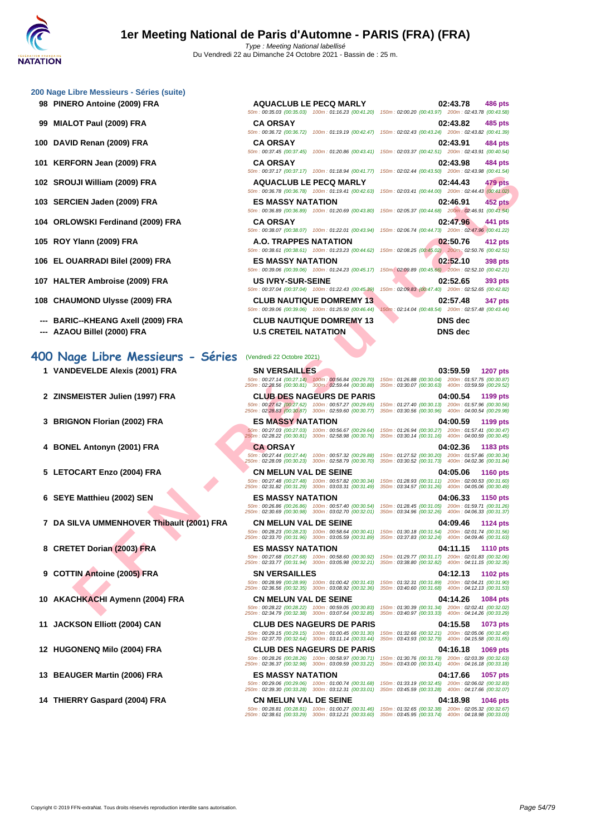- 
- 
- 
- 
- 
- 
- 
- 
- 
- 
- 
- **--- BARIC--KHEANG Axell (2009) FRA CLUB NAUTIQUE DOMREMY 13 DNS dec**
- 

# **400 Nage Libre Messieurs - Séries** (Vendredi 22 Octobre 2021)

- 
- 
- 
- 
- 
- 
- **7 DA SILVA UMMENHOVER Thibault (2001) FRA CN MELUN VAL DE SEINE 04:09.46 1124 pts**
- 
- 
- **10 AKACHKACHI Aymenn (2004) FRA CN MELUN VAL DE SEINE 04:14.26 1084 pts**
- 
- **12 HUGONENQ Milo (2004) FRA CLUB DES NAGEURS DE PARIS 04:16.18 1069 pts**
- 
- **14 THIERRY Gaspard (2004) FRA CN MELUN VAL DE SEINE 04:18.98 1046 pts**

| 98 PINERO Antoine (2009) FRA       | <b>AQUACLUB LE PECQ MARLY</b>   | 02:43.78<br><b>486 pts</b><br>50m: 00:35.03 (00:35.03) 100m: 01:16.23 (00:41.20) 150m: 02:00.20 (00:43.97) 200m: 02:43.78 (00:43.58)     |
|------------------------------------|---------------------------------|------------------------------------------------------------------------------------------------------------------------------------------|
| 99 MIALOT Paul (2009) FRA          | <b>CA ORSAY</b>                 | 02:43.82<br>485 pts<br>50m: 00:36.72 (00:36.72) 100m: 01:19.19 (00:42.47) 150m: 02:02.43 (00:43.24) 200m: 02:43.82 (00:41.39)            |
| 100 DAVID Renan (2009) FRA         | <b>CA ORSAY</b>                 | 02:43.91<br>484 pts<br>50m: 00:37.45 (00:37.45) 100m: 01:20.86 (00:43.41) 150m: 02:03.37 (00:42.51) 200m: 02:43.91 (00:40.54)            |
| 101 KERFORN Jean (2009) FRA        | <b>CA ORSAY</b>                 | 02:43.98<br><b>484 pts</b><br>50m: 00:37.17 (00:37.17) 100m: 01:18.94 (00:41.77) 150m: 02:02.44 (00:43.50) 200m: 02:43.98 (00:41.54)     |
| 102 SROUJI William (2009) FRA      | <b>AQUACLUB LE PECQ MARLY</b>   | 02:44.43<br><b>479 pts</b><br>50m : 00:36.78 (00:36.78) 100m : 01:19.41 (00:42.63) 150m : 02:03.41 (00:44.00) 200m : 02:44.43 (00:41.02) |
| 103 SERCIEN Jaden (2009) FRA       | <b>ES MASSY NATATION</b>        | 02:46.91<br><b>452 pts</b><br>50m: 00:36.89 (00:36.89) 100m: 01:20.69 (00:43.80) 150m: 02:05.37 (00:44.68) 200m: 02:46.91 (00:41.54)     |
| 104 ORLOWSKI Ferdinand (2009) FRA  | <b>CA ORSAY</b>                 | 02:47.96<br>441 pts<br>50m: 00:38.07 (00:38.07) 100m: 01:22.01 (00:43.94) 150m: 02:06.74 (00:44.73) 200m: 02:47.96 (00:41.22)            |
| 105 ROY Ylann (2009) FRA           | A.O. TRAPPES NATATION           | 02:50.76<br>412 pts<br>50m: 00:38.61 (00:38.61) 100m: 01:23.23 (00:44.62) 150m: 02:08.25 (00:45.02) 200m: 02:50.76 (00:42.51)            |
| 106 EL OUARRADI Bilel (2009) FRA   | <b>ES MASSY NATATION</b>        | 02:52.10<br>398 pts<br>50m: 00:39.06 (00:39.06) 100m: 01:24.23 (00:45.17) 150m: 02:09.89 (00:45.66) 200m: 02:52.10 (00:42.21)            |
| 107 HALTER Ambroise (2009) FRA     | <b>US IVRY-SUR-SEINE</b>        | 02:52.65<br>393 pts<br>50m: 00:37.04 (00:37.04) 100m: 01:22.43 (00:45.39) 150m: 02:09.83 (00:47.40) 200m: 02:52.65 (00:42.82)            |
| 108 CHAUMOND Ulysse (2009) FRA     | <b>CLUB NAUTIQUE DOMREMY 13</b> | 02:57.48<br>347 pts<br>50m : 00:39.06 (00:39.06) 100m : 01:25.50 (00:46.44) 150m : 02:14.04 (00:48.54) 200m : 02:57.48 (00:43.44)        |
| --- BARIC--KHEANG Axell (2009) FRA | <b>CLUB NAUTIQUE DOMREMY 13</b> | <b>DNS</b> dec                                                                                                                           |

250m : 02:37.70 (00:32.64) 300m : 03:11.14 (00:33.44) 350m : 03:43.93 (00:32.79) 400m : 04:15.58 (00:31.65)

UJI William (2009) FRA<br> **FRA - AND ACTION IS PECANALITY ON A SAMPLE SHOW THE PROBABLY NATALITY ON A SAMPLE SHOW THE SHOW THAN A SAMPLE SHOW THE SHOW THAN A SAMPLE SHOW THAN A SAMPLE SHOW THAN THE AND IS CONFIDENT ON A SAM** m : 02:05.37 (00:44.68) 200m : 02:46.91 (00:41.54) **104 ORLOWSKI Ferdinand (2009) FRA CA ORSAY 02:47.96 441 pts** m : 02:06.74 (00:44.73) 200m : 02:47.96 (00:41.22) **105 ROY Ylann (2009) FRA A.O. TRAPPES NATATION 02:50.76 412 pts** m : 02:08.25 (00:45.02) 200m : 02:50.76 (00:42.51) **106 EL OUARRADI Bilel (2009) FRA ES MASSY NATATION 02:52.10 398 pts** m : 02:09.89 (00:45.66) 200m : 02:52.10 (00:42.21) **107 HALTER Ambroise (2009) FRA US IVRY-SUR-SEINE 02:52.65 393 pts** n : 02:09.83 (00:47.40) 200m : 02:52.65 (00:42.82) **108 CHAUMOND Ulysse (2009) FRA CLUB NAUTIQUE DOMREMY 13 02:57.48 347 pts**  $\overline{n}$  : 02:14.04 (00:48.54) 200m : 02:57.48 (00:43.44) **--- AZAOU Billel (2000) FRA U.S CRETEIL NATATION DNS dec 1 VANDEVELDE Alexis (2001) FRA SN VERSAILLES 03:59.59 <b>1207 pts**<br>
50m : 00:27.14 (00:27.14 (00:27.14 (00:28.50 (00:28.50 ) 150m : 01:26.88 (00:30.04) 200m : 01:57.75 (00:30.87<br>
250m : 02:28.56 (00:30.81) 300m : 02:5 50m : 00:27.14 (00:27.14) 100m : 00:56.84 (00:29.70) 150m : 01:26.88 (00:30.04) 200m : 01:57.75 (00:30.87) 250m : 02:28.56 (00:30.81) 300m : 02:59.44 (00:30.88) 350m : 03:30.07 (00:30.63) 400m : 03:59.59 (00:29.52) **2 ZINSMEISTER Julien (1997) FRA CLUB DES NAGEURS DE PARIS 04:00.54 1199 pts** 50m : 00:27.62 (00:27.62) 100m : 00:57.27 (00:29.65) 150m : 01:27.40 (00:30.13) 200m : 01:57.96 (00:30.56) 250m : 02:28.83 (00:30.87) 300m : 02:59.60 (00:30.77) 350m : 03:30.56 (00:30.96) 400m : 04:00.54 (00:29.98) **3 BRIGNON Florian (2002) FRA ES MASSY NATATION 04:00.59 1199 pts** 50m : 00:27.03 (00:27.03) 100m : 00:56.67 (00:29.64) 150m : 01:26.94 (00:30.27) 200m : 01:57.41 (00:30.47) 250m : 02:28.22 (00:30.81) 300m : 02:58.98 (00:30.76) 350m : 03:30.14 (00:31.16) 400m : 04:00.59 (00:30.45) **4 BONEL Antonyn (2001) FRA CA ORSAY 04:02.36 1183 pts** 50m : 00:27.44 (00:27.44) 100m : 00:57.32 (00:29.88) 150m : 01:27.52 (00:30.20) 200m : 01:57.86 (00:30.34) 250m : 02:28.09 (00:30.23) 300m : 02:58.79 (00:30.70) 350m : 03:30.52 (00:31.73) 400m : 04:02.36 (00:31.84) **5 LETOCART Enzo (2004) FRA CN MELUN VAL DE SEINE 04:05.06 1160 pts** 50m : 00:27.48 (00:27.48) 100m : 00:57.82 (00:30.34) 150m : 01:28.93 (00:31.11) 200m : 02:00.53 (00:31.60) 250m : 02:31.82 (00:31.29) 300m : 03:03.31 (00:31.49) 350m : 03:34.57 (00:31.26) 400m : 04:05.06 (00:30.49) **6 SEYE Matthieu (2002) SEN ES MASSY NATATION 04:06.33 1150 pts** 50m : 00:26.86 (00:26.86) 100m : 00:57.40 (00:30.54) 150m : 01:28.45 (00:31.05) 200m : 01:59.71 (00:31.26) 250m : 02:30.69 (00:30.98) 300m : 03:02.70 (00:32.01) 350m : 03:34.96 (00:32.26) 400m : 04:06.33 (00:31.37) 50m : 00:28.23 (00:28.23) 100m : 00:58.64 (00:30.41) 150m : 01:30.18 (00:31.54) 200m : 02:01.74 (00:31.56) 250m : 02:33.70 (00:31.96) 300m : 03:05.59 (00:31.89) 350m : 03:37.83 (00:32.24) 400m : 04:09.46 (00:31.63) **8 CRETET Dorian (2003) FRA ES MASSY NATATION 04:11.15 1110 pts** 50m : 00:27.68 (00:27.68) 100m : 00:58.60 (00:30.92) 150m : 01:29.77 (00:31.17) 200m : 02:01.83 (00:32.06) 250m : 02:33.77 (00:31.94) 300m : 03:05.98 (00:32.21) 350m : 03:38.80 (00:32.82) 400m : 04:11.15 (00:32.35)

**9 COTTIN Antoine (2005) FRA SN VERSAILLES 04:12.13 1102 pts** 50m : 00:28.99 (00:28.99) 100m : 01:00.42 (00:31.43) 150m : 01:32.31 (00:31.89) 200m : 02:04.21 (00:31.90) 250m : 02:36.56 (00:32.35) 300m : 03:08.92 (00:32.36) 350m : 03:40.60 (00:31.68) 400m : 04:12.13 (00:31.53)

50m : 00:28.22 (00:28.22) 100m : 00:59.05 (00:30.83) 150m : 01:30.39 (00:31.34) 200m : 02:02.41 (00:32.02) 250m : 02:34.79 (00:32.38) 300m : 03:07.64 (00:32.85) 350m : 03:40.97 (00:33.33) 400m : 04:14.26 (00:33.29) **11 JACKSON Elliott (2004) CAN CLUB DES NAGEURS DE PARIS 04:15.58 1073 pts** 50m : 00:29.15 (00:29.15) 100m : 01:00.45 (00:31.30) 150m : 01:32.66 (00:32.21) 200m : 02:05.06 (00:32.40)

50m : 00:28.26 (00:28.26) 100m : 00:58.97 (00:30.71) 150m : 01:30.76 (00:31.79) 200m : 02:03.39 (00:32.63) 250m : 02:36.37 (00:32.98) 300m : 03:09.59 (00:33.22) 350m : 03:43.00 (00:33.41) 400m : 04:16.18 (00:33.18)

**13 BEAUGER Martin (2006) FRA ES MASSY NATATION 04:17.66 1057 pts**<br> **ES MASSY NATATION 00:29.06** (00:29.06) 100m: 01:00.74 (00:31.68) 150m: 01:33.19 (00:32.45) 200m: 02:06.02 (00:32.83)<br> **250m: 02:39.30** (00:33.2 50m : 00:29.06 (00:29.06) 100m : 01:00.74 (00:31.68) 150m : 01:33.19 (00:32.45) 200m : 02:06.02 (00:32.83) 250m : 02:39.30 (00:33.28) 300m : 03:12.31 (00:33.01) 350m : 03:45.59 (00:33.28) 400m : 04:17.66 (00:32.07)

50m : 00:28.81 (00:28.81) 100m : 01:00.27 (00:31.46) 150m : 01:32.65 (00:32.38) 200m : 02:05.32 (00:32.67) 250m : 02:38.61 (00:33.29) 300m : 03:12.21 (00:33.60) 350m : 03:45.95 (00:33.74) 400m : 04:18.98 (00:33.03)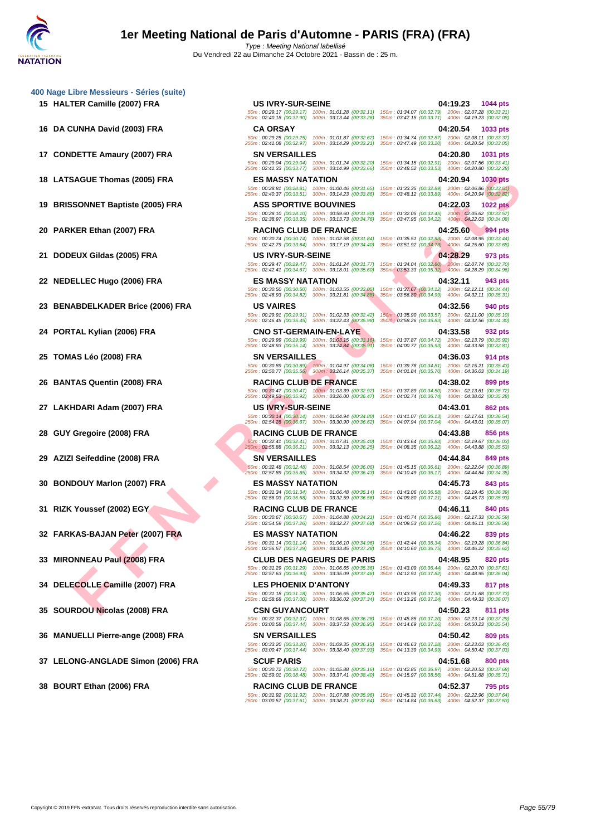Du Vendredi 22 au Dimanche 24 Octobre 2021 - Bassin de : 25 m.

**[400 Nage](http://www.ffnatation.fr/webffn/index.php) Libre Messieurs - Séries (suite)**

- 
- 
- 
- 
- 
- 
- 
- 
- 

- 
- 
- 
- 
- 
- 
- 
- 
- 
- 
- 
- 
- 

EACH Thomas (2005) FRA ES MASY NATATION<br>
SONNET Baptiste (2006) FRA ASS SPORTIVE BOUNDED IN THE SPINCE IS NOT A TO BE TAKING THE SPINCE IS NOT A TO BE TAKING THE SPINCE OF THE SPINCE OF THE SPINCE OF THE SPINCE OF THE SPIN **15 HALTER Camille (2007) FRA US IVRY-SUR-SEINE 04:19.23 1044 pts** 50m : 00:29.17 (00:29.17) 100m : 01:01.28 (00:32.11) 150m : 01:34.07 (00:32.79) 200m : 02:07.28 (00:33.21) 250m : 02:40.18 (00:32.90) 300m : 03:13.44 (00:33.26) 350m : 03:47.15 (00:33.71) 400m : 04:19.23 (00:32.08) **16 DA CUNHA David (2003) FRA CA ORSAY 04:20.54 1033 pts** 50m : 00:29.25 (00:29.25) 100m : 01:01.87 (00:32.62) 150m : 01:34.74 (00:32.87) 200m : 02:08.11 (00:33.37) 250m : 02:41.08 (00:32.97) 300m : 03:14.29 (00:33.21) 350m : 03:47.49 (00:33.20) 400m : 04:20.54 (00:33.05) **17 CONDETTE Amaury (2007) FRA SN VERSAILLES 04:20.80 1031 pts** 50m : 00:29.04 (00:29.04) 100m : 01:01.24 (00:32.20) 150m : 01:34.15 (00:32.91) 200m : 02:07.56 (00:33.41) 250m : 02:41.33 (00:33.77) 300m : 03:14.99 (00:33.66) 350m : 03:48.52 (00:33.53) 400m : 04:20.80 (00:32.28) **18 LATSAGUE Thomas (2005) FRA ES MASSY NATATION 04:20.94 1030 pts** 50m : 00:28.81 (00:28.81) 100m : 01:00.46 (00:31.65) 150m : 01:33.35 (00:32.89) 200m : 02:06.86 (00:33.51) 250m : 02:40.37 (00:33.51) 300m : 03:14.23 (00:33.86) 350m : 03:48.12 (00:33.89) 400m : 04:20.94 (00:32.82) **19 BRISSONNET Baptiste (2005) FRA ASS SPORTIVE BOUVINES 04:22.03 1022 pts** 50m : 00:28.10 (00:28.10) 100m : 00:59.60 (00:31.50) 150m : 01:32.05 (00:32.45) 200m : 02:05.62 (00:33.57) 250m : 02:38.97 (00:33.35) 300m : 03:13.73 (00:34.76) 350m : 03:47.95 (00:34.22) 400m : 04:22.03 (00:34.08) **20 PARKER Ethan (2007) FRA RACING CLUB DE FRANCE 04:25.60 994 pts** 50m : 00:30.74 (00:30.74) 100m : 01:02.58 (00:31.84) 150m : 01:35.51 (00:32.93) 200m : 02:08.95 (00:33.44) 250m : 02:42.79 (00:33.84) 300m : 03:17.19 (00:34.40) 350m : 03:51.92 (00:34.73) 400m : 04:25.60 (00:33.68) **21 DODEUX Gildas (2005) FRA US IVRY-SUR-SEINE 04:28.29 973 pts** 50m : 00:29.47 (00:29.47) 100m : 01:01.24 (00:31.77) 150m : 01:34.04 (00:32.80) 200m : 02:07.74 (00:33.70) 250m : 02:42.41 (00:34.67) 300m : 03:18.01 (00:35.60) 350m : 03:53.33 (00:35.32) 400m : 04:28.29 (00:34.96) **22 NEDELLEC Hugo (2006) FRA ES MASSY NATATION 04:32.11 943 pts** 50m : 00:30.50 (00:30.50) 100m : 01:03.55 (00:33.05) 150m : 01:37.67 (00:34.12) 200m : 02:12.11 (00:34.44) 250m : 02:46.93 (00:34.82) 300m : 03:21.81 (00:34.88) 350m : 03:56.80 (00:34.99) 400m : 04:32.11 (00:35.31) **23 BENABDELKADER Brice (2006) FRA US VAIRES 04:32.56 940 pts** 50m : 00:29.91 (00:29.91) 100m : 01:02.33 (00:32.42) 150m : 01:35.90 (00:33.57) 200m : 02:11.00 (00:35.10) 250m : 02:46.45 (00:35.45) 300m : 03:22.43 (00:35.98) 350m : 03:58.26 (00:35.83) 400m : 04:32.56 (00:34.30) **24 PORTAL Kylian (2006) FRA CNO ST-GERMAIN-EN-LAYE 04:33.58 932 pts** 50m : 00:29.99 (00:29.99) 100m : 01:03.15 (00:33.16) 150m : 01:37.87 (00:34.72) 200m : 02:13.79 (00:35.92) 250m : 02:48.93 (00:35.14) 300m : 03:24.84 (00:35.91) 350m : 04:00.77 (00:35.93) 400m : 04:33.58 (00:32.81) **25 TOMAS Léo (2008) FRA SN VERSAILLES 04:36.03 914 pts** 50m : 00:30.89 (00:30.89) 100m : 01:04.97 (00:34.08) 150m : 01:39.78 (00:34.81) 200m : 02:15.21 (00:35.43) 250m : 02:50.77 (00:35.56) 300m : 03:26.14 (00:35.37) 350m : 04:01.84 (00:35.70) 400m : 04:36.03 (00:34.19) **26 BANTAS Quentin (2008) FRA RACING CLUB DE FRANCE 04:38.02 899 pts** 50m : 00:30.47 (00:30.47) 100m : 01:03.39 (00:32.92) 150m : 01:37.89 (00:34.50) 200m : 02:13.61 (00:35.72) 250m : 02:49.53 (00:35.92) 300m : 03:26.00 (00:36.47) 350m : 04:02.74 (00:36.74) 400m : 04:38.02 (00:35.28) **27 LAKHDARI Adam (2007) FRA US IVRY-SUR-SEINE 04:43.01 862 pts** 50m : 00:30.14 (00:30.14) 100m : 01:04.94 (00:34.80) 150m : 01:41.07 (00:36.13) 200m : 02:17.61 (00:36.54) 250m : 02:54.28 (00:36.67) 300m : 03:30.90 (00:36.62) 350m : 04:07.94 (00:37.04) 400m : 04:43.01 (00:35.07) **28 GUY Gregoire (2008) FRA RACING CLUB DE FRANCE 04:43.88 856 pts** 50m : 00:32.41 (00:32.41) 100m : 01:07.81 (00:35.40) 150m : 01:43.64 (00:35.83) 200m : 02:19.67 (00:36.03) 250m : 02:55.88 (00:36.21) 300m : 03:32.13 (00:36.25) 350m : 04:08.35 (00:36.22) 400m : 04:43.88 (00:35.53) **29 AZIZI Seifeddine (2008) FRA SN VERSAILLES 04:44.84 849 pts** 50m : 00:32.48 (00:32.48) 100m : 01:08.54 (00:36.06) 150m : 01:45.15 (00:36.61) 200m : 02:22.04 (00:36.89) 250m : 02:57.89 (00:35.85) 300m : 03:34.32 (00:36.43) 350m : 04:10.49 (00:36.17) 400m : 04:44.84 (00:34.35) **30 BONDOUY Marlon (2007) FRA ES MASSY NATATION 04:45.73 843 pts** 50m : 00:31.34 (00:31.34) 100m : 01:06.48 (00:35.14) 150m : 01:43.06 (00:36.58) 200m : 02:19.45 (00:36.39) 250m : 02:56.03 (00:36.58) 300m : 03:32.59 (00:36.56) 350m : 04:09.80 (00:37.21) 400m : 04:45.73 (00:35.93) **31 RIZK Youssef (2002) EGY RACING CLUB DE FRANCE 04:46.11 840 pts** 50m : 00:30.67 (00:30.67) 100m : 01:04.88 (00:34.21) 150m : 01:40.74 (00:35.86) 200m : 02:17.33 (00:36.59) 250m : 02:54.59 (00:37.26) 300m : 03:32.27 (00:37.68) 350m : 04:09.53 (00:37.26) 400m : 04:46.11 (00:36.58) **32 FARKAS-BAJAN Peter (2007) FRA ES MASSY NATATION 04:46.22 839 pts** 50m : 00:31.14 (00:31.14) 100m : 01:06.10 (00:34.96) 150m : 01:42.44 (00:36.34) 200m : 02:19.28 (00:36.84) 250m : 02:56.57 (00:37.29) 300m : 03:33.85 (00:37.28) 350m : 04:10.60 (00:36.75) 400m : 04:46.22 (00:35.62) **33 MIRONNEAU Paul (2008) FRA CLUB DES NAGEURS DE PARIS 04:48.95 820 pts** 50m : 00:31.29 (00:31.29) 100m : 01:06.65 (00:35.36) 150m : 01:43.09 (00:36.44) 200m : 02:20.70 (00:37.61) 250m : 02:57.63 (00:36.93) 300m : 03:35.09 (00:37.46) 350m : 04:12.91 (00:37.82) 400m : 04:48.95 (00:36.04) **34 DELECOLLE Camille (2007) FRA LES PHOENIX D'ANTONY 04:49.33 817 pts** 50m : 00:31.18 (00:31.18) 100m : 01:06.65 (00:35.47) 150m : 01:43.95 (00:37.30) 200m : 02:21.68 (00:37.73) 250m : 02:58.68 (00:37.00) 300m : 03:36.02 (00:37.34) 350m : 04:13.26 (00:37.24) 400m : 04:49.33 (00:36.07) **35 SOURDOU Nicolas (2008) FRA CSN GUYANCOURT 04:50.23 811 pts** 50m : 00:32.37 (00:32.37) 100m : 01:08.65 (00:36.28) 150m : 01:45.85 (00:37.20) 200m : 02:23.14 (00:37.29) 250m : 03:00.58 (00:37.44) 300m : 03:37.53 (00:36.95) 350m : 04:14.69 (00:37.16) 400m : 04:50.23 (00:35.54) **36 MANUELLI Pierre-ange (2008) FRA SN VERSAILLES 04:50.42 809 pts** 50m : 00:33.20 (00:33.20) 100m : 01:09.35 (00:36.15) 150m : 01:46.63 (00:37.28) 200m : 02:23.03 (00:36.40) 250m : 03:00.47 (00:37.44) 300m : 03:38.40 (00:37.93) 350m : 04:13.39 (00:34.99) 400m : 04:50.42 (00:37.03) **37 LELONG-ANGLADE Simon (2006) FRA SCUF PARIS 04:51.68 800 pts** 50m : 00:30.72 (00:30.72) 100m : 01:05.88 (00:35.16) 150m : 01:42.85 (00:36.97) 200m : 02:20.53 (00:37.68) 250m : 02:59.01 (00:38.48) 300m : 03:37.41 (00:38.40) 350m : 04:15.97 (00:38.56) 400m : 04:51.68 (00:35.71) **38 BOURT Ethan (2006) FRA RACING CLUB DE FRANCE 04:52.37 795 pts**

50m : 00:31.92 (00:31.92) 100m : 01:07.88 (00:35.96) 150m : 01:45.32 (00:37.44) 200m : 02:22.96 (00:37.64) 250m : 03:00.57 (00:37.61) 300m : 03:38.21 (00:37.64) 350m : 04:14.84 (00:36.63) 400m : 04:52.37 (00:37.53)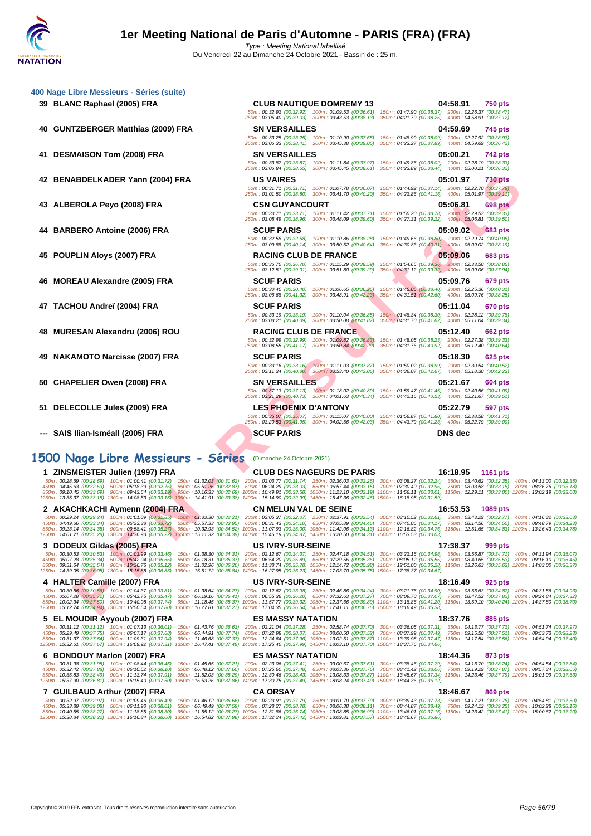| 400 Nage Libre Messieurs - Séries (suite)                                                                                                                                                                                                                                                                                                                                                                                                               |                                                                                                            |                                                                                                                                                                                                                       |  |
|---------------------------------------------------------------------------------------------------------------------------------------------------------------------------------------------------------------------------------------------------------------------------------------------------------------------------------------------------------------------------------------------------------------------------------------------------------|------------------------------------------------------------------------------------------------------------|-----------------------------------------------------------------------------------------------------------------------------------------------------------------------------------------------------------------------|--|
| 39 BLANC Raphael (2005) FRA                                                                                                                                                                                                                                                                                                                                                                                                                             | <b>CLUB NAUTIQUE DOMREMY 13</b>                                                                            | 04:58.91<br>750 pts<br>50m: 00:32.92 (00:32.92) 100m: 01:09.53 (00:36.61) 150m: 01:47.90 (00:38.37) 200m: 02:26.37 (00:38.47)                                                                                         |  |
|                                                                                                                                                                                                                                                                                                                                                                                                                                                         | 250m: 03:05.40 (00:39.03) 300m: 03:43.53 (00:38.13)                                                        | 350m: 04:21.79 (00:38.26) 400m: 04:58.91 (00:37.12)                                                                                                                                                                   |  |
| 40 GUNTZBERGER Matthias (2009) FRA                                                                                                                                                                                                                                                                                                                                                                                                                      | <b>SN VERSAILLES</b>                                                                                       | 04:59.69<br>745 pts<br>50m: 00:33.25 (00:33.25) 100m: 01:10.90 (00:37.65) 150m: 01:48.99 (00:38.09) 200m: 02:27.92 (00:38.93)                                                                                         |  |
|                                                                                                                                                                                                                                                                                                                                                                                                                                                         | 250m: 03:06.33 (00:38.41) 300m: 03:45.38 (00:39.05)                                                        | 350m: 04:23.27 (00:37.89) 400m: 04:59.69 (00:36.42)                                                                                                                                                                   |  |
| 41 DESMAISON Tom (2008) FRA                                                                                                                                                                                                                                                                                                                                                                                                                             | <b>SN VERSAILLES</b>                                                                                       | 05:00.21<br>742 pts                                                                                                                                                                                                   |  |
|                                                                                                                                                                                                                                                                                                                                                                                                                                                         |                                                                                                            | 50m: 00:33.87 (00:33.87) 100m: 01:11.84 (00:37.97) 150m: 01:49.86 (00:38.02) 200m: 02:28.19 (00:38.33)<br>250m: 03:06.84 (00:38.65) 300m: 03:45.45 (00:38.61) 350m: 04:23.89 (00:38.44) 400m: 05:00.21 (00:36.32)     |  |
| 42 BENABDELKADER Yann (2004) FRA                                                                                                                                                                                                                                                                                                                                                                                                                        | <b>US VAIRES</b>                                                                                           | 05:01.97<br><b>730 pts</b>                                                                                                                                                                                            |  |
|                                                                                                                                                                                                                                                                                                                                                                                                                                                         |                                                                                                            | 50m: 00:31.71 (00:31.71) 100m: 01:07.78 (00:36.07) 150m: 01:44.92 (00:37.14) 200m: 02:22.70 (00:37.78)<br>250m: 03:01.50 (00:38.80) 300m: 03:41.70 (00:40.20) 350m: 04:22.86 (00:41.16) 400m: 05:01.97 (00:39.11)     |  |
| 43 ALBEROLA Peyo (2008) FRA                                                                                                                                                                                                                                                                                                                                                                                                                             | <b>CSN GUYANCOURT</b>                                                                                      | 05:06.81<br>698 pts                                                                                                                                                                                                   |  |
|                                                                                                                                                                                                                                                                                                                                                                                                                                                         |                                                                                                            | 50m: 00:33.71 (00:33.71) 100m: 01:11.42 (00:37.71) 150m: 01:50.20 (00:38.78) 200m: 02:29.53 (00:39.33)<br>250m: 03:08.49 (00:38.96) 300m: 03:48.09 (00:39.60) 350m: 04:27.31 (00:39.22) 400m: 05:06.81 (00:39.50)     |  |
| 44 BARBERO Antoine (2006) FRA                                                                                                                                                                                                                                                                                                                                                                                                                           | <b>SCUF PARIS</b>                                                                                          | 05:09.02<br><b>683 pts</b>                                                                                                                                                                                            |  |
|                                                                                                                                                                                                                                                                                                                                                                                                                                                         |                                                                                                            | 50m : 00:32.58 (00:32.58) 100m : 01:10.86 (00:38.28) 150m : 01:49.66 (00:38.80) 200m : 02:29.74 (00:40.08)<br>250m: 03:09.88 (00:40.14) 300m: 03:50.52 (00:40.64) 350m: 04:30.83 (00:40.31) 400m: 05:09.02 (00:38.19) |  |
| 45 POUPLIN Aloys (2007) FRA                                                                                                                                                                                                                                                                                                                                                                                                                             | <b>RACING CLUB DE FRANCE</b>                                                                               | 05:09.06<br><b>683 pts</b>                                                                                                                                                                                            |  |
|                                                                                                                                                                                                                                                                                                                                                                                                                                                         | 250m: 03:12.51 (00:39.01) 300m: 03:51.80 (00:39.29)                                                        | 50m: 00:36.70 (00:36.70) 100m: 01:15.29 (00:38.59) 150m: 01:54.65 (00:39.36) 200m: 02:33.50 (00:38.85)<br>350m: 04:31.12 (00:39.32) 400m: 05:09.06 (00:37.94)                                                         |  |
| 46 MOREAU Alexandre (2005) FRA                                                                                                                                                                                                                                                                                                                                                                                                                          | <b>SCUF PARIS</b>                                                                                          | 05:09.76<br>679 pts                                                                                                                                                                                                   |  |
|                                                                                                                                                                                                                                                                                                                                                                                                                                                         |                                                                                                            | 50m : 00:30.40 (00:30.40) 100m : 01:06.65 (00:36.25) 150m : 01:45.05 (00:38.40) 200m : 02:25.36 (00:40.31)                                                                                                            |  |
| 47 TACHOU Andreï (2004) FRA                                                                                                                                                                                                                                                                                                                                                                                                                             | <b>SCUF PARIS</b>                                                                                          | 250m: 03:06.68 (00:41.32) 300m: 03:48.91 (00:42.23) 350m: 04:31.51 (00:42.60) 400m: 05:09.76 (00:38.25)<br>05:11.04                                                                                                   |  |
|                                                                                                                                                                                                                                                                                                                                                                                                                                                         | 50m: 00:33.19 (00:33.19) 100m: 01:10.04 (00:36.85)                                                         | 670 pts<br>150m: 01:48.34 (00:38.30) 200m: 02:28.12 (00:39.78)                                                                                                                                                        |  |
|                                                                                                                                                                                                                                                                                                                                                                                                                                                         |                                                                                                            | 250m: 03:08.21 (00:40.09) 300m: 03:50.08 (00:41.87) 350m: 04:31.70 (00:41.62) 400m: 05:11.04 (00:39.34)                                                                                                               |  |
| 48 MURESAN Alexandru (2006) ROU                                                                                                                                                                                                                                                                                                                                                                                                                         | <b>RACING CLUB DE FRANCE</b>                                                                               | 05:12.40<br>662 pts<br>50m: 00:32.99 (00:32.99) 100m: 01:09.82 (00:36.83) 150m: 01:48.05 (00:38.23) 200m: 02:27.38 (00:39.33)                                                                                         |  |
|                                                                                                                                                                                                                                                                                                                                                                                                                                                         | 250m: 03:08.55 (00:41.17) 300m: 03:50.84 (00:42.29)                                                        | 350m: 04:31.76 (00:40.92) 400m: 05:12.40 (00:40.64)                                                                                                                                                                   |  |
| 49 NAKAMOTO Narcisse (2007) FRA                                                                                                                                                                                                                                                                                                                                                                                                                         | <b>SCUF PARIS</b><br>50m: 00:33.16 (00:33.16) 100m: 01:11.03 (00:37.87)                                    | 05:18.30<br>625 pts<br>150m: 01:50.02 (00:38.99) 200m: 02:30.54 (00:40.52)                                                                                                                                            |  |
|                                                                                                                                                                                                                                                                                                                                                                                                                                                         | 250m: 03:11.34 (00:40.80) 300m: 03:53.40 (00:42.06)                                                        | 350m: 04:36.07 (00:42.67) 400m: 05:18.30 (00:42.23)                                                                                                                                                                   |  |
| 50 CHAPELIER Owen (2008) FRA                                                                                                                                                                                                                                                                                                                                                                                                                            | <b>SN VERSAILLES</b>                                                                                       | 05:21.67<br>604 pts                                                                                                                                                                                                   |  |
|                                                                                                                                                                                                                                                                                                                                                                                                                                                         |                                                                                                            | 50m : 00:37.13 (00:37.13) 100m : 01:18.02 (00:40.89) 150m : 01:59.47 (00:41.45) 200m : 02:40.56 (00:41.09)<br>250m: 03:21.29 (00:40.73) 300m: 04:01.63 (00:40.34) 350m: 04:42.16 (00:40.53) 400m: 05:21.67 (00:39.51) |  |
| 51 DELECOLLE Jules (2009) FRA                                                                                                                                                                                                                                                                                                                                                                                                                           | <b>LES PHOENIX D'ANTONY</b>                                                                                | 05:22.79<br>597 pts                                                                                                                                                                                                   |  |
|                                                                                                                                                                                                                                                                                                                                                                                                                                                         | 50m : 00:35.07 (00:35.07) 100m : 01:15.07 (00:40.00) 150m : 01:56.87 (00:41.80) 200m : 02:38.58 (00:41.71) |                                                                                                                                                                                                                       |  |
|                                                                                                                                                                                                                                                                                                                                                                                                                                                         |                                                                                                            | 250m: 03:20.53 (00:41.95) 300m: 04:02.56 (00:42.03) 350m: 04:43.79 (00:41.23) 400m: 05:22.79 (00:39.00)                                                                                                               |  |
| SAIS Ilian-Isméall (2005) FRA                                                                                                                                                                                                                                                                                                                                                                                                                           | <b>SCUF PARIS</b>                                                                                          | <b>DNS</b> dec                                                                                                                                                                                                        |  |
|                                                                                                                                                                                                                                                                                                                                                                                                                                                         |                                                                                                            |                                                                                                                                                                                                                       |  |
| 1500 Nage Libre Messieurs - Séries                                                                                                                                                                                                                                                                                                                                                                                                                      | (Dimanche 24 Octobre 2021)                                                                                 |                                                                                                                                                                                                                       |  |
| 1 ZINSMEISTER Julien (1997) FRA<br>50m: 00:28.69 (00:28.69) 100m: 01:00.41 (00:31.72) 150m: 01:32.03 (00:31.62) 200m: 02:03.77 (00:31.74) 250m: 02:26.03 (00:32.26) 300m: 03:08.27 (00:32.24) 350m: 03:40.62 (00:32.35) 400m: 04:13.00 (00:32.38)                                                                                                                                                                                                       | <b>CLUB DES NAGEURS DE PARIS</b>                                                                           | 16:18.95<br>1161 pts                                                                                                                                                                                                  |  |
| 450m : 04:45.63 (00:32.63) 500m : 05:18.39 (00:32.76) 550m : 05:51.26 (00:32.87) 600m : 06:24.29 (00:33.03) 650m : 06:57.44 (00:33.15) 700m : 07:30.40 (00:32.96) 750m : 08:03.58 (00:33.18) 800m : 08:36.76 (00:33.18)<br>850m : 09:10.45 (00:33.69) 900m : 09:43.64 (00:33.19) 950m : 10:16.33 (00:32.69) 1000m : 10:49.91 (00:33.58) 1050m : 11:23.10 (00:33.19) 1100m : 11:56.11 (00:33.01) 1150m : 12:29.11 (00:33.00) 1200m : 13:02.19 (00:33.08) |                                                                                                            |                                                                                                                                                                                                                       |  |
| 1250m : 13:35.37 (00:33.18) 1300m : 14:08.53 (00:33.16) 1350m : 14:41.91 (00:33.38) 1400m : 15:14.90 (00:32.99) 1450m : 15:47.36 (00:32.46) 1500m : 16:18.95 (00:31.59)                                                                                                                                                                                                                                                                                 |                                                                                                            |                                                                                                                                                                                                                       |  |
| 2 AKACHKACHI Aymenn (2004) FRA<br>50m: 00:29.24 (00:29.24) 100m: 01:01.09 (00:31.85) 150m: 01:33.30 (00:32.21) 200m: 02:05.37 (00:32.07) 250m: 02:37.91 (00:32.54) 300m: 03:10.52 (00:32.61) 350m: 03:43.29 (00:32.77) 400m: 04:16.32 (00:32.03)                                                                                                                                                                                                        | <b>CN MELUN VAL DE SEINE</b>                                                                               | 16:53.53<br>1089 pts                                                                                                                                                                                                  |  |
| 450m : 04:49.66 (00:33.34) 500m : 05:23.38 (00:33.72) 550m : 05:57.33 (00:33.95) 600m : 06:31.43 (00:34.10) 650m : 07:05.89 (00:34.46) 700m : 07:40.06 (00:34.17) 750m : 08:14.56 (00:34.50) 800m : 08:48.79 (00:34.23)<br>850m: 09:23.14 (00:34.35) 900m: 09:58.41 (00:36.27) 950m: 10:32.93 (00:34.52) 1000m: 11:07.93 (00:36.00) 1050m: 11:42.06 (00:34.13) 1100m: 12:16.82 (00:34.76) 1150m: 12:51.65 (00:34.83) 1200m: 13:26.43 (00:34.78)         |                                                                                                            |                                                                                                                                                                                                                       |  |
| 1250m: 14:01.71 (00:35.28) 1300m: 14:36.93 (00:35.22) 1350m: 15:11.32 (00:34.39) 1400m: 15:46.19 (00:34.87) 1450m: 16:20.50 (00:34.31) 1500m: 16:53.53 (00:33.03)                                                                                                                                                                                                                                                                                       |                                                                                                            |                                                                                                                                                                                                                       |  |
| 3 DODEUX Gildas (2005) FRA<br>50m: 00:30.53 (00:30.53) 100m: 01:03.99 (00:33.46) 150m: 01:38.30 (00:34.31) 200m: 02:12.67 (00:34.37) 250m: 02:47.18 (00:34.51) 300m: 03:22.16 (00:34.98) 350m: 03:56.87 (00:34.71) 400m: 04:31.94 (00:35.07)                                                                                                                                                                                                            | <b>US IVRY-SUR-SEINE</b>                                                                                   | 17:38.37<br>999 pts                                                                                                                                                                                                   |  |
| 450m: 05:07.28 (00:35.34) 500m: 05:42.94 (00:35.66) 550m: 06:18.31 (00:35.37) 600m: 06:54.20 (00:35.89) 650m: 07:29.56 (00:35.36)<br>850m : 09:51.64 (00:35.54) 900m - 10:26.76 (00:35.12) 950m : 11:02.96 (00:36.20) 1000m : 11:38.74 (00:35.78) 1050m : 12:14.72 (00:35.98) 1100m : 12:51.00 (00:36.28) 1150m : 13:26.63 (00:35.63) 1200m : 14:03.00 (00:36.37)                                                                                       |                                                                                                            | 700m: 08:05.12 (00:35.56) 750m: 08:40.65 (00:35.53) 800m: 09:16.10 (00:35.45)                                                                                                                                         |  |
| 1250m: 14:39.05 (00:36.05) 1300m: 15:15.88 (00:36.83) 1350m: 15:51.72 (00:35.84) 1400m: 16:27.95 (00:36.23) 1450m: 17:03.70 (00:35.75) 1500m: 17:38.37 (00:34.67)                                                                                                                                                                                                                                                                                       |                                                                                                            |                                                                                                                                                                                                                       |  |
| 4 HALTER Camille (2007) FRA                                                                                                                                                                                                                                                                                                                                                                                                                             | <b>US IVRY-SUR-SEINE</b>                                                                                   | 18:16.49<br>925 pts                                                                                                                                                                                                   |  |
| 50m: 00:30.56 (00:30.56) 100m: 01:04.37 (00:33.81) 150m: 01:38.64 (00:34.27) 200m: 02:12.62 (00:33.88) 250m: 02:46.86 (00:34.24) 300m: 03:21.76 (00:34.90) 350m: 03:56.63 (00:34.87) 400m: 04:31.56 (00:34.93)<br>450m : 05:07.28 (00:35.72) 500m : 05:42.75 (00:35.47) 550m : 06:19.16 (00:36.41) 600m : 06:55.36 (00:36.20) 650m : 07:32.63 (00:37.27) 700m : 08:09.70 (00:37.07) 750m : 08:47.52 (00:37.82) 800m : 09:24.84 (00:37.32)               |                                                                                                            |                                                                                                                                                                                                                       |  |
| 850m: 10:02.34 (00:37.50) 900m: 10:40.08 (00:37.74) 950m: 11:18.45 (00:38.37) 1000m: 11:57.77 (00:39.32) 1050m: 12:37.66 (00:39.89) 1100m: 13:18.86 (00:41.20) 1150m: 13:59.10 (00:40.24) 1200m: 14:37.80 (00:38.70)<br>1250m: 15:12.74 (00:34.94) 1300m: 15:50.54 (00:37.80) 1350m: 16:27.81 (00:37.27) 1400m: 17:04.35 (00:36.54) 1450m: 17:41.11 (00:36.76) 1500m: 18:16.49 (00:35.38)                                                               |                                                                                                            |                                                                                                                                                                                                                       |  |
| 5 EL MOUDIR Ayyoub (2007) FRA                                                                                                                                                                                                                                                                                                                                                                                                                           | <b>ES MASSY NATATION</b>                                                                                   | 18:37.76<br>885 pts                                                                                                                                                                                                   |  |
| 50m: 00:31.12 (00:31.12) 100m: 01:07.13 (00:36.01) 150m: 01:43.76 (00:36.63) 200m: 02:21.04 (00:37.28) 250m: 02:58.74 (00:37.70) 300m: 03:36.05 (00:37.31) 350m: 04:13.77 (00:37.72) 400m: 04:13.77 (00:37.97)<br>450m : 05:29.49 (00:37.75) 500m : 06:07.17 (00:37.68) 550m : 06:44.91 (00:37.74) 600m : 07:22.98 (00:38.07) 650m : 08:00.50 (00:37.52) 700m : 08:37.99 (00:37.99) 750m : 09:15.50 (00:37.51) 800m : 09:53.73 (00:38.23)               |                                                                                                            |                                                                                                                                                                                                                       |  |
| 850m: 10:31.37 (00:37.64) 900m: 11:09.31 (00:37.94) 950m: 11:46.68 (00:37.37) 1000m: 12:24.64 (00:37.96) 1050m: 13:02.51 (00:37.87) 1100m: 13:39.98 (00:37.47) 1150m: 14:17.54 (00:37.56) 1200m: 14:54.94 (00:37.40)<br>1250m: 15:32.61 (00:37.67) 1300m: 16:09.92 (00:37.31) 1350m: 16:47.41 (00:37.49) 1400m: 17:25.40 (00:37.99) 1450m: 18:03.10 (00:37.70) 1500m: 18:37.76 (00:34.66)                                                               |                                                                                                            |                                                                                                                                                                                                                       |  |
| 6 BONDOUY Marlon (2007) FRA                                                                                                                                                                                                                                                                                                                                                                                                                             | <b>ES MASSY NATATION</b>                                                                                   | 18:44.36<br>873 pts                                                                                                                                                                                                   |  |
| 50m: 00:31.98 (00:31.98) 100m: 01:08.44 (00:36.46) 150m: 01:45.65 (00:37.21) 200m: 02:23.06 (00:37.41) 250m: 03:00.67 (00:37.61) 300m: 03:38.46 (00:37.79) 350m: 04:16.70 (00:38.24) 400m: 04:54.54 (00:37.84)<br>450m : 05:32.42 (00:37.88) 500m : 06:10.52 (00:38.10) 550m : 06:48.12 (00:37.60) 600m : 07:25.60 (00:37.48) 650m : 08:03.36 (00:37.76) 700m : 08:41.42 (00:38.05) 750m : 09:19.29 (00:37.87) 800m : 09:57.34 (00:38.05)               |                                                                                                            |                                                                                                                                                                                                                       |  |
| 850m: 10:35.83 (00:38.49) 900m: 11:13.74 (00:37.91) 950m: 11:52.03 (00:38.29) 1000m: 12:30.46 (00:38.43) 1050m: 13:08.33 (00:37.87) 1100m: 13:45.67 (00:37.34) 1150m: 14:23.46 (00:37.79) 1200m: 15:01.09 (00:37.63)<br>1250m: 15:37.90 (00:36.81) 1300m: 16:15.40 (00:37.50) 1350m: 16:53.26 (00:37.86) 1400m: 17:30.75 (00:37.49) 1450m: 18:08.24 (00:37.49) 1500m: 18:44.36 (00:36.12)                                                               |                                                                                                            |                                                                                                                                                                                                                       |  |
| 7 GUILBAUD Arthur (2007) FRA                                                                                                                                                                                                                                                                                                                                                                                                                            | <b>CA ORSAY</b>                                                                                            | 18:46.67<br>869 pts                                                                                                                                                                                                   |  |
| 50m: 00:32.97 (00:32.97) 100m: 01:09.46 (00:36.49) 150m: 01:46.12 (00:36.66) 200m: 02:23.91 (00:37.79) 250m: 03:01.70 (00:37.79) 300m: 03:39.43 (00:37.73) 350m: 04:17.21 (00:37.78) 400m: 04:54.81 (00:37.60)<br>450m : 05:33.89 (00:39.08) 500m : 06:11.90 (00:38.01) 550m : 06:49.49 (00:37.59) 600m : 07:28.27 (00:38.78) 650m : 08:06.38 (00:38.11) 700m : 08:44.87 (00:38.49) 750m : 09:24.12 (00:39.25) 800m : 10:02.28 (00:38.16)               |                                                                                                            |                                                                                                                                                                                                                       |  |
| 850m: 10:40.55 (00:38.27) 900m: 11:18.85 (00:38.30) 950m: 11:55.12 (00:36.27) 1000m: 12:31.86 (00:36.74) 1050m: 13:08.85 (00:36.99) 1100m: 13:46.01 (00:37.16) 1150m: 14:23.42 (00:37.41) 1200m: 15:00.62 (00:37.20)<br>1250m: 15:38.84 (00:38.22) 1300m: 16:16.84 (00:38.00) 1350m: 16:54.82 (00:37.98) 1400m: 17:32.24 (00:37.42) 1450m: 18:09.81 (00:37.57) 1500m: 18:46.67 (00:36.86)                                                               |                                                                                                            |                                                                                                                                                                                                                       |  |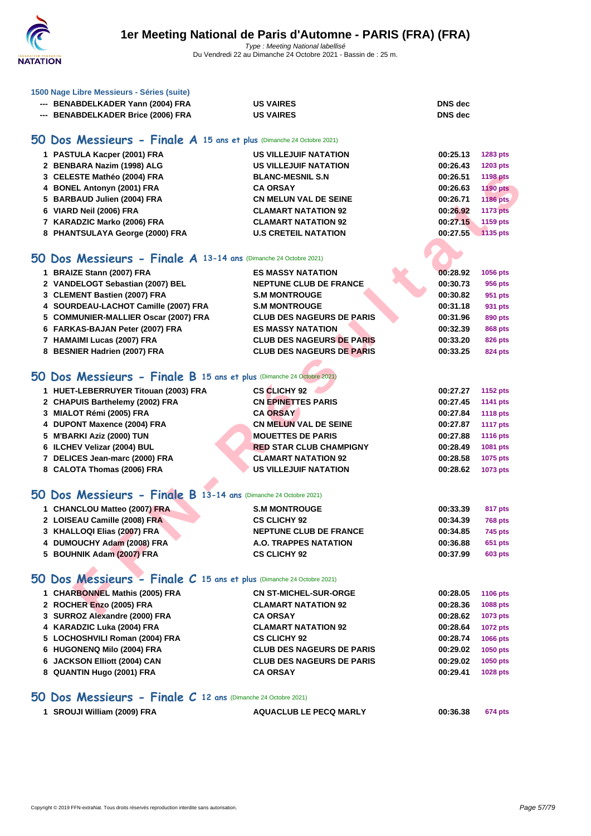

| --- BENABDELKADER Yann (2004) FRA  | <b>US VAIRES</b> | <b>DNS</b> dec |
|------------------------------------|------------------|----------------|
| --- BENABDELKADER Brice (2006) FRA | <b>US VAIRES</b> | <b>DNS</b> dec |

### **50 Dos Messieurs - Finale A 15 ans et plus** (Dimanche 24 Octobre 2021)

| 1 PASTULA Kacper (2001) FRA     | <b>US VILLEJUIF NATATION</b> | 00:25.13 | 1283 pts        |
|---------------------------------|------------------------------|----------|-----------------|
| 2 BENBARA Nazim (1998) ALG      | <b>US VILLEJUIF NATATION</b> | 00:26.43 | 1203 pts        |
| 3 CELESTE Mathéo (2004) FRA     | <b>BLANC-MESNIL S.N</b>      | 00:26.51 | <b>1198 pts</b> |
| 4 BONEL Antonyn (2001) FRA      | <b>CA ORSAY</b>              | 00:26.63 | <b>1190 pts</b> |
| 5 BARBAUD Julien (2004) FRA     | <b>CN MELUN VAL DE SEINE</b> | 00:26.71 | 1186 pts        |
| 6 VIARD Neil (2006) FRA         | <b>CLAMART NATATION 92</b>   | 00:26.92 | <b>1173 pts</b> |
| 7 KARADZIC Marko (2006) FRA     | <b>CLAMART NATATION 92</b>   | 00:27.15 | 1159 pts        |
| 8 PHANTSULAYA George (2000) FRA | <b>U.S CRETEIL NATATION</b>  | 00:27.55 | 1135 pts        |

### **50 Dos Messieurs - Finale A 13-14 ans** (Dimanche 24 Octobre 2021)

| 3 CELESTE Mathéo (2004) FRA                                          | <b>BLANC-MESNIL S.N.</b>         | 00:26.51 | <b>1198 pts</b> |
|----------------------------------------------------------------------|----------------------------------|----------|-----------------|
| 4 BONEL Antonyn (2001) FRA                                           | <b>CA ORSAY</b>                  | 00:26.63 | <b>1190 pts</b> |
| 5 BARBAUD Julien (2004) FRA                                          | <b>CN MELUN VAL DE SEINE</b>     | 00:26.71 | <b>1186 pts</b> |
| 6 VIARD Neil (2006) FRA                                              | <b>CLAMART NATATION 92</b>       | 00:26.92 | <b>1173 pts</b> |
| 7 KARADZIC Marko (2006) FRA                                          | <b>CLAMART NATATION 92</b>       | 00:27.15 | 1159 pts        |
| 8 PHANTSULAYA George (2000) FRA                                      | <b>U.S CRETEIL NATATION</b>      | 00:27.55 | 1135 pts        |
|                                                                      |                                  |          |                 |
| O Dos Messieurs - Finale A 13-14 ans (Dimanche 24 Octobre 2021)      |                                  |          |                 |
| 1 BRAIZE Stann (2007) FRA                                            | <b>ES MASSY NATATION</b>         | 00:28.92 | 1056 pts        |
| 2 VANDELOGT Sebastian (2007) BEL                                     | <b>NEPTUNE CLUB DE FRANCE</b>    | 00:30.73 | 956 pts         |
| 3 CLEMENT Bastien (2007) FRA                                         | <b>S.M MONTROUGE</b>             | 00:30.82 | 951 pts         |
| 4 SOURDEAU-LACHOT Camille (2007) FRA                                 | <b>S.M MONTROUGE</b>             | 00:31.18 | 931 pts         |
| 5 COMMUNIER-MALLIER Oscar (2007) FRA                                 | <b>CLUB DES NAGEURS DE PARIS</b> | 00:31.96 | 890 pts         |
| 6 FARKAS-BAJAN Peter (2007) FRA                                      | <b>ES MASSY NATATION</b>         | 00:32.39 | <b>868 pts</b>  |
| 7 HAMAIMI Lucas (2007) FRA                                           | <b>CLUB DES NAGEURS DE PARIS</b> | 00:33.20 | <b>826 pts</b>  |
| 8 BESNIER Hadrien (2007) FRA                                         | <b>CLUB DES NAGEURS DE PARIS</b> | 00:33.25 | <b>824 pts</b>  |
|                                                                      |                                  |          |                 |
| O Dos Messieurs - Finale B 15 ans et plus (Dimanche 24 Octobre 2021) |                                  |          |                 |
| 1 HUET-LEBERRUYER Titouan (2003) FRA                                 | <b>CS CLICHY 92</b>              | 00:27.27 | <b>1152 pts</b> |
| 2 CHAPUIS Barthelemy (2002) FRA                                      | <b>CN EPINETTES PARIS</b>        | 00:27.45 | 1141 pts        |
| 3 MIALOT Rémi (2005) FRA                                             | <b>CA ORSAY</b>                  | 00:27.84 | <b>1118 pts</b> |
| 4 DUPONT Maxence (2004) FRA                                          | <b>CN MELUN VAL DE SEINE</b>     | 00:27.87 | <b>1117 pts</b> |
| 5 M'BARKI Aziz (2000) TUN                                            | <b>MOUETTES DE PARIS</b>         | 00:27.88 | <b>1116 pts</b> |
| 6 ILCHEV Velizar (2004) BUL                                          | <b>RED STAR CLUB CHAMPIGNY</b>   | 00:28.49 | 1081 pts        |
| 7 DELICES Jean-marc (2000) FRA                                       | <b>CLAMART NATATION 92</b>       | 00:28.58 | 1075 pts        |
| 8 CALOTA Thomas (2006) FRA                                           | <b>US VILLEJUIF NATATION</b>     | 00:28.62 | 1073 pts        |
|                                                                      |                                  |          |                 |
| O Dos Messieurs - Finale B 13-14 ans (Dimanche 24 Octobre 2021)      |                                  |          |                 |
| 1 CHANCLOU Matteo (2007) FRA                                         | <b>S.M MONTROUGE</b>             | 00:33.39 | 817 pts         |
| 2 LOISEAU Camille (2008) FRA                                         | <b>CS CLICHY 92</b>              | 00:34.39 | <b>768 pts</b>  |
| 3 KHALLOQI Elias (2007) FRA                                          | <b>NEPTUNE CLUB DE FRANCE</b>    | 00:34.85 | 745 pts         |
| 4 DUMOUCHY Adam (2008) FRA                                           | A.O. TRAPPES NATATION            | 00:36.88 | 651 pts         |
| 5 BOUHNIK Adam (2007) FRA                                            | <b>CS CLICHY 92</b>              | 00:37.99 | <b>603 pts</b>  |
|                                                                      |                                  |          |                 |
| O Dos Messieurs - Finale C 15 ans et plus (Dimanche 24 Octobre 2021) |                                  |          |                 |
| 1 CHARBONNEL Mathis (2005) FRA                                       | <b>CN ST-MICHEL-SUR-ORGE</b>     | 00:28.05 | 1106 pts        |
| 2 ROCHER Enzo (2005) FRA                                             | <b>CLAMART NATATION 92</b>       | 00:28.36 | 1088 pts        |
| 2. CUDDOZ Alexandre (2000) ED A                                      | CA ODCAV                         | 00.2000  | ADZ2            |

# **50 Dos Messieurs - Finale B 15 ans et plus** (Dimanche 24 Octobre 2021)

| 1 HUET-LEBERRUYER Titouan (2003) FRA | <b>CS CLICHY 92</b>            | 00:27.27 | 1152 pts        |
|--------------------------------------|--------------------------------|----------|-----------------|
| 2 CHAPUIS Barthelemy (2002) FRA      | <b>CN EPINETTES PARIS</b>      | 00:27.45 | 1141 pts        |
| 3 MIALOT Rémi (2005) FRA             | <b>CA ORSAY</b>                | 00:27.84 | <b>1118 pts</b> |
| 4 DUPONT Maxence (2004) FRA          | <b>CN MELUN VAL DE SEINE</b>   | 00:27.87 | <b>1117 pts</b> |
| 5 M'BARKI Aziz (2000) TUN            | <b>MOUETTES DE PARIS</b>       | 00:27.88 | <b>1116 pts</b> |
| 6 ILCHEV Velizar (2004) BUL          | <b>RED STAR CLUB CHAMPIGNY</b> | 00:28.49 | 1081 pts        |
| 7 DELICES Jean-marc (2000) FRA       | <b>CLAMART NATATION 92</b>     | 00:28.58 | 1075 pts        |
| 8 CALOTA Thomas (2006) FRA           | <b>US VILLEJUIF NATATION</b>   | 00:28.62 | <b>1073 pts</b> |
|                                      |                                |          |                 |

# **50 Dos Messieurs - Finale B 13-14 ans** (Dimanche 24 Octobre 2021)

| 1 CHANCLOU Matteo (2007) FRA | <b>S.M MONTROUGE</b>          | 00:33.39 | 817 pts        |
|------------------------------|-------------------------------|----------|----------------|
| 2 LOISEAU Camille (2008) FRA | <b>CS CLICHY 92</b>           | 00:34.39 | <b>768 pts</b> |
| 3 KHALLOQI Elias (2007) FRA  | <b>NEPTUNE CLUB DE FRANCE</b> | 00:34.85 | 745 pts        |
| 4 DUMOUCHY Adam (2008) FRA   | A.O. TRAPPES NATATION         | 00:36.88 | 651 pts        |
| 5 BOUHNIK Adam (2007) FRA    | <b>CS CLICHY 92</b>           | 00:37.99 | 603 pts        |

# **50 Dos Messieurs - Finale C 15 ans et plus** (Dimanche 24 Octobre 2021)

| <b>1088 pts</b> |
|-----------------|
| 1073 pts        |
| 1072 pts        |
| <b>1066 pts</b> |
| 1050 pts        |
| 1050 pts        |
| <b>1028 pts</b> |
|                 |

### **50 Dos Messieurs - Finale C 12 ans** (Dimanche 24 Octobre 2021)

**SROUJI William (2009) FRA AQUACLUB LE PECQ MARLY 00:36.38 674 pts**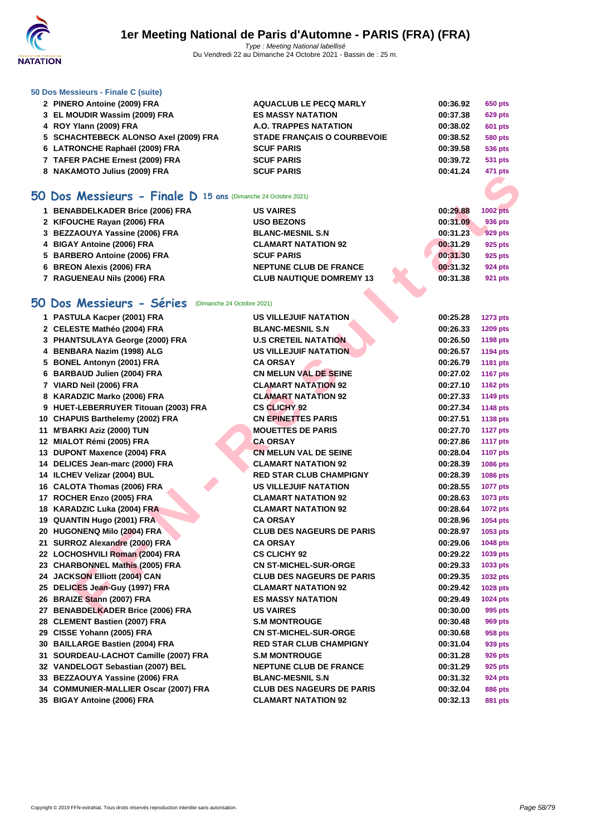

### **[50 Dos M](http://www.ffnatation.fr/webffn/index.php)essieurs - Finale C (suite)**

| 2 PINERO Antoine (2009) FRA           | <b>AQUACLUB LE PECQ MARLY</b>      | 00:36.92 | 650 pts        |
|---------------------------------------|------------------------------------|----------|----------------|
| 3 EL MOUDIR Wassim (2009) FRA         | <b>ES MASSY NATATION</b>           | 00:37.38 | <b>629 pts</b> |
| 4 ROY Ylann (2009) FRA                | A.O. TRAPPES NATATION              | 00:38.02 | <b>601 pts</b> |
| 5 SCHACHTEBECK ALONSO Axel (2009) FRA | <b>STADE FRANCAIS O COURBEVOIE</b> | 00:38.52 | <b>580 pts</b> |
| 6 LATRONCHE Raphaël (2009) FRA        | <b>SCUF PARIS</b>                  | 00:39.58 | 536 pts        |
| 7 TAFER PACHE Ernest (2009) FRA       | <b>SCUF PARIS</b>                  | 00:39.72 | <b>531 pts</b> |
| 8 NAKAMOTO Julius (2009) FRA          | <b>SCUF PARIS</b>                  | 00:41.24 | 471 pts        |
|                                       |                                    |          |                |

# **50 Dos Messieurs - Finale D 15 ans** (Dimanche 24 Octobre 2021)

| 1 BENABDELKADER Brice (2006) FRA | <b>US VAIRES</b>                | 00:29.88 | <b>1002 pts</b> |
|----------------------------------|---------------------------------|----------|-----------------|
| 2 KIFOUCHE Rayan (2006) FRA      | <b>USO BEZONS</b>               | 00:31.09 | 936 pts         |
| 3 BEZZAOUYA Yassine (2006) FRA   | <b>BLANC-MESNIL S.N.</b>        | 00:31.23 | 929 pts         |
| 4 BIGAY Antoine (2006) FRA       | <b>CLAMART NATATION 92</b>      | 00:31.29 | 925 pts         |
| 5 BARBERO Antoine (2006) FRA     | <b>SCUF PARIS</b>               | 00:31.30 | 925 pts         |
| 6 BREON Alexis (2006) FRA        | <b>NEPTUNE CLUB DE FRANCE</b>   | 00:31.32 | <b>924 pts</b>  |
| 7 RAGUENEAU Nils (2006) FRA      | <b>CLUB NAUTIQUE DOMREMY 13</b> | 00:31.38 | 921 pts         |
| O Dos Messieurs - Séries         | (Dimanche 24 Octobre 2021)      |          |                 |

# **50 Dos Messieurs - Séries** (Dimanche 24 Octobre 2021)

| $\sigma$ IN ARTING TO JUILUS (2003) I KA                        |                                  |          | +າ i pis        |
|-----------------------------------------------------------------|----------------------------------|----------|-----------------|
| $60$ Dos Messieurs - Finale D 15 ans (Dimanche 24 Octobre 2021) |                                  |          |                 |
| 1 BENABDELKADER Brice (2006) FRA                                | <b>US VAIRES</b>                 | 00:29.88 | <b>1002 pts</b> |
| 2 KIFOUCHE Rayan (2006) FRA                                     | <b>USO BEZONS</b>                | 00:31.09 | 936 pts         |
| 3 BEZZAOUYA Yassine (2006) FRA                                  | <b>BLANC-MESNIL S.N</b>          | 00:31.23 | 929 pts         |
| 4 BIGAY Antoine (2006) FRA                                      | <b>CLAMART NATATION 92</b>       | 00:31.29 | 925 pts         |
| 5 BARBERO Antoine (2006) FRA                                    | <b>SCUF PARIS</b>                | 00:31.30 | 925 pts         |
| 6 BREON Alexis (2006) FRA                                       | <b>NEPTUNE CLUB DE FRANCE</b>    | 00:31.32 | <b>924 pts</b>  |
| 7 RAGUENEAU Nils (2006) FRA                                     | <b>CLUB NAUTIQUE DOMREMY 13</b>  | 00:31.38 | <b>921 pts</b>  |
|                                                                 |                                  |          |                 |
| <b>O Dos Messieurs - Séries</b> (Dimanche 24 Octobre 2021)      |                                  |          |                 |
| 1 PASTULA Kacper (2001) FRA                                     | <b>US VILLEJUIF NATATION</b>     | 00:25.28 | <b>1273 pts</b> |
| 2 CELESTE Mathéo (2004) FRA                                     | <b>BLANC-MESNIL S.N</b>          | 00:26.33 | 1209 pts        |
| 3 PHANTSULAYA George (2000) FRA                                 | <b>U.S CRETEIL NATATION</b>      | 00:26.50 | <b>1198 pts</b> |
| 4 BENBARA Nazim (1998) ALG                                      | <b>US VILLEJUIF NATATION</b>     | 00:26.57 | <b>1194 pts</b> |
| 5 BONEL Antonyn (2001) FRA                                      | <b>CA ORSAY</b>                  | 00:26.79 | 1181 pts        |
| 6 BARBAUD Julien (2004) FRA                                     | <b>CN MELUN VAL DE SEINE</b>     | 00:27.02 | <b>1167 pts</b> |
| 7 VIARD Neil (2006) FRA                                         | <b>CLAMART NATATION 92</b>       | 00:27.10 | <b>1162 pts</b> |
| 8 KARADZIC Marko (2006) FRA                                     | <b>CLAMART NATATION 92</b>       | 00:27.33 | <b>1149 pts</b> |
| 9 HUET-LEBERRUYER Titouan (2003) FRA                            | <b>CS CLICHY 92</b>              | 00:27.34 | 1148 pts        |
| 10 CHAPUIS Barthelemy (2002) FRA                                | <b>CN EPINETTES PARIS</b>        | 00:27.51 | 1138 pts        |
| 11 M'BARKI Aziz (2000) TUN                                      | <b>MOUETTES DE PARIS</b>         | 00:27.70 | <b>1127 pts</b> |
| 12 MIALOT Rémi (2005) FRA                                       | <b>CA ORSAY</b>                  | 00:27.86 | <b>1117 pts</b> |
| 13 DUPONT Maxence (2004) FRA                                    | <b>CN MELUN VAL DE SEINE</b>     | 00:28.04 | <b>1107 pts</b> |
| 14 DELICES Jean-marc (2000) FRA                                 | <b>CLAMART NATATION 92</b>       | 00:28.39 | 1086 pts        |
| 14 ILCHEV Velizar (2004) BUL                                    | <b>RED STAR CLUB CHAMPIGNY</b>   | 00:28.39 | 1086 pts        |
| 16 CALOTA Thomas (2006) FRA                                     | US VILLEJUIF NATATION            | 00:28.55 | <b>1077 pts</b> |
| 17 ROCHER Enzo (2005) FRA                                       | <b>CLAMART NATATION 92</b>       | 00:28.63 | 1073 pts        |
| 18 KARADZIC Luka (2004) FRA                                     | <b>CLAMART NATATION 92</b>       | 00:28.64 | <b>1072 pts</b> |
| 19 QUANTIN Hugo (2001) FRA                                      | <b>CA ORSAY</b>                  | 00:28.96 | 1054 pts        |
| 20 HUGONENQ Milo (2004) FRA                                     | <b>CLUB DES NAGEURS DE PARIS</b> | 00:28.97 | 1053 pts        |
| 21 SURROZ Alexandre (2000) FRA                                  | <b>CA ORSAY</b>                  | 00:29.06 | 1048 pts        |
| 22 LOCHOSHVILI Roman (2004) FRA                                 | <b>CS CLICHY 92</b>              | 00:29.22 | 1039 pts        |
| 23 CHARBONNEL Mathis (2005) FRA                                 | <b>CN ST-MICHEL-SUR-ORGE</b>     | 00:29.33 | 1033 pts        |
| 24 JACKSON Elliott (2004) CAN                                   | <b>CLUB DES NAGEURS DE PARIS</b> | 00:29.35 | 1032 pts        |
| 25 DELICES Jean-Guy (1997) FRA                                  | <b>CLAMART NATATION 92</b>       | 00:29.42 | 1028 pts        |
| 26 BRAIZE Stann (2007) FRA                                      | <b>ES MASSY NATATION</b>         | 00:29.49 | 1024 pts        |
| 27 BENABDELKADER Brice (2006) FRA                               | <b>US VAIRES</b>                 | 00:30.00 | 995 pts         |
| 28 CLEMENT Bastien (2007) FRA                                   | S.M MONTROUGE                    | 00:30.48 | 969 pts         |
| 29 CISSE Yohann (2005) FRA                                      | <b>CN ST-MICHEL-SUR-ORGE</b>     | 00:30.68 | 958 pts         |
| 30 BAILLARGE Bastien (2004) FRA                                 | <b>RED STAR CLUB CHAMPIGNY</b>   | 00:31.04 | 939 pts         |
| 31 SOURDEAU-LACHOT Camille (2007) FRA                           | <b>S.M MONTROUGE</b>             | 00:31.28 | 926 pts         |
| 32 VANDELOGT Sebastian (2007) BEL                               | <b>NEPTUNE CLUB DE FRANCE</b>    | 00:31.29 | 925 pts         |
| 33 BEZZAOUYA Yassine (2006) FRA                                 | <b>BLANC-MESNIL S.N</b>          | 00:31.32 | 924 pts         |
| 34 COMMUNIER-MALLIER Oscar (2007) FRA                           | <b>CLUB DES NAGEURS DE PARIS</b> | 00:32.04 | <b>886 pts</b>  |
| 35 BIGAY Antoine (2006) FRA                                     | <b>CLAMART NATATION 92</b>       | 00:32.13 | <b>881 pts</b>  |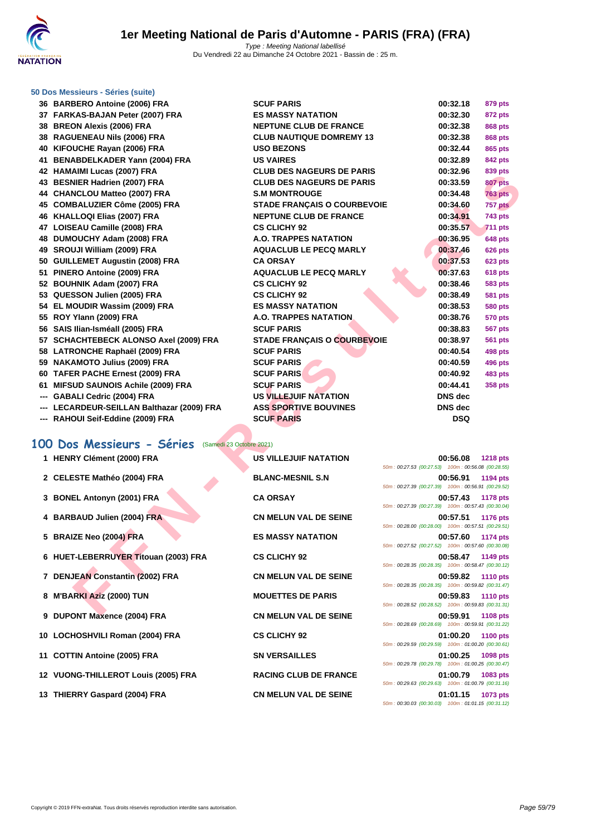

### **[50 Dos M](http://www.ffnatation.fr/webffn/index.php)essieurs - Séries (suite)**

| აი | DARDERU ANTOINE (2000) FRA                 |
|----|--------------------------------------------|
|    | 37 FARKAS-BAJAN Peter (2007) FRA           |
|    | 38 BREON Alexis (2006) FRA                 |
|    | 38 RAGUENEAU Nils (2006) FRA               |
|    | 40 KIFOUCHE Rayan (2006) FRA               |
|    | 41 BENABDELKADER Yann (2004) FRA           |
|    | 42 HAMAIMI Lucas (2007) FRA                |
|    | 43 BESNIER Hadrien (2007) FRA              |
|    | 44 CHANCLOU Matteo (2007) FRA              |
|    | 45 COMBALUZIER Côme (2005) FRA             |
|    | 46 KHALLOQI Elias (2007) FRA               |
|    | 47 LOISEAU Camille (2008) FRA              |
| 48 | DUMOUCHY Adam (2008) FRA                   |
| 49 | SROUJI William (2009) FRA                  |
|    | 50 GUILLEMET Augustin (2008) FRA           |
|    | 51 PINERO Antoine (2009) FRA               |
|    | 52 BOUHNIK Adam (2007) FRA                 |
|    | 53 QUESSON Julien (2005) FRA               |
|    | 54 EL MOUDIR Wassim (2009) FRA             |
|    | 55 ROY Ylann (2009) FRA                    |
| 56 | SAIS Ilian-Isméall (2005) FRA              |
|    | 57 SCHACHTEBECK ALONSO Axel (2009) FRA     |
|    | 58 LATRONCHE Raphaël (2009) FRA            |
|    | 59 NAKAMOTO Julius (2009) FRA              |
| 60 | TAFER PACHE Ernest (2009) FRA              |
|    | 61 MIFSUD SAUNOIS Achile (2009) FRA        |
|    | --- GABALI Cedric (2004) FRA               |
|    | --- LECARDEUR-SEILLAN Balthazar (2009) FRA |
|    | --- RAHOUI Seif-Eddine (2009) FRA          |
|    |                                            |
|    |                                            |

### **100 Dos Messieurs - Séries** (Samedi 23 Octobre 2021)

| 1 HENRY Clément (2000) FRA |  |
|----------------------------|--|
|----------------------------|--|

- 2 **CELESTE Mathéo (2004) FRA**
- **3 BONEL Antonyn (2001) FRA**
- **4 BARBAUD Julien (2004) FRA**
- **5 BRAIZE Neo (2004) FRA**
- **6 HUET-LEBERRUYER Titouan (2003) FRA**
- **7 DENJEAN Constantin (2002) FRA**
- **8 M'BARKI Aziz (2000) TUN**
- **9 DUPONT Maxence (2004) FRA**
- **10 LOCHOSHVILI Roman (2004) FRA**
- **11 COTTIN Antoine (2005) FRA**
- **12 VUONG-THILLEROT Louis (2005) FRA**
- **13 THIERRY Gaspard (2004) FRA CN MELUN VAL DE SEINE 01:01.15 1073 pts**

| 36 BARBERO Antoine (2006) FRA                         | <b>SCUF PARIS</b>                  | 00:32.18                                                       | 879 pts         |
|-------------------------------------------------------|------------------------------------|----------------------------------------------------------------|-----------------|
| 37 FARKAS-BAJAN Peter (2007) FRA                      | <b>ES MASSY NATATION</b>           | 00:32.30                                                       | 872 pts         |
| 38 BREON Alexis (2006) FRA                            | <b>NEPTUNE CLUB DE FRANCE</b>      | 00:32.38                                                       | <b>868 pts</b>  |
| 38 RAGUENEAU Nils (2006) FRA                          | <b>CLUB NAUTIQUE DOMREMY 13</b>    | 00:32.38                                                       | <b>868 pts</b>  |
| 40 KIFOUCHE Rayan (2006) FRA                          | <b>USO BEZONS</b>                  | 00:32.44                                                       | <b>865 pts</b>  |
| 41 BENABDELKADER Yann (2004) FRA                      | <b>US VAIRES</b>                   | 00:32.89                                                       | 842 pts         |
| 42 HAMAIMI Lucas (2007) FRA                           | <b>CLUB DES NAGEURS DE PARIS</b>   | 00:32.96                                                       | 839 pts         |
| 43 BESNIER Hadrien (2007) FRA                         | <b>CLUB DES NAGEURS DE PARIS</b>   | 00:33.59                                                       | <b>807 pts</b>  |
| 44 CHANCLOU Matteo (2007) FRA                         | <b>S.M MONTROUGE</b>               | 00:34.48                                                       | <b>763 pts</b>  |
| 45 COMBALUZIER Côme (2005) FRA                        | <b>STADE FRANÇAIS O COURBEVOIE</b> | 00:34.60                                                       | 757 pts         |
| 46 KHALLOQI Elias (2007) FRA                          | <b>NEPTUNE CLUB DE FRANCE</b>      | 00:34.91                                                       | 743 pts         |
| 47 LOISEAU Camille (2008) FRA                         | <b>CS CLICHY 92</b>                | 00:35.57                                                       | <b>711 pts</b>  |
| 48 DUMOUCHY Adam (2008) FRA                           | <b>A.O. TRAPPES NATATION</b>       | 00:36.95                                                       | <b>648 pts</b>  |
| 49 SROUJI William (2009) FRA                          | <b>AQUACLUB LE PECQ MARLY</b>      | 00:37.46                                                       | <b>626 pts</b>  |
| 50 GUILLEMET Augustin (2008) FRA                      | <b>CA ORSAY</b>                    | 00:37.53                                                       | <b>623 pts</b>  |
| 51 PINERO Antoine (2009) FRA                          | <b>AQUACLUB LE PECQ MARLY</b>      | 00:37.63                                                       | <b>618 pts</b>  |
| 52 BOUHNIK Adam (2007) FRA                            | <b>CS CLICHY 92</b>                | 00:38.46                                                       | <b>583 pts</b>  |
| 53 QUESSON Julien (2005) FRA                          | <b>CS CLICHY 92</b>                | 00:38.49                                                       | <b>581 pts</b>  |
| 54 EL MOUDIR Wassim (2009) FRA                        | <b>ES MASSY NATATION</b>           | 00:38.53                                                       | <b>580 pts</b>  |
| 55 ROY Ylann (2009) FRA                               | <b>A.O. TRAPPES NATATION</b>       | 00:38.76                                                       | <b>570 pts</b>  |
| 56 SAIS Ilian-Isméall (2005) FRA                      | <b>SCUF PARIS</b>                  | 00:38.83                                                       | <b>567 pts</b>  |
| 57 SCHACHTEBECK ALONSO Axel (2009) FRA                | <b>STADE FRANÇAIS O COURBEVOIE</b> | 00:38.97                                                       | 561 pts         |
| 58 LATRONCHE Raphaël (2009) FRA                       | <b>SCUF PARIS</b>                  | 00:40.54                                                       | <b>498 pts</b>  |
| 59 NAKAMOTO Julius (2009) FRA                         | <b>SCUF PARIS</b>                  | 00:40.59                                                       | 496 pts         |
| 60 TAFER PACHE Ernest (2009) FRA                      | <b>SCUF PARIS</b>                  | 00:40.92                                                       | <b>483 pts</b>  |
| 61 MIFSUD SAUNOIS Achile (2009) FRA                   | <b>SCUF PARIS</b>                  | 00:44.41                                                       | <b>358 pts</b>  |
| --- GABALI Cedric (2004) FRA                          | <b>US VILLEJUIF NATATION</b>       | DNS dec                                                        |                 |
| --- LECARDEUR-SEILLAN Balthazar (2009) FRA            | <b>ASS SPORTIVE BOUVINES</b>       | <b>DNS</b> dec                                                 |                 |
| --- RAHOUI Seif-Eddine (2009) FRA                     | <b>SCUF PARIS</b>                  | <b>DSQ</b>                                                     |                 |
| 00 Dos Messieurs - Séries<br>(Samedi 23 Octobre 2021) |                                    |                                                                |                 |
|                                                       |                                    |                                                                |                 |
| 1 HENRY Clément (2000) FRA                            | <b>US VILLEJUIF NATATION</b>       | 00:56.08<br>50m: 00:27.53 (00:27.53) 100m: 00:56.08 (00:28.55) | <b>1218 pts</b> |
| 2 CELESTE Mathéo (2004) FRA                           | <b>BLANC-MESNIL S.N</b>            | 00:56.91                                                       | 1194 pts        |
|                                                       |                                    | 50m: 00:27.39 (00:27.39) 100m: 00:56.91 (00:29.52)             |                 |
| 3 BONEL Antonyn (2001) FRA                            | <b>CA ORSAY</b>                    | 00:57.43                                                       | <b>1178 pts</b> |
|                                                       |                                    | 50m: 00:27.39 (00:27.39) 100m: 00:57.43 (00:30.04)             |                 |
| 4 BARBAUD Julien (2004) FRA                           | <b>CN MELUN VAL DE SEINE</b>       | 00:57.51<br>50m: 00:28.00 (00:28.00) 100m: 00:57.51 (00:29.51) | <b>1176 pts</b> |
| 5 BRAIZE Neo (2004) FRA                               | <b>ES MASSY NATATION</b>           | 00:57.60                                                       | 1174 pts        |
|                                                       |                                    | 50m: 00:27.52 (00:27.52) 100m: 00:57.60 (00:30.08)             |                 |
| 6 HUET-LEBERRUYER Titouan (2003) FRA                  | <b>CS CLICHY 92</b>                | 00:58.47                                                       | 1149 pts        |
|                                                       |                                    | 50m: 00:28.35 (00:28.35) 100m: 00:58.47 (00:30.12)             |                 |
| 7 DENJEAN Constantin (2002) FRA                       | <b>CN MELUN VAL DE SEINE</b>       | 00:59.82                                                       | <b>1110 pts</b> |
|                                                       |                                    | 50m: 00:28.35 (00:28.35) 100m: 00:59.82 (00:31.47)             |                 |
| 8 M'BARKI Aziz (2000) TUN                             | <b>MOUETTES DE PARIS</b>           | 00:59.83<br>50m: 00:28.52 (00:28.52) 100m: 00:59.83 (00:31.31) | <b>1110 pts</b> |
| <b>C. BUROMT MARGE</b><br>$ (000)$ $\Gamma$           | ON MELIIN VAL BE OFINE             | 00.50.04                                                       | $1100 - 1$      |

| US VILLEJUIF NATATION        |
|------------------------------|
| <b>BLANC-MESNIL S.N</b>      |
| <b>CA ORSAY</b>              |
| <b>CN MELUN VAL DE SEINE</b> |
| <b>ES MASSY NATATION</b>     |
| <b>CS CLICHY 92</b>          |
| <b>CN MELUN VAL DE SEINE</b> |
| <b>MOUETTES DE PARIS</b>     |
| <b>CN MELUN VAL DE SEINE</b> |
| <b>CS CLICHY 92</b>          |
| <b>SN VERSAILLES</b>         |
| <b>RACING CLUB DE FRANCE</b> |
|                              |

| 1 HENRY Clément (2000) FRA                          | US VILLEJUIF NATATION        | 50m: 00:27.53 (00:27.53) 100m: 00:56.08 (00:28.55) | 00:56.08 1218 pts |  |
|-----------------------------------------------------|------------------------------|----------------------------------------------------|-------------------|--|
| 2 CELESTE Mathéo (2004) FRA                         | <b>BLANC-MESNIL S.N</b>      | 50m: 00:27.39 (00:27.39) 100m: 00:56.91 (00:29.52) | 00:56.91 1194 pts |  |
| 3 BONEL Antonyn (2001) FRA                          | <b>CA ORSAY</b>              | 50m: 00:27.39 (00:27.39) 100m: 00:57.43 (00:30.04) | 00:57.43 1178 pts |  |
| 4 BARBAUD Julien (2004) FRA                         | <b>CN MELUN VAL DE SEINE</b> | 50m: 00:28.00 (00:28.00) 100m: 00:57.51 (00:29.51) | 00:57.51 1176 pts |  |
| 5 BRAIZE Neo (2004) FRA                             | <b>ES MASSY NATATION</b>     | 50m: 00:27.52 (00:27.52) 100m: 00:57.60 (00:30.08) | 00:57.60 1174 pts |  |
| 6 HUET-LEBERRU <mark>YER T</mark> itouan (2003) FRA | <b>CS CLICHY 92</b>          | 50m: 00:28.35 (00:28.35) 100m: 00:58.47 (00:30.12) | 00:58.47 1149 pts |  |
| 7 DENJEAN Constantin (2002) FRA                     | <b>CN MELUN VAL DE SEINE</b> | 50m: 00:28.35 (00:28.35) 100m: 00:59.82 (00:31.47) | 00:59.82 1110 pts |  |
| 8 M'BARKI Aziz (2000) TUN                           | <b>MOUETTES DE PARIS</b>     | 50m: 00:28.52 (00:28.52) 100m: 00:59.83 (00:31.31) | 00:59.83 1110 pts |  |
| 9 DUPONT Maxence (2004) FRA                         | <b>CN MELUN VAL DE SEINE</b> | 50m: 00:28.69 (00:28.69) 100m: 00:59.91 (00:31.22) | 00:59.91 1108 pts |  |
| 0 LOCHOSHVILI Roman (2004) FRA                      | <b>CS CLICHY 92</b>          | 50m: 00:29.59 (00:29.59) 100m: 01:00.20 (00:30.61) | 01:00.20 1100 pts |  |
| 1 COTTIN Antoine (2005) FRA                         | <b>SN VERSAILLES</b>         | 50m: 00:29.78 (00:29.78) 100m: 01:00.25 (00:30.47) | 01:00.25 1098 pts |  |
| 2 VUONG-THILLEROT Louis (2005) FRA                  | <b>RACING CLUB DE FRANCE</b> | 50m: 00:29.63 (00:29.63) 100m: 01:00.79 (00:31.16) | 01:00.79 1083 pts |  |
| 3 THIERRY Gaspard (2004) FRA                        | <b>CN MELUN VAL DE SEINE</b> | 50m: 00:30.03 (00:30.03) 100m: 01:01.15 (00:31.12) | 01:01.15 1073 pts |  |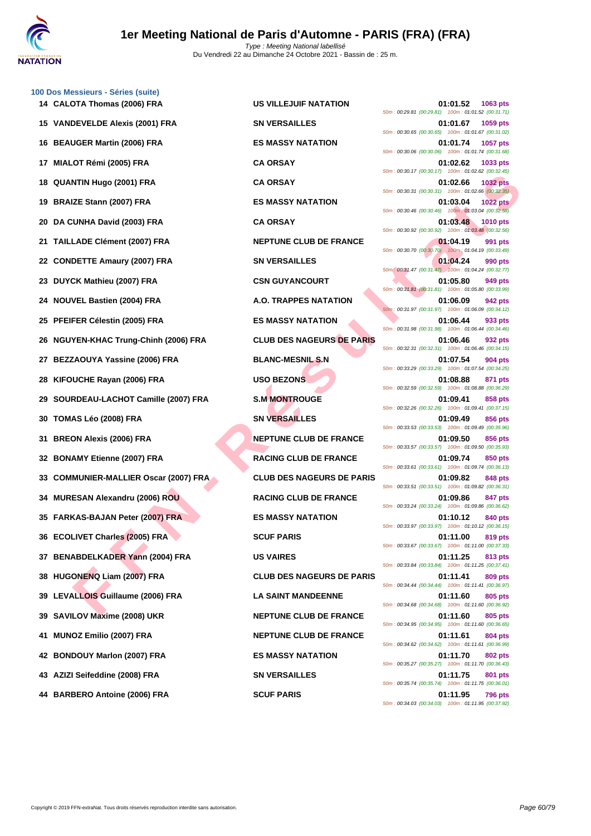

|    | 100 Dos Messieurs - Séries (suite)    |                                  |                                                                                   |
|----|---------------------------------------|----------------------------------|-----------------------------------------------------------------------------------|
|    | 14 CALOTA Thomas (2006) FRA           | <b>US VILLEJUIF NATATION</b>     | 01:01.52<br>1063 pts<br>50m: 00:29.81 (00:29.81) 100m: 01:01.52 (00:31.71)        |
|    | 15 VANDEVELDE Alexis (2001) FRA       | <b>SN VERSAILLES</b>             | 01:01.67<br>1059 pts<br>50m: 00:30.65 (00:30.65) 100m: 01:01.67 (00:31.02)        |
|    | 16 BEAUGER Martin (2006) FRA          | <b>ES MASSY NATATION</b>         | 1057 pts<br>01:01.74<br>50m: 00:30.06 (00:30.06) 100m: 01:01.74 (00:31.68)        |
|    | 17 MIALOT Rémi (2005) FRA             | <b>CA ORSAY</b>                  | 01:02.62<br>1033 pts<br>50m: 00:30.17 (00:30.17) 100m: 01:02.62 (00:32.45)        |
|    | 18 QUANTIN Hugo (2001) FRA            | <b>CA ORSAY</b>                  | <b>1032 pts</b><br>01:02.66<br>50m: 00:30.31 (00:30.31) 100m: 01:02.66 (00:32.35) |
|    | 19 BRAIZE Stann (2007) FRA            | <b>ES MASSY NATATION</b>         | 01:03.04<br><b>1022 pts</b><br>50m: 00:30.46 (00:30.46) 100m: 01:03.04 (00:32.58) |
| 20 | DA CUNHA David (2003) FRA             | <b>CA ORSAY</b>                  | 01:03.48<br>1010 pts<br>50m: 00:30.92 (00:30.92) 100m: 01:03.48 (00:32.56)        |
|    | 21 TAILLADE Clément (2007) FRA        | <b>NEPTUNE CLUB DE FRANCE</b>    | 01:04.19<br>991 pts<br>50m: 00:30.70 (00:30.70) 100m: 01:04.19 (00:33.49)         |
|    | 22 CONDETTE Amaury (2007) FRA         | <b>SN VERSAILLES</b>             | 01:04.24<br>990 pts<br>50m: 00:31.47 (00:31.47) 100m: 01:04.24 (00:32.77)         |
|    | 23 DUYCK Mathieu (2007) FRA           | <b>CSN GUYANCOURT</b>            | 01:05.80<br>949 pts<br>50m: 00:31.81 (00:31.81) 100m: 01:05.80 (00:33.99)         |
|    | 24 NOUVEL Bastien (2004) FRA          | <b>A.O. TRAPPES NATATION</b>     | 01:06.09<br><b>942 pts</b><br>50m: 00:31.97 (00:31.97) 100m: 01:06.09 (00:34.12)  |
|    | 25 PFEIFER Célestin (2005) FRA        | <b>ES MASSY NATATION</b>         | 01:06.44<br>933 pts<br>50m: 00:31.98 (00:31.98) 100m: 01:06.44 (00:34.46)         |
|    | 26 NGUYEN-KHAC Trung-Chinh (2006) FRA | <b>CLUB DES NAGEURS DE PARIS</b> | 01:06.46<br>932 pts<br>50m: 00:32.31 (00:32.31) 100m: 01:06.46 (00:34.15)         |
|    | 27 BEZZAOUYA Yassine (2006) FRA       | <b>BLANC-MESNIL S.N</b>          | 01:07.54<br>904 pts<br>50m: 00:33.29 (00:33.29) 100m: 01:07.54 (00:34.25)         |
|    | 28 KIFOUCHE Rayan (2006) FRA          | <b>USO BEZONS</b>                | 01:08.88<br>871 pts<br>50m: 00:32.59 (00:32.59) 100m: 01:08.88 (00:36.29)         |
|    | 29 SOURDEAU-LACHOT Camille (2007) FRA | <b>S.M MONTROUGE</b>             | 01:09.41<br>858 pts<br>50m: 00:32.26 (00:32.26) 100m: 01:09.41 (00:37.15)         |
|    | 30 TOMAS Léo (2008) FRA               | <b>SN VERSAILLES</b>             | 01:09.49<br>856 pts<br>50m: 00:33.53 (00:33.53) 100m: 01:09.49 (00:35.96)         |
|    | 31 BREON Alexis (2006) FRA            | <b>NEPTUNE CLUB DE FRANCE</b>    | 01:09.50<br>856 pts<br>50m: 00:33.57 (00:33.57) 100m: 01:09.50 (00:35.93)         |
|    | 32 BONAMY Etienne (2007) FRA          | <b>RACING CLUB DE FRANCE</b>     | 01:09.74<br>850 pts<br>50m: 00:33.61 (00:33.61) 100m: 01:09.74 (00:36.13)         |
|    | 33 COMMUNIER-MALLIER Oscar (2007) FRA | <b>CLUB DES NAGEURS DE PARIS</b> | 01:09.82<br>848 pts<br>50m: 00:33.51 (00:33.51) 100m: 01:09.82 (00:36.31)         |
|    | 34 MURESAN Alexandru (2006) ROU       | <b>RACING CLUB DE FRANCE</b>     | 01:09.86<br>847 pts<br>50m: 00:33.24 (00:33.24) 100m: 01:09.86 (00:36.62)         |
|    | 35 FARKAS-BAJAN Peter (2007) FRA      | <b>ES MASSY NATATION</b>         | 01:10.12<br>840 pts<br>50m: 00:33.97 (00:33.97) 100m: 01:10.12 (00:36.15)         |
|    | 36 ECOLIVET Charles (2005) FRA        | <b>SCUF PARIS</b>                | 01:11.00<br><b>819 pts</b><br>50m: 00:33.67 (00:33.67) 100m: 01:11.00 (00:37.33)  |
|    | 37 BENABDELKADER Yann (2004) FRA      | <b>US VAIRES</b>                 | 01:11.25<br>813 pts<br>50m: 00:33.84 (00:33.84) 100m: 01:11.25 (00:37.41)         |
|    | 38 HUGONENQ Liam (2007) FRA           | <b>CLUB DES NAGEURS DE PARIS</b> | <b>809 pts</b><br>01:11.41<br>50m: 00:34.44 (00:34.44) 100m: 01:11.41 (00:36.97)  |
|    | 39 LEVALLOIS Guillaume (2006) FRA     | <b>LA SAINT MANDEENNE</b>        | 01:11.60<br>805 pts<br>50m: 00:34.68 (00:34.68) 100m: 01:11.60 (00:36.92)         |
|    | 39 SAVILOV Maxime (2008) UKR          | <b>NEPTUNE CLUB DE FRANCE</b>    | 805 pts<br>01:11.60<br>50m : 00:34.95 (00:34.95) 100m : 01:11.60 (00:36.65)       |
| 41 | <b>MUNOZ Emilio (2007) FRA</b>        | <b>NEPTUNE CLUB DE FRANCE</b>    | 01:11.61<br>804 pts<br>50m: 00:34.62 (00:34.62) 100m: 01:11.61 (00:36.99)         |
|    | 42 BONDOUY Marlon (2007) FRA          | <b>ES MASSY NATATION</b>         | 802 pts<br>01:11.70<br>50m: 00:35.27 (00:35.27) 100m: 01:11.70 (00:36.43)         |
|    | 43 AZIZI Seifeddine (2008) FRA        | <b>SN VERSAILLES</b>             | 01:11.75<br>801 pts<br>50m: 00:35.74 (00:35.74) 100m: 01:11.75 (00:36.01)         |
|    |                                       |                                  |                                                                                   |

**FITH Hugo (2001) FRA**<br>
ES Mann (2007) FRA - ES MASSY NATATION<br>
CADE CHAMBION (2008) FRA - ES MASSY NATATION<br>
CADE CHAMBION (2009) FRA - ES MASSY NATATION<br>
CADE CHAMBION (2007) FRA - ES MASSY NATATION<br>
CADE CHAMBION (2007) **14 CALOTA Thomas (2006) FRA US VILLEJUIF NATATION 01:01.52 1063 pts** 50m : 00:29.81 (00:29.81) 100m : 01:01.52 (00:31.71) **15 VANDEVELDE Alexis (2001) FRA SN VERSAILLES 01:01.67 1059 pts** 50m : 00:30.65 (00:30.65) 100m : 01:01.67 (00:31.02) **16 BEAUGER MASSY NATATION 16 ES MASSY NATATION 16 D** 50m : 00:30.06 (00:30.06) 100m : 01:01.74 (00:31.68) **17 MIALOT Rémi (2005) FRA CA ORSAY 01:02.62 1033 pts** 50m : 00:30.17 (00:30.17) 100m : 01:02.62 (00:32.45) **18 QUANTIN Hugo (2001) FRA CA ORSAY 01:02.66 1032 pts** 50m : 00:30.31 (00:30.31) 100m : 01:02.66 (00:32.35) **19 BRAIZE Stann (2007) FRA ES MASSY NATATION 01:03.04 1022 pts** 50m : 00:30.46 (00:30.46) 100m : 01:03.04 (00:32.58) **2005 FRANCISCO CA ORSAY DATE: 2006 01:03.48 1010 pts** 50m : 00:30.92 (00:30.92) 100m : 01:03.48 (00:32.56) **211 <b>DEPTUNE CLUB DE FRANCE 01:04.19 991 pts** 50m : 00:30.70 (00:30.70) 100m : 01:04.19 (00:33.49) **221 <b>CONDETERTISHEDGETTE Amazury (2017) FRA CONDETERTISHEDGETTE AMANUSISM CONDETERT 01:04.24 990 pts** 50m : 00:31.47 (00:31.47) 100m : 01:04.24 (00:32.77) **23 DUYANCOURT D1:05.80 949 pts** 50m : 00:31.81 (00:31.81) 100m : 01:05.80 (00:33.99) **24 NOUVEL Bastien (2004) FRA A.O. TRAPPES NATATION 01:06.09 942 pts** 50m : 00:31.97 (00:31.97) 100m : 01:06.09 (00:34.12) **25 PFEIFER CES MASSY NATATION 01:06.44 933 pts** 50m : 00:31.98 (00:31.98) 100m : 01:06.44 (00:34.46) **26 26 CLUB DES NAGEURS DE PARIS 01:06.46 932 pts** 50m : 00:32.31 (00:32.31) 100m : 01:06.46 (00:34.15) **27 <b>BLANC-MESNIL S.N 01:07.54 904 pts** 50m : 00:33.29 (00:33.29) 100m : 01:07.54 (00:34.25) 50m : 00:32.59 (00:32.59) 100m : 01:08.88 (00:36.29) **29 SOURDEAU-LACHOT Camille (2007) FRA S.M MONTROUGE 01:09.41 858 pts** 50m : 00:32.26 (00:32.26) 100m : 01:09.41 (00:37.15) **30 TOMAS Léo (2008) FRA SN VERSAILLES 01:09.49 856 pts** 50m : 00:33.53 (00:33.53) 100m : 01:09.49 (00:35.96) **31 BREON Alexis (2006) FRA NEPTUNE CLUB DE FRANCE 01:09.50 856 pts** 50m : 00:33.57 (00:33.57) 100m : 01:09.50 (00:35.93) **RACING CLUB DE FRANCE** 01:09.74 850 pts 50m : 00:33.61 (00:33.61) 100m : 01:09.74 (00:36.13) **33 CLUB DES NAGEURS DE PARIS 01:09.82 848 pts** 50m : 00:33.51 (00:33.51) 100m : 01:09.82 (00:36.31) **347 pts 347 pts 847 pts** 50m : 00:33.24 (00:33.24) 100m : 01:09.86 (00:36.62) **35 FARKAS-BAJAN Peter (2007) FRA ES MASSY NATATION 01:10.12 840 pts** 50m : 00:33.97 (00:33.97) 100m : 01:10.12 (00:36.15) 50m : 00:33.67 (00:33.67) 100m : 01:11.00 (00:37.33) 50m : 00:33.84 (00:33.84) 100m : 01:11.25 (00:37.41) **38 HUGONENQ Liam (2007) FRA CLUB DES NAGEURS DE PARIS 01:11.41 809 pts** 50m : 00:34.44 (00:34.44) 100m : 01:11.41 (00:36.97) **39 LEVALLOIS Guillaume (2006) FRA LA SAINT MANDEENNE 01:11.60 805 pts** 50m : 00:34.68 (00:34.68) 100m : 01:11.60 (00:36.92) **NEPTUNE CLUB DE FRANCE** 01:11.60 805 pts 50m : 00:34.95 (00:34.95) 100m : 01:11.60 (00:36.65) **111.61 804 pts ALCORE EMILION CONTRACTE BUSIC DETENDING CLUB DE FRANCE** 50m : 00:34.62 (00:34.62) 100m : 01:11.61 (00:36.99) **42 BONDOUY Marlon (2007) FRA ES MASSY NATATION 01:11.70 802 pts** 50m : 00:35.27 (00:35.27) 100m : 01:11.70 (00:36.43) **43 AZIZI Seifeddine (2008) FRA SN VERSAILLES 01:11.75 801 pts** 50m : 00:35.74 (00:35.74) 100m : 01:11.75 (00:36.01) **44 BARBERO Antoine (2006) FRA SCUF PARIS 01:11.95 796 pts** 50m : 00:34.03 (00:34.03) 100m : 01:11.95 (00:37.92)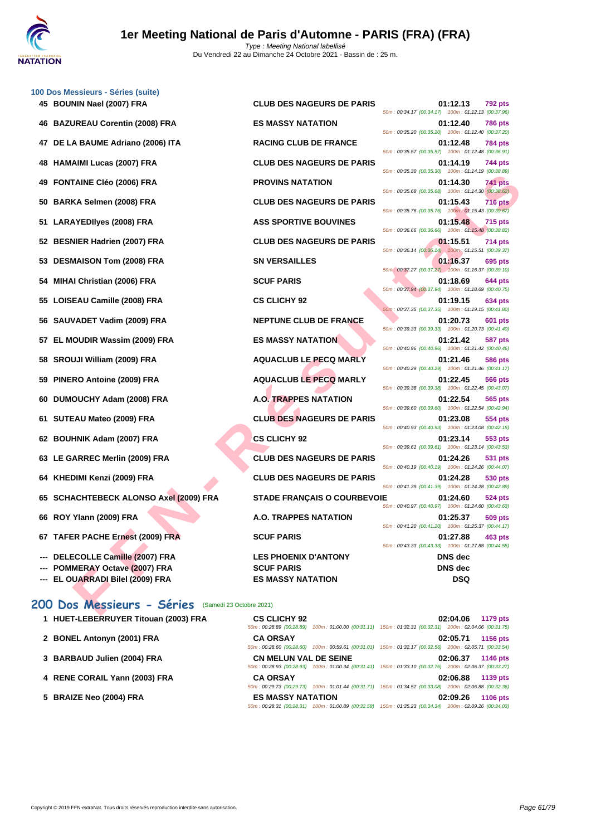

| 100 Dos Messieurs - Séries (suite)                                |                                    |                                                                                  |
|-------------------------------------------------------------------|------------------------------------|----------------------------------------------------------------------------------|
| 45 BOUNIN Nael (2007) FRA                                         | <b>CLUB DES NAGEURS DE PARIS</b>   | 01:12.13<br>792 pts<br>50m: 00:34.17 (00:34.17) 100m: 01:12.13 (00:37.96)        |
| 46 BAZUREAU Corentin (2008) FRA                                   | <b>ES MASSY NATATION</b>           | 01:12.40<br><b>786 pts</b><br>50m: 00:35.20 (00:35.20) 100m: 01:12.40 (00:37.20) |
| DE LA BAUME Adriano (2006) ITA<br>47                              | <b>RACING CLUB DE FRANCE</b>       | 01:12.48<br><b>784 pts</b><br>50m: 00:35.57 (00:35.57) 100m: 01:12.48 (00:36.91) |
| <b>HAMAIMI Lucas (2007) FRA</b><br>48.                            | <b>CLUB DES NAGEURS DE PARIS</b>   | 01:14.19<br>744 pts<br>50m: 00:35.30 (00:35.30) 100m: 01:14.19 (00:38.89)        |
| <b>FONTAINE CIéo (2006) FRA</b><br>49                             | <b>PROVINS NATATION</b>            | 741 pts<br>01:14.30                                                              |
| <b>BARKA Selmen (2008) FRA</b><br>50                              | <b>CLUB DES NAGEURS DE PARIS</b>   | 50m: 00:35.68 (00:35.68) 100m: 01:14.30 (00:38.62)<br><b>716 pts</b><br>01:15.43 |
| <b>LARAYEDIIyes (2008) FRA</b><br>51.                             | <b>ASS SPORTIVE BOUVINES</b>       | 50m: 00:35.76 (00:35.76) 100m: 01:15.43 (00:39.67)<br>01:15.48<br><b>715 pts</b> |
| 52 BESNIER Hadrien (2007) FRA                                     | <b>CLUB DES NAGEURS DE PARIS</b>   | 50m: 00:36.66 (00:36.66) 100m: 01:15.48 (00:38.82)<br>01:15.51<br><b>714 pts</b> |
| <b>DESMAISON Tom (2008) FRA</b><br>53                             | <b>SN VERSAILLES</b>               | 50m: 00:36.14 (00:36.14) 100m: 01:15.51 (00:39.37)<br>01:16.37<br>695 pts        |
| <b>MIHAI Christian (2006) FRA</b><br>54                           | <b>SCUF PARIS</b>                  | 50m: 00:37.27 (00:37.27) 100m: 01:16.37 (00:39.10)<br>01:18.69<br>644 pts        |
|                                                                   |                                    | 50m: 00:37.94 (00:37.94) 100m: 01:18.69 (00:40.75)                               |
| 55 LOISEAU Camille (2008) FRA                                     | <b>CS CLICHY 92</b>                | 01:19.15<br>634 pts<br>50m: 00:37.35 (00:37.35) 100m: 01:19.15 (00:41.80)        |
| 56 SAUVADET Vadim (2009) FRA                                      | NEPTUNE CLUB DE FRANCE             | 01:20.73<br>601 pts<br>50m: 00:39.33 (00:39.33) 100m: 01:20.73 (00:41.40)        |
| 57 EL MOUDIR Wassim (2009) FRA                                    | <b>ES MASSY NATATION</b>           | 01:21.42<br>587 pts<br>50m: 00:40.96 (00:40.96) 100m: 01:21.42 (00:40.46)        |
| SROUJI William (2009) FRA<br>58                                   | <b>AQUACLUB LE PECQ MARLY</b>      | 01:21.46<br>586 pts                                                              |
| PINERO Antoine (2009) FRA<br>59                                   | <b>AQUACLUB LE PECQ MARLY</b>      | 50m: 00:40.29 (00:40.29) 100m: 01:21.46 (00:41.17)<br>01:22.45<br>566 pts        |
| DUMOUCHY Adam (2008) FRA<br>60                                    | <b>A.O. TRAPPES NATATION</b>       | 50m: 00:39.38 (00:39.38) 100m: 01:22.45 (00:43.07)<br>01:22.54<br>565 pts        |
| SUTEAU Mateo (2009) FRA<br>61.                                    | <b>CLUB DES NAGEURS DE PARIS</b>   | 50m: 00:39.60 (00:39.60) 100m: 01:22.54 (00:42.94)<br>01:23.08<br>554 pts        |
| 62 BOUHNIK Adam (2007) FRA                                        | <b>CS CLICHY 92</b>                | 50m: 00:40.93 (00:40.93) 100m: 01:23.08 (00:42.15)<br>01:23.14                   |
|                                                                   |                                    | 553 pts<br>50m: 00:39.61 (00:39.61) 100m: 01:23.14 (00:43.53)                    |
| 63 LE GARREC Merlin (2009) FRA                                    | <b>CLUB DES NAGEURS DE PARIS</b>   | 01:24.26<br>531 pts<br>50m: 00:40.19 (00:40.19) 100m: 01:24.26 (00:44.07)        |
| KHEDIMI Kenzi (2009) FRA<br>64                                    | <b>CLUB DES NAGEURS DE PARIS</b>   | 01:24.28<br>530 pts<br>50m: 00:41.39 (00:41.39) 100m: 01:24.28 (00:42.89)        |
| 65 SCHACHTEBECK ALONSO Axel (2009) FRA                            | <b>STADE FRANÇAIS O COURBEVOIE</b> | 01:24.60<br>524 pts                                                              |
| 66 ROY Ylann (2009) FRA                                           | <b>A.O. TRAPPES NATATION</b>       | 50m: 00:40.97 (00:40.97) 100m: 01:24.60 (00:43.63)<br>01:25.37<br>509 pts        |
| 67 TAFER PACHE Ernest (2009) FRA                                  | <b>SCUF PARIS</b>                  | 50m: 00:41.20 (00:41.20) 100m: 01:25.37 (00:44.17)<br>01:27.88<br>463 pts        |
| ---                                                               | <b>LES PHOENIX D'ANTONY</b>        | 50m: 00:43.33 (00:43.33) 100m: 01:27.88 (00:44.55)                               |
| DELECOLLE Camille (2007) FRA<br><b>POMMERAY Octave (2007) FRA</b> | <b>SCUF PARIS</b>                  | <b>DNS</b> dec<br><b>DNS</b> dec                                                 |
| EL OUARRADI Bilel (2009) FRA                                      | <b>ES MASSY NATATION</b>           | DSQ                                                                              |
|                                                                   |                                    |                                                                                  |
| 200 Dos Messieurs - Séries<br>(Samedi 23 Octobre 2021)            |                                    |                                                                                  |

| 1 HUET-LEBERRUYER Titouan (2003) FRA | <b>CS CLICHY 92</b><br>50m: 00:28.89 (00:28.89)                                                                                        | 100m: 01:00.00 (00:31.11) 150m: 01:32.31 (00:32.31) 200m: 02:04.06 (00:31.75) | 02:04.06 | <b>1179 pts</b> |
|--------------------------------------|----------------------------------------------------------------------------------------------------------------------------------------|-------------------------------------------------------------------------------|----------|-----------------|
| 2 BONEL Antonyn (2001) FRA           | <b>CA ORSAY</b><br>50m; 00:28.60 (00:28.60) 100m; 00:59.61 (00:31.01) 150m; 01:32.17 (00:32.56) 200m; 02:05.71 (00:33.54)              |                                                                               | 02:05.71 | 1156 pts        |
| 3 BARBAUD Julien (2004) FRA          | <b>CN MELUN VAL DE SEINE</b><br>50m: 00:28.93 (00:28.93) 100m: 01:00.34 (00:31.41) 150m: 01:33.10 (00:32.76) 200m: 02:06.37 (00:33.27) |                                                                               | 02:06.37 | 1146 pts        |
| 4 RENE CORAIL Yann (2003) FRA        | <b>CA ORSAY</b><br>50m; 00:29.73 (00:29.73) 100m; 01:01.44 (00:31.71) 150m; 01:34.52 (00:33.08) 200m; 02:06.88 (00:32.36)              |                                                                               | 02:06.88 | 1139 pts        |
| 5 BRAIZE Neo (2004) FRA              | <b>ES MASSY NATATION</b><br>50m: 00:28.31 (00:28.31) 100m: 01:00.89 (00:32.58) 150m: 01:35.23 (00:34.34) 200m: 02:09.26 (00:34.03)     |                                                                               | 02:09.26 | <b>1106 pts</b> |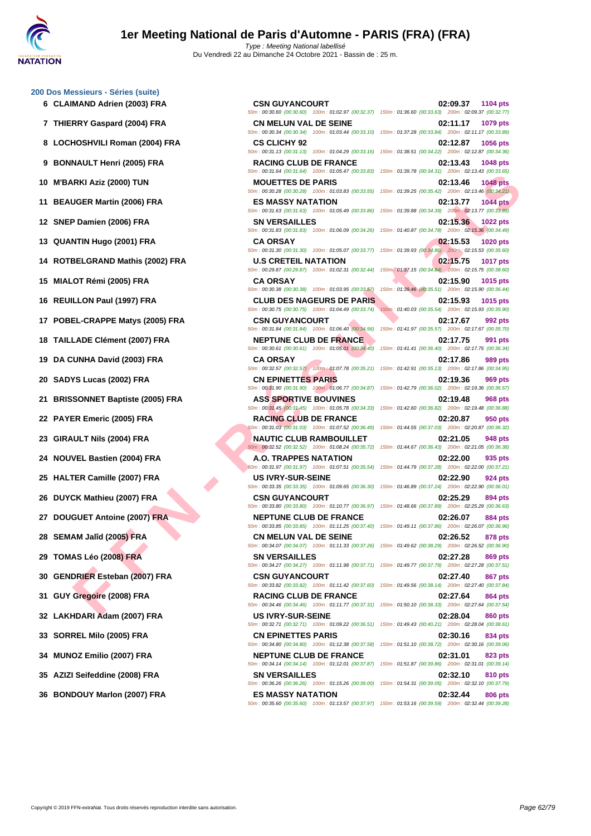### **[200 Dos M](http://www.ffnatation.fr/webffn/index.php)essieurs - Séries (suite)**

- 
- 
- **8 LOCHOSHVILI Roman (2004) FRA CS CLICHY 92 02:12.87 1056 pts**
- 
- 
- 
- 
- 
- **14 ROTBELGRAND Mathis (2002) FRA U.S CRETEIL NATATION 02:15.75 1017 pts**
- 
- 
- **17 POBEL-CRAPPE Matys (2005) FRA CSN GUYANCOURT 02:17.67 992 pts**
- **18 TAILLADE Clément (2007) FRA NEPTUNE CLUB DE FRANCE 02:17.75 991 pts**
- 
- 
- **21 BRISSONNET Baptiste (2005) FRA ASS SPORTIVE BOUVINES 02:19.48 968 pts**
- 
- 
- 
- 
- 
- 
- 
- 
- **30 GENDRIER Esteban (2007) FRA CSN GUYANCOURT 02:27.40 867 pts**
- 
- 
- 
- 
- 
- 

**FRANCISCOS PRANCISCOS PRANCISCOS PRANCISCOS PRANCISCOS PRANCISCOS PRANCISCOS PRANCISCOS PRANCISCOS PRANCISCOS PRANCISCOS PRANCISCOS PRANCISCOS PRANCISCOS PRANCISCOS PRANCISCOS PRANCISCOS PRANCISCOS PRANCISCOS PRANCISCOS 6 CLAIMAND Adrien (2003) FRA CSN GUYANCOURT 02:09.37 1104 pts** 50m : 00:30.60 (00:30.60) 100m : 01:02.97 (00:32.37) 150m : 01:36.60 (00:33.63) 200m : 02:09.37 (00:32.77) **7 THIERRY Gaspard (2004) FRA CN MELUN VAL DE SEINE 02:11.17 1079 pts** 50m : 00:30.34 (00:30.34) 100m : 01:03.44 (00:33.10) 150m : 01:37.28 (00:33.84) 200m : 02:11.17 (00:33.89) 50m : 00:31.13 (00:31.13) 100m : 01:04.29 (00:33.16) 150m : 01:38.51 (00:34.22) 200m : 02:12.87 (00:34.36) **9 BONNAULT Henri (2005) FRA RACING CLUB DE FRANCE 02:13.43 1048 pts** 50m : 00:31.64 (00:31.64) 100m : 01:05.47 (00:33.83) 150m : 01:39.78 (00:34.31) 200m : 02:13.43 (00:33.65) **10 M'BARKI Aziz (2000) TUN MOUETTES DE PARIS 02:13.46 1048 pts** 50m : 00:30.28 (00:30.28) 100m : 01:03.83 (00:33.55) 150m : 01:39.25 (00:35.42) 200m : 02:13.46 (00:34.21) **11 BEAUGER Martin (2006) FRA ES MASSY NATATION 02:13.77 1044 pts** 50m : 00:31.63 (00:31.63) 100m : 01:05.49 (00:33.86) 150m : 01:39.88 (00:34.39) 200m : 02:13.77 (00:33.89) **12 SNEP Damien (2006) FRA SN VERSAILLES 02:15.36 1022 pts** 50m : 00:31.83 (00:31.83) 100m : 01:06.09 (00:34.26) 150m : 01:40.87 (00:34.78) 200m : 02:15.36 (00:34.49) **13 QUANTIN Hugo (2001) FRA CA ORSAY 02:15.53 1020 pts** 50m : 00:31.30 (00:31.30) 100m : 01:05.07 (00:33.77) 150m : 01:39.93 (00:34.86) 200m : 02:15.53 (00:35.60) 50m : 00:29.87 (00:29.87) 100m : 01:02.31 (00:32.44) 150m : 01:37.15 (00:34.84) 200m : 02:15.75 (00:38.60) **15 MIALOT Rémi (2005) FRA CA ORSAY 02:15.90 1015 pts** 50m : 00:30.38 (00:30.38) 100m : 01:03.95 (00:33.57) 150m : 01:39.46 (00:35.51) 200m : 02:15.90 (00:36.44) **16 REUILLON Paul (1997) FRA CLUB DES NAGEURS DE PARIS 02:15.93 1015 pts** 50m : 00:30.75 (00:30.75) 100m : 01:04.49 (00:33.74) 150m : 01:40.03 (00:35.54) 200m : 02:15.93 (00:35.90) 50m : 00:31.84 (00:31.84) 100m : 01:06.40 (00:34.56) 150m : 01:41.97 (00:35.57) 200m : 02:17.67 (00:35.70) 50m : 00:30.61 (00:30.61) 100m : 01:05.01 (00:34.40) 150m : 01:41.41 (00:36.40) 200m : 02:17.75 (00:36.34) **19 DA CUNHA David (2003) FRA CA ORSAY 02:17.86 989 pts** 50m : 00:32.57 (00:32.57) 100m : 01:07.78 (00:35.21) 150m : 01:42.91 (00:35.13) 200m : 02:17.86 (00:34.95) **20 SADYS Lucas (2002) FRA CN EPINETTES PARIS 02:19.36 969 pts** 50m : 00:31.90 (00:31.90) 100m : 01:06.77 (00:34.87) 150m : 01:42.79 (00:36.02) 200m : 02:19.36 (00:36.57) 50m : 00:31.45 (00:31.45) 100m : 01:05.78 (00:34.33) 150m : 01:42.60 (00:36.82) 200m : 02:19.48 (00:36.88) **22 PAYER Emeric (2005) FRA RACING CLUB DE FRANCE 02:20.87 950 pts** 50m : 00:31.03 (00:31.03) 100m : 01:07.52 (00:36.49) 150m : 01:44.55 (00:37.03) 200m : 02:20.87 (00:36.32) **23 GIRAULT Nils (2004) FRA NAUTIC CLUB RAMBOUILLET 02:21.05 948 pts** 50m : 00:32.52 (00:32.52) 100m : 01:08.24 (00:35.72) 150m : 01:44.67 (00:36.43) 200m : 02:21.05 (00:36.38) **24 NOUVEL Bastien (2004) FRA A.O. TRAPPES NATATION 02:22.00 935 pts** 50m : 00:31.97 (00:31.97) 100m : 01:07.51 (00:35.54) 150m : 01:44.79 (00:37.28) 200m : 02:22.00 (00:37.21) **25 HALTER Camille (2007) FRA US IVRY-SUR-SEINE 02:22.90 924 pts** 50m : 00:33.35 (00:33.35) 100m : 01:09.65 (00:36.30) 150m : 01:46.89 (00:37.24) 200m : 02:22.90 (00:36.01) **26 DUYCK Mathieu (2007) FRA CSN GUYANCOURT 02:25.29 894 pts** 50m : 00:33.80 (00:33.80) 100m : 01:10.77 (00:36.97) 150m : 01:48.66 (00:37.89) 200m : 02:25.29 (00:36.63) **27 DOUGUET Antoine (2007) FRA NEPTUNE CLUB DE FRANCE 02:26.07 884 pts** 50m : 00:33.85 (00:33.85) 100m : 01:11.25 (00:37.40) 150m : 01:49.11 (00:37.86) 200m : 02:26.07 (00:36.96) **28 SEMAM Jalîd (2005) FRA CN MELUN VAL DE SEINE 02:26.52 878 pts** 50m : 00:34.07 (00:34.07) 100m : 01:11.33 (00:37.26) 150m : 01:49.62 (00:38.29) 200m : 02:26.52 (00:36.90) **29 TOMAS Léo (2008) FRA SN VERSAILLES 02:27.28 869 pts** 50m : 00:34.27 (00:34.27) 100m : 01:11.98 (00:37.71) 150m : 01:49.77 (00:37.79) 200m : 02:27.28 (00:37.51) 50m : 00:33.82 (00:33.82) 100m : 01:11.42 (00:37.60) 150m : 01:49.56 (00:38.14) 200m : 02:27.40 (00:37.84) **31 GUY Gregoire (2008) FRA RACING CLUB DE FRANCE 02:27.64 864 pts** 50m : 00:34.46 (00:34.46) 100m : 01:11.77 (00:37.31) 150m : 01:50.10 (00:38.33) 200m : 02:27.64 (00:37.54) **32 LAKHDARI Adam (2007) FRA US IVRY-SUR-SEINE 02:28.04 860 pts** 50m : 00:32.71 (00:32.71) 100m : 01:09.22 (00:36.51) 150m : 01:49.43 (00:40.21) 200m : 02:28.04 (00:38.61) **33 SORREL Milo (2005) FRA CN EPINETTES PARIS 02:30.16 834 pts** 50m : 00:34.80 (00:34.80) 100m : 01:12.38 (00:37.58) 150m : 01:51.10 (00:38.72) 200m : 02:30.16 (00:39.06) **34 MUNOZ Emilio (2007) FRA NEPTUNE CLUB DE FRANCE 02:31.01 823 pts** 50m : 00:34.14 (00:34.14) 100m : 01:12.01 (00:37.87) 150m : 01:51.87 (00:39.86) 200m : 02:31.01 (00:39.14) **35 AZIZI Seifeddine (2008) FRA SN VERSAILLES 02:32.10 810 pts** 50m : 00:36.26 (00:36.26) 100m : 01:15.26 (00:39.00) 150m : 01:54.31 (00:39.05) 200m : 02:32.10 (00:37.79) **36 BONDOUY Marlon (2007) FRA ES MASSY NATATION 02:32.44 806 pts**

50m : 00:35.60 (00:35.60) 100m : 01:13.57 (00:37.97) 150m : 01:53.16 (00:39.59) 200m : 02:32.44 (00:39.28)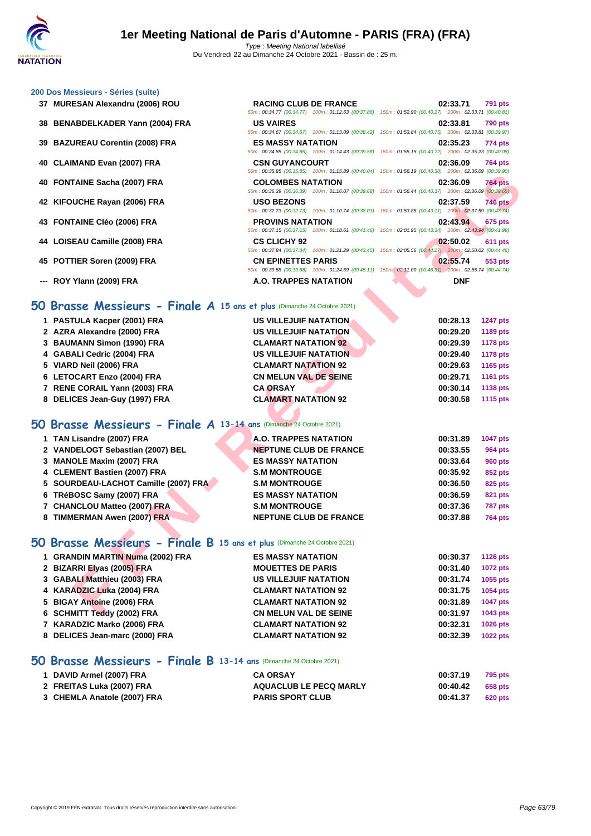50m : 00:34.77 (00:34.77) 100m : 01:12.63 (00:37.86) 150m : 01:52.90 (00:40.27) 200m : 02:33.71 (00:40.81)

50m : 00:34.67 (00:34.67) 100m : 01:13.09 (00:38.42) 150m : 01:53.84 (00:40.75) 200m : 02:33.81 (00:39.97)

50m : 00:34.85 (00:34.85) 100m : 01:14.43 (00:39.58) 150m : 01:55.15 (00:40.72) 200m : 02:35.23 (00:40.08)

50m : 00:35.85 (00:35.85) 100m : 01:15.89 (00:40.04) 150m : 01:56.19 (00:40.30) 200m : 02:36.09 (00:39.90)

### **[200 Dos M](http://www.ffnatation.fr/webffn/index.php)essieurs - Séries (suite)**

- **MURESAN Alexandru (2006) ROU RACING CLUB DE FRANCE 02:33.71 791 pts**
- **BENABDELKADER Yann (2004) FRA US VAIRES 02:33.81 790 pts**

**BAZUREAU Corentin (2008) FRA ES MASSY NATATION 02:35.23 774 pts**

- **CLAIMAND Evan (2007) FRA CSN GUYANCOURT 02:36.09 764 pts**
- **FONTAINE Sacha (2007) FRA COLOMBES NATATION 02:36.09 764 pts**
- **KIFOUCHE Rayan (2006) FRA USO BEZONS 02:37.59 746 pts**
- **FONTAINE Cléo (2006) FRA PROVINS NATATION 02:43.94 675 pts**
- **LOISEAU Camille (2008) FRA CS CLICHY 92 02:50.02 611 pts**
- **POTTIER Soren (2009) FRA CN EPINETTES PARIS 02:55.74 553 pts**
- **--- ROY Ylann (2009) FRA A.O. TRAPPES NATATION DNF**

# 50m : 00:39.58 (00:39.58) 100m : 01:24.69 (00:45.11) 150m : 02:11.00 (00:46.31) 200m : 02:55.74 (00:44.74)<br> **A.O. TRAPPES NATATION**<br> **DNF 50 Brasse Messieurs - Finale A 15 ans et plus** (Dimanche 24 Octobre 2021)

|                                                                         | $10011.00.33.03$ (00.33.03) $10011.01.13.03$ (00.40.04) $10011.01.00.13$ (00.40.30) |                                                                                                                                          |
|-------------------------------------------------------------------------|-------------------------------------------------------------------------------------|------------------------------------------------------------------------------------------------------------------------------------------|
| 40 FONTAINE Sacha (2007) FRA                                            | <b>COLOMBES NATATION</b>                                                            | 02:36.09<br><b>764 pts</b><br>50m : 00:36.39 (00:36.39) 100m : 01:16.07 (00:39.68) 150m : 01:56.44 (00:40.37) 200m : 02:36.09 (00:39.65) |
| 42 KIFOUCHE Rayan (2006) FRA                                            | <b>USO BEZONS</b>                                                                   | <b>746 pts</b><br>02:37.59                                                                                                               |
|                                                                         |                                                                                     | 50m: 00:32.73 (00:32.73) 100m: 01:10.74 (00:38.01) 150m: 01:53.85 (00:43.11) 200m: 02:37.59 (00:43.74)                                   |
| 43 FONTAINE Cléo (2006) FRA                                             | <b>PROVINS NATATION</b>                                                             | 02:43.94<br>675 pts<br>50m: 00:37.15 (00:37.15) 100m: 01:18.61 (00:41.46) 150m: 02:01.95 (00:43.34) 200m: 02:43.94 (00:41.99)            |
| 44 LOISEAU Camille (2008) FRA                                           | <b>CS CLICHY 92</b>                                                                 | 02:50.02<br><b>611 pts</b>                                                                                                               |
|                                                                         |                                                                                     | 50m: 00:37.84 (00:37.84) 100m: 01:21.29 (00:43.45) 150m: 02:05.56 (00:44.27) 200m: 02:50.02 (00:44.46)                                   |
| 45 POTTIER Soren (2009) FRA                                             | <b>CN EPINETTES PARIS</b>                                                           | 02:55.74<br>553 pts                                                                                                                      |
|                                                                         |                                                                                     | 50m : 00:39.58 (00:39.58) 100m : 01:24.69 (00:45.11) 150m : 02:11.00 (00:46.31) 200m : 02:55.74 (00:44.74)                               |
| --- ROY Ylann (2009) FRA                                                | A.O. TRAPPES NATATION                                                               | <b>DNF</b>                                                                                                                               |
|                                                                         |                                                                                     |                                                                                                                                          |
| O Brasse Messieurs - Finale A 15 ans et plus (Dimanche 24 Octobre 2021) |                                                                                     |                                                                                                                                          |
| 1 PASTULA Kacper (2001) FRA                                             | <b>US VILLEJUIF NATATION.</b>                                                       | 00:28.13<br><b>1247 pts</b>                                                                                                              |
| 2 AZRA Alexandre (2000) FRA                                             | <b>US VILLEJUIF NATATION</b>                                                        | 00:29.20<br>1189 pts                                                                                                                     |
| 3 BAUMANN Simon (1990) FRA                                              | <b>CLAMART NATATION 92</b>                                                          | 00:29.39<br><b>1178 pts</b>                                                                                                              |
| 4 GABALI Cedric (2004) FRA                                              | <b>US VILLEJUIF NATATION</b>                                                        | 00:29.40<br><b>1178 pts</b>                                                                                                              |
| 5 VIARD Neil (2006) FRA                                                 | <b>CLAMART NATATION 92</b>                                                          | 00:29.63<br>1165 pts                                                                                                                     |
| 6 LETOCART Enzo (2004) FRA                                              | <b>CN MELUN VAL DE SEINE</b>                                                        | 00:29.71<br>1161 pts                                                                                                                     |
| 7 RENE CORAIL Yann (2003) FRA                                           | <b>CA ORSAY</b>                                                                     | 00:30.14<br>1138 pts                                                                                                                     |
| 8 DELICES Jean-Guy (1997) FRA                                           | <b>CLAMART NATATION 92</b>                                                          | 00:30.58<br><b>1115 pts</b>                                                                                                              |
|                                                                         |                                                                                     |                                                                                                                                          |
| O Brasse Messieurs - Finale A 13-14 ans (Dimanche 24 Octobre 2021)      |                                                                                     |                                                                                                                                          |
| 1 TAN Lisandre (2007) FRA                                               | A.O. TRAPPES NATATION                                                               | 00:31.89<br><b>1047 pts</b>                                                                                                              |
| 2 VANDELOGT Sebastian (2007) BEL                                        | <b>NEPTUNE CLUB DE FRANCE</b>                                                       | 00:33.55<br><b>964 pts</b>                                                                                                               |
| 3 MANOLE Maxim (2007) FRA                                               | <b>ES MASSY NATATION</b>                                                            | 00:33.64<br><b>960 pts</b>                                                                                                               |
| 4 CLEMENT Bastien (2007) FRA                                            | <b>S.M MONTROUGE</b>                                                                | 00:35.92<br>852 pts                                                                                                                      |
| 5 SOURDEAU-LACHOT Camille (2007) FRA                                    | <b>S.M MONTROUGE</b>                                                                | 00:36.50<br>825 pts                                                                                                                      |
| 6 TRéBOSC Samy (2007) FRA                                               | <b>ES MASSY NATATION</b>                                                            | 00:36.59<br><b>821 pts</b>                                                                                                               |
| 7 CHANCLOU Matteo (2007) FRA                                            | <b>S.M MONTROUGE</b>                                                                | 00:37.36<br><b>787 pts</b>                                                                                                               |
| 8 TIMMERMAN Awen (2007) FRA                                             | <b>NEPTUNE CLUB DE FRANCE</b>                                                       | 00:37.88<br><b>764 pts</b>                                                                                                               |
|                                                                         |                                                                                     |                                                                                                                                          |
| O Brasse Messieurs - Finale B 15 ans et plus (Dimanche 24 Octobre 2021) |                                                                                     |                                                                                                                                          |
| 1 GRANDIN MARTIN Numa (2002) FRA                                        | <b>ES MASSY NATATION</b>                                                            | 00:30.37<br><b>1126 pts</b>                                                                                                              |
| 2 BIZARRI Elyas (2005) FRA                                              | <b>MOUETTES DE PARIS</b>                                                            | 00:31.40<br><b>1072 pts</b>                                                                                                              |
| 3 GABALI Matthieu (2003) FRA                                            | <b>US VILLEJUIF NATATION</b>                                                        | 00:31.74<br>1055 pts                                                                                                                     |
| 4 KARADZIC Luka (2004) FRA                                              | <b>CLAMART NATATION 92</b>                                                          | 00:31.75<br>1054 pts                                                                                                                     |
| 5 BIGAY Antoine (2006) FRA                                              | <b>CLAMART NATATION 92</b>                                                          | 00:31.89<br>1047 pts                                                                                                                     |
| 6 SCHMITT Teddy (2002) FRA                                              | <b>CN MELUN VAL DE SEINE</b>                                                        | 00:31.97<br><b>1043 pts</b>                                                                                                              |

### **50 Brasse Messieurs - Finale A 13-14 ans** (Dimanche 24 Octobre 2021)

| 1 TAN Lisandre (2007) FRA            | A.O. TRAPPES NATATION         | 00:31.89 | <b>1047 pts</b> |
|--------------------------------------|-------------------------------|----------|-----------------|
| 2 VANDELOGT Sebastian (2007) BEL     | <b>NEPTUNE CLUB DE FRANCE</b> | 00:33.55 | <b>964 pts</b>  |
| 3 MANOLE Maxim (2007) FRA            | <b>ES MASSY NATATION</b>      | 00:33.64 | <b>960 pts</b>  |
| 4 CLEMENT Bastien (2007) FRA         | <b>S.M MONTROUGE</b>          | 00:35.92 | 852 pts         |
| 5 SOURDEAU-LACHOT Camille (2007) FRA | <b>S.M MONTROUGE</b>          | 00:36.50 | 825 pts         |
| 6 TRéBOSC Samy (2007) FRA            | <b>ES MASSY NATATION</b>      | 00:36.59 | 821 pts         |
| 7 CHANCLOU Matteo (2007) FRA         | <b>S.M MONTROUGE</b>          | 00:37.36 | 787 pts         |
| 8 TIMMERMAN Awen (2007) FRA          | <b>NEPTUNE CLUB DE FRANCE</b> | 00:37.88 | <b>764 pts</b>  |
|                                      |                               |          |                 |

### **50 Brasse Messieurs - Finale B 15 ans et plus** (Dimanche 24 Octobre 2021)

| 1 GRANDIN MARTIN Numa (2002) FRA | <b>ES MASSY NATATION</b>     | 00:30.37 | <b>1126 pts</b> |
|----------------------------------|------------------------------|----------|-----------------|
| 2 BIZARRI Elyas (2005) FRA       | <b>MOUETTES DE PARIS</b>     | 00:31.40 | <b>1072 pts</b> |
| 3 GABALI Matthieu (2003) FRA     | <b>US VILLEJUIF NATATION</b> | 00:31.74 | 1055 pts        |
| 4 KARADZIC Luka (2004) FRA       | <b>CLAMART NATATION 92</b>   | 00:31.75 | <b>1054 pts</b> |
| 5 BIGAY Antoine (2006) FRA       | <b>CLAMART NATATION 92</b>   | 00:31.89 | <b>1047 pts</b> |
| 6 SCHMITT Teddy (2002) FRA       | <b>CN MELUN VAL DE SEINE</b> | 00:31.97 | 1043 pts        |
| 7 KARADZIC Marko (2006) FRA      | <b>CLAMART NATATION 92</b>   | 00:32.31 | <b>1026 pts</b> |
| 8 DELICES Jean-marc (2000) FRA   | <b>CLAMART NATATION 92</b>   | 00:32.39 | <b>1022 pts</b> |

### **50 Brasse Messieurs - Finale B 13-14 ans** (Dimanche 24 Octobre 2021)

| 1 DAVID Armel (2007) FRA    | <b>CA ORSAY</b>               | 00:37.19 | <b>795 pts</b> |
|-----------------------------|-------------------------------|----------|----------------|
| 2 FREITAS Luka (2007) FRA   | <b>AQUACLUB LE PECQ MARLY</b> | 00:40.42 | 658 pts        |
| 3 CHEMLA Anatole (2007) FRA | <b>PARIS SPORT CLUB</b>       | 00:41.37 | 620 pts        |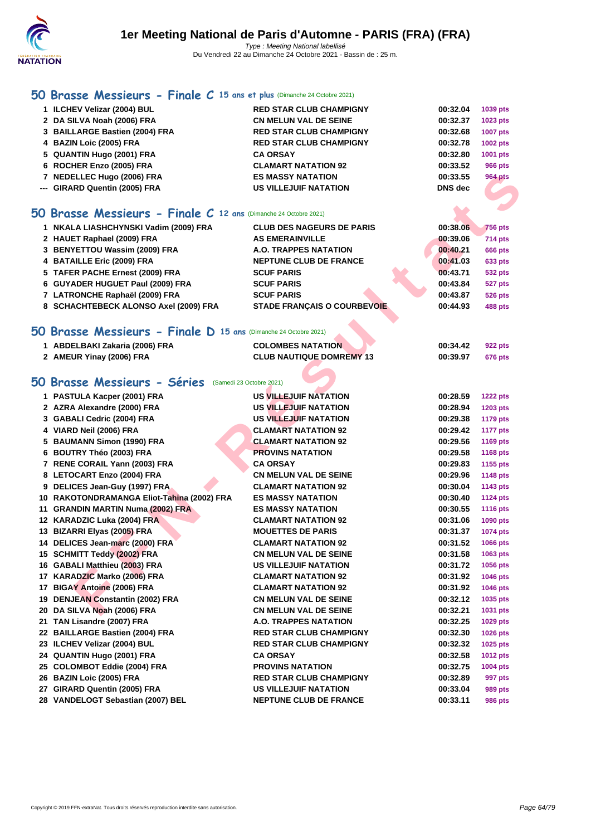

# **[50 Bra](http://www.ffnatation.fr/webffn/index.php)sse Messieurs - Finale C 15 ans et plus** (Dimanche 24 Octobre 2021)

| 50 Brasse Messieurs - Finale C 12 ans (Dimanche 24 Octobre 2021) |                                |                | Æ               |
|------------------------------------------------------------------|--------------------------------|----------------|-----------------|
| --- GIRARD Quentin (2005) FRA                                    | <b>US VILLEJUIF NATATION</b>   | <b>DNS</b> dec |                 |
| 7 NEDELLEC Hugo (2006) FRA                                       | <b>ES MASSY NATATION</b>       | 00:33.55       | <b>964 pts</b>  |
| 6 ROCHER Enzo (2005) FRA                                         | <b>CLAMART NATATION 92</b>     | 00:33.52       | <b>966 pts</b>  |
| 5 QUANTIN Hugo (2001) FRA                                        | <b>CA ORSAY</b>                | 00:32.80       | 1001 pts        |
| 4 BAZIN Loic (2005) FRA                                          | <b>RED STAR CLUB CHAMPIGNY</b> | 00:32.78       | <b>1002 pts</b> |
| 3 BAILLARGE Bastien (2004) FRA                                   | <b>RED STAR CLUB CHAMPIGNY</b> | 00:32.68       | <b>1007 pts</b> |
| 2 DA SILVA Noah (2006) FRA                                       | <b>CN MELUN VAL DE SEINE</b>   | 00:32.37       | 1023 pts        |
| 1 ILCHEV Velizar (2004) BUL                                      | <b>RED STAR CLUB CHAMPIGNY</b> | 00:32.04       | 1039 pts        |

| 1 NKALA LIASHCHYNSKI Vadim (2009) FRA | <b>CLUB DES NAGEURS DE PARIS</b>   | 00:38.06 | <b>756 pts</b> |
|---------------------------------------|------------------------------------|----------|----------------|
| 2 HAUET Raphael (2009) FRA            | <b>AS EMERAINVILLE</b>             | 00:39.06 | <b>714 pts</b> |
| 3 BENYETTOU Wassim (2009) FRA         | <b>A.O. TRAPPES NATATION</b>       | 00:40.21 | <b>666 pts</b> |
| 4 BATAILLE Eric (2009) FRA            | <b>NEPTUNE CLUB DE FRANCE</b>      | 00:41.03 | <b>633 pts</b> |
| 5 TAFER PACHE Ernest (2009) FRA       | <b>SCUF PARIS</b>                  | 00:43.71 | <b>532 pts</b> |
| 6 GUYADER HUGUET Paul (2009) FRA      | <b>SCUF PARIS</b>                  | 00:43.84 | 527 pts        |
| 7 LATRONCHE Raphaël (2009) FRA        | <b>SCUF PARIS</b>                  | 00:43.87 | <b>526 pts</b> |
| 8 SCHACHTEBECK ALONSO Axel (2009) FRA | <b>STADE FRANCAIS O COURBEVOIE</b> | 00:44.93 | <b>488 pts</b> |
|                                       |                                    |          |                |

| 7 NEDELLEC Hugo (2006) FRA                                       | <b>ES MASSY NATATION</b>           | 00:33.55       | <b>964 pts</b>  |
|------------------------------------------------------------------|------------------------------------|----------------|-----------------|
| --- GIRARD Quentin (2005) FRA                                    | <b>US VILLEJUIF NATATION</b>       | <b>DNS</b> dec |                 |
| 50 Brasse Messieurs - Finale C 12 ans (Dimanche 24 Octobre 2021) |                                    |                |                 |
|                                                                  |                                    |                |                 |
| 1 NKALA LIASHCHYNSKI Vadim (2009) FRA                            | <b>CLUB DES NAGEURS DE PARIS</b>   | 00:38.06       | <b>756 pts</b>  |
| 2 HAUET Raphael (2009) FRA                                       | <b>AS EMERAINVILLE</b>             | 00:39.06       | 714 pts         |
| 3 BENYETTOU Wassim (2009) FRA                                    | A.O. TRAPPES NATATION              | 00:40.21       | 666 pts         |
| 4 BATAILLE Eric (2009) FRA                                       | <b>NEPTUNE CLUB DE FRANCE</b>      | 00:41.03       | 633 pts         |
| 5 TAFER PACHE Ernest (2009) FRA                                  | <b>SCUF PARIS</b>                  | 00:43.71       | 532 pts         |
| 6 GUYADER HUGUET Paul (2009) FRA                                 | <b>SCUF PARIS</b>                  | 00:43.84       | 527 pts         |
| 7 LATRONCHE Raphaël (2009) FRA                                   | <b>SCUF PARIS</b>                  | 00:43.87       | <b>526 pts</b>  |
| 8 SCHACHTEBECK ALONSO Axel (2009) FRA                            | <b>STADE FRANÇAIS O COURBEVOIE</b> | 00:44.93       | <b>488 pts</b>  |
| 50 Brasse Messieurs - Finale D 15 ans (Dimanche 24 Octobre 2021) |                                    |                |                 |
| 1 ABDELBAKI Zakaria (2006) FRA                                   | <b>COLOMBES NATATION</b>           | 00:34.42       | 922 pts         |
| 2 AMEUR Yinay (2006) FRA                                         | <b>CLUB NAUTIQUE DOMREMY 13</b>    | 00:39.97       | 676 pts         |
|                                                                  |                                    |                |                 |
| 50 Brasse Messieurs - Séries (Samedi 23 Octobre 2021)            |                                    |                |                 |
| 1 PASTULA Kacper (2001) FRA                                      | <b>US VILLEJUIF NATATION</b>       | 00:28.59       | <b>1222 pts</b> |
| 2 AZRA Alexandre (2000) FRA                                      | US VILLEJUIF NATATION              | 00:28.94       | 1203 pts        |
| 3 GABALI Cedric (2004) FRA                                       | US VILLEJUIF NATATION              | 00:29.38       | <b>1179 pts</b> |
| 4 VIARD Neil (2006) FRA                                          | <b>CLAMART NATATION 92</b>         | 00:29.42       | <b>1177 pts</b> |
| 5 BAUMANN Simon (1990) FRA                                       | <b>CLAMART NATATION 92</b>         | 00:29.56       | 1169 pts        |
| 6 BOUTRY Théo (2003) FRA                                         | <b>PROVINS NATATION</b>            | 00:29.58       | 1168 pts        |
| 7 RENE CORAIL Yann (2003) FRA                                    | <b>CA ORSAY</b>                    | 00:29.83       | 1155 pts        |
| 8 LETOCART Enzo (2004) FRA                                       | <b>CN MELUN VAL DE SEINE</b>       | 00:29.96       | 1148 pts        |
| 9 DELICES Jean-Guy (1997) FRA                                    | <b>CLAMART NATATION 92</b>         | 00:30.04       | 1143 pts        |
| 10 RAKOTONDRAMANGA Eliot-Tahina (2002) FRA                       | <b>ES MASSY NATATION</b>           | 00:30.40       | <b>1124 pts</b> |
| 11 GRANDIN MARTIN Numa (2002) FRA                                | <b>ES MASSY NATATION</b>           | 00:30.55       | 1116 pts        |
| 12 KARADZIC Luka (2004) FRA                                      | <b>CLAMART NATATION 92</b>         | 00:31.06       | 1090 pts        |
| 13 BIZARRI Elyas (2005) FRA                                      | <b>MOUETTES DE PARIS</b>           | 00:31.37       | 1074 pts        |
| 14 DELICES Jean-marc (2000) FRA                                  | <b>CLAMART NATATION 92</b>         | 00:31.52       | 1066 pts        |
| 15 SCHMITT Teddy (2002) FRA                                      | <b>CN MELUN VAL DE SEINE</b>       | 00:31.58       | 1063 pts        |
| 16 GABALI Matthieu (2003) FRA                                    | <b>US VILLEJUIF NATATION</b>       | 00:31.72       | 1056 pts        |
| 17 KARADZIC Marko (2006) FRA                                     | <b>CLAMART NATATION 92</b>         | 00:31.92       | 1046 pts        |
| 17 BIGAY Antoine (2006) FRA                                      | <b>CLAMART NATATION 92</b>         | 00:31.92       | 1046 pts        |
| 19 DENJEAN Constantin (2002) FRA                                 | <b>CN MELUN VAL DE SEINE</b>       | 00:32.12       | 1035 pts        |
| 20 DA SILVA Noah (2006) FRA                                      | <b>CN MELUN VAL DE SEINE</b>       | 00:32.21       | 1031 pts        |
| 21 TAN Lisandre (2007) FRA                                       | A.O. TRAPPES NATATION              | 00:32.25       | 1029 pts        |
| 22 BAILLARGE Bastien (2004) FRA                                  | <b>RED STAR CLUB CHAMPIGNY</b>     | 00:32.30       | 1026 pts        |
| 23 ILCHEV Velizar (2004) BUL                                     | <b>RED STAR CLUB CHAMPIGNY</b>     | 00:32.32       | 1025 pts        |
| 24 QUANTIN Hugo (2001) FRA                                       | <b>CA ORSAY</b>                    | 00:32.58       | <b>1012 pts</b> |
| 25 COLOMBOT Eddie (2004) FRA                                     | <b>PROVINS NATATION</b>            | 00:32.75       | 1004 pts        |
| 26 BAZIN Loic (2005) FRA                                         | <b>RED STAR CLUB CHAMPIGNY</b>     | 00:32.89       | 997 pts         |
|                                                                  |                                    |                |                 |

**VANDELOGT Sebastian (2007) BEL NEPTUNE CLUB DE FRANCE 00:33.11 986 pts**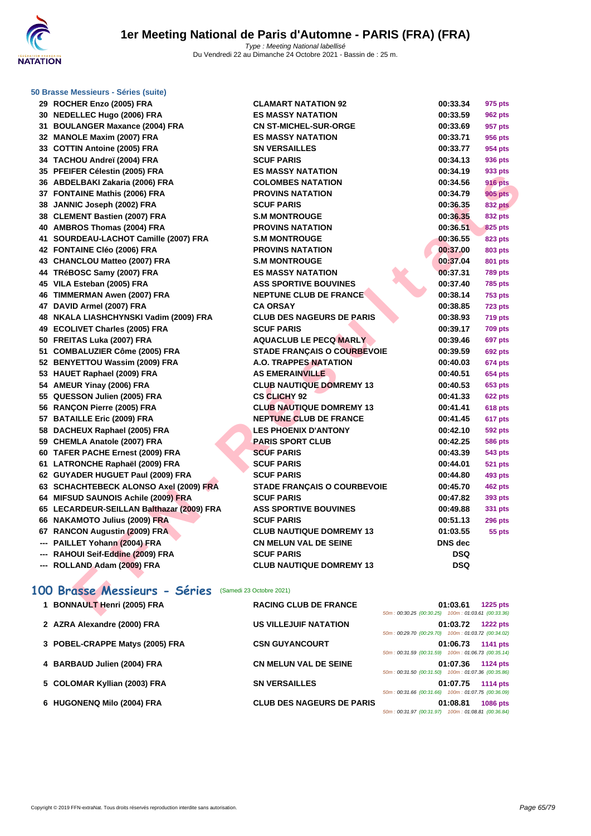

#### **[50 Brasse](http://www.ffnatation.fr/webffn/index.php) Messieurs - Séries (suite)**

|    | 30 NEDELLEC Hugo (2006) FRA                |
|----|--------------------------------------------|
|    | 31 BOULANGER Maxance (2004) FRA            |
|    | 32 MANOLE Maxim (2007) FRA                 |
|    | 33 COTTIN Antoine (2005) FRA               |
|    | 34 TACHOU Andreï (2004) FRA                |
| 35 | PFEIFER Célestin (2005) FRA                |
|    | 36 ABDELBAKI Zakaria (2006) FRA            |
|    | 37 FONTAINE Mathis (2006) FRA              |
|    | 38 JANNIC Joseph (2002) FRA                |
|    | 38 CLEMENT Bastien (2007) FRA              |
|    | 40 AMBROS Thomas (2004) FRA                |
| 41 | SOURDEAU-LACHOT Camille (2007) FRA         |
|    | 42 FONTAINE Cléo (2006) FRA                |
|    | 43 CHANCLOU Matteo (2007) FRA              |
|    | 44 TRéBOSC Samy (2007) FRA                 |
| 45 | VILA Esteban (2005) FRA                    |
| 46 | <b>TIMMERMAN Awen (2007) FRA</b>           |
| 47 | DAVID Armel (2007) FRA                     |
| 48 | NKALA LIASHCHYNSKI Vadim (2009) FRA        |
|    | 49 ECOLIVET Charles (2005) FRA             |
|    | 50 FREITAS Luka (2007) FRA                 |
| 51 | <b>COMBALUZIER Côme (2005) FRA</b>         |
|    | 52 BENYETTOU Wassim (2009) FRA             |
| 53 | <b>HAUET Raphael (2009) FRA</b>            |
|    | 54 AMEUR Yinay (2006) FRA                  |
|    | 55 QUESSON Julien (2005) FRA               |
| 56 | RANÇON Pierre (2005) FRA                   |
|    | 57 BATAILLE Eric (2009) FRA                |
| 58 | DACHEUX Raphael (2005) FRA                 |
|    | 59 CHEMLA Anatole (2007) FRA               |
|    | 60 TAFER PACHE Ernest (2009) FRA           |
| 61 | LATRONCHE Raphaël (2009) FRA               |
|    | 62 GUYADER HUGUET Paul (2009) FRA          |
| 63 | <b>SCHACHTEBECK ALONSO Axel (2009) FRA</b> |
|    | 64 MIFSUD SAUNOIS Achile (2009) FRA        |
|    | 65 LECARDEUR-SEILLAN Balthazar (2009) FRA  |
|    | 66 NAKAMOTO Julius (2009) FRA              |
|    | 67 RANCON Augustin (2009) FRA              |
|    | --- PAILLET Yohann (2004) FRA              |
|    | --- RAHOUI Seif-Eddine (2009) FRA          |
|    | --- ROLLAND Adam (2009) FRA                |

| 29 ROCHER Enzo (2005) FRA                             | <b>CLAMART NATATION 92</b>         | 00:33.34                              | 975 pts         |
|-------------------------------------------------------|------------------------------------|---------------------------------------|-----------------|
| 30 NEDELLEC Hugo (2006) FRA                           | <b>ES MASSY NATATION</b>           | 00:33.59                              | <b>962 pts</b>  |
| 31 BOULANGER Maxance (2004) FRA                       | <b>CN ST-MICHEL-SUR-ORGE</b>       | 00:33.69                              | 957 pts         |
| 32 MANOLE Maxim (2007) FRA                            | <b>ES MASSY NATATION</b>           | 00:33.71                              | <b>956 pts</b>  |
| 33 COTTIN Antoine (2005) FRA                          | <b>SN VERSAILLES</b>               | 00:33.77                              | 954 pts         |
| 34 TACHOU Andreï (2004) FRA                           | <b>SCUF PARIS</b>                  | 00:34.13                              | 936 pts         |
| 35 PFEIFER Célestin (2005) FRA                        | <b>ES MASSY NATATION</b>           | 00:34.19                              | 933 pts         |
| 36 ABDELBAKI Zakaria (2006) FRA                       | <b>COLOMBES NATATION</b>           | 00:34.56                              | <b>916 pts</b>  |
| 37 FONTAINE Mathis (2006) FRA                         | <b>PROVINS NATATION</b>            | 00:34.79                              | <b>905 pts</b>  |
| 38 JANNIC Joseph (2002) FRA                           | <b>SCUF PARIS</b>                  | 00:36.35                              | <b>832 pts</b>  |
| 38 CLEMENT Bastien (2007) FRA                         | <b>S.M MONTROUGE</b>               | 00:36.35                              | <b>832 pts</b>  |
| 40 AMBROS Thomas (2004) FRA                           | <b>PROVINS NATATION</b>            | 00:36.51                              | 825 pts         |
| 41 SOURDEAU-LACHOT Camille (2007) FRA                 | <b>S.M MONTROUGE</b>               | 00:36.55                              | 823 pts         |
| 42 FONTAINE Cléo (2006) FRA                           | <b>PROVINS NATATION</b>            | 00:37.00                              | <b>803 pts</b>  |
| 43 CHANCLOU Matteo (2007) FRA                         | <b>S.M MONTROUGE</b>               | 00:37.04                              | 801 pts         |
| 44 TRéBOSC Samy (2007) FRA                            | <b>ES MASSY NATATION</b>           | 00:37.31                              | <b>789 pts</b>  |
| 45 VILA Esteban (2005) FRA                            | <b>ASS SPORTIVE BOUVINES</b>       | 00:37.40                              | <b>785 pts</b>  |
| 46 TIMMERMAN Awen (2007) FRA                          | <b>NEPTUNE CLUB DE FRANCE</b>      | 00:38.14                              | <b>753 pts</b>  |
| 47 DAVID Armel (2007) FRA                             | <b>CA ORSAY</b>                    | 00:38.85                              | 723 pts         |
| 48 NKALA LIASHCHYNSKI Vadim (2009) FRA                | <b>CLUB DES NAGEURS DE PARIS</b>   | 00:38.93                              | <b>719 pts</b>  |
| 49 ECOLIVET Charles (2005) FRA                        | <b>SCUF PARIS</b>                  | 00:39.17                              | <b>709 pts</b>  |
| 50 FREITAS Luka (2007) FRA                            | <b>AQUACLUB LE PECQ MARLY</b>      | 00:39.46                              | 697 pts         |
| 51 COMBALUZIER Côme (2005) FRA                        | <b>STADE FRANÇAIS O COURBEVOIE</b> | 00:39.59                              | <b>692 pts</b>  |
| 52 BENYETTOU Wassim (2009) FRA                        | <b>A.O. TRAPPES NATATION</b>       | 00:40.03                              | <b>674 pts</b>  |
| 53 HAUET Raphael (2009) FRA                           | <b>AS EMERAINVILLE</b>             | 00:40.51                              | <b>654 pts</b>  |
| 54 AMEUR Yinay (2006) FRA                             | <b>CLUB NAUTIQUE DOMREMY 13</b>    | 00:40.53                              | 653 pts         |
| 55 QUESSON Julien (2005) FRA                          | <b>CS CLICHY 92</b>                | 00:41.33                              | <b>622 pts</b>  |
| 56 RANÇON Pierre (2005) FRA                           | <b>CLUB NAUTIQUE DOMREMY 13</b>    | 00:41.41                              | 618 pts         |
| 57 BATAILLE Eric (2009) FRA                           | <b>NEPTUNE CLUB DE FRANCE</b>      | 00:41.45                              | 617 pts         |
| 58 DACHEUX Raphael (2005) FRA                         | <b>LES PHOENIX D'ANTONY</b>        | 00:42.10                              | 592 pts         |
| 59 CHEMLA Anatole (2007) FRA                          | <b>PARIS SPORT CLUB</b>            | 00:42.25                              | <b>586 pts</b>  |
| 60 TAFER PACHE Ernest (2009) FRA                      | <b>SCUF PARIS</b>                  | 00:43.39                              | 543 pts         |
| 61 LATRONCHE Raphaël (2009) FRA                       | <b>SCUF PARIS</b>                  | 00:44.01                              | <b>521 pts</b>  |
| 62 GUYADER HUGUET Paul (2009) FRA                     | <b>SCUF PARIS</b>                  | 00:44.80                              | 493 pts         |
| 63 SCHACHTEBECK ALONSO Axel (2009) FRA                | STADE FRANÇAIS O COURBEVOIE        | 00:45.70                              | <b>462 pts</b>  |
| 64 MIFSUD SAUNOIS Achile (2009) FRA                   | <b>SCUF PARIS</b>                  | 00:47.82                              | 393 pts         |
| 65 LECARDEUR-SEILLAN Balthazar (2009) FRA             | <b>ASS SPORTIVE BOUVINES</b>       | 00:49.88                              | 331 pts         |
| 66 NAKAMOTO Julius (2009) FRA                         | <b>SCUF PARIS</b>                  | 00:51.13                              | <b>296 pts</b>  |
| 67 RANCON Augustin (2009) FRA                         | <b>CLUB NAUTIQUE DOMREMY 13</b>    | 01:03.55                              | 55 pts          |
| --- PAILLET Yohann (2004) FRA                         | <b>CN MELUN VAL DE SEINE</b>       | <b>DNS</b> dec                        |                 |
| --- RAHOUI Seif-Eddine (2009) FRA                     | <b>SCUF PARIS</b>                  | <b>DSQ</b>                            |                 |
| --- ROLLAND Adam (2009) FRA                           | <b>CLUB NAUTIQUE DOMREMY 13</b>    | <b>DSQ</b>                            |                 |
|                                                       |                                    |                                       |                 |
| 00 Brasse Messieurs - Séries (Samedi 23 Octobre 2021) |                                    |                                       |                 |
| 1 BONNAULT Henri (2005) FRA                           | <b>RACING CLUB DE FRANCE</b>       |                                       | <b>1225 pts</b> |
|                                                       | 50m: 00:30.25 (00:30.25)           | 01:03.61<br>100m: 01:03.61 (00:33.36) |                 |

# 100 Brasse Messieurs - Séries (Samedi 23 Octobre 2021)

| 1 BONNAULT Henri (2005) FRA     | <b>RACING CLUB DE FRANCE</b>     | <b>1225 pts</b><br>01:03.61<br>50m: 00:30.25 (00:30.25) 100m: 01:03.61 (00:33.36) |
|---------------------------------|----------------------------------|-----------------------------------------------------------------------------------|
| 2 AZRA Alexandre (2000) FRA     | US VILLEJUIF NATATION            | 01:03.72<br><b>1222 pts</b><br>50m: 00:29.70 (00:29.70) 100m: 01:03.72 (00:34.02) |
| 3 POBEL-CRAPPE Matys (2005) FRA | <b>CSN GUYANCOURT</b>            | 01:06.73<br>1141 pts<br>50m: 00:31.59 (00:31.59) 100m: 01:06.73 (00:35.14)        |
| 4 BARBAUD Julien (2004) FRA     | <b>CN MELUN VAL DE SEINE</b>     | 01:07.36<br><b>1124 pts</b><br>50m: 00:31.50 (00:31.50) 100m: 01:07.36 (00:35.86) |
| 5 COLOMAR Kyllian (2003) FRA    | <b>SN VERSAILLES</b>             | 01:07.75<br><b>1114 pts</b><br>50m: 00:31.66 (00:31.66) 100m: 01:07.75 (00:36.09) |
| 6 HUGONENQ Milo (2004) FRA      | <b>CLUB DES NAGEURS DE PARIS</b> | 01:08.81<br>1086 pts<br>50m: 00:31.97 (00:31.97) 100m: 01:08.81 (00:36.84)        |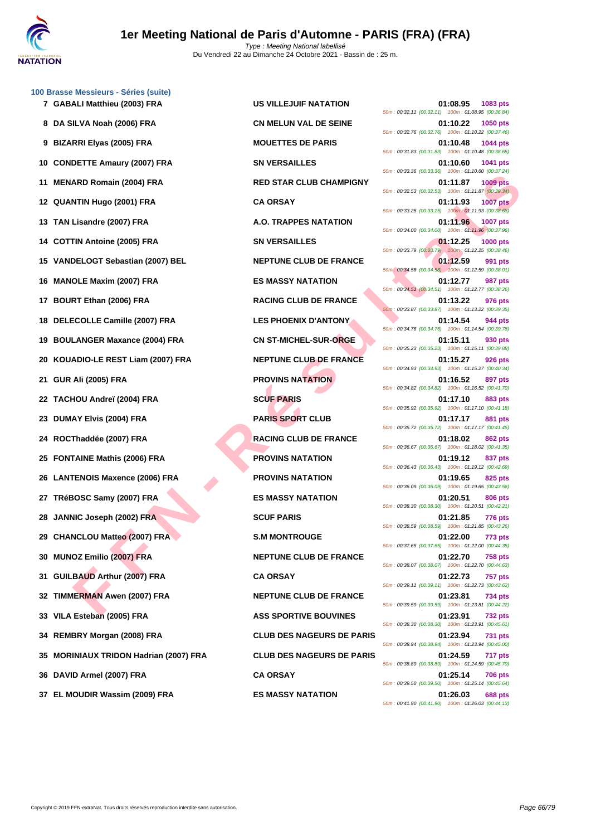

ARD ROMAN (2001) FRA<br>
ILIADA (2001) FRA CA ORSAY<br>
LIADA (2001) FRA CA ORSAY<br>
LIADA (2001) FRA CA ORSAY<br>
ILIADA (2002) FRA A CHEME CUB DE FRANCE<br>
DELOGY Sebastian (2007) BEL<br>
DELOGY Sebastian (2007) FRA ES INGENSIVALES<br>
DEL **[100 Brass](http://www.ffnatation.fr/webffn/index.php)e Messieurs - Séries (suite) GABALI Matthieu (2003) FRA US VILLEJUIF NATATION 01:08.95 1083 pts DA SILVA Noah (2006) FRA CN MELUN VAL DE SEINE 01:10.22 1050 pts BIZARRI Elyas (2005) FRA MOUETTES DE PARIS 01:10.48 1044 pts CONDETTE Amaury (2007) FRA SN VERSAILLES 01:10.60 1041 pts MENARD Romain (2004) FRA RED STAR CLUB CHAMPIGNY 01:11.87 1009 pts QUANTIN Hugo (2001) FRA CA ORSAY 01:11.93 1007 pts TAN Lisandre (2007) FRA A.O. TRAPPES NATATION 01:11.96 1007 pts COTTIN Antoine (2005) FRA SN VERSAILLES 01:12.25 1000 pts VANDELOGT Sebastian (2007) BEL NEPTUNE CLUB DE FRANCE 01:12.59 991 pts MANOLE Maxim (2007) FRA ES MASSY NATATION 01:12.77 987 pts BOURT Ethan (2006) FRA RACING CLUB DE FRANCE 01:13.22 976 pts DELECOLLE Camille (2007) FRA LES PHOENIX D'ANTONY 01:14.54 944 pts BOULANGER Maxance (2004) FRA CN ST-MICHEL-SUR-ORGE 01:15.11 930 pts KOUADIO-LE REST Liam (2007) FRA NEPTUNE CLUB DE FRANCE 01:15.27 926 pts GUR Ali (2005) FRA PROVINS NATATION 01:16.52 897 pts TACHOU Andreï (2004) FRA SCUF PARIS 01:17.10 883 pts DUMAY Elvis (2004) FRA PARIS SPORT CLUB 01:17.17 881 pts ROCThaddée (2007) FRA RACING CLUB DE FRANCE 01:18.02 862 pts FONTAINE Mathis (2006) FRA PROVINS NATATION 01:19.12 837 pts LANTENOIS Maxence (2006) FRA PROVINS NATATION 01:19.65 825 pts TRéBOSC Samy (2007) FRA ES MASSY NATATION 01:20.51 806 pts JANNIC Joseph (2002) FRA SCUF PARIS 01:21.85 776 pts CHANCLOU Matteo (2007) FRA S.M MONTROUGE 01:22.00 773 pts MUNOZ Emilio (2007) FRA NEPTUNE CLUB DE FRANCE 01:22.70 758 pts GUILBAUD Arthur (2007) FRA CA ORSAY 01:22.73 757 pts TIMMERMAN Awen (2007) FRA NEPTUNE CLUB DE FRANCE 01:23.81 734 pts VILA Esteban (2005) FRA ASS SPORTIVE BOUVINES 01:23.91 732 pts REMBRY Morgan (2008) FRA CLUB DES NAGEURS DE PARIS 01:23.94 731 pts MORINIAUX TRIDON Hadrian (2007) FRA CLUB DES NAGEURS DE PARIS 01:24.59 717 pts DAVID Armel (2007) FRA CA ORSAY 01:25.14 706 pts**

50m : 00:32.11 (00:32.11) 100m : 01:08.95 (00:36.84) 50m : 00:32.76 (00:32.76) 100m : 01:10.22 (00:37.46) 50m : 00:31.83 (00:31.83) 100m : 01:10.48 (00:38.65) 50m : 00:33.36 (00:33.36) 100m : 01:10.60 (00:37.24) 50m : 00:32.53 (00:32.53) 100m : 01:11.87 (00:39.34) 50m : 00:33.25 (00:33.25) 100m : 01:11.93 (00:38.68) 50m : 00:34.00 (00:34.00) 100m : 01:11.96 (00:37.96) 50m : 00:33.79 (00:33.79) 100m : 01:12.25 (00:38.46) 50m : 00:34.58 (00:34.58) 100m : 01:12.59 (00:38.01) 50m : 00:34.51 (00:34.51) 100m : 01:12.77 (00:38.26) 50m : 00:33.87 (00:33.87) 100m : 01:13.22 (00:39.35) 50m : 00:34.76 (00:34.76) 100m : 01:14.54 (00:39.78) 50m : 00:35.23 (00:35.23) 100m : 01:15.11 (00:39.88) 50m : 00:34.93 (00:34.93) 100m : 01:15.27 (00:40.34) 50m : 00:34.82 (00:34.82) 100m : 01:16.52 (00:41.70) 50m : 00:35.92 (00:35.92) 100m : 01:17.10 (00:41.18) 50m : 00:35.72 (00:35.72) 100m : 01:17.17 (00:41.45) 50m : 00:36.67 (00:36.67) 100m : 01:18.02 (00:41.35) 50m : 00:36.43 (00:36.43) 100m : 01:19.12 (00:42.69) 50m : 00:36.09 (00:36.09) 100m : 01:19.65 (00:43.56) 50m : 00:38.30 (00:38.30) 100m : 01:20.51 (00:42.21) 50m : 00:38.59 (00:38.59) 100m : 01:21.85 (00:43.26) 50m : 00:37.65 (00:37.65) 100m : 01:22.00 (00:44.35) 50m : 00:38.07 (00:38.07) 100m : 01:22.70 (00:44.63) 50m : 00:39.11 (00:39.11) 100m : 01:22.73 (00:43.62) 50m : 00:39.59 (00:39.59) 100m : 01:23.81 (00:44.22) 50m : 00:38.30 (00:38.30) 100m : 01:23.91 (00:45.61) 50m : 00:38.94 (00:38.94) 100m : 01:23.94 (00:45.00) 50m : 00:38.89 (00:38.89) 100m : 01:24.59 (00:45.70) 50m : 00:39.50 (00:39.50) 100m : 01:25.14 (00:45.64) **37 EL MOUDIR Wassim (2009) FRA ES MASSY NATATION 01:26.03 688 pts** 50m : 00:41.90 (00:41.90) 100m : 01:26.03 (00:44.13)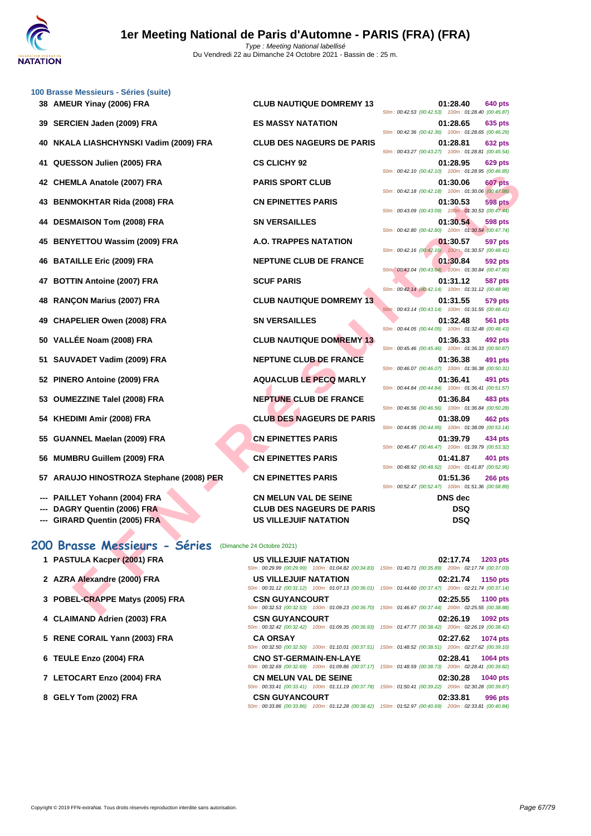

|     | 100 Brasse Messieurs - Séries (suite)    |                                  |                                                                                                                                       |
|-----|------------------------------------------|----------------------------------|---------------------------------------------------------------------------------------------------------------------------------------|
|     | 38 AMEUR Yinay (2006) FRA                | <b>CLUB NAUTIQUE DOMREMY 13</b>  | 01:28.40<br>640 pts<br>50m: 00:42.53 (00:42.53) 100m: 01:28.40 (00:45.87)                                                             |
|     | 39 SERCIEN Jaden (2009) FRA              | <b>ES MASSY NATATION</b>         | 01:28.65<br>635 pts<br>50m: 00:42.36 (00:42.36) 100m: 01:28.65 (00:46.29)                                                             |
| 40  | NKALA LIASHCHYNSKI Vadim (2009) FRA      | <b>CLUB DES NAGEURS DE PARIS</b> | 01:28.81<br>632 pts<br>50m: 00:43.27 (00:43.27) 100m: 01:28.81 (00:45.54)                                                             |
| 41  | QUESSON Julien (2005) FRA                | <b>CS CLICHY 92</b>              | 01:28.95<br>629 pts                                                                                                                   |
|     | 42 CHEMLA Anatole (2007) FRA             | <b>PARIS SPORT CLUB</b>          | 50m: 00:42.10 (00:42.10) 100m: 01:28.95 (00:46.85)<br>01:30.06<br>607 pts                                                             |
|     | 43 BENMOKHTAR Rida (2008) FRA            | <b>CN EPINETTES PARIS</b>        | 50m: 00:42.18 (00:42.18) 100m: 01:30.06 (00:47.88)<br>01:30.53<br><b>598 pts</b>                                                      |
| 44  | <b>DESMAISON Tom (2008) FRA</b>          | <b>SN VERSAILLES</b>             | 50m : 00:43.09 (00:43.09) 100m : 01:30.53 (00:47.44)<br>01:30.54<br>598 pts                                                           |
| 45  | <b>BENYETTOU Wassim (2009) FRA</b>       | A.O. TRAPPES NATATION            | 50m: 00:42.80 (00:42.80) 100m: 01:30.54 (00:47.74)<br>01:30.57<br>597 pts                                                             |
| 46  | <b>BATAILLE Eric (2009) FRA</b>          | <b>NEPTUNE CLUB DE FRANCE</b>    | 50m: 00:42.16 (00:42.16) 100m: 01:30.57 (00:48.41)<br>01:30.84<br>592 pts                                                             |
|     | 47 BOTTIN Antoine (2007) FRA             | <b>SCUF PARIS</b>                | 50m: 00:43.04 (00:43.04) 100m: 01:30.84 (00:47.80)<br>01:31.12<br>587 pts                                                             |
|     |                                          |                                  | 50m: 00:42.14 (00:42.14) 100m: 01:31.12 (00:48.98)                                                                                    |
| 48  | <b>RANÇON Marius (2007) FRA</b>          | <b>CLUB NAUTIQUE DOMREMY 13</b>  | 01:31.55<br>579 pts<br>50m: 00:43.14 (00:43.14) 100m: 01:31.55 (00:48.41)                                                             |
| 49  | <b>CHAPELIER Owen (2008) FRA</b>         | <b>SN VERSAILLES</b>             | 01:32.48<br>561 pts<br>50m: 00:44.05 (00:44.05) 100m: 01:32.48 (00:48.43)                                                             |
| 50  | VALLÉE Noam (2008) FRA                   | <b>CLUB NAUTIQUE DOMREMY 13</b>  | 01:36.33<br>492 pts<br>50m: 00:45.46 (00:45.46) 100m: 01:36.33 (00:50.87)                                                             |
| 51  | SAUVADET Vadim (2009) FRA                | <b>NEPTUNE CLUB DE FRANCE</b>    | 01:36.38<br>491 pts<br>50m: 00:46.07 (00:46.07) 100m: 01:36.38 (00:50.31)                                                             |
|     | 52 PINERO Antoine (2009) FRA             | <b>AQUACLUB LE PECQ MARLY</b>    | 01:36.41<br>491 pts<br>50m: 00:44.84 (00:44.84) 100m: 01:36.41 (00:51.57)                                                             |
|     | 53 OUMEZZINE Talel (2008) FRA            | <b>NEPTUNE CLUB DE FRANCE</b>    | 01:36.84<br>483 pts<br>50m: 00:46.56 (00:46.56) 100m: 01:36.84 (00:50.28)                                                             |
| 54  | KHEDIMI Amir (2008) FRA                  | <b>CLUB DES NAGEURS DE PARIS</b> | 01:38.09<br>462 pts<br>50m: 00:44.95 (00:44.95) 100m: 01:38.09 (00:53.14)                                                             |
| 55  | GUANNEL Maelan (2009) FRA                | <b>CN EPINETTES PARIS</b>        | 01:39.79<br>434 pts                                                                                                                   |
|     | 56 MUMBRU Guillem (2009) FRA             | <b>CN EPINETTES PARIS</b>        | 50m: 00:46.47 (00:46.47) 100m: 01:39.79 (00:53.32)<br>01:41.87<br>401 pts                                                             |
|     | 57 ARAUJO HINOSTROZA Stephane (2008) PER | <b>CN EPINETTES PARIS</b>        | 50m: 00:48.92 (00:48.92) 100m: 01:41.87 (00:52.95)<br>01:51.36<br><b>266 pts</b>                                                      |
|     | PAILLET Yohann (2004) FRA                | <b>CN MELUN VAL DE SEINE</b>     | 50m: 00:52.47 (00:52.47) 100m: 01:51.36 (00:58.89)<br><b>DNS</b> dec                                                                  |
| --- | DAGRY Quentin (2006) FRA                 | <b>CLUB DES NAGEURS DE PARIS</b> | DSQ                                                                                                                                   |
|     | --- GIRARD Quentin (2005) FRA            | <b>US VILLEJUIF NATATION</b>     | <b>DSQ</b>                                                                                                                            |
|     | 200 Brasse Messieurs - Séries            | (Dimanche 24 Octobre 2021)       |                                                                                                                                       |
|     | 1 PASTULA Kacper (2001) FRA              | <b>US VILLEJUIF NATATION</b>     | 02:17.74<br>1203 pts                                                                                                                  |
|     | 2 AZRA Alexandre (2000) FRA              | US VILLEJUIF NATATION            | 50m: 00:29.99 (00:29.99) 100m: 01:04.82 (00:34.83) 150m: 01:40.71 (00:35.89) 200m: 02:17.74 (00:37.03)<br>02:21.74<br>1150 pts        |
|     | 3 POBEL-CRAPPE Matys (2005) FRA          | <b>CSN GUYANCOURT</b>            | 50m: 00:31.12 (00:31.12) 100m: 01:07.13 (00:36.01) 150m: 01:44.60 (00:37.47) 200m: 02:21.74 (00:37.14)<br>02:25.55<br><b>1100 pts</b> |
|     |                                          |                                  | 50m: 00:32.53 (00:32.53) 100m: 01:09.23 (00:36.70) 150m: 01:46.67 (00:37.44) 200m: 02:25.55 (00:38.88)                                |

### **200 Brasse Messieurs - Séries** (Dimanche 24 Octobre 2021)

- 
- 
- **3 POBEL-CRAPPE Matys (2005) FRA COURT 0.**
- **4 CLAIMAND Adrien (2003) FRA CLAIMAND 6**
- **5 RENE CORAIL Yann (2003) FRA**
- **6 TEULE Enzo (2004) FRA CONO STEULE CONO STEULE**
- **7 LETOCART Enzo (2004) FRA CONSIDERATE:**
- **8 GELY Tom (2002) FRA**

| 1 PASTULA Kacper (2001) FRA     | US VILLEJUIF NATATION                                                                                  |  | 02:17.74 | <b>1203 pts</b> |
|---------------------------------|--------------------------------------------------------------------------------------------------------|--|----------|-----------------|
|                                 | 50m: 00:29.99 (00:29.99) 100m: 01:04.82 (00:34.83) 150m: 01:40.71 (00:35.89) 200m: 02:17.74 (00:37.03) |  |          |                 |
| 2 AZRA Alexandre (2000) FRA     | US VILLEJUIF NATATION                                                                                  |  | 02:21.74 | <b>1150 pts</b> |
|                                 | 50m: 00:31.12 (00:31.12) 100m: 01:07.13 (00:36.01) 150m: 01:44.60 (00:37.47) 200m: 02:21.74 (00:37.14) |  |          |                 |
| 3 POBEL-CRAPPE Matys (2005) FRA | <b>CSN GUYANCOURT</b>                                                                                  |  | 02:25.55 | <b>1100 pts</b> |
|                                 | 50m: 00:32.53 (00:32.53) 100m: 01:09.23 (00:36.70) 150m: 01:46.67 (00:37.44) 200m: 02:25.55 (00:38.88) |  |          |                 |
| 4 CLAIMAND Adrien (2003) FRA    | <b>CSN GUYANCOURT</b>                                                                                  |  | 02:26.19 | 1092 pts        |
|                                 | 50m: 00:32.42 (00:32.42) 100m: 01:09.35 (00:36.93) 150m: 01:47.77 (00:38.42) 200m: 02:26.19 (00:38.42) |  |          |                 |
| 5 RENE CORAIL Yann (2003) FRA   | <b>CA ORSAY</b>                                                                                        |  | 02:27.62 | 1074 pts        |
|                                 | 50m: 00:32.50 (00:32.50) 100m: 01:10.01 (00:37.51) 150m: 01:48.52 (00:38.51) 200m: 02:27.62 (00:39.10) |  |          |                 |
| 6 TEULE Enzo (2004) FRA         | <b>CNO ST-GERMAIN-EN-LAYE</b>                                                                          |  | 02:28.41 | 1064 pts        |
|                                 | 50m: 00:32.69 (00:32.69) 100m: 01:09.86 (00:37.17) 150m: 01:48.59 (00:38.73) 200m: 02:28.41 (00:39.82) |  |          |                 |
| 7 LETOCART Enzo (2004) FRA      | <b>CN MELUN VAL DE SEINE</b>                                                                           |  | 02:30.28 | <b>1040 pts</b> |
|                                 | 50m: 00:33.41 (00:33.41) 100m: 01:11.19 (00:37.78) 150m: 01:50.41 (00:39.22) 200m: 02:30.28 (00:39.87) |  |          |                 |
| 8 GELY Tom (2002) FRA           | <b>CSN GUYANCOURT</b>                                                                                  |  | 02:33.81 | 996 pts         |
|                                 | 50m: 00:33.86 (00:33.86) 100m: 01:12.28 (00:38.42) 150m: 01:52.97 (00:40.69) 200m: 02:33.81 (00:40.84) |  |          |                 |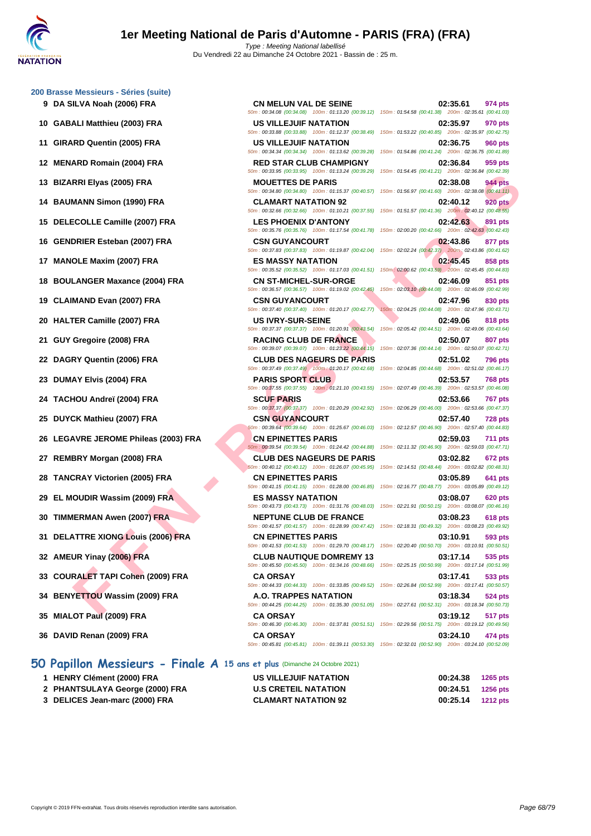**[200 Brass](http://www.ffnatation.fr/webffn/index.php)e Messieurs - Séries (suite)**

- 
- 
- 
- 
- 
- 
- 
- 
- 
- 
- 
- 
- 
- 
- 
- 
- 
- 
- 
- 
- 
- 
- 
- 
- 
- 
- 
- 

### **50 Papillon Messieurs - Finale A 15 ans et plus** (Dimanche 24 Octobre 2021)

- **1 HENRY Clément (2000) FRA US VILLEJUIF NATATION 00:24.38 1265 pts**
- **2 PHANTSULAYA George (2000) FRA U.S CRETEIL NATATION 00:24.51 1256 pts**
- **3 DELICES Jean-marc (2000) FRA CLAMART NATATION 92 00:25.14 1212 pts**

RRIEHYS (2005) FRA - **RACING COMPRESS PARTITES PARIS**<br>
FRAMEN Simon (1990) FRA CLAMAT NATATION 12. THE SURVEY OF THE SURVEY OF THE SURVEY OF THE COMPRESS PARTITIES PARIS<br>
COLUGE COMPRESS PARTITIES PARIS (2004) FRA - CLAMAT **9 DA SILVA Noah (2006) FRA CN MELUN VAL DE SEINE 02:35.61 974 pts** 50m : 00:34.08 (00:34.08) 100m : 01:13.20 (00:39.12) 150m : 01:54.58 (00:41.38) 200m : 02:35.61 (00:41.03) **10 GABALI Matthieu (2003) FRA US VILLEJUIF NATATION 02:35.97 970 pts** 50m : 00:33.88 (00:33.88) 100m : 01:12.37 (00:38.49) 150m : 01:53.22 (00:40.85) 200m : 02:35.97 (00:42.75) **11 GIRARD Quentin (2005) FRA US VILLEJUIF NATATION 02:36.75 960 pts** 50m : 00:34.34 (00:34.34) 100m : 01:13.62 (00:39.28) 150m : 01:54.86 (00:41.24) 200m : 02:36.75 (00:41.89) **12 MENARD Romain (2004) FRA RED STAR CLUB CHAMPIGNY 02:36.84 959 pts** 50m : 00:33.95 (00:33.95) 100m : 01:13.24 (00:39.29) 150m : 01:54.45 (00:41.21) 200m : 02:36.84 (00:42.39) **13 BIZARRI Elyas (2005) FRA MOUETTES DE PARIS 02:38.08 944 pts** 50m : 00:34.80 (00:34.80) 100m : 01:15.37 (00:40.57) 150m : 01:56.97 (00:41.60) 200m : 02:38.08 (00:41.11) **14 BAUMANN Simon (1990) FRA CLAMART NATATION 92 02:40.12 920 pts** 50m : 00:32.66 (00:32.66) 100m : 01:10.21 (00:37.55) 150m : 01:51.57 (00:41.36) 200m : 02:40.12 (00:48.55) **15 DELECOLLE Camille (2007) FRA LES PHOENIX D'ANTONY 02:42.63 891 pts** 50m : 00:35.76 (00:35.76) 100m : 01:17.54 (00:41.78) 150m : 02:00.20 (00:42.66) 200m : 02:42.63 (00:42.43) **16 GENDRIER Esteban (2007) FRA CSN GUYANCOURT 02:43.86 877 pts** 50m : 00:37.83 (00:37.83) 100m : 01:19.87 (00:42.04) 150m : 02:02.24 (00:42.37) 200m : 02:43.86 (00:41.62) **17 MANOLE Maxim (2007) FRA ES MASSY NATATION 02:45.45 858 pts** 50m : 00:35.52 (00:35.52) 100m : 01:17.03 (00:41.51) 150m : 02:00.62 (00:43.59) 200m : 02:45.45 (00:44.83) **18 BOULANGER Maxance (2004) FRA CN ST-MICHEL-SUR-ORGE 02:46.09 851 pts** 50m : 00:36.57 (00:36.57) 100m : 01:19.02 (00:42.45) 150m : 02:03.10 (00:44.08) 200m : 02:46.09 (00:42.99) **19 CLAIMAND Evan (2007) FRA CSN GUYANCOURT 02:47.96 830 pts** 50m : 00:37.40 (00:37.40) 100m : 01:20.17 (00:42.77) 150m : 02:04.25 (00:44.08) 200m : 02:47.96 (00:43.71) **20 HALTER Camille (2007) FRA US IVRY-SUR-SEINE 02:49.06 818 pts** 50m : 00:37.37 (00:37.37) 100m : 01:20.91 (00:43.54) 150m : 02:05.42 (00:44.51) 200m : 02:49.06 (00:43.64) **21 GUY Gregoire (2008) FRA RACING CLUB DE FRANCE 02:50.07 807 pts** 50m : 00:39.07 (00:39.07) 100m : 01:23.22 (00:44.15) 150m : 02:07.36 (00:44.14) 200m : 02:50.07 (00:42.71) **22 DAGRY Quentin (2006) FRA CLUB DES NAGEURS DE PARIS 02:51.02 796 pts** 50m : 00:37.49 (00:37.49) 100m : 01:20.17 (00:42.68) 150m : 02:04.85 (00:44.68) 200m : 02:51.02 (00:46.17) **23 DUMAY Elvis (2004) FRA PARIS SPORT CLUB 02:53.57 768 pts** 50m : 00:37.55 (00:37.55) 100m : 01:21.10 (00:43.55) 150m : 02:07.49 (00:46.39) 200m : 02:53.57 (00:46.08) **24 TACHOU Andreï (2004) FRA SCUF PARIS 02:53.66 767 pts** 50m : 00:37.37 (00:37.37) 100m : 01:20.29 (00:42.92) 150m : 02:06.29 (00:46.00) 200m : 02:53.66 (00:47.37) **25 DUYCK Mathieu (2007) FRA CSN GUYANCOURT 02:57.40 728 pts** 50m : 00:39.64 (00:39.64) 100m : 01:25.67 (00:46.03) 150m : 02:12.57 (00:46.90) 200m : 02:57.40 (00:44.83) **26 LEGAVRE JEROME Phileas (2003) FRA CN EPINETTES PARIS 02:59.03 711 pts** 50m : 00:39.54 (00:39.54) 100m : 01:24.42 (00:44.88) 150m : 02:11.32 (00:46.90) 200m : 02:59.03 (00:47.71) **27 REMBRY Morgan (2008) FRA CLUB DES NAGEURS DE PARIS 03:02.82 672 pts** 50m : 00:40.12 (00:40.12) 100m : 01:26.07 (00:45.95) 150m : 02:14.51 (00:48.44) 200m : 03:02.82 (00:48.31) **28 TANCRAY Victorien (2005) FRA CN EPINETTES PARIS 03:05.89 641 pts** 50m : 00:41.15 (00:41.15) 100m : 01:28.00 (00:46.85) 150m : 02:16.77 (00:48.77) 200m : 03:05.89 (00:49.12) **29 EL MOUDIR Wassim (2009) FRA ES MASSY NATATION 03:08.07 620 pts** 50m : 00:43.73 (00:43.73) 100m : 01:31.76 (00:48.03) 150m : 02:21.91 (00:50.15) 200m : 03:08.07 (00:46.16) **30 TIMMERMAN Awen (2007) FRA NEPTUNE CLUB DE FRANCE 03:08.23 618 pts** 50m : 00:41.57 (00:41.57) 100m : 01:28.99 (00:47.42) 150m : 02:18.31 (00:49.32) 200m : 03:08.23 (00:49.92) **31 DELATTRE XIONG Louis (2006) FRA CN EPINETTES PARIS 03:10.91 593 pts** 50m : 00:41.53 (00:41.53) 100m : 01:29.70 (00:48.17) 150m : 02:20.40 (00:50.70) 200m : 03:10.91 (00:50.51) **32 AMEUR Yinay (2006) FRA CLUB NAUTIQUE DOMREMY 13 03:17.14 535 pts** 50m : 00:45.50 (00:45.50) 100m : 01:34.16 (00:48.66) 150m : 02:25.15 (00:50.99) 200m : 03:17.14 (00:51.99) **33 COURALET TAPI Cohen (2009) FRA CA ORSAY 03:17.41 533 pts** 50m : 00:44.33 (00:44.33) 100m : 01:33.85 (00:49.52) 150m : 02:26.84 (00:52.99) 200m : 03:17.41 (00:50.57) **34 BENYETTOU Wassim (2009) FRA A.O. TRAPPES NATATION 03:18.34 524 pts**

50m : 00:44.25 (00:44.25) 100m : 01:35.30 (00:51.05) 150m : 02:27.61 (00:52.31) 200m : 03:18.34 (00:50.73) **35 MIALOT Paul (2009) FRA CA ORSAY 03:19.12 517 pts** 50m : 00:46.30 (00:46.30) 100m : 01:37.81 (00:51.51) 150m : 02:29.56 (00:51.75) 200m : 03:19.12 (00:49.56) **36 DAVID Renan (2009) FRA CA ORSAY 03:24.10 474 pts** 50m : 00:45.81 (00:45.81) 100m : 01:39.11 (00:53.30) 150m : 02:32.01 (00:52.90) 200m : 03:24.10 (00:52.09)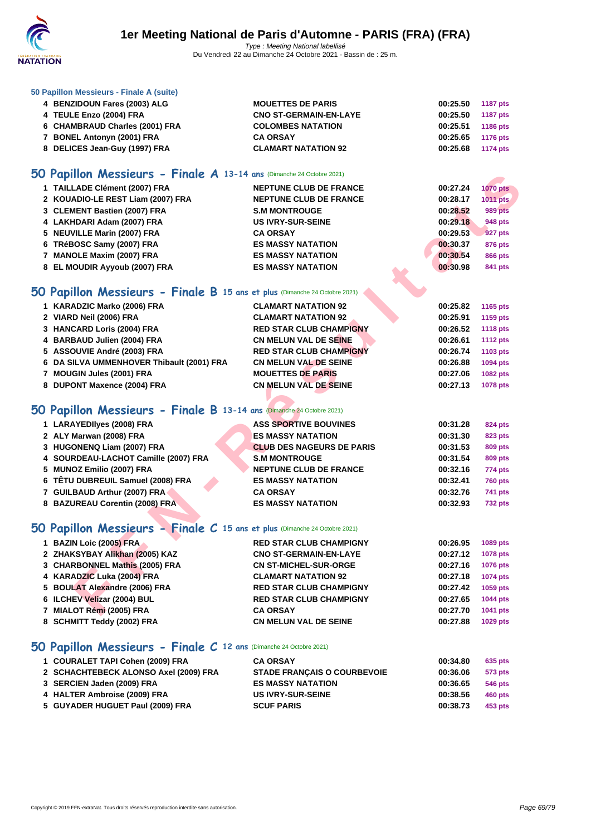

### **[50 Papillo](http://www.ffnatation.fr/webffn/index.php)n Messieurs - Finale A (suite)**

| 4 BENZIDOUN Fares (2003) ALG   | <b>MOUETTES DE PARIS</b>      | 00:25.50 1187 pts |          |
|--------------------------------|-------------------------------|-------------------|----------|
| 4 TEULE Enzo (2004) FRA        | <b>CNO ST-GERMAIN-EN-LAYE</b> | 00:25.50 1187 pts |          |
| 6 CHAMBRAUD Charles (2001) FRA | <b>COLOMBES NATATION</b>      | 00:25.51          | 1186 pts |
| 7 BONEL Antonyn (2001) FRA     | <b>CA ORSAY</b>               | 00:25.65 1176 pts |          |
| 8 DELICES Jean-Guy (1997) FRA  | <b>CLAMART NATATION 92</b>    | 00:25.68 1174 pts |          |

# **50 Papillon Messieurs - Finale A 13-14 ans** (Dimanche 24 Octobre 2021)

| <b>U Papillon Messieurs - Finale A 13-14 ans (Dimanche 24 Octobre 2021)</b> |                                  |          |                 |
|-----------------------------------------------------------------------------|----------------------------------|----------|-----------------|
| 1 TAILLADE Clément (2007) FRA                                               | <b>NEPTUNE CLUB DE FRANCE</b>    | 00:27.24 | <b>1070 pts</b> |
| 2 KOUADIO-LE REST Liam (2007) FRA                                           | <b>NEPTUNE CLUB DE FRANCE</b>    | 00:28.17 | 1011 pts        |
| 3 CLEMENT Bastien (2007) FRA                                                | <b>S.M MONTROUGE</b>             | 00:28.52 | 989 pts         |
| 4 LAKHDARI Adam (2007) FRA                                                  | <b>US IVRY-SUR-SEINE</b>         | 00:29.18 | <b>948 pts</b>  |
| 5 NEUVILLE Marin (2007) FRA                                                 | <b>CA ORSAY</b>                  | 00:29.53 | <b>927 pts</b>  |
| 6 TRéBOSC Samy (2007) FRA                                                   | <b>ES MASSY NATATION</b>         | 00:30.37 | <b>876 pts</b>  |
| 7 MANOLE Maxim (2007) FRA                                                   | <b>ES MASSY NATATION</b>         | 00:30.54 | <b>866 pts</b>  |
| 8 EL MOUDIR Ayyoub (2007) FRA                                               | <b>ES MASSY NATATION</b>         | 00:30.98 | 841 pts         |
|                                                                             |                                  |          |                 |
| iO Papillon Messieurs - Finale B 15 ans et plus (Dimanche 24 Octobre 2021)  |                                  |          |                 |
| 1 KARADZIC Marko (2006) FRA                                                 | <b>CLAMART NATATION 92</b>       | 00:25.82 | 1165 pts        |
| 2 VIARD Neil (2006) FRA                                                     | <b>CLAMART NATATION 92</b>       | 00:25.91 | 1159 pts        |
| 3 HANCARD Loris (2004) FRA                                                  | <b>RED STAR CLUB CHAMPIGNY</b>   | 00:26.52 | <b>1118 pts</b> |
| 4 BARBAUD Julien (2004) FRA                                                 | <b>CN MELUN VAL DE SEINE</b>     | 00:26.61 | <b>1112 pts</b> |
| 5 ASSOUVIE André (2003) FRA                                                 | <b>RED STAR CLUB CHAMPIGNY</b>   | 00:26.74 | 1103 pts        |
| 6 DA SILVA UMMENHOVER Thibault (2001) FRA                                   | <b>CN MELUN VAL DE SEINE</b>     | 00:26.88 | 1094 pts        |
| 7 MOUGIN Jules (2001) FRA                                                   | <b>MOUETTES DE PARIS</b>         | 00:27.06 | 1082 pts        |
| 8 DUPONT Maxence (2004) FRA                                                 | <b>CN MELUN VAL DE SEINE</b>     | 00:27.13 | 1078 pts        |
|                                                                             |                                  |          |                 |
| iO Papillon Messieurs - Finale B 13-14 ans (Dimanche 24 Octobre 2021)       |                                  |          |                 |
| 1 LARAYEDIIyes (2008) FRA                                                   | <b>ASS SPORTIVE BOUVINES</b>     | 00:31.28 | 824 pts         |
| 2 ALY Marwan (2008) FRA                                                     | <b>ES MASSY NATATION</b>         | 00:31.30 | 823 pts         |
| 3 HUGONENQ Liam (2007) FRA                                                  | <b>CLUB DES NAGEURS DE PARIS</b> | 00:31.53 | <b>809 pts</b>  |
| 4 SOURDEAU-LACHOT Camille (2007) FRA                                        | <b>S.M MONTROUGE</b>             | 00:31.54 | <b>809 pts</b>  |
| 5 MUNOZ Emilio (2007) FRA                                                   | <b>NEPTUNE CLUB DE FRANCE</b>    | 00:32.16 | <b>774 pts</b>  |
| 6 TÊTU DUBREUIL Samuel (2008) FRA                                           | <b>ES MASSY NATATION</b>         | 00:32.41 | <b>760 pts</b>  |
| 7 GUILBAUD Arthur (2007) FRA                                                | <b>CA ORSAY</b>                  | 00:32.76 | <b>741 pts</b>  |
| 8 BAZUREAU Corentin (2008) FRA                                              | <b>ES MASSY NATATION</b>         | 00:32.93 | <b>732 pts</b>  |
|                                                                             |                                  |          |                 |
| iO Papillon Messieurs - Finale C 15 ans et plus (Dimanche 24 Octobre 2021)  |                                  |          |                 |
| 1 BAZIN Loic (2005) FRA                                                     | <b>RED STAR CLUB CHAMPIGNY</b>   | 00:26.95 | 1089 pts        |
| 2 ZHAKSYBAY Alikhan (2005) KAZ                                              | <b>CNO ST-GERMAIN-EN-LAYE</b>    | 00:27.12 | <b>1078 pts</b> |
| 3 CHARBONNEL Mathis (2005) FRA                                              | <b>CN ST-MICHEL-SUR-ORGE</b>     | 00:27.16 | 1076 pts        |
| 4 KARADZIC Luka (2004) FRA                                                  | <b>CLAMART NATATION 92</b>       | 00:27.18 | 1074 pts        |
| 5 BOULAT Alexandre (2006) FRA                                               | <b>RED STAR CLUB CHAMPIGNY</b>   | 00:27.42 | 1059 pts        |
| 6 ILCHEV Velizar (2004) BUL                                                 | <b>RED STAR CLUB CHAMPIGNY</b>   | 00:27.65 | 1044 pts        |
| 7 MIALOT Rémi (2005) FRA                                                    | <b>CA ORSAY</b>                  | 00:27.70 | 1041 pts        |

# **50 Papillon Messieurs - Finale B 15 ans et plus** (Dimanche 24 Octobre 2021)

| 1 KARADZIC Marko (2006) FRA               | <b>CLAMART NATATION 92</b>     | 00:25.82 | 1165 pts        |
|-------------------------------------------|--------------------------------|----------|-----------------|
| 2 VIARD Neil (2006) FRA                   | <b>CLAMART NATATION 92</b>     | 00:25.91 | 1159 pts        |
| 3 HANCARD Loris (2004) FRA                | <b>RED STAR CLUB CHAMPIGNY</b> | 00:26.52 | <b>1118 pts</b> |
| 4 BARBAUD Julien (2004) FRA               | <b>CN MELUN VAL DE SEINE</b>   | 00:26.61 | <b>1112 pts</b> |
| 5 ASSOUVIE André (2003) FRA               | <b>RED STAR CLUB CHAMPIGNY</b> | 00:26.74 | 1103 pts        |
| 6 DA SILVA UMMENHOVER Thibault (2001) FRA | <b>CN MELUN VAL DE SEINE</b>   | 00:26.88 | 1094 pts        |
| 7 MOUGIN Jules (2001) FRA                 | <b>MOUETTES DE PARIS</b>       | 00:27.06 | <b>1082 pts</b> |
| 8 DUPONT Maxence (2004) FRA               | <b>CN MELUN VAL DE SEINE</b>   | 00:27.13 | <b>1078 pts</b> |

### **50 Papillon Messieurs - Finale B 13-14 ans** (Dimanche 24 Octobre 2021)

| 1 LARAYEDIIyes (2008) FRA            | <b>ASS SPORTIVE BOUVINES</b>     | 00:31.28 | 824 pts        |
|--------------------------------------|----------------------------------|----------|----------------|
| 2 ALY Marwan (2008) FRA              | <b>ES MASSY NATATION</b>         | 00:31.30 | 823 pts        |
| 3 HUGONENQ Liam (2007) FRA           | <b>CLUB DES NAGEURS DE PARIS</b> | 00:31.53 | 809 pts        |
| 4 SOURDEAU-LACHOT Camille (2007) FRA | <b>S.M MONTROUGE</b>             | 00:31.54 | 809 pts        |
| 5 MUNOZ Emilio (2007) FRA            | <b>NEPTUNE CLUB DE FRANCE</b>    | 00:32.16 | <b>774 pts</b> |
| 6 TÊTU DUBREUIL Samuel (2008) FRA    | <b>ES MASSY NATATION</b>         | 00:32.41 | <b>760 pts</b> |
| 7 GUILBAUD Arthur (2007) FRA         | <b>CA ORSAY</b>                  | 00:32.76 | <b>741 pts</b> |
| 8 BAZUREAU Corentin (2008) FRA       | <b>ES MASSY NATATION</b>         | 00:32.93 | <b>732 pts</b> |
|                                      |                                  |          |                |

# **50 Papillon Messieurs - Finale C 15 ans et plus** (Dimanche 24 Octobre 2021)

| 1 BAZIN Loic (2005) FRA        | <b>RED STAR CLUB CHAMPIGNY</b> | 00:26.95 | 1089 pts        |
|--------------------------------|--------------------------------|----------|-----------------|
| 2 ZHAKSYBAY Alikhan (2005) KAZ | <b>CNO ST-GERMAIN-EN-LAYE</b>  | 00:27.12 | 1078 pts        |
| 3 CHARBONNEL Mathis (2005) FRA | <b>CN ST-MICHEL-SUR-ORGE</b>   | 00:27.16 | 1076 pts        |
| 4 KARADZIC Luka (2004) FRA     | <b>CLAMART NATATION 92</b>     | 00:27.18 | <b>1074 pts</b> |
| 5 BOULAT Alexandre (2006) FRA  | <b>RED STAR CLUB CHAMPIGNY</b> | 00:27.42 | 1059 pts        |
| 6 ILCHEV Velizar (2004) BUL    | <b>RED STAR CLUB CHAMPIGNY</b> | 00:27.65 | <b>1044 pts</b> |
| 7 MIALOT Rémi (2005) FRA       | <b>CA ORSAY</b>                | 00:27.70 | 1041 pts        |
| 8 SCHMITT Teddy (2002) FRA     | <b>CN MELUN VAL DE SEINE</b>   | 00:27.88 | 1029 pts        |
|                                |                                |          |                 |

# **50 Papillon Messieurs - Finale C 12 ans** (Dimanche 24 Octobre 2021)

| 1 COURALET TAPI Cohen (2009) FRA      | <b>CA ORSAY</b>                    | 00:34.80 | 635 pts        |
|---------------------------------------|------------------------------------|----------|----------------|
| 2 SCHACHTEBECK ALONSO Axel (2009) FRA | <b>STADE FRANCAIS O COURBEVOIE</b> | 00:36.06 | 573 pts        |
| 3 SERCIEN Jaden (2009) FRA            | <b>ES MASSY NATATION</b>           | 00:36.65 | 546 pts        |
| 4 HALTER Ambroise (2009) FRA          | <b>US IVRY-SUR-SEINE</b>           | 00:38.56 | <b>460 pts</b> |
| 5 GUYADER HUGUET Paul (2009) FRA      | <b>SCUF PARIS</b>                  | 00:38.73 | 453 pts        |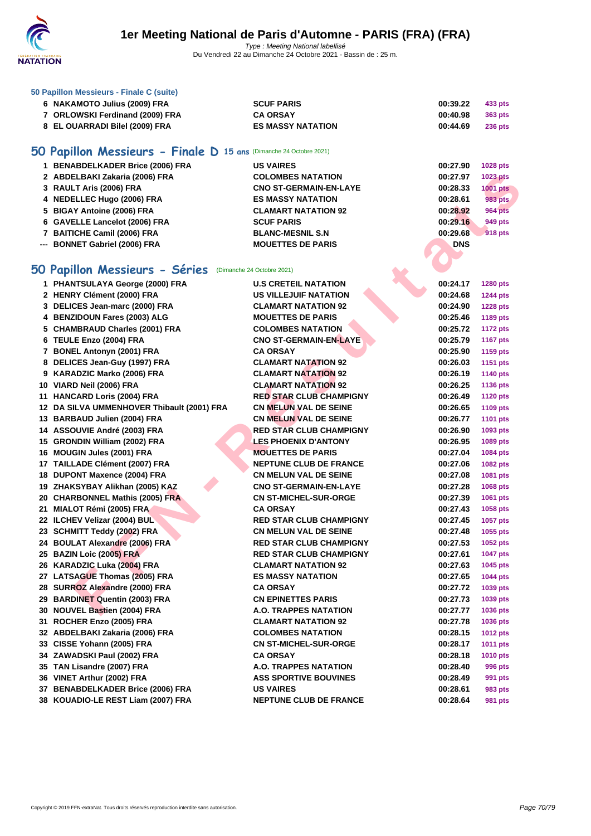

### **[50 Papillo](http://www.ffnatation.fr/webffn/index.php)n Messieurs - Finale C (suite)**

| 6 NAKAMOTO Julius (2009) FRA    | <b>SCUF PARIS</b>        | 00:39.22 | 433 pts        |
|---------------------------------|--------------------------|----------|----------------|
| 7 ORLOWSKI Ferdinand (2009) FRA | <b>CA ORSAY</b>          | 00:40.98 | 363 pts        |
| 8 EL OUARRADI Bilel (2009) FRA  | <b>ES MASSY NATATION</b> | 00:44.69 | <b>236 pts</b> |

# **50 Papillon Messieurs - Finale D 15 ans** (Dimanche 24 Octobre 2021)

| 1 BENABDELKADER Brice (2006) FRA | <b>US VAIRES</b>              | 00:27.90   | 1028 pts        |
|----------------------------------|-------------------------------|------------|-----------------|
| 2 ABDELBAKI Zakaria (2006) FRA   | <b>COLOMBES NATATION</b>      | 00:27.97   | <b>1023 pts</b> |
| 3 RAULT Aris (2006) FRA          | <b>CNO ST-GERMAIN-EN-LAYE</b> | 00:28.33   | <b>1001 pts</b> |
| 4 NEDELLEC Hugo (2006) FRA       | <b>ES MASSY NATATION</b>      | 00:28.61   | 983 pts         |
| 5 BIGAY Antoine (2006) FRA       | <b>CLAMART NATATION 92</b>    | 00:28.92   | <b>964 pts</b>  |
| 6 GAVELLE Lancelot (2006) FRA    | <b>SCUF PARIS</b>             | 00:29.16   | 949 pts         |
| 7 BAITICHE Camil (2006) FRA      | <b>BLANC-MESNIL S.N.</b>      | 00:29.68   | <b>918 pts</b>  |
| --- BONNET Gabriel (2006) FRA    | <b>MOUETTES DE PARIS</b>      | <b>DNS</b> |                 |

# **50 Papillon Messieurs - Séries** (Dimanche 24 Octobre 2021)

| 2 ABDELBAKI Zakaria (2006) FRA                            | <b>COLOMBES NATATION</b>       | 00:27.97   | <b>1023 pts</b> |
|-----------------------------------------------------------|--------------------------------|------------|-----------------|
| 3 RAULT Aris (2006) FRA                                   | <b>CNO ST-GERMAIN-EN-LAYE</b>  | 00:28.33   | <b>1001 pts</b> |
| 4 NEDELLEC Hugo (2006) FRA                                | <b>ES MASSY NATATION</b>       | 00:28.61   | 983 pts         |
| 5 BIGAY Antoine (2006) FRA                                | <b>CLAMART NATATION 92</b>     | 00:28.92   | <b>964 pts</b>  |
| 6 GAVELLE Lancelot (2006) FRA                             | <b>SCUF PARIS</b>              | 00:29.16   | 949 pts         |
| 7 BAITICHE Camil (2006) FRA                               | <b>BLANC-MESNIL S.N</b>        | 00:29.68   | <b>918 pts</b>  |
| --- BONNET Gabriel (2006) FRA                             | <b>MOUETTES DE PARIS</b>       | <b>DNS</b> |                 |
|                                                           |                                |            |                 |
| 50 Papillon Messieurs - Séries (Dimanche 24 Octobre 2021) |                                |            |                 |
| 1 PHANTSULAYA George (2000) FRA                           | <b>U.S CRETEIL NATATION</b>    | 00:24.17   | 1280 pts        |
| 2 HENRY Clément (2000) FRA                                | <b>US VILLEJUIF NATATION</b>   | 00:24.68   | 1244 pts        |
| 3 DELICES Jean-marc (2000) FRA                            | <b>CLAMART NATATION 92</b>     | 00:24.90   | <b>1228 pts</b> |
| 4 BENZIDOUN Fares (2003) ALG                              | <b>MOUETTES DE PARIS</b>       | 00:25.46   | 1189 pts        |
| 5 CHAMBRAUD Charles (2001) FRA                            | <b>COLOMBES NATATION</b>       | 00:25.72   | <b>1172 pts</b> |
| 6 TEULE Enzo (2004) FRA                                   | <b>CNO ST-GERMAIN-EN-LAYE</b>  | 00:25.79   | <b>1167 pts</b> |
| 7 BONEL Antonyn (2001) FRA                                | <b>CA ORSAY</b>                | 00:25.90   | 1159 pts        |
| 8 DELICES Jean-Guy (1997) FRA                             | <b>CLAMART NATATION 92</b>     | 00:26.03   | <b>1151 pts</b> |
| 9 KARADZIC Marko (2006) FRA                               | <b>CLAMART NATATION 92</b>     | 00:26.19   | <b>1140 pts</b> |
| 10 VIARD Neil (2006) FRA                                  | <b>CLAMART NATATION 92</b>     | 00:26.25   | <b>1136 pts</b> |
| 11 HANCARD Loris (2004) FRA                               | <b>RED STAR CLUB CHAMPIGNY</b> | 00:26.49   | <b>1120 pts</b> |
| 12 DA SILVA UMMENHOVER Thibault (2001) FRA                | <b>CN MELUN VAL DE SEINE</b>   | 00:26.65   | 1109 pts        |
| 13 BARBAUD Julien (2004) FRA                              | <b>CN MELUN VAL DE SEINE</b>   | 00:26.77   | <b>1101 pts</b> |
| 14 ASSOUVIE André (2003) FRA                              | <b>RED STAR CLUB CHAMPIGNY</b> | 00:26.90   | 1093 pts        |
| 15 GRONDIN William (2002) FRA                             | <b>LES PHOENIX D'ANTONY</b>    | 00:26.95   | 1089 pts        |
| 16 MOUGIN Jules (2001) FRA                                | <b>MOUETTES DE PARIS</b>       | 00:27.04   | 1084 pts        |
| 17 TAILLADE Clément (2007) FRA                            | <b>NEPTUNE CLUB DE FRANCE</b>  | 00:27.06   | 1082 pts        |
| 18 DUPONT Maxence (2004) FRA                              | <b>CN MELUN VAL DE SEINE</b>   | 00:27.08   | 1081 pts        |
| 19 ZHAKSYBAY Alikhan (2005) KAZ                           | <b>CNO ST-GERMAIN-EN-LAYE</b>  | 00:27.28   | 1068 pts        |
| 20 CHARBONNEL Mathis (2005) FRA                           | <b>CN ST-MICHEL-SUR-ORGE</b>   | 00:27.39   | 1061 pts        |
| 21 MIALOT Rémi (2005) FRA                                 | <b>CA ORSAY</b>                | 00:27.43   | 1058 pts        |
| 22 ILCHEV Velizar (2004) BUL                              | <b>RED STAR CLUB CHAMPIGNY</b> | 00:27.45   | 1057 pts        |
| 23 SCHMITT Teddy (2002) FRA                               | <b>CN MELUN VAL DE SEINE</b>   | 00:27.48   | 1055 pts        |
| 24 BOULAT Alexandre (2006) FRA                            | <b>RED STAR CLUB CHAMPIGNY</b> | 00:27.53   | <b>1052 pts</b> |
| 25 BAZIN Loic (2005) FRA                                  | <b>RED STAR CLUB CHAMPIGNY</b> | 00:27.61   | <b>1047 pts</b> |
| 26 KARADZIC Luka (2004) FRA                               | <b>CLAMART NATATION 92</b>     | 00:27.63   | 1045 pts        |
| 27 LATSAGUE Thomas (2005) FRA                             | <b>ES MASSY NATATION</b>       | 00:27.65   | <b>1044 pts</b> |
| 28 SURROZ Alexandre (2000) FRA                            | <b>CA ORSAY</b>                | 00:27.72   | 1039 pts        |
| 29 BARDINET Quentin (2003) FRA                            | <b>CN EPINETTES PARIS</b>      | 00:27.73   | 1039 pts        |
| 30 NOUVEL Bastien (2004) FRA                              | <b>A.O. TRAPPES NATATION</b>   | 00:27.77   | 1036 pts        |
| 31 ROCHER Enzo (2005) FRA                                 | <b>CLAMART NATATION 92</b>     | 00:27.78   | 1036 pts        |
| 32 ABDELBAKI Zakaria (2006) FRA                           | <b>COLOMBES NATATION</b>       | 00:28.15   | <b>1012 pts</b> |
| 33 CISSE Yohann (2005) FRA                                | <b>CN ST-MICHEL-SUR-ORGE</b>   | 00:28.17   | <b>1011 pts</b> |
| 34 ZAWADSKI Paul (2002) FRA                               | <b>CA ORSAY</b>                | 00:28.18   | 1010 pts        |
| 35 TAN Lisandre (2007) FRA                                | A.O. TRAPPES NATATION          | 00:28.40   | 996 pts         |
| 36 VINET Arthur (2002) FRA                                | <b>ASS SPORTIVE BOUVINES</b>   | 00:28.49   | 991 pts         |
| 37 BENABDELKADER Brice (2006) FRA                         | <b>US VAIRES</b>               | 00:28.61   | 983 pts         |
| 38 KOUADIO-LE REST Liam (2007) FRA                        | <b>NEPTUNE CLUB DE FRANCE</b>  | 00:28.64   | 981 pts         |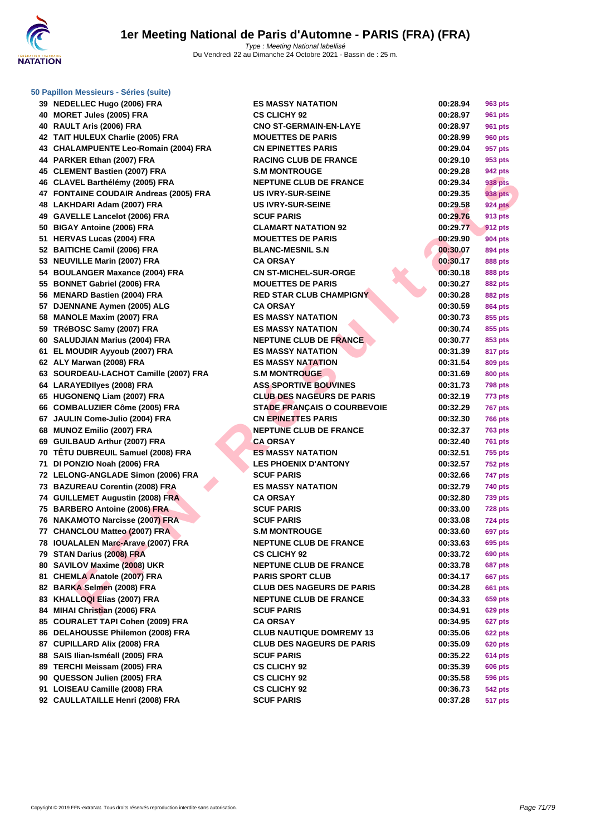

### **[50 Papillo](http://www.ffnatation.fr/webffn/index.php)n Messieurs - Séries (suite)**

|    | 39 NEDELLEC Hugo (2006) FRA            | E,  |
|----|----------------------------------------|-----|
|    | 40 MORET Jules (2005) FRA              | C:  |
|    | 40 RAULT Aris (2006) FRA               | СI  |
|    | 42 TAIT HULEUX Charlie (2005) FRA      | М   |
|    | 43 CHALAMPUENTE Leo-Romain (2004) FRA  | СI  |
|    | 44 PARKER Ethan (2007) FRA             | R,  |
|    | 45 CLEMENT Bastien (2007) FRA          | S.  |
|    | 46 CLAVEL Barthélémy (2005) FRA        | NI  |
|    | 47 FONTAINE COUDAIR Andreas (2005) FRA | U.  |
|    | 48 LAKHDARI Adam (2007) FRA            | U.  |
|    | 49 GAVELLE Lancelot (2006) FRA         | S(  |
|    | 50 BIGAY Antoine (2006) FRA            | СI  |
|    | 51 HERVAS Lucas (2004) FRA             | М   |
|    | 52 BAITICHE Camil (2006) FRA           | в   |
|    | 53 NEUVILLE Marin (2007) FRA           | c,  |
|    | 54 BOULANGER Maxance (2004) FRA        | СI  |
|    | 55 BONNET Gabriel (2006) FRA           | М   |
|    | 56 MENARD Bastien (2004) FRA           | RI  |
|    | 57 DJENNANE Aymen (2005) ALG           | C,  |
|    | 58 MANOLE Maxim (2007) FRA             | E,  |
|    | 59 TRéBOSC Samy (2007) FRA             | E\$ |
|    | 60 SALUDJIAN Marius (2004) FRA         | NI  |
|    | 61 EL MOUDIR Ayyoub (2007) FRA         | E,  |
|    | 62 ALY Marwan (2008) FRA               | E,  |
|    | 63 SOURDEAU-LACHOT Camille (2007) FRA  | S.  |
|    | 64 LARAYEDIIyes (2008) FRA             | A١  |
|    | 65 HUGONENQ Liam (2007) FRA            | СI  |
|    | 66 COMBALUZIER Côme (2005) FRA         | S.  |
|    | 67 JAULIN Come-Julio (2004) FRA        | СI  |
|    | 68 MUNOZ Emilio (2007) FRA             | NI  |
|    | 69 GUILBAUD Arthur (2007) FRA          | C,  |
|    | 70 TÊTU DUBREUIL Samuel (2008) FRA     | Е   |
|    | 71 DI PONZIO Noah (2006) FRA           | Ц   |
|    | 72 LELONG-ANGLADE Simon (2006) FRA     | S(  |
|    | 73 BAZUREAU Corentin (2008) FRA        | E,  |
|    | 74 GUILLEMET Augustin (2008) FRA       | C,  |
|    | 75 BARBERO Antoine (2006) FRA          | S(  |
|    | 76 NAKAMOTO Narcisse (2007) FRA        | S(  |
|    | 77 CHANCLOU Matteo (2007) FRA          | S.  |
|    | 78 IOUALALEN Marc-Arave (2007) FRA     | NI  |
|    | 79 STAN Darius (2008) FRA              | C:  |
|    | 80 SAVILOV Maxime (2008) UKR           | NI  |
|    | 81 CHEMLA Anatole (2007) FRA           | P,  |
|    | 82 BARKA Selmen (2008) FRA             | СI  |
|    | 83 KHALLOQI Elias (2007) FRA           | NI  |
|    | 84 MIHAI Christian (2006) FRA          | S(  |
|    | 85 COURALET TAPI Cohen (2009) FRA      | C,  |
| 86 | DELAHOUSSE Philemon (2008) FRA         | СI  |
|    | 87 CUPILLARD Alix (2008) FRA           | СI  |
|    | 88 SAIS Ilian-Isméall (2005) FRA       | S(  |
|    | 89 TERCHI Meissam (2005) FRA           | C:  |
|    | 90 QUESSON Julien (2005) FRA           | C:  |
| 91 | LOISEAU Camille (2008) FRA             | C:  |
|    | 92 CAULLATAILLE Henri (2008) FRA       | S(  |

| 39   NEDELLEC Hugo (2006) FRA          | <b>ES MASSY NATATION</b>           | 00:28.94 | 963 pts        |
|----------------------------------------|------------------------------------|----------|----------------|
| 40 MORET Jules (2005) FRA              | <b>CS CLICHY 92</b>                | 00:28.97 | 961 pts        |
| 40 RAULT Aris (2006) FRA               | <b>CNO ST-GERMAIN-EN-LAYE</b>      | 00:28.97 | 961 pts        |
| 42 TAIT HULEUX Charlie (2005) FRA      | <b>MOUETTES DE PARIS</b>           | 00:28.99 | 960 pts        |
| 43 CHALAMPUENTE Leo-Romain (2004) FRA  | <b>CN EPINETTES PARIS</b>          | 00:29.04 | 957 pts        |
| 44 PARKER Ethan (2007) FRA             | <b>RACING CLUB DE FRANCE</b>       | 00:29.10 | 953 pts        |
| 45 CLEMENT Bastien (2007) FRA          | <b>S.M MONTROUGE</b>               | 00:29.28 | 942 pts        |
| 46 CLAVEL Barthélémy (2005) FRA        | <b>NEPTUNE CLUB DE FRANCE</b>      | 00:29.34 | 938 pts        |
| 47 FONTAINE COUDAIR Andreas (2005) FRA | <b>US IVRY-SUR-SEINE</b>           | 00:29.35 | <b>938 pts</b> |
| 48 LAKHDARI Adam (2007) FRA            | <b>US IVRY-SUR-SEINE</b>           | 00:29.58 | <b>924 pts</b> |
| 49 GAVELLE Lancelot (2006) FRA         | <b>SCUF PARIS</b>                  | 00:29.76 | 913 pts        |
| 50 BIGAY Antoine (2006) FRA            | <b>CLAMART NATATION 92</b>         | 00:29.77 | <b>912 pts</b> |
| 51 HERVAS Lucas (2004) FRA             | <b>MOUETTES DE PARIS</b>           | 00:29.90 | 904 pts        |
| 52 BAITICHE Camil (2006) FRA           | <b>BLANC-MESNIL S.N</b>            | 00:30.07 | 894 pts        |
| 53 NEUVILLE Marin (2007) FRA           | <b>CA ORSAY</b>                    | 00:30.17 | 888 pts        |
| 54 BOULANGER Maxance (2004) FRA        | <b>CN ST-MICHEL-SUR-ORGE</b>       | 00:30.18 | 888 pts        |
| 55 BONNET Gabriel (2006) FRA           | <b>MOUETTES DE PARIS</b>           | 00:30.27 | <b>882 pts</b> |
| 56 MENARD Bastien (2004) FRA           | <b>RED STAR CLUB CHAMPIGNY</b>     | 00:30.28 | <b>882 pts</b> |
| 57 DJENNANE Aymen (2005) ALG           | <b>CA ORSAY</b>                    | 00:30.59 | 864 pts        |
| 58 MANOLE Maxim (2007) FRA             | <b>ES MASSY NATATION</b>           | 00:30.73 | 855 pts        |
| 59 TRéBOSC Samy (2007) FRA             | <b>ES MASSY NATATION</b>           | 00:30.74 | 855 pts        |
| 60 SALUDJIAN Marius (2004) FRA         | <b>NEPTUNE CLUB DE FRANCE</b>      | 00:30.77 | 853 pts        |
| 61 EL MOUDIR Ayyoub (2007) FRA         | <b>ES MASSY NATATION</b>           | 00:31.39 | 817 pts        |
| 62 ALY Marwan (2008) FRA               | <b>ES MASSY NATATION</b>           | 00:31.54 | 809 pts        |
| 63 SOURDEAU-LACHOT Camille (2007) FRA  | <b>S.M MONTROUGE</b>               | 00:31.69 | 800 pts        |
| 64 LARAYEDIIyes (2008) FRA             | <b>ASS SPORTIVE BOUVINES</b>       | 00:31.73 | <b>798 pts</b> |
| 65 HUGONENQ Liam (2007) FRA            | <b>CLUB DES NAGEURS DE PARIS</b>   | 00:32.19 | 773 pts        |
| 66 COMBALUZIER Côme (2005) FRA         | <b>STADE FRANÇAIS O COURBEVOIE</b> | 00:32.29 | <b>767 pts</b> |
| 67 JAULIN Come-Julio (2004) FRA        | <b>CN EPINETTES PARIS</b>          | 00:32.30 | <b>766 pts</b> |
| 68 MUNOZ Emilio (2007) FRA             | <b>NEPTUNE CLUB DE FRANCE</b>      | 00:32.37 | <b>763 pts</b> |
| 69 GUILBAUD Arthur (2007) FRA          | <b>CA ORSAY</b>                    | 00:32.40 | <b>761 pts</b> |
| 70 TÊTU DUBREUIL Samuel (2008) FRA     | <b>ES MASSY NATATION</b>           | 00:32.51 | <b>755 pts</b> |
| 71 DI PONZIO Noah (2006) FRA           | <b>LES PHOENIX D'ANTONY</b>        | 00:32.57 | <b>752 pts</b> |
| 72 LELONG-ANGLADE Simon (2006) FRA     | <b>SCUF PARIS</b>                  | 00:32.66 | 747 pts        |
| 73 BAZUREAU Corentin (2008) FRA        | <b>ES MASSY NATATION</b>           | 00:32.79 | 740 pts        |
| 74 GUILLEMET Augustin (2008) FRA       | <b>CA ORSAY</b>                    | 00:32.80 | <b>739 pts</b> |
| 75 BARBERO Antoine (2006) FRA          | <b>SCUF PARIS</b>                  | 00:33.00 | <b>728 pts</b> |
| 76 NAKAMOTO Narcisse (2007) FRA        | <b>SCUF PARIS</b>                  | 00:33.08 | 724 pts        |
| 77 CHANCLOU Matteo (2007) FRA          | <b>S.M MONTROUGE</b>               | 00:33.60 | <b>697 pts</b> |
| 78 IOUALALEN Marc-Arave (2007) FRA     | <b>NEPTUNE CLUB DE FRANCE</b>      | 00:33.63 | 695 pts        |
| 79 STAN Darius (2008) FRA              | <b>CS CLICHY 92</b>                | 00:33.72 | 690 pts        |
| 80 SAVILOV Maxime (2008) UKR           | <b>NEPTUNE CLUB DE FRANCE</b>      | 00:33.78 | <b>687 pts</b> |
| 81 CHEMLA Anatole (2007) FRA           | <b>PARIS SPORT CLUB</b>            | 00:34.17 | <b>667 pts</b> |
| 82 BARKA Selmen (2008) FRA             | <b>CLUB DES NAGEURS DE PARIS</b>   | 00:34.28 | <b>661 pts</b> |
| 83 KHALLOQI Elias (2007) FRA           | <b>NEPTUNE CLUB DE FRANCE</b>      | 00:34.33 | 659 pts        |
| 84 MIHAI Christian (2006) FRA          | <b>SCUF PARIS</b>                  | 00:34.91 | <b>629 pts</b> |
| 85 COURALET TAPI Cohen (2009) FRA      | <b>CA ORSAY</b>                    | 00:34.95 | 627 pts        |
| 86 DELAHOUSSE Philemon (2008) FRA      | <b>CLUB NAUTIQUE DOMREMY 13</b>    | 00:35.06 | <b>622 pts</b> |
| 87 CUPILLARD Alix (2008) FRA           | <b>CLUB DES NAGEURS DE PARIS</b>   | 00:35.09 | <b>620 pts</b> |
| 88 SAIS Ilian-Isméall (2005) FRA       | <b>SCUF PARIS</b>                  | 00:35.22 | <b>614 pts</b> |
| 89 TERCHI Meissam (2005) FRA           | <b>CS CLICHY 92</b>                | 00:35.39 | <b>606 pts</b> |
| 90 QUESSON Julien (2005) FRA           | <b>CS CLICHY 92</b>                | 00:35.58 | <b>596 pts</b> |
| 91 LOISEAU Camille (2008) FRA          | <b>CS CLICHY 92</b>                | 00:36.73 | <b>542 pts</b> |
| 92 CAULLATAILLE Henri (2008) FRA       | <b>SCUF PARIS</b>                  | 00:37.28 | 517 pts        |
|                                        |                                    |          |                |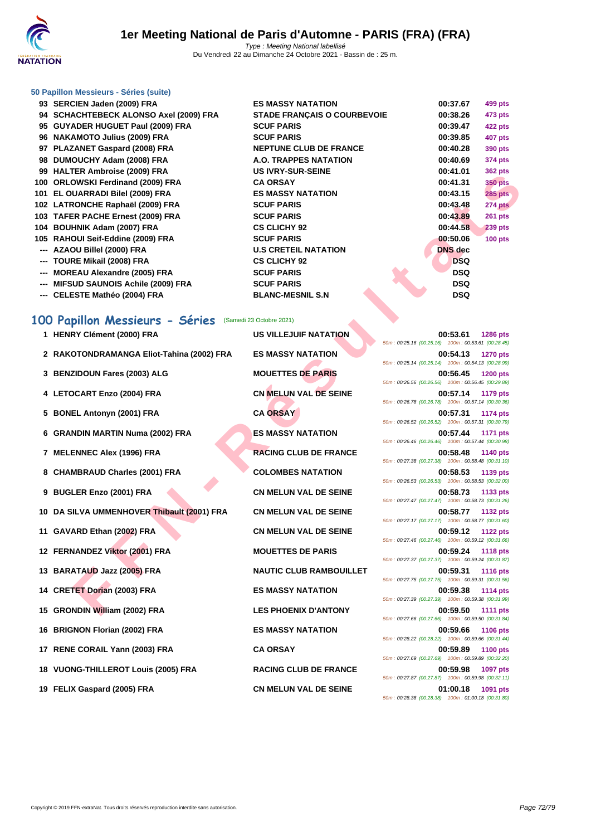

# **[50 Papillo](http://www.ffnatation.fr/webffn/index.php)n Messieurs - Séries (suite)**

|     | 93 SERCIEN Jaden (2009) FRA             | <b>ES MASSY NATATION</b>           | 00:37.67       | 499 pts        |
|-----|-----------------------------------------|------------------------------------|----------------|----------------|
|     | 94 SCHACHTEBECK ALONSO Axel (2009) FRA  | <b>STADE FRANÇAIS O COURBEVOIE</b> | 00:38.26       | 473 pts        |
|     | 95 GUYADER HUGUET Paul (2009) FRA       | <b>SCUF PARIS</b>                  | 00:39.47       | <b>422 pts</b> |
|     | 96 NAKAMOTO Julius (2009) FRA           | <b>SCUF PARIS</b>                  | 00:39.85       | <b>407 pts</b> |
|     | 97 PLAZANET Gaspard (2008) FRA          | <b>NEPTUNE CLUB DE FRANCE</b>      | 00:40.28       | 390 pts        |
|     | 98 DUMOUCHY Adam (2008) FRA             | A.O. TRAPPES NATATION              | 00:40.69       | 374 pts        |
|     | 99 HALTER Ambroise (2009) FRA           | <b>US IVRY-SUR-SEINE</b>           | 00:41.01       | <b>362 pts</b> |
|     | 100 ORLOWSKI Ferdinand (2009) FRA       | <b>CA ORSAY</b>                    | 00:41.31       | <b>350 pts</b> |
|     | 101 EL OUARRADI Bilel (2009) FRA        | <b>ES MASSY NATATION</b>           | 00:43.15       | <b>285 pts</b> |
|     | 102 LATRONCHE Raphaël (2009) FRA        | <b>SCUF PARIS</b>                  | 00:43.48       | <b>274 pts</b> |
|     | 103 TAFER PACHE Ernest (2009) FRA       | <b>SCUF PARIS</b>                  | 00:43.89       | $261$ pts      |
|     | 104 BOUHNIK Adam (2007) FRA             | <b>CS CLICHY 92</b>                | 00:44.58       | <b>239 pts</b> |
|     | 105 RAHOUI Seif-Eddine (2009) FRA       | <b>SCUF PARIS</b>                  | 00:50.06       | $100$ pts      |
|     | --- AZAOU Billel (2000) FRA             | <b>U.S CRETEIL NATATION</b>        | <b>DNS</b> dec |                |
|     | --- TOURE Mikail (2008) FRA             | <b>CS CLICHY 92</b>                | <b>DSQ</b>     |                |
| --- | <b>MOREAU Alexandre (2005) FRA</b>      | <b>SCUF PARIS</b>                  | <b>DSQ</b>     |                |
| --- | <b>MIFSUD SAUNOIS Achile (2009) FRA</b> | <b>SCUF PARIS</b>                  | <b>DSQ</b>     |                |
|     | --- CELESTE Mathéo (2004) FRA           | <b>BLANC-MESNIL S.N</b>            | <b>DSQ</b>     |                |

# **100 Papillon Messieurs - Séries** (Samedi 23 Octobre 2021)

| $33$ TIALILIN AIIIDI 0136 (2003) LINA   |                                            | ∟וו∟ט־וועט־ו וועו טט           | vv. + 1. v 1<br>JUZ PIS                                                           |
|-----------------------------------------|--------------------------------------------|--------------------------------|-----------------------------------------------------------------------------------|
| 100 ORLOWSKI Ferdinand (2009) FRA       |                                            | <b>CA ORSAY</b>                | 00:41.31<br><b>350 pts</b>                                                        |
| 101 EL OUARRADI Bilel (2009) FRA        |                                            | <b>ES MASSY NATATION</b>       | 00:43.15<br><b>285 pts</b>                                                        |
| 102 LATRONCHE Raphaël (2009) FRA        |                                            | <b>SCUF PARIS</b>              | 00:43.48<br>274 pts                                                               |
| 103 TAFER PACHE Ernest (2009) FRA       |                                            | <b>SCUF PARIS</b>              | 00:43.89<br>261 pts                                                               |
| 104 BOUHNIK Adam (2007) FRA             |                                            | <b>CS CLICHY 92</b>            | 00:44.58<br>239 pts                                                               |
| 105 RAHOUI Seif-Eddine (2009) FRA       |                                            | <b>SCUF PARIS</b>              | 00:50.06<br><b>100 pts</b>                                                        |
| --- AZAOU Billel (2000) FRA             |                                            | <b>U.S CRETEIL NATATION</b>    | <b>DNS</b> dec                                                                    |
| --- TOURE Mikail (2008) FRA             |                                            | <b>CS CLICHY 92</b>            | <b>DSQ</b>                                                                        |
| <b>MOREAU Alexandre (2005) FRA</b>      |                                            | <b>SCUF PARIS</b>              | <b>DSQ</b>                                                                        |
| <b>MIFSUD SAUNOIS Achile (2009) FRA</b> |                                            | <b>SCUF PARIS</b>              | <b>DSQ</b>                                                                        |
| --- CELESTE Mathéo (2004) FRA           |                                            | <b>BLANC-MESNIL S.N</b>        | <b>DSQ</b>                                                                        |
| 100 Papillon Messieurs - Séries         |                                            | (Samedi 23 Octobre 2021)       |                                                                                   |
| 1 HENRY Clément (2000) FRA              |                                            | <b>US VILLEJUIF NATATION</b>   | 00:53.61<br><b>1286 pts</b><br>50m: 00:25.16 (00:25.16) 100m: 00:53.61 (00:28.45) |
|                                         | 2 RAKOTONDRAMANGA Eliot-Tahina (2002) FRA  | <b>ES MASSY NATATION</b>       | 00:54.13<br><b>1270 pts</b><br>50m: 00:25.14 (00:25.14) 100m: 00:54.13 (00:28.99) |
| 3 BENZIDOUN Fares (2003) ALG            |                                            | <b>MOUETTES DE PARIS</b>       | 00:56.45<br><b>1200 pts</b><br>50m: 00:26.56 (00:26.56) 100m: 00:56.45 (00:29.89) |
| 4 LETOCART Enzo (2004) FRA              |                                            | <b>CN MELUN VAL DE SEINE</b>   | 00:57.14<br>1179 pts<br>50m: 00:26.78 (00:26.78) 100m: 00:57.14 (00:30.36)        |
| 5 BONEL Antonyn (2001) FRA              |                                            | <b>CA ORSAY</b>                | 00:57.31<br>1174 pts<br>50m: 00:26.52 (00:26.52) 100m: 00:57.31 (00:30.79)        |
| 6 GRANDIN MARTIN Numa (2002) FRA        |                                            | <b>ES MASSY NATATION</b>       | 00:57.44<br><b>1171 pts</b><br>50m: 00:26.46 (00:26.46) 100m: 00:57.44 (00:30.98) |
| 7 MELENNEC Alex (1996) FRA              |                                            | <b>RACING CLUB DE FRANCE</b>   | 00:58.48<br>1140 pts<br>50m: 00:27.38 (00:27.38) 100m: 00:58.48 (00:31.10)        |
| 8 CHAMBRAUD Charles (2001) FRA          |                                            | <b>COLOMBES NATATION</b>       | 00:58.53<br>1139 pts<br>50m: 00:26.53 (00:26.53) 100m: 00:58.53 (00:32.00)        |
| 9 BUGLER Enzo (2001) FRA                |                                            | <b>CN MELUN VAL DE SEINE</b>   | 00:58.73<br>1133 pts<br>50m: 00:27.47 (00:27.47) 100m: 00:58.73 (00:31.26)        |
|                                         | 10 DA SILVA UMMENHOVER Thibault (2001) FRA | <b>CN MELUN VAL DE SEINE</b>   | 00:58.77<br>1132 pts<br>50m: 00:27.17 (00:27.17) 100m: 00:58.77 (00:31.60)        |
| 11 GAVARD Ethan (2002) FRA              |                                            | <b>CN MELUN VAL DE SEINE</b>   | 00:59.12<br><b>1122 pts</b><br>50m: 00:27.46 (00:27.46) 100m: 00:59.12 (00:31.66) |
| 12 FERNANDEZ Viktor (2001) FRA          |                                            | <b>MOUETTES DE PARIS</b>       | 00:59.24<br><b>1118 pts</b><br>50m: 00:27.37 (00:27.37) 100m: 00:59.24 (00:31.87) |
| 13 BARATAUD Jazz (2005) FRA             |                                            | <b>NAUTIC CLUB RAMBOUILLET</b> | 00:59.31<br><b>1116 pts</b><br>50m: 00:27.75 (00:27.75) 100m: 00:59.31 (00:31.56) |
| 14 CRETET Dorian (2003) FRA             |                                            | <b>ES MASSY NATATION</b>       | 00:59.38<br><b>1114 pts</b><br>50m: 00:27.39 (00:27.39) 100m: 00:59.38 (00:31.99) |
| 15 GRONDIN William (2002) FRA           |                                            | <b>LES PHOENIX D'ANTONY</b>    | 00:59.50<br><b>1111 pts</b><br>50m: 00:27.66 (00:27.66) 100m: 00:59.50 (00:31.84) |
| 16 BRIGNON Florian (2002) FRA           |                                            | <b>ES MASSY NATATION</b>       | 00:59.66<br>1106 pts<br>50m: 00:28.22 (00:28.22) 100m: 00:59.66 (00:31.44)        |
| 17 RENE CORAIL Yann (2003) FRA          |                                            | <b>CA ORSAY</b>                | 00:59.89<br><b>1100 pts</b><br>50m: 00:27.69 (00:27.69) 100m: 00:59.89 (00:32.20) |
| 18 VUONG-THILLEROT Louis (2005) FRA     |                                            | <b>RACING CLUB DE FRANCE</b>   | 00:59.98<br>1097 pts<br>50m: 00:27.87 (00:27.87) 100m: 00:59.98 (00:32.11)        |
| 19 FELIX Gaspard (2005) FRA             |                                            | <b>CN MELUN VAL DE SEINE</b>   | 01:00.18<br>1091 pts<br>50m : 00:28.38 (00:28.38) 100m : 01:00.18 (00:31.80)      |

| 50m: 00:25.16 (00:25.16) 100m: 00:53.61 (00:28.45) | 00:53.61                              | 1286 pts        |
|----------------------------------------------------|---------------------------------------|-----------------|
| 50m: 00:25.14 (00:25.14) 100m: 00:54.13 (00:28.99) | 00:54.13                              | <b>1270 pts</b> |
|                                                    | 00:56.45                              | <b>1200 pts</b> |
| 50m: 00:26.56 (00:26.56) 100m: 00:56.45 (00:29.89) | 00:57.14                              | 1179 pts        |
| 50m: 00:26.78 (00:26.78) 100m: 00:57.14 (00:30.36) |                                       |                 |
| 50m: 00:26.52 (00:26.52) 100m: 00:57.31 (00:30.79) | 00:57.31                              | 1174 pts        |
| 50m: 00:26.46 (00:26.46) 100m: 00:57.44 (00:30.98) | 00:57.44                              | 1171 pts        |
| 50m: 00:27.38 (00:27.38) 100m: 00:58.48 (00:31.10) | 00:58.48                              | 1140 pts        |
| 50m: 00:26.53 (00:26.53) 100m: 00:58.53 (00:32.00) | 00:58.53                              | 1139 pts        |
| 50m: 00:27.47 (00:27.47)                           | 00:58.73<br>100m: 00:58.73 (00:31.26) | 1133 pts        |
|                                                    | 00:58.77                              | 1132 pts        |
| 50m: 00:27.17 (00:27.17) 100m: 00:58.77 (00:31.60) | 00:59.12                              | <b>1122 pts</b> |
| 50m: 00:27.46 (00:27.46) 100m: 00:59.12 (00:31.66) | 00:59.24                              | <b>1118 pts</b> |
| 50m: 00:27.37 (00:27.37) 100m: 00:59.24 (00:31.87) |                                       |                 |
| 50m: 00:27.75 (00:27.75) 100m: 00:59.31 (00:31.56) | 00:59.31                              | 1116 pts        |
| 50m: 00:27.39 (00:27.39) 100m: 00:59.38 (00:31.99) | 00:59.38                              | <b>1114 pts</b> |
| 50m: 00:27.66 (00:27.66)                           | 00:59.50<br>100m: 00:59.50 (00:31.84) | <b>1111 pts</b> |
| 50m: 00:28.22 (00:28.22) 100m: 00:59.66 (00:31.44) | 00:59.66                              | <b>1106 pts</b> |
|                                                    | 00:59.89                              | 1100 pts        |
| 50m: 00:27.69 (00:27.69) 100m: 00:59.89 (00:32.20) | 00:59.98                              | 1097 pts        |
| 50m: 00:27.87 (00:27.87) 100m: 00:59.98 (00:32.11) | 01:00.18                              | 1091 pts        |
| 50m: 00:28.38 (00:28.38) 100m: 01:00.18 (00:31.80) |                                       |                 |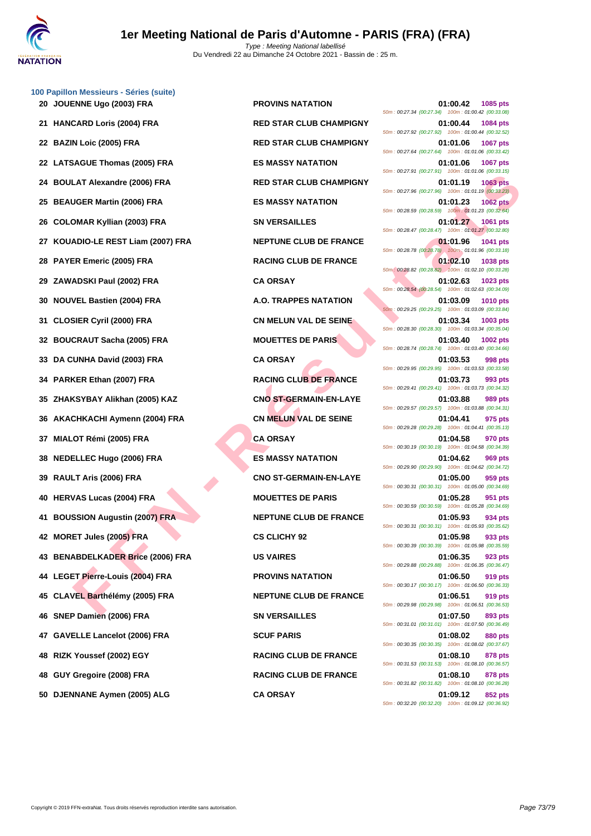

|    | 100 Papillon Messieurs - Séries (suite) |                                |                                                                                                                                         |
|----|-----------------------------------------|--------------------------------|-----------------------------------------------------------------------------------------------------------------------------------------|
|    | 20 JOUENNE Ugo (2003) FRA               | <b>PROVINS NATATION</b>        | 01:00.42<br>1085 pts<br>50m: 00:27.34 (00:27.34) 100m: 01:00.42 (00:33.08)                                                              |
|    | 21 HANCARD Loris (2004) FRA             | <b>RED STAR CLUB CHAMPIGNY</b> | 01:00.44<br>1084 pts<br>50m: 00:27.92 (00:27.92) 100m: 01:00.44 (00:32.52)                                                              |
|    | 22 BAZIN Loic (2005) FRA                | <b>RED STAR CLUB CHAMPIGNY</b> | 1067 pts<br>01:01.06<br>50m: 00:27.64 (00:27.64) 100m: 01:01.06 (00:33.42)                                                              |
|    | 22 LATSAGUE Thomas (2005) FRA           | <b>ES MASSY NATATION</b>       | 01:01.06<br>1067 pts                                                                                                                    |
|    | 24 BOULAT Alexandre (2006) FRA          | <b>RED STAR CLUB CHAMPIGNY</b> | 50m: 00:27.91 (00:27.91) 100m: 01:01.06 (00:33.15)<br><b>1063 pts</b><br>01:01.19<br>50m: 00:27.96 (00:27.96) 100m: 01:01.19 (00:33.23) |
|    | 25 BEAUGER Martin (2006) FRA            | <b>ES MASSY NATATION</b>       | 01:01.23<br><b>1062 pts</b><br>50m: 00:28.59 (00:28.59) 100m: 01:01.23 (00:32.64)                                                       |
|    | 26 COLOMAR Kyllian (2003) FRA           | <b>SN VERSAILLES</b>           | 01:01.27<br>1061 pts<br>50m: 00:28.47 (00:28.47) 100m: 01:01.27 (00:32.80)                                                              |
|    | 27 KOUADIO-LE REST Liam (2007) FRA      | <b>NEPTUNE CLUB DE FRANCE</b>  | 01:01.96<br>1041 pts                                                                                                                    |
|    | 28 PAYER Emeric (2005) FRA              | <b>RACING CLUB DE FRANCE</b>   | 50m: 00:28.78 (00:28.78) 100m: 01:01.96 (00:33.18)<br>01:02.10<br>1038 pts                                                              |
|    | 29 ZAWADSKI Paul (2002) FRA             | <b>CA ORSAY</b>                | 50m : 00:28.82 (00:28.82) 100m : 01:02.10 (00:33.28)<br>01:02.63<br>1023 pts                                                            |
|    | 30 NOUVEL Bastien (2004) FRA            | <b>A.O. TRAPPES NATATION</b>   | 50m: 00:28.54 (00:28.54) 100m: 01:02.63 (00:34.09)<br>01:03.09<br>1010 pts                                                              |
| 31 | <b>CLOSIER Cyril (2000) FRA</b>         | <b>CN MELUN VAL DE SEINE</b>   | 50m: 00:29.25 (00:29.25) 100m: 01:03.09 (00:33.84)<br>01:03.34<br>1003 pts                                                              |
|    | 32 BOUCRAUT Sacha (2005) FRA            | <b>MOUETTES DE PARIS</b>       | 50m: 00:28.30 (00:28.30) 100m: 01:03.34 (00:35.04)<br>01:03.40<br>1002 pts                                                              |
|    | 33 DA CUNHA David (2003) FRA            | <b>CA ORSAY</b>                | 50m: 00:28.74 (00:28.74) 100m: 01:03.40 (00:34.66)<br>01:03.53<br><b>998 pts</b>                                                        |
|    | 34 PARKER Ethan (2007) FRA              | <b>RACING CLUB DE FRANCE</b>   | 50m: 00:29.95 (00:29.95) 100m: 01:03.53 (00:33.58)<br>01:03.73<br>993 pts                                                               |
|    | 35 ZHAKSYBAY Alikhan (2005) KAZ         | <b>CNO ST-GERMAIN-EN-LAYE</b>  | 50m: 00:29.41 (00:29.41) 100m: 01:03.73 (00:34.32)<br>01:03.88<br>989 pts                                                               |
|    | 36 AKACHKACHI Aymenn (2004) FRA         | CN MELUN VAL DE SEINE          | 50m: 00:29.57 (00:29.57) 100m: 01:03.88 (00:34.31)<br>01:04.41<br>975 pts<br>50m: 00:29.28 (00:29.28) 100m: 01:04.41 (00:35.13)         |
|    | 37 MIALOT Rémi (2005) FRA               | <b>CA ORSAY</b>                | 01:04.58<br>970 pts                                                                                                                     |
|    | 38 NEDELLEC Hugo (2006) FRA             | <b>ES MASSY NATATION</b>       | 50m: 00:30.19 (00:30.19) 100m: 01:04.58 (00:34.39)<br>01:04.62<br>969 pts                                                               |
|    | 39 RAULT Aris (2006) FRA                | <b>CNO ST-GERMAIN-EN-LAYE</b>  | 50m: 00:29.90 (00:29.90) 100m: 01:04.62 (00:34.72)<br>01:05.00<br>959 pts                                                               |
|    | 40 HERVAS Lucas (2004) FRA              | <b>MOUETTES DE PARIS</b>       | 50m: 00:30.31 (00:30.31) 100m: 01:05.00 (00:34.69)<br>01:05.28<br>951 pts                                                               |
|    | 41 BOUSSION Augustin (2007) FRA         | <b>NEPTUNE CLUB DE FRANCE</b>  | 50m: 00:30.59 (00:30.59) 100m: 01:05.28 (00:34.69)<br>01:05.93<br>934 pts                                                               |
|    | 42 MORET Jules (2005) FRA               | <b>CS CLICHY 92</b>            | 50m: 00:30.31 (00:30.31) 100m: 01:05.93 (00:35.62)<br>01:05.98<br>933 pts<br>50m: 00:30.39 (00:30.39) 100m: 01:05.98 (00:35.59)         |
|    | 43 BENABDELKADER Brice (2006) FRA       | <b>US VAIRES</b>               | 01:06.35<br>923 pts<br>50m : 00:29.88 (00:29.88) 100m : 01:06.35 (00:36.47)                                                             |
|    | 44 LEGET Pierre-Louis (2004) FRA        | <b>PROVINS NATATION</b>        | 01:06.50<br>919 pts                                                                                                                     |
|    | 45 CLAVEL Barthélémy (2005) FRA         | <b>NEPTUNE CLUB DE FRANCE</b>  | 50m: 00:30.17 (00:30.17) 100m: 01:06.50 (00:36.33)<br>01:06.51<br><b>919 pts</b>                                                        |
|    | 46 SNEP Damien (2006) FRA               | <b>SN VERSAILLES</b>           | 50m: 00:29.98 (00:29.98) 100m: 01:06.51 (00:36.53)<br>01:07.50<br>893 pts                                                               |
|    | 47 GAVELLE Lancelot (2006) FRA          | <b>SCUF PARIS</b>              | 50m: 00:31.01 (00:31.01) 100m: 01:07.50 (00:36.49)<br>01:08.02<br><b>880 pts</b>                                                        |
|    | 48 RIZK Youssef (2002) EGY              | <b>RACING CLUB DE FRANCE</b>   | 50m: 00:30.35 (00:30.35) 100m: 01:08.02 (00:37.67)<br>01:08.10<br>878 pts                                                               |
|    | 48 GUY Gregoire (2008) FRA              | <b>RACING CLUB DE FRANCE</b>   | 50m: 00:31.53 (00:31.53) 100m: 01:08.10 (00:36.57)<br>01:08.10<br>878 pts                                                               |
|    |                                         |                                | 50m: 00:31.82 (00:31.82) 100m: 01:08.10 (00:36.28)                                                                                      |

LAT AIssandre (2006) FRA<br>
INGER Martin (2006) FRA<br>
INGER Martin (2006) FRA<br>
INGER Martin (2006) FRA<br>
INGER Martin (2007) FRA<br>
INGER Martin (2007) FRA<br>
INGER ET LIBER (2009) FRA<br>
INGER ET LIBER (2009) FRA<br>
INGER ET LIBER (2 **2011 PROVINS NATATION 01:00.42 1085 pts** 50m : 00:27.34 (00:27.34) 100m : 01:00.42 (00:33.08) **21 HANCARD Loris (2004) FRA RED STAR CLUB CHAMPIGNY 01:00.44 1084 pts** 50m : 00:27.92 (00:27.92) 100m : 01:00.44 (00:32.52) **22 BAZIN Loic (2005) FRA RED STAR CLUB CHAMPIGNY 01:01.06 1067 pts** 50m : 00:27.64 (00:27.64) 100m : 01:01.06 (00:33.42) **22 LATSAGUE Thomas (2005) FRA ES MASSY NATATION 01:01.06 1067 pts** 50m : 00:27.91 (00:27.91) 100m : 01:01.06 (00:33.15) **24 BOULAR CLUB CHAMPIGNY D1:01.19 1063 pts** 50m : 00:27.96 (00:27.96) 100m : 01:01.19 (00:33.23) **25 BEAUGER Martin (2006) FRA ES MASSY NATATION 01:01.23 1062 pts** 50m : 00:28.59 (00:28.59) 100m : 01:01.23 (00:32.64) **26 COLOMARY EXTERNATION COLOMARY COLOMARY FRACAILLES 01:01.27 1061 pts** 50m : 00:28.47 (00:28.47) 100m : 01:01.27 (00:32.80) **27 <b>COUADIST LIAM (2007) 27 COUADIST LIAM (2007) 01:01.96 1041 pts** 50m : 00:28.78 (00:28.78) 100m : 01:01.96 (00:33.18) **28 <b>PACING CLUB DE FRANCE 1038 pts** 50m : 00:28.82 (00:28.82) 100m : 01:02.10 (00:33.28) **29 <b>29 29 29 29 29 29 201:02.63 1023 pts** 50m : 00:28.54 (00:28.54) 100m : 01:02.63 (00:34.09) **30 A.O. TRAPPES NATATION 01:03.09 1010 pts** 50m : 00:29.25 (00:29.25) 100m : 01:03.09 (00:33.84) **311 <b>CN MELUN VAL DE SEINE CN MELUN VAL DE SEINE** 50m : 00:28.30 (00:28.30) 100m : 01:03.34 (00:35.04) **32 BOUCRAUT SACRAMENT SACRAMENT SACRAMENT SACRAMENT SACRAMENT SACRAMENT SACRAMENT SACRAMENT SACRAMENT SACRAMENT SACRAMENT SACRAMENT SACRAMENT SACRAMENT SACRAMENT SACRAMENT SACRAMENT SACRAMENT SACRAMENT SACRAMENT SACRAME** 50m : 00:28.74 (00:28.74) 100m : 01:03.40 (00:34.66) 50m : 00:29.95 (00:29.95) 100m : 01:03.53 (00:33.58) **RACING CLUB DE FRANCE 01:03.73 993 pts** 50m : 00:29.41 (00:29.41) 100m : 01:03.73 (00:34.32) **25 ZHAKSIMAIN-EN-LAYE CNO ST-GERMAIN-EN-LAYE CONSUMINATION** 50m : 00:29.57 (00:29.57) 100m : 01:03.88 (00:34.31) **CN MELUN VAL DE SEINE 01:04.41 975 pts** 50m : 00:29.28 (00:29.28) 100m : 01:04.41 (00:35.13) 50m : 00:30.19 (00:30.19) 100m : 01:04.58 (00:34.39) **38 NEDELLEC Hugo (2006) FRA ES MASSY NATATION 01:04.62 969 pts** 50m : 00:29.90 (00:29.90) 100m : 01:04.62 (00:34.72) **39 RAULT Aris (2006) FRA CNO ST-GERMAIN-EN-LAYE 01:05.00 959 pts** 50m : 00:30.31 (00:30.31) 100m : 01:05.00 (00:34.69) **40 HERVAS Lucas (2004) FRA MOUETTES DE PARIS 01:05.28 951 pts** 50m : 00:30.59 (00:30.59) 100m : 01:05.28 (00:34.69) **AUGUSTION AUGUSTING AUGUSTING CLUB DE FRANCE 01:05.93 934 pts** 50m : 00:30.31 (00:30.31) 100m : 01:05.93 (00:35.62) **42 MORET Jules (2005) FRA CS CLICHY 92 01:05.98 933 pts** 50m : 00:30.39 (00:30.39) 100m : 01:05.98 (00:35.59) 50m : 00:29.88 (00:29.88) 100m : 01:06.35 (00:36.47) **44 LEGET Pierre-Louis (2004) FRA PROVINS NATATION 01:06.50 919 pts** 50m : 00:30.17 (00:30.17) 100m : 01:06.50 (00:36.33) **15 CLUB DE FRANCE 15 CLUB DE FRANCE 01:06.51 919 pts** 50m : 00:29.98 (00:29.98) 100m : 01:06.51 (00:36.53) **46 SNEP Damien (2006) FRA SN VERSAILLES 01:07.50 893 pts** 50m : 00:31.01 (00:31.01) 100m : 01:07.50 (00:36.49) 50m : 00:30.35 (00:30.35) 100m : 01:08.02 (00:37.67) **48 RIZK Youssef (2002) EGY RACING CLUB DE FRANCE 01:08.10 878 pts** 50m : 00:31.53 (00:31.53) 100m : 01:08.10 (00:36.57) **48 GUY Gregoire (2008) FRA RACING CLUB DE FRANCE 01:08.10 878 pts** 50m : 00:31.82 (00:31.82) 100m : 01:08.10 (00:36.28) **50 DJENNANE Aymen (2005) ALG CA ORSAY 01:09.12 852 pts** 50m : 00:32.20 (00:32.20) 100m : 01:09.12 (00:36.92)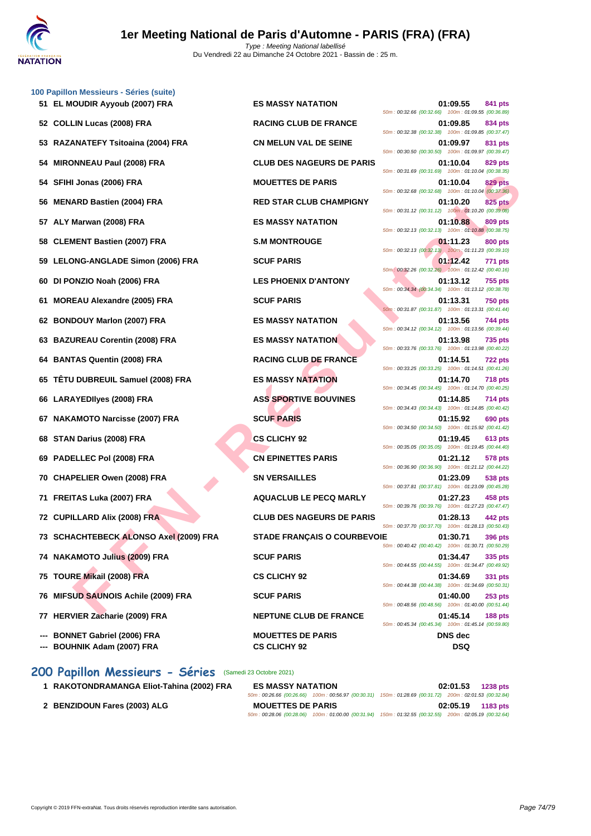

|    | 100 Papillon Messieurs - Séries (suite)                      |                                                 |                                                                                  |
|----|--------------------------------------------------------------|-------------------------------------------------|----------------------------------------------------------------------------------|
|    | 51 EL MOUDIR Ayyoub (2007) FRA                               | <b>ES MASSY NATATION</b>                        | 01:09.55<br>841 pts<br>50m: 00:32.66 (00:32.66) 100m: 01:09.55 (00:36.89)        |
|    | 52 COLLIN Lucas (2008) FRA                                   | <b>RACING CLUB DE FRANCE</b>                    | 01:09.85<br>834 pts<br>50m: 00:32.38 (00:32.38) 100m: 01:09.85 (00:37.47)        |
|    | 53 RAZANATEFY Tsitoaina (2004) FRA                           | <b>CN MELUN VAL DE SEINE</b>                    | 01:09.97<br>831 pts<br>50m: 00:30.50 (00:30.50) 100m: 01:09.97 (00:39.47)        |
|    | 54 MIRONNEAU Paul (2008) FRA                                 | <b>CLUB DES NAGEURS DE PARIS</b>                | 01:10.04<br>829 pts<br>50m: 00:31.69 (00:31.69) 100m: 01:10.04 (00:38.35)        |
|    | 54 SFIHI Jonas (2006) FRA                                    | <b>MOUETTES DE PARIS</b>                        | 01:10.04<br><b>829 pts</b><br>50m: 00:32.68 (00:32.68) 100m: 01:10.04 (00:37.36) |
|    | 56 MENARD Bastien (2004) FRA                                 | <b>RED STAR CLUB CHAMPIGNY</b>                  | 01:10.20<br><b>825 pts</b><br>50m: 00:31.12 (00:31.12) 100m: 01:10.20 (00:39.08) |
|    | 57 ALY Marwan (2008) FRA                                     | <b>ES MASSY NATATION</b>                        | 01:10.88<br>809 pts<br>50m: 00:32.13 (00:32.13) 100m: 01:10.88 (00:38.75)        |
|    | 58 CLEMENT Bastien (2007) FRA                                | <b>S.M MONTROUGE</b>                            | 01:11.23<br>800 pts<br>50m: 00:32.13 (00:32.13) 100m: 01:11.23 (00:39.10)        |
|    | 59 LELONG-ANGLADE Simon (2006) FRA                           | <b>SCUF PARIS</b>                               | 01:12.42<br><b>771 pts</b><br>50m: 00:32.26 (00:32.26) 100m: 01:12.42 (00:40.16) |
|    | 60 DI PONZIO Noah (2006) FRA                                 | <b>LES PHOENIX D'ANTONY</b>                     | 01:13.12<br><b>755 pts</b><br>50m: 00:34.34 (00:34.34) 100m: 01:13.12 (00:38.78) |
| 61 | <b>MOREAU Alexandre (2005) FRA</b>                           | <b>SCUF PARIS</b>                               | 01:13.31<br><b>750 pts</b><br>50m: 00:31.87 (00:31.87) 100m: 01:13.31 (00:41.44) |
|    | 62 BONDOUY Marlon (2007) FRA                                 | <b>ES MASSY NATATION</b>                        | 01:13.56<br>744 pts<br>50m: 00:34.12 (00:34.12) 100m: 01:13.56 (00:39.44)        |
|    | 63 BAZUREAU Corentin (2008) FRA                              | <b>ES MASSY NATATION</b>                        | 01:13.98<br>735 pts<br>50m: 00:33.76 (00:33.76) 100m: 01:13.98 (00:40.22)        |
|    | 64 BANTAS Quentin (2008) FRA                                 | <b>RACING CLUB DE FRANCE</b>                    | 01:14.51<br><b>722 pts</b><br>50m: 00:33.25 (00:33.25) 100m: 01:14.51 (00:41.26) |
|    | 65 TÊTU DUBREUIL Samuel (2008) FRA                           | <b>ES MASSY NATATION</b>                        | 01:14.70<br><b>718 pts</b><br>50m: 00:34.45 (00:34.45) 100m: 01:14.70 (00:40.25) |
|    | 66 LARAYEDIIyes (2008) FRA                                   | <b>ASS SPORTIVE BOUVINES</b>                    | 01:14.85<br>714 pts<br>50m: 00:34.43 (00:34.43) 100m: 01:14.85 (00:40.42)        |
|    | 67 NAKAMOTO Narcisse (2007) FRA                              | <b>SCUF PARIS</b>                               | 01:15.92<br>690 pts<br>50m: 00:34.50 (00:34.50) 100m: 01:15.92 (00:41.42)        |
|    | 68 STAN Darius (2008) FRA                                    | <b>CS CLICHY 92</b>                             | 01:19.45<br>613 pts<br>50m: 00:35.05 (00:35.05) 100m: 01:19.45 (00:44.40)        |
|    | 69 PADELLEC Pol (2008) FRA                                   | <b>CN EPINETTES PARIS</b>                       | 01:21.12<br>578 pts<br>50m: 00:36.90 (00:36.90) 100m: 01:21.12 (00:44.22)        |
|    | 70 CHAPELIER Owen (2008) FRA                                 | <b>SN VERSAILLES</b>                            | 01:23.09<br>538 pts<br>50m: 00:37.81 (00:37.81) 100m: 01:23.09 (00:45.28)        |
|    | 71 FREITAS Luka (2007) FRA                                   | <b>AQUACLUB LE PECQ MARLY</b>                   | 01:27.23<br>458 pts<br>50m: 00:39.76 (00:39.76) 100m: 01:27.23 (00:47.47)        |
|    | 72 CUPILLARD Alix (2008) FRA                                 | <b>CLUB DES NAGEURS DE PARIS</b>                | 01:28.13<br>442 pts<br>50m: 00:37.70 (00:37.70) 100m: 01:28.13 (00:50.43)        |
|    | 73 SCHACHTEBECK ALONSO Axel (2009) FRA                       | <b>STADE FRANÇAIS O COURBEVOIE</b>              | 01:30.71<br><b>396 pts</b><br>50m: 00:40.42 (00:40.42) 100m: 01:30.71 (00:50.29) |
|    | 74 NAKAMOTO Julius (2009) FRA                                | <b>SCUF PARIS</b>                               | 01:34.47<br>335 pts<br>50m: 00:44.55 (00:44.55) 100m: 01:34.47 (00:49.92)        |
|    | 75 TOURE Mikail (2008) FRA                                   | <b>CS CLICHY 92</b>                             | 01:34.69<br>331 pts<br>50m: 00:44.38 (00:44.38) 100m: 01:34.69 (00:50.31)        |
|    | 76 MIFSUD SAUNOIS Achile (2009) FRA                          | <b>SCUF PARIS</b>                               | 01:40.00<br>$253$ pts<br>50m: 00:48.56 (00:48.56) 100m: 01:40.00 (00:51.44)      |
|    | 77 HERVIER Zacharie (2009) FRA                               | <b>NEPTUNE CLUB DE FRANCE</b>                   | 01:45.14<br>188 pts<br>50m: 00:45.34 (00:45.34) 100m: 01:45.14 (00:59.80)        |
|    | --- BONNET Gabriel (2006) FRA<br>--- BOUHNIK Adam (2007) FRA | <b>MOUETTES DE PARIS</b><br><b>CS CLICHY 92</b> | <b>DNS</b> dec<br><b>DSQ</b>                                                     |

## **200 Papillon Messieurs - Séries** (Samedi 23 Octobre 2021)

| 1 RAKOTONDRAMANGA Eliot-Tahina (2002) FRA | <b>ES MASSY NATATION</b> |                                                                                                        | 02:01.53          | <b>1238 pts</b> |
|-------------------------------------------|--------------------------|--------------------------------------------------------------------------------------------------------|-------------------|-----------------|
|                                           |                          | 50m: 00:26.66 (00:26.66) 100m: 00:56.97 (00:30.31) 150m: 01:28.69 (00:31.72) 200m: 02:01.53 (00:32.84) |                   |                 |
| 2 BENZIDOUN Fares (2003) ALG              | <b>MOUETTES DE PARIS</b> |                                                                                                        | 02:05.19 1183 pts |                 |
|                                           |                          | 50m: 00:28.06 (00:28.06) 100m: 01:00.00 (00:31.94) 150m: 01:32.55 (00:32.55) 200m: 02:05.19 (00:32.64) |                   |                 |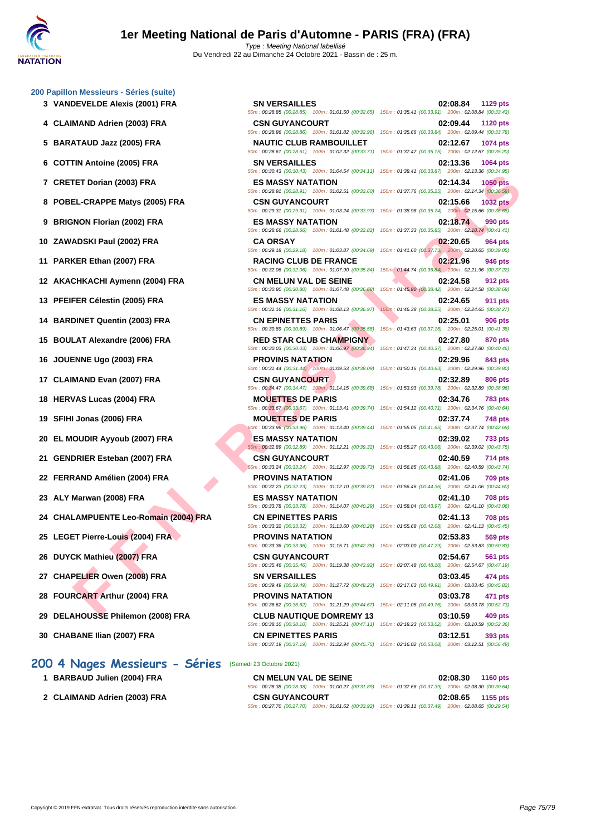## **[200 Papil](http://www.ffnatation.fr/webffn/index.php)lon Messieurs - Séries (suite)**

- 
- 
- 
- 
- 
- 
- 
- 
- 
- 
- 
- 
- 
- 
- 
- 
- 
- 
- 
- 
- 
- **24 CHALAMPUENTE Leo-Romain (2004) FRA CN EPINETTES PARIS 02:41.13 708 pts**
- 
- 
- 
- 
- 
- 

## **200 4 Nages Messieurs - Séries** (Samedi 23 Octobre 2021)

- **1 BARBAUD Julien (2004) FRA**
- 2 **CLAIMAND Adrien (2003) FRA**

 **VANDEVELDE Alexis (2001) FRA SN VERSAILLES 02:08.84 1129 pts** 50m : 00:28.85 (00:28.85) 100m : 01:01.50 (00:32.65) 150m : 01:35.41 (00:33.91) 200m : 02:08.84 (00:33.43) **CLAIMAND Adrien (2003) FRA CSN GUYANCOURT 02:09.44 1120 pts** 50m : 00:28.86 (00:28.86) 100m : 01:01.82 (00:32.96) 150m : 01:35.66 (00:33.84) 200m : 02:09.44 (00:33.78) **CRETET Dorian (2003) FRA ES MASSY NATATION 02:14.34 1050 pts ZAWADSKI Paul (2002) FRA CA ORSAY 02:20.65 964 pts PARKER Ethan (2007) FRA RACING CLUB DE FRANCE 02:21.96 946 pts** 50m : 00:32.06 (00:32.06) 100m : 01:07.90 (00:35.84) 150m : 01:44.74 (00:36.84) 200m : 02:21.96 (00:37.22) **AKACHKACHI Aymenn (2004) FRA CN MELUN VAL DE SEINE 02:24.58 912 pts PFEIFER Célestin (2005) FRA ES MASSY NATATION 02:24.65 911 pts BARDINET Quentin (2003) FRA CN EPINETTES PARIS 02:25.01 906 pts BOULAT Alexandre (2006) FRA RED STAR CLUB CHAMPIGNY 02:27.80 870 pts SFIHI Jonas (2006) FRA MOUETTES DE PARIS 02:37.74 748 pts EL MOUDIR Ayyoub (2007) FRA ES MASSY NATATION 02:39.02 733 pts GENDRIER Esteban (2007) FRA CSN GUYANCOURT 02:40.59 714 pts ALY Marwan (2008) FRA ES MASSY NATATION 02:41.10 708 pts CHAPELIER Owen (2008) FRA SN VERSAILLES 03:03.45 474 pts FOURCART Arthur (2004) FRA PROVINS NATATION 03:03.78 471 pts DELAHOUSSE Philemon (2008) FRA CLUB NAUTIQUE DOMREMY 13 03:10.59 409 pts**

**FIEND COOST PRANE STAND FOR SEAL AND CONSUMER SEAL AND CONSUMER AND CONSUMER AND CONSUMERATE CHAPTER CONSUMER AND CONSUMER AND CONSUMER AND CONSUMER SEAL AND A THE STAR CULIB OF FAMATION (2005) FRAME CHAPTER CONSUMER AND 5 BARATAUD Jazz (2005) FRA NAUTIC CLUB RAMBOUILLET 02:12.67 1074 pts** 50m : 00:28.61 (00:28.61) 100m : 01:02.32 (00:33.71) 150m : 01:37.47 (00:35.15) 200m : 02:12.67 (00:35.20) **6 COTTIN Antoine (2005) FRA SN VERSAILLES 02:13.36 1064 pts** 50m : 00:30.43 (00:30.43) 100m : 01:04.54 (00:34.11) 150m : 01:38.41 (00:33.87) 200m : 02:13.36 (00:34.95) 50m : 00:28.91 (00:28.91) 100m : 01:02.51 (00:33.60) 150m : 01:37.76 (00:35.25) 200m : 02:14.34 (00:36.58) **8 POBEL-CRAPPE Matys (2005) FRA CSN GUYANCOURT 02:15.66 1032 pts** 50m : 00:29.31 (00:29.31) 100m : 01:03.24 (00:33.93) 150m : 01:38.98 (00:35.74) 200m : 02:15.66 (00:36.68) **9 BRIGNON Florian (2002) FRA ES MASSY NATATION 02:18.74 990 pts** 50m : 00:28.66 (00:28.66) 100m : 01:01.48 (00:32.82) 150m : 01:37.33 (00:35.85) 200m : 02:18.74 (00:41.41) 50m : 00:29.18 (00:29.18) 100m : 01:03.87 (00:34.69) 150m : 01:41.60 (00:37.73) 200m : 02:20.65 (00:39.05) 50m : 00:30.80 (00:30.80) 100m : 01:07.48 (00:36.68) 150m : 01:45.90 (00:38.42) 200m : 02:24.58 (00:38.68) 50m : 00:31.16 (00:31.16) 100m : 01:08.13 (00:36.97) 150m : 01:46.38 (00:38.25) 200m : 02:24.65 (00:38.27) 50m : 00:30.89 (00:30.89) 100m : 01:06.47 (00:35.58) 150m : 01:43.63 (00:37.16) 200m : 02:25.01 (00:41.38) 50m : 00:30.03 (00:30.03) 100m : 01:06.97 (00:36.94) 150m : 01:47.34 (00:40.37) 200m : 02:27.80 (00:40.46) **16 JOUENNE Ugo (2003) FRA PROVINS NATATION 02:29.96 843 pts** 50m : 00:31.44 (00:31.44) 100m : 01:09.53 (00:38.09) 150m : 01:50.16 (00:40.63) 200m : 02:29.96 (00:39.80) **17 CLAIMAND Evan (2007) FRA CSN GUYANCOURT 02:32.89 806 pts** 50m : 00:34.47 (00:34.47) 100m : 01:14.15 (00:39.68) 150m : 01:53.93 (00:39.78) 200m : 02:32.89 (00:38.96) **18 HERVAS Lucas (2004) FRA MOUETTES DE PARIS 02:34.76 783 pts** 50m : 00:33.67 (00:33.67) 100m : 01:13.41 (00:39.74) 150m : 01:54.12 (00:40.71) 200m : 02:34.76 (00:40.64) 50m : 00:33.96 (00:33.96) 100m : 01:13.40 (00:39.44) 150m : 01:55.05 (00:41.65) 200m : 02:37.74 (00:42.69) 50m : 00:32.89 (00:32.89) 100m : 01:12.21 (00:39.32) 150m : 01:55.27 (00:43.06) 200m : 02:39.02 (00:43.75) 50m : 00:33.24 (00:33.24) 100m : 01:12.97 (00:39.73) 150m : 01:56.85 (00:43.88) 200m : 02:40.59 (00:43.74) **22 FERRAND Amélien (2004) FRA PROVINS NATATION 02:41.06 709 pts** 50m : 00:32.23 (00:32.23) 100m : 01:12.10 (00:39.87) 150m : 01:56.46 (00:44.36) 200m : 02:41.06 (00:44.60) 50m : 00:33.78 (00:33.78) 100m : 01:14.07 (00:40.29) 150m : 01:58.04 (00:43.97) 200m : 02:41.10 (00:43.06) 50m : 00:33.32 (00:33.32) 100m : 01:13.60 (00:40.28) 150m : 01:55.68 (00:42.08) 200m : 02:41.13 (00:45.45) **25 LEGET Pierre-Louis (2004) FRA PROVINS NATATION 02:53.83 569 pts** 50m : 00:33.36 (00:33.36) 100m : 01:15.71 (00:42.35) 150m : 02:03.00 (00:47.29) 200m : 02:53.83 (00:50.83) **26 DUYCK Mathieu (2007) FRA CSN GUYANCOURT 02:54.67 561 pts** 50m : 00:35.46 (00:35.46) 100m : 01:19.38 (00:43.92) 150m : 02:07.48 (00:48.10) 200m : 02:54.67 (00:47.19) 50m : 00:39.49 (00:39.49) 100m : 01:27.72 (00:48.23) 150m : 02:17.63 (00:49.91) 200m : 03:03.45 (00:45.82) 50m : 00:36.62 (00:36.62) 100m : 01:21.29 (00:44.67) 150m : 02:11.05 (00:49.76) 200m : 03:03.78 (00:52.73)

50m : 00:38.10 (00:38.10) 100m : 01:25.21 (00:47.11) 150m : 02:18.23 (00:53.02) 200m : 03:10.59 (00:52.36) **30 CHABANE Ilian (2007) FRA CN EPINETTES PARIS 03:12.51 393 pts**

50m : 00:37.19 (00:37.19) 100m : 01:22.94 (00:45.75) 150m : 02:16.02 (00:53.08) 200m : 03:12.51 (00:56.49)

| <b>CN MELUN VAL DE SEINE</b>                                                                           |                                                                                                        | 02:08.30 1160 pts |  |
|--------------------------------------------------------------------------------------------------------|--------------------------------------------------------------------------------------------------------|-------------------|--|
|                                                                                                        | 50m: 00:28.38 (00:28.38) 100m: 01:00.27 (00:31.89) 150m: 01:37.66 (00:37.39) 200m: 02:08.30 (00:30.64) |                   |  |
| <b>CSN GUYANCOURT</b>                                                                                  |                                                                                                        | 02:08.65 1155 pts |  |
| 50m; 00:27.70 (00:27.70) 100m; 01:01.62 (00:33.92) 150m; 01:39.11 (00:37.49) 200m; 02:08.65 (00:29.54) |                                                                                                        |                   |  |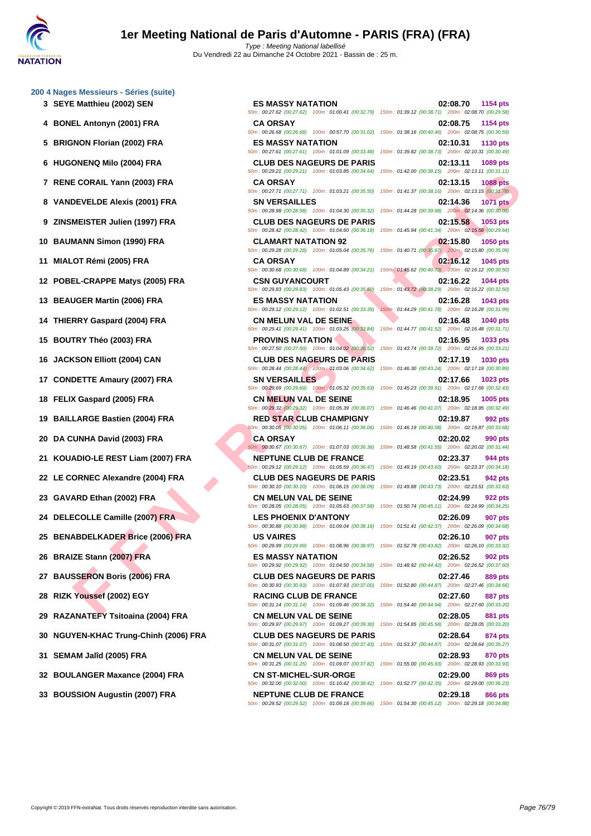**[200 4 Nag](http://www.ffnatation.fr/webffn/index.php)es Messieurs - Séries (suite)**

- 
- 
- 
- 
- 
- 
- 
- 
- 
- 
- 
- 
- 
- 
- 
- 
- 
- 
- 
- 
- 
- 
- 
- 
- 
- 
- 
- **30 NGUYEN-KHAC Trung-Chinh (2006) FRA CLUB DES NAGEURS DE PARIS 02:28.64 874 pts**
- 
- 
- 

E ORAIL Yam (2003) FRA - CAAREN SANY ISSUE ARE CHANGES CONFIGURE CHANGES CONFIGURE CHANGES CONFIGURE CHANGES CONFIGURE CHANGES CONFIGURE CHANGES CONFIGURE CHANGES CONFIGURE CHANGES CONFIGURE CHANGES CONFIGURE CHANGES CONFI **3 SEYE Matthieu (2002) SEN ES MASSY NATATION 02:08.70 1154 pts** 50m : 00:27.62 (00:27.62) 100m : 01:00.41 (00:32.79) 150m : 01:39.12 (00:38.71) 200m : 02:08.70 (00:29.58) **4 BONEL Antonyn (2001) FRA CA ORSAY 02:08.75 1154 pts** 50m : 00:26.68 (00:26.68) 100m : 00:57.70 (00:31.02) 150m : 01:38.16 (00:40.46) 200m : 02:08.75 (00:30.59) **5 BRIGNON Florian (2002) FRA ES MASSY NATATION 02:10.31 1130 pts** 50m : 00:27.61 (00:27.61) 100m : 01:01.09 (00:33.48) 150m : 01:39.82 (00:38.73) 200m : 02:10.31 (00:30.49) **6 HUGONENQ Milo (2004) FRA CLUB DES NAGEURS DE PARIS 02:13.11 1089 pts** 50m : 00:29.21 (00:29.21) 100m : 01:03.85 (00:34.64) 150m : 01:42.00 (00:38.15) 200m : 02:13.11 (00:31.11) **7 RENE CORAIL Yann (2003) FRA CA ORSAY 02:13.15 1088 pts** 50m : 00:27.71 (00:27.71) 100m : 01:03.21 (00:35.50) 150m : 01:41.37 (00:38.16) 200m : 02:13.15 (00:31.78) **8 VANDEVELDE Alexis (2001) FRA SN VERSAILLES 02:14.36 1071 pts** 50m : 00:28.98 (00:28.98) 100m : 01:04.30 (00:35.32) 150m : 01:44.28 (00:39.98) 200m : 02:14.36 (00:30.08) **9 ZINSMEISTER Julien (1997) FRA CLUB DES NAGEURS DE PARIS 02:15.58 1053 pts** 50m : 00:28.42 (00:28.42) 100m : 01:04.60 (00:36.18) 150m : 01:45.94 (00:41.34) 200m : 02:15.58 (00:29.64) **10 BAUMANN Simon (1990) FRA CLAMART NATATION 92 02:15.80 1050 pts** 50m : 00:29.28 (00:29.28) 100m : 01:05.04 (00:35.76) 150m : 01:40.71 (00:35.67) 200m : 02:15.80 (00:35.09) **11 MIALOT Rémi (2005) FRA CA ORSAY 02:16.12 1045 pts** 50m : 00:30.68 (00:30.68) 100m : 01:04.89 (00:34.21) 150m : 01:45.62 (00:40.73) 200m : 02:16.12 (00:30.50) **12 POBEL-CRAPPE Matys (2005) FRA CSN GUYANCOURT 02:16.22 1044 pts** 50m : 00:29.83 (00:29.83) 100m : 01:05.43 (00:35.60) 150m : 01:43.72 (00:38.29) 200m : 02:16.22 (00:32.50) **13 BEAUGER Martin (2006) FRA ES MASSY NATATION 02:16.28 1043 pts** 50m : 00:29.12 (00:29.12) 100m : 01:02.51 (00:33.39) 150m : 01:44.29 (00:41.78) 200m : 02:16.28 (00:31.99) **14 THIERRY Gaspard (2004) FRA CN MELUN VAL DE SEINE 02:16.48 1040 pts** 50m : 00:29.41 (00:29.41) 100m : 01:03.25 (00:33.84) 150m : 01:44.77 (00:41.52) 200m : 02:16.48 (00:31.71) **15 BOUTRY Théo (2003) FRA PROVINS NATATION 02:16.95 1033 pts** 50m : 00:27.50 (00:27.50) 100m : 01:04.02 (00:36.52) 150m : 01:43.74 (00:39.72) 200m : 02:16.95 (00:33.21) **16 JACKSON Elliott (2004) CAN CLUB DES NAGEURS DE PARIS 02:17.19 1030 pts** 50m : 00:28.44 (00:28.44) 100m : 01:03.06 (00:34.62) 150m : 01:46.30 (00:43.24) 200m : 02:17.19 (00:30.89) **17 CONDETTE Amaury (2007) FRA SN VERSAILLES 02:17.66 1023 pts** 50m : 00:29.69 (00:29.69) 100m : 01:05.32 (00:35.63) 150m : 01:45.23 (00:39.91) 200m : 02:17.66 (00:32.43) **18 FELIX Gaspard (2005) FRA CN MELUN VAL DE SEINE 02:18.95 1005 pts** 50m : 00:29.32 (00:29.32) 100m : 01:05.39 (00:36.07) 150m : 01:46.46 (00:41.07) 200m : 02:18.95 (00:32.49) **19 BAILLARGE Bastien (2004) FRA RED STAR CLUB CHAMPIGNY 02:19.87 992 pts** 50m : 00:30.05 (00:30.05) 100m : 01:06.11 (00:36.06) 150m : 01:46.19 (00:40.08) 200m : 02:19.87 (00:33.68) **20 DA CUNHA David (2003) FRA CA ORSAY 02:20.02 990 pts** 50m : 00:30.67 (00:30.67) 100m : 01:07.03 (00:36.36) 150m : 01:48.58 (00:41.55) 200m : 02:20.02 (00:31.44) **21 KOUADIO-LE REST Liam (2007) FRA NEPTUNE CLUB DE FRANCE 02:23.37 944 pts** 50m : 00:29.12 (00:29.12) 100m : 01:05.59 (00:36.47) 150m : 01:49.19 (00:43.60) 200m : 02:23.37 (00:34.18) **22 LE CORNEC Alexandre (2004) FRA CLUB DES NAGEURS DE PARIS 02:23.51 942 pts** 50m : 00:30.10 (00:30.10) 100m : 01:06.15 (00:36.05) 150m : 01:49.88 (00:43.73) 200m : 02:23.51 (00:33.63) **23 GAVARD Ethan (2002) FRA CN MELUN VAL DE SEINE 02:24.99 922 pts** 50m : 00:28.05 (00:28.05) 100m : 01:05.63 (00:37.58) 150m : 01:50.74 (00:45.11) 200m : 02:24.99 (00:34.25) **24 DELECOLLE Camille (2007) FRA LES PHOENIX D'ANTONY 02:26.09 907 pts** 50m : 00:30.88 (00:30.88) 100m : 01:09.04 (00:38.16) 150m : 01:51.41 (00:42.37) 200m : 02:26.09 (00:34.68) **25 BENABDELKADER Brice (2006) FRA US VAIRES 02:26.10 907 pts** 50m : 00:29.99 (00:29.99) 100m : 01:08.96 (00:38.97) 150m : 01:52.78 (00:43.82) 200m : 02:26.10 (00:33.32) **26 BRAIZE Stann (2007) FRA ES MASSY NATATION 02:26.52 902 pts** 50m : 00:29.92 (00:29.92) 100m : 01:04.50 (00:34.58) 150m : 01:48.92 (00:44.42) 200m : 02:26.52 (00:37.60) **27 BAUSSERON Boris (2006) FRA CLUB DES NAGEURS DE PARIS 02:27.46 889 pts** 50m : 00:30.93 (00:30.93) 100m : 01:07.93 (00:37.00) 150m : 01:52.80 (00:44.87) 200m : 02:27.46 (00:34.66) **28 RIZK Youssef (2002) EGY RACING CLUB DE FRANCE 02:27.60 887 pts** 50m : 00:31.14 (00:31.14) 100m : 01:09.46 (00:38.32) 150m : 01:54.40 (00:44.94) 200m : 02:27.60 (00:33.20) **29 RAZANATEFY Tsitoaina (2004) FRA CN MELUN VAL DE SEINE 02:28.05 881 pts** 50m : 00:29.97 (00:29.97) 100m : 01:09.27 (00:39.30) 150m : 01:54.85 (00:45.58) 200m : 02:28.05 (00:33.20) 50m : 00:31.07 (00:31.07) 100m : 01:08.50 (00:37.43) 150m : 01:53.37 (00:44.87) 200m : 02:28.64 (00:35.27) **31 SEMAM Jalîd (2005) FRA CN MELUN VAL DE SEINE 02:28.93 870 pts** 50m : 00:31.25 (00:31.25) 100m : 01:09.07 (00:37.82) 150m : 01:55.00 (00:45.93) 200m : 02:28.93 (00:33.93) **32 BOULANGER Maxance (2004) FRA CN ST-MICHEL-SUR-ORGE 02:29.00 869 pts** 50m : 00:32.00 (00:32.00) 100m : 01:10.42 (00:38.42) 150m : 01:52.77 (00:42.35) 200m : 02:29.00 (00:36.23)

50m : 00:29.52 (00:29.52) 100m : 01:09.18 (00:39.66) 150m : 01:54.30 (00:45.12) 200m : 02:29.18 (00:34.88)

**33 BOUSSION Augustin (2007) FRA NEPTUNE CLUB DE FRANCE 02:29.18 866 pts**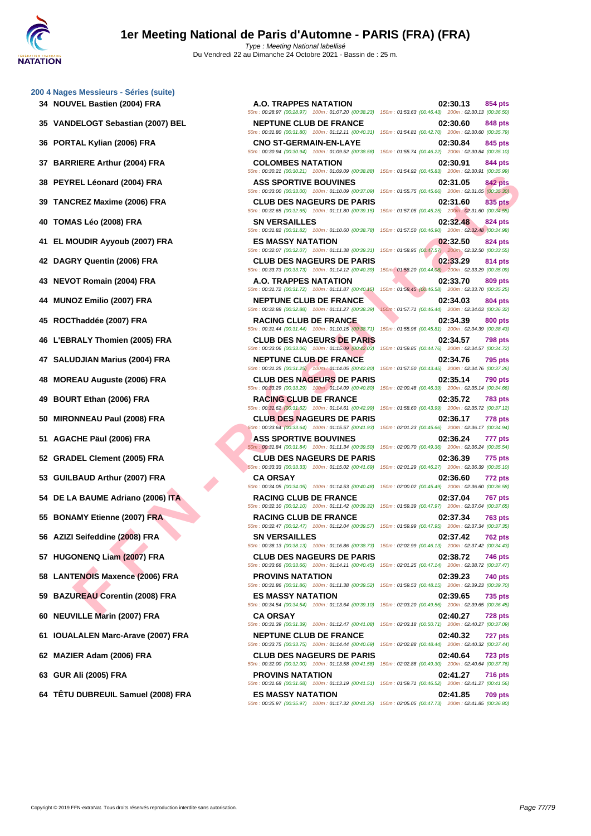**[200 4 Nag](http://www.ffnatation.fr/webffn/index.php)es Messieurs - Séries (suite)**

- **34 NOUVEL Bastien (2004) FRA A.O. TRAPPES NATATION 02:30.13 854 pts**
- **35 VANDELOGT Sebastian (2007) BEL NEPTUNE CLUB DE FRANCE 02:30.60 848 pts**
- 
- 
- 
- 
- 
- 
- 
- 
- 
- 
- 
- **47 SALUDJIAN Marius (2004) FRA NEPTUNE CLUB DE FRANCE 02:34.76 795 pts**
- 
- 
- 
- 
- 
- 
- 
- 
- 
- 
- **58 LANTENOIS Maxence (2006) FRA PROVINS NATATION 02:39.23 740 pts**
- 
- 
- **61 IOUALALEN Marc-Arave (2007) FRA NEPTUNE CLUB DE FRANCE 02:40.32 727 pts**
- 
- 
- **64 TÊTU DUBREUIL Samuel (2008) FRA ES MASSY NATATION 02:41.85 709 pts**

50m : 00:35.97 (00:35.97) 100m : 01:17.32 (00:41.35) 150m : 02:05.05 (00:47.73) 200m : 02:41.85 (00:36.80)

**FINCHER (2004) FRA**<br> **FERD MASS SPORTIVE BOUNDES DE PARIS (2004) FRA**<br> **FERD MASS SPORTIVE BOUNDES DE PARIS (2004)**<br> **FRA** - **FOR CUBBOS NACEURS DE PARIS (2004)**<br> **FRA - ES MASS Y MATAITON**<br> **FRA - ES MASS Y MATAITON**<br> **F** 50m : 00:28.97 (00:28.97) 100m : 01:07.20 (00:38.23) 150m : 01:53.63 (00:46.43) 200m : 02:30.13 (00:36.50) 50m : 00:31.80 (00:31.80) 100m : 01:12.11 (00:40.31) 150m : 01:54.81 (00:42.70) 200m : 02:30.60 (00:35.79) **36 PORTAL Kylian (2006) FRA CNO ST-GERMAIN-EN-LAYE 02:30.84 845 pts** 50m : 00:30.94 (00:30.94) 100m : 01:09.52 (00:38.58) 150m : 01:55.74 (00:46.22) 200m : 02:30.84 (00:35.10) **37 BARRIERE Arthur (2004) FRA COLOMBES NATATION 02:30.91 844 pts** 50m : 00:30.21 (00:30.21) 100m : 01:09.09 (00:38.88) 150m : 01:54.92 (00:45.83) 200m : 02:30.91 (00:35.99) **38 PEYREL Léonard (2004) FRA ASS SPORTIVE BOUVINES 02:31.05 842 pts** 50m : 00:33.00 (00:33.00) 100m : 01:10.09 (00:37.09) 150m : 01:55.75 (00:45.66) 200m : 02:31.05 (00:35.30) **39 TANCREZ Maxime (2006) FRA CLUB DES NAGEURS DE PARIS 02:31.60 835 pts** 50m : 00:32.65 (00:32.65) 100m : 01:11.80 (00:39.15) 150m : 01:57.05 (00:45.25) 200m : 02:31.60 (00:34.55) **40 TOMAS Léo (2008) FRA SN VERSAILLES 02:32.48 824 pts** 50m : 00:31.82 (00:31.82) 100m : 01:10.60 (00:38.78) 150m : 01:57.50 (00:46.90) 200m : 02:32.48 (00:34.98) **41 EL MOUDIR Ayyoub (2007) FRA ES MASSY NATATION 02:32.50 824 pts** 50m : 00:32.07 (00:32.07) 100m : 01:11.38 (00:39.31) 150m : 01:58.95 (00:47.57) 200m : 02:32.50 (00:33.55) **42 DAGRY Quentin (2006) FRA CLUB DES NAGEURS DE PARIS 02:33.29 814 pts** 50m : 00:33.73 (00:33.73) 100m : 01:14.12 (00:40.39) 150m : 01:58.20 (00:44.08) 200m : 02:33.29 (00:35.09) **43 NEVOT Romain (2004) FRA A.O. TRAPPES NATATION 02:33.70 809 pts** 50m : 00:31.72 (00:31.72) 100m : 01:11.87 (00:40.15) 150m : 01:58.45 (00:46.58) 200m : 02:33.70 (00:35.25) **44 MUNOZ Emilio (2007) FRA NEPTUNE CLUB DE FRANCE 02:34.03 804 pts** 50m : 00:32.88 (00:32.88) 100m : 01:11.27 (00:38.39) 150m : 01:57.71 (00:46.44) 200m : 02:34.03 (00:36.32) **45 ROCThaddée (2007) FRA RACING CLUB DE FRANCE 02:34.39 800 pts** 50m : 00:31.44 (00:31.44) 100m : 01:10.15 (00:38.71) 150m : 01:55.96 (00:45.81) 200m : 02:34.39 (00:38.43) **46 L'EBRALY Thomien (2005) FRA CLUB DES NAGEURS DE PARIS 02:34.57 798 pts** 50m : 00:33.06 (00:33.06) 100m : 01:15.09 (00:42.03) 150m : 01:59.85 (00:44.76) 200m : 02:34.57 (00:34.72) 50m : 00:31.25 (00:31.25) 100m : 01:14.05 (00:42.80) 150m : 01:57.50 (00:43.45) 200m : 02:34.76 (00:37.26) **48 MOREAU Auguste (2006) FRA CLUB DES NAGEURS DE PARIS 02:35.14 790 pts** 50m : 00:33.29 (00:33.29) 100m : 01:14.09 (00:40.80) 150m : 02:00.48 (00:46.39) 200m : 02:35.14 (00:34.66) **49 BOURT Ethan (2006) FRA RACING CLUB DE FRANCE 02:35.72 783 pts** 50m : 00:31.62 (00:31.62) 100m : 01:14.61 (00:42.99) 150m : 01:58.60 (00:43.99) 200m : 02:35.72 (00:37.12) **50 MIRONNEAU Paul (2008) FRA CLUB DES NAGEURS DE PARIS 02:36.17 778 pts** 50m : 00:33.64 (00:33.64) 100m : 01:15.57 (00:41.93) 150m : 02:01.23 (00:45.66) 200m : 02:36.17 (00:34.94) **51 AGACHE Päul (2006) FRA ASS SPORTIVE BOUVINES 02:36.24 777 pts** 50m : 00:31.84 (00:31.84) 100m : 01:11.34 (00:39.50) 150m : 02:00.70 (00:49.36) 200m : 02:36.24 (00:35.54) **52 GRADEL Clement (2005) FRA CLUB DES NAGEURS DE PARIS 02:36.39 775 pts** 50m : 00:33.33 (00:33.33) 100m : 01:15.02 (00:41.69) 150m : 02:01.29 (00:46.27) 200m : 02:36.39 (00:35.10) **53 GUILBAUD Arthur (2007) FRA CA ORSAY 02:36.60 772 pts** 50m : 00:34.05 (00:34.05) 100m : 01:14.53 (00:40.48) 150m : 02:00.02 (00:45.49) 200m : 02:36.60 (00:36.58) **54 DE LA BAUME Adriano (2006) ITA RACING CLUB DE FRANCE 02:37.04 767 pts** 50m : 00:32.10 (00:32.10) 100m : 01:11.42 (00:39.32) 150m : 01:59.39 (00:47.97) 200m : 02:37.04 (00:37.65) **55 BONAMY Etienne (2007) FRA RACING CLUB DE FRANCE 02:37.34 763 pts** 50m : 00:32.47 (00:32.47) 100m : 01:12.04 (00:39.57) 150m : 01:59.99 (00:47.95) 200m : 02:37.34 (00:37.35) **56 AZIZI Seifeddine (2008) FRA SN VERSAILLES 02:37.42 762 pts** 50m : 00:38.13 (00:38.13) 100m : 01:16.86 (00:38.73) 150m : 02:02.99 (00:46.13) 200m : 02:37.42 (00:34.43) **57 HUGONENQ Liam (2007) FRA CLUB DES NAGEURS DE PARIS 02:38.72 746 pts** 50m : 00:33.66 (00:33.66) 100m : 01:14.11 (00:40.45) 150m : 02:01.25 (00:47.14) 200m : 02:38.72 (00:37.47) 50m : 00:31.86 (00:31.86) 100m : 01:11.38 (00:39.52) 150m : 01:59.53 (00:48.15) 200m : 02:39.23 (00:39.70) **59 BAZUREAU Corentin (2008) FRA ES MASSY NATATION 02:39.65 735 pts** 50m : 00:34.54 (00:34.54) 100m : 01:13.64 (00:39.10) 150m : 02:03.20 (00:49.56) 200m : 02:39.65 (00:36.45) **60 NEUVILLE Marin (2007) FRA CA ORSAY 02:40.27 728 pts** 50m : 00:31.39 (00:31.39) 100m : 01:12.47 (00:41.08) 150m : 02:03.18 (00:50.71) 200m : 02:40.27 (00:37.09) 50m : 00:33.75 (00:33.75) 100m : 01:14.44 (00:40.69) 150m : 02:02.88 (00:48.44) 200m : 02:40.32 (00:37.44) **62 MAZIER Adam (2006) FRA CLUB DES NAGEURS DE PARIS 02:40.64 723 pts** 50m : 00:32.00 (00:32.00) 100m : 01:13.58 (00:41.58) 150m : 02:02.88 (00:49.30) 200m : 02:40.64 (00:37.76) **63 GUR Ali (2005) FRA PROVINS NATATION 02:41.27 716 pts** 50m : 00:31.68 (00:31.68) 100m : 01:13.19 (00:41.51) 150m : 01:59.71 (00:46.52) 200m : 02:41.27 (00:41.56)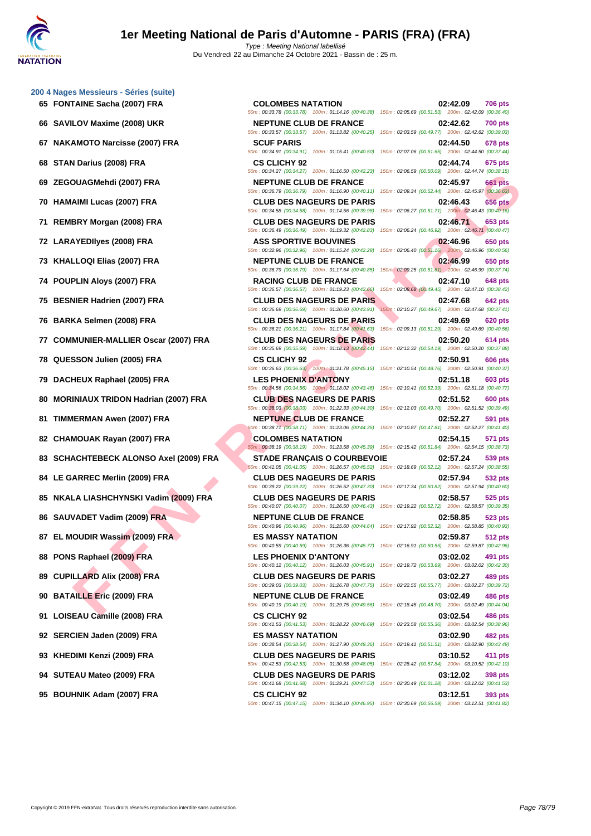**[200 4 Nag](http://www.ffnatation.fr/webffn/index.php)es Messieurs - Séries (suite)**

- 
- 
- 
- 
- 
- 
- 
- 
- 
- 
- 
- **77 COMMUNIER-MALLIER Oscar (2007) FRA CLUB DES NAGEURS DE PARIS 02:50.20 614 pts**
- 
- 
- **80 MORINIAUX TRIDON Hadrian (2007) FRA CLUB DES NAGEURS DE PARIS 02:51.52 600 pts**
- 
- 
- 
- 
- 
- 
- 
- 
- 
- 
- 
- 
- 
- 
- 

DUAGMENT (2007) FRANCIS DE FRANCES DE FRANCES DE FRANCES DE FRANCES DE FRANCES DE FRANCES DE FRANCES DE FRANCES DE FRANCES DE FRANCES DE FRANCES DE FRANCES DE FRANCES DE FRANCES DE FRANCES DE FRANCES DE FRANCES DE FRANCES **65 FONTAINE Sacha (2007) FRA COLOMBES NATATION 02:42.09 706 pts** 50m : 00:33.78 (00:33.78) 100m : 01:14.16 (00:40.38) 150m : 02:05.69 (00:51.53) 200m : 02:42.09 (00:36.40) **66 SAVILOV Maxime (2008) UKR NEPTUNE CLUB DE FRANCE 02:42.62 700 pts** 50m : 00:33.57 (00:33.57) 100m : 01:13.82 (00:40.25) 150m : 02:03.59 (00:49.77) 200m : 02:42.62 (00:39.03) **67 NAKAMOTO Narcisse (2007) FRA SCUF PARIS 02:44.50 678 pts** 50m : 00:34.91 (00:34.91) 100m : 01:15.41 (00:40.50) 150m : 02:07.06 (00:51.65) 200m : 02:44.50 (00:37.44) **68 STAN Darius (2008) FRA CS CLICHY 92 02:44.74 675 pts** 50m : 00:34.27 (00:34.27) 100m : 01:16.50 (00:42.23) 150m : 02:06.59 (00:50.09) 200m : 02:44.74 (00:38.15) **69 ZEGOUAGMehdi (2007) FRA NEPTUNE CLUB DE FRANCE 02:45.97 661 pts** 50m : 00:36.79 (00:36.79) 100m : 01:16.90 (00:40.11) 150m : 02:09.34 (00:52.44) 200m : 02:45.97 (00:36.63) **70 HAMAIMI Lucas (2007) FRA CLUB DES NAGEURS DE PARIS 02:46.43 656 pts** 50m : 00:34.58 (00:34.58) 100m : 01:14.56 (00:39.98) 150m : 02:06.27 (00:51.71) 200m : 02:46.43 (00:40.16) **71 REMBRY Morgan (2008) FRA CLUB DES NAGEURS DE PARIS 02:46.71 653 pts** 50m : 00:36.49 (00:36.49) 100m : 01:19.32 (00:42.83) 150m : 02:06.24 (00:46.92) 200m : 02:46.71 (00:40.47) **72 LARAYEDIlyes (2008) FRA ASS SPORTIVE BOUVINES 02:46.96 650 pts** 50m : 00:32.96 (00:32.96) 100m : 01:15.24 (00:42.28) 150m : 02:06.40 (00:51.16) 200m : 02:46.96 (00:40.56) **73 KHALLOQI Elias (2007) FRA NEPTUNE CLUB DE FRANCE 02:46.99 650 pts** 50m : 00:36.79 (00:36.79) 100m : 01:17.64 (00:40.85) 150m : 02:09.25 (00:51.61) 200m : 02:46.99 (00:37.74) **74 POUPLIN Aloys (2007) FRA RACING CLUB DE FRANCE 02:47.10 648 pts** 50m : 00:36.57 (00:36.57) 100m : 01:19.23 (00:42.66) 150m : 02:08.68 (00:49.45) 200m : 02:47.10 (00:38.42) **75 BESNIER Hadrien (2007) FRA CLUB DES NAGEURS DE PARIS 02:47.68 02:47.68 642 pts**<br> **50m**: 02:47.68 **com = 02:47.68 constant com = 02:47.68 constant constant constant constant constant constant** 50m : 00:36.69 (00:36.69) 100m : 01:20.60 (00:43.91) 150m : 02:10.27 (00:49.67) 200m : 02:47.68 (00:37.41) **76 BARKA Selmen (2008) FRA CLUB DES NAGEURS DE PARIS 02:49.69 620 pts** 50m : 00:36.21 (00:36.21) 100m : 01:17.84 (00:41.63) 150m : 02:09.13 (00:51.29) 200m : 02:49.69 (00:40.56) **93 KHEDIMI Kenzi (2009) FRA CLUB DES NAGEURS DE PARIS 03:10.52 411 pts** 50m : 00:42.53 (00:42.53) 100m : 01:30.58 (00:48.05) 150m : 02:28.42 (00:57.84) 200m : 03:10.52 (00:42.10)

50m : 00:35.69 (00:35.69) 100m : 01:18.13 (00:42.44) 150m : 02:12.32 (00:54.19) 200m : 02:50.20 (00:37.88) **78 QUESSON Julien (2005) FRA CS CLICHY 92 02:50.91 606 pts** 50m : 00:36.63 (00:36.63) 100m : 01:21.78 (00:45.15) 150m : 02:10.54 (00:48.76) 200m : 02:50.91 (00:40.37) **79 DACHEUX Raphael (2005) FRA LES PHOENIX D'ANTONY 02:51.18 603 pts** 50m : 00:34.56 (00:34.56) 100m : 01:18.02 (00:43.46) 150m : 02:10.41 (00:52.39) 200m : 02:51.18 (00:40.77) 50m : 00:38.03 (00:38.03) 100m : 01:22.33 (00:44.30) 150m : 02:12.03 (00:49.70) 200m : 02:51.52 (00:39.49) **81 TIMMERMAN Awen (2007) FRA NEPTUNE CLUB DE FRANCE 02:52.27 591 pts** 50m : 00:38.71 (00:38.71) 100m : 01:23.06 (00:44.35) 150m : 02:10.87 (00:47.81) 200m : 02:52.27 (00:41.40) **82 CHAMOUAK Rayan (2007) FRA COLOMBES NATATION 02:54.15 571 pts** 50m : 00:38.19 (00:38.19) 100m : 01:23.58 (00:45.39) 150m : 02:15.42 (00:51.84) 200m : 02:54.15 (00:38.73) **83 SCHACHTEBECK ALONSO Axel (2009) FRA STADE FRANÇAIS O COURBEVOIE 02:57.24 539 pts** 50m : 00:41.05 (00:41.05) 100m : 01:26.57 (00:45.52) 150m : 02:18.69 (00:52.12) 200m : 02:57.24 (00:38.55) **84 LE GARREC Merlin (2009) FRA CLUB DES NAGEURS DE PARIS 02:57.94 532 pts** 50m : 00:39.22 (00:39.22) 100m : 01:26.52 (00:47.30) 150m : 02:17.34 (00:50.82) 200m : 02:57.94 (00:40.60) **85 NKALA LIASHCHYNSKI Vadim (2009) FRA CLUB DES NAGEURS DE PARIS 02:58.57 525 pts** 50m : 00:40.07 (00:40.07) 100m : 01:26.50 (00:46.43) 150m : 02:19.22 (00:52.72) 200m : 02:58.57 (00:39.35) **86 SAUVADET Vadim (2009) FRA NEPTUNE CLUB DE FRANCE 02:58.85 523 pts** 50m : 00:40.96 (00:40.96) 100m : 01:25.60 (00:44.64) 150m : 02:17.92 (00:52.32) 200m : 02:58.85 (00:40.93) **87 EL MOUDIR Wassim (2009) FRA ES MASSY NATATION 02:59.87 512 pts** 50m : 00:40.59 (00:40.59) 100m : 01:26.36 (00:45.77) 150m : 02:16.91 (00:50.55) 200m : 02:59.87 (00:42.96) **88 PONS Raphael (2009) FRA LES PHOENIX D'ANTONY 03:02.02 491 pts** 50m : 00:40.12 (00:40.12) 100m : 01:26.03 (00:45.91) 150m : 02:19.72 (00:53.69) 200m : 03:02.02 (00:42.30) **89 CUPILLARD Alix (2008) FRA CLUB DES NAGEURS DE PARIS 03:02.27 489 pts** 50m : 00:39.03 (00:39.03) 100m : 01:26.78 (00:47.75) 150m : 02:22.55 (00:55.77) 200m : 03:02.27 (00:39.72) **90 BATAILLE Eric (2009) FRA NEPTUNE CLUB DE FRANCE 03:02.49 486 pts** 50m : 00:40.19 (00:40.19) 100m : 01:29.75 (00:49.56) 150m : 02:18.45 (00:48.70) 200m : 03:02.49 (00:44.04) **91 LOISEAU Camille (2008) FRA CS CLICHY 92 03:02.54 486 pts** 50m : 00:41.53 (00:41.53) 100m : 01:28.22 (00:46.69) 150m : 02:23.58 (00:55.36) 200m : 03:02.54 (00:38.96) **92 SERCIEN Jaden (2009) FRA ES MASSY NATATION 03:02.90 482 pts** 50m : 00:38.54 (00:38.54) 100m : 01:27.90 (00:49.36) 150m : 02:19.41 (00:51.51) 200m : 03:02.90 (00:43.49)

**94 SUTEAU Mateo (2009) FRA CLUB DES NAGEURS DE PARIS 03:12.02 398 pts** 50m : 00:41.68 (00:41.68) 100m : 01:29.21 (00:47.53) 150m : 02:30.49 (01:01.28) 200m : 03:12.02 (00:41.53) **95 BOUHNIK Adam (2007) FRA CS CLICHY 92 03:12.51 393 pts**

50m : 00:47.15 (00:47.15) 100m : 01:34.10 (00:46.95) 150m : 02:30.69 (00:56.59) 200m : 03:12.51 (00:41.82)